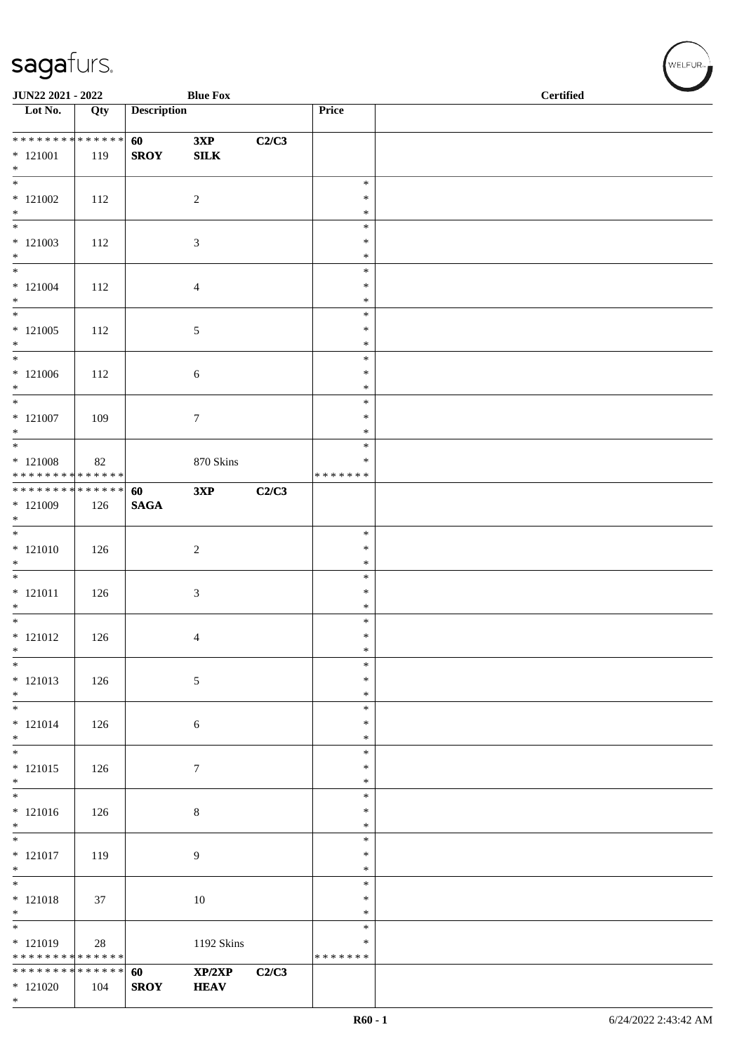| JUN22 2021 - 2022                                                    |     |                    | <b>Blue Fox</b>       |       |                              | $\operatorname{\bf \mathbf{Certified}}$ |
|----------------------------------------------------------------------|-----|--------------------|-----------------------|-------|------------------------------|-----------------------------------------|
| $\overline{\phantom{1}}$ Lot No.                                     | Qty | <b>Description</b> |                       |       | Price                        |                                         |
| * * * * * * * * * * * * * *<br>$*121001$<br>$*$                      | 119 | 60<br><b>SROY</b>  | 3XP<br>${\bf SILK}$   | C2/C3 |                              |                                         |
| $*$<br>$*121002$<br>$*$                                              | 112 |                    | $\overline{2}$        |       | $\ast$<br>$\ast$<br>$\ast$   |                                         |
| $\overline{\ast}$<br>$*121003$<br>$*$                                | 112 |                    | $\mathfrak{Z}$        |       | $\ast$<br>$\ast$<br>$\ast$   |                                         |
| $\overline{\phantom{0}}$<br>$* 121004$<br>$*$                        | 112 |                    | $\overline{4}$        |       | $\ast$<br>$\ast$<br>$\ast$   |                                         |
| $\overline{\phantom{0}}$<br>$*$ 121005<br>$*$                        | 112 |                    | $\sqrt{5}$            |       | $\ast$<br>$\ast$<br>$\ast$   |                                         |
| $\overline{\ast}$<br>$*121006$<br>$*$                                | 112 |                    | $\sqrt{6}$            |       | $\ast$<br>$\ast$<br>$\ast$   |                                         |
| $\overline{\phantom{0}}$<br>$*121007$<br>$\ast$                      | 109 |                    | $\boldsymbol{7}$      |       | $\ast$<br>$\ast$<br>$\ast$   |                                         |
| $\overline{\phantom{0}}$<br>$*121008$<br>* * * * * * * * * * * * * * | 82  |                    | 870 Skins             |       | $\ast$<br>*<br>* * * * * * * |                                         |
| ******** <mark>******</mark><br>$*121009$<br>$*$                     | 126 | 60<br><b>SAGA</b>  | 3XP                   | C2/C3 |                              |                                         |
| $\overline{\phantom{0}}$<br>$* 121010$<br>$\ast$                     | 126 |                    | $\sqrt{2}$            |       | $\ast$<br>$\ast$<br>$\ast$   |                                         |
| $*$<br>$* 121011$<br>$*$                                             | 126 |                    | $\mathfrak{Z}$        |       | $\ast$<br>$\ast$<br>$\ast$   |                                         |
| $*$<br>$* 121012$<br>$\ast$                                          | 126 |                    | $\overline{4}$        |       | $\ast$<br>$\ast$<br>$\ast$   |                                         |
| $\ast$<br>$* 121013$<br>$\ast$                                       | 126 |                    | $\sqrt{5}$            |       | $\ast$<br>$\ast$<br>$\ast$   |                                         |
| $\overline{\phantom{0}}$<br>$* 121014$<br>$*$                        | 126 |                    | 6                     |       | $\ast$<br>*<br>$\ast$        |                                         |
| $* 121015$<br>$*$                                                    | 126 |                    | $\tau$                |       | $\ast$<br>$\ast$<br>*        |                                         |
| $\overline{\phantom{0}}$<br>$* 121016$<br>$*$                        | 126 |                    | $\,8\,$               |       | $\ast$<br>$\ast$<br>$\ast$   |                                         |
| $\overline{\phantom{0}}$<br>$* 121017$<br>$*$                        | 119 |                    | 9                     |       | $\ast$<br>$\ast$<br>$\ast$   |                                         |
| $\ast$<br>$* 121018$<br>$*$                                          | 37  |                    | 10                    |       | $\ast$<br>$\ast$<br>*        |                                         |
| $*$<br>$*121019$<br>* * * * * * * * * * * * * *                      | 28  |                    | 1192 Skins            |       | $\ast$<br>∗<br>* * * * * * * |                                         |
| * * * * * * * * * * * * * *<br>$*121020$<br>$*$                      | 104 | 60<br><b>SROY</b>  | XP/2XP<br><b>HEAV</b> | C2/C3 |                              |                                         |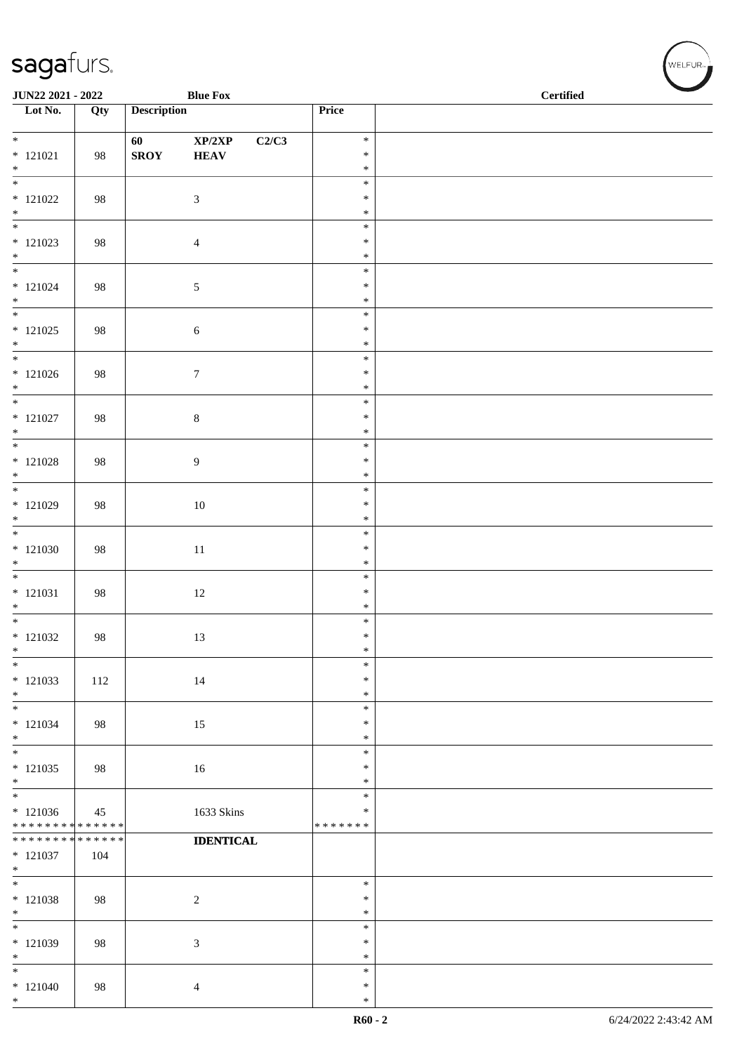| JUN22 2021 - 2022                         |        |                    | <b>Blue Fox</b>            |       |                         | $\operatorname{\bf \mathbf{Certified}}$ |  |  |
|-------------------------------------------|--------|--------------------|----------------------------|-------|-------------------------|-----------------------------------------|--|--|
| Lot No.                                   | Qty    | <b>Description</b> |                            |       | Price                   |                                         |  |  |
| $\overline{\phantom{0}}$                  |        | 60                 | $\mathbf{XP}/2\mathbf{XP}$ | C2/C3 | $\ast$                  |                                         |  |  |
| $* 121021$                                | 98     | <b>SROY</b>        | <b>HEAV</b>                |       | $\ast$                  |                                         |  |  |
| $*$<br>$\overline{\phantom{0}}$           |        |                    |                            |       | $\ast$                  |                                         |  |  |
| $*121022$                                 | 98     |                    | 3                          |       | $\ast$<br>$\ast$        |                                         |  |  |
| $*$                                       |        |                    |                            |       | $\ast$                  |                                         |  |  |
|                                           |        |                    |                            |       | $\ast$                  |                                         |  |  |
| $*121023$<br>$*$                          | 98     |                    | $\overline{4}$             |       | $\ast$<br>$\ast$        |                                         |  |  |
| $\overline{\ast}$                         |        |                    |                            |       | $\ast$                  |                                         |  |  |
| $* 121024$                                | 98     |                    | $\sqrt{5}$                 |       | $\ast$                  |                                         |  |  |
| $*$<br>$\overline{\phantom{0}}$           |        |                    |                            |       | $\ast$<br>$\ast$        |                                         |  |  |
| $*121025$                                 | 98     |                    | $\sqrt{6}$                 |       | $\ast$                  |                                         |  |  |
| $*$                                       |        |                    |                            |       | $\ast$                  |                                         |  |  |
|                                           |        |                    |                            |       | $\ast$                  |                                         |  |  |
| $*121026$<br>$*$                          | 98     |                    | $\boldsymbol{7}$           |       | $\ast$<br>$\ast$        |                                         |  |  |
| $\overline{\phantom{0}}$                  |        |                    |                            |       | $\ast$                  |                                         |  |  |
| $* 121027$                                | 98     |                    | $\,8\,$                    |       | $\ast$                  |                                         |  |  |
| $*$<br>$\overline{\phantom{0}}$           |        |                    |                            |       | $\ast$<br>$\ast$        |                                         |  |  |
| $* 121028$                                | 98     |                    | 9                          |       | $\ast$                  |                                         |  |  |
| $\ast$                                    |        |                    |                            |       | $\ast$                  |                                         |  |  |
| $*$ 121029                                |        |                    |                            |       | $\ast$<br>$\ast$        |                                         |  |  |
| $\ast$                                    | 98     |                    | $10\,$                     |       | $\ast$                  |                                         |  |  |
|                                           |        |                    |                            |       | $\ast$                  |                                         |  |  |
| $*121030$                                 | 98     |                    | 11                         |       | $\ast$                  |                                         |  |  |
| $*$<br>$\overline{\phantom{0}}$           |        |                    |                            |       | $\ast$<br>$\ast$        |                                         |  |  |
| $* 121031$                                | 98     |                    | $12\,$                     |       | $\ast$                  |                                         |  |  |
| $*$                                       |        |                    |                            |       | $\ast$                  |                                         |  |  |
| $*121032$                                 | 98     |                    | 13                         |       | $\ast$<br>$\ast$        |                                         |  |  |
| $\ast$                                    |        |                    |                            |       | $\ast$                  |                                         |  |  |
| $\ast$                                    |        |                    |                            |       | $\ast$                  |                                         |  |  |
| $*121033$<br>$*$                          | 112    |                    | 14                         |       | $\ast$<br>$\ast$        |                                         |  |  |
| $\ast$                                    |        |                    |                            |       | $\ast$                  |                                         |  |  |
| $* 121034$                                | 98     |                    | 15                         |       | $\ast$                  |                                         |  |  |
| $*$<br>$*$                                |        |                    |                            |       | $\ast$<br>$\ast$        |                                         |  |  |
| $*121035$                                 | 98     |                    | 16                         |       | $\ast$                  |                                         |  |  |
| $*$                                       |        |                    |                            |       | $\ast$                  |                                         |  |  |
| $\overline{\phantom{0}}$                  |        |                    |                            |       | $\ast$                  |                                         |  |  |
| $* 121036$<br>* * * * * * * * * * * * * * | 45     |                    | 1633 Skins                 |       | $\ast$<br>* * * * * * * |                                         |  |  |
| * * * * * * * *                           | ****** |                    | <b>IDENTICAL</b>           |       |                         |                                         |  |  |
| $* 121037$                                | 104    |                    |                            |       |                         |                                         |  |  |
| $*$<br>$*$                                |        |                    |                            |       | $\ast$                  |                                         |  |  |
| $* 121038$                                | 98     |                    | $\sqrt{2}$                 |       | $\ast$                  |                                         |  |  |
| $*$                                       |        |                    |                            |       | $\ast$                  |                                         |  |  |
| $\ast$                                    |        |                    |                            |       | $\ast$<br>$\ast$        |                                         |  |  |
| $*121039$<br>$*$                          | 98     |                    | 3                          |       | $\ast$                  |                                         |  |  |
| $*$                                       |        |                    |                            |       | $\ast$                  |                                         |  |  |
| $*121040$<br>$*$                          | 98     |                    | 4                          |       | $\ast$                  |                                         |  |  |
|                                           |        |                    |                            |       | $\ast$                  |                                         |  |  |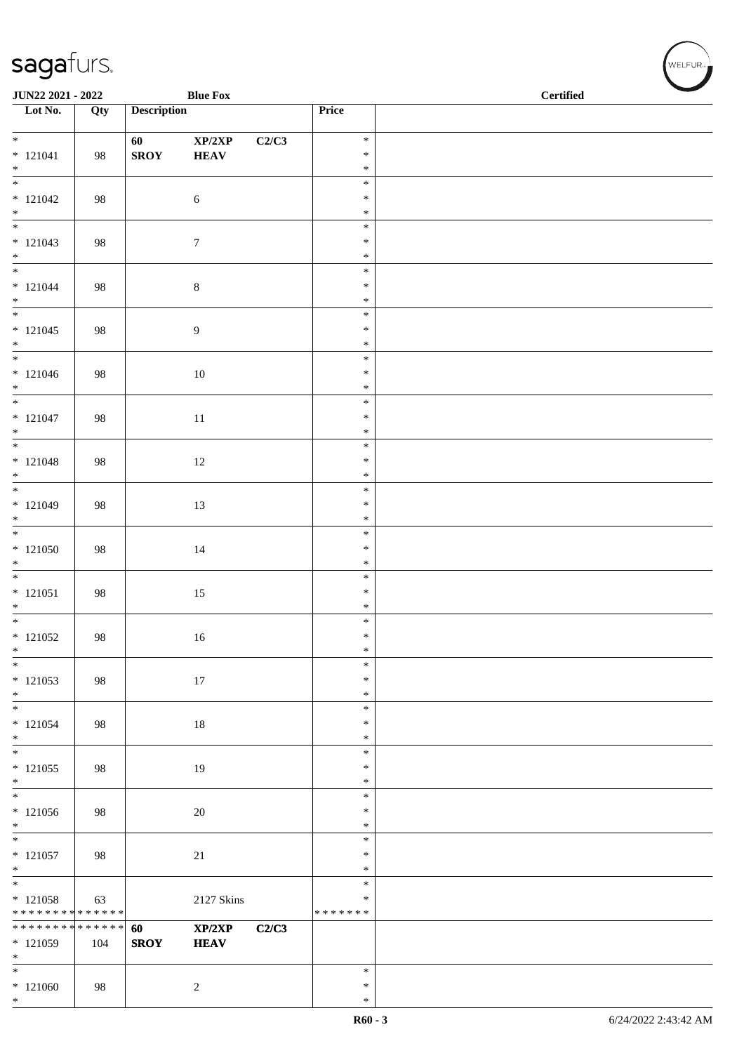\*

| JUN22 2021 - 2022                              |        |                    | <b>Blue Fox</b>                           |       |                  | <b>Certified</b> |  |  |
|------------------------------------------------|--------|--------------------|-------------------------------------------|-------|------------------|------------------|--|--|
| Lot No.                                        | Qty    | <b>Description</b> |                                           |       | Price            |                  |  |  |
| $\overline{\phantom{0}}$                       |        |                    |                                           |       | $\ast$           |                  |  |  |
| $* 121041$                                     | 98     | 60<br><b>SROY</b>  | $\mathbf{XP}/2\mathbf{XP}$<br><b>HEAV</b> | C2/C3 | $\ast$           |                  |  |  |
| $*$                                            |        |                    |                                           |       | $\ast$           |                  |  |  |
| $\overline{\phantom{0}}$                       |        |                    |                                           |       | $\ast$           |                  |  |  |
| $* 121042$<br>$*$                              | 98     |                    | $\sqrt{6}$                                |       | $\ast$           |                  |  |  |
|                                                |        |                    |                                           |       | $\ast$<br>$\ast$ |                  |  |  |
| $* 121043$                                     | 98     |                    | $\boldsymbol{7}$                          |       | $\ast$           |                  |  |  |
| $*$                                            |        |                    |                                           |       | $\ast$           |                  |  |  |
| $*$                                            |        |                    |                                           |       | $\ast$<br>$\ast$ |                  |  |  |
| $* 121044$<br>$*$                              | 98     |                    | $8\,$                                     |       | $\ast$           |                  |  |  |
| $\overline{\phantom{0}}$                       |        |                    |                                           |       | $\ast$           |                  |  |  |
| $* 121045$                                     | 98     |                    | $\overline{9}$                            |       | $\ast$           |                  |  |  |
| $*$                                            |        |                    |                                           |       | $\ast$<br>$\ast$ |                  |  |  |
| $* 121046$                                     | 98     |                    | $10\,$                                    |       | $\ast$           |                  |  |  |
| $*$                                            |        |                    |                                           |       | $\ast$           |                  |  |  |
| $\overline{\phantom{0}}$                       |        |                    |                                           |       | $\ast$           |                  |  |  |
| $* 121047$<br>$*$                              | 98     |                    | 11                                        |       | $\ast$<br>$\ast$ |                  |  |  |
| $\overline{\phantom{0}}$                       |        |                    |                                           |       | $\ast$           |                  |  |  |
| $* 121048$                                     | 98     |                    | 12                                        |       | $\ast$           |                  |  |  |
| $*$                                            |        |                    |                                           |       | $\ast$           |                  |  |  |
| $* 121049$                                     | 98     |                    | 13                                        |       | $\ast$<br>$\ast$ |                  |  |  |
| $\ast$                                         |        |                    |                                           |       | $\ast$           |                  |  |  |
|                                                |        |                    |                                           |       | $\ast$           |                  |  |  |
| $*121050$                                      | 98     |                    | $14\,$                                    |       | $\ast$           |                  |  |  |
| $*$<br>$\overline{\phantom{0}}$                |        |                    |                                           |       | $\ast$<br>$\ast$ |                  |  |  |
| $* 121051$                                     | 98     |                    | $15\,$                                    |       | $\ast$           |                  |  |  |
| $*$                                            |        |                    |                                           |       | $\ast$           |                  |  |  |
|                                                |        |                    |                                           |       | $\ast$           |                  |  |  |
| $*121052$<br>$\ast$                            | 98     |                    | 16                                        |       | $\ast$<br>$\ast$ |                  |  |  |
| $\ast$                                         |        |                    |                                           |       | $\ast$           |                  |  |  |
| $*121053$                                      | 98     |                    | 17                                        |       | $\ast$           |                  |  |  |
| $*$<br>$*$                                     |        |                    |                                           |       | $\ast$<br>$\ast$ |                  |  |  |
| $* 121054$                                     | 98     |                    | 18                                        |       | $\ast$           |                  |  |  |
| $*$                                            |        |                    |                                           |       | $\ast$           |                  |  |  |
| $\overline{\phantom{0}}$                       |        |                    |                                           |       | $\ast$           |                  |  |  |
| $*121055$<br>$*$                               | 98     |                    | 19                                        |       | $\ast$<br>$\ast$ |                  |  |  |
| $\overline{\phantom{0}}$                       |        |                    |                                           |       | $\ast$           |                  |  |  |
| $*121056$                                      | 98     |                    | 20                                        |       | $\ast$           |                  |  |  |
| $*$                                            |        |                    |                                           |       | $\ast$           |                  |  |  |
| $* 121057$                                     | 98     |                    | 21                                        |       | $\ast$<br>$\ast$ |                  |  |  |
| $*$                                            |        |                    |                                           |       | $\ast$           |                  |  |  |
| $*$                                            |        |                    |                                           |       | $\ast$           |                  |  |  |
| $* 121058$                                     | 63     |                    | 2127 Skins                                |       | $\ast$           |                  |  |  |
| * * * * * * * * * * * * * *<br>* * * * * * * * | ****** | 60                 | XP/2XP                                    | C2/C3 | * * * * * * *    |                  |  |  |
| $*121059$                                      | 104    | <b>SROY</b>        | <b>HEAV</b>                               |       |                  |                  |  |  |
| $*$                                            |        |                    |                                           |       |                  |                  |  |  |
| $*$                                            |        |                    |                                           |       | $\ast$           |                  |  |  |
| $*121060$<br>$*$                               | 98     |                    | $\sqrt{2}$                                |       | $\ast$<br>$\ast$ |                  |  |  |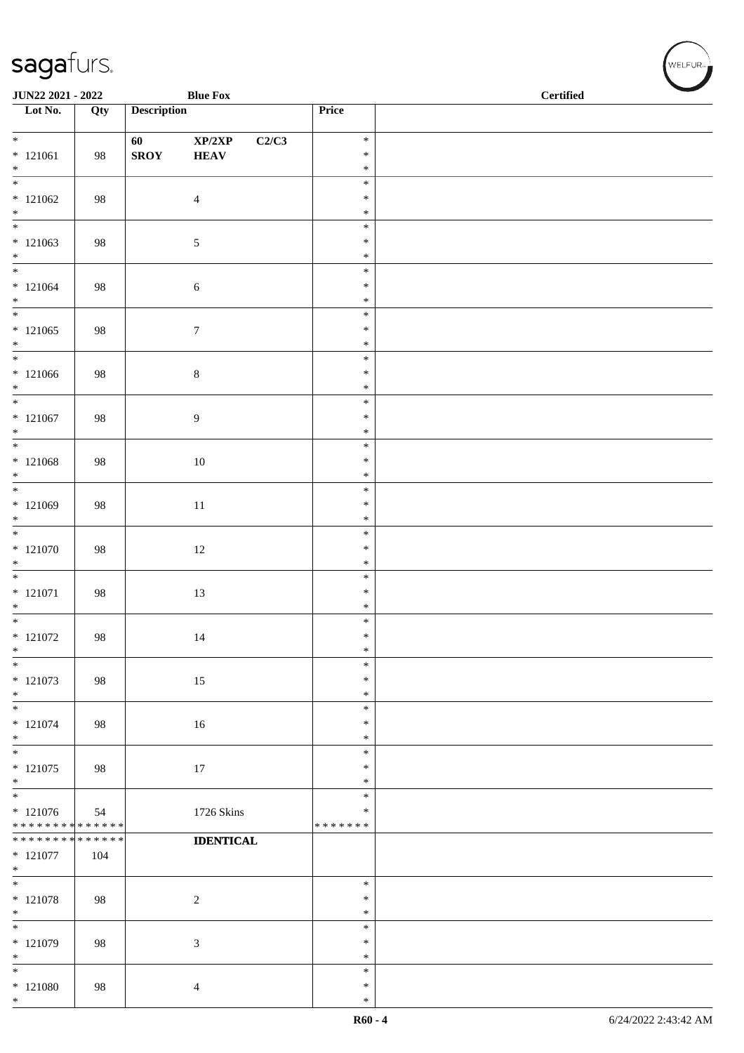| JUN22 2021 - 2022                          |     |                    | <b>Blue Fox</b>                     |                  | <b>Certified</b> |  |  |
|--------------------------------------------|-----|--------------------|-------------------------------------|------------------|------------------|--|--|
| $\overline{\phantom{a}}$ Lot No.           | Qty | <b>Description</b> |                                     | Price            |                  |  |  |
| $*$                                        |     | 60                 | $\mathbf{XP}/2\mathbf{XP}$<br>C2/C3 | $\ast$           |                  |  |  |
| $* 121061$<br>$*$                          | 98  | <b>SROY</b>        | <b>HEAV</b>                         | $\ast$<br>$\ast$ |                  |  |  |
|                                            |     |                    |                                     | $\ast$           |                  |  |  |
| $*121062$<br>$*$                           | 98  |                    | $\overline{4}$                      | $\ast$<br>$\ast$ |                  |  |  |
|                                            |     |                    |                                     | $\ast$           |                  |  |  |
| $*121063$                                  | 98  |                    | $\sqrt{5}$                          | $\ast$           |                  |  |  |
| $*$<br>$*$                                 |     |                    |                                     | $\ast$<br>$\ast$ |                  |  |  |
| $* 121064$                                 | 98  |                    | $\sqrt{6}$                          | $\ast$           |                  |  |  |
| $*$                                        |     |                    |                                     | $\ast$<br>$\ast$ |                  |  |  |
| $*121065$                                  | 98  |                    | $\boldsymbol{7}$                    | $\ast$           |                  |  |  |
| $*$<br>$\overline{\phantom{0}}$            |     |                    |                                     | $\ast$<br>$\ast$ |                  |  |  |
| $*121066$                                  | 98  |                    | $\,8\,$                             | $\ast$           |                  |  |  |
| $*$<br>$*$                                 |     |                    |                                     | $\ast$<br>$\ast$ |                  |  |  |
| $* 121067$                                 | 98  |                    | $\overline{9}$                      | $\ast$           |                  |  |  |
| $*$<br>$\overline{\ast}$                   |     |                    |                                     | $\ast$<br>$\ast$ |                  |  |  |
| $* 121068$                                 | 98  |                    | $10\,$                              | $\ast$           |                  |  |  |
| $*$<br>$\overline{\phantom{0}}$            |     |                    |                                     | $\ast$<br>$\ast$ |                  |  |  |
| $*121069$                                  | 98  |                    | $11\,$                              | $\ast$           |                  |  |  |
| $*$                                        |     |                    |                                     | $\ast$<br>$\ast$ |                  |  |  |
| $* 121070$                                 | 98  |                    | $12\,$                              | $\ast$           |                  |  |  |
| $*$<br>$\overline{\phantom{0}}$            |     |                    |                                     | $\ast$           |                  |  |  |
| $* 121071$                                 | 98  |                    | 13                                  | $\ast$<br>$\ast$ |                  |  |  |
| $*$                                        |     |                    |                                     | $\ast$           |                  |  |  |
| $*$<br>$* 121072$                          | 98  |                    | 14                                  | $\ast$<br>$\ast$ |                  |  |  |
| $\ast$                                     |     |                    |                                     | $\ast$           |                  |  |  |
| $\ast$<br>$* 121073$                       | 98  |                    | 15                                  | $\ast$<br>$\ast$ |                  |  |  |
| $\ast$                                     |     |                    |                                     | $\ast$           |                  |  |  |
| $\ast$<br>$* 121074$                       | 98  |                    | 16                                  | $\ast$<br>$\ast$ |                  |  |  |
| $*$                                        |     |                    |                                     | $\ast$           |                  |  |  |
| $\overline{\phantom{0}}$<br>$* 121075$     | 98  |                    | 17                                  | $\ast$<br>$\ast$ |                  |  |  |
| $*$                                        |     |                    |                                     | $\ast$           |                  |  |  |
| $\overline{\phantom{0}}$<br>$*121076$      | 54  |                    | 1726 Skins                          | $\ast$<br>$\ast$ |                  |  |  |
| * * * * * * * * * * * * * *                |     |                    |                                     | * * * * * * *    |                  |  |  |
| * * * * * * * * <mark>* * * * * * *</mark> |     |                    | <b>IDENTICAL</b>                    |                  |                  |  |  |
| $* 121077$<br>$\ast$                       | 104 |                    |                                     |                  |                  |  |  |
| $*$                                        |     |                    |                                     | $\ast$<br>$\ast$ |                  |  |  |
| $* 121078$<br>$*$                          | 98  |                    | $\overline{2}$                      | $\ast$           |                  |  |  |
| $\ast$                                     |     |                    |                                     | $\ast$           |                  |  |  |
| $*121079$<br>$*$                           | 98  |                    | $\mathfrak{Z}$                      | $\ast$<br>$\ast$ |                  |  |  |
| $*$                                        |     |                    |                                     | $\ast$           |                  |  |  |
| $*121080$<br>$*$                           | 98  |                    | $\overline{4}$                      | $\ast$<br>$\ast$ |                  |  |  |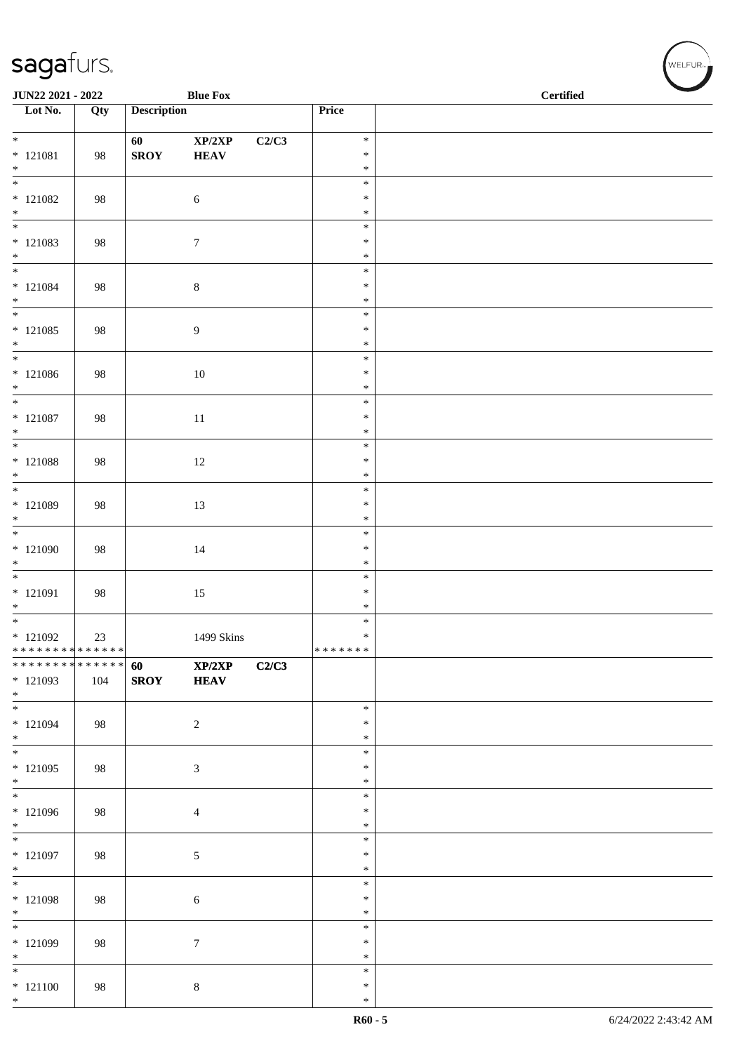| JUN22 2021 - 2022                                 |     |                    | <b>Blue Fox</b>                           |       |                             | $\operatorname{\bf \mathbf{Certified}}$ |  |  |  |
|---------------------------------------------------|-----|--------------------|-------------------------------------------|-------|-----------------------------|-----------------------------------------|--|--|--|
| $\overline{\phantom{1}}$ Lot No.                  | Qty | <b>Description</b> |                                           |       | Price                       |                                         |  |  |  |
| $*$<br>$* 121081$<br>$*$                          | 98  | 60<br><b>SROY</b>  | $\mathbf{XP}/2\mathbf{XP}$<br><b>HEAV</b> | C2/C3 | $\ast$<br>$\ast$<br>$\ast$  |                                         |  |  |  |
| $\overline{\phantom{0}}$<br>$* 121082$<br>$*$     | 98  |                    | $\sqrt{6}$                                |       | $\ast$<br>$\ast$<br>$\ast$  |                                         |  |  |  |
| $\overline{\phantom{0}}$<br>$*121083$<br>$*$      | 98  |                    | $7\phantom{.0}$                           |       | $\ast$<br>$\ast$<br>$\ast$  |                                         |  |  |  |
| $*$<br>$* 121084$<br>$*$                          | 98  |                    | $\,8\,$                                   |       | $\ast$<br>$\ast$<br>$\ast$  |                                         |  |  |  |
| $*121085$<br>$*$                                  | 98  |                    | $\overline{9}$                            |       | $\ast$<br>$\ast$<br>$\ast$  |                                         |  |  |  |
| $*$<br>$* 121086$<br>$*$                          | 98  |                    | $10\,$                                    |       | $\ast$<br>$\ast$<br>$\ast$  |                                         |  |  |  |
| $*$<br>$* 121087$<br>$*$                          | 98  |                    | $11\,$                                    |       | $\ast$<br>$\ast$<br>$\ast$  |                                         |  |  |  |
| * 121088<br>$*$                                   | 98  |                    | $12\,$                                    |       | $\ast$<br>$\ast$<br>$\ast$  |                                         |  |  |  |
| * 121089<br>$*$                                   | 98  |                    | 13                                        |       | $\ast$<br>$\ast$<br>$\ast$  |                                         |  |  |  |
| * 121090<br>$*$<br>$\overline{\phantom{0}}$       | 98  |                    | $14\,$                                    |       | $\ast$<br>$\ast$<br>$\ast$  |                                         |  |  |  |
| $* 121091$<br>$*$                                 | 98  |                    | 15                                        |       | $\ast$<br>$\ast$<br>$\ast$  |                                         |  |  |  |
| $*$<br>$*121092$<br>* * * * * * * * * * * * * * * | 23  |                    | 1499 Skins                                |       | $\ast$<br>$\ast$<br>******* |                                         |  |  |  |
| * * * * * * * * * * * * * * *<br>$*121093$<br>$*$ | 104 | 60<br><b>SROY</b>  | XP/2XP<br><b>HEAV</b>                     | C2/C3 |                             |                                         |  |  |  |
| $*$<br>$* 121094$<br>$\ast$<br>$\overline{\ast}$  | 98  |                    | $\sqrt{2}$                                |       | $\ast$<br>∗<br>$\ast$       |                                         |  |  |  |
| $*121095$<br>$*$                                  | 98  |                    | $\mathfrak{Z}$                            |       | $\ast$<br>$\ast$<br>$\ast$  |                                         |  |  |  |
| * 121096<br>$*$                                   | 98  |                    | $\overline{4}$                            |       | $\ast$<br>$\ast$<br>$\ast$  |                                         |  |  |  |
| $*121097$<br>$*$                                  | 98  |                    | 5                                         |       | $\ast$<br>$\ast$<br>$\ast$  |                                         |  |  |  |
| $*$<br>* 121098<br>$*$                            | 98  |                    | 6                                         |       | $\ast$<br>$\ast$<br>$\ast$  |                                         |  |  |  |
| $*$<br>* 121099<br>$*$                            | 98  |                    | $\boldsymbol{7}$                          |       | $\ast$<br>$\ast$<br>$\ast$  |                                         |  |  |  |
| $*$<br>$* 121100$<br>$*$                          | 98  |                    | $8\,$                                     |       | $\ast$<br>$\ast$<br>$\ast$  |                                         |  |  |  |

、<br>WELFUR<sub>™</sub>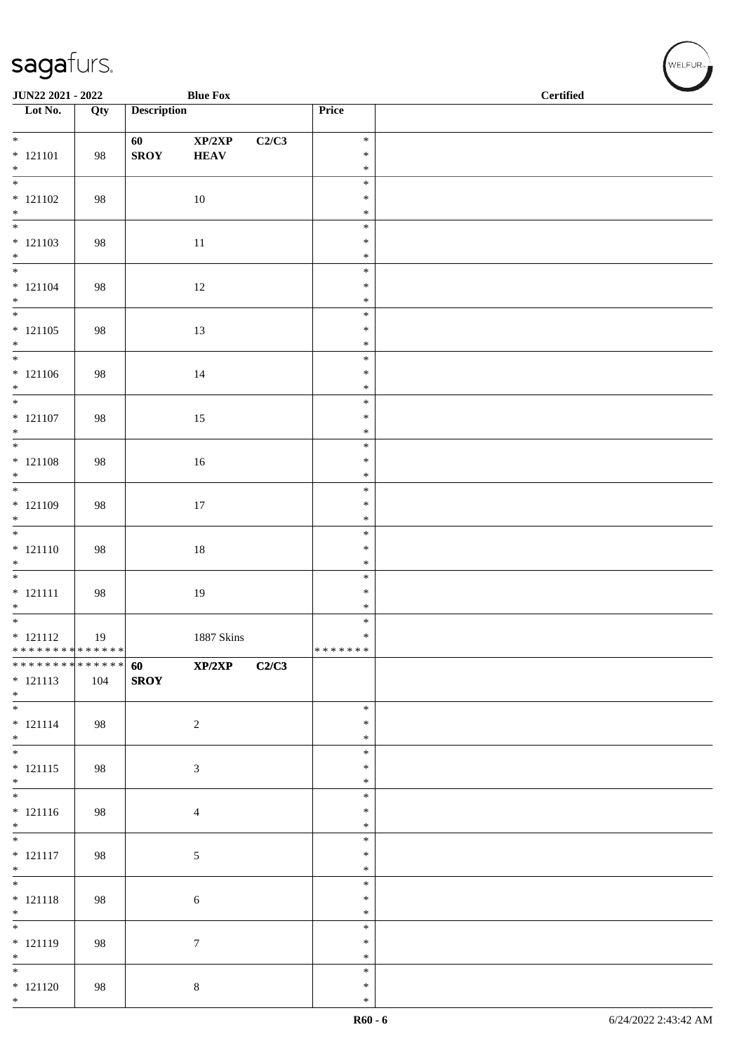| JUN22 2021 - 2022                                              |     |                    | <b>Blue Fox</b>  |       |                  | <b>Certified</b> |  |  |  |
|----------------------------------------------------------------|-----|--------------------|------------------|-------|------------------|------------------|--|--|--|
| Lot No.                                                        | Qty | <b>Description</b> |                  |       | Price            |                  |  |  |  |
| $*$                                                            |     | 60                 | XP/2XP           | C2/C3 | $\ast$           |                  |  |  |  |
| $* 121101$                                                     | 98  | <b>SROY</b>        | <b>HEAV</b>      |       | $\ast$           |                  |  |  |  |
| $*$                                                            |     |                    |                  |       | $\ast$<br>$\ast$ |                  |  |  |  |
| $* 121102$                                                     | 98  |                    | 10               |       | $\ast$           |                  |  |  |  |
| $*$<br>$\overline{\phantom{0}}$                                |     |                    |                  |       | $\ast$<br>$\ast$ |                  |  |  |  |
| $* 121103$                                                     | 98  |                    | $11\,$           |       | $\ast$           |                  |  |  |  |
| $*$                                                            |     |                    |                  |       | $\ast$<br>$\ast$ |                  |  |  |  |
| $* 121104$                                                     | 98  |                    | 12               |       | $\ast$           |                  |  |  |  |
| $*$                                                            |     |                    |                  |       | $\ast$           |                  |  |  |  |
| $* 121105$                                                     | 98  |                    | 13               |       | $\ast$<br>$\ast$ |                  |  |  |  |
| $*$                                                            |     |                    |                  |       | $\ast$           |                  |  |  |  |
| $\overline{\phantom{0}}$<br>$* 121106$                         | 98  |                    | $14\,$           |       | $\ast$<br>$\ast$ |                  |  |  |  |
| $*$                                                            |     |                    |                  |       | $\ast$           |                  |  |  |  |
| $*$                                                            |     |                    |                  |       | $\ast$<br>$\ast$ |                  |  |  |  |
| $* 121107$<br>$*$                                              | 98  |                    | 15               |       | $\ast$           |                  |  |  |  |
|                                                                |     |                    |                  |       | $\ast$           |                  |  |  |  |
| $* 121108$                                                     | 98  |                    | 16               |       | $\ast$<br>$\ast$ |                  |  |  |  |
| $*$                                                            |     |                    |                  |       | $\ast$           |                  |  |  |  |
| $* 121109$                                                     | 98  |                    | 17               |       | $\ast$<br>$\ast$ |                  |  |  |  |
| $*$<br>$*$                                                     |     |                    |                  |       | $\ast$           |                  |  |  |  |
| $* 121110$<br>$*$                                              | 98  |                    | $18\,$           |       | $\ast$<br>$\ast$ |                  |  |  |  |
|                                                                |     |                    |                  |       | $\ast$           |                  |  |  |  |
| $* 121111$                                                     | 98  |                    | 19               |       | $\ast$           |                  |  |  |  |
| $*$                                                            |     |                    |                  |       | $\ast$<br>$\ast$ |                  |  |  |  |
| $* 121112$                                                     | 19  |                    | 1887 Skins       |       | $\ast$           |                  |  |  |  |
| * * * * * * * * * * * * * * *<br>* * * * * * * * * * * * * * * |     | 60                 | XP/2XP           | C2/C3 | *******          |                  |  |  |  |
| $* 121113$                                                     | 104 | <b>SROY</b>        |                  |       |                  |                  |  |  |  |
| $*$                                                            |     |                    |                  |       | $\ast$           |                  |  |  |  |
| $* 121114$                                                     | 98  |                    | $\overline{c}$   |       | $\ast$           |                  |  |  |  |
| $*$<br>$\overline{\phantom{0}}$                                |     |                    |                  |       | $\ast$           |                  |  |  |  |
| $* 121115$                                                     | 98  |                    | $\mathfrak{Z}$   |       | $\ast$<br>$\ast$ |                  |  |  |  |
| $*$                                                            |     |                    |                  |       | $\ast$           |                  |  |  |  |
| $* 121116$                                                     | 98  |                    | $\overline{4}$   |       | $\ast$<br>$\ast$ |                  |  |  |  |
| $*$                                                            |     |                    |                  |       | $\ast$           |                  |  |  |  |
| $\overline{\phantom{0}}$                                       |     |                    |                  |       | $\ast$           |                  |  |  |  |
| $* 121117$<br>$*$                                              | 98  |                    | $\sqrt{5}$       |       | $\ast$<br>$\ast$ |                  |  |  |  |
| $\overline{\phantom{0}}$                                       |     |                    |                  |       | $\ast$           |                  |  |  |  |
| $* 121118$<br>$*$                                              | 98  |                    | $\sqrt{6}$       |       | $\ast$<br>$\ast$ |                  |  |  |  |
| $\overline{\phantom{0}}$                                       |     |                    |                  |       | $\ast$           |                  |  |  |  |
| $* 121119$<br>$*$                                              | 98  |                    | $\boldsymbol{7}$ |       | $\ast$<br>$\ast$ |                  |  |  |  |
|                                                                |     |                    |                  |       | $\ast$           |                  |  |  |  |
| $* 121120$                                                     | 98  |                    | $\,8\,$          |       | $\ast$           |                  |  |  |  |
| $*$                                                            |     |                    |                  |       | $\ast$           |                  |  |  |  |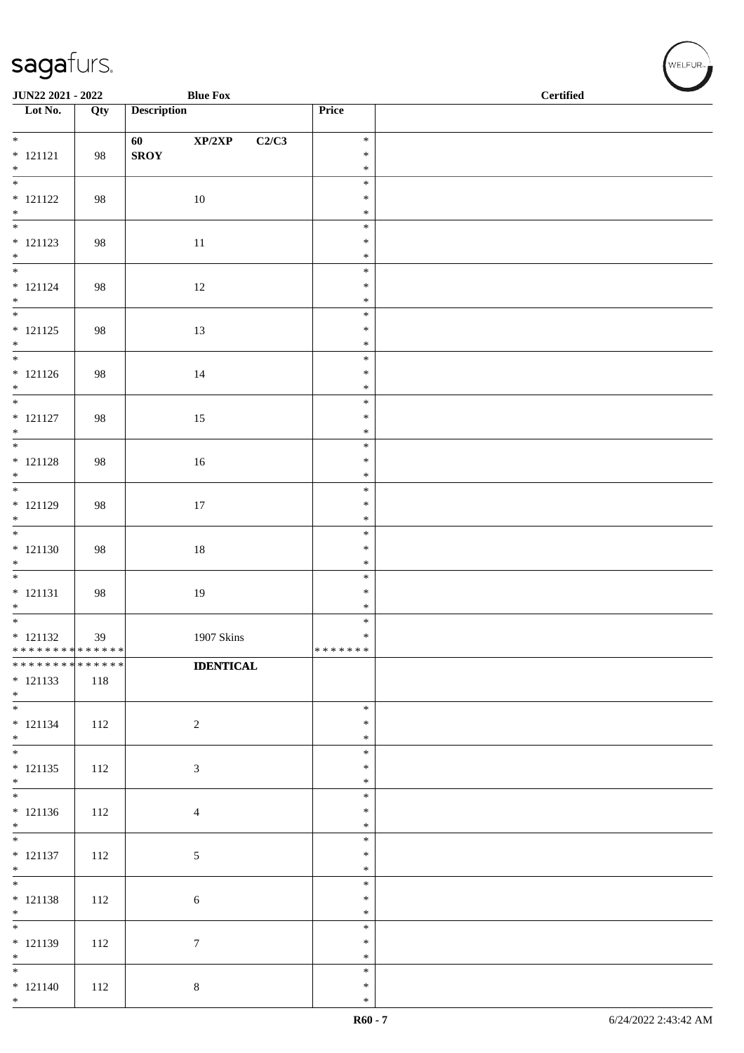| <b>Description</b><br>Price<br>Qty<br>XP/2XP<br>C2/C3<br>$\ast$<br>60<br><b>SROY</b><br>98<br>$\ast$<br>$*$<br>$\ast$<br>$\ast$<br>98<br>10<br>$\ast$<br>$*$<br>$\ast$<br>$\ast$<br>$* 121123$<br>11<br>$\ast$<br>98<br>$\ast$<br>$*$<br>$\ast$<br>$* 121124$<br>98<br>12<br>$\ast$<br>$\ast$<br>$\overline{\ }$<br>$\ast$<br>$* 121125$<br>13<br>98<br>$\ast$<br>$\ast$<br>$\ast$<br>$* 121126$<br>14<br>$\ast$<br>98<br>$*$<br>$\ast$<br>$\ast$<br>$* 121127$<br>98<br>15<br>$\ast$<br>$*$<br>$\ast$<br>$\ast$<br>98<br>16<br>$\ast$<br>$*$<br>$\ast$<br>$\ast$<br>17<br>$\ast$<br>98<br>$\ast$<br>$\ast$<br>$* 121130$<br>$18\,$<br>$\ast$<br>98<br>$\ast$<br>$\overline{\phantom{0}}$<br>$\ast$<br>$* 121131$<br>19<br>$\ast$<br>98<br>$\ast$<br>$\ast$<br>$* 121132$<br>1907 Skins<br>$\ast$<br>39<br>* * * * * * * * * * * * * * *<br>*******<br>* * * * * * * * * * * * * *<br><b>IDENTICAL</b><br>$* 121133$<br>118<br>$*$<br>$\ast$<br>2<br>$\ast$<br>112<br>$*$<br>$\ast$<br>$\ast$<br>112<br>$\sqrt{3}$<br>$\ast$<br>$*$<br>$\ast$<br>$\ast$<br>$\ast$<br>112<br>$\overline{4}$<br>$\ast$<br>$\ast$<br>$* 121137$<br>$\sqrt{5}$<br>$\ast$<br>112<br>$\ast$<br>$*$<br>$\ast$<br>$* 121138$<br>$\ast$<br>112<br>$6\,$<br>$\ast$<br>$\overline{\phantom{0}}$<br>$\ast$<br>$* 121139$<br>$\boldsymbol{7}$<br>$\ast$<br>112<br>$\ast$<br>$\ast$<br>$* 121140$<br>$8\,$<br>$\ast$<br>112 | JUN22 2021 - 2022                |  | <b>Blue Fox</b> | $\operatorname{\bf \mathbf{Certified}}$ |  |  |  |
|-----------------------------------------------------------------------------------------------------------------------------------------------------------------------------------------------------------------------------------------------------------------------------------------------------------------------------------------------------------------------------------------------------------------------------------------------------------------------------------------------------------------------------------------------------------------------------------------------------------------------------------------------------------------------------------------------------------------------------------------------------------------------------------------------------------------------------------------------------------------------------------------------------------------------------------------------------------------------------------------------------------------------------------------------------------------------------------------------------------------------------------------------------------------------------------------------------------------------------------------------------------------------------------------------------------------------------------------------------------------------------------------------|----------------------------------|--|-----------------|-----------------------------------------|--|--|--|
|                                                                                                                                                                                                                                                                                                                                                                                                                                                                                                                                                                                                                                                                                                                                                                                                                                                                                                                                                                                                                                                                                                                                                                                                                                                                                                                                                                                               | $\overline{\phantom{1}}$ Lot No. |  |                 |                                         |  |  |  |
|                                                                                                                                                                                                                                                                                                                                                                                                                                                                                                                                                                                                                                                                                                                                                                                                                                                                                                                                                                                                                                                                                                                                                                                                                                                                                                                                                                                               | $*$                              |  |                 |                                         |  |  |  |
|                                                                                                                                                                                                                                                                                                                                                                                                                                                                                                                                                                                                                                                                                                                                                                                                                                                                                                                                                                                                                                                                                                                                                                                                                                                                                                                                                                                               | $* 121121$                       |  |                 |                                         |  |  |  |
|                                                                                                                                                                                                                                                                                                                                                                                                                                                                                                                                                                                                                                                                                                                                                                                                                                                                                                                                                                                                                                                                                                                                                                                                                                                                                                                                                                                               | $\overline{\phantom{0}}$         |  |                 |                                         |  |  |  |
|                                                                                                                                                                                                                                                                                                                                                                                                                                                                                                                                                                                                                                                                                                                                                                                                                                                                                                                                                                                                                                                                                                                                                                                                                                                                                                                                                                                               | $* 121122$                       |  |                 |                                         |  |  |  |
|                                                                                                                                                                                                                                                                                                                                                                                                                                                                                                                                                                                                                                                                                                                                                                                                                                                                                                                                                                                                                                                                                                                                                                                                                                                                                                                                                                                               |                                  |  |                 |                                         |  |  |  |
|                                                                                                                                                                                                                                                                                                                                                                                                                                                                                                                                                                                                                                                                                                                                                                                                                                                                                                                                                                                                                                                                                                                                                                                                                                                                                                                                                                                               |                                  |  |                 |                                         |  |  |  |
|                                                                                                                                                                                                                                                                                                                                                                                                                                                                                                                                                                                                                                                                                                                                                                                                                                                                                                                                                                                                                                                                                                                                                                                                                                                                                                                                                                                               | $*$                              |  |                 |                                         |  |  |  |
|                                                                                                                                                                                                                                                                                                                                                                                                                                                                                                                                                                                                                                                                                                                                                                                                                                                                                                                                                                                                                                                                                                                                                                                                                                                                                                                                                                                               |                                  |  |                 |                                         |  |  |  |
|                                                                                                                                                                                                                                                                                                                                                                                                                                                                                                                                                                                                                                                                                                                                                                                                                                                                                                                                                                                                                                                                                                                                                                                                                                                                                                                                                                                               | $*$                              |  |                 |                                         |  |  |  |
|                                                                                                                                                                                                                                                                                                                                                                                                                                                                                                                                                                                                                                                                                                                                                                                                                                                                                                                                                                                                                                                                                                                                                                                                                                                                                                                                                                                               |                                  |  |                 |                                         |  |  |  |
|                                                                                                                                                                                                                                                                                                                                                                                                                                                                                                                                                                                                                                                                                                                                                                                                                                                                                                                                                                                                                                                                                                                                                                                                                                                                                                                                                                                               | $*$                              |  |                 |                                         |  |  |  |
|                                                                                                                                                                                                                                                                                                                                                                                                                                                                                                                                                                                                                                                                                                                                                                                                                                                                                                                                                                                                                                                                                                                                                                                                                                                                                                                                                                                               |                                  |  |                 |                                         |  |  |  |
|                                                                                                                                                                                                                                                                                                                                                                                                                                                                                                                                                                                                                                                                                                                                                                                                                                                                                                                                                                                                                                                                                                                                                                                                                                                                                                                                                                                               |                                  |  |                 |                                         |  |  |  |
|                                                                                                                                                                                                                                                                                                                                                                                                                                                                                                                                                                                                                                                                                                                                                                                                                                                                                                                                                                                                                                                                                                                                                                                                                                                                                                                                                                                               | $*$                              |  |                 |                                         |  |  |  |
|                                                                                                                                                                                                                                                                                                                                                                                                                                                                                                                                                                                                                                                                                                                                                                                                                                                                                                                                                                                                                                                                                                                                                                                                                                                                                                                                                                                               |                                  |  |                 |                                         |  |  |  |
|                                                                                                                                                                                                                                                                                                                                                                                                                                                                                                                                                                                                                                                                                                                                                                                                                                                                                                                                                                                                                                                                                                                                                                                                                                                                                                                                                                                               |                                  |  |                 |                                         |  |  |  |
|                                                                                                                                                                                                                                                                                                                                                                                                                                                                                                                                                                                                                                                                                                                                                                                                                                                                                                                                                                                                                                                                                                                                                                                                                                                                                                                                                                                               | $* 121128$                       |  |                 |                                         |  |  |  |
|                                                                                                                                                                                                                                                                                                                                                                                                                                                                                                                                                                                                                                                                                                                                                                                                                                                                                                                                                                                                                                                                                                                                                                                                                                                                                                                                                                                               |                                  |  |                 |                                         |  |  |  |
|                                                                                                                                                                                                                                                                                                                                                                                                                                                                                                                                                                                                                                                                                                                                                                                                                                                                                                                                                                                                                                                                                                                                                                                                                                                                                                                                                                                               | $* 121129$                       |  |                 |                                         |  |  |  |
|                                                                                                                                                                                                                                                                                                                                                                                                                                                                                                                                                                                                                                                                                                                                                                                                                                                                                                                                                                                                                                                                                                                                                                                                                                                                                                                                                                                               | $*$                              |  |                 |                                         |  |  |  |
|                                                                                                                                                                                                                                                                                                                                                                                                                                                                                                                                                                                                                                                                                                                                                                                                                                                                                                                                                                                                                                                                                                                                                                                                                                                                                                                                                                                               |                                  |  |                 |                                         |  |  |  |
|                                                                                                                                                                                                                                                                                                                                                                                                                                                                                                                                                                                                                                                                                                                                                                                                                                                                                                                                                                                                                                                                                                                                                                                                                                                                                                                                                                                               | $*$                              |  |                 |                                         |  |  |  |
|                                                                                                                                                                                                                                                                                                                                                                                                                                                                                                                                                                                                                                                                                                                                                                                                                                                                                                                                                                                                                                                                                                                                                                                                                                                                                                                                                                                               |                                  |  |                 |                                         |  |  |  |
|                                                                                                                                                                                                                                                                                                                                                                                                                                                                                                                                                                                                                                                                                                                                                                                                                                                                                                                                                                                                                                                                                                                                                                                                                                                                                                                                                                                               | $*$                              |  |                 |                                         |  |  |  |
|                                                                                                                                                                                                                                                                                                                                                                                                                                                                                                                                                                                                                                                                                                                                                                                                                                                                                                                                                                                                                                                                                                                                                                                                                                                                                                                                                                                               | $*$                              |  |                 |                                         |  |  |  |
|                                                                                                                                                                                                                                                                                                                                                                                                                                                                                                                                                                                                                                                                                                                                                                                                                                                                                                                                                                                                                                                                                                                                                                                                                                                                                                                                                                                               |                                  |  |                 |                                         |  |  |  |
|                                                                                                                                                                                                                                                                                                                                                                                                                                                                                                                                                                                                                                                                                                                                                                                                                                                                                                                                                                                                                                                                                                                                                                                                                                                                                                                                                                                               |                                  |  |                 |                                         |  |  |  |
|                                                                                                                                                                                                                                                                                                                                                                                                                                                                                                                                                                                                                                                                                                                                                                                                                                                                                                                                                                                                                                                                                                                                                                                                                                                                                                                                                                                               |                                  |  |                 |                                         |  |  |  |
|                                                                                                                                                                                                                                                                                                                                                                                                                                                                                                                                                                                                                                                                                                                                                                                                                                                                                                                                                                                                                                                                                                                                                                                                                                                                                                                                                                                               | $*$                              |  |                 |                                         |  |  |  |
|                                                                                                                                                                                                                                                                                                                                                                                                                                                                                                                                                                                                                                                                                                                                                                                                                                                                                                                                                                                                                                                                                                                                                                                                                                                                                                                                                                                               | $* 121134$                       |  |                 |                                         |  |  |  |
|                                                                                                                                                                                                                                                                                                                                                                                                                                                                                                                                                                                                                                                                                                                                                                                                                                                                                                                                                                                                                                                                                                                                                                                                                                                                                                                                                                                               |                                  |  |                 |                                         |  |  |  |
|                                                                                                                                                                                                                                                                                                                                                                                                                                                                                                                                                                                                                                                                                                                                                                                                                                                                                                                                                                                                                                                                                                                                                                                                                                                                                                                                                                                               | $* 121135$                       |  |                 |                                         |  |  |  |
|                                                                                                                                                                                                                                                                                                                                                                                                                                                                                                                                                                                                                                                                                                                                                                                                                                                                                                                                                                                                                                                                                                                                                                                                                                                                                                                                                                                               |                                  |  |                 |                                         |  |  |  |
|                                                                                                                                                                                                                                                                                                                                                                                                                                                                                                                                                                                                                                                                                                                                                                                                                                                                                                                                                                                                                                                                                                                                                                                                                                                                                                                                                                                               | $* 121136$                       |  |                 |                                         |  |  |  |
|                                                                                                                                                                                                                                                                                                                                                                                                                                                                                                                                                                                                                                                                                                                                                                                                                                                                                                                                                                                                                                                                                                                                                                                                                                                                                                                                                                                               | $*$                              |  |                 |                                         |  |  |  |
|                                                                                                                                                                                                                                                                                                                                                                                                                                                                                                                                                                                                                                                                                                                                                                                                                                                                                                                                                                                                                                                                                                                                                                                                                                                                                                                                                                                               |                                  |  |                 |                                         |  |  |  |
|                                                                                                                                                                                                                                                                                                                                                                                                                                                                                                                                                                                                                                                                                                                                                                                                                                                                                                                                                                                                                                                                                                                                                                                                                                                                                                                                                                                               | $*$                              |  |                 |                                         |  |  |  |
|                                                                                                                                                                                                                                                                                                                                                                                                                                                                                                                                                                                                                                                                                                                                                                                                                                                                                                                                                                                                                                                                                                                                                                                                                                                                                                                                                                                               |                                  |  |                 |                                         |  |  |  |
|                                                                                                                                                                                                                                                                                                                                                                                                                                                                                                                                                                                                                                                                                                                                                                                                                                                                                                                                                                                                                                                                                                                                                                                                                                                                                                                                                                                               | $*$                              |  |                 |                                         |  |  |  |
|                                                                                                                                                                                                                                                                                                                                                                                                                                                                                                                                                                                                                                                                                                                                                                                                                                                                                                                                                                                                                                                                                                                                                                                                                                                                                                                                                                                               |                                  |  |                 |                                         |  |  |  |
|                                                                                                                                                                                                                                                                                                                                                                                                                                                                                                                                                                                                                                                                                                                                                                                                                                                                                                                                                                                                                                                                                                                                                                                                                                                                                                                                                                                               | $*$                              |  |                 |                                         |  |  |  |
|                                                                                                                                                                                                                                                                                                                                                                                                                                                                                                                                                                                                                                                                                                                                                                                                                                                                                                                                                                                                                                                                                                                                                                                                                                                                                                                                                                                               | $\ast$                           |  |                 |                                         |  |  |  |
| $\ast$                                                                                                                                                                                                                                                                                                                                                                                                                                                                                                                                                                                                                                                                                                                                                                                                                                                                                                                                                                                                                                                                                                                                                                                                                                                                                                                                                                                        | $*$                              |  |                 |                                         |  |  |  |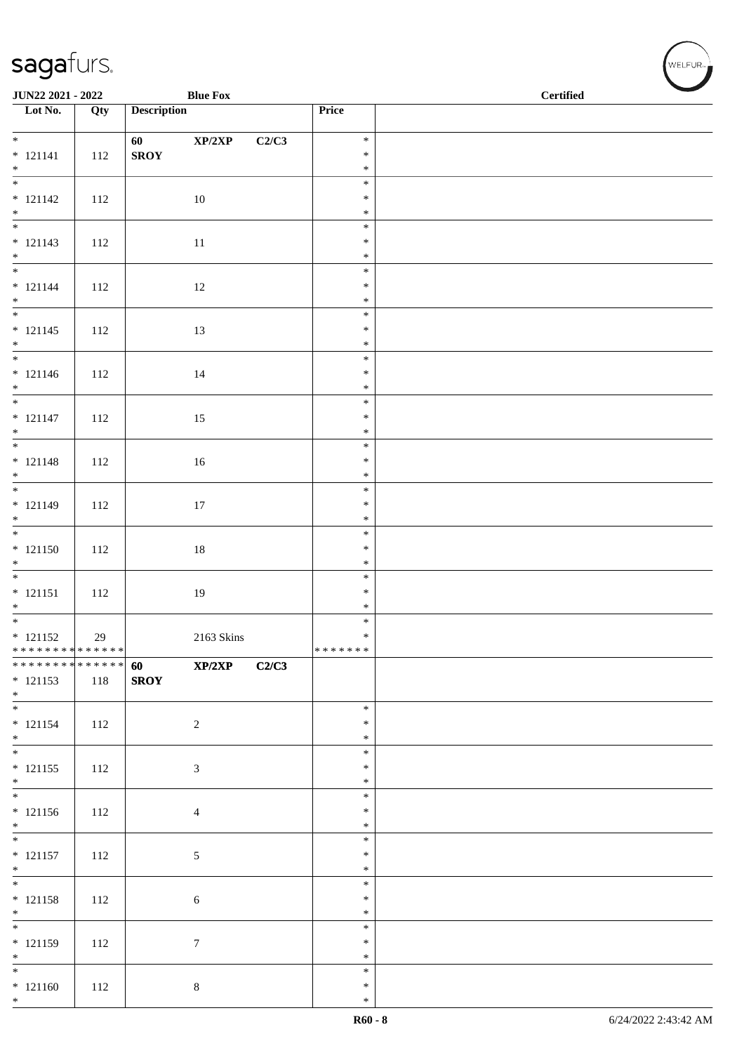| JUN22 2021 - 2022                                             |     |                    | <b>Blue Fox</b>  |       |                  | $\operatorname{\bf \mathbf{Certified}}$ |  |  |  |
|---------------------------------------------------------------|-----|--------------------|------------------|-------|------------------|-----------------------------------------|--|--|--|
| $\overline{\phantom{1}}$ Lot No.                              | Qty | <b>Description</b> |                  |       | Price            |                                         |  |  |  |
| $*$                                                           |     | 60                 | XP/2XP           | C2/C3 | $\ast$           |                                         |  |  |  |
| $* 121141$                                                    | 112 | <b>SROY</b>        |                  |       | $\ast$           |                                         |  |  |  |
| $*$<br>$\overline{\phantom{0}}$                               |     |                    |                  |       | $\ast$           |                                         |  |  |  |
| $* 121142$                                                    | 112 |                    | 10               |       | $\ast$<br>$\ast$ |                                         |  |  |  |
| $*$                                                           |     |                    |                  |       | $\ast$           |                                         |  |  |  |
|                                                               |     |                    |                  |       | $\ast$           |                                         |  |  |  |
| $* 121143$<br>$*$                                             | 112 |                    | 11               |       | $\ast$<br>$\ast$ |                                         |  |  |  |
| $*$                                                           |     |                    |                  |       | $\ast$           |                                         |  |  |  |
| $* 121144$                                                    | 112 |                    | 12               |       | $\ast$           |                                         |  |  |  |
| $*$                                                           |     |                    |                  |       | $\ast$           |                                         |  |  |  |
| $* 121145$                                                    | 112 |                    | 13               |       | $\ast$<br>$\ast$ |                                         |  |  |  |
| $*$                                                           |     |                    |                  |       | $\ast$           |                                         |  |  |  |
|                                                               |     |                    |                  |       | $\ast$           |                                         |  |  |  |
| $* 121146$                                                    | 112 |                    | 14               |       | $\ast$<br>$\ast$ |                                         |  |  |  |
| $*$<br>$*$                                                    |     |                    |                  |       | $\ast$           |                                         |  |  |  |
| $* 121147$                                                    | 112 |                    | 15               |       | $\ast$           |                                         |  |  |  |
| $*$                                                           |     |                    |                  |       | $\ast$           |                                         |  |  |  |
| $* 121148$                                                    |     |                    |                  |       | $\ast$<br>$\ast$ |                                         |  |  |  |
|                                                               | 112 |                    | 16               |       | $\ast$           |                                         |  |  |  |
| $*$                                                           |     |                    |                  |       | $\ast$           |                                         |  |  |  |
| $* 121149$                                                    | 112 |                    | 17               |       | $\ast$           |                                         |  |  |  |
| $*$                                                           |     |                    |                  |       | $\ast$<br>$\ast$ |                                         |  |  |  |
| $* 121150$                                                    | 112 |                    | $18\,$           |       | $\ast$           |                                         |  |  |  |
| $*$                                                           |     |                    |                  |       | $\ast$           |                                         |  |  |  |
|                                                               |     |                    |                  |       | $\ast$           |                                         |  |  |  |
| $* 121151$<br>$*$                                             | 112 |                    | $19\,$           |       | $\ast$<br>$\ast$ |                                         |  |  |  |
|                                                               |     |                    |                  |       | $\ast$           |                                         |  |  |  |
| $* 121152$                                                    | 29  |                    | 2163 Skins       |       | $\ast$           |                                         |  |  |  |
| * * * * * * * * * * * * * * *<br>******** <mark>******</mark> |     | 60                 | XP/2XP           | C2/C3 | *******          |                                         |  |  |  |
| $* 121153$                                                    | 118 | <b>SROY</b>        |                  |       |                  |                                         |  |  |  |
| $*$                                                           |     |                    |                  |       |                  |                                         |  |  |  |
| $*$<br>$* 121154$                                             |     |                    |                  |       | $\ast$<br>$\ast$ |                                         |  |  |  |
| $*$                                                           | 112 |                    | 2                |       | $\ast$           |                                         |  |  |  |
|                                                               |     |                    |                  |       | $\ast$           |                                         |  |  |  |
| $* 121155$                                                    | 112 |                    | $\mathfrak{Z}$   |       | $\ast$           |                                         |  |  |  |
| $*$                                                           |     |                    |                  |       | $\ast$<br>$\ast$ |                                         |  |  |  |
| $* 121156$                                                    | 112 |                    | $\overline{4}$   |       | $\ast$           |                                         |  |  |  |
| $*$                                                           |     |                    |                  |       | $\ast$           |                                         |  |  |  |
|                                                               |     |                    |                  |       | $\ast$<br>$\ast$ |                                         |  |  |  |
| $* 121157$<br>$*$                                             | 112 |                    | $\sqrt{5}$       |       | $\ast$           |                                         |  |  |  |
| $*$                                                           |     |                    |                  |       | $\ast$           |                                         |  |  |  |
| $* 121158$                                                    | 112 |                    | $6\phantom{.}6$  |       | $\ast$           |                                         |  |  |  |
| $*$                                                           |     |                    |                  |       | $\ast$<br>$\ast$ |                                         |  |  |  |
| $* 121159$                                                    | 112 |                    | $\boldsymbol{7}$ |       | $\ast$           |                                         |  |  |  |
| $*$                                                           |     |                    |                  |       | $\ast$           |                                         |  |  |  |
| $*$                                                           |     |                    |                  |       | $\ast$           |                                         |  |  |  |
| $* 121160$<br>$*$                                             | 112 |                    | $8\,$            |       | $\ast$<br>$\ast$ |                                         |  |  |  |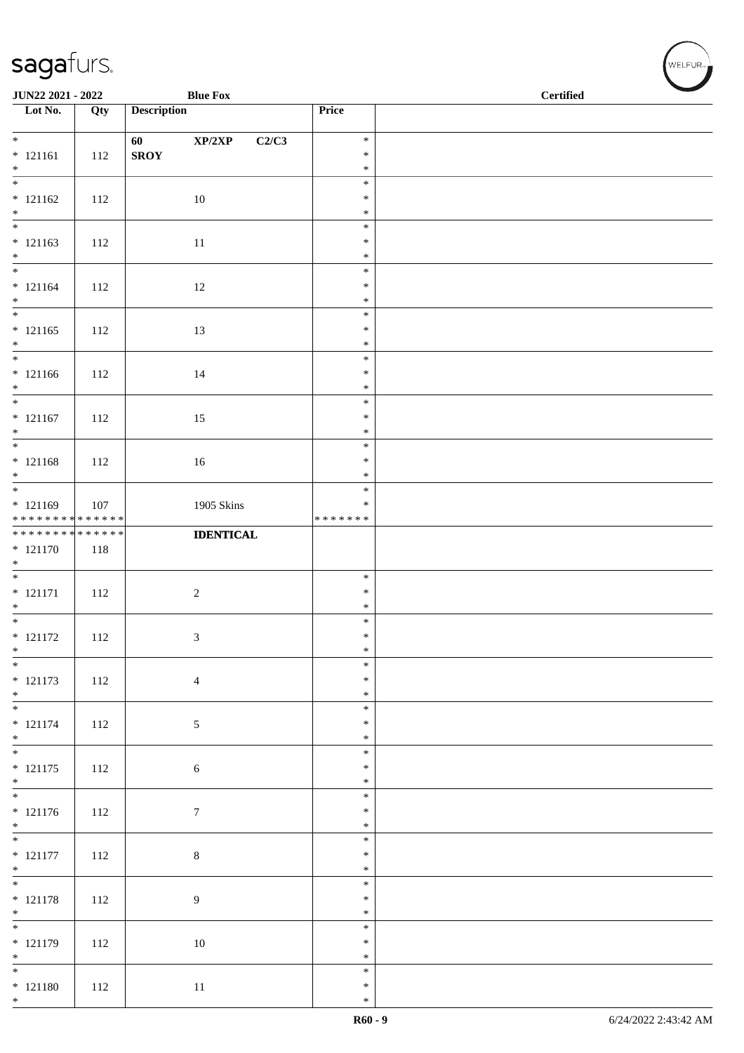| JUN22 2021 - 2022                                      |     |                    | <b>Blue Fox</b>                     |                         | <b>Certified</b> |  |  |
|--------------------------------------------------------|-----|--------------------|-------------------------------------|-------------------------|------------------|--|--|
| $\overline{\phantom{a}}$ Lot No.                       | Qty | <b>Description</b> |                                     | Price                   |                  |  |  |
| $*$                                                    |     | 60                 | $\mathbf{XP}/2\mathbf{XP}$<br>C2/C3 | $\ast$                  |                  |  |  |
| $* 121161$                                             | 112 | ${\bf SROY}$       |                                     | $\ast$                  |                  |  |  |
| $*$                                                    |     |                    |                                     | $\ast$                  |                  |  |  |
| $\overline{\phantom{0}}$<br>$* 121162$                 | 112 |                    | 10                                  | $\ast$<br>$\ast$        |                  |  |  |
| $*$                                                    |     |                    |                                     | $\ast$                  |                  |  |  |
|                                                        |     |                    |                                     | $\ast$                  |                  |  |  |
| $* 121163$<br>$*$                                      | 112 |                    | 11                                  | $\ast$<br>$\ast$        |                  |  |  |
|                                                        |     |                    |                                     | $\ast$                  |                  |  |  |
| $* 121164$                                             | 112 |                    | 12                                  | $\ast$                  |                  |  |  |
| $*$                                                    |     |                    |                                     | $\ast$                  |                  |  |  |
| $* 121165$                                             | 112 |                    | 13                                  | $\ast$<br>$\ast$        |                  |  |  |
| $*$                                                    |     |                    |                                     | $\ast$                  |                  |  |  |
| $*$                                                    |     |                    |                                     | $\ast$                  |                  |  |  |
| $* 121166$<br>$*$                                      | 112 |                    | 14                                  | $\ast$<br>$\ast$        |                  |  |  |
|                                                        |     |                    |                                     | $\ast$                  |                  |  |  |
| $* 121167$                                             | 112 |                    | 15                                  | $\ast$                  |                  |  |  |
| $*$                                                    |     |                    |                                     | $\ast$<br>$\ast$        |                  |  |  |
| $* 121168$                                             | 112 |                    | 16                                  | $\ast$                  |                  |  |  |
| $*$                                                    |     |                    |                                     | $\ast$                  |                  |  |  |
|                                                        |     |                    |                                     | $\ast$                  |                  |  |  |
| * 121169<br>* * * * * * * * <mark>* * * * * * *</mark> | 107 |                    | 1905 Skins                          | $\ast$<br>* * * * * * * |                  |  |  |
| * * * * * * * * * * * * * *                            |     |                    | <b>IDENTICAL</b>                    |                         |                  |  |  |
| $* 121170$                                             | 118 |                    |                                     |                         |                  |  |  |
| $*$                                                    |     |                    |                                     | $\ast$                  |                  |  |  |
| $* 121171$                                             | 112 |                    | $\sqrt{2}$                          | $\ast$                  |                  |  |  |
| $*$                                                    |     |                    |                                     | $\ast$                  |                  |  |  |
| $*$<br>$* 121172$                                      |     |                    |                                     | $\ast$<br>$\ast$        |                  |  |  |
| $\ast$                                                 | 112 |                    | 3                                   | $\ast$                  |                  |  |  |
| $\overline{\phantom{0}}$                               |     |                    |                                     | $\ast$                  |                  |  |  |
| $* 121173$                                             | 112 |                    | $\overline{4}$                      | $\ast$                  |                  |  |  |
| $*$                                                    |     |                    |                                     | $\ast$<br>$\ast$        |                  |  |  |
| $* 121174$                                             | 112 |                    | $\sqrt{5}$                          | $\ast$                  |                  |  |  |
| $*$                                                    |     |                    |                                     | $\ast$                  |                  |  |  |
| $* 121175$                                             | 112 |                    | 6                                   | $\ast$<br>$\ast$        |                  |  |  |
| $*$                                                    |     |                    |                                     | $\ast$                  |                  |  |  |
|                                                        |     |                    |                                     | $\ast$                  |                  |  |  |
| $* 121176$<br>$*$                                      | 112 |                    | $\boldsymbol{7}$                    | $\ast$<br>$\ast$        |                  |  |  |
|                                                        |     |                    |                                     | $\ast$                  |                  |  |  |
| $* 121177$                                             | 112 |                    | $8\,$                               | $\ast$                  |                  |  |  |
| $*$                                                    |     |                    |                                     | $\ast$<br>$\ast$        |                  |  |  |
| $* 121178$                                             | 112 |                    | $\overline{9}$                      | $\ast$                  |                  |  |  |
| $*$                                                    |     |                    |                                     | $\ast$                  |                  |  |  |
|                                                        |     |                    |                                     | $\ast$                  |                  |  |  |
| $* 121179$<br>$*$                                      | 112 |                    | 10                                  | $\ast$<br>$\ast$        |                  |  |  |
|                                                        |     |                    |                                     | $\ast$                  |                  |  |  |
| $* 121180$                                             | 112 |                    | 11                                  | $\ast$                  |                  |  |  |
| $*$                                                    |     |                    |                                     | $\ast$                  |                  |  |  |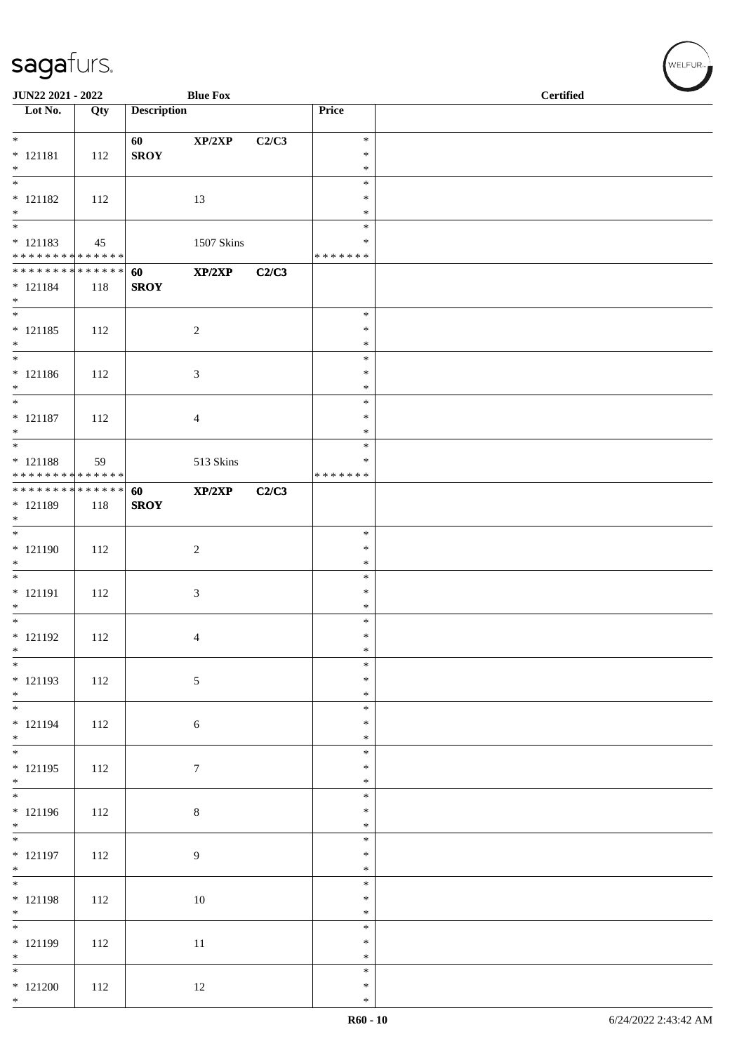| JUN22 2021 - 2022                                                         |     |                    | <b>Blue Fox</b> |       |                                   | <b>Certified</b> |  |  |
|---------------------------------------------------------------------------|-----|--------------------|-----------------|-------|-----------------------------------|------------------|--|--|
| $\overline{\phantom{1}}$ Lot No.                                          | Qty | <b>Description</b> |                 |       | Price                             |                  |  |  |
| $* 121181$<br>$*$                                                         | 112 | 60<br><b>SROY</b>  | XP/2XP          | C2/C3 | $\ast$<br>$\ast$<br>$\ast$        |                  |  |  |
| $\overline{\phantom{0}}$<br>$* 121182$<br>$*$<br>$\overline{\phantom{0}}$ | 112 |                    | 13              |       | $\ast$<br>$\ast$<br>$\ast$        |                  |  |  |
| $* 121183$<br>******** <mark>******</mark>                                | 45  |                    | 1507 Skins      |       | $\ast$<br>∗<br>*******            |                  |  |  |
| * * * * * * * * * * * * * * *<br>$* 121184$<br>$*$                        | 118 | 60<br><b>SROY</b>  | XP/2XP          | C2/C3 |                                   |                  |  |  |
| $\overline{\phantom{0}}$<br>$* 121185$<br>$*$                             | 112 |                    | $\overline{c}$  |       | $\ast$<br>$\ast$<br>$\ast$        |                  |  |  |
| $* 121186$<br>$*$                                                         | 112 |                    | 3               |       | $\ast$<br>$\ast$<br>$\ast$        |                  |  |  |
| $*$<br>$* 121187$<br>$*$                                                  | 112 |                    | 4               |       | $\ast$<br>$\ast$<br>$\ast$        |                  |  |  |
| $\overline{\phantom{0}}$<br>$* 121188$<br>* * * * * * * * * * * * * *     | 59  |                    | 513 Skins       |       | $\ast$<br>$\ast$<br>* * * * * * * |                  |  |  |
| ******** <mark>******</mark><br>$* 121189$<br>$*$                         | 118 | 60<br><b>SROY</b>  | XP/2XP          | C2/C3 |                                   |                  |  |  |
| * 121190<br>$\ast$                                                        | 112 |                    | $\overline{c}$  |       | $\ast$<br>$\ast$<br>$\ast$        |                  |  |  |
| * 121191<br>$*$                                                           | 112 |                    | 3               |       | $\ast$<br>$\ast$<br>$\ast$        |                  |  |  |
| $* 121192$<br>$\ast$                                                      | 112 |                    | 4               |       | $\ast$<br>$\ast$<br>$\ast$        |                  |  |  |
| $* 121193$<br>$*$                                                         | 112 |                    | $\sqrt{5}$      |       | $\ast$<br>$\ast$<br>$\ast$        |                  |  |  |
| $\overline{\phantom{0}}$<br>$* 121194$<br>$*$                             | 112 |                    | 6               |       | $\ast$<br>$\ast$<br>$\ast$        |                  |  |  |
| $* 121195$<br>$*$                                                         | 112 |                    | $\tau$          |       | $\ast$<br>$\ast$<br>$\ast$        |                  |  |  |
| $* 121196$<br>$*$                                                         | 112 |                    | $\,8\,$         |       | $\ast$<br>$\ast$<br>$\ast$        |                  |  |  |
| $* 121197$<br>$*$                                                         | 112 |                    | $\overline{9}$  |       | $\ast$<br>$\ast$<br>$\ast$        |                  |  |  |
| $* 121198$<br>$*$                                                         | 112 |                    | $10\,$          |       | $\ast$<br>$\ast$<br>$\ast$        |                  |  |  |
| * 121199<br>$*$                                                           | 112 |                    | 11              |       | $\ast$<br>$\ast$<br>$\ast$        |                  |  |  |
| $\overline{\phantom{0}}$<br>$*121200$<br>$*$                              | 112 |                    | 12              |       | $\ast$<br>$\ast$<br>$\ast$        |                  |  |  |

√<br>WELFUR<sub>™</sub>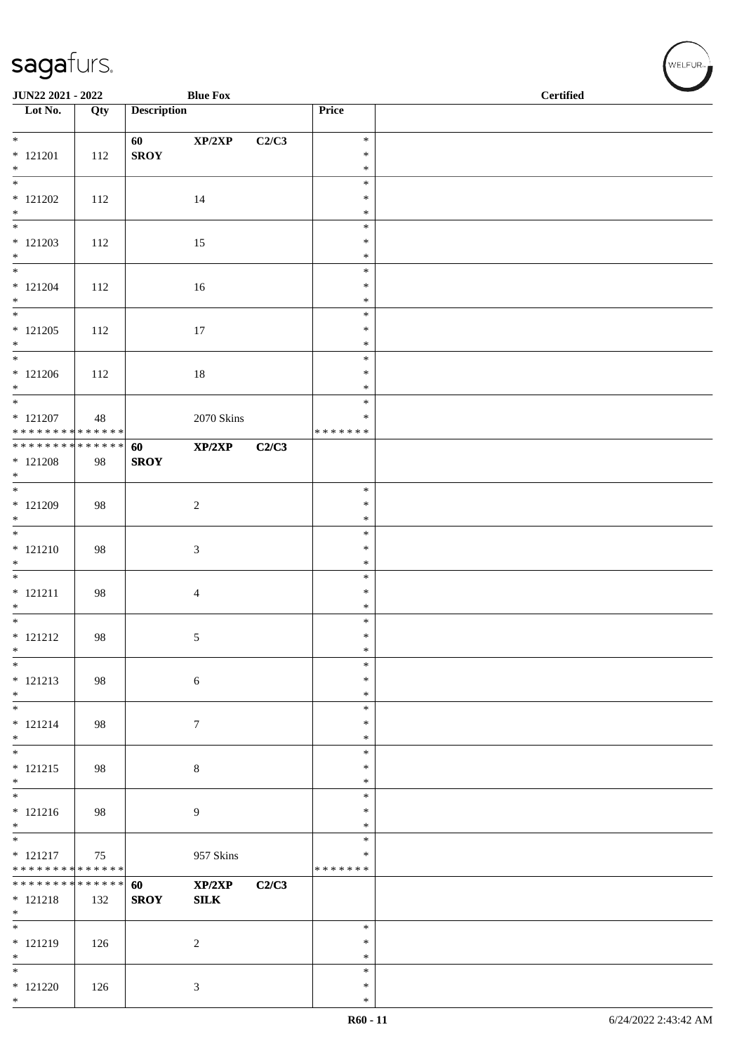| <b>JUN22 2021 - 2022</b>                                 |     |                    | <b>Blue Fox</b>            |       |                  | <b>Certified</b> |
|----------------------------------------------------------|-----|--------------------|----------------------------|-------|------------------|------------------|
| $\overline{\phantom{1}}$ Lot No.                         | Qty | <b>Description</b> |                            |       | Price            |                  |
| $*$                                                      |     | 60                 | $\mathbf{XP}/2\mathbf{XP}$ | C2/C3 | $\ast$           |                  |
| $* 121201$                                               | 112 | <b>SROY</b>        |                            |       | $\ast$           |                  |
| $*$<br>$\overline{\phantom{0}}$                          |     |                    |                            |       | $\ast$<br>$\ast$ |                  |
| $* 121202$<br>$\ast$                                     | 112 |                    | 14                         |       | $\ast$<br>$\ast$ |                  |
|                                                          |     |                    |                            |       | $\ast$           |                  |
| $* 121203$<br>$*$                                        | 112 |                    | 15                         |       | $\ast$<br>$\ast$ |                  |
|                                                          |     |                    |                            |       | $\ast$           |                  |
| $* 121204$<br>$\ast$                                     | 112 |                    | 16                         |       | $\ast$<br>$\ast$ |                  |
|                                                          |     |                    |                            |       | $\ast$           |                  |
| $* 121205$<br>$*$                                        | 112 |                    | 17                         |       | $\ast$<br>$\ast$ |                  |
| $*$                                                      |     |                    |                            |       | $\ast$           |                  |
| $* 121206$<br>$*$                                        | 112 |                    | $18\,$                     |       | $\ast$<br>$\ast$ |                  |
| $* 121207$                                               | 48  |                    | 2070 Skins                 |       | $\ast$<br>$\ast$ |                  |
| ******** <mark>******</mark>                             |     |                    |                            |       | * * * * * * *    |                  |
| ******** <mark>******</mark><br>$* 121208$               | 98  | 60<br><b>SROY</b>  | XP/2XP                     | C2/C3 |                  |                  |
| $*$                                                      |     |                    |                            |       |                  |                  |
| * 121209                                                 | 98  |                    | 2                          |       | $\ast$<br>$\ast$ |                  |
| $*$                                                      |     |                    |                            |       | $\ast$           |                  |
| $* 121210$                                               | 98  |                    | $\mathfrak{Z}$             |       | $\ast$<br>$\ast$ |                  |
| $*$                                                      |     |                    |                            |       | $\ast$<br>$\ast$ |                  |
| $* 121211$                                               | 98  |                    | $\overline{4}$             |       | $\ast$           |                  |
| $*$<br>$*$                                               |     |                    |                            |       | $\ast$<br>$\ast$ |                  |
| $* 121212$                                               | 98  |                    | 5                          |       | $\ast$           |                  |
| $\ast$<br>$*$                                            |     |                    |                            |       | $\ast$<br>$\ast$ |                  |
| $* 121213$                                               | 98  |                    | $\sqrt{6}$                 |       | $\ast$<br>$\ast$ |                  |
| $*$<br>$\ast$                                            |     |                    |                            |       | $\ast$           |                  |
| $* 121214$<br>$*$                                        | 98  |                    | $\tau$                     |       | $\ast$<br>$\ast$ |                  |
| $*$                                                      |     |                    |                            |       | $\ast$           |                  |
| $* 121215$<br>$*$                                        | 98  |                    | $\,8\,$                    |       | $\ast$<br>$\ast$ |                  |
| $*$                                                      |     |                    |                            |       | $\ast$<br>$\ast$ |                  |
| $* 121216$<br>$\ast$                                     | 98  |                    | $\overline{9}$             |       | $\ast$           |                  |
| $\overline{\phantom{0}}$<br>$* 121217$                   | 75  |                    | 957 Skins                  |       | $\ast$<br>∗      |                  |
| * * * * * * * * * * * * * *                              |     |                    |                            |       | * * * * * * *    |                  |
| * * * * * * * * <mark>* * * * * * *</mark><br>$* 121218$ | 132 | 60<br><b>SROY</b>  | XP/2XP<br>SLK              | C2/C3 |                  |                  |
| $*$                                                      |     |                    |                            |       |                  |                  |
| $*$<br>$* 121219$                                        | 126 |                    | $\overline{2}$             |       | $\ast$<br>$\ast$ |                  |
| $*$<br>$\ast$                                            |     |                    |                            |       | $\ast$<br>$\ast$ |                  |
| $* 121220$                                               | 126 |                    | $\mathfrak{Z}$             |       | $\ast$           |                  |
| $*$                                                      |     |                    |                            |       | $\ast$           |                  |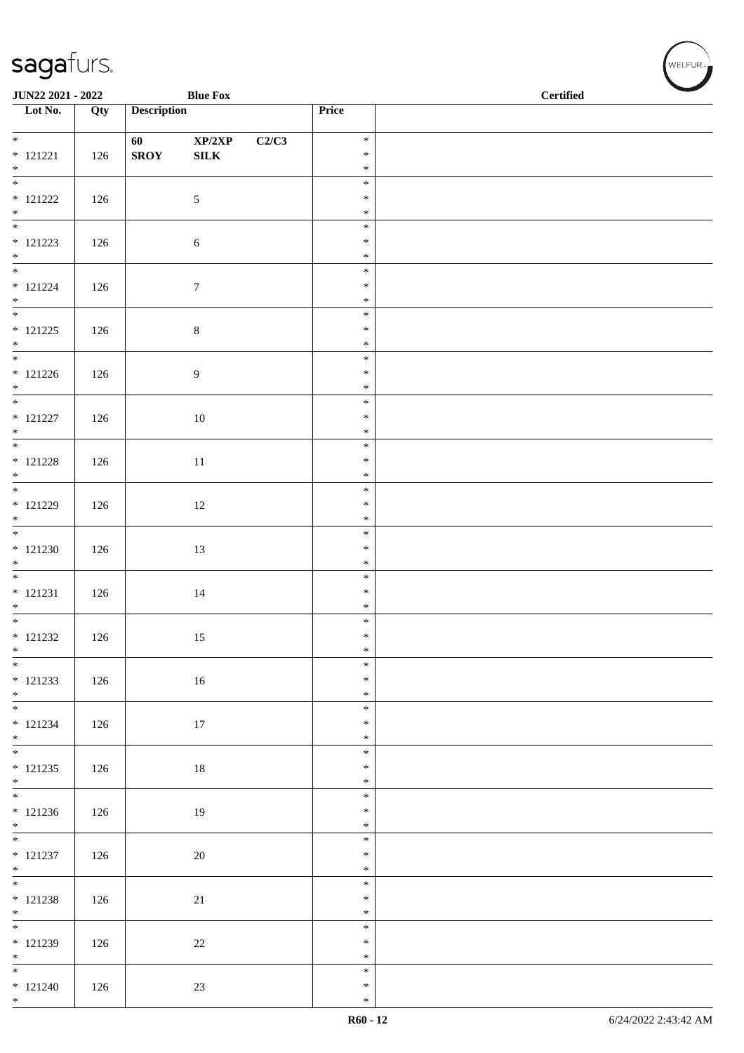| JUN22 2021 - 2022                      |     |                    | <b>Blue Fox</b>  |       |                  | $\operatorname{\bf \mathbf{Certified}}$ |  |
|----------------------------------------|-----|--------------------|------------------|-------|------------------|-----------------------------------------|--|
| $\overline{\phantom{1}}$ Lot No.       | Qty | <b>Description</b> |                  |       | Price            |                                         |  |
| $\overline{\ast}$                      |     | 60                 | XP/2XP           | C2/C3 | $\ast$           |                                         |  |
| $* 121221$                             | 126 | <b>SROY</b>        | ${\bf SILK}$     |       | $\ast$           |                                         |  |
| $*$ $*$                                |     |                    |                  |       | $\ast$<br>$\ast$ |                                         |  |
| $* 121222$                             | 126 |                    | 5                |       | $\ast$           |                                         |  |
| $*$                                    |     |                    |                  |       | $\ast$<br>$\ast$ |                                         |  |
| $* 121223$                             | 126 |                    | 6                |       | $\ast$           |                                         |  |
| $*$                                    |     |                    |                  |       | $\ast$<br>$\ast$ |                                         |  |
| $* 121224$                             | 126 |                    | $\boldsymbol{7}$ |       | $\ast$           |                                         |  |
| $*$                                    |     |                    |                  |       | $\ast$<br>$\ast$ |                                         |  |
| $* 121225$                             | 126 |                    | $\,8\,$          |       | $\ast$           |                                         |  |
| $*$                                    |     |                    |                  |       | $\ast$<br>$\ast$ |                                         |  |
| $* 121226$                             | 126 |                    | $\boldsymbol{9}$ |       | $\ast$           |                                         |  |
| $*$<br>$\overline{\phantom{0}}$        |     |                    |                  |       | $\ast$<br>$\ast$ |                                         |  |
| $* 121227$                             | 126 |                    | $10\,$           |       | $\ast$           |                                         |  |
| $*$                                    |     |                    |                  |       | $\ast$<br>$\ast$ |                                         |  |
| $* 121228$                             | 126 |                    | 11               |       | $\ast$           |                                         |  |
| $*$<br>$*$                             |     |                    |                  |       | $\ast$           |                                         |  |
| $* 121229$                             | 126 |                    | 12               |       | $\ast$<br>$\ast$ |                                         |  |
| $*$                                    |     |                    |                  |       | $\ast$           |                                         |  |
| $* 121230$                             | 126 |                    | 13               |       | $\ast$<br>$\ast$ |                                         |  |
| $*$                                    |     |                    |                  |       | $\ast$           |                                         |  |
| $* 121231$                             | 126 |                    | $14\,$           |       | $\ast$<br>$\ast$ |                                         |  |
| $*$<br>$*$                             |     |                    |                  |       | $\ast$           |                                         |  |
| $* 121232$                             | 126 |                    | 15               |       | $\ast$<br>$\ast$ |                                         |  |
| $*$<br>$\overline{\phantom{0}}$        |     |                    |                  |       | $\ast$           |                                         |  |
| $* 121233$                             | 126 |                    | $16\,$           |       | $\ast$<br>$\ast$ |                                         |  |
| $*$                                    |     |                    |                  |       | $\ast$           |                                         |  |
| $* 121234$                             | 126 |                    | 17               |       | $\ast$<br>$\ast$ |                                         |  |
| $*$                                    |     |                    |                  |       | $\ast$           |                                         |  |
| $* 121235$                             | 126 |                    | 18               |       | $\ast$<br>$\ast$ |                                         |  |
| $*$                                    |     |                    |                  |       | $\ast$           |                                         |  |
| $* 121236$                             | 126 |                    | 19               |       | $\ast$<br>$\ast$ |                                         |  |
| $*$                                    |     |                    |                  |       | $\ast$           |                                         |  |
| $* 121237$                             | 126 |                    | 20               |       | $\ast$<br>$\ast$ |                                         |  |
| $*$                                    |     |                    |                  |       | $\ast$           |                                         |  |
| $* 121238$                             | 126 |                    | 21               |       | $\ast$<br>$\ast$ |                                         |  |
| $*$                                    |     |                    |                  |       | $\ast$           |                                         |  |
| $* 121239$                             | 126 |                    | $22\,$           |       | $\ast$<br>$\ast$ |                                         |  |
| $*$                                    |     |                    |                  |       | $\ast$           |                                         |  |
| $\overline{\phantom{0}}$<br>$* 121240$ | 126 |                    | $23\,$           |       | $\ast$<br>$\ast$ |                                         |  |
| $*$                                    |     |                    |                  |       | $\ast$           |                                         |  |

√<br>WELFUR<sub>™</sub>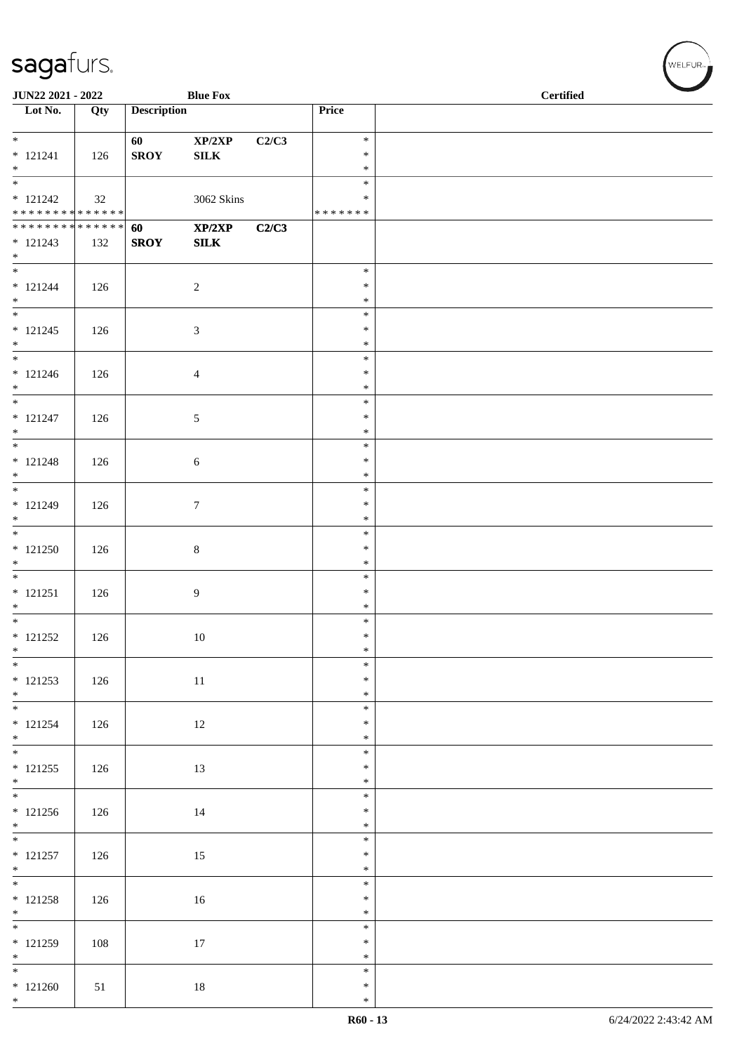| JUN22 2021 - 2022                           |     |                    | <b>Blue Fox</b>            |       |                         | <b>Certified</b> |  |  |
|---------------------------------------------|-----|--------------------|----------------------------|-------|-------------------------|------------------|--|--|
| $\overline{\phantom{1}}$ Lot No.            | Qty | <b>Description</b> |                            |       | Price                   |                  |  |  |
| $*$                                         |     | 60                 | $\mathbf{XP}/2\mathbf{XP}$ | C2/C3 | $\ast$                  |                  |  |  |
| $* 121241$<br>$*$                           | 126 | <b>SROY</b>        | ${\bf SILK}$               |       | $\ast$<br>$\ast$        |                  |  |  |
| $\overline{\phantom{0}}$                    |     |                    |                            |       | $\ast$                  |                  |  |  |
| $* 121242$<br>* * * * * * * * * * * * * * * | 32  |                    | 3062 Skins                 |       | $\ast$<br>* * * * * * * |                  |  |  |
| ******** <mark>******</mark>                |     | 60                 | XP/2XP                     | C2/C3 |                         |                  |  |  |
| $* 121243$<br>$*$                           | 132 | <b>SROY</b>        | <b>SILK</b>                |       |                         |                  |  |  |
|                                             |     |                    |                            |       | $\ast$                  |                  |  |  |
| $* 121244$<br>$*$                           | 126 |                    | $\overline{c}$             |       | $\ast$<br>$\ast$        |                  |  |  |
| $\overline{\phantom{0}}$                    |     |                    |                            |       | $\ast$                  |                  |  |  |
| $* 121245$<br>$*$                           | 126 |                    | $\mathfrak{Z}$             |       | $\ast$<br>$\ast$        |                  |  |  |
| $\overline{\phantom{0}}$                    |     |                    |                            |       | $\ast$                  |                  |  |  |
| $* 121246$<br>$*$                           | 126 |                    | 4                          |       | $\ast$<br>$\ast$        |                  |  |  |
| $\overline{\ast}$                           |     |                    |                            |       | $\ast$<br>$\ast$        |                  |  |  |
| $* 121247$<br>$*$                           | 126 |                    | 5                          |       | $\ast$                  |                  |  |  |
|                                             |     |                    |                            |       | $\ast$<br>$\ast$        |                  |  |  |
| $* 121248$<br>$*$                           | 126 |                    | 6                          |       | $\ast$                  |                  |  |  |
| $* 121249$                                  |     |                    |                            |       | $\ast$<br>$\ast$        |                  |  |  |
| $\ast$                                      | 126 |                    | $\tau$                     |       | $\ast$                  |                  |  |  |
| $* 121250$                                  | 126 |                    | $\,8\,$                    |       | $\ast$<br>$\ast$        |                  |  |  |
| $*$                                         |     |                    |                            |       | $\ast$                  |                  |  |  |
| $\overline{\phantom{0}}$<br>$* 121251$      | 126 |                    | 9                          |       | $\ast$<br>$\ast$        |                  |  |  |
| $*$                                         |     |                    |                            |       | $\ast$                  |                  |  |  |
| $* 121252$                                  | 126 |                    | $10\,$                     |       | $\ast$<br>$\ast$        |                  |  |  |
| $*$                                         |     |                    |                            |       | $\ast$                  |                  |  |  |
| $* 121253$                                  | 126 |                    | 11                         |       | $\ast$<br>$\ast$        |                  |  |  |
| $*$                                         |     |                    |                            |       | $\ast$                  |                  |  |  |
| $* 121254$                                  | 126 |                    | 12                         |       | $\ast$<br>$\ast$        |                  |  |  |
| $*$<br>$*$                                  |     |                    |                            |       | $\ast$                  |                  |  |  |
| $* 121255$                                  | 126 |                    | 13                         |       | $\ast$<br>$\ast$        |                  |  |  |
| $*$                                         |     |                    |                            |       | $\ast$                  |                  |  |  |
| $* 121256$                                  | 126 |                    | 14                         |       | $\ast$<br>$\ast$        |                  |  |  |
| $*$                                         |     |                    |                            |       | $\ast$                  |                  |  |  |
| $* 121257$                                  | 126 |                    | 15                         |       | $\ast$<br>$\ast$        |                  |  |  |
| $*$                                         |     |                    |                            |       | $\ast$<br>$\ast$        |                  |  |  |
| $* 121258$                                  | 126 |                    | 16                         |       | $\ast$                  |                  |  |  |
| $*$                                         |     |                    |                            |       | $\ast$<br>$\ast$        |                  |  |  |
| $* 121259$                                  | 108 |                    | 17                         |       | $\ast$                  |                  |  |  |
| $*$<br>$*$                                  |     |                    |                            |       | $\ast$<br>$\ast$        |                  |  |  |
| $* 121260$                                  | 51  |                    | $18\,$                     |       | $\ast$                  |                  |  |  |
| $*$                                         |     |                    |                            |       | $\ast$                  |                  |  |  |

V<br>WELFUR<sub>™</sub>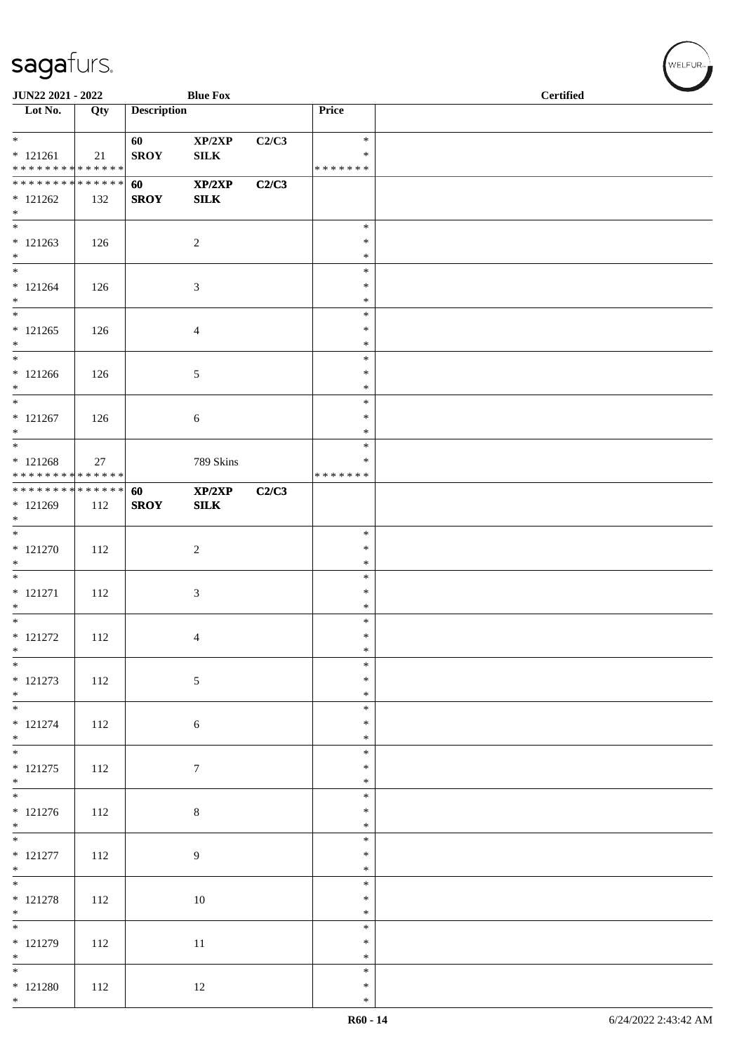| JUN22 2021 - 2022                                                     |     |                    | <b>Blue Fox</b>        |       |                              | <b>Certified</b> |
|-----------------------------------------------------------------------|-----|--------------------|------------------------|-------|------------------------------|------------------|
| $\overline{\phantom{1}}$ Lot No.                                      | Qty | <b>Description</b> |                        |       | Price                        |                  |
| $*$<br>$* 121261$<br>* * * * * * * * * * * * * *                      | 21  | 60<br><b>SROY</b>  | XP/2XP<br>${\bf SILK}$ | C2/C3 | $\ast$<br>∗<br>* * * * * * * |                  |
| * * * * * * * * * * * * * * *<br>$* 121262$<br>$*$                    | 132 | 60<br><b>SROY</b>  | XP/2XP<br>SLK          | C2/C3 |                              |                  |
| $\overline{\phantom{0}}$<br>$* 121263$<br>$*$                         | 126 |                    | $\sqrt{2}$             |       | $\ast$<br>$\ast$<br>$\ast$   |                  |
| $*$<br>$* 121264$<br>$*$                                              | 126 |                    | 3                      |       | $\ast$<br>$\ast$<br>$\ast$   |                  |
| $\overline{\phantom{0}}$<br>$* 121265$<br>$*$                         | 126 |                    | 4                      |       | $\ast$<br>$\ast$<br>$\ast$   |                  |
| $*$<br>$* 121266$<br>$*$                                              | 126 |                    | 5                      |       | $\ast$<br>$\ast$<br>$\ast$   |                  |
| $\overline{\ast}$<br>$* 121267$<br>$\ast$                             | 126 |                    | 6                      |       | $\ast$<br>$\ast$<br>$\ast$   |                  |
| $\overline{\phantom{0}}$<br>$* 121268$<br>* * * * * * * * * * * * * * | 27  |                    | 789 Skins              |       | $\ast$<br>∗<br>* * * * * * * |                  |
| ******** <mark>******</mark><br>* 121269<br>$*$                       | 112 | 60<br><b>SROY</b>  | XP/2XP<br><b>SILK</b>  | C2/C3 |                              |                  |
| $*$<br>$* 121270$<br>$\ast$                                           | 112 |                    | $\sqrt{2}$             |       | $\ast$<br>$\ast$<br>$\ast$   |                  |
| $*$<br>$* 121271$<br>$*$                                              | 112 |                    | 3                      |       | $\ast$<br>$\ast$<br>$\ast$   |                  |
| $*$<br>$* 121272$<br>$*$                                              | 112 |                    | 4                      |       | $\ast$<br>$\ast$<br>$\ast$   |                  |
| $*$<br>$* 121273$<br>$*$                                              | 112 |                    | $\sqrt{5}$             |       | $\ast$<br>$\ast$<br>$\ast$   |                  |
| $* 121274$<br>$*$                                                     | 112 |                    | 6                      |       | $\ast$<br>$\ast$<br>$\ast$   |                  |
| $* 121275$<br>$*$                                                     | 112 |                    | $\boldsymbol{7}$       |       | $\ast$<br>$\ast$<br>$\ast$   |                  |
| $* 121276$<br>$*$                                                     | 112 |                    | $\,8\,$                |       | $\ast$<br>$\ast$<br>$\ast$   |                  |
| $* 121277$<br>$*$                                                     | 112 |                    | $\overline{9}$         |       | $\ast$<br>$\ast$<br>$\ast$   |                  |
| $* 121278$<br>$*$                                                     | 112 |                    | 10                     |       | $\ast$<br>$\ast$<br>$\ast$   |                  |
| $* 121279$<br>$*$                                                     | 112 |                    | 11                     |       | $\ast$<br>$\ast$<br>$\ast$   |                  |
| $*$<br>$* 121280$<br>$*$                                              | 112 |                    | 12                     |       | $\ast$<br>$\ast$<br>$\ast$   |                  |

V<br>WELFUR<sub>™</sub>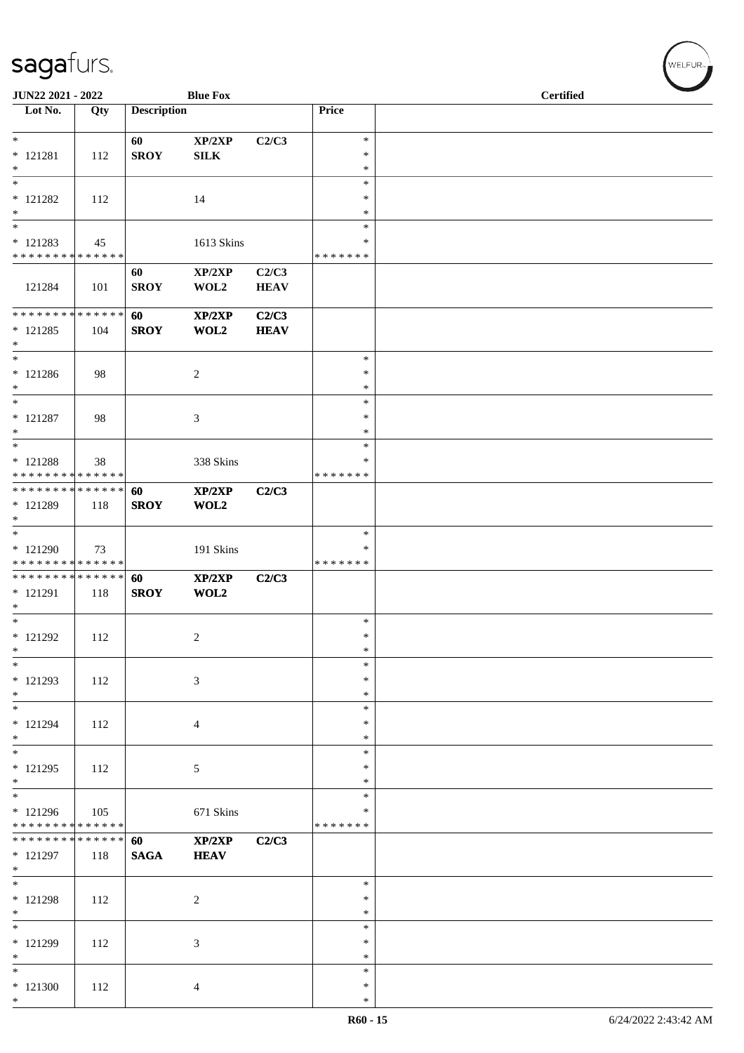| JUN22 2021 - 2022                                  |     |                    | <b>Blue Fox</b>                           |                      |                                      | <b>Certified</b> |
|----------------------------------------------------|-----|--------------------|-------------------------------------------|----------------------|--------------------------------------|------------------|
| $\overline{\phantom{1}}$ Lot No.                   | Qty | <b>Description</b> |                                           |                      | Price                                |                  |
| $* 121281$<br>$*$                                  | 112 | 60<br><b>SROY</b>  | $\mathbf{XP}/2\mathbf{XP}$<br>SILK        | C2/C3                | $\ast$<br>$\ast$<br>$\ast$           |                  |
| $\overline{\ast}$<br>$* 121282$<br>$*$<br>$\ast$   | 112 |                    | 14                                        |                      | $\ast$<br>$\ast$<br>$\ast$<br>$\ast$ |                  |
| * 121283<br>* * * * * * * * * * * * * * *          | 45  |                    | 1613 Skins                                |                      | ∗<br>* * * * * * *                   |                  |
| 121284                                             | 101 | 60<br><b>SROY</b>  | XP/2XP<br>WOL2                            | C2/C3<br><b>HEAV</b> |                                      |                  |
| * * * * * * * * * * * * * * *<br>$* 121285$<br>$*$ | 104 | 60<br><b>SROY</b>  | XP/2XP<br>WOL2                            | C2/C3<br><b>HEAV</b> |                                      |                  |
| $*$<br>$* 121286$<br>$*$                           | 98  |                    | $\overline{c}$                            |                      | $\ast$<br>$\ast$<br>$\ast$           |                  |
| $*$<br>$* 121287$<br>$*$                           | 98  |                    | $\ensuremath{\mathfrak{Z}}$               |                      | $\ast$<br>$\ast$<br>$\ast$           |                  |
| $*$<br>$*$ 121288<br>* * * * * * * * * * * * * *   | 38  |                    | 338 Skins                                 |                      | $\ast$<br>∗<br>* * * * * * *         |                  |
| * * * * * * * * * * * * * * *<br>* 121289<br>$*$   | 118 | 60<br><b>SROY</b>  | XP/2XP<br>WOL2                            | C2/C3                |                                      |                  |
| $*$<br>* 121290<br>* * * * * * * * * * * * * *     | 73  |                    | 191 Skins                                 |                      | $\ast$<br>∗<br>* * * * * * *         |                  |
| * * * * * * * * * * * * * * *<br>* 121291<br>$*$   | 118 | 60<br><b>SROY</b>  | XP/2XP<br>WOL2                            | C2/C3                |                                      |                  |
| $*$<br>$* 121292$<br>$\ast$                        | 112 |                    | $\overline{\mathbf{c}}$                   |                      | $\ast$<br>$\ast$<br>$\ast$           |                  |
| $*$<br>$* 121293$<br>$*$                           | 112 |                    | $\sqrt{3}$                                |                      | $\ast$<br>$\ast$<br>$\ast$           |                  |
| $*$<br>$* 121294$<br>$*$                           | 112 |                    | $\overline{4}$                            |                      | $\ast$<br>∗<br>$\ast$                |                  |
| $*$<br>$* 121295$<br>$*$                           | 112 |                    | 5                                         |                      | $\ast$<br>$\ast$<br>∗                |                  |
| $*$<br>* 121296<br>* * * * * * * * * * * * * *     | 105 |                    | 671 Skins                                 |                      | ∗<br>∗<br>* * * * * * *              |                  |
| * * * * * * * * * * * * * * *<br>* 121297<br>$*$   | 118 | 60<br><b>SAGA</b>  | $\mathbf{XP}/2\mathbf{XP}$<br><b>HEAV</b> | C2/C3                |                                      |                  |
| $\overline{\phantom{0}}$<br>$* 121298$<br>$*$      | 112 |                    | $\overline{c}$                            |                      | $\ast$<br>$\ast$<br>∗                |                  |
| $\overline{\phantom{0}}$<br>$* 121299$<br>$*$      | 112 |                    | 3                                         |                      | $\ast$<br>$\ast$<br>$\ast$           |                  |
| $\ast$<br>$*121300$<br>$*$                         | 112 |                    | 4                                         |                      | $\ast$<br>∗<br>$\ast$                |                  |

WELFUR<sub><sup>N</sub></sub></sub></sup>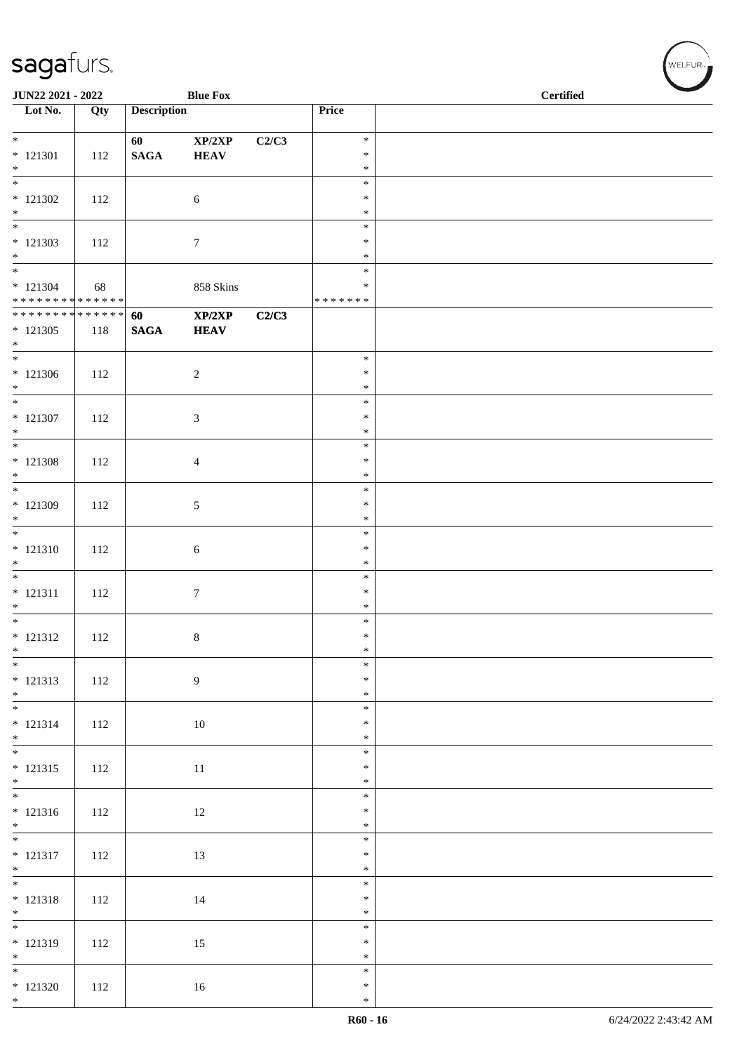| JUN22 2021 - 2022                          |     |                    | <b>Blue Fox</b>       |       |                  | $\overline{\phantom{0}}$<br><b>Certified</b> |
|--------------------------------------------|-----|--------------------|-----------------------|-------|------------------|----------------------------------------------|
| $\overline{\phantom{1}}$ Lot No.           | Qty | <b>Description</b> |                       |       | Price            |                                              |
| $*$                                        |     | 60                 | XP/2XP                | C2/C3 | $\ast$           |                                              |
| $* 121301$                                 | 112 | <b>SAGA</b>        | <b>HEAV</b>           |       | $\ast$           |                                              |
| $*$<br>$\overline{\phantom{0}}$            |     |                    |                       |       | $\ast$<br>$\ast$ |                                              |
| $*$ 121302                                 | 112 |                    | $\sqrt{6}$            |       | $\ast$           |                                              |
| $*$<br>$\overline{\phantom{0}}$            |     |                    |                       |       | $\ast$<br>$\ast$ |                                              |
| $* 121303$                                 | 112 |                    | $\tau$                |       | $\ast$           |                                              |
| $*$                                        |     |                    |                       |       | $\ast$           |                                              |
| $* 121304$                                 | 68  |                    | 858 Skins             |       | $\ast$<br>∗      |                                              |
| * * * * * * * * * * * * * * *              |     |                    |                       |       | * * * * * * *    |                                              |
| * * * * * * * * * * * * * * *<br>$*121305$ | 118 | 60<br><b>SAGA</b>  | XP/2XP<br><b>HEAV</b> | C2/C3 |                  |                                              |
| $*$                                        |     |                    |                       |       |                  |                                              |
|                                            |     |                    |                       |       | $\ast$<br>$\ast$ |                                              |
| $* 121306$<br>$*$                          | 112 |                    | $\sqrt{2}$            |       | $\ast$           |                                              |
| $*$                                        |     |                    |                       |       | $\ast$           |                                              |
| $* 121307$<br>$*$                          | 112 |                    | 3                     |       | $\ast$<br>$\ast$ |                                              |
|                                            |     |                    |                       |       | $\ast$           |                                              |
| $* 121308$                                 | 112 |                    | 4                     |       | $\ast$<br>$\ast$ |                                              |
| $*$<br>$*$                                 |     |                    |                       |       | $\ast$           |                                              |
| $* 121309$<br>$*$                          | 112 |                    | 5                     |       | $\ast$           |                                              |
| $\overline{\ast}$                          |     |                    |                       |       | $\ast$<br>$\ast$ |                                              |
| $* 121310$                                 | 112 |                    | 6                     |       | $\ast$           |                                              |
| $\ast$                                     |     |                    |                       |       | $\ast$<br>$\ast$ |                                              |
| $* 121311$                                 | 112 |                    | $\boldsymbol{7}$      |       | $\ast$           |                                              |
| $*$                                        |     |                    |                       |       | $\ast$<br>$\ast$ |                                              |
| $* 121312$                                 | 112 |                    | 8                     |       | $\ast$           |                                              |
| $\ast$<br>$\overline{\phantom{0}}$         |     |                    |                       |       | $\ast$           |                                              |
| $* 121313$                                 | 112 |                    | $\overline{9}$        |       | $\ast$<br>$\ast$ |                                              |
| $*$<br>$\overline{\ast}$                   |     |                    |                       |       | $\ast$           |                                              |
| $* 121314$                                 | 112 |                    | 10                    |       | $\ast$<br>$\ast$ |                                              |
| $*$ $*$                                    |     |                    |                       |       | $\ast$           |                                              |
| $* 121315$                                 | 112 |                    | 11                    |       | $\ast$<br>$\ast$ |                                              |
| $*$                                        |     |                    |                       |       | $\ast$           |                                              |
|                                            |     |                    |                       |       | $\ast$<br>$\ast$ |                                              |
| $* 121316$<br>$*$                          | 112 |                    | 12                    |       | $\ast$           |                                              |
| $*$                                        |     |                    |                       |       | $\ast$           |                                              |
| $* 121317$<br>$*$                          | 112 |                    | 13                    |       | $\ast$<br>$\ast$ |                                              |
|                                            |     |                    |                       |       | $\ast$           |                                              |
| $* 121318$<br>$*$                          | 112 |                    | 14                    |       | $\ast$<br>$\ast$ |                                              |
|                                            |     |                    |                       |       | $\ast$           |                                              |
| $* 121319$<br>$*$                          | 112 |                    | 15                    |       | $\ast$<br>$\ast$ |                                              |
|                                            |     |                    |                       |       | $\ast$           |                                              |
| $* 121320$                                 | 112 |                    | 16                    |       | $\ast$           |                                              |
| $*$                                        |     |                    |                       |       | $\ast$           |                                              |

WELFUR<sub><sup>N</sub></sub></sub></sup>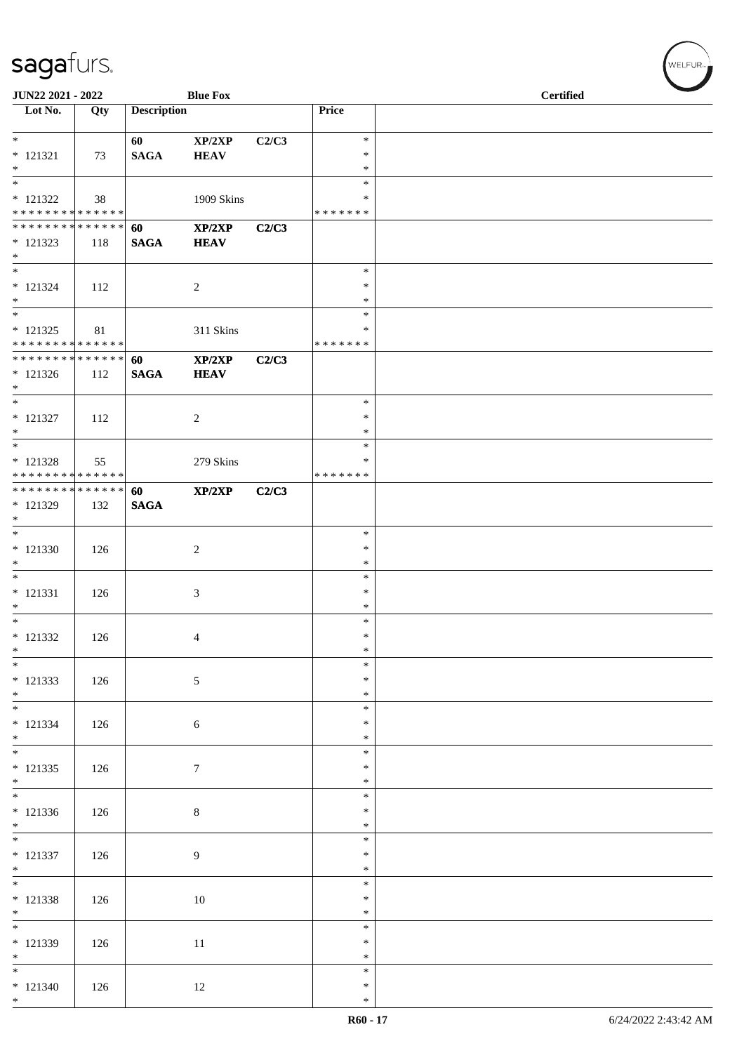| JUN22 2021 - 2022                           |     |                    | <b>Blue Fox</b>       |       |                    | <b>Certified</b> |
|---------------------------------------------|-----|--------------------|-----------------------|-------|--------------------|------------------|
| $\overline{\phantom{1}}$ Lot No.            | Qty | <b>Description</b> |                       |       | Price              |                  |
| $*$                                         |     | 60                 | XP/2XP                | C2/C3 | $\ast$<br>∗        |                  |
| $* 121321$<br>$*$                           | 73  | <b>SAGA</b>        | <b>HEAV</b>           |       | $\ast$             |                  |
| $\overline{\phantom{0}}$<br>$* 121322$      | 38  |                    | 1909 Skins            |       | $\ast$<br>∗        |                  |
| * * * * * * * * * * * * * *                 |     |                    |                       |       | * * * * * * *      |                  |
| * * * * * * * * * * * * * * *<br>$* 121323$ | 118 | 60<br><b>SAGA</b>  | XP/2XP<br><b>HEAV</b> | C2/C3 |                    |                  |
| $*$<br>$\overline{\phantom{0}}$             |     |                    |                       |       | $\ast$             |                  |
| $* 121324$                                  | 112 |                    | $\overline{c}$        |       | ∗                  |                  |
| $*$<br>$\overline{\ast}$                    |     |                    |                       |       | $\ast$<br>$\ast$   |                  |
| $* 121325$<br>* * * * * * * * * * * * * *   | 81  |                    | 311 Skins             |       | ∗<br>* * * * * * * |                  |
| * * * * * * * * * * * * * * *               |     | 60                 | XP/2XP                | C2/C3 |                    |                  |
| $* 121326$<br>$*$                           | 112 | <b>SAGA</b>        | <b>HEAV</b>           |       |                    |                  |
| $\overline{\phantom{0}}$<br>$* 121327$      | 112 |                    | $\overline{c}$        |       | $\ast$<br>$\ast$   |                  |
| $*$                                         |     |                    |                       |       | $\ast$             |                  |
| $\overline{\phantom{0}}$<br>$* 121328$      | 55  |                    | 279 Skins             |       | $\ast$<br>∗        |                  |
| * * * * * * * * * * * * * *                 |     |                    |                       |       | * * * * * * *      |                  |
| * * * * * * * * * * * * * * *<br>* 121329   | 132 | 60<br><b>SAGA</b>  | XP/2XP                | C2/C3 |                    |                  |
| $*$                                         |     |                    |                       |       |                    |                  |
| $* 121330$                                  | 126 |                    | 2                     |       | $\ast$<br>$\ast$   |                  |
| $*$<br>$\overline{\phantom{0}}$             |     |                    |                       |       | $\ast$             |                  |
| $* 121331$                                  | 126 |                    | 3                     |       | $\ast$<br>$\ast$   |                  |
| $*$<br>$*$                                  |     |                    |                       |       | $\ast$<br>$\ast$   |                  |
| $* 121332$                                  | 126 |                    | 4                     |       | $\ast$             |                  |
| $*$<br>$*$                                  |     |                    |                       |       | $\ast$<br>$\ast$   |                  |
| $* 121333$                                  | 126 |                    | $\mathfrak{S}$        |       | ∗                  |                  |
| $*$<br>$*$                                  |     |                    |                       |       | $\ast$<br>$\ast$   |                  |
| $* 121334$<br>$*$                           | 126 |                    | 6                     |       | $\ast$<br>$\ast$   |                  |
| $*$                                         |     |                    |                       |       | $\ast$             |                  |
| $* 121335$<br>$*$                           | 126 |                    | $\tau$                |       | $\ast$<br>$\ast$   |                  |
|                                             |     |                    |                       |       | $\ast$<br>$\ast$   |                  |
| $* 121336$<br>$*$                           | 126 |                    | $\,8\,$               |       | $\ast$             |                  |
| $\overline{\phantom{0}}$<br>$* 121337$      | 126 |                    | 9                     |       | $\ast$<br>$\ast$   |                  |
| $*$                                         |     |                    |                       |       | $\ast$             |                  |
| $* 121338$                                  | 126 |                    | 10                    |       | $\ast$<br>$\ast$   |                  |
| $*$                                         |     |                    |                       |       | $\ast$<br>$\ast$   |                  |
| $* 121339$                                  | 126 |                    | 11                    |       | $\ast$             |                  |
| $*$<br>$*$                                  |     |                    |                       |       | $\ast$<br>$\ast$   |                  |
| $* 121340$                                  | 126 |                    | 12                    |       | $\ast$             |                  |
| $*$                                         |     |                    |                       |       | $\ast$             |                  |

V<br>WELFUR<sub>™</sub>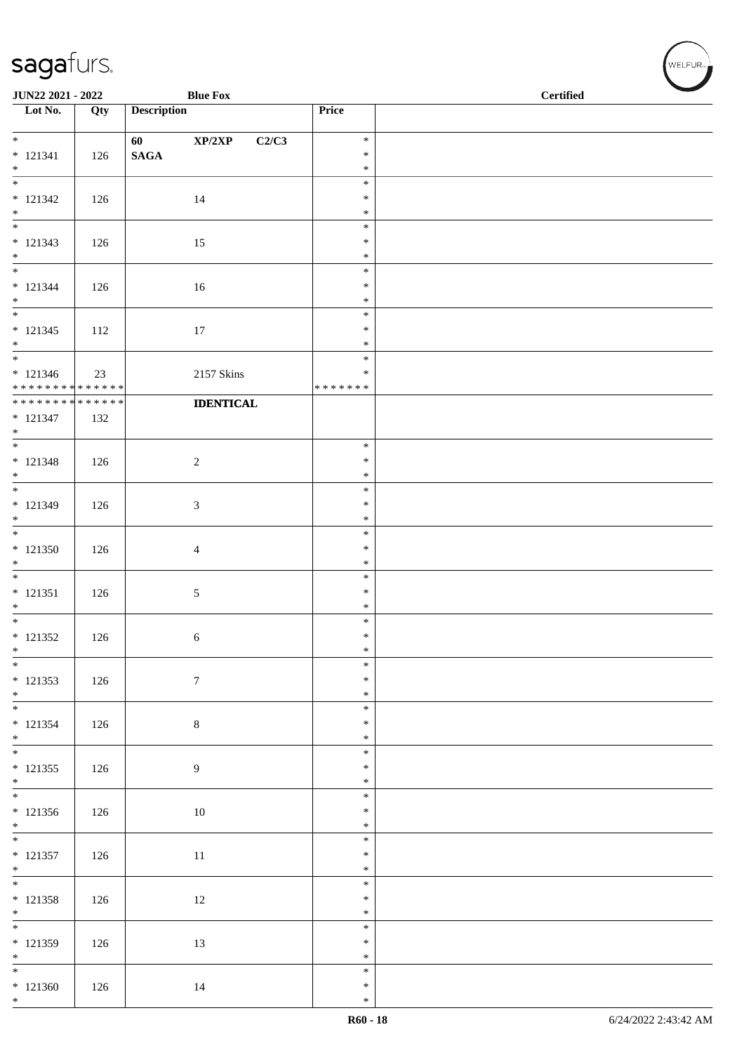| <b>Description</b><br>Price<br>Qty<br>$\mathbf{XP}/2\mathbf{XP}$<br>C2/C3<br>$\ast$<br>60<br>$\mathbf{SAGA}$<br>126<br>$\ast$<br>$*$<br>$\ast$<br>$\ast$<br>14<br>$\ast$<br>126<br>$*$<br>$\ast$<br>$\ast$<br>15<br>126<br>$\ast$<br>$*$<br>$\ast$<br>$\ast$<br>$* 121344$<br>126<br>16<br>$\ast$<br>$*$<br>$\ast$<br>$\ast$<br>$* 121345$<br>$17\,$<br>$\ast$<br>112<br>$*$<br>$\ast$<br>$\ast$<br>$* 121346$<br>2157 Skins<br>$\ast$<br>23<br>* * * * * * * * * * * * * *<br>* * * * * * *<br>******** <mark>******</mark><br><b>IDENTICAL</b><br>$* 121347$<br>132<br>$\ast$<br>$* 121348$<br>$\sqrt{2}$<br>$\ast$<br>126<br>$\ast$<br>$\ast$<br>* 121349<br>3<br>$\ast$<br>126<br>$\ast$<br>$\ast$<br>$*121350$<br>126<br>$\ast$<br>$\overline{4}$<br>$\ast$<br>$\overline{\phantom{0}}$<br>$\ast$<br>$* 121351$<br>5<br>$\ast$<br>126<br>$\ast$<br>$\ast$<br>$* 121352$<br>$\ast$<br>126<br>6<br>$\ast$<br>$\overline{\phantom{0}}$<br>$\ast$<br>$* 121353$<br>$\boldsymbol{7}$<br>126<br>$\ast$<br>$\ast$<br>$\ast$<br>$\,8\,$<br>$\ast$<br>126<br>$\ast$<br>$\ast$<br>9<br>$\ast$<br>126<br>$\ast$<br>$\ast$<br>$10\,$<br>126<br>$\ast$<br>$\ast$<br>$\ast$<br>$11\,$<br>$\ast$<br>126<br>$*$<br>$\ast$<br>$\ast$<br>12<br>$\ast$<br>126<br>$*$<br>$\ast$<br>$\ast$<br>$\ast$<br>13<br>126<br>$*$<br>$\ast$<br>$\ast$<br>14<br>$\ast$<br>126<br>$*$<br>$\ast$ | JUN22 2021 - 2022                |  | <b>Blue Fox</b> | <b>Certified</b> |
|----------------------------------------------------------------------------------------------------------------------------------------------------------------------------------------------------------------------------------------------------------------------------------------------------------------------------------------------------------------------------------------------------------------------------------------------------------------------------------------------------------------------------------------------------------------------------------------------------------------------------------------------------------------------------------------------------------------------------------------------------------------------------------------------------------------------------------------------------------------------------------------------------------------------------------------------------------------------------------------------------------------------------------------------------------------------------------------------------------------------------------------------------------------------------------------------------------------------------------------------------------------------------------------------------------------------------------------------------------------------|----------------------------------|--|-----------------|------------------|
|                                                                                                                                                                                                                                                                                                                                                                                                                                                                                                                                                                                                                                                                                                                                                                                                                                                                                                                                                                                                                                                                                                                                                                                                                                                                                                                                                                      | $\overline{\phantom{1}}$ Lot No. |  |                 |                  |
|                                                                                                                                                                                                                                                                                                                                                                                                                                                                                                                                                                                                                                                                                                                                                                                                                                                                                                                                                                                                                                                                                                                                                                                                                                                                                                                                                                      | $*$                              |  |                 |                  |
|                                                                                                                                                                                                                                                                                                                                                                                                                                                                                                                                                                                                                                                                                                                                                                                                                                                                                                                                                                                                                                                                                                                                                                                                                                                                                                                                                                      | $* 121341$                       |  |                 |                  |
|                                                                                                                                                                                                                                                                                                                                                                                                                                                                                                                                                                                                                                                                                                                                                                                                                                                                                                                                                                                                                                                                                                                                                                                                                                                                                                                                                                      | $\overline{\phantom{0}}$         |  |                 |                  |
|                                                                                                                                                                                                                                                                                                                                                                                                                                                                                                                                                                                                                                                                                                                                                                                                                                                                                                                                                                                                                                                                                                                                                                                                                                                                                                                                                                      | $* 121342$                       |  |                 |                  |
|                                                                                                                                                                                                                                                                                                                                                                                                                                                                                                                                                                                                                                                                                                                                                                                                                                                                                                                                                                                                                                                                                                                                                                                                                                                                                                                                                                      |                                  |  |                 |                  |
|                                                                                                                                                                                                                                                                                                                                                                                                                                                                                                                                                                                                                                                                                                                                                                                                                                                                                                                                                                                                                                                                                                                                                                                                                                                                                                                                                                      | $* 121343$                       |  |                 |                  |
|                                                                                                                                                                                                                                                                                                                                                                                                                                                                                                                                                                                                                                                                                                                                                                                                                                                                                                                                                                                                                                                                                                                                                                                                                                                                                                                                                                      |                                  |  |                 |                  |
|                                                                                                                                                                                                                                                                                                                                                                                                                                                                                                                                                                                                                                                                                                                                                                                                                                                                                                                                                                                                                                                                                                                                                                                                                                                                                                                                                                      |                                  |  |                 |                  |
|                                                                                                                                                                                                                                                                                                                                                                                                                                                                                                                                                                                                                                                                                                                                                                                                                                                                                                                                                                                                                                                                                                                                                                                                                                                                                                                                                                      | $\overline{\phantom{0}}$         |  |                 |                  |
|                                                                                                                                                                                                                                                                                                                                                                                                                                                                                                                                                                                                                                                                                                                                                                                                                                                                                                                                                                                                                                                                                                                                                                                                                                                                                                                                                                      |                                  |  |                 |                  |
|                                                                                                                                                                                                                                                                                                                                                                                                                                                                                                                                                                                                                                                                                                                                                                                                                                                                                                                                                                                                                                                                                                                                                                                                                                                                                                                                                                      | $\overline{\phantom{0}}$         |  |                 |                  |
|                                                                                                                                                                                                                                                                                                                                                                                                                                                                                                                                                                                                                                                                                                                                                                                                                                                                                                                                                                                                                                                                                                                                                                                                                                                                                                                                                                      |                                  |  |                 |                  |
|                                                                                                                                                                                                                                                                                                                                                                                                                                                                                                                                                                                                                                                                                                                                                                                                                                                                                                                                                                                                                                                                                                                                                                                                                                                                                                                                                                      |                                  |  |                 |                  |
|                                                                                                                                                                                                                                                                                                                                                                                                                                                                                                                                                                                                                                                                                                                                                                                                                                                                                                                                                                                                                                                                                                                                                                                                                                                                                                                                                                      | $*$                              |  |                 |                  |
|                                                                                                                                                                                                                                                                                                                                                                                                                                                                                                                                                                                                                                                                                                                                                                                                                                                                                                                                                                                                                                                                                                                                                                                                                                                                                                                                                                      |                                  |  |                 |                  |
|                                                                                                                                                                                                                                                                                                                                                                                                                                                                                                                                                                                                                                                                                                                                                                                                                                                                                                                                                                                                                                                                                                                                                                                                                                                                                                                                                                      | $*$                              |  |                 |                  |
|                                                                                                                                                                                                                                                                                                                                                                                                                                                                                                                                                                                                                                                                                                                                                                                                                                                                                                                                                                                                                                                                                                                                                                                                                                                                                                                                                                      |                                  |  |                 |                  |
|                                                                                                                                                                                                                                                                                                                                                                                                                                                                                                                                                                                                                                                                                                                                                                                                                                                                                                                                                                                                                                                                                                                                                                                                                                                                                                                                                                      | $\ast$                           |  |                 |                  |
|                                                                                                                                                                                                                                                                                                                                                                                                                                                                                                                                                                                                                                                                                                                                                                                                                                                                                                                                                                                                                                                                                                                                                                                                                                                                                                                                                                      |                                  |  |                 |                  |
|                                                                                                                                                                                                                                                                                                                                                                                                                                                                                                                                                                                                                                                                                                                                                                                                                                                                                                                                                                                                                                                                                                                                                                                                                                                                                                                                                                      | $*$                              |  |                 |                  |
|                                                                                                                                                                                                                                                                                                                                                                                                                                                                                                                                                                                                                                                                                                                                                                                                                                                                                                                                                                                                                                                                                                                                                                                                                                                                                                                                                                      |                                  |  |                 |                  |
|                                                                                                                                                                                                                                                                                                                                                                                                                                                                                                                                                                                                                                                                                                                                                                                                                                                                                                                                                                                                                                                                                                                                                                                                                                                                                                                                                                      | $*$                              |  |                 |                  |
|                                                                                                                                                                                                                                                                                                                                                                                                                                                                                                                                                                                                                                                                                                                                                                                                                                                                                                                                                                                                                                                                                                                                                                                                                                                                                                                                                                      |                                  |  |                 |                  |
|                                                                                                                                                                                                                                                                                                                                                                                                                                                                                                                                                                                                                                                                                                                                                                                                                                                                                                                                                                                                                                                                                                                                                                                                                                                                                                                                                                      | $*$                              |  |                 |                  |
|                                                                                                                                                                                                                                                                                                                                                                                                                                                                                                                                                                                                                                                                                                                                                                                                                                                                                                                                                                                                                                                                                                                                                                                                                                                                                                                                                                      |                                  |  |                 |                  |
|                                                                                                                                                                                                                                                                                                                                                                                                                                                                                                                                                                                                                                                                                                                                                                                                                                                                                                                                                                                                                                                                                                                                                                                                                                                                                                                                                                      | $*$                              |  |                 |                  |
|                                                                                                                                                                                                                                                                                                                                                                                                                                                                                                                                                                                                                                                                                                                                                                                                                                                                                                                                                                                                                                                                                                                                                                                                                                                                                                                                                                      | * 121354                         |  |                 |                  |
|                                                                                                                                                                                                                                                                                                                                                                                                                                                                                                                                                                                                                                                                                                                                                                                                                                                                                                                                                                                                                                                                                                                                                                                                                                                                                                                                                                      | $*$                              |  |                 |                  |
|                                                                                                                                                                                                                                                                                                                                                                                                                                                                                                                                                                                                                                                                                                                                                                                                                                                                                                                                                                                                                                                                                                                                                                                                                                                                                                                                                                      | $* 121355$                       |  |                 |                  |
|                                                                                                                                                                                                                                                                                                                                                                                                                                                                                                                                                                                                                                                                                                                                                                                                                                                                                                                                                                                                                                                                                                                                                                                                                                                                                                                                                                      | $*$                              |  |                 |                  |
|                                                                                                                                                                                                                                                                                                                                                                                                                                                                                                                                                                                                                                                                                                                                                                                                                                                                                                                                                                                                                                                                                                                                                                                                                                                                                                                                                                      | $* 121356$                       |  |                 |                  |
|                                                                                                                                                                                                                                                                                                                                                                                                                                                                                                                                                                                                                                                                                                                                                                                                                                                                                                                                                                                                                                                                                                                                                                                                                                                                                                                                                                      | $*$                              |  |                 |                  |
|                                                                                                                                                                                                                                                                                                                                                                                                                                                                                                                                                                                                                                                                                                                                                                                                                                                                                                                                                                                                                                                                                                                                                                                                                                                                                                                                                                      | $* 121357$                       |  |                 |                  |
|                                                                                                                                                                                                                                                                                                                                                                                                                                                                                                                                                                                                                                                                                                                                                                                                                                                                                                                                                                                                                                                                                                                                                                                                                                                                                                                                                                      |                                  |  |                 |                  |
|                                                                                                                                                                                                                                                                                                                                                                                                                                                                                                                                                                                                                                                                                                                                                                                                                                                                                                                                                                                                                                                                                                                                                                                                                                                                                                                                                                      | $* 121358$                       |  |                 |                  |
|                                                                                                                                                                                                                                                                                                                                                                                                                                                                                                                                                                                                                                                                                                                                                                                                                                                                                                                                                                                                                                                                                                                                                                                                                                                                                                                                                                      | $\overline{\phantom{0}}$         |  |                 |                  |
|                                                                                                                                                                                                                                                                                                                                                                                                                                                                                                                                                                                                                                                                                                                                                                                                                                                                                                                                                                                                                                                                                                                                                                                                                                                                                                                                                                      | $* 121359$                       |  |                 |                  |
|                                                                                                                                                                                                                                                                                                                                                                                                                                                                                                                                                                                                                                                                                                                                                                                                                                                                                                                                                                                                                                                                                                                                                                                                                                                                                                                                                                      | $*$                              |  |                 |                  |
|                                                                                                                                                                                                                                                                                                                                                                                                                                                                                                                                                                                                                                                                                                                                                                                                                                                                                                                                                                                                                                                                                                                                                                                                                                                                                                                                                                      | $*121360$                        |  |                 |                  |

、<br>WELFUR<sub>™</sub>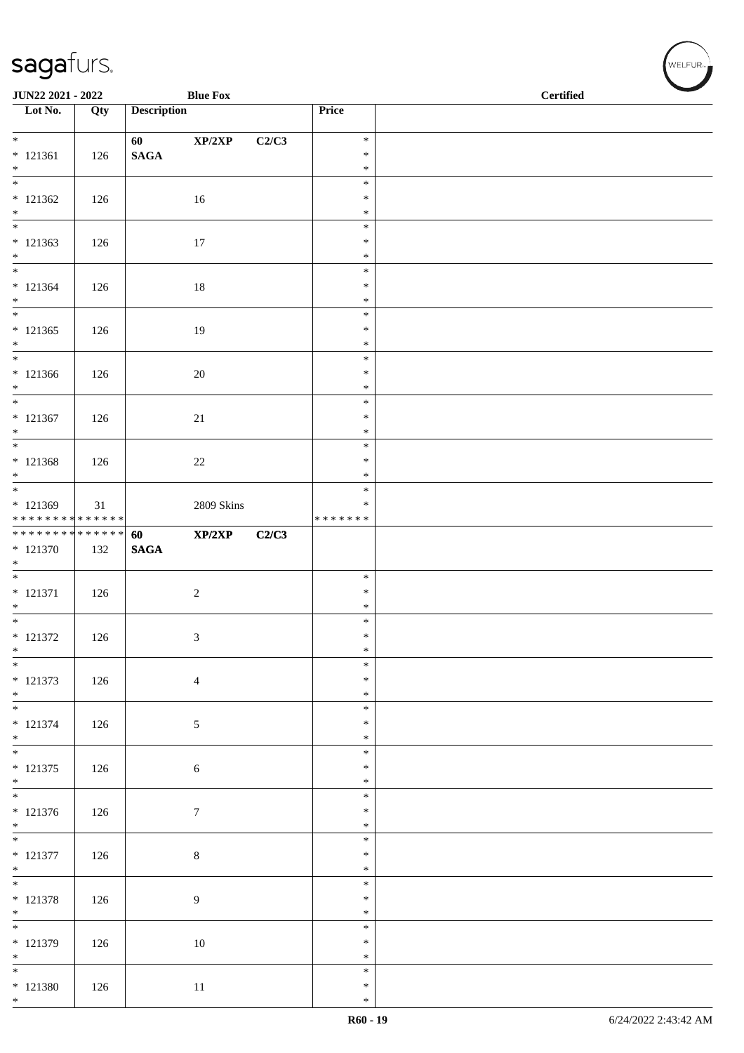| JUN22 2021 - 2022                        |     |                    | <b>Blue Fox</b>  |       |                         | <b>Certified</b> |
|------------------------------------------|-----|--------------------|------------------|-------|-------------------------|------------------|
| Lot No.                                  | Qty | <b>Description</b> |                  |       | Price                   |                  |
| $*$                                      |     | 60                 | XP/2XP           | C2/C3 | $\ast$                  |                  |
| $* 121361$                               | 126 | $\mathbf{SAGA}$    |                  |       | $\ast$                  |                  |
| $*$<br>$\overline{\phantom{0}}$          |     |                    |                  |       | $\ast$<br>$\ast$        |                  |
| $* 121362$                               | 126 |                    | 16               |       | $\ast$                  |                  |
| $\ast$                                   |     |                    |                  |       | $\ast$<br>$\ast$        |                  |
| $* 121363$                               | 126 |                    | 17               |       | $\ast$                  |                  |
| $*$<br>$*$                               |     |                    |                  |       | $\ast$<br>$\ast$        |                  |
| $* 121364$                               | 126 |                    | $18\,$           |       | $\ast$                  |                  |
| $*$                                      |     |                    |                  |       | $\ast$                  |                  |
| $\overline{\phantom{0}}$<br>$* 121365$   | 126 |                    | 19               |       | $\ast$<br>$\ast$        |                  |
| $*$                                      |     |                    |                  |       | $\ast$                  |                  |
| $*$<br>$* 121366$                        |     |                    |                  |       | $\ast$<br>$\ast$        |                  |
| $*$                                      | 126 |                    | 20               |       | $\ast$                  |                  |
| $*$                                      |     |                    |                  |       | $\ast$                  |                  |
| $* 121367$<br>$*$                        | 126 |                    | $21\,$           |       | $\ast$<br>$\ast$        |                  |
|                                          |     |                    |                  |       | $\ast$                  |                  |
| * 121368<br>$*$                          | 126 |                    | $22\,$           |       | $\ast$<br>$\ast$        |                  |
|                                          |     |                    |                  |       | $\ast$                  |                  |
| * 121369<br>******** <mark>******</mark> | 31  |                    | 2809 Skins       |       | $\ast$<br>* * * * * * * |                  |
| **************                           |     | 60                 | XP/2XP           | C2/C3 |                         |                  |
| $* 121370$                               | 132 | <b>SAGA</b>        |                  |       |                         |                  |
| $*$                                      |     |                    |                  |       | $\ast$                  |                  |
| $* 121371$                               | 126 |                    | $\overline{c}$   |       | $\ast$                  |                  |
| $*$<br>$*$                               |     |                    |                  |       | $\ast$<br>$\ast$        |                  |
| $* 121372$                               | 126 |                    | 3                |       | $\ast$                  |                  |
| $\ast$<br>$*$                            |     |                    |                  |       | $\ast$<br>$\ast$        |                  |
| $* 121373$                               | 126 |                    | $\overline{4}$   |       | $\ast$                  |                  |
| $*$                                      |     |                    |                  |       | $\ast$                  |                  |
| $*$<br>$* 121374$                        | 126 |                    | 5                |       | $\ast$<br>$\ast$        |                  |
| $*$                                      |     |                    |                  |       | $\ast$                  |                  |
| $\overline{\ast}$<br>$* 121375$          | 126 |                    | $6\,$            |       | $\ast$<br>$\ast$        |                  |
| $*$                                      |     |                    |                  |       | $\ast$                  |                  |
| $* 121376$                               |     |                    |                  |       | $\ast$<br>$\ast$        |                  |
| $*$                                      | 126 |                    | $\boldsymbol{7}$ |       | $\ast$                  |                  |
|                                          |     |                    |                  |       | $\ast$                  |                  |
| $* 121377$<br>$*$                        | 126 |                    | $\,8\,$          |       | $\ast$<br>$\ast$        |                  |
| $*$                                      |     |                    |                  |       | $\ast$                  |                  |
| $* 121378$<br>$*$                        | 126 |                    | 9                |       | $\ast$<br>$\ast$        |                  |
| $\overline{\phantom{0}}$                 |     |                    |                  |       | $\ast$                  |                  |
| $* 121379$                               | 126 |                    | 10               |       | $\ast$<br>$\ast$        |                  |
| $*$<br>$*$                               |     |                    |                  |       | $\ast$                  |                  |
| $* 121380$                               | 126 |                    | 11               |       | $\ast$                  |                  |
| $*$                                      |     |                    |                  |       | $\ast$                  |                  |

V<br>WELFUR<sub>™</sub>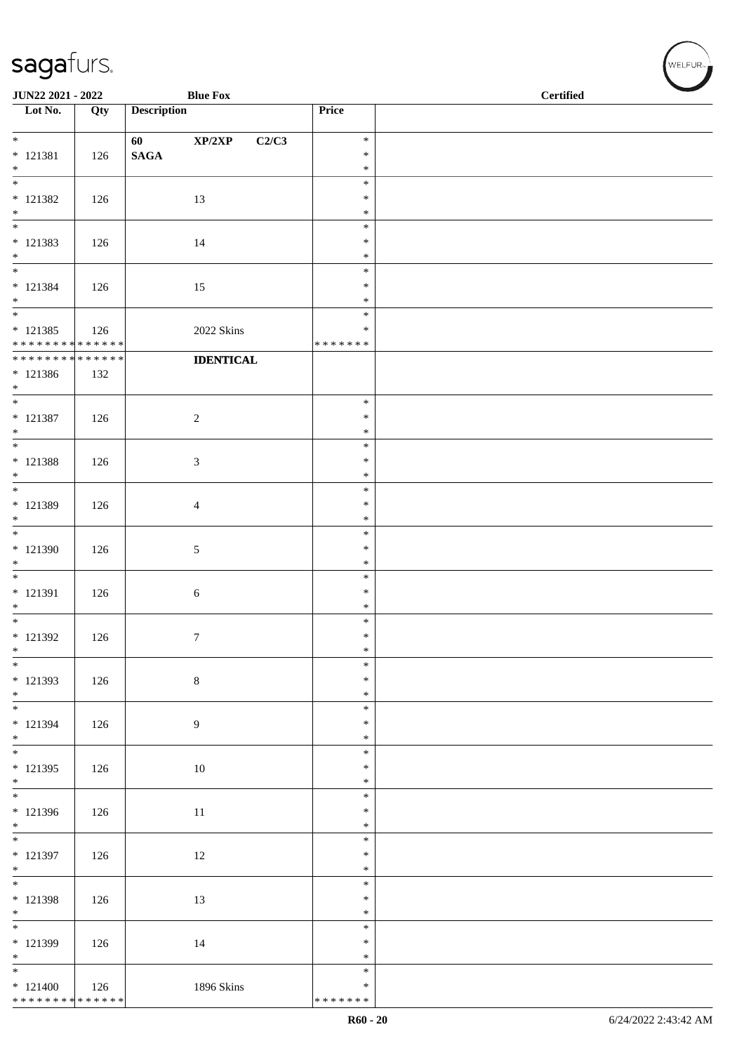| JUN22 2021 - 2022                        |     |                    | <b>Blue Fox</b>             |                  | <b>Certified</b> |
|------------------------------------------|-----|--------------------|-----------------------------|------------------|------------------|
| $\overline{\phantom{1}}$ Lot No.         | Qty | <b>Description</b> |                             | Price            |                  |
| $*$                                      |     | 60                 | XP/2XP<br>C2/C3             | $\ast$           |                  |
| $* 121381$                               | 126 | $\mathbf{SAGA}$    |                             | $\ast$           |                  |
| $\ast$<br>$\frac{1}{*}$                  |     |                    |                             | $\ast$<br>$\ast$ |                  |
| $* 121382$                               | 126 |                    | 13                          | $\ast$           |                  |
| $\ast$<br>$\overline{\phantom{a}^*}$     |     |                    |                             | $\ast$<br>$\ast$ |                  |
| $* 121383$                               | 126 |                    | 14                          | $\ast$           |                  |
| $\ast$<br>$\overline{\phantom{a}^*}$     |     |                    |                             | $\ast$           |                  |
| $* 121384$                               | 126 |                    | 15                          | $\ast$<br>$\ast$ |                  |
| $*$<br>$\frac{1}{1}$                     |     |                    |                             | $\ast$           |                  |
| $* 121385$                               | 126 |                    | 2022 Skins                  | $\ast$<br>$\ast$ |                  |
| * * * * * * * * * * * * * *              |     |                    |                             | * * * * * * *    |                  |
| ******** <mark>******</mark>             |     |                    | <b>IDENTICAL</b>            |                  |                  |
| $* 121386$<br>$*$                        | 132 |                    |                             |                  |                  |
| $\ast$                                   |     |                    |                             | $\ast$           |                  |
| $* 121387$<br>$*$                        | 126 |                    | $\sqrt{2}$                  | $\ast$<br>$\ast$ |                  |
| $\overline{\phantom{0}}$                 |     |                    |                             | $\ast$           |                  |
| $* 121388$<br>$\ast$                     | 126 |                    | $\ensuremath{\mathfrak{Z}}$ | $\ast$<br>$\ast$ |                  |
| $\overline{\phantom{0}}$                 |     |                    |                             | $\ast$           |                  |
| * 121389                                 | 126 |                    | $\overline{4}$              | $\ast$           |                  |
| $\ast$<br>$\overline{\phantom{0}}$       |     |                    |                             | $\ast$<br>$\ast$ |                  |
| $* 121390$                               | 126 |                    | $\sqrt{5}$                  | $\ast$           |                  |
| $\ast$<br>$\overline{\phantom{0}}$       |     |                    |                             | $\ast$<br>$\ast$ |                  |
| $* 121391$                               | 126 |                    | $\sqrt{6}$                  | $\ast$           |                  |
| $\ast$<br>$\overline{\phantom{a}^*}$     |     |                    |                             | $\ast$<br>$\ast$ |                  |
| $*$ 121392                               | 126 |                    | $\tau$                      | $\ast$           |                  |
| $\ast$                                   |     |                    |                             | $\ast$           |                  |
| $\ast$<br>$* 121393$                     | 126 |                    | $\,8\,$                     | $\ast$<br>$\ast$ |                  |
| $*$ $*$                                  |     |                    |                             | $\ast$           |                  |
| $* 121394$                               | 126 |                    | $\overline{9}$              | $\ast$<br>$\ast$ |                  |
| $*$                                      |     |                    |                             | $\ast$           |                  |
| $\overline{\phantom{a}^*}$<br>$* 121395$ |     |                    | $10\,$                      | $\ast$<br>$\ast$ |                  |
| $\ast$                                   | 126 |                    |                             | $\ast$           |                  |
| $\overline{\phantom{0}}$                 |     |                    |                             | $\ast$           |                  |
| * 121396<br>$\ast$                       | 126 |                    | 11                          | $\ast$<br>$\ast$ |                  |
| $\overline{\phantom{0}}$                 |     |                    |                             | $\ast$           |                  |
| $* 121397$<br>$*$                        | 126 |                    | 12                          | $\ast$<br>$\ast$ |                  |
| $\overline{\phantom{0}}$                 |     |                    |                             | $\ast$           |                  |
| $* 121398$<br>$\ast$                     | 126 |                    | 13                          | $\ast$<br>$\ast$ |                  |
| $_{\ast}^{-}$                            |     |                    |                             | $\ast$           |                  |
| $* 121399$                               | 126 |                    | 14                          | $\ast$           |                  |
| $\ast$<br>$\overline{\phantom{0}}$       |     |                    |                             | $\ast$<br>$\ast$ |                  |
| $* 121400$                               | 126 |                    | 1896 Skins                  | $\ast$           |                  |
| ******** <mark>******</mark>             |     |                    |                             | * * * * * * *    |                  |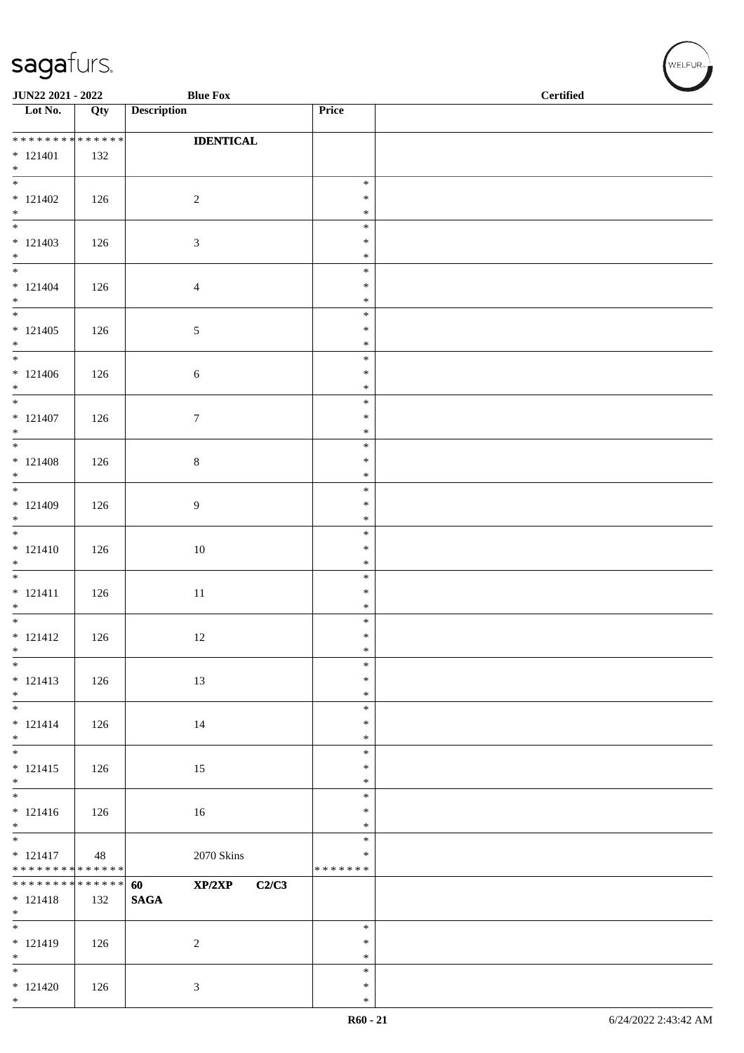\*

| JUN22 2021 - 2022<br><b>Blue Fox</b>       |     |                                      | <b>Certified</b> |  |
|--------------------------------------------|-----|--------------------------------------|------------------|--|
| $\overline{\phantom{1}}$ Lot No.           | Qty | <b>Description</b>                   | Price            |  |
| * * * * * * * * * * * * * *                |     | <b>IDENTICAL</b>                     |                  |  |
| $* 121401$<br>$*$                          | 132 |                                      |                  |  |
| $\overline{\phantom{0}}$                   |     |                                      | $\ast$           |  |
| $* 121402$<br>$*$                          | 126 | $\overline{c}$                       | $\ast$<br>$\ast$ |  |
|                                            |     |                                      | $\ast$           |  |
| $* 121403$<br>$*$                          | 126 | 3                                    | $\ast$<br>$\ast$ |  |
|                                            |     |                                      | $\ast$           |  |
| $* 121404$<br>$*$                          | 126 | $\overline{4}$                       | $\ast$<br>$\ast$ |  |
|                                            |     |                                      | $\ast$           |  |
| $* 121405$<br>$*$                          | 126 | 5                                    | $\ast$<br>$\ast$ |  |
| $\overline{\phantom{0}}$                   |     |                                      | $\ast$           |  |
| $* 121406$<br>$*$                          | 126 | 6                                    | $\ast$<br>$\ast$ |  |
| $*$                                        |     |                                      | $\ast$<br>$\ast$ |  |
| $* 121407$<br>$*$                          | 126 | $\boldsymbol{7}$                     | $\ast$           |  |
| $* 121408$                                 |     | $\,8\,$                              | $\ast$<br>$\ast$ |  |
| $*$                                        | 126 |                                      | $\ast$           |  |
| $* 121409$                                 | 126 | 9                                    | $\ast$<br>$\ast$ |  |
| $*$                                        |     |                                      | $\ast$           |  |
| $* 121410$                                 | 126 | 10                                   | $\ast$<br>$\ast$ |  |
| $*$                                        |     |                                      | $\ast$           |  |
| $* 121411$                                 | 126 | 11                                   | $\ast$<br>$\ast$ |  |
| $*$                                        |     |                                      | $\ast$<br>$\ast$ |  |
| $* 121412$                                 | 126 | 12                                   | $\ast$           |  |
| $*$<br>$*$                                 |     |                                      | $\ast$<br>$\ast$ |  |
| $* 121413$                                 | 126 | 13                                   | $\ast$           |  |
| $*$                                        |     |                                      | $\ast$<br>$\ast$ |  |
| $* 121414$<br>$*$                          | 126 | 14                                   | $\ast$<br>$\ast$ |  |
|                                            |     |                                      | $\ast$           |  |
| $* 121415$<br>$*$                          | 126 | 15                                   | $\ast$<br>$\ast$ |  |
|                                            |     |                                      | $\ast$           |  |
| $* 121416$<br>$*$                          | 126 | 16                                   | $\ast$<br>$\ast$ |  |
| $* 121417$                                 |     |                                      | $\ast$<br>$\ast$ |  |
| * * * * * * * * * * * * * * *              | 48  | $2070~\rm{Skins}$                    | * * * * * * *    |  |
| ******** <mark>******</mark><br>$* 121418$ | 132 | XP/2XP<br>C2/C3<br>60<br><b>SAGA</b> |                  |  |
| $*$                                        |     |                                      |                  |  |
| $* 121419$                                 | 126 | $\sqrt{2}$                           | $\ast$<br>$\ast$ |  |
| $*$<br>$\overline{\phantom{0}}$            |     |                                      | $\ast$           |  |
| $* 121420$                                 | 126 | 3                                    | $\ast$<br>$\ast$ |  |
| $*$                                        |     |                                      | $\ast$           |  |

 $(\forall ELFUR_{\text{max}})$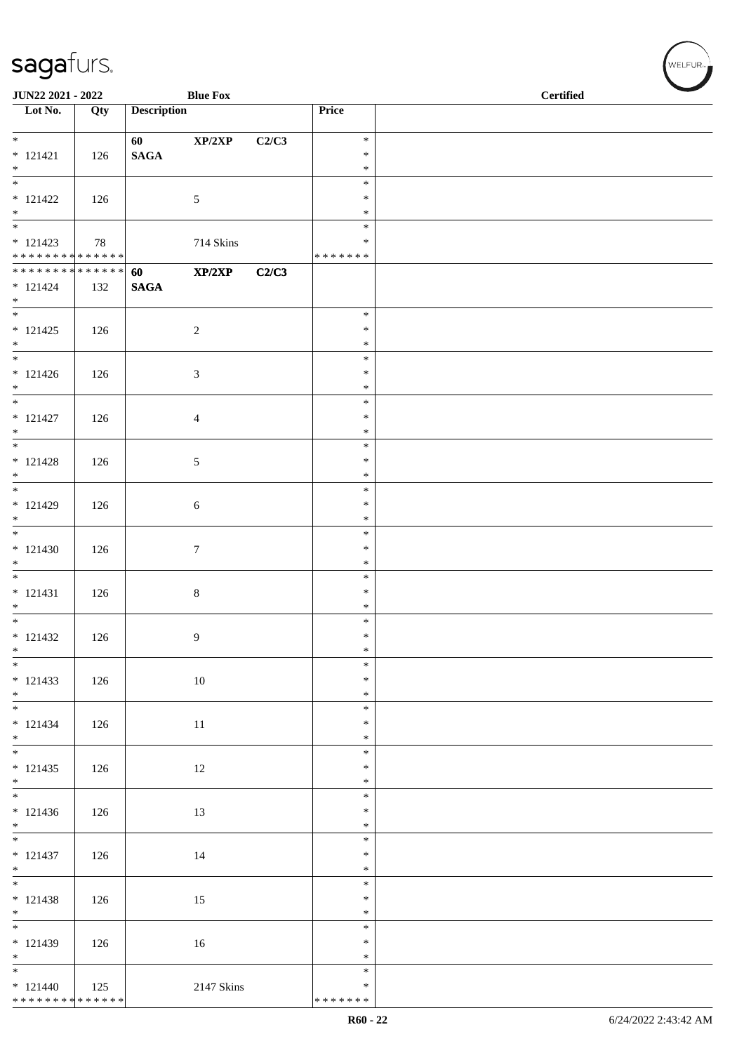| JUN22 2021 - 2022                          |     |                    | <b>Blue Fox</b>  |       |                    | <b>Certified</b> |  |
|--------------------------------------------|-----|--------------------|------------------|-------|--------------------|------------------|--|
| $\overline{\phantom{1}}$ Lot No.           | Qty | <b>Description</b> |                  |       | Price              |                  |  |
| $\overline{\phantom{0}}$                   |     | 60                 | XP/2XP           | C2/C3 | $\ast$             |                  |  |
| $* 121421$                                 | 126 | $\mathbf{SAGA}$    |                  |       | $\ast$             |                  |  |
| $*$<br>$\frac{1}{*}$                       |     |                    |                  |       | $\ast$             |                  |  |
| $* 121422$                                 | 126 |                    | $\sqrt{5}$       |       | $\ast$<br>$\ast$   |                  |  |
| $\ast$                                     |     |                    |                  |       | $\ast$             |                  |  |
|                                            |     |                    |                  |       | $\ast$             |                  |  |
| $* 121423$<br>******** <mark>******</mark> | 78  |                    | 714 Skins        |       | ∗<br>* * * * * * * |                  |  |
| ******** <mark>******</mark>               |     | 60                 | XP/2XP           | C2/C3 |                    |                  |  |
| $* 121424$<br>$*$                          | 132 | $\mathbf{SAGA}$    |                  |       |                    |                  |  |
| $_{\ast}^{-}$                              |     |                    |                  |       | $\ast$             |                  |  |
| $* 121425$                                 | 126 |                    | $\sqrt{2}$       |       | $\ast$             |                  |  |
| $*$<br>$*$                                 |     |                    |                  |       | $\ast$<br>$\ast$   |                  |  |
| $* 121426$                                 | 126 |                    | $\mathfrak{Z}$   |       | $\ast$             |                  |  |
| $*$                                        |     |                    |                  |       | $\ast$             |                  |  |
| $\overline{\ast}$<br>$* 121427$            | 126 |                    | $\overline{4}$   |       | $\ast$<br>$\ast$   |                  |  |
| $\ast$                                     |     |                    |                  |       | $\ast$             |                  |  |
| $\overline{\ast}$                          |     |                    |                  |       | $\ast$             |                  |  |
| $* 121428$<br>$\ast$                       | 126 |                    | $\sqrt{5}$       |       | $\ast$<br>$\ast$   |                  |  |
|                                            |     |                    |                  |       | $\ast$             |                  |  |
| $* 121429$<br>$\ast$                       | 126 |                    | $6\,$            |       | $\ast$<br>$\ast$   |                  |  |
| $\overline{\phantom{a}^*}$                 |     |                    |                  |       | $\ast$             |                  |  |
| $* 121430$                                 | 126 |                    | $\boldsymbol{7}$ |       | $\ast$             |                  |  |
| $\ast$<br>$\frac{1}{1}$                    |     |                    |                  |       | $\ast$<br>$\ast$   |                  |  |
| $* 121431$                                 | 126 |                    | $\,8\,$          |       | $\ast$             |                  |  |
| $\ast$                                     |     |                    |                  |       | $\ast$             |                  |  |
| $*$<br>$* 121432$                          | 126 |                    | $\overline{9}$   |       | $\ast$<br>$\ast$   |                  |  |
| $\ast$                                     |     |                    |                  |       | $\ast$             |                  |  |
| $\overline{\phantom{0}}$                   |     |                    |                  |       | $\ast$             |                  |  |
| $* 121433$<br>$*$                          | 126 |                    | $10\,$           |       | $\ast$<br>$\ast$   |                  |  |
| $\overline{\phantom{0}}$                   |     |                    |                  |       | $\ast$             |                  |  |
| $* 121434$                                 | 126 |                    | $11\,$           |       | $\ast$             |                  |  |
| $*$<br>$\overline{\phantom{0}}$            |     |                    |                  |       | $\ast$<br>$\ast$   |                  |  |
| $* 121435$                                 | 126 |                    | 12               |       | $\ast$             |                  |  |
| $\ast$<br>$\overline{\phantom{0}}$         |     |                    |                  |       | $\ast$<br>$\ast$   |                  |  |
| $* 121436$                                 | 126 |                    | 13               |       | $\ast$             |                  |  |
| $\ast$                                     |     |                    |                  |       | $\ast$             |                  |  |
| $\overline{\phantom{0}}$<br>$* 121437$     |     |                    | 14               |       | $\ast$<br>$\ast$   |                  |  |
| $*$                                        | 126 |                    |                  |       | $\ast$             |                  |  |
| $\overline{\phantom{0}}$                   |     |                    |                  |       | $\ast$             |                  |  |
| $* 121438$<br>$*$                          | 126 |                    | 15               |       | $\ast$<br>$\ast$   |                  |  |
| $\overline{\phantom{a}^*}$                 |     |                    |                  |       | $\ast$             |                  |  |
| $* 121439$                                 | 126 |                    | 16               |       | $\ast$             |                  |  |
| $\ast$<br>$\frac{1}{*}$                    |     |                    |                  |       | $\ast$<br>$\ast$   |                  |  |
| $* 121440$                                 | 125 |                    | 2147 Skins       |       | $\ast$             |                  |  |
| ******** <mark>******</mark>               |     |                    |                  |       | * * * * * * *      |                  |  |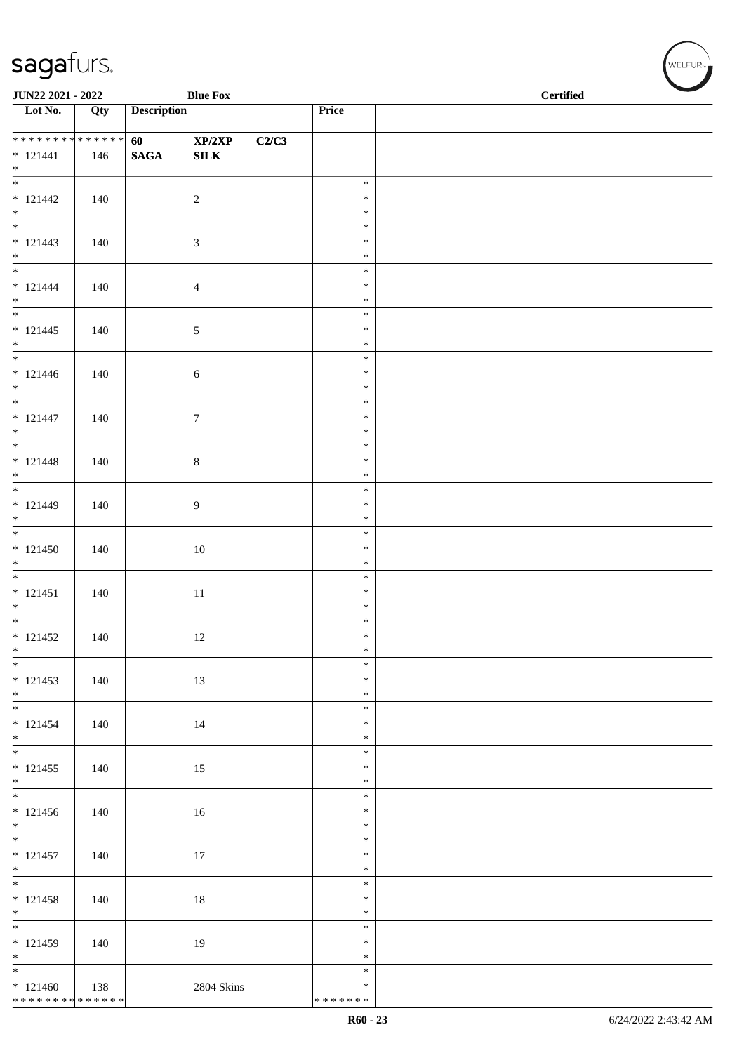| JUN22 2021 - 2022                          |     |                         | <b>Blue Fox</b>  |       |                  | <b>Certified</b> |
|--------------------------------------------|-----|-------------------------|------------------|-------|------------------|------------------|
| $\overline{\phantom{1}}$ Lot No.           | Qty | <b>Description</b>      |                  |       | Price            |                  |
| **************                             |     | <b>60</b> and <b>60</b> | XP/2XP           | C2/C3 |                  |                  |
| $* 121441$                                 | 146 | <b>SAGA</b>             | ${\bf SILK}$     |       |                  |                  |
| $*$<br>$\overline{\phantom{1}}$            |     |                         |                  |       | $\ast$           |                  |
| $* 121442$                                 | 140 |                         | $\sqrt{2}$       |       | $\ast$           |                  |
| $\ast$                                     |     |                         |                  |       | $\ast$           |                  |
| $\overline{\phantom{0}}$                   |     |                         |                  |       | $\ast$<br>$\ast$ |                  |
| $* 121443$<br>$\ast$                       | 140 |                         | $\mathfrak{Z}$   |       | $\ast$           |                  |
| $\overline{\phantom{0}}$                   |     |                         |                  |       | $\ast$           |                  |
| $* 121444$<br>$*$                          | 140 |                         | $\overline{4}$   |       | $\ast$<br>$\ast$ |                  |
| $\overline{\phantom{a}^*}$                 |     |                         |                  |       | $\ast$           |                  |
| $* 121445$                                 | 140 |                         | $\sqrt{5}$       |       | $\ast$           |                  |
| $*$<br>$\overline{\phantom{0}}$            |     |                         |                  |       | $\ast$<br>$\ast$ |                  |
| $* 121446$                                 | 140 |                         | $\sqrt{6}$       |       | $\ast$           |                  |
| $*$                                        |     |                         |                  |       | $\ast$           |                  |
| $\overline{\phantom{0}}$                   |     |                         |                  |       | $\ast$<br>$\ast$ |                  |
| $* 121447$<br>$*$                          | 140 |                         | $\boldsymbol{7}$ |       | $\ast$           |                  |
| $\overline{\phantom{a}^*}$                 |     |                         |                  |       | $\ast$           |                  |
| $* 121448$<br>$*$                          | 140 |                         | $\,8\,$          |       | $\ast$<br>$\ast$ |                  |
| $\overline{\phantom{0}}$                   |     |                         |                  |       | $\ast$           |                  |
| $* 121449$                                 | 140 |                         | $\overline{9}$   |       | $\ast$           |                  |
| $*$ $*$                                    |     |                         |                  |       | $\ast$<br>$\ast$ |                  |
| $* 121450$                                 | 140 |                         | $10\,$           |       | $\ast$           |                  |
| $\ast$                                     |     |                         |                  |       | $\ast$           |                  |
| $\overline{\phantom{a}^*}$<br>$* 121451$   | 140 |                         |                  |       | $\ast$<br>$\ast$ |                  |
| $*$                                        |     |                         | $11\,$           |       | $\ast$           |                  |
|                                            |     |                         |                  |       | $\ast$           |                  |
| $* 121452$<br>$\ast$                       | 140 |                         | 12               |       | $\ast$<br>$\ast$ |                  |
| $\ast$                                     |     |                         |                  |       | $\ast$           |                  |
| $* 121453$                                 | 140 |                         | 13               |       | $\ast$           |                  |
| $*$<br>$\overline{\phantom{a}^*}$          |     |                         |                  |       | $\ast$<br>$\ast$ |                  |
| $* 121454$                                 | 140 |                         | 14               |       | $\ast$           |                  |
| $*$<br>$\overline{\phantom{a}^*}$          |     |                         |                  |       | $\ast$           |                  |
| $* 121455$                                 | 140 |                         | 15               |       | $\ast$<br>$\ast$ |                  |
| $\ast$                                     |     |                         |                  |       | $\ast$           |                  |
| $\overline{\phantom{0}}$                   |     |                         |                  |       | $\ast$           |                  |
| $* 121456$<br>$\ast$                       | 140 |                         | 16               |       | $\ast$<br>$\ast$ |                  |
| $\overline{\phantom{0}}$                   |     |                         |                  |       | $\ast$           |                  |
| $* 121457$                                 | 140 |                         | 17               |       | $\ast$           |                  |
| $*$<br>$\overline{\phantom{0}}$            |     |                         |                  |       | $\ast$<br>$\ast$ |                  |
| $* 121458$                                 | 140 |                         | $18\,$           |       | $\ast$           |                  |
| $\ast$<br>$\overline{\phantom{1}}$         |     |                         |                  |       | $\ast$<br>$\ast$ |                  |
| $* 121459$                                 | 140 |                         | 19               |       | $\ast$           |                  |
| $*$                                        |     |                         |                  |       | $\ast$           |                  |
| $\overline{\phantom{0}}$                   |     |                         |                  |       | $\ast$<br>$\ast$ |                  |
| $* 121460$<br>******** <mark>******</mark> | 138 |                         | $2804~\rm Skins$ |       | * * * * * * *    |                  |
|                                            |     |                         |                  |       |                  |                  |

 $(\overbrace{\text{WELFUR}_{\text{max}}})$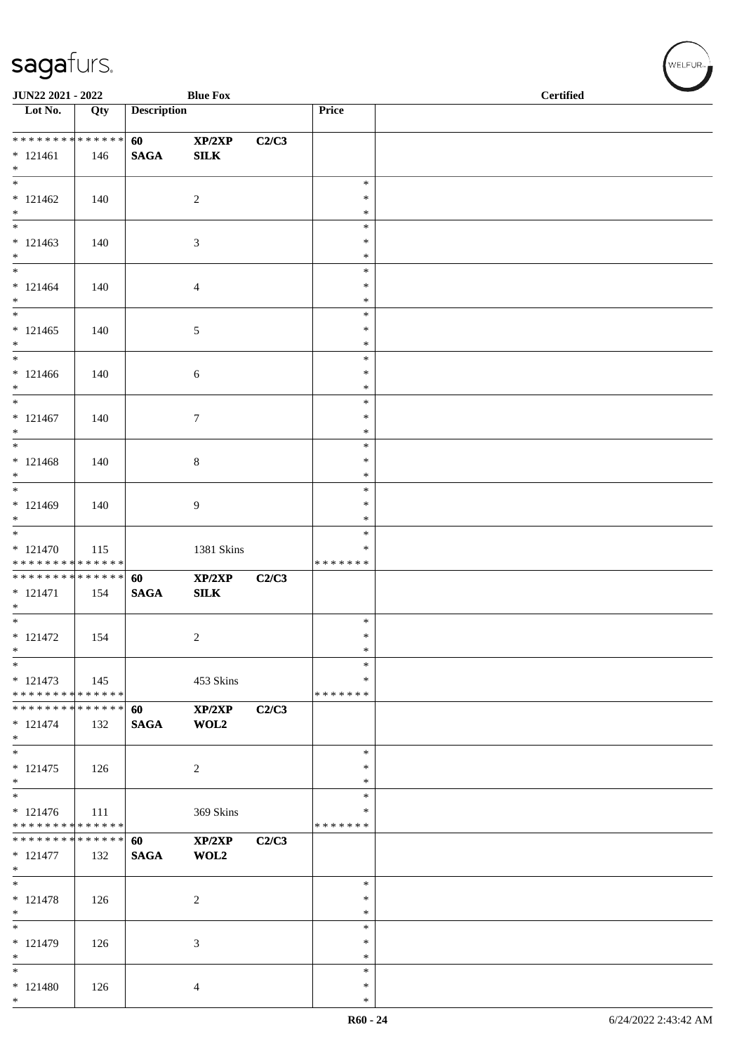| JUN22 2021 - 2022                                                     |     |                       | <b>Blue Fox</b> |       |                                   | <b>Certified</b> |
|-----------------------------------------------------------------------|-----|-----------------------|-----------------|-------|-----------------------------------|------------------|
| $\overline{\phantom{1}}$ Lot No.                                      | Qty | <b>Description</b>    |                 |       | Price                             |                  |
| ******** <mark>******</mark><br>$* 121461$<br>$*$                     | 146 | 60<br>$\mathbf{SAGA}$ | XP/2XP<br>SLK   | C2/C3 |                                   |                  |
| $\overline{\phantom{0}}$<br>$* 121462$<br>$*$                         | 140 |                       | $\overline{c}$  |       | $\ast$<br>$\ast$<br>$\ast$        |                  |
| $* 121463$<br>$*$                                                     | 140 |                       | 3               |       | $\ast$<br>$\ast$<br>$\ast$        |                  |
| $* 121464$<br>$*$                                                     | 140 |                       | 4               |       | $\ast$<br>$\ast$<br>$\ast$        |                  |
| $\overline{\phantom{0}}$<br>$* 121465$<br>$*$                         | 140 |                       | 5               |       | $\ast$<br>$\ast$<br>$\ast$        |                  |
| $\overline{\phantom{0}}$<br>$* 121466$<br>$*$                         | 140 |                       | 6               |       | $\ast$<br>$\ast$<br>$\ast$        |                  |
| $*$<br>$* 121467$<br>$*$                                              | 140 |                       | 7               |       | $\ast$<br>$\ast$<br>$\ast$        |                  |
| $\overline{\phantom{0}}$<br>$* 121468$<br>$*$                         | 140 |                       | $8\,$           |       | $\ast$<br>$\ast$<br>$\ast$        |                  |
| $* 121469$<br>$\ast$                                                  | 140 |                       | 9               |       | $\ast$<br>$\ast$<br>$\ast$        |                  |
| $* 121470$<br>* * * * * * * * * * * * * *                             | 115 |                       | 1381 Skins      |       | $\ast$<br>$\ast$<br>* * * * * * * |                  |
| ******** <mark>******</mark><br>$* 121471$<br>$*$                     | 154 | 60<br>$\mathbf{SAGA}$ | XP/2XP<br>SLK   | C2/C3 |                                   |                  |
| $\overline{\ast}$<br>$* 121472$<br>$*$                                | 154 |                       | $\overline{c}$  |       | $\ast$<br>$\ast$<br>$\ast$        |                  |
| $\ast$<br>$* 121473$<br>* * * * * * * * * * * * * *                   | 145 |                       | 453 Skins       |       | $\ast$<br>$\ast$<br>* * * * * * * |                  |
| * * * * * * * * * * * * * * *<br>$* 121474$<br>$*$                    | 132 | 60<br><b>SAGA</b>     | XP/2XP<br>WOL2  | C2/C3 |                                   |                  |
| $\overline{\phantom{0}}$<br>$* 121475$<br>$*$                         | 126 |                       | 2               |       | $\ast$<br>∗<br>$\ast$             |                  |
| $\overline{\phantom{0}}$<br>$* 121476$<br>* * * * * * * * * * * * * * | 111 |                       | 369 Skins       |       | $\ast$<br>$\ast$<br>* * * * * * * |                  |
| * * * * * * * * * * * * * *<br>$* 121477$<br>$*$                      | 132 | 60<br><b>SAGA</b>     | XP/2XP<br>WOL2  | C2/C3 |                                   |                  |
| $*$<br>$* 121478$<br>$*$                                              | 126 |                       | $\overline{c}$  |       | $\ast$<br>$\ast$<br>$\ast$        |                  |
| $\overline{\ast}$<br>$* 121479$<br>$*$                                | 126 |                       | 3               |       | $\ast$<br>$\ast$<br>$\ast$        |                  |
| $*$<br>$* 121480$<br>$*$                                              | 126 |                       | 4               |       | $\ast$<br>$\ast$<br>$\ast$        |                  |

、<br>WELFUR<sub>™</sub>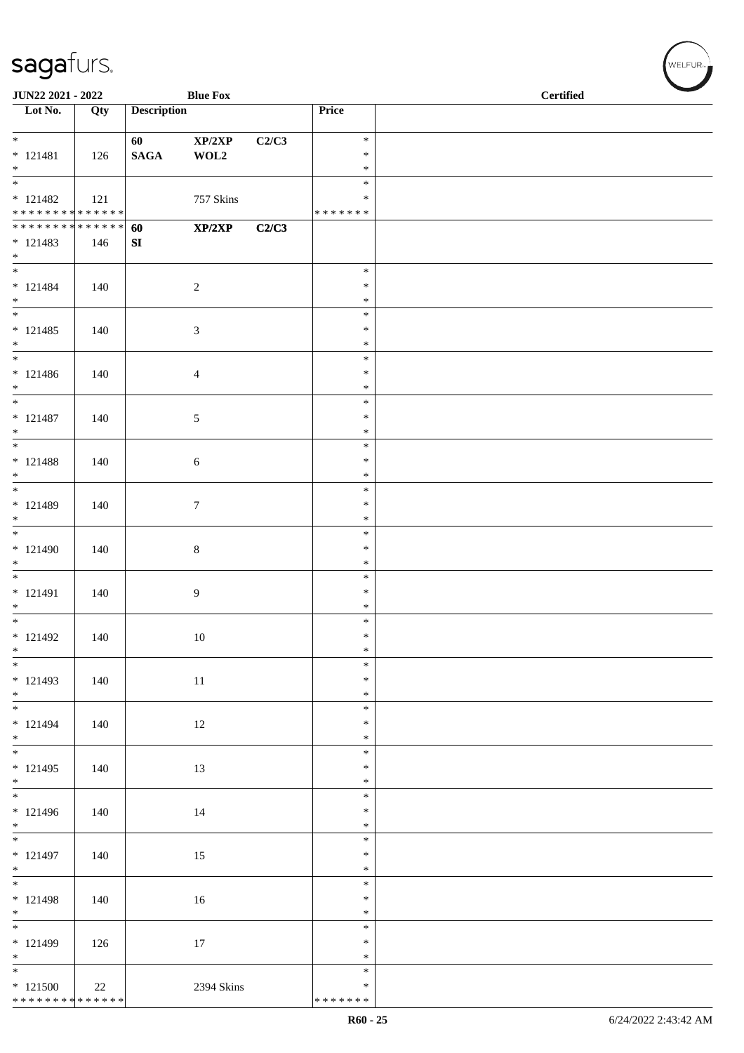| JUN22 2021 - 2022                          |     |                    | <b>Blue Fox</b>            |       |                    | <b>Certified</b> |  |  |
|--------------------------------------------|-----|--------------------|----------------------------|-------|--------------------|------------------|--|--|
| $\overline{\phantom{1}}$ Lot No.           | Qty | <b>Description</b> |                            |       | Price              |                  |  |  |
| $\overline{\ast}$                          |     | 60                 | $\mathbf{XP}/2\mathbf{XP}$ | C2/C3 | $\ast$             |                  |  |  |
| $* 121481$                                 | 126 | $\mathbf{SAGA}$    | WOL2                       |       | $\ast$             |                  |  |  |
| $*$<br>$\frac{1}{1}$                       |     |                    |                            |       | $\ast$             |                  |  |  |
| $* 121482$                                 | 121 |                    | 757 Skins                  |       | $\ast$<br>$\ast$   |                  |  |  |
| ******** <mark>******</mark>               |     |                    |                            |       | * * * * * * *      |                  |  |  |
| ******** <mark>******</mark>               |     | 60                 | XP/2XP                     | C2/C3 |                    |                  |  |  |
| $* 121483$<br>$*$                          | 146 | SI                 |                            |       |                    |                  |  |  |
| $\overline{\phantom{0}}$                   |     |                    |                            |       | $\ast$             |                  |  |  |
| $* 121484$                                 | 140 |                    | $\sqrt{2}$                 |       | $\ast$             |                  |  |  |
| $*$                                        |     |                    |                            |       | $\ast$<br>$\ast$   |                  |  |  |
| $* 121485$                                 | 140 |                    | $\mathfrak{Z}$             |       | $\ast$             |                  |  |  |
| $*$                                        |     |                    |                            |       | $\ast$             |                  |  |  |
| $*$                                        |     |                    |                            |       | $\ast$             |                  |  |  |
| $* 121486$<br>$*$                          | 140 |                    | $\overline{4}$             |       | $\ast$<br>$\ast$   |                  |  |  |
| $*$                                        |     |                    |                            |       | $\ast$             |                  |  |  |
| $* 121487$                                 | 140 |                    | 5                          |       | $\ast$             |                  |  |  |
| $*$                                        |     |                    |                            |       | $\ast$<br>$\ast$   |                  |  |  |
| $* 121488$                                 | 140 |                    | 6                          |       | $\ast$             |                  |  |  |
| $*$                                        |     |                    |                            |       | $\ast$             |                  |  |  |
| $* 121489$                                 |     |                    |                            |       | $\ast$<br>$\ast$   |                  |  |  |
| $*$                                        | 140 |                    | $\tau$                     |       | $\ast$             |                  |  |  |
|                                            |     |                    |                            |       | $\ast$             |                  |  |  |
| $* 121490$                                 | 140 |                    | $\,8\,$                    |       | $\ast$             |                  |  |  |
| $*$                                        |     |                    |                            |       | $\ast$<br>$\ast$   |                  |  |  |
| $* 121491$                                 | 140 |                    | 9                          |       | $\ast$             |                  |  |  |
| $*$                                        |     |                    |                            |       | $\ast$             |                  |  |  |
| $*$<br>$* 121492$                          | 140 |                    | $10\,$                     |       | $\ast$<br>$\ast$   |                  |  |  |
| $*$                                        |     |                    |                            |       | $\ast$             |                  |  |  |
| $*$                                        |     |                    |                            |       | $\ast$             |                  |  |  |
| $* 121493$<br>$*$                          | 140 |                    | 11                         |       | $\ast$<br>$\ast$   |                  |  |  |
|                                            |     |                    |                            |       | $\ast$             |                  |  |  |
| $* 121494$                                 | 140 |                    | 12                         |       | $\ast$             |                  |  |  |
| $*$<br>$*$                                 |     |                    |                            |       | $\ast$<br>$\ast$   |                  |  |  |
| $* 121495$                                 | 140 |                    | 13                         |       | $\ast$             |                  |  |  |
| $*$                                        |     |                    |                            |       | $\ast$             |                  |  |  |
|                                            |     |                    |                            |       | $\ast$<br>$\ast$   |                  |  |  |
| $* 121496$<br>$*$                          | 140 |                    | 14                         |       | $\ast$             |                  |  |  |
|                                            |     |                    |                            |       | $\ast$             |                  |  |  |
| $* 121497$                                 | 140 |                    | 15                         |       | $\ast$             |                  |  |  |
| $*$                                        |     |                    |                            |       | $\ast$<br>$\ast$   |                  |  |  |
| $* 121498$                                 | 140 |                    | 16                         |       | $\ast$             |                  |  |  |
| $*$                                        |     |                    |                            |       | $\ast$             |                  |  |  |
| $* 121499$                                 | 126 |                    | 17                         |       | $\ast$<br>$\ast$   |                  |  |  |
| $*$                                        |     |                    |                            |       | $\ast$             |                  |  |  |
| $\overline{\phantom{0}}$                   |     |                    |                            |       | $\ast$             |                  |  |  |
| $*121500$<br>* * * * * * * * * * * * * * * | 22  |                    | 2394 Skins                 |       | ∗<br>* * * * * * * |                  |  |  |
|                                            |     |                    |                            |       |                    |                  |  |  |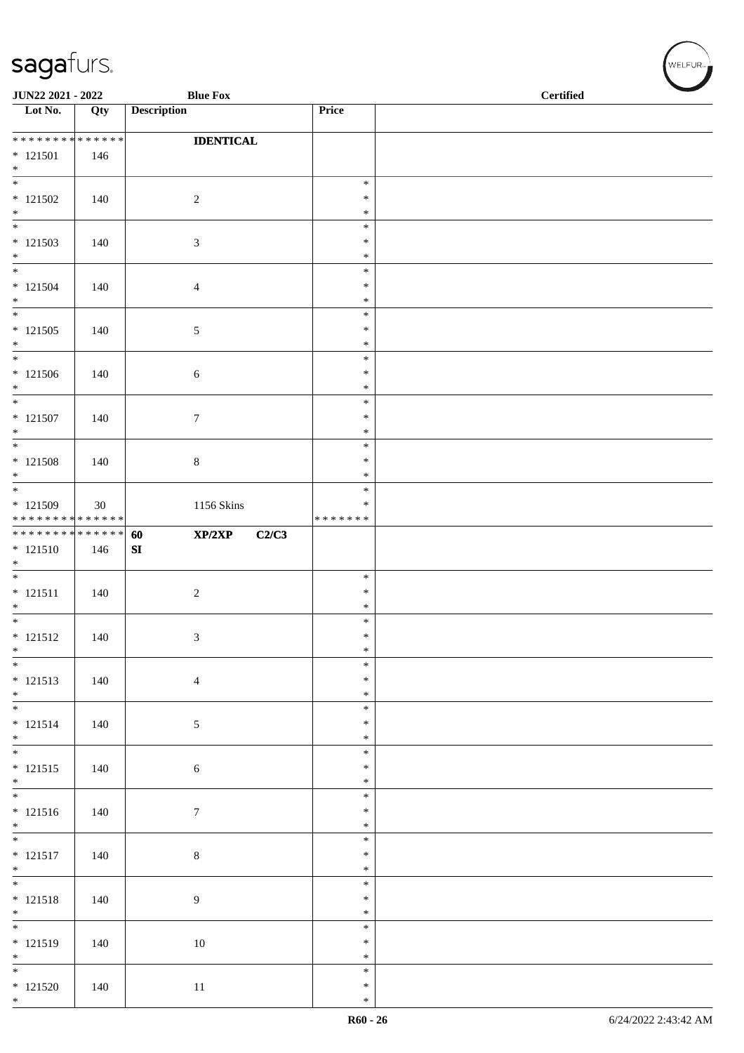| JUN22 2021 - 2022                        |     | <b>Blue Fox</b>       |                    | <b>Certified</b> |  |
|------------------------------------------|-----|-----------------------|--------------------|------------------|--|
| $\overline{\phantom{1}}$ Lot No.         | Qty | <b>Description</b>    | Price              |                  |  |
| ******** <mark>******</mark>             |     | <b>IDENTICAL</b>      |                    |                  |  |
| $* 121501$<br>$*$                        | 146 |                       |                    |                  |  |
| $\overline{\phantom{0}}$                 |     |                       | $\ast$             |                  |  |
| $* 121502$<br>$*$                        | 140 | $\sqrt{2}$            | $\ast$<br>$\ast$   |                  |  |
| $\overline{\phantom{0}}$<br>$*121503$    | 140 | $\mathfrak{Z}$        | $\ast$<br>$\ast$   |                  |  |
| $*$                                      |     |                       | $\ast$             |                  |  |
| $\overline{\phantom{0}}$<br>$* 121504$   | 140 | $\overline{4}$        | $\ast$<br>∗        |                  |  |
| $*$<br>$\overline{\phantom{a}^*}$        |     |                       | $\ast$             |                  |  |
| $* 121505$                               | 140 | $\sqrt{5}$            | $\ast$<br>$\ast$   |                  |  |
| $*$<br>$\overline{\phantom{0}}$          |     |                       | $\ast$<br>$\ast$   |                  |  |
| $* 121506$                               | 140 | $\sqrt{6}$            | $\ast$             |                  |  |
| $*$<br>$*$                               |     |                       | $\ast$<br>$\ast$   |                  |  |
| $* 121507$                               | 140 | $\boldsymbol{7}$      | $\ast$             |                  |  |
| $*$<br>$\overline{\phantom{0}}$          |     |                       | $\ast$<br>$\ast$   |                  |  |
| $* 121508$<br>$*$                        | 140 | $\,8\,$               | $\ast$<br>$\ast$   |                  |  |
|                                          |     |                       | $\ast$             |                  |  |
| $*121509$<br>* * * * * * * * * * * * * * | 30  | 1156 Skins            | ∗<br>* * * * * * * |                  |  |
| ******** <mark>******</mark>             |     | XP/2XP<br>C2/C3<br>60 |                    |                  |  |
| $* 121510$<br>$\ast$                     | 146 | SI                    |                    |                  |  |
| $* 121511$                               | 140 | $\sqrt{2}$            | $\ast$<br>$\ast$   |                  |  |
| $\ast$<br>$\overline{\phantom{0}}$       |     |                       | $\ast$             |                  |  |
| $* 121512$                               | 140 | $\mathfrak{Z}$        | $\ast$<br>$\ast$   |                  |  |
| $\ast$<br>$\ast$                         |     |                       | $\ast$<br>$\ast$   |                  |  |
| $* 121513$                               | 140 | $\overline{4}$        | $\ast$             |                  |  |
| $*$<br>$\overline{\phantom{0}}$          |     |                       | $\ast$<br>$\ast$   |                  |  |
| $* 121514$                               | 140 | $\sqrt{5}$            | $\ast$             |                  |  |
| $*$                                      |     |                       | $\ast$<br>$\ast$   |                  |  |
| $* 121515$<br>$*$                        | 140 | $\sqrt{6}$            | $\ast$<br>$\ast$   |                  |  |
|                                          |     |                       | $\ast$             |                  |  |
| $* 121516$<br>$*$                        | 140 | $\boldsymbol{7}$      | $\ast$<br>$\ast$   |                  |  |
|                                          |     |                       | $\ast$             |                  |  |
| $* 121517$<br>$*$                        | 140 | $8\,$                 | $\ast$<br>$\ast$   |                  |  |
| $\overline{\ast}$                        |     |                       | $\ast$<br>$\ast$   |                  |  |
| $* 121518$<br>$*$                        | 140 | $\boldsymbol{9}$      | $\ast$             |                  |  |
| $* 121519$                               | 140 | 10                    | $\ast$<br>$\ast$   |                  |  |
| $*$<br>$\overline{\ast}$                 |     |                       | $\ast$             |                  |  |
| $*121520$                                | 140 | 11                    | $\ast$<br>$\ast$   |                  |  |
| $*$                                      |     |                       | $\ast$             |                  |  |

WELFUR<sub><sup>N</sup></sub>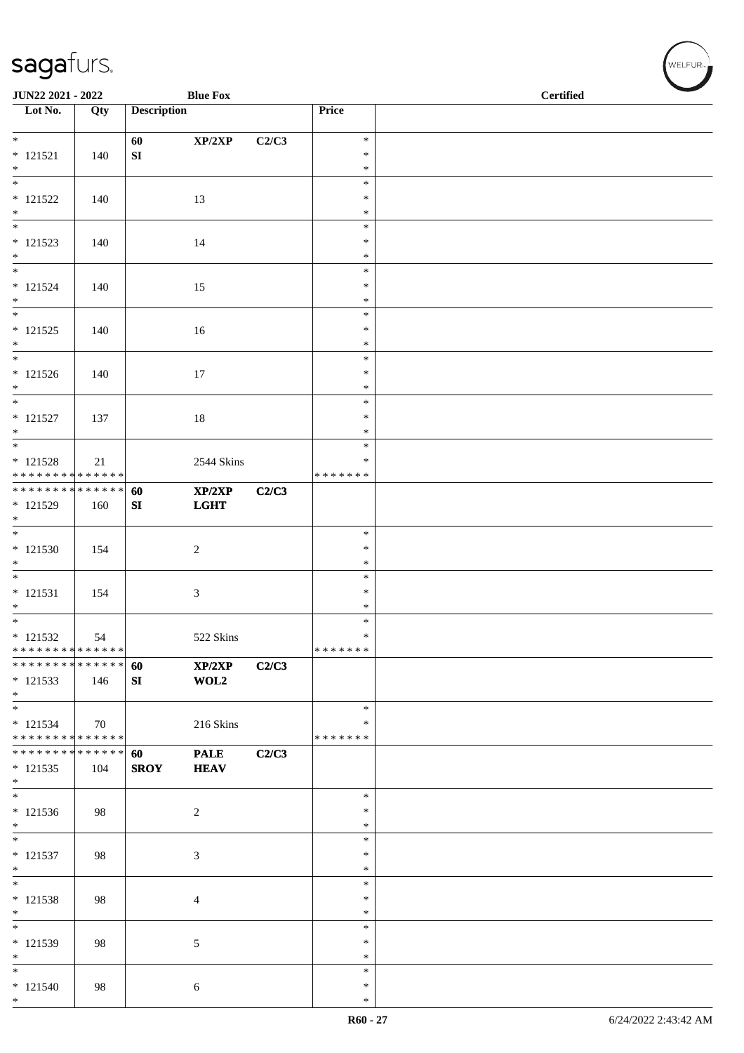| JUN22 2021 - 2022                           |     |                    | <b>Blue Fox</b> |       |                  | <b>Certified</b> |
|---------------------------------------------|-----|--------------------|-----------------|-------|------------------|------------------|
| Lot No.                                     | Qty | <b>Description</b> |                 |       | Price            |                  |
| $*$                                         |     | 60                 | XP/2XP          | C2/C3 | $\ast$           |                  |
| $* 121521$                                  | 140 | SI                 |                 |       | $\ast$           |                  |
| $*$<br>$\overline{\phantom{0}}$             |     |                    |                 |       | $\ast$<br>$\ast$ |                  |
| $* 121522$                                  | 140 |                    | 13              |       | $\ast$           |                  |
| $*$                                         |     |                    |                 |       | $\ast$           |                  |
| $\overline{\phantom{0}}$<br>$* 121523$      |     |                    |                 |       | $\ast$<br>$\ast$ |                  |
| $*$                                         | 140 |                    | 14              |       | $\ast$           |                  |
|                                             |     |                    |                 |       | $\ast$           |                  |
| $* 121524$<br>$*$                           | 140 |                    | 15              |       | $\ast$<br>$\ast$ |                  |
| $\overline{\phantom{0}}$                    |     |                    |                 |       | $\ast$           |                  |
| $* 121525$                                  | 140 |                    | 16              |       | $\ast$           |                  |
| $*$<br>$\overline{\phantom{0}}$             |     |                    |                 |       | $\ast$<br>$\ast$ |                  |
| $* 121526$                                  | 140 |                    | 17              |       | $\ast$           |                  |
| $*$<br>$*$                                  |     |                    |                 |       | $\ast$<br>$\ast$ |                  |
| $* 121527$                                  | 137 |                    | 18              |       | $\ast$           |                  |
| $*$                                         |     |                    |                 |       | $\ast$           |                  |
| $* 121528$                                  | 21  |                    | 2544 Skins      |       | $\ast$<br>$\ast$ |                  |
| * * * * * * * * * * * * * *                 |     |                    |                 |       | * * * * * * *    |                  |
| ******** <mark>******</mark>                |     | 60                 | XP/2XP          | C2/C3 |                  |                  |
| $* 121529$<br>$\ast$                        | 160 | SI                 | <b>LGHT</b>     |       |                  |                  |
|                                             |     |                    |                 |       | $\ast$           |                  |
| $* 121530$<br>$\ast$                        | 154 |                    | $\overline{c}$  |       | $\ast$<br>$\ast$ |                  |
|                                             |     |                    |                 |       | $\ast$           |                  |
| $* 121531$                                  | 154 |                    | 3               |       | $\ast$           |                  |
| $*$<br>$\overline{\phantom{0}}$             |     |                    |                 |       | $\ast$<br>$\ast$ |                  |
| $* 121532$                                  | 54  |                    | 522 Skins       |       | $\ast$           |                  |
| * * * * * * * * * * * * * *                 |     |                    |                 |       | *******          |                  |
| * * * * * * * * * * * * * * *<br>$* 121533$ | 146 | 60<br>SI           | XP/2XP<br>WOL2  | C2/C3 |                  |                  |
| $*$                                         |     |                    |                 |       |                  |                  |
| $*$                                         |     |                    |                 |       | $\ast$<br>$\ast$ |                  |
| $* 121534$<br>* * * * * * * * * * * * * *   | 70  |                    | 216 Skins       |       | * * * * * * *    |                  |
| * * * * * * * * * * * * * * *               |     | 60                 | <b>PALE</b>     | C2/C3 |                  |                  |
| $* 121535$<br>$*$                           | 104 | <b>SROY</b>        | <b>HEAV</b>     |       |                  |                  |
| $\ast$                                      |     |                    |                 |       | $\ast$           |                  |
| $* 121536$                                  | 98  |                    | 2               |       | ∗                |                  |
| $*$<br>$\overline{\phantom{0}}$             |     |                    |                 |       | $\ast$<br>$\ast$ |                  |
| $* 121537$                                  | 98  |                    | 3               |       | $\ast$           |                  |
| $*$<br>$*$                                  |     |                    |                 |       | *<br>$\ast$      |                  |
| $* 121538$                                  | 98  |                    | $\overline{4}$  |       | $\ast$           |                  |
| $*$                                         |     |                    |                 |       | $\ast$           |                  |
| $* 121539$                                  | 98  |                    | 5               |       | $\ast$<br>$\ast$ |                  |
| $*$                                         |     |                    |                 |       | $\ast$           |                  |
| $*$                                         |     |                    |                 |       | $\ast$           |                  |
| $* 121540$<br>$*$                           | 98  |                    | $\sqrt{6}$      |       | $\ast$<br>$\ast$ |                  |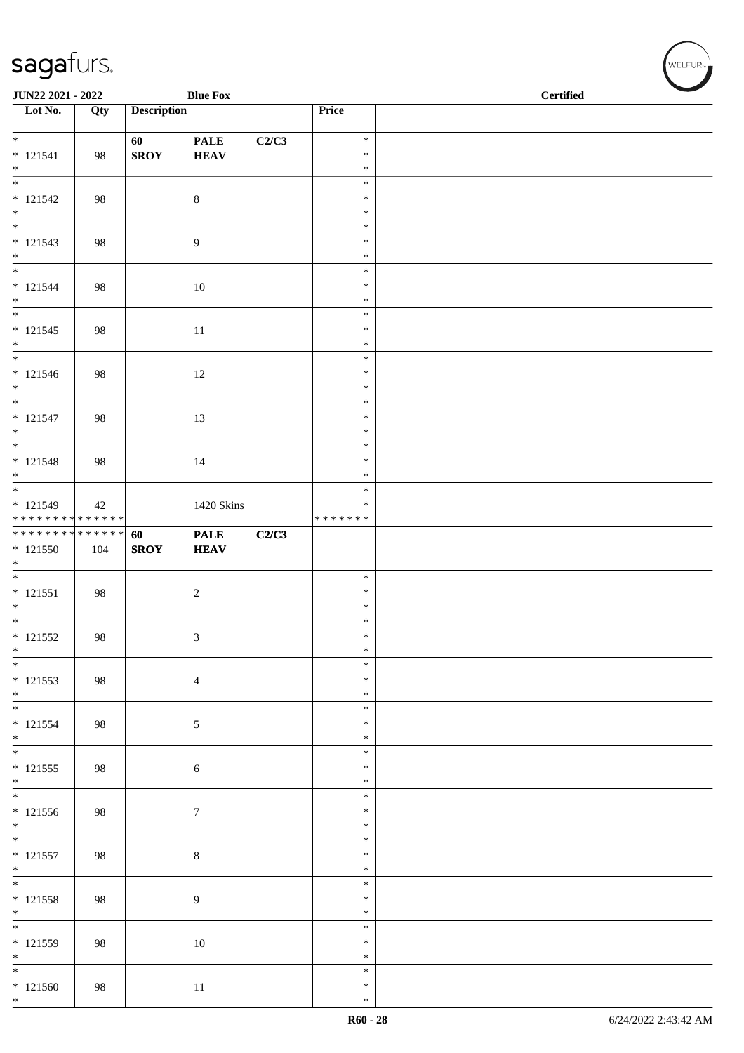| JUN22 2021 - 2022<br><b>Blue Fox</b>      |     |                    |                |       |                         | <b>Certified</b> |
|-------------------------------------------|-----|--------------------|----------------|-------|-------------------------|------------------|
| Lot No.                                   | Qty | <b>Description</b> |                |       | Price                   |                  |
| $*$                                       |     | 60                 | <b>PALE</b>    | C2/C3 | $\ast$                  |                  |
| $* 121541$                                | 98  | <b>SROY</b>        | <b>HEAV</b>    |       | $\ast$                  |                  |
| $*$<br>$\overline{\phantom{0}}$           |     |                    |                |       | $\ast$<br>$\ast$        |                  |
| $* 121542$                                | 98  |                    | $\,8\,$        |       | $\ast$                  |                  |
| $*$<br>$\overline{\phantom{0}}$           |     |                    |                |       | $\ast$<br>$\ast$        |                  |
| $* 121543$                                | 98  |                    | 9              |       | $\ast$                  |                  |
| $\ast$                                    |     |                    |                |       | $\ast$<br>$\ast$        |                  |
| $* 121544$                                | 98  |                    | 10             |       | $\ast$                  |                  |
| $*$                                       |     |                    |                |       | $\ast$                  |                  |
| $* 121545$                                | 98  |                    | 11             |       | $\ast$<br>$\ast$        |                  |
| $*$                                       |     |                    |                |       | $\ast$                  |                  |
| $\overline{\phantom{0}}$<br>$* 121546$    | 98  |                    | $12\,$         |       | $\ast$<br>$\ast$        |                  |
| $*$                                       |     |                    |                |       | $\ast$                  |                  |
| $*$<br>$* 121547$                         |     |                    |                |       | $\ast$<br>$\ast$        |                  |
| $*$                                       | 98  |                    | 13             |       | $\ast$                  |                  |
|                                           |     |                    |                |       | $\ast$                  |                  |
| $* 121548$<br>$*$                         | 98  |                    | 14             |       | $\ast$<br>$\ast$        |                  |
| $\overline{\phantom{0}}$                  |     |                    |                |       | $\ast$                  |                  |
| $* 121549$<br>* * * * * * * * * * * * * * | 42  |                    | 1420 Skins     |       | $\ast$<br>* * * * * * * |                  |
| * * * * * * * * * * * * * * *             |     | 60                 | <b>PALE</b>    | C2/C3 |                         |                  |
| $* 121550$<br>$\ast$                      | 104 | <b>SROY</b>        | <b>HEAV</b>    |       |                         |                  |
|                                           |     |                    |                |       | $\ast$                  |                  |
| $* 121551$<br>$*$                         | 98  |                    | $\sqrt{2}$     |       | $\ast$<br>$\ast$        |                  |
|                                           |     |                    |                |       | $\ast$                  |                  |
| $* 121552$                                | 98  |                    | 3              |       | $\ast$<br>$\ast$        |                  |
| $\ast$<br>$\ast$                          |     |                    |                |       | $\ast$                  |                  |
| $* 121553$                                | 98  |                    | $\overline{4}$ |       | $\ast$                  |                  |
| $*$<br>$\overline{\ast}$                  |     |                    |                |       | $\ast$<br>$\ast$        |                  |
| $* 121554$                                | 98  |                    | 5              |       | $\ast$                  |                  |
| $*$<br>$\overline{\ast}$                  |     |                    |                |       | $\ast$<br>$\ast$        |                  |
| $* 121555$                                | 98  |                    | 6              |       | $\ast$                  |                  |
| $*$<br>$\overline{\phantom{0}}$           |     |                    |                |       | $\ast$<br>$\ast$        |                  |
| $* 121556$                                | 98  |                    | $\tau$         |       | $\ast$                  |                  |
| $*$                                       |     |                    |                |       | $\ast$<br>$\ast$        |                  |
| $* 121557$                                | 98  |                    | $\,8\,$        |       | $\ast$                  |                  |
| $*$<br>$\overline{\phantom{0}}$           |     |                    |                |       | ∗                       |                  |
| $* 121558$                                | 98  |                    | $\overline{9}$ |       | $\ast$<br>$\ast$        |                  |
| $*$                                       |     |                    |                |       | $\ast$                  |                  |
| $\overline{\phantom{0}}$<br>$* 121559$    | 98  |                    | 10             |       | $\ast$<br>$\ast$        |                  |
| $*$                                       |     |                    |                |       | $\ast$                  |                  |
| $*$                                       |     |                    |                |       | $\ast$<br>$\ast$        |                  |
| $*121560$<br>$*$                          | 98  |                    | $11\,$         |       | $\ast$                  |                  |

、<br>WELFUR<sub>™</sub>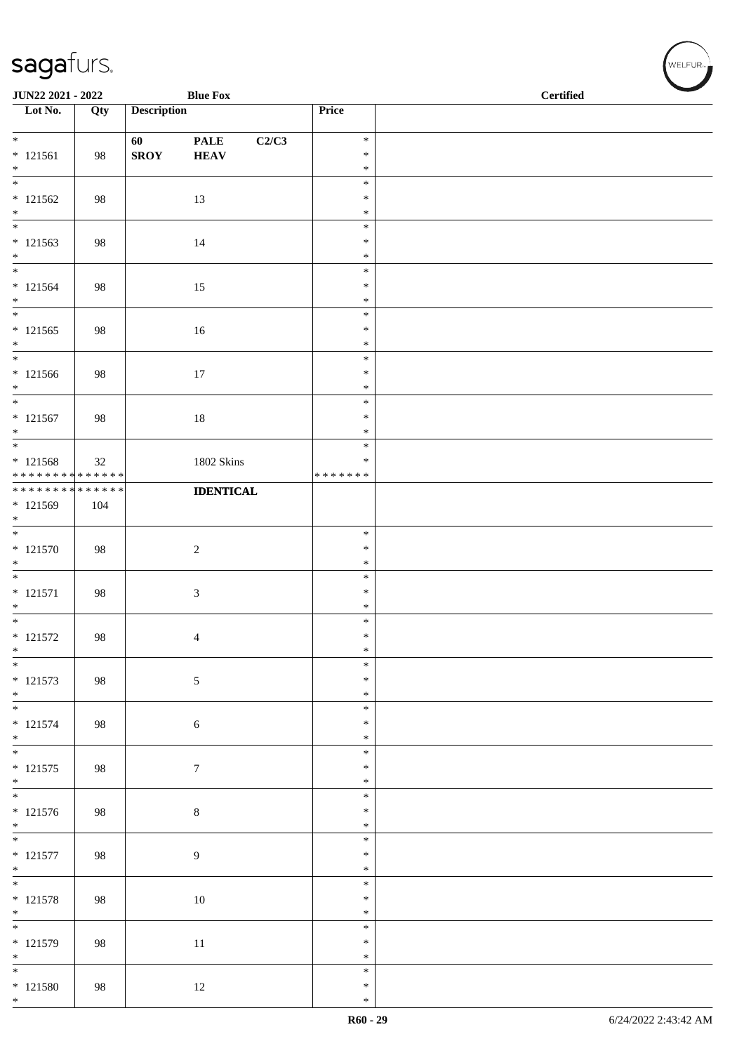| JUN22 2021 - 2022<br><b>Blue Fox</b>                                                 |     |                    |                                     |                                   | <b>Certified</b> |
|--------------------------------------------------------------------------------------|-----|--------------------|-------------------------------------|-----------------------------------|------------------|
| $\overline{\phantom{1}}$ Lot No.                                                     | Qty | <b>Description</b> |                                     | Price                             |                  |
| $*$<br>$* 121561$                                                                    | 98  | 60<br><b>SROY</b>  | <b>PALE</b><br>C2/C3<br><b>HEAV</b> | $\ast$<br>$\ast$                  |                  |
| $*$<br>$\overline{\ast}$                                                             |     |                    |                                     | $\ast$<br>$\ast$                  |                  |
| $* 121562$<br>$\ast$                                                                 | 98  |                    | 13                                  | $\ast$                            |                  |
| $\overline{\phantom{0}}$                                                             |     |                    |                                     | $\ast$<br>$\ast$                  |                  |
| $* 121563$<br>$*$                                                                    | 98  |                    | 14                                  | $\ast$<br>$\ast$                  |                  |
| $\overline{\phantom{0}}$<br>$* 121564$<br>$*$                                        | 98  |                    | 15                                  | $\ast$<br>$\ast$<br>$\ast$        |                  |
| $\overline{\phantom{0}}$<br>$* 121565$<br>$*$                                        | 98  |                    | 16                                  | $\ast$<br>$\ast$<br>$\ast$        |                  |
| $\overline{\phantom{0}}$<br>$* 121566$<br>$*$                                        | 98  |                    | $17\,$                              | $\ast$<br>$\ast$<br>$\ast$        |                  |
| $\overline{\ast}$<br>$* 121567$<br>$*$                                               | 98  |                    | $18\,$                              | $\ast$<br>$\ast$<br>$\ast$        |                  |
| $\overline{\phantom{0}}$<br>$* 121568$<br>* * * * * * * * <mark>* * * * * * *</mark> | 32  |                    | 1802 Skins                          | $\ast$<br>$\ast$<br>* * * * * * * |                  |
| ******** <mark>******</mark><br>* 121569<br>$\ast$                                   | 104 |                    | <b>IDENTICAL</b>                    |                                   |                  |
| $* 121570$<br>$*$                                                                    | 98  |                    | $\overline{c}$                      | $\ast$<br>$\ast$<br>$\ast$        |                  |
| $\overline{\phantom{0}}$<br>$* 121571$<br>$*$                                        | 98  |                    | $\mathfrak{Z}$                      | $\ast$<br>$\ast$<br>$\ast$        |                  |
| $* 121572$<br>$\ast$                                                                 | 98  |                    | $\overline{4}$                      | $\ast$<br>$\ast$<br>$\ast$        |                  |
| $\ast$<br>$* 121573$<br>$*$                                                          | 98  |                    | 5                                   | $\ast$<br>$\ast$<br>$\ast$        |                  |
| $\overline{\phantom{0}}$<br>$* 121574$<br>$*$                                        | 98  |                    | 6                                   | $\ast$<br>$\ast$<br>$\ast$        |                  |
| $\overline{\ast}$<br>$* 121575$<br>$*$                                               | 98  |                    | $\tau$                              | $\ast$<br>$\ast$<br>$\ast$        |                  |
| $\overline{\phantom{0}}$<br>$* 121576$<br>$*$                                        | 98  |                    | $\,8\,$                             | $\ast$<br>$\ast$<br>$\ast$        |                  |
| $\overline{\ast}$<br>$* 121577$<br>$*$                                               | 98  | $\overline{9}$     |                                     | $\ast$<br>$\ast$<br>$\ast$        |                  |
| $\overline{\ast}$<br>$* 121578$<br>$*$                                               | 98  |                    | $10\,$                              | $\ast$<br>$\ast$<br>$\ast$        |                  |
| $\overline{\phantom{0}}$<br>$* 121579$<br>$*$                                        | 98  |                    | $11\,$                              | $\ast$<br>$\ast$<br>$\ast$        |                  |
| $*$<br>$* 121580$<br>$*$                                                             | 98  |                    | $12\,$                              | $\ast$<br>$\ast$<br>$\ast$        |                  |

V<br>WELFUR<sub>™</sub>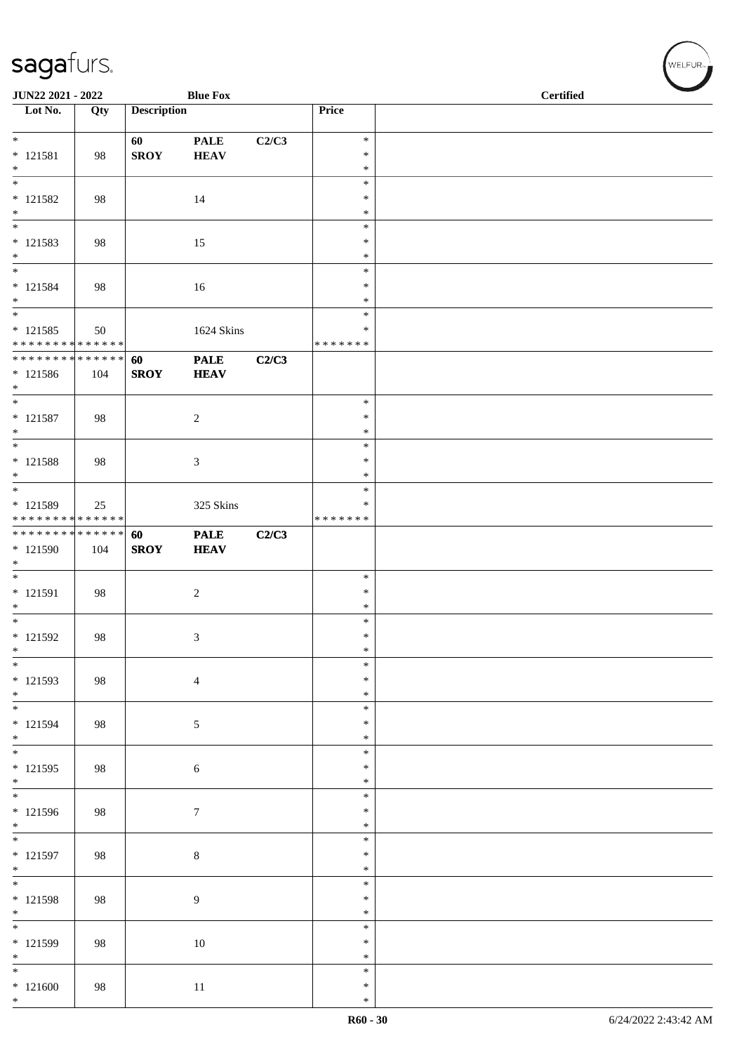| JUN22 2021 - 2022                                           |     |                    | <b>Blue Fox</b>  |       |                  | <b>Certified</b> | $\overline{\phantom{0}}$ |
|-------------------------------------------------------------|-----|--------------------|------------------|-------|------------------|------------------|--------------------------|
| $\overline{\phantom{1}}$ Lot No.                            | Qty | <b>Description</b> |                  |       | Price            |                  |                          |
| $*$                                                         |     | 60                 | <b>PALE</b>      | C2/C3 | $\ast$           |                  |                          |
| $* 121581$                                                  | 98  | <b>SROY</b>        | <b>HEAV</b>      |       | $\ast$           |                  |                          |
| $*$<br>$\overline{\ast}$                                    |     |                    |                  |       | $\ast$<br>$\ast$ |                  |                          |
| $* 121582$                                                  | 98  |                    | 14               |       | $\ast$           |                  |                          |
| $\ast$<br>$\overline{\phantom{0}}$                          |     |                    |                  |       | $\ast$<br>$\ast$ |                  |                          |
| $* 121583$                                                  | 98  |                    | 15               |       | ∗                |                  |                          |
| $*$<br>$\overline{\ast}$                                    |     |                    |                  |       | $\ast$<br>$\ast$ |                  |                          |
| $* 121584$                                                  | 98  |                    | 16               |       | $\ast$           |                  |                          |
| $\ast$<br>$*$                                               |     |                    |                  |       | $\ast$<br>$\ast$ |                  |                          |
| $* 121585$                                                  | 50  |                    | 1624 Skins       |       | ∗                |                  |                          |
| * * * * * * * * * * * * * *<br>* * * * * * * * * * * * * *  |     | 60                 | <b>PALE</b>      | C2/C3 | * * * * * * *    |                  |                          |
| * 121586                                                    | 104 | <b>SROY</b>        | <b>HEAV</b>      |       |                  |                  |                          |
| $*$<br>$\overline{\ }$                                      |     |                    |                  |       | $\ast$           |                  |                          |
| $* 121587$                                                  | 98  |                    | $\sqrt{2}$       |       | $\ast$           |                  |                          |
| $*$<br>$*$                                                  |     |                    |                  |       | $\ast$<br>$\ast$ |                  |                          |
| $* 121588$                                                  | 98  |                    | $\mathfrak{Z}$   |       | $\ast$           |                  |                          |
| $*$<br>$\overline{\phantom{0}}$                             |     |                    |                  |       | $\ast$<br>$\ast$ |                  |                          |
| * 121589                                                    | 25  |                    | 325 Skins        |       | *                |                  |                          |
| * * * * * * * * * * * * * *<br>******** <mark>******</mark> |     | 60                 | <b>PALE</b>      | C2/C3 | * * * * * * *    |                  |                          |
| * 121590                                                    | 104 | <b>SROY</b>        | <b>HEAV</b>      |       |                  |                  |                          |
| $\ast$<br>$*$                                               |     |                    |                  |       | $\ast$           |                  |                          |
| * 121591                                                    | 98  |                    | $\sqrt{2}$       |       | $\ast$           |                  |                          |
| $*$<br>$\overline{\phantom{0}}$                             |     |                    |                  |       | $\ast$<br>$\ast$ |                  |                          |
| * 121592                                                    | 98  |                    | $\mathfrak{Z}$   |       | $\ast$           |                  |                          |
| $\ast$<br>$\overline{\ast}$                                 |     |                    |                  |       | $\ast$<br>$\ast$ |                  |                          |
| $* 121593$                                                  | 98  |                    | $\overline{4}$   |       | $\ast$           |                  |                          |
| $*$<br>$*$                                                  |     |                    |                  |       | $\ast$<br>$\ast$ |                  |                          |
| * 121594                                                    | 98  |                    | $\sqrt{5}$       |       | $\ast$           |                  |                          |
| $*$<br>$\overline{\phantom{0}}$                             |     |                    |                  |       | $\ast$<br>$\ast$ |                  |                          |
| $* 121595$                                                  | 98  |                    | 6                |       | ∗                |                  |                          |
| $\ast$<br>$\overline{\phantom{0}}$                          |     |                    |                  |       | ∗<br>$\ast$      |                  |                          |
| * 121596                                                    | 98  |                    | $\boldsymbol{7}$ |       | *                |                  |                          |
| $*$<br>$\ast$                                               |     |                    |                  |       | $\ast$<br>$\ast$ |                  |                          |
| $* 121597$                                                  | 98  |                    | $8\,$            |       | $\ast$           |                  |                          |
| $*$<br>$\overline{\phantom{0}}$                             |     |                    |                  |       | $\ast$           |                  |                          |
| $* 121598$                                                  | 98  |                    | $\boldsymbol{9}$ |       | $\ast$<br>∗      |                  |                          |
| $\ast$<br>$\overline{\phantom{0}}$                          |     |                    |                  |       | ∗                |                  |                          |
| * 121599                                                    | 98  |                    | $10\,$           |       | $\ast$<br>$\ast$ |                  |                          |
| $\ast$                                                      |     |                    |                  |       | $\ast$           |                  |                          |
| $\ast$<br>$*121600$                                         | 98  |                    | $11\,$           |       | $\ast$<br>$\ast$ |                  |                          |
| $\ast$                                                      |     |                    |                  |       | $\ast$           |                  |                          |

√<br>WELFUR<sub>™</sub>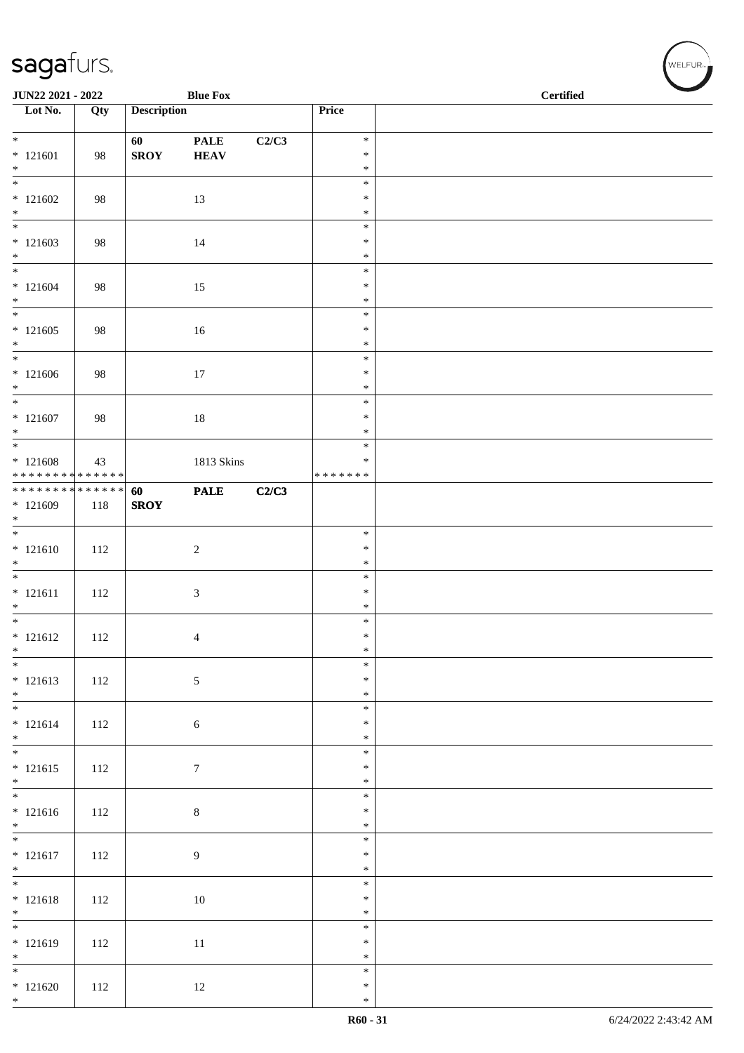| JUN22 2021 - 2022<br><b>Blue Fox</b>                    |     |                    |                            |       |                                   | <b>Certified</b> |
|---------------------------------------------------------|-----|--------------------|----------------------------|-------|-----------------------------------|------------------|
| $\overline{\phantom{a}}$ Lot No.                        | Qty | <b>Description</b> |                            |       | Price                             |                  |
| $*$<br>$* 121601$<br>$*$                                | 98  | 60<br><b>SROY</b>  | <b>PALE</b><br><b>HEAV</b> | C2/C3 | $\ast$<br>$\ast$<br>$\ast$        |                  |
| $\overline{\phantom{0}}$<br>$*121602$<br>$\ast$         | 98  |                    | 13                         |       | $\ast$<br>$\ast$<br>$\ast$        |                  |
| $*121603$<br>$*$                                        | 98  |                    | 14                         |       | $\ast$<br>$\ast$<br>$\ast$        |                  |
| $*$<br>$* 121604$<br>$*$                                | 98  |                    | 15                         |       | $\ast$<br>$\ast$<br>$\ast$        |                  |
| $*121605$<br>$*$                                        | 98  |                    | 16                         |       | $\ast$<br>$\ast$<br>$\ast$        |                  |
| $*$<br>$*121606$<br>$*$                                 | 98  |                    | $17\,$                     |       | $\ast$<br>$\ast$<br>$\ast$        |                  |
| $\overline{\ast}$<br>$* 121607$<br>$*$                  | 98  |                    | $18\,$                     |       | $\ast$<br>$\ast$<br>$\ast$        |                  |
| $*121608$<br>* * * * * * * * <mark>* * * * * * *</mark> | 43  |                    | 1813 Skins                 |       | $\ast$<br>$\ast$<br>* * * * * * * |                  |
| ******** <mark>******</mark><br>$*121609$<br>$\ast$     | 118 | 60<br><b>SROY</b>  | <b>PALE</b>                | C2/C3 |                                   |                  |
| $* 121610$<br>$*$                                       | 112 |                    | $\sqrt{2}$                 |       | $\ast$<br>$\ast$<br>$\ast$        |                  |
| $* 121611$<br>$*$                                       | 112 |                    | $\mathfrak{Z}$             |       | $\ast$<br>$\ast$<br>$\ast$        |                  |
| $*$<br>$* 121612$<br>$*$                                | 112 |                    | 4                          |       | $\ast$<br>$\ast$<br>$\ast$        |                  |
| $\overline{\phantom{0}}$<br>$* 121613$<br>$*$           | 112 |                    | $\sqrt{5}$                 |       | $\ast$<br>$\ast$<br>$\ast$        |                  |
| $* 121614$<br>$*$                                       | 112 |                    | 6                          |       | $\ast$<br>$\ast$<br>$\ast$        |                  |
| $* 121615$<br>$*$                                       | 112 |                    | $7\phantom{.0}$            |       | $\ast$<br>$\ast$<br>$\ast$        |                  |
| $* 121616$<br>$*$                                       | 112 |                    | $\,8\,$                    |       | $\ast$<br>$\ast$<br>$\ast$        |                  |
| $\overline{\ }$<br>$* 121617$<br>$*$                    | 112 |                    | $\overline{9}$             |       | $\ast$<br>$\ast$<br>$\ast$        |                  |
| $*$<br>$* 121618$<br>$*$                                | 112 |                    | $10\,$                     |       | $\ast$<br>$\ast$<br>$\ast$        |                  |
| $* 121619$<br>$*$                                       | 112 |                    | $11\,$                     |       | $\ast$<br>$\ast$<br>$\ast$        |                  |
| $*$<br>$*121620$<br>$\ast$                              | 112 |                    | 12                         |       | $\ast$<br>$\ast$<br>$\ast$        |                  |

V<br>WELFUR<sub>™</sub>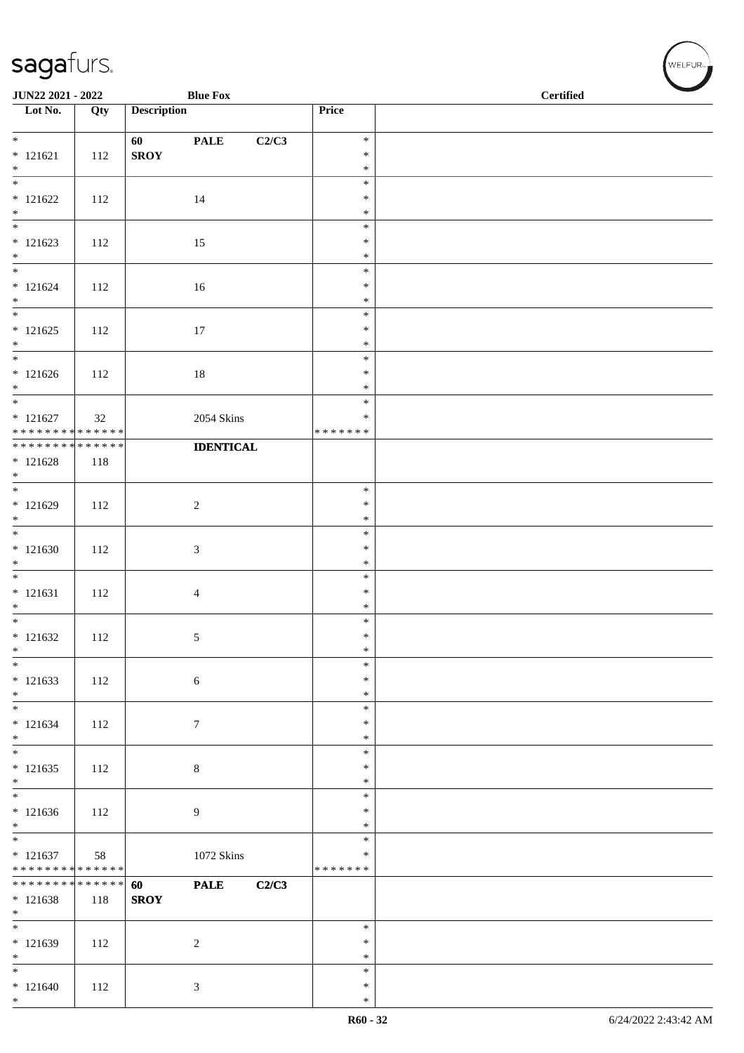| JUN22 2021 - 2022                                        |     |                    | <b>Blue Fox</b>      |                    | $\operatorname{\bf \mathbf{Certified}}$ |  |
|----------------------------------------------------------|-----|--------------------|----------------------|--------------------|-----------------------------------------|--|
| Lot No.                                                  | Qty | <b>Description</b> |                      | Price              |                                         |  |
| $*$                                                      |     | 60                 | C2/C3<br><b>PALE</b> | $\ast$             |                                         |  |
| $* 121621$                                               | 112 | <b>SROY</b>        |                      | $\ast$             |                                         |  |
| $*$                                                      |     |                    |                      | $\ast$             |                                         |  |
|                                                          |     |                    |                      | $\ast$             |                                         |  |
| $* 121622$<br>$*$                                        | 112 |                    | 14                   | $\ast$<br>$\ast$   |                                         |  |
|                                                          |     |                    |                      | $\ast$             |                                         |  |
| $* 121623$                                               | 112 |                    | 15                   | $\ast$             |                                         |  |
| $*$                                                      |     |                    |                      | $\ast$             |                                         |  |
| $*$<br>$* 121624$                                        | 112 |                    | 16                   | $\ast$<br>$\ast$   |                                         |  |
| $*$                                                      |     |                    |                      | $\ast$             |                                         |  |
| $*$                                                      |     |                    |                      | $\ast$             |                                         |  |
| $* 121625$                                               | 112 |                    | $17\,$               | $\ast$             |                                         |  |
| $*$                                                      |     |                    |                      | $\ast$<br>$\ast$   |                                         |  |
| $* 121626$                                               | 112 |                    | $18\,$               | $\ast$             |                                         |  |
| $*$                                                      |     |                    |                      | $\ast$             |                                         |  |
| $*$                                                      |     |                    |                      | $\ast$             |                                         |  |
| $* 121627$<br>* * * * * * * * <mark>* * * * * * *</mark> | 32  |                    | 2054 Skins           | ∗<br>* * * * * * * |                                         |  |
| * * * * * * * * <mark>* * * * * * *</mark>               |     |                    | <b>IDENTICAL</b>     |                    |                                         |  |
| $* 121628$                                               | 118 |                    |                      |                    |                                         |  |
| $*$                                                      |     |                    |                      |                    |                                         |  |
| $* 121629$                                               | 112 |                    | $\overline{2}$       | $\ast$<br>$\ast$   |                                         |  |
| $*$                                                      |     |                    |                      | $\ast$             |                                         |  |
|                                                          |     |                    |                      | $\ast$             |                                         |  |
| $*121630$                                                | 112 |                    | $\mathfrak{Z}$       | $\ast$<br>$\ast$   |                                         |  |
| $*$                                                      |     |                    |                      | $\ast$             |                                         |  |
| $* 121631$                                               | 112 |                    | $\overline{4}$       | $\ast$             |                                         |  |
| $*$                                                      |     |                    |                      | $\ast$             |                                         |  |
| $*121632$                                                |     |                    |                      | $\ast$<br>$\ast$   |                                         |  |
| $\ast$                                                   | 112 |                    | 5                    | $\ast$             |                                         |  |
| $\ast$                                                   |     |                    |                      | $\ast$             |                                         |  |
| $* 121633$                                               | 112 |                    | 6                    | $\ast$             |                                         |  |
| $*$<br>$*$                                               |     |                    |                      | $\ast$<br>$\ast$   |                                         |  |
| $* 121634$                                               | 112 |                    | $\boldsymbol{7}$     | $\ast$             |                                         |  |
| $*$                                                      |     |                    |                      | $\ast$             |                                         |  |
|                                                          |     |                    |                      | $\ast$             |                                         |  |
| $*121635$<br>$*$                                         | 112 |                    | $\,8\,$              | $\ast$<br>$\ast$   |                                         |  |
|                                                          |     |                    |                      | $\ast$             |                                         |  |
| $* 121636$                                               | 112 |                    | 9                    | $\ast$             |                                         |  |
| $*$<br>$\overline{\phantom{0}}$                          |     |                    |                      | $\ast$             |                                         |  |
| $* 121637$                                               | 58  |                    | $1072$ Skins         | $\ast$<br>$\ast$   |                                         |  |
| * * * * * * * * * * * * * * *                            |     |                    |                      | * * * * * * *      |                                         |  |
| * * * * * * * * * * * * * * *                            |     | 60                 | <b>PALE</b><br>C2/C3 |                    |                                         |  |
| $* 121638$<br>$*$                                        | 118 | <b>SROY</b>        |                      |                    |                                         |  |
| $*$                                                      |     |                    |                      | $\ast$             |                                         |  |
| * 121639                                                 | 112 |                    | 2                    | $\ast$             |                                         |  |
| $*$                                                      |     |                    |                      | $\ast$             |                                         |  |
| $*$                                                      |     |                    |                      | $\ast$<br>$\ast$   |                                         |  |
| $*121640$<br>$*$                                         | 112 |                    | 3                    | $\ast$             |                                         |  |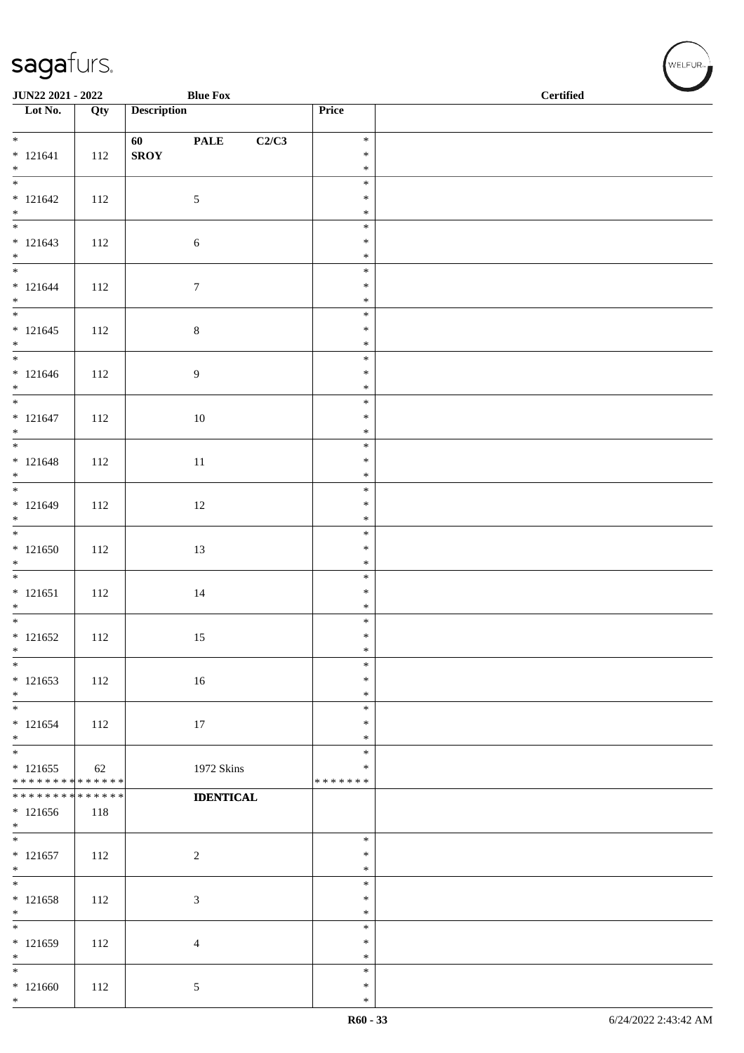| <b>Blue Fox</b><br>JUN22 2021 - 2022                     |     |                    |                  |       |                         | <b>Certified</b> |  |  |  |
|----------------------------------------------------------|-----|--------------------|------------------|-------|-------------------------|------------------|--|--|--|
| $\overline{\phantom{1}}$ Lot No.                         | Qty | <b>Description</b> |                  |       | Price                   |                  |  |  |  |
|                                                          |     |                    |                  |       | $\ast$                  |                  |  |  |  |
| $* 121641$                                               | 112 | <b>SROY</b>        | <b>PALE</b>      | C2/C3 | $\ast$                  |                  |  |  |  |
| $*$                                                      |     |                    |                  |       | $\ast$                  |                  |  |  |  |
|                                                          |     |                    |                  |       | $\ast$                  |                  |  |  |  |
| $* 121642$                                               | 112 |                    | $\mathfrak{S}$   |       | $\ast$                  |                  |  |  |  |
| $*$                                                      |     |                    |                  |       | $\ast$<br>$\ast$        |                  |  |  |  |
| $* 121643$                                               | 112 |                    | $\sqrt{6}$       |       | $\ast$                  |                  |  |  |  |
| $*$                                                      |     |                    |                  |       | $\ast$                  |                  |  |  |  |
| $*$                                                      |     |                    |                  |       | $\ast$                  |                  |  |  |  |
| $* 121644$<br>$*$                                        | 112 |                    | $\boldsymbol{7}$ |       | $\ast$<br>$\ast$        |                  |  |  |  |
|                                                          |     |                    |                  |       | $\ast$                  |                  |  |  |  |
| $* 121645$                                               | 112 |                    | $\,8\,$          |       | $\ast$                  |                  |  |  |  |
| $*$                                                      |     |                    |                  |       | $\ast$                  |                  |  |  |  |
|                                                          |     |                    |                  |       | $\ast$                  |                  |  |  |  |
| $* 121646$<br>$*$                                        | 112 |                    | $\boldsymbol{9}$ |       | $\ast$<br>$\ast$        |                  |  |  |  |
|                                                          |     |                    |                  |       | $\ast$                  |                  |  |  |  |
| $* 121647$                                               | 112 |                    | $10\,$           |       | $\ast$                  |                  |  |  |  |
| $*$                                                      |     |                    |                  |       | $\ast$                  |                  |  |  |  |
|                                                          |     |                    |                  |       | $\ast$<br>$\ast$        |                  |  |  |  |
| $* 121648$<br>$*$                                        | 112 |                    | $11\,$           |       | $\ast$                  |                  |  |  |  |
|                                                          |     |                    |                  |       | $\ast$                  |                  |  |  |  |
| $* 121649$                                               | 112 |                    | 12               |       | $\ast$                  |                  |  |  |  |
| $*$                                                      |     |                    |                  |       | $\ast$                  |                  |  |  |  |
| $*121650$                                                | 112 |                    |                  |       | $\ast$<br>$\ast$        |                  |  |  |  |
| $*$                                                      |     |                    | 13               |       | $\ast$                  |                  |  |  |  |
|                                                          |     |                    |                  |       | $\ast$                  |                  |  |  |  |
| $* 121651$                                               | 112 |                    | $14\,$           |       | $\ast$                  |                  |  |  |  |
| $*$                                                      |     |                    |                  |       | $\ast$<br>$\ast$        |                  |  |  |  |
| $* 121652$                                               | 112 |                    | 15               |       | $\ast$                  |                  |  |  |  |
| $\ast$                                                   |     |                    |                  |       | $\ast$                  |                  |  |  |  |
| $*$                                                      |     |                    |                  |       | $\ast$                  |                  |  |  |  |
| $* 121653$                                               | 112 |                    | 16               |       | $\ast$                  |                  |  |  |  |
| $*$<br>$*$                                               |     |                    |                  |       | $\ast$<br>$\ast$        |                  |  |  |  |
| $* 121654$                                               | 112 |                    | 17               |       | $\ast$                  |                  |  |  |  |
| $*$                                                      |     |                    |                  |       | $\ast$                  |                  |  |  |  |
| $*$                                                      |     |                    |                  |       | $\ast$                  |                  |  |  |  |
| $* 121655$<br>* * * * * * * * <mark>* * * * * * *</mark> | 62  |                    | 1972 Skins       |       | $\ast$<br>* * * * * * * |                  |  |  |  |
| * * * * * * * * <mark>* * * * * * *</mark>               |     |                    | <b>IDENTICAL</b> |       |                         |                  |  |  |  |
| $*121656$                                                | 118 |                    |                  |       |                         |                  |  |  |  |
| $*$                                                      |     |                    |                  |       |                         |                  |  |  |  |
| $* 121657$                                               | 112 |                    |                  |       | $\ast$<br>$\ast$        |                  |  |  |  |
| $*$                                                      |     |                    | $\sqrt{2}$       |       | $\ast$                  |                  |  |  |  |
| $*$                                                      |     |                    |                  |       | $\ast$                  |                  |  |  |  |
| $* 121658$                                               | 112 |                    | $\mathfrak{Z}$   |       | $\ast$                  |                  |  |  |  |
| $*$<br>$*$                                               |     |                    |                  |       | $\ast$<br>$\ast$        |                  |  |  |  |
| $* 121659$                                               | 112 |                    | $\overline{4}$   |       | $\ast$                  |                  |  |  |  |
| $*$                                                      |     |                    |                  |       | $\ast$                  |                  |  |  |  |
| $\ast$                                                   |     |                    |                  |       | $\ast$                  |                  |  |  |  |
| $*121660$                                                | 112 |                    | $\sqrt{5}$       |       | $\ast$                  |                  |  |  |  |
| $*$                                                      |     |                    |                  |       | $\ast$                  |                  |  |  |  |

WELFUR<sub><sup>N</sup></sub>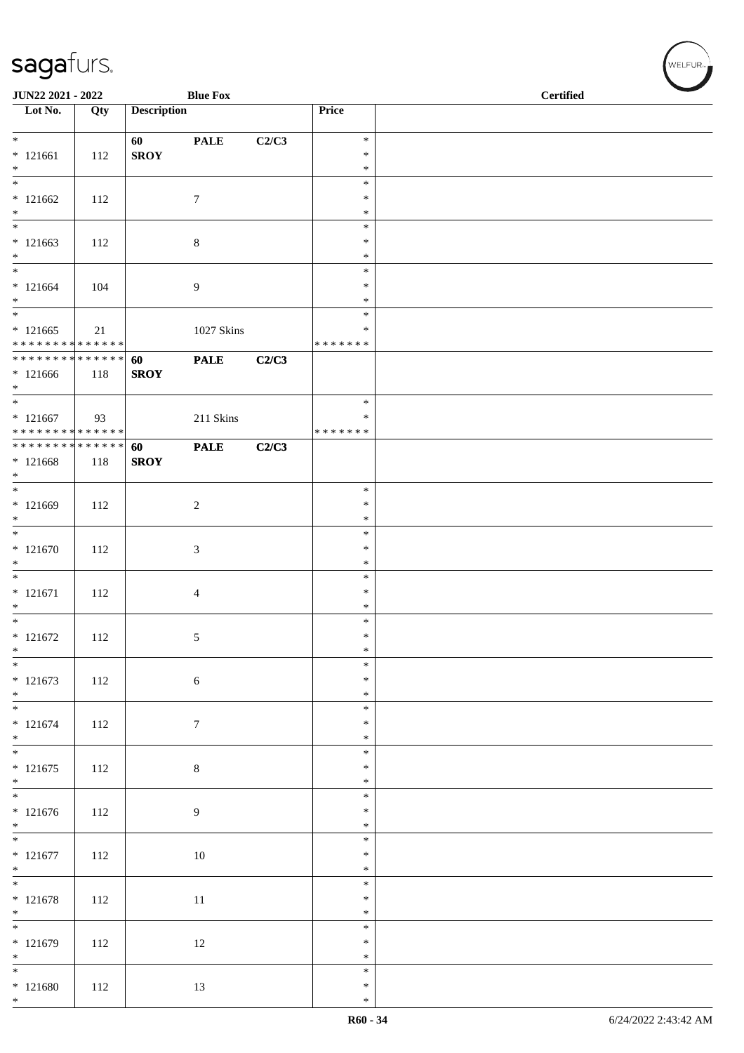| <b>Description</b><br>Price<br>Qty<br>$\ast$<br><b>PALE</b><br>C2/C3<br>60<br><b>SROY</b><br>$\ast$<br>112<br>$\ast$<br>$\overline{\phantom{0}}$<br>$\ast$<br>$*121662$<br>112<br>7<br>$\ast$<br>$\ast$<br>$\overline{\phantom{0}}$<br>$\ast$<br>$*121663$<br>8<br>$\ast$<br>112<br>$\ast$<br>$\ast$<br>$* 121664$<br>9<br>$\ast$<br>104<br>$\ast$<br>$\overline{\phantom{0}}$<br>$\ast$<br>$*121665$<br>1027 Skins<br>21<br>∗<br>* * * * * * * * * * * * * *<br>* * * * * * *<br>******** <mark>******</mark><br>60<br><b>PALE</b><br>C2/C3<br><b>SROY</b><br>118<br>$*$<br>$\ast$<br>211 Skins<br>$\ast$<br>93<br>* * * * * * * * * * * * * *<br>* * * * * * *<br>**************<br><b>PALE</b><br>C2/C3<br>60<br><b>SROY</b><br>118<br>$\overline{\phantom{0}}$<br>$\ast$<br>$*121669$<br>$\sqrt{2}$<br>$\ast$<br>112<br>$\ast$<br>$\overline{\phantom{0}}$<br>$\ast$<br>$* 121670$<br>3<br>$\ast$<br>112<br>$\ast$<br>$\ast$<br>$* 121671$<br>112<br>$\ast$<br>4<br>$\ast$<br>$\ast$<br>$* 121672$<br>$\ast$<br>112<br>5<br>$\ast$<br>$\ast$<br>$\ast$<br>$* 121673$<br>$\ast$<br>$\sqrt{6}$<br>112<br>$*$<br>$\ast$<br>$\ast$<br>112<br>$\tau$<br>$\ast$<br>$*$<br>$\ast$<br>$\overline{\phantom{0}}$<br>$\ast$<br>$\,8\,$<br>112<br>$\ast$<br>$*$<br>$\ast$<br>$\ast$<br>$* 121676$<br>9<br>$\ast$<br>112<br>$\ast$<br>$\ast$<br>$* 121677$<br>112<br>10<br>$\ast$<br>$\ast$<br>$\overline{\phantom{0}}$<br>$\ast$<br>$* 121678$<br>$11\,$<br>112<br>$\ast$<br>$\ast$<br>$\overline{\phantom{0}}$<br>$\ast$<br>$* 121679$<br>112<br>12<br>$\ast$<br>$\ast$<br>$\ast$<br>$* 121680$<br>112<br>13<br>$\ast$<br>$*$<br>$\ast$ | JUN22 2021 - 2022 |  | <b>Blue Fox</b> |  | <b>Certified</b> |
|----------------------------------------------------------------------------------------------------------------------------------------------------------------------------------------------------------------------------------------------------------------------------------------------------------------------------------------------------------------------------------------------------------------------------------------------------------------------------------------------------------------------------------------------------------------------------------------------------------------------------------------------------------------------------------------------------------------------------------------------------------------------------------------------------------------------------------------------------------------------------------------------------------------------------------------------------------------------------------------------------------------------------------------------------------------------------------------------------------------------------------------------------------------------------------------------------------------------------------------------------------------------------------------------------------------------------------------------------------------------------------------------------------------------------------------------------------------------------------------------------------------------------------------------------------------------------------------------------------------------------------|-------------------|--|-----------------|--|------------------|
|                                                                                                                                                                                                                                                                                                                                                                                                                                                                                                                                                                                                                                                                                                                                                                                                                                                                                                                                                                                                                                                                                                                                                                                                                                                                                                                                                                                                                                                                                                                                                                                                                                  | Lot No.           |  |                 |  |                  |
|                                                                                                                                                                                                                                                                                                                                                                                                                                                                                                                                                                                                                                                                                                                                                                                                                                                                                                                                                                                                                                                                                                                                                                                                                                                                                                                                                                                                                                                                                                                                                                                                                                  | $*$               |  |                 |  |                  |
|                                                                                                                                                                                                                                                                                                                                                                                                                                                                                                                                                                                                                                                                                                                                                                                                                                                                                                                                                                                                                                                                                                                                                                                                                                                                                                                                                                                                                                                                                                                                                                                                                                  | $*121661$         |  |                 |  |                  |
|                                                                                                                                                                                                                                                                                                                                                                                                                                                                                                                                                                                                                                                                                                                                                                                                                                                                                                                                                                                                                                                                                                                                                                                                                                                                                                                                                                                                                                                                                                                                                                                                                                  | $*$               |  |                 |  |                  |
|                                                                                                                                                                                                                                                                                                                                                                                                                                                                                                                                                                                                                                                                                                                                                                                                                                                                                                                                                                                                                                                                                                                                                                                                                                                                                                                                                                                                                                                                                                                                                                                                                                  |                   |  |                 |  |                  |
|                                                                                                                                                                                                                                                                                                                                                                                                                                                                                                                                                                                                                                                                                                                                                                                                                                                                                                                                                                                                                                                                                                                                                                                                                                                                                                                                                                                                                                                                                                                                                                                                                                  | $*$               |  |                 |  |                  |
|                                                                                                                                                                                                                                                                                                                                                                                                                                                                                                                                                                                                                                                                                                                                                                                                                                                                                                                                                                                                                                                                                                                                                                                                                                                                                                                                                                                                                                                                                                                                                                                                                                  |                   |  |                 |  |                  |
|                                                                                                                                                                                                                                                                                                                                                                                                                                                                                                                                                                                                                                                                                                                                                                                                                                                                                                                                                                                                                                                                                                                                                                                                                                                                                                                                                                                                                                                                                                                                                                                                                                  | $\ast$            |  |                 |  |                  |
|                                                                                                                                                                                                                                                                                                                                                                                                                                                                                                                                                                                                                                                                                                                                                                                                                                                                                                                                                                                                                                                                                                                                                                                                                                                                                                                                                                                                                                                                                                                                                                                                                                  | $*$               |  |                 |  |                  |
|                                                                                                                                                                                                                                                                                                                                                                                                                                                                                                                                                                                                                                                                                                                                                                                                                                                                                                                                                                                                                                                                                                                                                                                                                                                                                                                                                                                                                                                                                                                                                                                                                                  | $*$               |  |                 |  |                  |
|                                                                                                                                                                                                                                                                                                                                                                                                                                                                                                                                                                                                                                                                                                                                                                                                                                                                                                                                                                                                                                                                                                                                                                                                                                                                                                                                                                                                                                                                                                                                                                                                                                  |                   |  |                 |  |                  |
|                                                                                                                                                                                                                                                                                                                                                                                                                                                                                                                                                                                                                                                                                                                                                                                                                                                                                                                                                                                                                                                                                                                                                                                                                                                                                                                                                                                                                                                                                                                                                                                                                                  |                   |  |                 |  |                  |
|                                                                                                                                                                                                                                                                                                                                                                                                                                                                                                                                                                                                                                                                                                                                                                                                                                                                                                                                                                                                                                                                                                                                                                                                                                                                                                                                                                                                                                                                                                                                                                                                                                  |                   |  |                 |  |                  |
|                                                                                                                                                                                                                                                                                                                                                                                                                                                                                                                                                                                                                                                                                                                                                                                                                                                                                                                                                                                                                                                                                                                                                                                                                                                                                                                                                                                                                                                                                                                                                                                                                                  | $*121666$         |  |                 |  |                  |
|                                                                                                                                                                                                                                                                                                                                                                                                                                                                                                                                                                                                                                                                                                                                                                                                                                                                                                                                                                                                                                                                                                                                                                                                                                                                                                                                                                                                                                                                                                                                                                                                                                  | $*$               |  |                 |  |                  |
|                                                                                                                                                                                                                                                                                                                                                                                                                                                                                                                                                                                                                                                                                                                                                                                                                                                                                                                                                                                                                                                                                                                                                                                                                                                                                                                                                                                                                                                                                                                                                                                                                                  | $* 121667$        |  |                 |  |                  |
|                                                                                                                                                                                                                                                                                                                                                                                                                                                                                                                                                                                                                                                                                                                                                                                                                                                                                                                                                                                                                                                                                                                                                                                                                                                                                                                                                                                                                                                                                                                                                                                                                                  |                   |  |                 |  |                  |
|                                                                                                                                                                                                                                                                                                                                                                                                                                                                                                                                                                                                                                                                                                                                                                                                                                                                                                                                                                                                                                                                                                                                                                                                                                                                                                                                                                                                                                                                                                                                                                                                                                  | $* 121668$        |  |                 |  |                  |
|                                                                                                                                                                                                                                                                                                                                                                                                                                                                                                                                                                                                                                                                                                                                                                                                                                                                                                                                                                                                                                                                                                                                                                                                                                                                                                                                                                                                                                                                                                                                                                                                                                  | $*$               |  |                 |  |                  |
|                                                                                                                                                                                                                                                                                                                                                                                                                                                                                                                                                                                                                                                                                                                                                                                                                                                                                                                                                                                                                                                                                                                                                                                                                                                                                                                                                                                                                                                                                                                                                                                                                                  |                   |  |                 |  |                  |
|                                                                                                                                                                                                                                                                                                                                                                                                                                                                                                                                                                                                                                                                                                                                                                                                                                                                                                                                                                                                                                                                                                                                                                                                                                                                                                                                                                                                                                                                                                                                                                                                                                  | $\ast$            |  |                 |  |                  |
|                                                                                                                                                                                                                                                                                                                                                                                                                                                                                                                                                                                                                                                                                                                                                                                                                                                                                                                                                                                                                                                                                                                                                                                                                                                                                                                                                                                                                                                                                                                                                                                                                                  |                   |  |                 |  |                  |
|                                                                                                                                                                                                                                                                                                                                                                                                                                                                                                                                                                                                                                                                                                                                                                                                                                                                                                                                                                                                                                                                                                                                                                                                                                                                                                                                                                                                                                                                                                                                                                                                                                  | $\ast$            |  |                 |  |                  |
|                                                                                                                                                                                                                                                                                                                                                                                                                                                                                                                                                                                                                                                                                                                                                                                                                                                                                                                                                                                                                                                                                                                                                                                                                                                                                                                                                                                                                                                                                                                                                                                                                                  |                   |  |                 |  |                  |
|                                                                                                                                                                                                                                                                                                                                                                                                                                                                                                                                                                                                                                                                                                                                                                                                                                                                                                                                                                                                                                                                                                                                                                                                                                                                                                                                                                                                                                                                                                                                                                                                                                  | $*$               |  |                 |  |                  |
|                                                                                                                                                                                                                                                                                                                                                                                                                                                                                                                                                                                                                                                                                                                                                                                                                                                                                                                                                                                                                                                                                                                                                                                                                                                                                                                                                                                                                                                                                                                                                                                                                                  | $*$               |  |                 |  |                  |
|                                                                                                                                                                                                                                                                                                                                                                                                                                                                                                                                                                                                                                                                                                                                                                                                                                                                                                                                                                                                                                                                                                                                                                                                                                                                                                                                                                                                                                                                                                                                                                                                                                  |                   |  |                 |  |                  |
|                                                                                                                                                                                                                                                                                                                                                                                                                                                                                                                                                                                                                                                                                                                                                                                                                                                                                                                                                                                                                                                                                                                                                                                                                                                                                                                                                                                                                                                                                                                                                                                                                                  | $*$               |  |                 |  |                  |
|                                                                                                                                                                                                                                                                                                                                                                                                                                                                                                                                                                                                                                                                                                                                                                                                                                                                                                                                                                                                                                                                                                                                                                                                                                                                                                                                                                                                                                                                                                                                                                                                                                  |                   |  |                 |  |                  |
|                                                                                                                                                                                                                                                                                                                                                                                                                                                                                                                                                                                                                                                                                                                                                                                                                                                                                                                                                                                                                                                                                                                                                                                                                                                                                                                                                                                                                                                                                                                                                                                                                                  |                   |  |                 |  |                  |
|                                                                                                                                                                                                                                                                                                                                                                                                                                                                                                                                                                                                                                                                                                                                                                                                                                                                                                                                                                                                                                                                                                                                                                                                                                                                                                                                                                                                                                                                                                                                                                                                                                  | $* 121674$        |  |                 |  |                  |
|                                                                                                                                                                                                                                                                                                                                                                                                                                                                                                                                                                                                                                                                                                                                                                                                                                                                                                                                                                                                                                                                                                                                                                                                                                                                                                                                                                                                                                                                                                                                                                                                                                  |                   |  |                 |  |                  |
|                                                                                                                                                                                                                                                                                                                                                                                                                                                                                                                                                                                                                                                                                                                                                                                                                                                                                                                                                                                                                                                                                                                                                                                                                                                                                                                                                                                                                                                                                                                                                                                                                                  | $* 121675$        |  |                 |  |                  |
|                                                                                                                                                                                                                                                                                                                                                                                                                                                                                                                                                                                                                                                                                                                                                                                                                                                                                                                                                                                                                                                                                                                                                                                                                                                                                                                                                                                                                                                                                                                                                                                                                                  |                   |  |                 |  |                  |
|                                                                                                                                                                                                                                                                                                                                                                                                                                                                                                                                                                                                                                                                                                                                                                                                                                                                                                                                                                                                                                                                                                                                                                                                                                                                                                                                                                                                                                                                                                                                                                                                                                  |                   |  |                 |  |                  |
|                                                                                                                                                                                                                                                                                                                                                                                                                                                                                                                                                                                                                                                                                                                                                                                                                                                                                                                                                                                                                                                                                                                                                                                                                                                                                                                                                                                                                                                                                                                                                                                                                                  | $*$               |  |                 |  |                  |
|                                                                                                                                                                                                                                                                                                                                                                                                                                                                                                                                                                                                                                                                                                                                                                                                                                                                                                                                                                                                                                                                                                                                                                                                                                                                                                                                                                                                                                                                                                                                                                                                                                  |                   |  |                 |  |                  |
|                                                                                                                                                                                                                                                                                                                                                                                                                                                                                                                                                                                                                                                                                                                                                                                                                                                                                                                                                                                                                                                                                                                                                                                                                                                                                                                                                                                                                                                                                                                                                                                                                                  | $*$               |  |                 |  |                  |
|                                                                                                                                                                                                                                                                                                                                                                                                                                                                                                                                                                                                                                                                                                                                                                                                                                                                                                                                                                                                                                                                                                                                                                                                                                                                                                                                                                                                                                                                                                                                                                                                                                  |                   |  |                 |  |                  |
|                                                                                                                                                                                                                                                                                                                                                                                                                                                                                                                                                                                                                                                                                                                                                                                                                                                                                                                                                                                                                                                                                                                                                                                                                                                                                                                                                                                                                                                                                                                                                                                                                                  | $*$               |  |                 |  |                  |
|                                                                                                                                                                                                                                                                                                                                                                                                                                                                                                                                                                                                                                                                                                                                                                                                                                                                                                                                                                                                                                                                                                                                                                                                                                                                                                                                                                                                                                                                                                                                                                                                                                  |                   |  |                 |  |                  |
|                                                                                                                                                                                                                                                                                                                                                                                                                                                                                                                                                                                                                                                                                                                                                                                                                                                                                                                                                                                                                                                                                                                                                                                                                                                                                                                                                                                                                                                                                                                                                                                                                                  | $*$               |  |                 |  |                  |
|                                                                                                                                                                                                                                                                                                                                                                                                                                                                                                                                                                                                                                                                                                                                                                                                                                                                                                                                                                                                                                                                                                                                                                                                                                                                                                                                                                                                                                                                                                                                                                                                                                  |                   |  |                 |  |                  |
|                                                                                                                                                                                                                                                                                                                                                                                                                                                                                                                                                                                                                                                                                                                                                                                                                                                                                                                                                                                                                                                                                                                                                                                                                                                                                                                                                                                                                                                                                                                                                                                                                                  |                   |  |                 |  |                  |

、<br>WELFUR<sub>™</sub>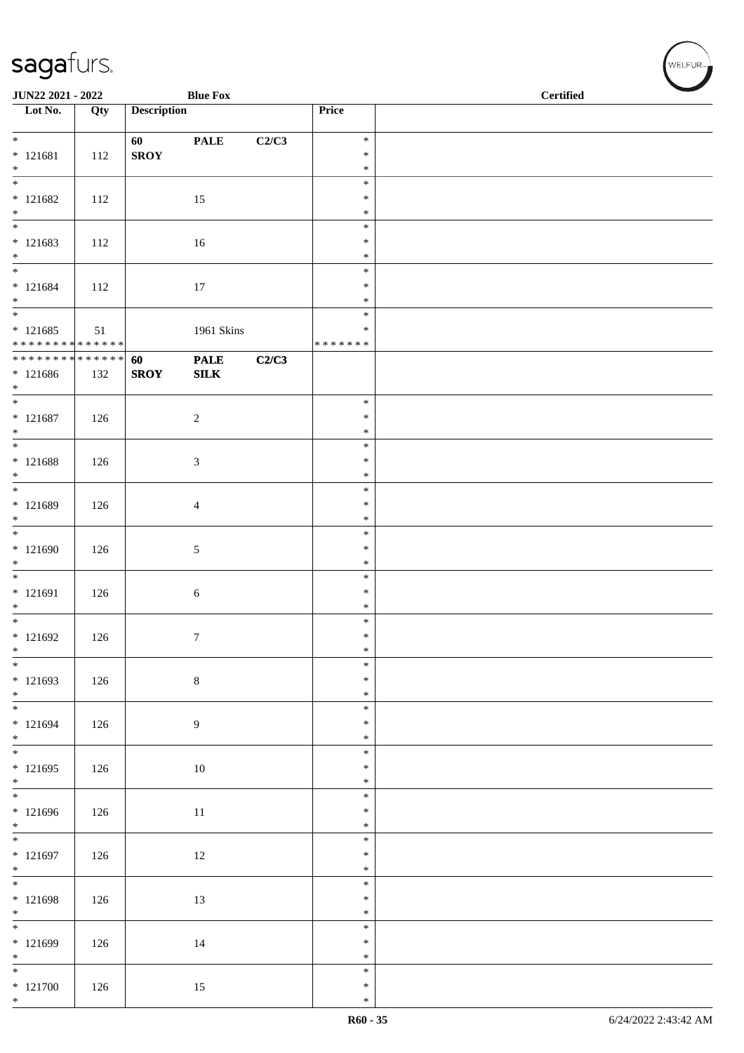| JUN22 2021 - 2022                          |     |                    | <b>Blue Fox</b> |       |                  | <b>Certified</b> |  |  |  |
|--------------------------------------------|-----|--------------------|-----------------|-------|------------------|------------------|--|--|--|
| Lot No.                                    | Qty | <b>Description</b> |                 |       | Price            |                  |  |  |  |
| $*$                                        |     | 60                 | <b>PALE</b>     | C2/C3 | $\ast$           |                  |  |  |  |
| $* 121681$                                 | 112 | <b>SROY</b>        |                 |       | $\ast$           |                  |  |  |  |
| $\ast$                                     |     |                    |                 |       | $\ast$           |                  |  |  |  |
| $\frac{1}{1}$                              |     |                    |                 |       | $\ast$           |                  |  |  |  |
| $* 121682$<br>$\ast$                       | 112 |                    | 15              |       | $\ast$<br>$\ast$ |                  |  |  |  |
| $\overline{\phantom{a}^*}$                 |     |                    |                 |       | $\ast$           |                  |  |  |  |
| $* 121683$                                 | 112 |                    | 16              |       | $\ast$           |                  |  |  |  |
| $\ast$<br>$\overline{\ast}$                |     |                    |                 |       | $\ast$<br>$\ast$ |                  |  |  |  |
| $* 121684$                                 | 112 |                    | 17              |       | $\ast$           |                  |  |  |  |
| $*$                                        |     |                    |                 |       | $\ast$           |                  |  |  |  |
| $\overline{\phantom{0}}$                   |     |                    |                 |       | $\ast$<br>$\ast$ |                  |  |  |  |
| $* 121685$<br>******** <mark>******</mark> | 51  |                    | 1961 Skins      |       | * * * * * * *    |                  |  |  |  |
| ******** <mark>******</mark>               |     | 60                 | <b>PALE</b>     | C2/C3 |                  |                  |  |  |  |
| $*121686$                                  | 132 | <b>SROY</b>        | ${\bf SILK}$    |       |                  |                  |  |  |  |
| $*$<br>$*$                                 |     |                    |                 |       | $\ast$           |                  |  |  |  |
| $* 121687$                                 | 126 |                    | $\sqrt{2}$      |       | $\ast$           |                  |  |  |  |
| $*$<br>$\overline{\phantom{0}}$            |     |                    |                 |       | $\ast$           |                  |  |  |  |
| $* 121688$                                 |     |                    | $\mathfrak{Z}$  |       | $\ast$<br>$\ast$ |                  |  |  |  |
| $*$                                        | 126 |                    |                 |       | $\ast$           |                  |  |  |  |
| $\overline{\phantom{0}}$                   |     |                    |                 |       | $\ast$           |                  |  |  |  |
| $* 121689$<br>$\ast$                       | 126 |                    | $\overline{4}$  |       | $\ast$<br>$\ast$ |                  |  |  |  |
| $\overline{\phantom{0}}$                   |     |                    |                 |       | $\ast$           |                  |  |  |  |
| $* 121690$                                 | 126 |                    | $5\,$           |       | $\ast$           |                  |  |  |  |
| $\ast$                                     |     |                    |                 |       | $\ast$           |                  |  |  |  |
| $* 121691$                                 | 126 |                    | $\sqrt{6}$      |       | $\ast$<br>$\ast$ |                  |  |  |  |
| $*$                                        |     |                    |                 |       | $\ast$           |                  |  |  |  |
| $\overline{\phantom{0}}$                   |     |                    |                 |       | $\ast$           |                  |  |  |  |
| $* 121692$<br>$\ast$                       | 126 |                    | $\tau$          |       | $\ast$<br>$\ast$ |                  |  |  |  |
| $\ast$                                     |     |                    |                 |       | $\ast$           |                  |  |  |  |
| $* 121693$                                 | 126 |                    | $\,8\,$         |       | $\ast$           |                  |  |  |  |
| $*$                                        |     |                    |                 |       | $\ast$<br>$\ast$ |                  |  |  |  |
| $* 121694$                                 | 126 |                    | 9               |       | $\ast$           |                  |  |  |  |
| $*$                                        |     |                    |                 |       | $\ast$           |                  |  |  |  |
| $\overline{\phantom{0}}$<br>$*121695$      | 126 |                    |                 |       | $\ast$<br>$\ast$ |                  |  |  |  |
| $*$                                        |     |                    | $10\,$          |       | $\ast$           |                  |  |  |  |
|                                            |     |                    |                 |       | $\ast$           |                  |  |  |  |
| $* 121696$<br>$*$                          | 126 |                    | $11\,$          |       | $\ast$<br>$\ast$ |                  |  |  |  |
|                                            |     |                    |                 |       | $\ast$           |                  |  |  |  |
| $* 121697$                                 | 126 |                    | 12              |       | $\ast$           |                  |  |  |  |
| $*$<br>$\overline{\phantom{0}}$            |     |                    |                 |       | $\ast$           |                  |  |  |  |
| $* 121698$                                 | 126 |                    | 13              |       | $\ast$<br>$\ast$ |                  |  |  |  |
| $*$                                        |     |                    |                 |       | $\ast$           |                  |  |  |  |
| $\overline{\phantom{0}}$                   |     |                    |                 |       | $\ast$           |                  |  |  |  |
| $* 121699$<br>$*$                          | 126 |                    | 14              |       | $\ast$<br>$\ast$ |                  |  |  |  |
| $\overline{\ast}$                          |     |                    |                 |       | $\ast$           |                  |  |  |  |
| $* 121700$                                 | 126 |                    | 15              |       | $\ast$           |                  |  |  |  |
| $*$                                        |     |                    |                 |       | $\ast$           |                  |  |  |  |

√<br>WELFUR<sub>™</sub>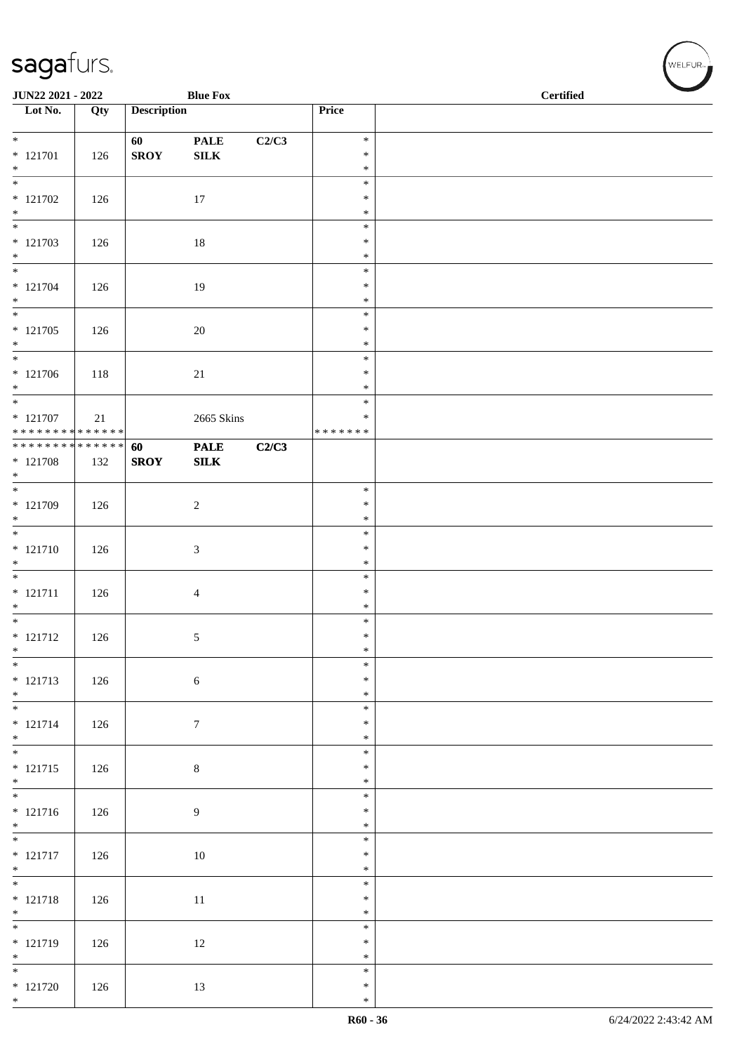| <b>Blue Fox</b><br>JUN22 2021 - 2022       |     |                    |                  |       | <b>Certified</b> |  |
|--------------------------------------------|-----|--------------------|------------------|-------|------------------|--|
| Lot No.                                    | Qty | <b>Description</b> |                  |       | Price            |  |
| $*$                                        |     | 60                 | <b>PALE</b>      | C2/C3 | $\ast$           |  |
| $* 121701$                                 | 126 | <b>SROY</b>        | ${\bf SILK}$     |       | $\ast$           |  |
| $*$<br>$\overline{\phantom{0}}$            |     |                    |                  |       | $\ast$<br>$\ast$ |  |
| $* 121702$                                 | 126 |                    | 17               |       | $\ast$           |  |
| $*$<br>$\overline{\phantom{0}}$            |     |                    |                  |       | $\ast$<br>$\ast$ |  |
| $* 121703$                                 | 126 |                    | $18\,$           |       | $\ast$           |  |
| $*$                                        |     |                    |                  |       | $\ast$<br>$\ast$ |  |
| $* 121704$                                 | 126 |                    | 19               |       | $\ast$           |  |
| $*$<br>$\overline{\phantom{0}}$            |     |                    |                  |       | $\ast$<br>$\ast$ |  |
| $* 121705$                                 | 126 |                    | $20\,$           |       | $\ast$           |  |
| $*$                                        |     |                    |                  |       | $\ast$           |  |
| $\overline{\phantom{0}}$<br>$* 121706$     | 118 |                    | 21               |       | $\ast$<br>$\ast$ |  |
| $*$                                        |     |                    |                  |       | $\ast$           |  |
| $\overline{\phantom{0}}$<br>$* 121707$     | 21  |                    | 2665 Skins       |       | $\ast$<br>$\ast$ |  |
| * * * * * * * * <mark>* * * * * * *</mark> |     |                    |                  |       | * * * * * * *    |  |
| ******** <mark>******</mark>               |     | 60                 | <b>PALE</b>      | C2/C3 |                  |  |
| $* 121708$<br>$*$                          | 132 | <b>SROY</b>        | ${\bf SILK}$     |       |                  |  |
|                                            |     |                    |                  |       | $\ast$           |  |
| * 121709<br>$*$                            | 126 |                    | $\sqrt{2}$       |       | $\ast$<br>$\ast$ |  |
| $\overline{\phantom{0}}$                   |     |                    |                  |       | $\ast$           |  |
| $* 121710$<br>$*$                          | 126 |                    | $\mathfrak{Z}$   |       | $\ast$<br>$\ast$ |  |
|                                            |     |                    |                  |       | $\ast$           |  |
| $* 121711$<br>$*$                          | 126 |                    | $\overline{4}$   |       | $\ast$<br>$\ast$ |  |
| $\overline{\phantom{0}}$                   |     |                    |                  |       | $\ast$           |  |
| $* 121712$                                 | 126 |                    | 5                |       | $\ast$<br>$\ast$ |  |
| $\ast$<br>$*$                              |     |                    |                  |       | $\ast$           |  |
| $* 121713$                                 | 126 |                    | $\sqrt{6}$       |       | $\ast$           |  |
| $*$                                        |     |                    |                  |       | $\ast$<br>$\ast$ |  |
| $* 121714$                                 | 126 |                    | $\boldsymbol{7}$ |       | $\ast$           |  |
| $*$                                        |     |                    |                  |       | $\ast$<br>$\ast$ |  |
| $* 121715$                                 | 126 |                    | $8\,$            |       | $\ast$           |  |
| $*$                                        |     |                    |                  |       | $\ast$<br>$\ast$ |  |
| $* 121716$                                 | 126 |                    | 9                |       | $\ast$           |  |
| $*$                                        |     |                    |                  |       | $\ast$<br>$\ast$ |  |
| $* 121717$                                 | 126 |                    | 10               |       | $\ast$           |  |
| $*$                                        |     |                    |                  |       | $\ast$           |  |
| $* 121718$                                 | 126 |                    | $11\,$           |       | $\ast$<br>$\ast$ |  |
| $*$                                        |     |                    |                  |       | $\ast$           |  |
| $\overline{\phantom{0}}$<br>* 121719       |     |                    |                  |       | $\ast$<br>$\ast$ |  |
| $*$                                        | 126 |                    | 12               |       | $\ast$           |  |
| $\overline{\phantom{0}}$                   |     |                    |                  |       | $\ast$<br>$\ast$ |  |
| $* 121720$<br>$*$                          | 126 |                    | 13               |       | $\ast$           |  |

V<br>WELFUR<sub>™</sub>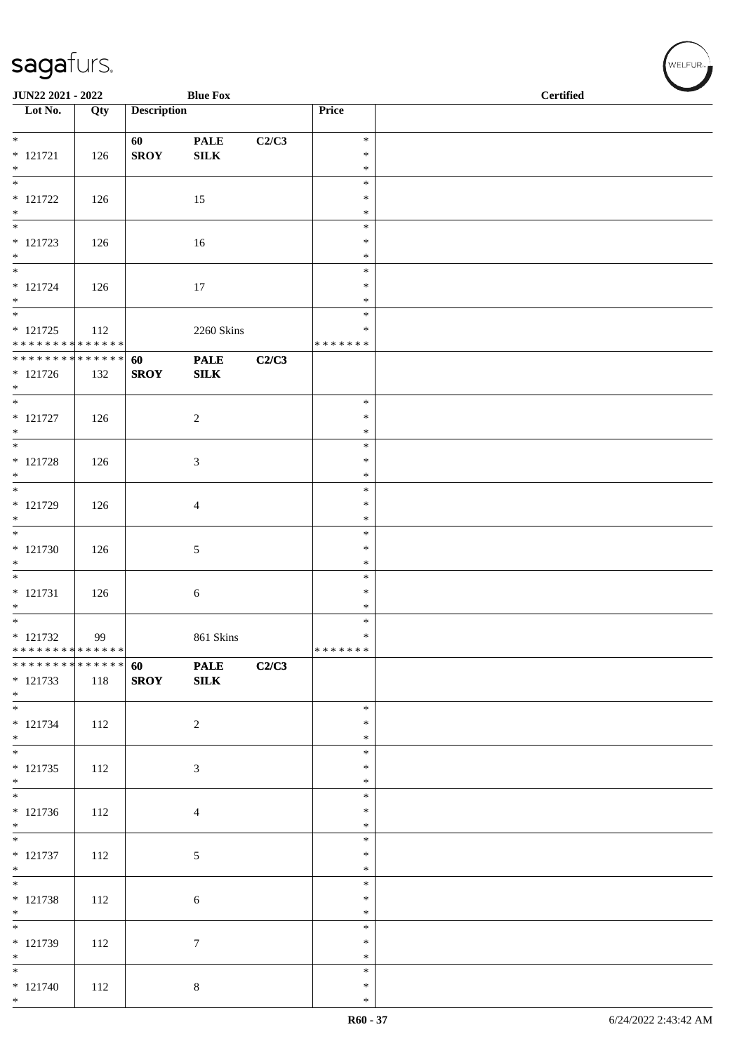| JUN22 2021 - 2022                                           |     |                    | <b>Blue Fox</b>  |       |                    | <b>Certified</b> |  |
|-------------------------------------------------------------|-----|--------------------|------------------|-------|--------------------|------------------|--|
| $\overline{\phantom{1}}$ Lot No.                            | Qty | <b>Description</b> |                  |       | Price              |                  |  |
| $\overline{\mathbf{r}}$                                     |     | 60                 | <b>PALE</b>      | C2/C3 | $\ast$             |                  |  |
| $* 121721$                                                  | 126 | <b>SROY</b>        | ${\bf SILK}$     |       | $\ast$<br>$\ast$   |                  |  |
| $*$<br>$*$                                                  |     |                    |                  |       | $\ast$             |                  |  |
| $* 121722$<br>$\ast$                                        | 126 |                    | 15               |       | $\ast$<br>$\ast$   |                  |  |
| $\overline{\phantom{0}}$                                    |     |                    |                  |       | $\ast$             |                  |  |
| $* 121723$<br>$*$                                           | 126 |                    | 16               |       | ∗<br>$\ast$        |                  |  |
| $\overline{\phantom{0}}$                                    |     |                    |                  |       | $\ast$             |                  |  |
| $* 121724$<br>$*$                                           | 126 |                    | 17               |       | $\ast$<br>$\ast$   |                  |  |
| $\overline{\phantom{0}}$                                    |     |                    |                  |       | $\ast$             |                  |  |
| $* 121725$<br>* * * * * * * * * * * * * *                   | 112 |                    | 2260 Skins       |       | ∗<br>* * * * * * * |                  |  |
| ******** <mark>******</mark>                                |     | 60                 | <b>PALE</b>      | C2/C3 |                    |                  |  |
| $* 121726$<br>$*$                                           | 132 | <b>SROY</b>        | ${\bf SILK}$     |       |                    |                  |  |
| $\overline{\ast}$<br>$* 121727$                             | 126 |                    | $\sqrt{2}$       |       | $\ast$<br>$\ast$   |                  |  |
| $*$                                                         |     |                    |                  |       | $\ast$             |                  |  |
| $*$<br>$* 121728$                                           | 126 |                    | $\mathfrak{Z}$   |       | $\ast$<br>$\ast$   |                  |  |
| $*$<br>$\overline{\phantom{0}}$                             |     |                    |                  |       | $\ast$             |                  |  |
| * 121729                                                    | 126 |                    | $\overline{4}$   |       | $\ast$<br>$\ast$   |                  |  |
| $*$<br>$\overline{\phantom{0}}$                             |     |                    |                  |       | $\ast$<br>$\ast$   |                  |  |
| $* 121730$                                                  | 126 |                    | $5\,$            |       | $\ast$             |                  |  |
| $\ast$<br>$*$                                               |     |                    |                  |       | $\ast$<br>$\ast$   |                  |  |
| $* 121731$                                                  | 126 |                    | 6                |       | $\ast$             |                  |  |
| $*$                                                         |     |                    |                  |       | $\ast$<br>$\ast$   |                  |  |
| $* 121732$                                                  | 99  |                    | 861 Skins        |       | $\ast$             |                  |  |
| ******** <mark>******</mark><br>* * * * * * * * * * * * * * |     | 60                 | <b>PALE</b>      | C2/C3 | *******            |                  |  |
| $* 121733$<br>$*$                                           | 118 | <b>SROY</b>        | ${\bf SILK}$     |       |                    |                  |  |
| $\ast$                                                      |     |                    |                  |       | $\ast$             |                  |  |
| $* 121734$<br>$*$                                           | 112 |                    | $\overline{2}$   |       | $\ast$<br>$\ast$   |                  |  |
| $\overline{\phantom{0}}$                                    |     |                    |                  |       | $\ast$             |                  |  |
| $* 121735$<br>$*$                                           | 112 |                    | $\mathfrak{Z}$   |       | ∗<br>$\ast$        |                  |  |
| $\overline{\phantom{0}}$                                    |     |                    |                  |       | $\ast$             |                  |  |
| $* 121736$<br>$*$                                           | 112 |                    | $\overline{4}$   |       | $\ast$<br>$\ast$   |                  |  |
| $* 121737$                                                  | 112 |                    | $5\,$            |       | $\ast$<br>$\ast$   |                  |  |
| $*$                                                         |     |                    |                  |       | $\ast$             |                  |  |
| $\overline{\phantom{0}}$<br>$* 121738$                      | 112 |                    | 6                |       | $\ast$<br>∗        |                  |  |
| $*$<br>$\overline{\phantom{0}}$                             |     |                    |                  |       | $\ast$             |                  |  |
| $* 121739$                                                  | 112 |                    | $\boldsymbol{7}$ |       | $\ast$<br>$\ast$   |                  |  |
| $*$<br>$*$                                                  |     |                    |                  |       | $\ast$             |                  |  |
| $* 121740$                                                  | 112 |                    | $8\,$            |       | $\ast$<br>$\ast$   |                  |  |
| $*$                                                         |     |                    |                  |       | $\ast$             |                  |  |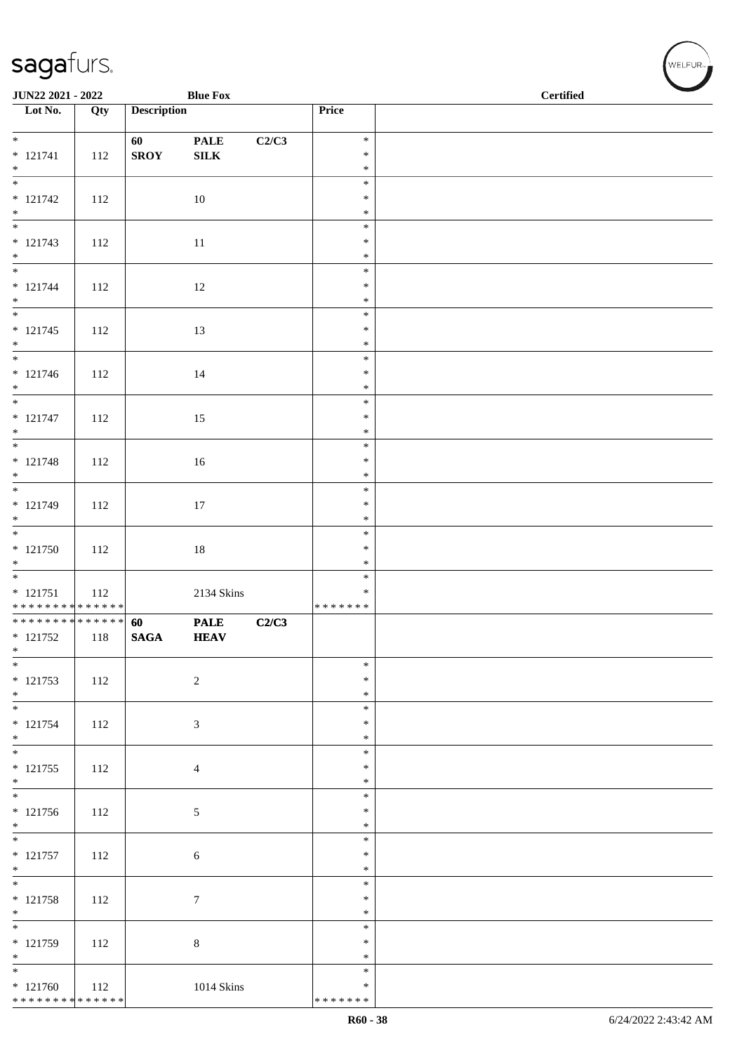| JUN22 2021 - 2022                         |     |                    | <b>Blue Fox</b> |       |                  | <b>Certified</b> |  |  |  |
|-------------------------------------------|-----|--------------------|-----------------|-------|------------------|------------------|--|--|--|
| $\overline{\phantom{1}}$ Lot No.          | Qty | <b>Description</b> |                 |       | Price            |                  |  |  |  |
| $*$                                       |     | 60                 | <b>PALE</b>     | C2/C3 | $\ast$           |                  |  |  |  |
| $* 121741$                                | 112 | <b>SROY</b>        | ${\bf SILK}$    |       | $\ast$           |                  |  |  |  |
| $*$<br>$\overline{\phantom{0}}$           |     |                    |                 |       | $\ast$<br>$\ast$ |                  |  |  |  |
| $* 121742$                                | 112 |                    | 10              |       | $\ast$           |                  |  |  |  |
| $*$                                       |     |                    |                 |       | $\ast$           |                  |  |  |  |
| $* 121743$                                | 112 |                    | $11\,$          |       | $\ast$<br>$\ast$ |                  |  |  |  |
| $*$                                       |     |                    |                 |       | $\ast$           |                  |  |  |  |
|                                           |     |                    |                 |       | $\ast$           |                  |  |  |  |
| $* 121744$<br>$*$                         | 112 |                    | 12              |       | $\ast$<br>$\ast$ |                  |  |  |  |
|                                           |     |                    |                 |       | $\ast$           |                  |  |  |  |
| $* 121745$<br>$*$                         | 112 |                    | 13              |       | $\ast$<br>$\ast$ |                  |  |  |  |
|                                           |     |                    |                 |       | $\ast$           |                  |  |  |  |
| $* 121746$<br>$*$                         | 112 |                    | 14              |       | $\ast$<br>$\ast$ |                  |  |  |  |
| $\overline{\phantom{0}}$                  |     |                    |                 |       | $\ast$           |                  |  |  |  |
| $* 121747$                                | 112 |                    | 15              |       | $\ast$           |                  |  |  |  |
| $*$                                       |     |                    |                 |       | $\ast$<br>$\ast$ |                  |  |  |  |
| $* 121748$                                | 112 |                    | $16\,$          |       | $\ast$           |                  |  |  |  |
| $*$                                       |     |                    |                 |       | $\ast$<br>$\ast$ |                  |  |  |  |
| * 121749                                  | 112 |                    | 17              |       | $\ast$           |                  |  |  |  |
| $*$                                       |     |                    |                 |       | $\ast$           |                  |  |  |  |
| $* 121750$                                | 112 |                    | $18\,$          |       | $\ast$<br>$\ast$ |                  |  |  |  |
| $*$                                       |     |                    |                 |       | $\ast$           |                  |  |  |  |
| $* 121751$                                | 112 |                    | 2134 Skins      |       | $\ast$<br>∗      |                  |  |  |  |
| * * * * * * * * * * * * * *               |     |                    |                 |       | * * * * * * *    |                  |  |  |  |
| * * * * * * * * * * * * * *<br>$* 121752$ |     | 60                 | <b>PALE</b>     | C2/C3 |                  |                  |  |  |  |
| $\ast$                                    | 118 | <b>SAGA</b>        | <b>HEAV</b>     |       |                  |                  |  |  |  |
| $*$                                       |     |                    |                 |       | $\ast$           |                  |  |  |  |
| $* 121753$<br>$*$                         | 112 |                    | $\sqrt{2}$      |       | $\ast$<br>$\ast$ |                  |  |  |  |
| $\overline{\phantom{0}}$                  |     |                    |                 |       | $\ast$           |                  |  |  |  |
| $* 121754$<br>$*$                         | 112 |                    | 3               |       | $\ast$<br>$\ast$ |                  |  |  |  |
| $\overline{\ast}$                         |     |                    |                 |       | $\ast$           |                  |  |  |  |
| $* 121755$<br>$*$                         | 112 |                    | $\overline{4}$  |       | $\ast$<br>$\ast$ |                  |  |  |  |
|                                           |     |                    |                 |       | $\ast$           |                  |  |  |  |
| $* 121756$                                | 112 |                    | 5               |       | $\ast$           |                  |  |  |  |
| $*$                                       |     |                    |                 |       | $\ast$<br>$\ast$ |                  |  |  |  |
| $* 121757$                                | 112 |                    | $\sqrt{6}$      |       | ∗                |                  |  |  |  |
| $*$                                       |     |                    |                 |       | $\ast$<br>$\ast$ |                  |  |  |  |
| $* 121758$                                | 112 |                    | $\tau$          |       | $\ast$           |                  |  |  |  |
| $*$<br>$\overline{\phantom{0}}$           |     |                    |                 |       | $\ast$<br>$\ast$ |                  |  |  |  |
| $* 121759$                                | 112 |                    | $\,8\,$         |       | $\ast$           |                  |  |  |  |
| $*$<br>$\overline{\phantom{0}}$           |     |                    |                 |       | $\ast$           |                  |  |  |  |
| $* 121760$                                | 112 |                    | 1014 Skins      |       | $\ast$<br>∗      |                  |  |  |  |
| * * * * * * * * * * * * * *               |     |                    |                 |       | * * * * * * *    |                  |  |  |  |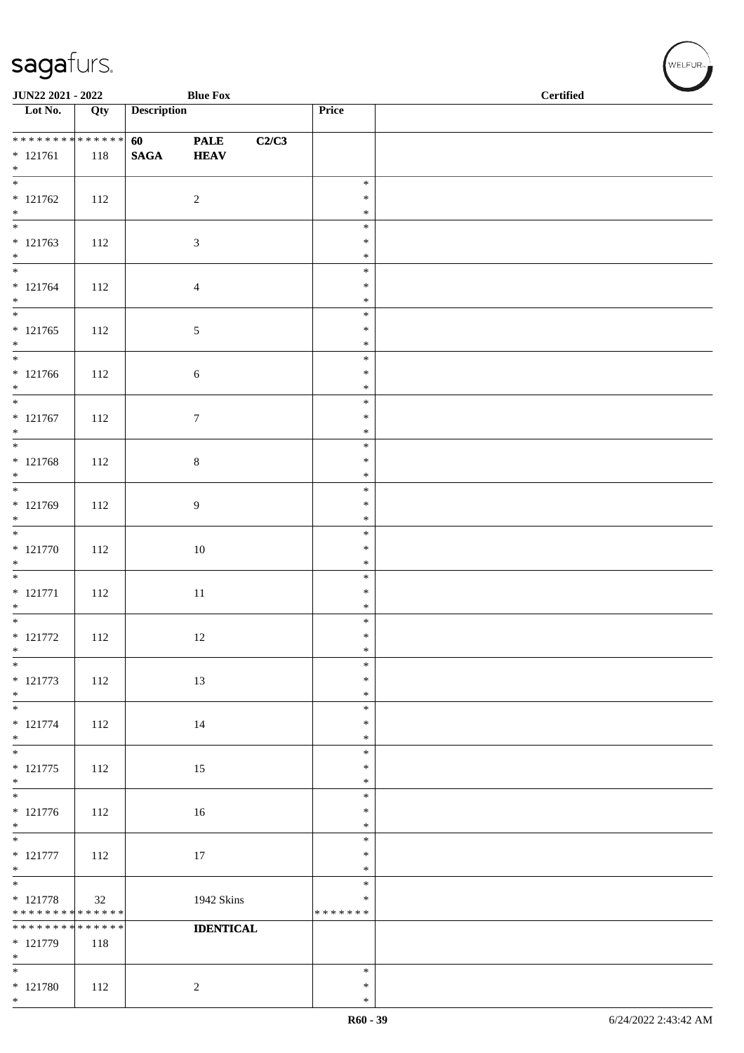| JUN22 2021 - 2022                                                |                    |                    | <b>Blue Fox</b>            |       |                                      | <b>Certified</b> |  |  |  |
|------------------------------------------------------------------|--------------------|--------------------|----------------------------|-------|--------------------------------------|------------------|--|--|--|
| $\overline{\phantom{1}}$ Lot No.                                 | Qty                | <b>Description</b> |                            |       | Price                                |                  |  |  |  |
| **************<br>$* 121761$<br>$*$                              | 118                | 60<br><b>SAGA</b>  | <b>PALE</b><br><b>HEAV</b> | C2/C3 |                                      |                  |  |  |  |
| $\overline{\phantom{0}}$<br>$* 121762$<br>$*$                    | 112                |                    | $\overline{c}$             |       | $\ast$<br>$\ast$<br>$\ast$           |                  |  |  |  |
| $* 121763$<br>$*$                                                | 112                |                    | 3                          |       | $\ast$<br>$\ast$<br>$\ast$           |                  |  |  |  |
| $* 121764$<br>$*$                                                | 112                |                    | $\overline{4}$             |       | $\ast$<br>$\ast$<br>$\ast$           |                  |  |  |  |
| $* 121765$<br>$*$                                                | 112                |                    | $\sqrt{5}$                 |       | $\ast$<br>$\ast$<br>$\ast$           |                  |  |  |  |
| $* 121766$<br>$*$<br>$\overline{\phantom{0}}$                    | 112                |                    | 6                          |       | $\ast$<br>$\ast$<br>$\ast$           |                  |  |  |  |
| $* 121767$<br>$*$                                                | 112                |                    | $\tau$                     |       | $\ast$<br>$\ast$<br>$\ast$           |                  |  |  |  |
| $* 121768$<br>$*$                                                | 112                |                    | $8\,$                      |       | $\ast$<br>$\ast$<br>$\ast$           |                  |  |  |  |
| * 121769<br>$*$                                                  | 112                |                    | 9                          |       | $\ast$<br>$\ast$<br>$\ast$           |                  |  |  |  |
| $* 121770$<br>$\ast$                                             | 112                |                    | $10\,$                     |       | $\ast$<br>$\ast$<br>$\ast$           |                  |  |  |  |
| $* 121771$<br>$*$<br>$*$                                         | 112                |                    | 11                         |       | $\ast$<br>$\ast$<br>$\ast$           |                  |  |  |  |
| $* 121772$<br>$\ast$<br>$*$                                      | 112                |                    | 12                         |       | $\ast$<br>$\ast$<br>$\ast$<br>$\ast$ |                  |  |  |  |
| $* 121773$<br>$*$<br>$\overline{\phantom{0}}$                    | 112                |                    | 13                         |       | $\ast$<br>$\ast$<br>$\ast$           |                  |  |  |  |
| $* 121774$<br>$*$<br>$*$                                         | 112                |                    | 14                         |       | $\ast$<br>$\ast$                     |                  |  |  |  |
| $* 121775$<br>$\ast$<br>$\overline{\phantom{0}}$                 | 112                |                    | 15                         |       | $\ast$<br>$\ast$<br>$\ast$           |                  |  |  |  |
| $* 121776$<br>$*$<br>$\overline{\phantom{0}}$                    | 112                |                    | 16                         |       | $\ast$<br>$\ast$<br>$\ast$           |                  |  |  |  |
| $* 121777$<br>$*$<br>$\overline{\phantom{0}}$                    | 112                |                    | 17                         |       | $\ast$<br>$\ast$<br>$\ast$           |                  |  |  |  |
| $* 121778$<br>******** <mark>******</mark>                       | 32                 |                    | 1942 Skins                 |       | $\ast$<br>$\ast$<br>* * * * * * *    |                  |  |  |  |
| * * * * * * * *<br>$* 121779$<br>$*$<br>$\overline{\phantom{0}}$ | * * * * * *<br>118 |                    | <b>IDENTICAL</b>           |       |                                      |                  |  |  |  |
| $* 121780$<br>$*$                                                | 112                |                    | $\sqrt{2}$                 |       | $\ast$<br>$\ast$<br>$\ast$           |                  |  |  |  |

 $(\forall ELFUR_{\text{max}})$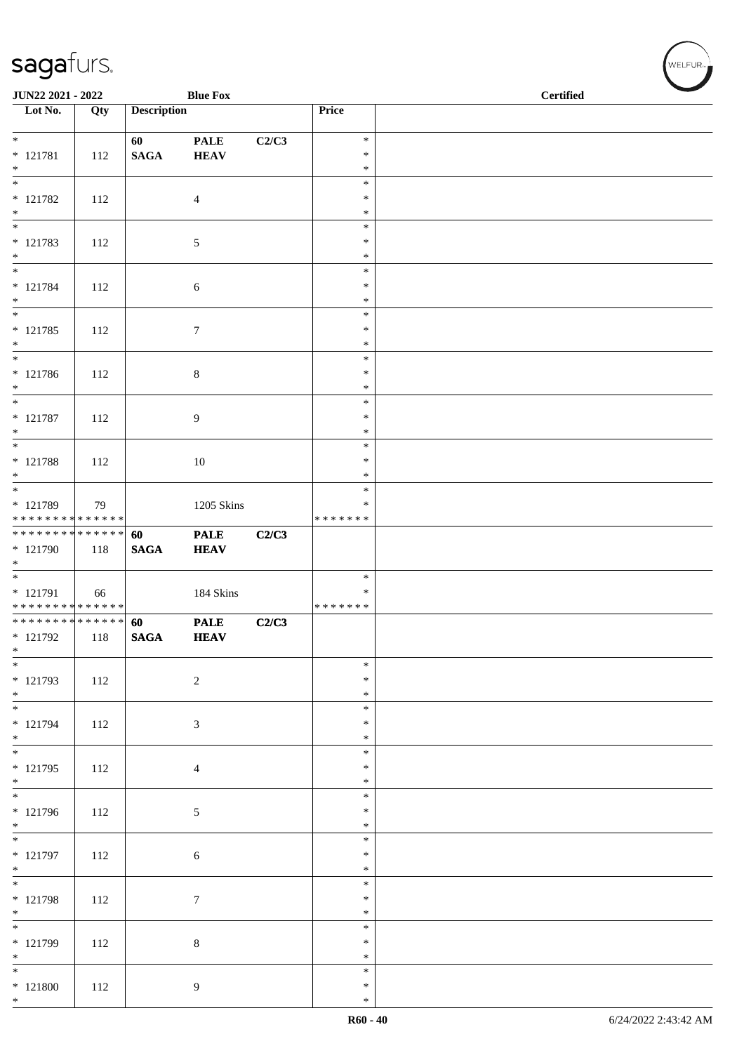| JUN22 2021 - 2022                                                        |     |                       | <b>Blue Fox</b>            |       |                                      | <b>Certified</b> |  |
|--------------------------------------------------------------------------|-----|-----------------------|----------------------------|-------|--------------------------------------|------------------|--|
| Lot No.                                                                  | Qty | <b>Description</b>    |                            |       | Price                                |                  |  |
| $*$<br>$* 121781$<br>$*$                                                 | 112 | 60<br>$\mathbf{SAGA}$ | <b>PALE</b><br><b>HEAV</b> | C2/C3 | $\ast$<br>$\ast$<br>$\ast$           |                  |  |
| $\overline{\phantom{0}}$<br>$* 121782$<br>$*$                            | 112 |                       | $\overline{4}$             |       | $\ast$<br>$\ast$<br>$\ast$           |                  |  |
| * 121783<br>$*$                                                          | 112 |                       | $\mathfrak{S}$             |       | $\ast$<br>$\ast$<br>$\ast$           |                  |  |
| $* 121784$<br>$*$                                                        | 112 |                       | 6                          |       | $\ast$<br>$\ast$<br>$\ast$<br>$\ast$ |                  |  |
| $* 121785$<br>$*$<br>$*$                                                 | 112 |                       | $\boldsymbol{7}$           |       | $\ast$<br>$\ast$<br>$\ast$           |                  |  |
| $* 121786$<br>$*$<br>$*$                                                 | 112 |                       | $\,8\,$                    |       | $\ast$<br>$\ast$<br>$\ast$           |                  |  |
| $* 121787$<br>$\ast$<br>$\overline{\phantom{0}}$                         | 112 |                       | $\overline{9}$             |       | $\ast$<br>$\ast$<br>$\ast$           |                  |  |
| * 121788<br>$*$                                                          | 112 |                       | $10\,$                     |       | $\ast$<br>$\ast$<br>$\ast$           |                  |  |
| * 121789<br>******** <mark>******</mark><br>**************               | 79  |                       | 1205 Skins                 |       | $\ast$<br>* * * * * * *              |                  |  |
| * 121790<br>$*$                                                          | 118 | 60<br><b>SAGA</b>     | <b>PALE</b><br><b>HEAV</b> | C2/C3 | $\ast$                               |                  |  |
| * 121791<br>* * * * * * * * * * * * * *<br>* * * * * * * * * * * * * * * | 66  |                       | 184 Skins                  |       | ∗<br>* * * * * * *                   |                  |  |
| * 121792<br>$\ast$<br>$*$                                                | 118 | 60<br><b>SAGA</b>     | <b>PALE</b><br><b>HEAV</b> | C2/C3 | $\ast$                               |                  |  |
| $* 121793$<br>$*$<br>$\overline{\phantom{0}}$                            | 112 |                       | $\sqrt{2}$                 |       | $\ast$<br>$\ast$<br>$\ast$           |                  |  |
| $* 121794$<br>$*$<br>$*$                                                 | 112 |                       | $\sqrt{3}$                 |       | ∗<br>$\ast$<br>$\ast$                |                  |  |
| $* 121795$<br>$*$                                                        | 112 |                       | $\overline{4}$             |       | $\ast$<br>$\ast$<br>$\ast$           |                  |  |
| * 121796<br>$*$                                                          | 112 |                       | 5                          |       | $\ast$<br>$\ast$                     |                  |  |
| * 121797<br>$*$<br>$*$                                                   | 112 |                       | $\sqrt{6}$                 |       | $\ast$<br>$\ast$<br>$\ast$           |                  |  |
| * 121798<br>$*$                                                          | 112 |                       | $\boldsymbol{7}$           |       | $\ast$<br>$\ast$<br>$\ast$           |                  |  |
| * 121799<br>$*$                                                          | 112 |                       | $\,8\,$                    |       | $\ast$<br>$\ast$<br>$\ast$           |                  |  |
| $*$<br>$*121800$<br>$*$                                                  | 112 |                       | 9                          |       | $\ast$<br>$\ast$<br>$\ast$           |                  |  |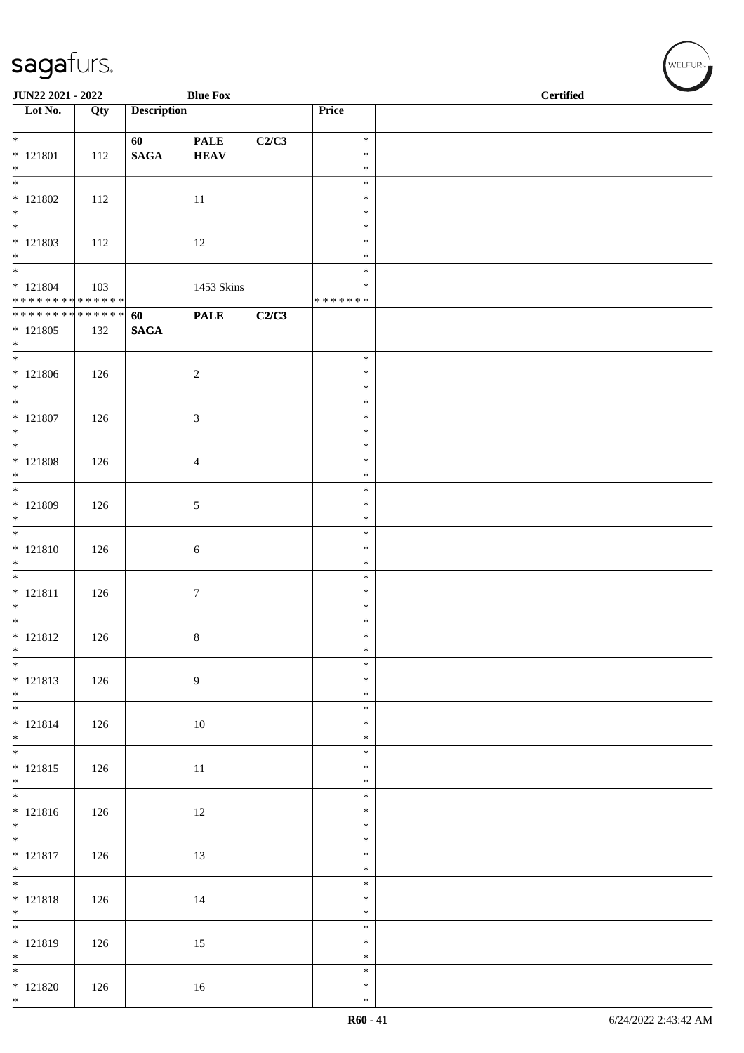| JUN22 2021 - 2022                                  |     |                       | <b>Blue Fox</b>            |       |                                   | <b>Certified</b> |  |
|----------------------------------------------------|-----|-----------------------|----------------------------|-------|-----------------------------------|------------------|--|
| $\overline{\phantom{1}}$ Lot No.                   | Qty | <b>Description</b>    |                            |       | Price                             |                  |  |
| $*$<br>$* 121801$<br>$*$                           | 112 | 60<br>$\mathbf{SAGA}$ | <b>PALE</b><br><b>HEAV</b> | C2/C3 | $\ast$<br>$\ast$<br>$\ast$        |                  |  |
| $*121802$<br>$*$                                   | 112 |                       | 11                         |       | $\ast$<br>$\ast$<br>$\ast$        |                  |  |
| $\overline{\phantom{0}}$<br>$* 121803$<br>$*$      | 112 |                       | 12                         |       | $\ast$<br>$\ast$<br>$\ast$        |                  |  |
| $* 121804$<br>******** <mark>******</mark>         | 103 |                       | 1453 Skins                 |       | $\ast$<br>$\ast$<br>* * * * * * * |                  |  |
| * * * * * * * * * * * * * * *<br>$* 121805$<br>$*$ | 132 | 60<br><b>SAGA</b>     | <b>PALE</b>                | C2/C3 |                                   |                  |  |
| $* 121806$<br>$*$                                  | 126 |                       | $\overline{c}$             |       | $\ast$<br>$\ast$<br>$\ast$        |                  |  |
| $*$ 121807<br>$*$                                  | 126 |                       | 3                          |       | $\ast$<br>$\ast$<br>$\ast$        |                  |  |
| $*$<br>$*$ 121808<br>$*$                           | 126 |                       | 4                          |       | $\ast$<br>$\ast$<br>$\ast$        |                  |  |
| $*$<br>$* 121809$<br>$*$                           | 126 |                       | 5                          |       | $\ast$<br>$\ast$<br>$\ast$        |                  |  |
| $*$<br>$* 121810$<br>$*$                           | 126 |                       | 6                          |       | $\ast$<br>$\ast$<br>$\ast$        |                  |  |
| $* 121811$<br>$*$                                  | 126 |                       | $\tau$                     |       | $\ast$<br>$\ast$<br>$\ast$        |                  |  |
| $*$<br>$* 121812$<br>$*$                           | 126 |                       | $\,8\,$                    |       | $\ast$<br>$\ast$<br>$\ast$        |                  |  |
| $\overline{\phantom{0}}$<br>$* 121813$<br>$*$      | 126 |                       | 9                          |       | $\ast$<br>$\ast$<br>$\ast$        |                  |  |
| $*$<br>$* 121814$<br>$*$                           | 126 |                       | 10                         |       | $\ast$<br>$\ast$<br>$\ast$        |                  |  |
| $* 121815$<br>$*$                                  | 126 |                       | $11\,$                     |       | $\ast$<br>$\ast$<br>$\ast$        |                  |  |
| $* 121816$<br>$*$                                  | 126 |                       | 12                         |       | $\ast$<br>$\ast$<br>$\ast$        |                  |  |
| $* 121817$<br>$*$                                  | 126 |                       | 13                         |       | $\ast$<br>$\ast$<br>$\ast$        |                  |  |
| $* 121818$<br>$*$                                  | 126 |                       | 14                         |       | $\ast$<br>$\ast$<br>$\ast$        |                  |  |
| $* 121819$<br>$*$                                  | 126 |                       | 15                         |       | $\ast$<br>$\ast$<br>$\ast$        |                  |  |
| $*$ 121820<br>$*$                                  | 126 |                       | 16                         |       | $\ast$<br>$\ast$<br>$\ast$        |                  |  |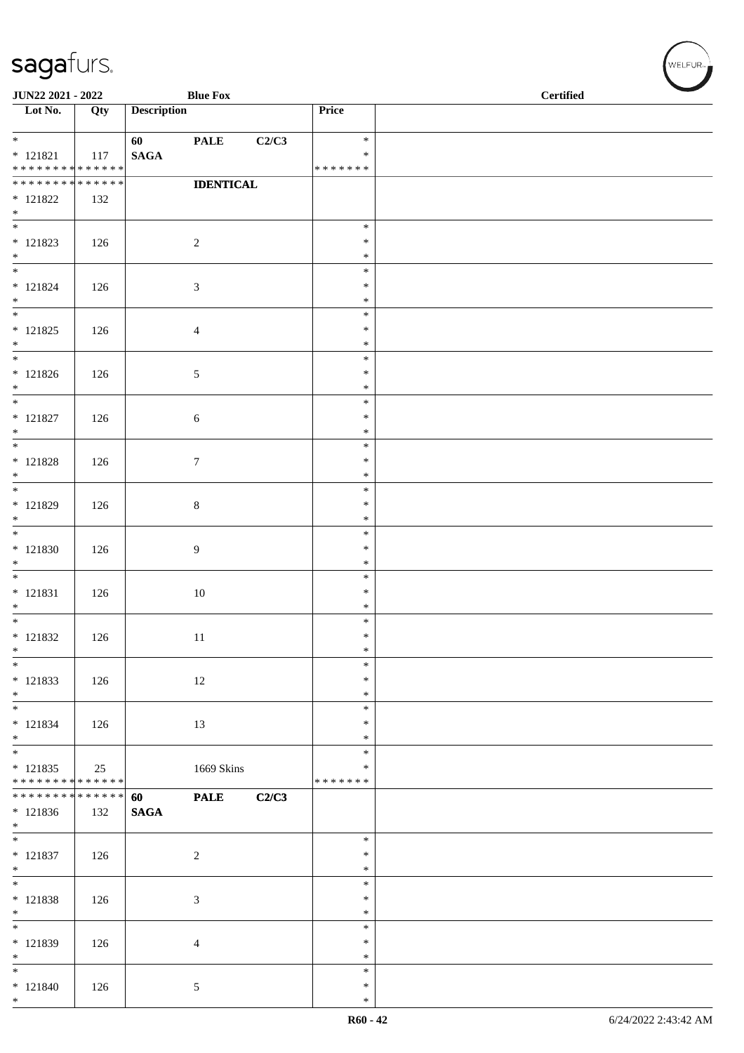| JUN22 2021 - 2022<br><b>Blue Fox</b>                        |     |                    |                  |       | <b>Certified</b>   |  |  |  |
|-------------------------------------------------------------|-----|--------------------|------------------|-------|--------------------|--|--|--|
| $\overline{\phantom{1}}$ Lot No.                            | Qty | <b>Description</b> |                  |       | Price              |  |  |  |
| $*$                                                         |     | 60                 | <b>PALE</b>      | C2/C3 | $\ast$             |  |  |  |
| $* 121821$                                                  | 117 | <b>SAGA</b>        |                  |       | $\ast$             |  |  |  |
| ******** <mark>******</mark><br>* * * * * * * * * * * * * * |     |                    |                  |       | * * * * * * *      |  |  |  |
| $* 121822$                                                  | 132 |                    | <b>IDENTICAL</b> |       |                    |  |  |  |
| $*$                                                         |     |                    |                  |       |                    |  |  |  |
|                                                             |     |                    |                  |       | $\ast$             |  |  |  |
| $* 121823$<br>$*$                                           | 126 |                    | $\overline{c}$   |       | $\ast$<br>$\ast$   |  |  |  |
| $*$                                                         |     |                    |                  |       | $\ast$             |  |  |  |
| $* 121824$                                                  | 126 |                    | $\mathfrak{Z}$   |       | $\ast$             |  |  |  |
| $*$<br>$*$                                                  |     |                    |                  |       | $\ast$             |  |  |  |
| $* 121825$                                                  | 126 |                    | $\overline{4}$   |       | $\ast$<br>$\ast$   |  |  |  |
| $*$                                                         |     |                    |                  |       | $\ast$             |  |  |  |
|                                                             |     |                    |                  |       | $\ast$             |  |  |  |
| $* 121826$<br>$*$                                           | 126 |                    | $\sqrt{5}$       |       | $\ast$<br>$\ast$   |  |  |  |
| $*$                                                         |     |                    |                  |       | $\ast$             |  |  |  |
| $* 121827$                                                  | 126 |                    | $6\,$            |       | $\ast$             |  |  |  |
| $*$                                                         |     |                    |                  |       | $\ast$             |  |  |  |
| $* 121828$                                                  | 126 |                    | $\overline{7}$   |       | $\ast$<br>$\ast$   |  |  |  |
| $*$                                                         |     |                    |                  |       | $\ast$             |  |  |  |
|                                                             |     |                    |                  |       | $\ast$             |  |  |  |
| * 121829<br>$*$                                             | 126 |                    | $\,8\,$          |       | $\ast$<br>$\ast$   |  |  |  |
| $\overline{\ast}$                                           |     |                    |                  |       | $\ast$             |  |  |  |
| $* 121830$                                                  | 126 |                    | $\overline{9}$   |       | $\ast$             |  |  |  |
| $*$<br>$*$                                                  |     |                    |                  |       | $\ast$             |  |  |  |
| $* 121831$                                                  | 126 |                    | 10               |       | $\ast$<br>$\ast$   |  |  |  |
| $*$                                                         |     |                    |                  |       | $\ast$             |  |  |  |
|                                                             |     |                    |                  |       | $\ast$             |  |  |  |
| $* 121832$<br>$\ast$                                        | 126 |                    | 11               |       | $\ast$<br>$\ast$   |  |  |  |
| $\ast$                                                      |     |                    |                  |       | $\ast$             |  |  |  |
| * 121833                                                    | 126 |                    | 12               |       | $\ast$             |  |  |  |
| $*$                                                         |     |                    |                  |       | $\ast$             |  |  |  |
| $*$<br>$* 121834$                                           | 126 |                    | 13               |       | $\ast$<br>$\ast$   |  |  |  |
| $\ast$                                                      |     |                    |                  |       | $\ast$             |  |  |  |
|                                                             |     |                    |                  |       | $\ast$             |  |  |  |
| $* 121835$<br>* * * * * * * * <mark>* * * * * * *</mark>    | 25  |                    | 1669 Skins       |       | ∗<br>* * * * * * * |  |  |  |
| ******** <mark>******</mark>                                |     | 60                 | <b>PALE</b>      | C2/C3 |                    |  |  |  |
| $* 121836$                                                  | 132 | $\mathbf{SAGA}$    |                  |       |                    |  |  |  |
| $*$<br>$\ast$                                               |     |                    |                  |       | $\ast$             |  |  |  |
| $* 121837$                                                  | 126 |                    | $\overline{2}$   |       | $\ast$             |  |  |  |
| $*$                                                         |     |                    |                  |       | $\ast$             |  |  |  |
| $\overline{\phantom{0}}$                                    |     |                    |                  |       | $\ast$             |  |  |  |
| $* 121838$<br>$*$                                           | 126 |                    | $\mathfrak{Z}$   |       | $\ast$<br>$\ast$   |  |  |  |
| $*$                                                         |     |                    |                  |       | $\ast$             |  |  |  |
| * 121839                                                    | 126 |                    | $\overline{4}$   |       | $\ast$             |  |  |  |
| $\ast$                                                      |     |                    |                  |       | $\ast$             |  |  |  |
| $*$<br>$* 121840$                                           | 126 |                    | 5                |       | $\ast$<br>$\ast$   |  |  |  |
| $*$                                                         |     |                    |                  |       | $\ast$             |  |  |  |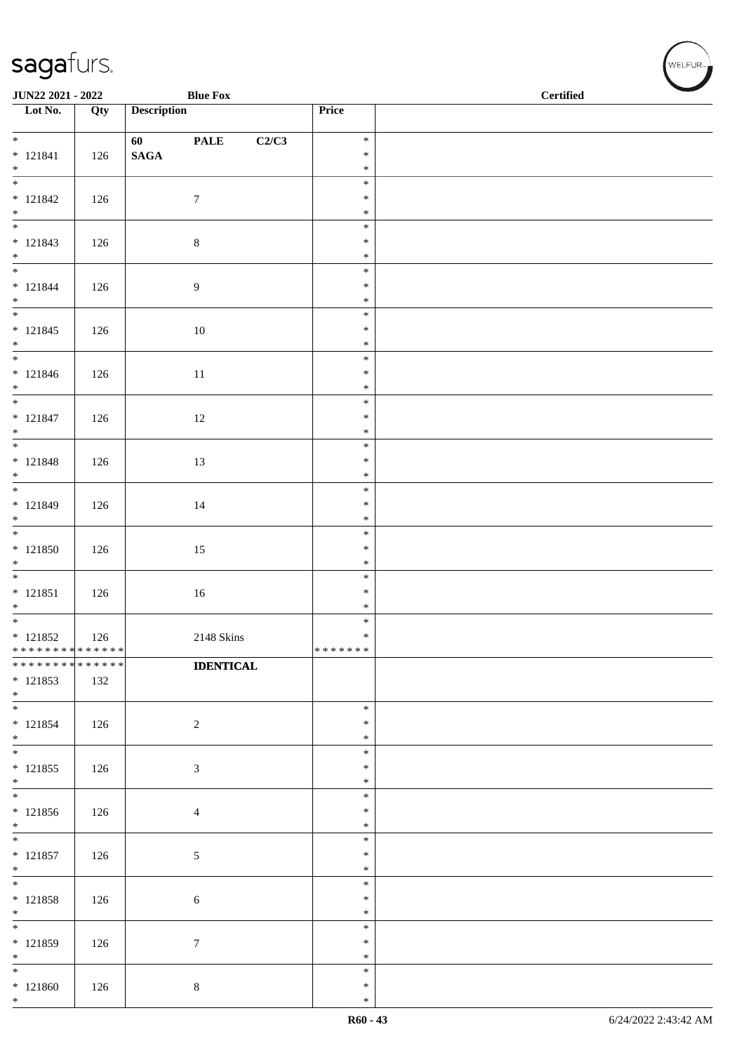| JUN22 2021 - 2022             |     |                    | <b>Blue Fox</b>      |                  | $\overline{\phantom{a}}$<br>$\operatorname{\bf \mathbf{Certified}}$ |  |  |  |
|-------------------------------|-----|--------------------|----------------------|------------------|---------------------------------------------------------------------|--|--|--|
| Lot No.                       | Qty | <b>Description</b> |                      | Price            |                                                                     |  |  |  |
| $*$                           |     | 60 — 10            | C2/C3<br><b>PALE</b> | $\ast$           |                                                                     |  |  |  |
| $* 121841$                    | 126 | $\mathbf{SAGA}$    |                      | $\ast$           |                                                                     |  |  |  |
| $*$                           |     |                    |                      | $\ast$           |                                                                     |  |  |  |
| $* 121842$                    |     |                    | $\overline{7}$       | $\ast$<br>$\ast$ |                                                                     |  |  |  |
| $*$                           | 126 |                    |                      | $\ast$           |                                                                     |  |  |  |
|                               |     |                    |                      | $\ast$           |                                                                     |  |  |  |
| $* 121843$<br>$*$             | 126 |                    | $8\,$                | $\ast$<br>$\ast$ |                                                                     |  |  |  |
| $*$                           |     |                    |                      | $\ast$           |                                                                     |  |  |  |
| $* 121844$                    | 126 |                    | $\overline{9}$       | $\ast$           |                                                                     |  |  |  |
| $*$                           |     |                    |                      | $\ast$<br>$\ast$ |                                                                     |  |  |  |
| $* 121845$                    | 126 |                    | 10                   | $\ast$           |                                                                     |  |  |  |
| $*$                           |     |                    |                      | $\ast$           |                                                                     |  |  |  |
| $*$                           |     |                    |                      | $\ast$           |                                                                     |  |  |  |
| $* 121846$<br>$*$             | 126 |                    | $11\,$               | $\ast$<br>$\ast$ |                                                                     |  |  |  |
| $*$                           |     |                    |                      | $\ast$           |                                                                     |  |  |  |
| $* 121847$                    | 126 |                    | 12                   | $\ast$           |                                                                     |  |  |  |
| $*$                           |     |                    |                      | $\ast$<br>$\ast$ |                                                                     |  |  |  |
| $* 121848$                    | 126 |                    | 13                   | $\ast$           |                                                                     |  |  |  |
| $*$                           |     |                    |                      | $\ast$           |                                                                     |  |  |  |
| * 121849                      | 126 |                    | 14                   | $\ast$<br>$\ast$ |                                                                     |  |  |  |
| $*$                           |     |                    |                      | $\ast$           |                                                                     |  |  |  |
|                               |     |                    |                      | $\ast$           |                                                                     |  |  |  |
| $* 121850$<br>$*$             | 126 |                    | 15                   | $\ast$<br>$\ast$ |                                                                     |  |  |  |
|                               |     |                    |                      | $\ast$           |                                                                     |  |  |  |
| $* 121851$                    | 126 |                    | 16                   | $\ast$           |                                                                     |  |  |  |
| $*$                           |     |                    |                      | $\ast$<br>$\ast$ |                                                                     |  |  |  |
| $* 121852$                    | 126 |                    | 2148 Skins           | $\ast$           |                                                                     |  |  |  |
| * * * * * * * * * * * * * * * |     |                    |                      | *******          |                                                                     |  |  |  |
| * * * * * * * * * * * * * *   |     |                    | <b>IDENTICAL</b>     |                  |                                                                     |  |  |  |
| $* 121853$<br>$*$             | 132 |                    |                      |                  |                                                                     |  |  |  |
| $*$                           |     |                    |                      | $\ast$           |                                                                     |  |  |  |
| $* 121854$                    | 126 |                    | $\overline{c}$       | $\ast$           |                                                                     |  |  |  |
| $*$                           |     |                    |                      | $\ast$<br>$\ast$ |                                                                     |  |  |  |
| $* 121855$                    | 126 |                    | $\sqrt{3}$           | $\ast$           |                                                                     |  |  |  |
| $*$                           |     |                    |                      | $\ast$           |                                                                     |  |  |  |
| $* 121856$                    | 126 |                    | $\overline{4}$       | $\ast$<br>$\ast$ |                                                                     |  |  |  |
| $*$                           |     |                    |                      | $\ast$           |                                                                     |  |  |  |
| $*$                           |     |                    |                      | $\ast$           |                                                                     |  |  |  |
| $* 121857$<br>$*$             | 126 |                    | $\sqrt{5}$           | $\ast$<br>$\ast$ |                                                                     |  |  |  |
| $*$                           |     |                    |                      | $\ast$           |                                                                     |  |  |  |
| $* 121858$                    | 126 |                    | 6                    | $\ast$           |                                                                     |  |  |  |
| $*$<br>$\ast$                 |     |                    |                      | $\ast$<br>$\ast$ |                                                                     |  |  |  |
| * 121859                      | 126 |                    | $\tau$               | $\ast$           |                                                                     |  |  |  |
| $*$                           |     |                    |                      | $\ast$           |                                                                     |  |  |  |
| $*$                           |     |                    |                      | $\ast$<br>$\ast$ |                                                                     |  |  |  |
| $* 121860$<br>$*$             | 126 |                    | $8\,$                | $\ast$           |                                                                     |  |  |  |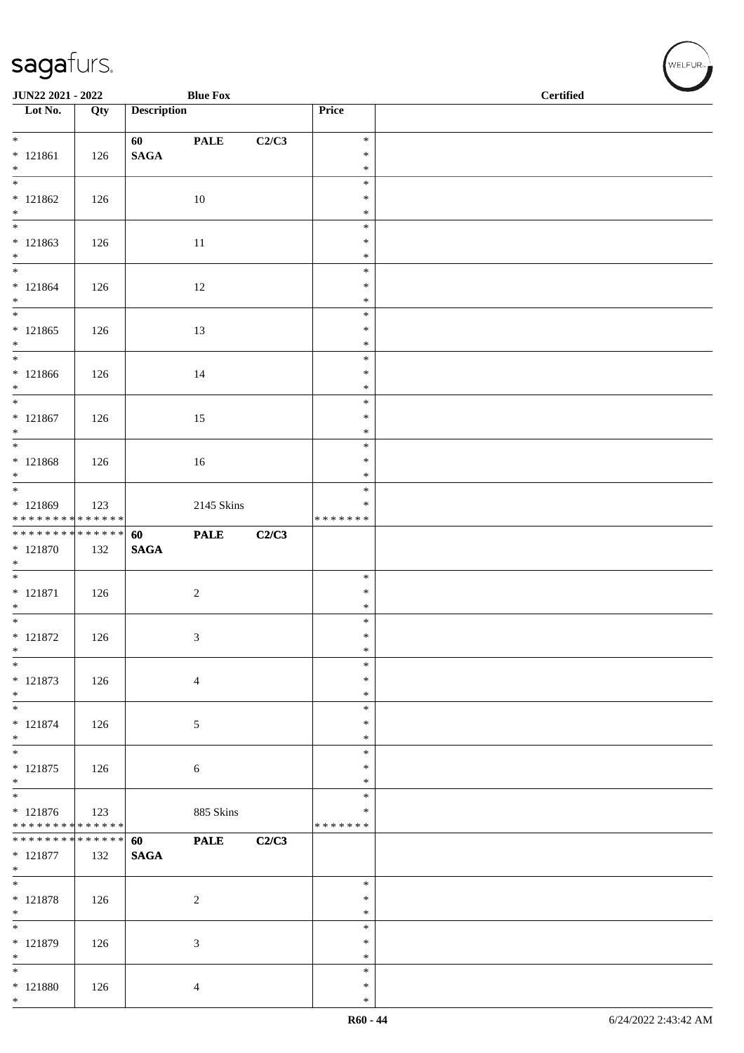| JUN22 2021 - 2022                                                           |     |                    | <b>Blue Fox</b> |       |                  | $\operatorname{\bf \mathbf{Certified}}$ |
|-----------------------------------------------------------------------------|-----|--------------------|-----------------|-------|------------------|-----------------------------------------|
| $\overline{\phantom{a}}$ Lot No.                                            | Qty | <b>Description</b> |                 |       | Price            |                                         |
| $*$                                                                         |     |                    |                 | C2/C3 | $\ast$           |                                         |
| $* 121861$                                                                  | 126 | $\mathbf{SAGA}$    | <b>PALE</b>     |       | $\ast$           |                                         |
| $*$                                                                         |     |                    |                 |       | $\ast$           |                                         |
| $\overline{\phantom{0}}$                                                    |     |                    |                 |       | $\ast$           |                                         |
| $* 121862$<br>$*$                                                           | 126 |                    | 10              |       | $\ast$           |                                         |
|                                                                             |     |                    |                 |       | $\ast$<br>$\ast$ |                                         |
| $* 121863$                                                                  | 126 |                    | 11              |       | $\ast$           |                                         |
| $\ast$                                                                      |     |                    |                 |       | $\ast$           |                                         |
| $*$                                                                         |     |                    |                 |       | $\ast$           |                                         |
| $* 121864$<br>$*$                                                           | 126 |                    | 12              |       | $\ast$<br>$\ast$ |                                         |
| $\overline{\ }$                                                             |     |                    |                 |       | $\ast$           |                                         |
| $* 121865$                                                                  | 126 |                    | 13              |       | $\ast$           |                                         |
| $*$                                                                         |     |                    |                 |       | $\ast$           |                                         |
| $*$<br>$* 121866$                                                           | 126 |                    | 14              |       | $\ast$<br>$\ast$ |                                         |
| $*$                                                                         |     |                    |                 |       | $\ast$           |                                         |
| $*$                                                                         |     |                    |                 |       | $\ast$           |                                         |
| $* 121867$                                                                  | 126 |                    | 15              |       | $\ast$           |                                         |
| $*$                                                                         |     |                    |                 |       | $\ast$<br>$\ast$ |                                         |
| $* 121868$                                                                  | 126 |                    | 16              |       | $\ast$           |                                         |
| $*$                                                                         |     |                    |                 |       | $\ast$           |                                         |
|                                                                             |     |                    |                 |       | $\ast$           |                                         |
| * 121869                                                                    | 123 |                    | 2145 Skins      |       | $\ast$           |                                         |
| * * * * * * * * <mark>* * * * * * *</mark><br>* * * * * * * * * * * * * * * |     | 60                 | <b>PALE</b>     | C2/C3 | * * * * * * *    |                                         |
| $* 121870$                                                                  | 132 | $\mathbf{SAGA}$    |                 |       |                  |                                         |
| $*$                                                                         |     |                    |                 |       |                  |                                         |
|                                                                             |     |                    |                 |       | $\ast$           |                                         |
| $* 121871$<br>$*$                                                           | 126 |                    | $\sqrt{2}$      |       | $\ast$<br>$\ast$ |                                         |
| $*$                                                                         |     |                    |                 |       | $\ast$           |                                         |
| $* 121872$                                                                  | 126 |                    | 3               |       | $\ast$           |                                         |
| $\ast$                                                                      |     |                    |                 |       | $\ast$           |                                         |
| $*$<br>* 121873                                                             |     |                    |                 |       | $\ast$<br>∗      |                                         |
| $*$                                                                         | 126 |                    | $\overline{4}$  |       | $\ast$           |                                         |
| $*$                                                                         |     |                    |                 |       | $\ast$           |                                         |
| $* 121874$                                                                  | 126 |                    | $\sqrt{5}$      |       | $\ast$           |                                         |
| $*$<br>$*$                                                                  |     |                    |                 |       | $\ast$<br>$\ast$ |                                         |
| $* 121875$                                                                  | 126 |                    | 6               |       | $\ast$           |                                         |
| $\ast$                                                                      |     |                    |                 |       | $\ast$           |                                         |
|                                                                             |     |                    |                 |       | $\ast$           |                                         |
| $* 121876$<br>* * * * * * * * <mark>* * * * * * *</mark>                    | 123 |                    | 885 Skins       |       | *                |                                         |
| * * * * * * * * <mark>* * * * * * *</mark>                                  |     | 60                 | <b>PALE</b>     | C2/C3 | * * * * * * *    |                                         |
| $* 121877$                                                                  | 132 | <b>SAGA</b>        |                 |       |                  |                                         |
| $*$                                                                         |     |                    |                 |       |                  |                                         |
| $*$                                                                         |     |                    |                 |       | $\ast$           |                                         |
| $* 121878$<br>$*$                                                           | 126 |                    | $\overline{2}$  |       | $\ast$<br>$\ast$ |                                         |
| $\overline{\phantom{0}}$                                                    |     |                    |                 |       | $\ast$           |                                         |
| * 121879                                                                    | 126 |                    | $\mathfrak{Z}$  |       | $\ast$           |                                         |
| $*$                                                                         |     |                    |                 |       | $\ast$           |                                         |
| $\ast$                                                                      |     |                    |                 |       | $\ast$<br>$\ast$ |                                         |
| $* 121880$<br>$*$                                                           | 126 |                    | 4               |       | $\ast$           |                                         |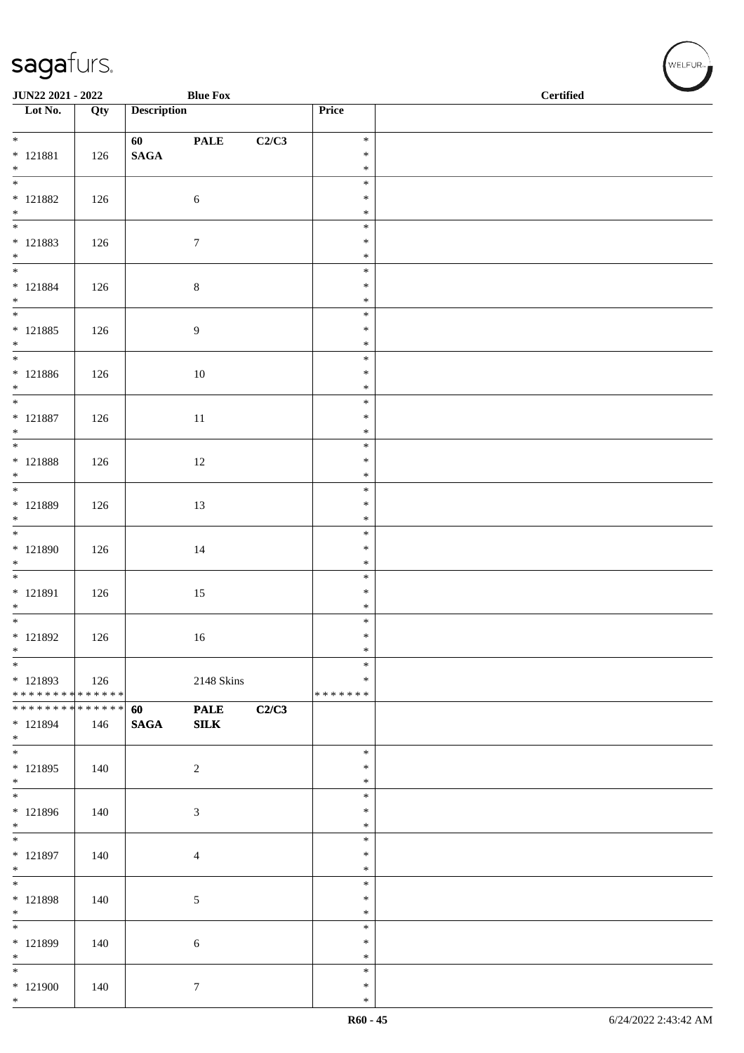| <b>JUN22 2021 - 2022</b>                   |     |                    | <b>Blue Fox</b> |       |                  | <b>Certified</b> |
|--------------------------------------------|-----|--------------------|-----------------|-------|------------------|------------------|
| Lot No.                                    | Qty | <b>Description</b> |                 |       | Price            |                  |
|                                            |     |                    |                 |       |                  |                  |
| $*$<br>* 121881                            |     | 60 - 100           | <b>PALE</b>     | C2/C3 | $\ast$<br>$\ast$ |                  |
| $*$                                        | 126 | $\mathbf{SAGA}$    |                 |       | $\ast$           |                  |
|                                            |     |                    |                 |       | $\ast$           |                  |
| * 121882                                   | 126 |                    | $6\,$           |       | $\ast$           |                  |
| $*$                                        |     |                    |                 |       | $\ast$           |                  |
|                                            |     |                    |                 |       | $\ast$           |                  |
| * 121883                                   | 126 |                    | $\tau$          |       | $\ast$           |                  |
| $*$<br>$*$                                 |     |                    |                 |       | $\ast$<br>$\ast$ |                  |
| * 121884                                   | 126 |                    | $\,8\,$         |       | $\ast$           |                  |
| $*$                                        |     |                    |                 |       | $\ast$           |                  |
|                                            |     |                    |                 |       | $\ast$           |                  |
| * 121885                                   | 126 |                    | $\overline{9}$  |       | $\ast$           |                  |
| $*$                                        |     |                    |                 |       | $\ast$           |                  |
| * 121886                                   |     |                    |                 |       | $\ast$<br>$\ast$ |                  |
| $*$                                        | 126 |                    | $10\,$          |       | $\ast$           |                  |
| $*$                                        |     |                    |                 |       | $\ast$           |                  |
| * 121887                                   | 126 |                    | $11\,$          |       | $\ast$           |                  |
| $*$                                        |     |                    |                 |       | $\ast$           |                  |
|                                            |     |                    |                 |       | $\ast$           |                  |
| * 121888                                   | 126 |                    | 12              |       | $\ast$<br>$\ast$ |                  |
| $*$                                        |     |                    |                 |       | $\ast$           |                  |
| * 121889                                   | 126 |                    | 13              |       | $\ast$           |                  |
| $*$                                        |     |                    |                 |       | $\ast$           |                  |
|                                            |     |                    |                 |       | $\ast$           |                  |
| * 121890                                   | 126 |                    | 14              |       | $\ast$           |                  |
| $*$                                        |     |                    |                 |       | $\ast$           |                  |
| * 121891                                   |     |                    |                 |       | $\ast$<br>$\ast$ |                  |
| $*$                                        | 126 |                    | 15              |       | $\ast$           |                  |
|                                            |     |                    |                 |       | $\ast$           |                  |
| * 121892                                   | 126 |                    | 16              |       | $\ast$           |                  |
| $*$                                        |     |                    |                 |       | $\ast$           |                  |
| $*$                                        |     |                    |                 |       | $\ast$           |                  |
| * 121893<br>* * * * * * * * * * * * * *    | 126 |                    | 2148 Skins      |       | ∗<br>*******     |                  |
| * * * * * * * * <mark>* * * * * * *</mark> |     | 60                 | <b>PALE</b>     | C2/C3 |                  |                  |
| * 121894                                   | 146 | <b>SAGA</b>        | ${\bf SILK}$    |       |                  |                  |
| $*$                                        |     |                    |                 |       |                  |                  |
|                                            |     |                    |                 |       | $\ast$           |                  |
| $* 121895$                                 | 140 |                    | $\overline{2}$  |       | $\ast$           |                  |
| $*$                                        |     |                    |                 |       | $\ast$<br>$\ast$ |                  |
| * 121896                                   | 140 |                    | $\mathfrak{Z}$  |       | $\ast$           |                  |
| $*$                                        |     |                    |                 |       | $\ast$           |                  |
|                                            |     |                    |                 |       | $\ast$           |                  |
| * 121897                                   | 140 |                    | $\overline{4}$  |       | $\ast$           |                  |
| $*$                                        |     |                    |                 |       | $\ast$           |                  |
| * 121898                                   |     |                    |                 |       | $\ast$<br>$\ast$ |                  |
| $*$                                        | 140 |                    | $\sqrt{5}$      |       | $\ast$           |                  |
| $\frac{1}{1}$                              |     |                    |                 |       | $\ast$           |                  |
| * 121899                                   | 140 |                    | $\sqrt{6}$      |       | $\ast$           |                  |
| $*$                                        |     |                    |                 |       | $\ast$           |                  |
| $*$                                        |     |                    |                 |       | $\ast$           |                  |
| $*121900$<br>$*$                           | 140 |                    | $\tau$          |       | $\ast$<br>$\ast$ |                  |
|                                            |     |                    |                 |       |                  |                  |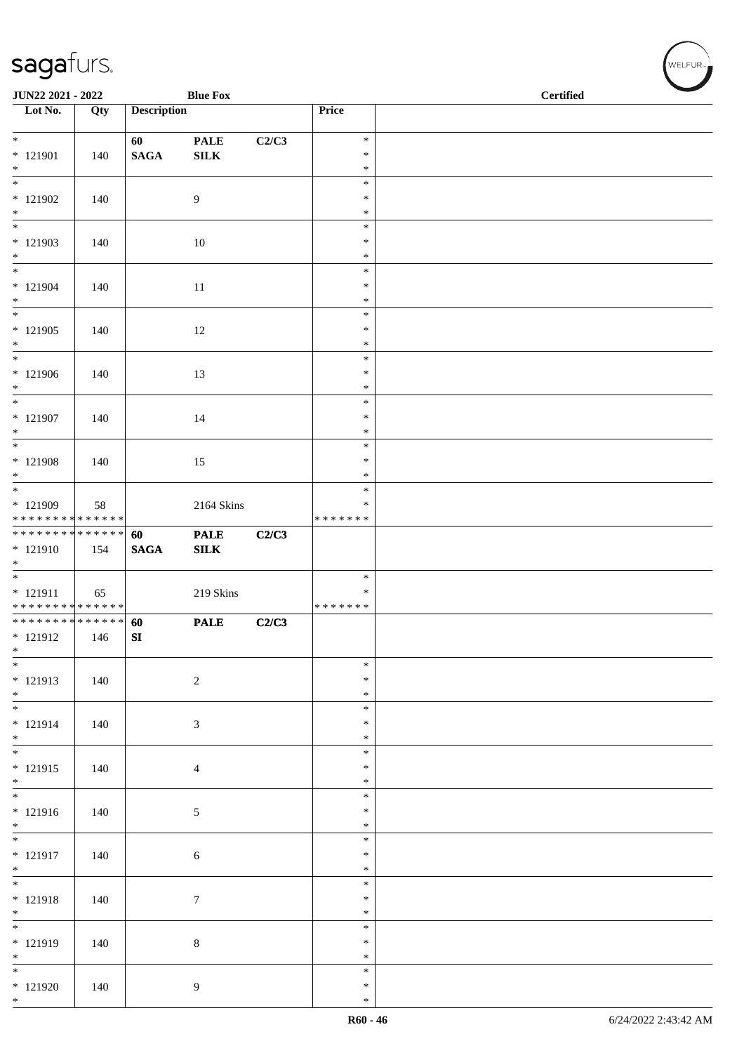| JUN22 2021 - 2022                                                  |     |                    | <b>Blue Fox</b>  |       |                                   | <b>Certified</b> |  |
|--------------------------------------------------------------------|-----|--------------------|------------------|-------|-----------------------------------|------------------|--|
| Lot No.                                                            | Qty | <b>Description</b> |                  |       | Price                             |                  |  |
| $*$                                                                |     | 60                 | <b>PALE</b>      | C2/C3 | $\ast$                            |                  |  |
| $* 121901$<br>$\ast$                                               | 140 | $\mathbf{SAGA}$    | ${\bf SILK}$     |       | $\ast$<br>$\ast$                  |                  |  |
| $\overline{\phantom{0}}$                                           |     |                    |                  |       | $\ast$                            |                  |  |
| $*121902$<br>$*$                                                   | 140 |                    | 9                |       | $\ast$<br>$\ast$                  |                  |  |
| * 121903<br>$\ast$                                                 | 140 |                    | 10               |       | $\ast$<br>$\ast$<br>$\ast$        |                  |  |
| * 121904<br>$*$                                                    | 140 |                    | 11               |       | $\ast$<br>$\ast$<br>$\ast$        |                  |  |
| $\overline{\phantom{0}}$<br>* 121905<br>$*$                        | 140 |                    | 12               |       | $\ast$<br>$\ast$<br>$\ast$        |                  |  |
| $*$<br>$*121906$<br>$*$                                            | 140 |                    | 13               |       | $\ast$<br>$\ast$<br>$\ast$        |                  |  |
| $*$<br>$* 121907$<br>$*$                                           | 140 |                    | 14               |       | $\ast$<br>$\ast$<br>$\ast$        |                  |  |
| $\overline{\phantom{0}}$<br>* 121908<br>$*$                        | 140 |                    | 15               |       | $\ast$<br>$\ast$<br>$\ast$        |                  |  |
| * 121909<br>* * * * * * * * * * * * * *                            | 58  |                    | 2164 Skins       |       | $\ast$<br>$\ast$<br>* * * * * * * |                  |  |
| **************                                                     |     | 60                 | <b>PALE</b>      | C2/C3 |                                   |                  |  |
| * 121910<br>$\ast$                                                 | 154 | <b>SAGA</b>        | SLK              |       |                                   |                  |  |
| * 121911<br>* * * * * * * * * * * * * *                            | 65  |                    | 219 Skins        |       | $\ast$<br>$\ast$<br>* * * * * * * |                  |  |
| * * * * * * * * <mark>* * * * * * *</mark><br>$* 121912$<br>$\ast$ | 146 | 60<br>SI           | <b>PALE</b>      | C2/C3 |                                   |                  |  |
| $*$<br>* 121913<br>$*$                                             | 140 |                    | $\sqrt{2}$       |       | $\ast$<br>$\ast$<br>$\ast$        |                  |  |
| $*$<br>$* 121914$<br>$*$                                           | 140 |                    | $\mathfrak{Z}$   |       | $\ast$<br>$\ast$<br>$\ast$        |                  |  |
| $*$<br>$* 121915$<br>$*$                                           | 140 |                    | $\overline{4}$   |       | $\ast$<br>$\ast$<br>$\ast$        |                  |  |
| * 121916<br>$*$                                                    | 140 |                    | 5                |       | $\ast$<br>$\ast$<br>$\ast$        |                  |  |
| $\overline{\phantom{0}}$<br>* 121917<br>$*$                        | 140 |                    | 6                |       | $\ast$<br>$\ast$<br>$\ast$        |                  |  |
| $*$<br>$* 121918$<br>$*$                                           | 140 |                    | $\boldsymbol{7}$ |       | $\ast$<br>$\ast$<br>$\ast$        |                  |  |
| * 121919<br>$*$                                                    | 140 |                    | $8\,$            |       | $\ast$<br>$\ast$<br>$\ast$        |                  |  |
| $*121920$<br>$*$                                                   | 140 |                    | 9                |       | $\ast$<br>$\ast$<br>$\ast$        |                  |  |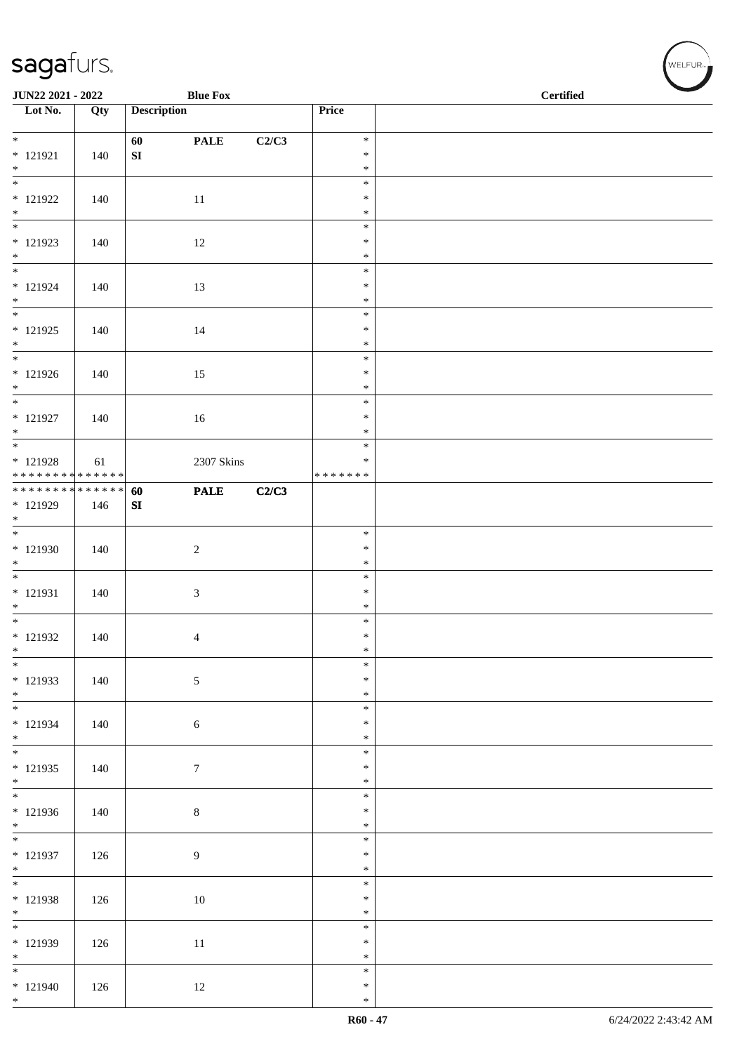| JUN22 2021 - 2022                                                           |     |                    | <b>Blue Fox</b> |       |                  | <b>Certified</b> |
|-----------------------------------------------------------------------------|-----|--------------------|-----------------|-------|------------------|------------------|
| $\overline{\phantom{1}}$ Lot No.                                            | Qty | <b>Description</b> |                 |       | Price            |                  |
| $*$                                                                         |     | 60                 | <b>PALE</b>     | C2/C3 | $\ast$           |                  |
| $* 121921$<br>$*$                                                           | 140 | ${\bf SI}$         |                 |       | $\ast$<br>$\ast$ |                  |
| $\overline{\phantom{0}}$                                                    |     |                    |                 |       | $\ast$           |                  |
| $*$ 121922                                                                  | 140 |                    | $11\,$          |       | $\ast$           |                  |
| $*$                                                                         |     |                    |                 |       | $\ast$<br>$\ast$ |                  |
| $* 121923$                                                                  | 140 |                    | 12              |       | $\ast$           |                  |
| $*$                                                                         |     |                    |                 |       | $\ast$           |                  |
| $* 121924$                                                                  | 140 |                    | 13              |       | $\ast$<br>$\ast$ |                  |
| $*$                                                                         |     |                    |                 |       | $\ast$           |                  |
| $\overline{\phantom{0}}$<br>$* 121925$                                      |     |                    |                 |       | $\ast$<br>$\ast$ |                  |
| $*$                                                                         | 140 |                    | 14              |       | $\ast$           |                  |
|                                                                             |     |                    |                 |       | $\ast$           |                  |
| $* 121926$<br>$*$                                                           | 140 |                    | 15              |       | $\ast$<br>$\ast$ |                  |
|                                                                             |     |                    |                 |       | $\ast$           |                  |
| $* 121927$<br>$*$                                                           | 140 |                    | 16              |       | $\ast$<br>$\ast$ |                  |
|                                                                             |     |                    |                 |       | $\ast$           |                  |
| * 121928                                                                    | 61  |                    | 2307 Skins      |       | $\ast$           |                  |
| * * * * * * * * <mark>* * * * * * *</mark><br>* * * * * * * * * * * * * * * |     | 60                 | <b>PALE</b>     | C2/C3 | * * * * * * *    |                  |
| $* 121929$                                                                  | 146 | SI                 |                 |       |                  |                  |
| $*$                                                                         |     |                    |                 |       |                  |                  |
| * 121930                                                                    | 140 |                    | $\overline{c}$  |       | $\ast$<br>$\ast$ |                  |
| $*$                                                                         |     |                    |                 |       | $\ast$           |                  |
| $* 121931$                                                                  | 140 |                    | $\mathfrak{Z}$  |       | $\ast$<br>$\ast$ |                  |
| $*$                                                                         |     |                    |                 |       | $\ast$           |                  |
|                                                                             |     |                    |                 |       | $\ast$           |                  |
| $* 121932$<br>$*$                                                           | 140 |                    | $\overline{4}$  |       | $\ast$<br>$\ast$ |                  |
| $\overline{\phantom{0}}$                                                    |     |                    |                 |       | $\ast$           |                  |
| * 121933<br>$*$                                                             | 140 |                    | 5               |       | $\ast$<br>$\ast$ |                  |
|                                                                             |     |                    |                 |       | $\ast$           |                  |
| * 121934<br>$*$                                                             | 140 |                    | 6               |       | $\ast$           |                  |
|                                                                             |     |                    |                 |       | $\ast$<br>$\ast$ |                  |
| $* 121935$                                                                  | 140 |                    | $\tau$          |       | $\ast$           |                  |
| $*$                                                                         |     |                    |                 |       | $\ast$<br>$\ast$ |                  |
| * 121936                                                                    | 140 |                    | $\,8\,$         |       | $\ast$           |                  |
| $*$<br>$\overline{\phantom{0}}$                                             |     |                    |                 |       | $\ast$           |                  |
| $* 121937$                                                                  | 126 |                    | 9               |       | $\ast$<br>$\ast$ |                  |
| $*$                                                                         |     |                    |                 |       | $\ast$           |                  |
| $\overline{\phantom{0}}$<br>$* 121938$                                      |     |                    |                 |       | $\ast$<br>$\ast$ |                  |
| $*$                                                                         | 126 |                    | 10              |       | $\ast$           |                  |
| $\overline{\phantom{0}}$                                                    |     |                    |                 |       | $\ast$           |                  |
| * 121939<br>$*$                                                             | 126 |                    | $11\,$          |       | $\ast$<br>$\ast$ |                  |
| $*$                                                                         |     |                    |                 |       | $\ast$           |                  |
| $* 121940$<br>$*$                                                           | 126 |                    | 12              |       | $\ast$<br>$\ast$ |                  |
|                                                                             |     |                    |                 |       |                  |                  |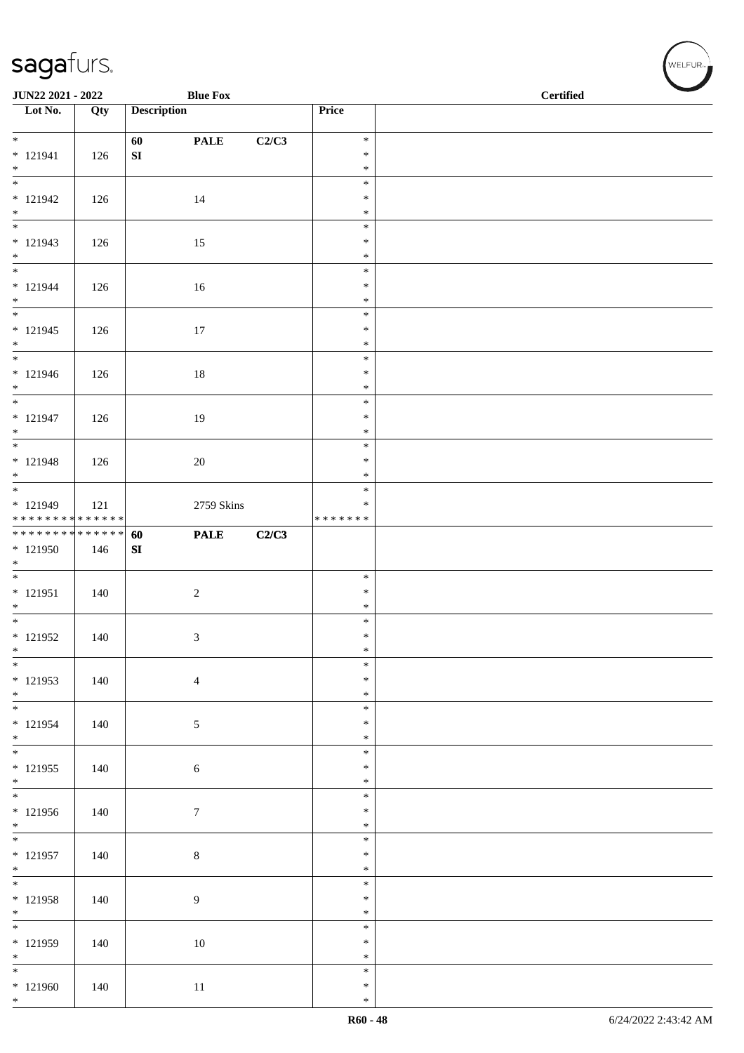| JUN22 2021 - 2022                |     |                    | <b>Blue Fox</b>  |       |                  | <b>Certified</b> |
|----------------------------------|-----|--------------------|------------------|-------|------------------|------------------|
| $\overline{\phantom{1}}$ Lot No. | Qty | <b>Description</b> |                  |       | Price            |                  |
|                                  |     |                    |                  |       |                  |                  |
| $\overline{\ast}$                |     | 60                 | <b>PALE</b>      | C2/C3 | $\ast$           |                  |
| $* 121941$                       | 126 | ${\bf SI}$         |                  |       | $\ast$           |                  |
| $*$<br>$\frac{1}{1}$             |     |                    |                  |       | $\ast$<br>$\ast$ |                  |
| $* 121942$                       | 126 |                    | 14               |       | $\ast$           |                  |
| $*$                              |     |                    |                  |       | $\ast$           |                  |
| $\overline{\phantom{0}}$         |     |                    |                  |       | $\ast$           |                  |
| $* 121943$                       | 126 |                    | 15               |       | $\ast$           |                  |
| $*$                              |     |                    |                  |       | $\ast$           |                  |
| $* 121944$                       |     |                    |                  |       | $\ast$<br>$\ast$ |                  |
| $*$                              | 126 |                    | 16               |       | $\ast$           |                  |
|                                  |     |                    |                  |       | $\ast$           |                  |
| $* 121945$                       | 126 |                    | 17               |       | $\ast$           |                  |
| $*$                              |     |                    |                  |       | $\ast$           |                  |
| $*$                              |     |                    |                  |       | $\ast$           |                  |
| $* 121946$<br>$*$                | 126 |                    | $18\,$           |       | $\ast$<br>$\ast$ |                  |
| $*$                              |     |                    |                  |       | $\ast$           |                  |
| $* 121947$                       | 126 |                    | 19               |       | $\ast$           |                  |
| $*$                              |     |                    |                  |       | $\ast$           |                  |
|                                  |     |                    |                  |       | $\ast$           |                  |
| $* 121948$                       | 126 |                    | 20               |       | $\ast$           |                  |
| $*$                              |     |                    |                  |       | $\ast$<br>$\ast$ |                  |
| * 121949                         | 121 |                    | 2759 Skins       |       | $\ast$           |                  |
| * * * * * * * * * * * * * *      |     |                    |                  |       | * * * * * * *    |                  |
| * * * * * * * * * * * * * * *    |     | 60                 | <b>PALE</b>      | C2/C3 |                  |                  |
| * 121950                         | 146 | SI                 |                  |       |                  |                  |
| $*$                              |     |                    |                  |       | $\ast$           |                  |
| * 121951                         | 140 |                    | $\sqrt{2}$       |       | $\ast$           |                  |
| $*$                              |     |                    |                  |       | $\ast$           |                  |
| $*$                              |     |                    |                  |       | $\ast$           |                  |
| $* 121952$                       | 140 |                    | 3                |       | $\ast$           |                  |
| $\ast$<br>$*$                    |     |                    |                  |       | $\ast$<br>$\ast$ |                  |
| $* 121953$                       | 140 |                    | $\overline{4}$   |       | $\ast$           |                  |
| $*$                              |     |                    |                  |       | $\ast$           |                  |
| $\overline{\phantom{0}}$         |     |                    |                  |       | $\ast$           |                  |
| $* 121954$                       | 140 |                    | $\sqrt{5}$       |       | $\ast$           |                  |
| $*$                              |     |                    |                  |       | $\ast$<br>$\ast$ |                  |
| $* 121955$                       | 140 |                    | $\sqrt{6}$       |       | $\ast$           |                  |
| $*$                              |     |                    |                  |       | $\ast$           |                  |
|                                  |     |                    |                  |       | $\ast$           |                  |
| $* 121956$                       | 140 |                    | $\boldsymbol{7}$ |       | $\ast$           |                  |
| $*$                              |     |                    |                  |       | $\ast$           |                  |
| $* 121957$                       |     |                    |                  |       | $\ast$<br>$\ast$ |                  |
| $*$                              | 140 |                    | $\,8\,$          |       | $\ast$           |                  |
|                                  |     |                    |                  |       | $\ast$           |                  |
| * 121958                         | 140 |                    | $\overline{9}$   |       | $\ast$           |                  |
| $*$                              |     |                    |                  |       | $\ast$           |                  |
|                                  |     |                    |                  |       | $\ast$           |                  |
| $* 121959$<br>$*$                | 140 |                    | 10               |       | $\ast$<br>$\ast$ |                  |
| $\overline{\phantom{0}}$         |     |                    |                  |       | $\ast$           |                  |
| $* 121960$                       | 140 |                    | 11               |       | $\ast$           |                  |
| $*$                              |     |                    |                  |       | $\ast$           |                  |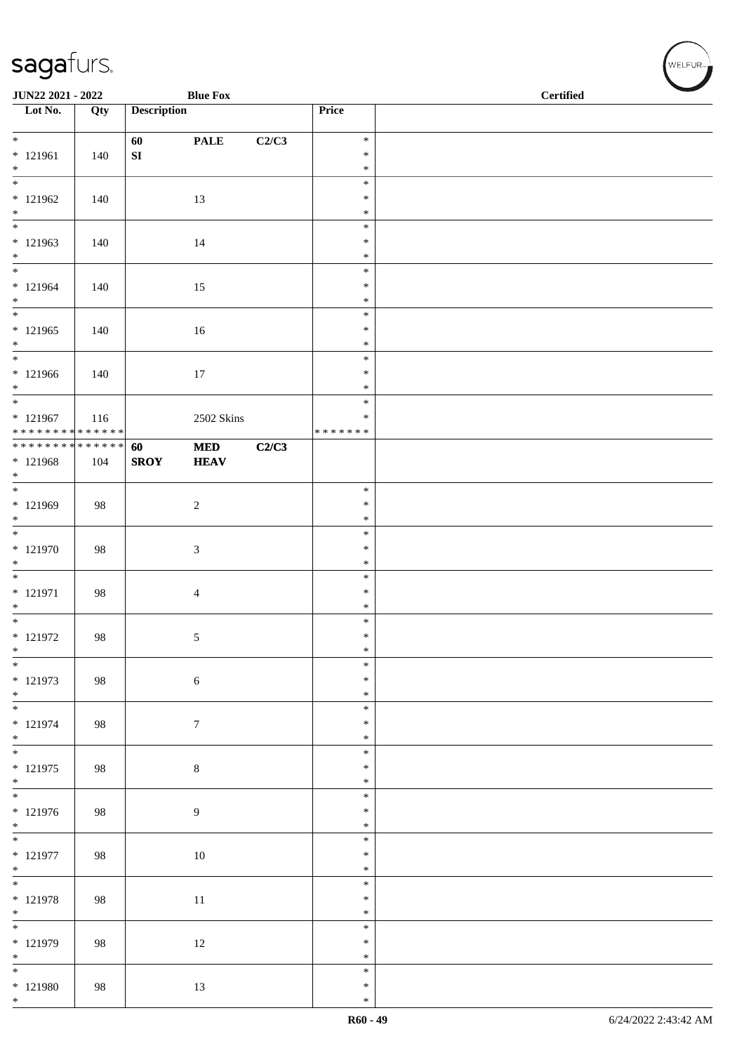| <b>JUN22 2021 - 2022</b>                   |     |                    | <b>Blue Fox</b>  |       |                         | <b>Certified</b> |
|--------------------------------------------|-----|--------------------|------------------|-------|-------------------------|------------------|
| $\overline{\phantom{1}}$ Lot No.           | Qty | <b>Description</b> |                  |       | Price                   |                  |
| $*$                                        |     | 60                 | <b>PALE</b>      | C2/C3 | $\ast$                  |                  |
| * 121961                                   | 140 | ${\bf S}{\bf I}$   |                  |       | $\ast$                  |                  |
| $*$<br>$\overline{\phantom{0}}$            |     |                    |                  |       | $\ast$<br>$\ast$        |                  |
| $* 121962$                                 | 140 |                    | 13               |       | $\ast$                  |                  |
| $*$                                        |     |                    |                  |       | $\ast$<br>$\ast$        |                  |
| $* 121963$                                 | 140 |                    | 14               |       | $\ast$                  |                  |
| $*$                                        |     |                    |                  |       | $\ast$                  |                  |
| $* 121964$                                 | 140 |                    | 15               |       | $\ast$<br>$\ast$        |                  |
| $*$                                        |     |                    |                  |       | $\ast$                  |                  |
| $\overline{\phantom{0}}$                   |     |                    |                  |       | $\ast$                  |                  |
| $* 121965$<br>$*$                          | 140 |                    | $16\,$           |       | $\ast$<br>$\ast$        |                  |
| $*$                                        |     |                    |                  |       | $\ast$                  |                  |
| * 121966<br>$*$                            | 140 |                    | $17\,$           |       | $\ast$<br>$\ast$        |                  |
| $*$                                        |     |                    |                  |       | $\ast$                  |                  |
| $* 121967$<br>******** <mark>******</mark> | 116 |                    | 2502 Skins       |       | $\ast$<br>* * * * * * * |                  |
| **************                             |     | 60                 | <b>MED</b>       | C2/C3 |                         |                  |
| $* 121968$                                 | 104 | <b>SROY</b>        | <b>HEAV</b>      |       |                         |                  |
| $*$                                        |     |                    |                  |       | $\ast$                  |                  |
| * 121969                                   | 98  |                    | $\sqrt{2}$       |       | $\ast$                  |                  |
| $*$                                        |     |                    |                  |       | $\ast$                  |                  |
| * 121970                                   | 98  |                    | $\sqrt{3}$       |       | $\ast$<br>$\ast$        |                  |
| $*$                                        |     |                    |                  |       | $\ast$                  |                  |
| * 121971                                   | 98  |                    | $\overline{4}$   |       | $\ast$<br>$\ast$        |                  |
| $*$                                        |     |                    |                  |       | $\ast$                  |                  |
| $*$                                        |     |                    |                  |       | $\ast$                  |                  |
| $* 121972$<br>$\ast$                       | 98  |                    | 5                |       | $\ast$<br>$\ast$        |                  |
| $\ast$                                     |     |                    |                  |       | $\ast$                  |                  |
| * 121973<br>$*$                            | 98  |                    | $\sqrt{6}$       |       | $\ast$<br>$\ast$        |                  |
| $\overline{\phantom{0}}$                   |     |                    |                  |       | $\ast$                  |                  |
| * 121974<br>$*$                            | 98  |                    | $\boldsymbol{7}$ |       | $\ast$<br>$\ast$        |                  |
| $*$                                        |     |                    |                  |       | $\ast$                  |                  |
| * 121975                                   | 98  |                    | $8\,$            |       | $\ast$                  |                  |
| $*$                                        |     |                    |                  |       | $\ast$<br>$\ast$        |                  |
| * 121976                                   | 98  |                    | $\overline{9}$   |       | $\ast$                  |                  |
| $*$<br>$\overline{\phantom{0}}$            |     |                    |                  |       | $\ast$<br>$\ast$        |                  |
| $* 121977$                                 | 98  |                    | 10               |       | $\ast$                  |                  |
| $*$                                        |     |                    |                  |       | $\ast$                  |                  |
| * 121978                                   | 98  |                    | $11\,$           |       | $\ast$<br>$\ast$        |                  |
| $*$                                        |     |                    |                  |       | $\ast$                  |                  |
|                                            |     |                    |                  |       | $\ast$<br>$\ast$        |                  |
| * 121979<br>$*$                            | 98  |                    | 12               |       | $\ast$                  |                  |
| $*$                                        |     |                    |                  |       | $\ast$                  |                  |
| * 121980<br>$*$                            | 98  |                    | 13               |       | $\ast$<br>$\ast$        |                  |
|                                            |     |                    |                  |       |                         |                  |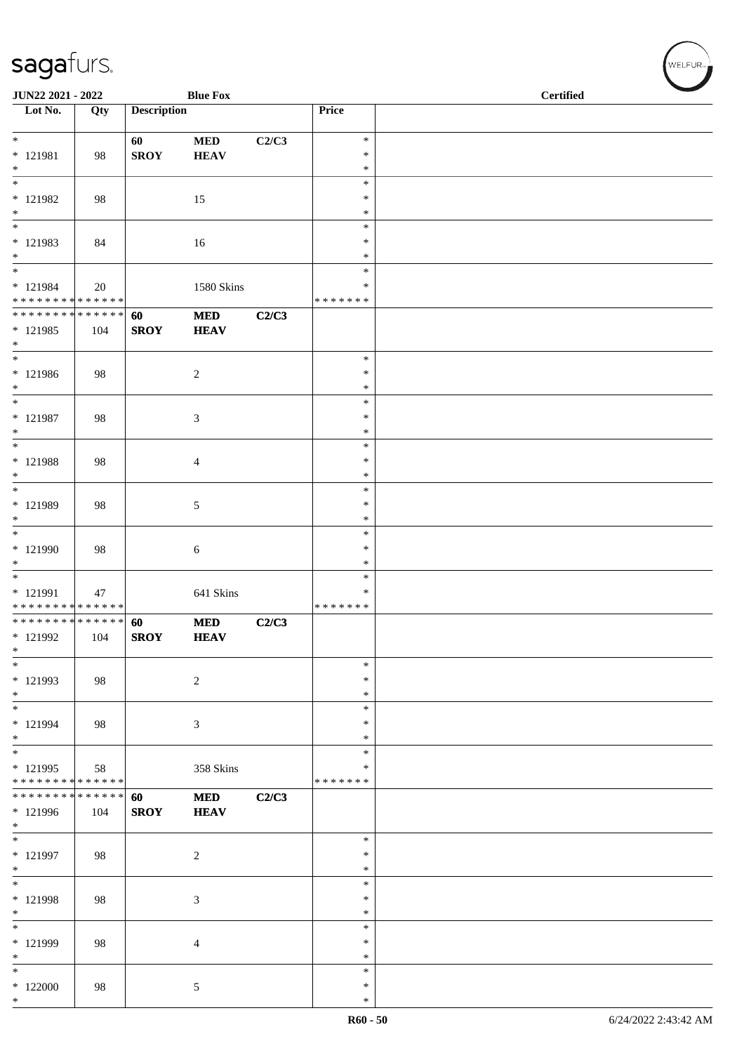| JUN22 2021 - 2022                                                   |                    |                    | <b>Blue Fox</b>           |       | <b>Certified</b>                     |  |  |  |
|---------------------------------------------------------------------|--------------------|--------------------|---------------------------|-------|--------------------------------------|--|--|--|
| Lot No.                                                             | Qty                | <b>Description</b> |                           |       | Price                                |  |  |  |
| $*$<br>$* 121981$<br>$*$                                            | 98                 | 60<br><b>SROY</b>  | <b>MED</b><br><b>HEAV</b> | C2/C3 | $\ast$<br>$\ast$<br>$\ast$           |  |  |  |
| $\overline{\phantom{0}}$<br>* 121982<br>$*$                         | 98                 |                    | 15                        |       | $\ast$<br>$\ast$<br>$\ast$           |  |  |  |
| $\overline{\ast}$<br>$* 121983$<br>$*$<br>$\overline{\phantom{0}}$  | 84                 |                    | 16                        |       | $\ast$<br>$\ast$<br>$\ast$<br>$\ast$ |  |  |  |
| $* 121984$<br>******** <mark>******</mark>                          | 20                 |                    | 1580 Skins                |       | ∗<br>* * * * * * *                   |  |  |  |
| ******** <mark>******</mark><br>* 121985<br>$*$                     | 104                | 60<br><b>SROY</b>  | $\bf MED$<br><b>HEAV</b>  | C2/C3 |                                      |  |  |  |
| $\overline{\ast}$<br>* 121986<br>$*$                                | 98                 |                    | $\overline{c}$            |       | $\ast$<br>$\ast$<br>$\ast$           |  |  |  |
| $\overline{\phantom{0}}$<br>$* 121987$<br>$*$                       | 98                 |                    | 3                         |       | $\ast$<br>$\ast$<br>$\ast$           |  |  |  |
| $\overline{\ }$<br>$* 121988$<br>$*$                                | 98                 |                    | $\overline{4}$            |       | $\ast$<br>$\ast$<br>$\ast$           |  |  |  |
| $*$<br>* 121989<br>$*$                                              | 98                 |                    | 5                         |       | $\ast$<br>$\ast$<br>$\ast$           |  |  |  |
| * 121990<br>$\ast$                                                  | 98                 |                    | 6                         |       | $\ast$<br>$\ast$<br>$\ast$           |  |  |  |
| $\overline{\phantom{0}}$<br>* 121991<br>* * * * * * * * * * * * * * | 47                 |                    | 641 Skins                 |       | $\ast$<br>∗<br>* * * * * * *         |  |  |  |
| * * * * * * * * * * * * * * *<br>* 121992<br>$\ast$                 | 104                | 60<br><b>SROY</b>  | <b>MED</b><br><b>HEAV</b> | C2/C3 |                                      |  |  |  |
| $\ast$<br>* 121993<br>$*$                                           | 98                 |                    | $\sqrt{2}$                |       | $\ast$<br>∗<br>∗                     |  |  |  |
| $\overline{\phantom{0}}$<br>* 121994<br>$*$                         | 98                 |                    | 3                         |       | $\ast$<br>$\ast$<br>$\ast$           |  |  |  |
| $\ast$<br>$* 121995$<br>* * * * * * * * * * * * * *                 | 58                 |                    | 358 Skins                 |       | $\ast$<br>$\ast$<br>* * * * * * *    |  |  |  |
| * * * * * * * *<br>* 121996<br>$*$                                  | * * * * * *<br>104 | 60<br><b>SROY</b>  | $\bf MED$<br><b>HEAV</b>  | C2/C3 |                                      |  |  |  |
| $*$<br>* 121997<br>$*$                                              | 98                 |                    | $\overline{c}$            |       | $\ast$<br>$\ast$<br>$\ast$           |  |  |  |
| $*$<br>* 121998<br>$*$                                              | 98                 |                    | 3                         |       | ∗<br>$\ast$<br>$\ast$                |  |  |  |
| $\overline{\ast}$<br>* 121999<br>$\ast$                             | 98                 |                    | 4                         |       | $\ast$<br>$\ast$<br>*                |  |  |  |
| $\ast$<br>$*122000$<br>$*$                                          | 98                 |                    | $\mathfrak{S}$            |       | $\ast$<br>$\ast$<br>$\ast$           |  |  |  |

WELFUR<sub><sup>N</sub></sub></sub></sup>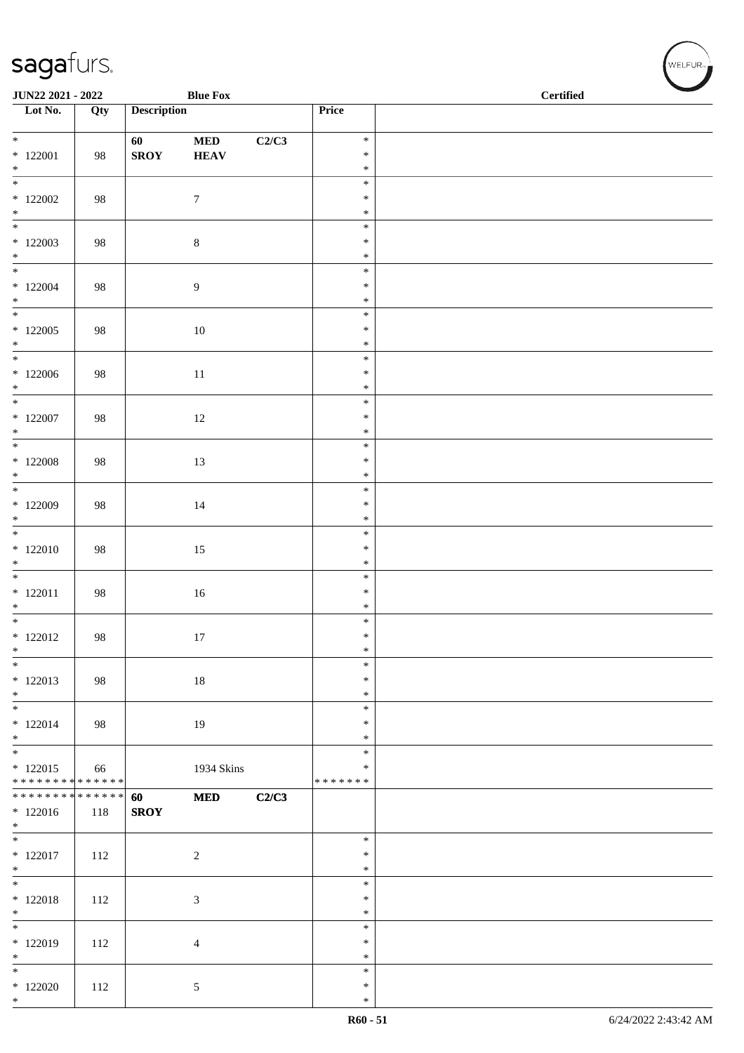| JUN22 2021 - 2022                        |     |                    | <b>Blue Fox</b> |       |                         | <b>Certified</b> |
|------------------------------------------|-----|--------------------|-----------------|-------|-------------------------|------------------|
| Lot No.                                  | Qty | <b>Description</b> |                 |       | Price                   |                  |
|                                          |     | 60                 | <b>MED</b>      | C2/C3 | $\ast$                  |                  |
| $*122001$                                | 98  | <b>SROY</b>        | <b>HEAV</b>     |       | $\ast$                  |                  |
| $\ast$<br>$\overline{\phantom{0}}$       |     |                    |                 |       | $\ast$                  |                  |
| $*122002$                                | 98  |                    | $\tau$          |       | $\ast$<br>$\ast$        |                  |
| $*$                                      |     |                    |                 |       | $\ast$                  |                  |
| $\overline{\phantom{0}}$                 |     |                    |                 |       | $\ast$                  |                  |
| $*122003$<br>$*$                         | 98  |                    | $8\,$           |       | $\ast$<br>$\ast$        |                  |
| $\overline{\ast}$                        |     |                    |                 |       | $\ast$                  |                  |
| $*122004$                                | 98  |                    | $\overline{9}$  |       | $\ast$                  |                  |
| $*$                                      |     |                    |                 |       | $\ast$<br>$\ast$        |                  |
| $*122005$                                | 98  |                    | $10\,$          |       | $\ast$                  |                  |
| $*$<br>$\overline{\phantom{0}}$          |     |                    |                 |       | $\ast$                  |                  |
| $*122006$                                | 98  |                    | $11\,$          |       | $\ast$<br>$\ast$        |                  |
| $*$                                      |     |                    |                 |       | $\ast$                  |                  |
| $*$                                      |     |                    |                 |       | $\ast$                  |                  |
| $*$ 122007<br>$*$                        | 98  |                    | $12\,$          |       | $\ast$<br>$\ast$        |                  |
| $\overline{\ast}$                        |     |                    |                 |       | $\ast$                  |                  |
| $*122008$                                | 98  |                    | 13              |       | $\ast$                  |                  |
| $*$                                      |     |                    |                 |       | $\ast$<br>$\ast$        |                  |
| $*122009$                                | 98  |                    | $14\,$          |       | $\ast$                  |                  |
| $*$                                      |     |                    |                 |       | $\ast$                  |                  |
| $*122010$                                | 98  |                    | 15              |       | $\ast$<br>$\ast$        |                  |
| $*$                                      |     |                    |                 |       | $\ast$                  |                  |
|                                          |     |                    |                 |       | $\ast$                  |                  |
| $* 122011$<br>$*$                        | 98  |                    | $16\,$          |       | $\ast$<br>$\ast$        |                  |
| $\overline{\phantom{0}}$                 |     |                    |                 |       | $\ast$                  |                  |
| $*122012$                                | 98  |                    | 17              |       | $\ast$                  |                  |
| $\ast$<br>$\ast$                         |     |                    |                 |       | $\ast$<br>$\ast$        |                  |
| $* 122013$                               | 98  |                    | 18              |       | $\ast$                  |                  |
| $*$<br>$\overline{\phantom{0}}$          |     |                    |                 |       | $\ast$                  |                  |
| $*122014$                                | 98  |                    | 19              |       | $\ast$<br>$\ast$        |                  |
| $*$                                      |     |                    |                 |       | $\ast$                  |                  |
| $\overline{\phantom{0}}$                 |     |                    |                 |       | $\ast$                  |                  |
| $*122015$<br>* * * * * * * * * * * * * * | 66  |                    | 1934 Skins      |       | $\ast$<br>* * * * * * * |                  |
| ******** <mark>******</mark>             |     | 60                 | <b>MED</b>      | C2/C3 |                         |                  |
| $*122016$<br>$*$                         | 118 | <b>SROY</b>        |                 |       |                         |                  |
|                                          |     |                    |                 |       | $\ast$                  |                  |
| $* 122017$                               | 112 |                    | $\overline{c}$  |       | $\ast$                  |                  |
| $*$                                      |     |                    |                 |       | $\ast$<br>$\ast$        |                  |
| $* 122018$                               | 112 |                    | $\mathfrak{Z}$  |       | $\ast$                  |                  |
| $*$                                      |     |                    |                 |       | $\ast$                  |                  |
| $*122019$                                |     |                    |                 |       | $\ast$<br>$\ast$        |                  |
| $\ast$                                   | 112 |                    | $\overline{4}$  |       | $\ast$                  |                  |
| $*$                                      |     |                    |                 |       | $\ast$                  |                  |
| $*122020$<br>$*$                         | 112 |                    | 5               |       | $\ast$<br>$\ast$        |                  |
|                                          |     |                    |                 |       |                         |                  |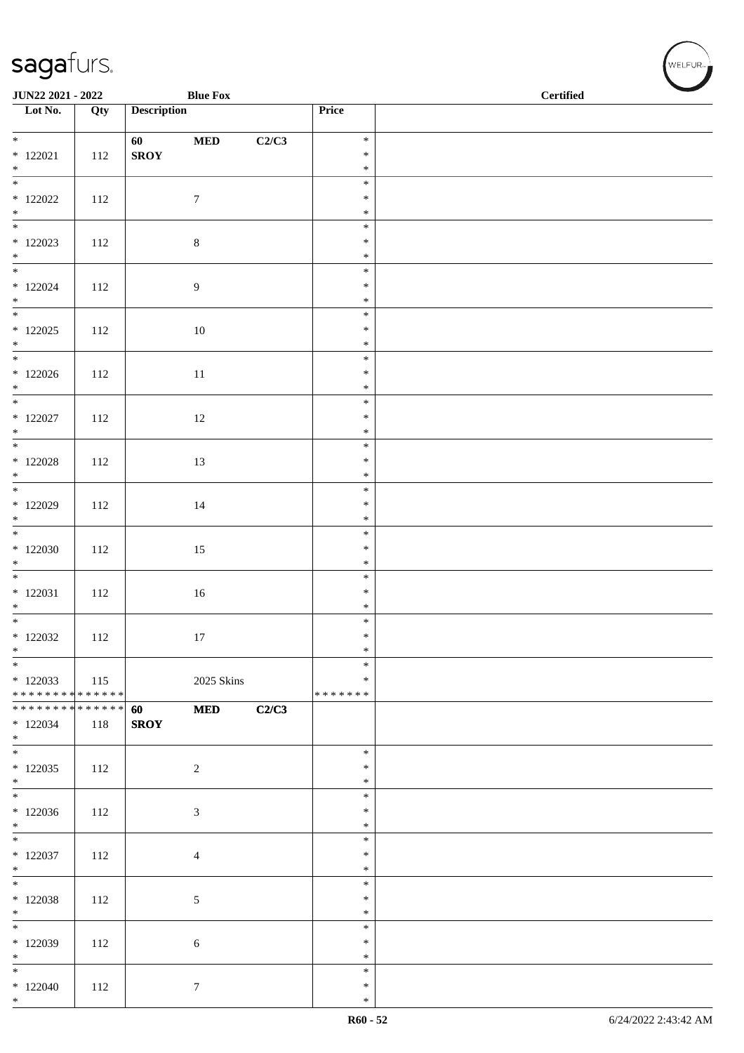| JUN22 2021 - 2022                                             |     |                    | <b>Blue Fox</b> |       |                  | $\operatorname{\bf \mathbf{Certified}}$ |
|---------------------------------------------------------------|-----|--------------------|-----------------|-------|------------------|-----------------------------------------|
| Lot No.                                                       | Qty | <b>Description</b> |                 |       | Price            |                                         |
| $*$                                                           |     |                    |                 |       | $\ast$           |                                         |
| $*122021$                                                     | 112 | 60<br><b>SROY</b>  | $\bf MED$       | C2/C3 | $\ast$           |                                         |
| $\ast$                                                        |     |                    |                 |       | $\ast$           |                                         |
|                                                               |     |                    |                 |       | $\ast$           |                                         |
| $*$ 122022                                                    | 112 |                    | $\tau$          |       | $\ast$           |                                         |
| $*$                                                           |     |                    |                 |       | $\ast$<br>$\ast$ |                                         |
| $*122023$                                                     | 112 |                    | $8\,$           |       | $\ast$           |                                         |
| $*$                                                           |     |                    |                 |       | $\ast$           |                                         |
|                                                               |     |                    |                 |       | $\ast$           |                                         |
| $*122024$<br>$*$                                              | 112 |                    | $\overline{9}$  |       | $\ast$<br>$\ast$ |                                         |
|                                                               |     |                    |                 |       | $\ast$           |                                         |
| $*122025$                                                     | 112 |                    | 10              |       | $\ast$           |                                         |
| $*$                                                           |     |                    |                 |       | $\ast$           |                                         |
|                                                               |     |                    |                 |       | $\ast$           |                                         |
| $*122026$<br>$*$                                              | 112 |                    | $11\,$          |       | $\ast$<br>$\ast$ |                                         |
|                                                               |     |                    |                 |       | $\ast$           |                                         |
| $*$ 122027                                                    | 112 |                    | $12\,$          |       | $\ast$           |                                         |
| $*$                                                           |     |                    |                 |       | $\ast$           |                                         |
|                                                               |     |                    |                 |       | $\ast$<br>$\ast$ |                                         |
| $*$ 122028<br>$\ast$                                          | 112 |                    | 13              |       | $\ast$           |                                         |
|                                                               |     |                    |                 |       | $\ast$           |                                         |
| $*$ 122029                                                    | 112 |                    | $14\,$          |       | $\ast$           |                                         |
| $*$                                                           |     |                    |                 |       | $\ast$           |                                         |
| $*122030$                                                     | 112 |                    |                 |       | $\ast$<br>$\ast$ |                                         |
| $*$                                                           |     |                    | 15              |       | $\ast$           |                                         |
|                                                               |     |                    |                 |       | $\ast$           |                                         |
| $* 122031$                                                    | 112 |                    | 16              |       | $\ast$           |                                         |
| $*$                                                           |     |                    |                 |       | $\ast$<br>$\ast$ |                                         |
| $*122032$                                                     | 112 |                    | 17              |       | $\ast$           |                                         |
| $*$                                                           |     |                    |                 |       | $*$              |                                         |
| $\ast$                                                        |     |                    |                 |       | $\ast$           |                                         |
| $*122033$                                                     | 115 |                    | 2025 Skins      |       | $\ast$           |                                         |
| * * * * * * * * * * * * * * *<br>******** <mark>******</mark> |     | 60                 | <b>MED</b>      | C2/C3 | * * * * * * *    |                                         |
| $*122034$                                                     | 118 | <b>SROY</b>        |                 |       |                  |                                         |
| $*$                                                           |     |                    |                 |       |                  |                                         |
|                                                               |     |                    |                 |       | $\ast$           |                                         |
| $*122035$<br>$*$                                              | 112 |                    | 2               |       | $\ast$<br>$\ast$ |                                         |
|                                                               |     |                    |                 |       | $\ast$           |                                         |
| $*122036$                                                     | 112 |                    | $\sqrt{3}$      |       | $\ast$           |                                         |
| $*$                                                           |     |                    |                 |       | $\ast$           |                                         |
|                                                               |     |                    |                 |       | $\ast$<br>$\ast$ |                                         |
| $*122037$<br>$*$                                              | 112 |                    | $\overline{4}$  |       | $\ast$           |                                         |
|                                                               |     |                    |                 |       | $\ast$           |                                         |
| $*122038$                                                     | 112 |                    | 5               |       | $\ast$           |                                         |
| $*$                                                           |     |                    |                 |       | $\ast$           |                                         |
| $\ast$<br>* 122039                                            | 112 |                    |                 |       | $\ast$<br>$\ast$ |                                         |
| $*$                                                           |     |                    | 6               |       | $\ast$           |                                         |
| $*$                                                           |     |                    |                 |       | $\ast$           |                                         |
| $*122040$                                                     | 112 |                    | $\tau$          |       | $\ast$           |                                         |
| $*$                                                           |     |                    |                 |       | $\ast$           |                                         |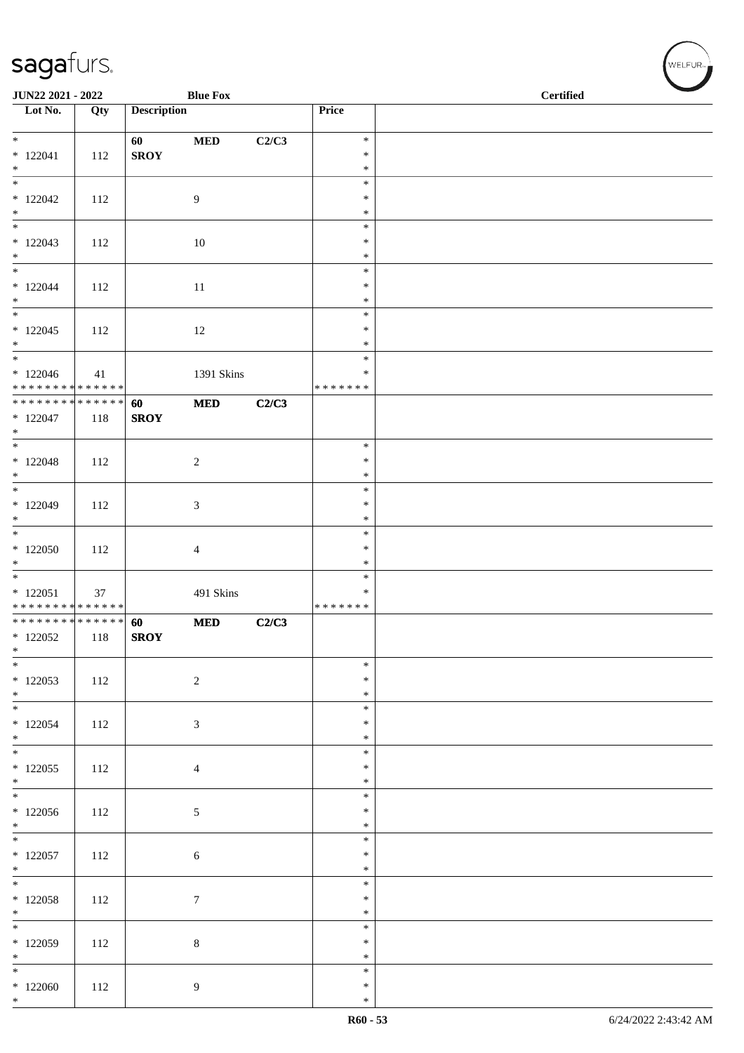| JUN22 2021 - 2022                                           |     |                    | <b>Blue Fox</b>  |       |                  | <b>Certified</b> |
|-------------------------------------------------------------|-----|--------------------|------------------|-------|------------------|------------------|
| $\overline{\phantom{a}}$ Lot No.                            | Qty | <b>Description</b> |                  |       | Price            |                  |
| $*$                                                         |     | 60                 | $\bf MED$        | C2/C3 | $\ast$           |                  |
| $* 122041$<br>$\ast$                                        | 112 | <b>SROY</b>        |                  |       | $\ast$<br>$\ast$ |                  |
|                                                             |     |                    |                  |       | $\ast$           |                  |
| $*122042$<br>$\ast$                                         | 112 |                    | 9                |       | $\ast$<br>$\ast$ |                  |
|                                                             |     |                    |                  |       | $\ast$           |                  |
| $*122043$                                                   | 112 |                    | 10               |       | $\ast$           |                  |
| $*$                                                         |     |                    |                  |       | $\ast$<br>$\ast$ |                  |
| $* 122044$                                                  | 112 |                    | 11               |       | $\ast$           |                  |
| $*$                                                         |     |                    |                  |       | $\ast$<br>$\ast$ |                  |
| $*122045$                                                   | 112 |                    | 12               |       | $\ast$           |                  |
| $*$<br>$*$                                                  |     |                    |                  |       | $\ast$<br>$\ast$ |                  |
| $*122046$                                                   | 41  |                    | 1391 Skins       |       | $\ast$           |                  |
| * * * * * * * * * * * * * *<br>******** <mark>******</mark> |     |                    |                  |       | * * * * * * *    |                  |
| $*122047$                                                   | 118 | 60<br><b>SROY</b>  | $\bf MED$        | C2/C3 |                  |                  |
| $*$                                                         |     |                    |                  |       |                  |                  |
| $*122048$                                                   | 112 |                    | $\sqrt{2}$       |       | $\ast$<br>$\ast$ |                  |
| $*$                                                         |     |                    |                  |       | $\ast$           |                  |
| $*122049$                                                   | 112 |                    | 3                |       | $\ast$<br>$\ast$ |                  |
| $*$                                                         |     |                    |                  |       | $\ast$           |                  |
| $*122050$                                                   | 112 |                    | $\overline{4}$   |       | $\ast$<br>$\ast$ |                  |
| $*$                                                         |     |                    |                  |       | $\ast$           |                  |
| $* 122051$                                                  | 37  |                    | 491 Skins        |       | $\ast$<br>$\ast$ |                  |
| * * * * * * * * <mark>* * * * * * *</mark>                  |     |                    |                  |       | * * * * * * *    |                  |
| ******** <mark>******</mark><br>$*122052$                   | 118 | 60<br><b>SROY</b>  | <b>MED</b>       | C2/C3 |                  |                  |
| $\ast$                                                      |     |                    |                  |       |                  |                  |
| $*$                                                         |     |                    |                  |       | $\ast$<br>$\ast$ |                  |
| * 122053<br>$*$                                             | 112 |                    | $\sqrt{2}$       |       | $\ast$           |                  |
| $*$                                                         |     |                    |                  |       | $\ast$           |                  |
| $*122054$<br>$*$                                            | 112 |                    | $\mathfrak{Z}$   |       | $\ast$<br>$\ast$ |                  |
|                                                             |     |                    |                  |       | $\ast$           |                  |
| $*122055$<br>$*$                                            | 112 |                    | $\overline{4}$   |       | $\ast$<br>$\ast$ |                  |
|                                                             |     |                    |                  |       | $\ast$           |                  |
| $*122056$<br>$*$                                            | 112 |                    | $\mathfrak{S}$   |       | $\ast$<br>$\ast$ |                  |
| $\overline{\ }$                                             |     |                    |                  |       | $\ast$           |                  |
| $*122057$<br>$*$                                            | 112 |                    | 6                |       | $\ast$<br>$\ast$ |                  |
| $*$                                                         |     |                    |                  |       | $\ast$           |                  |
| $*122058$<br>$*$                                            | 112 |                    | $\boldsymbol{7}$ |       | $\ast$<br>$\ast$ |                  |
| $\overline{\phantom{0}}$                                    |     |                    |                  |       | $\ast$           |                  |
| * 122059                                                    | 112 |                    | $8\,$            |       | $\ast$<br>$\ast$ |                  |
| $*$<br>$*$                                                  |     |                    |                  |       | $\ast$           |                  |
| $*122060$                                                   | 112 |                    | 9                |       | $\ast$           |                  |
| $*$                                                         |     |                    |                  |       | $\ast$           |                  |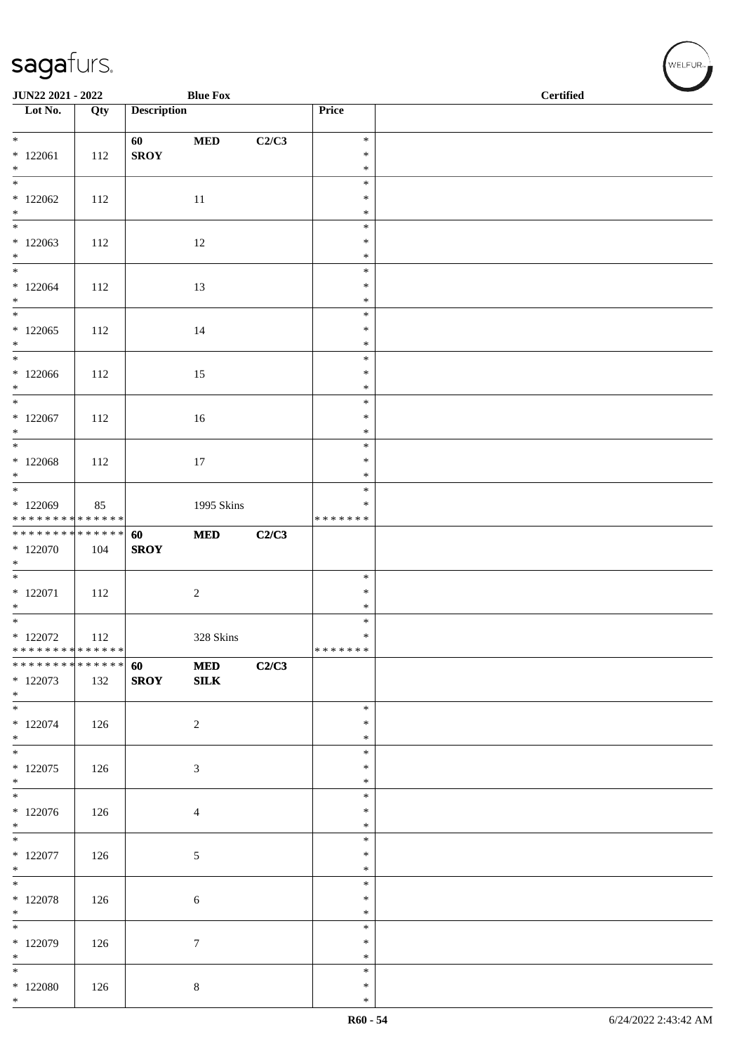| JUN22 2021 - 2022                                                           |     |                    | <b>Blue Fox</b>            |       |                  | <b>Certified</b> |
|-----------------------------------------------------------------------------|-----|--------------------|----------------------------|-------|------------------|------------------|
| $\overline{\phantom{a}}$ Lot No.                                            | Qty | <b>Description</b> |                            |       | Price            |                  |
| $*$                                                                         |     | 60                 | $\bf MED$                  | C2/C3 | $\ast$           |                  |
| $*122061$<br>$*$                                                            | 112 | <b>SROY</b>        |                            |       | $\ast$           |                  |
| $\overline{\phantom{0}}$                                                    |     |                    |                            |       | $\ast$<br>$\ast$ |                  |
| $*122062$                                                                   | 112 |                    | 11                         |       | $\ast$           |                  |
| $*$                                                                         |     |                    |                            |       | $\ast$<br>$\ast$ |                  |
| $*122063$                                                                   | 112 |                    | 12                         |       | $\ast$           |                  |
| $*$                                                                         |     |                    |                            |       | $\ast$           |                  |
| $*122064$                                                                   | 112 |                    | 13                         |       | $\ast$<br>$\ast$ |                  |
| $*$                                                                         |     |                    |                            |       | $\ast$           |                  |
| $*122065$                                                                   | 112 |                    | 14                         |       | $\ast$<br>$\ast$ |                  |
| $*$                                                                         |     |                    |                            |       | $\ast$           |                  |
| $*$                                                                         |     |                    |                            |       | $\ast$           |                  |
| $*122066$<br>$*$                                                            | 112 |                    | 15                         |       | $\ast$<br>$\ast$ |                  |
|                                                                             |     |                    |                            |       | $\ast$           |                  |
| $*122067$<br>$*$                                                            | 112 |                    | 16                         |       | $\ast$<br>$\ast$ |                  |
|                                                                             |     |                    |                            |       | $\ast$           |                  |
| $*122068$<br>$*$                                                            | 112 |                    | $17\,$                     |       | $\ast$<br>$\ast$ |                  |
|                                                                             |     |                    |                            |       | $\ast$           |                  |
| * 122069                                                                    | 85  |                    | 1995 Skins                 |       | $\ast$           |                  |
| * * * * * * * * <mark>* * * * * * *</mark><br>* * * * * * * * * * * * * * * |     | 60                 | <b>MED</b>                 | C2/C3 | * * * * * * *    |                  |
| $*122070$                                                                   | 104 | <b>SROY</b>        |                            |       |                  |                  |
| $*$                                                                         |     |                    |                            |       | $\ast$           |                  |
| $* 122071$                                                                  | 112 |                    | $\sqrt{2}$                 |       | $\ast$           |                  |
| $*$                                                                         |     |                    |                            |       | $\ast$           |                  |
| $*$<br>$*122072$                                                            | 112 |                    | 328 Skins                  |       | $\ast$<br>$\ast$ |                  |
| * * * * * * * * * * * * * * *                                               |     |                    |                            |       | * * * * * * *    |                  |
| * * * * * * * * * * * * * * *<br>$*122073$                                  | 132 | 60<br><b>SROY</b>  | <b>MED</b><br>${\bf SILK}$ | C2/C3 |                  |                  |
| $*$                                                                         |     |                    |                            |       |                  |                  |
| $\ast$                                                                      |     |                    |                            |       | $\ast$           |                  |
| $*122074$<br>$*$                                                            | 126 |                    | $\overline{2}$             |       | $\ast$<br>$\ast$ |                  |
| $*$                                                                         |     |                    |                            |       | $\ast$           |                  |
| $*122075$<br>$*$                                                            | 126 |                    | 3                          |       | $\ast$<br>$\ast$ |                  |
|                                                                             |     |                    |                            |       | $\ast$           |                  |
| $*122076$<br>$*$                                                            | 126 |                    | $\overline{4}$             |       | $\ast$<br>$\ast$ |                  |
|                                                                             |     |                    |                            |       | $\ast$           |                  |
| $*122077$                                                                   | 126 |                    | $\sqrt{5}$                 |       | $\ast$           |                  |
| $*$<br>$*$                                                                  |     |                    |                            |       | $\ast$<br>$\ast$ |                  |
| $*122078$                                                                   | 126 |                    | 6                          |       | $\ast$           |                  |
| $*$<br>$*$                                                                  |     |                    |                            |       | $\ast$<br>$\ast$ |                  |
| * 122079                                                                    | 126 |                    | $\boldsymbol{7}$           |       | $\ast$           |                  |
| $*$<br>$*$                                                                  |     |                    |                            |       | $\ast$<br>$\ast$ |                  |
| $*122080$                                                                   | 126 |                    | $8\,$                      |       | $\ast$           |                  |
| $*$                                                                         |     |                    |                            |       | $\ast$           |                  |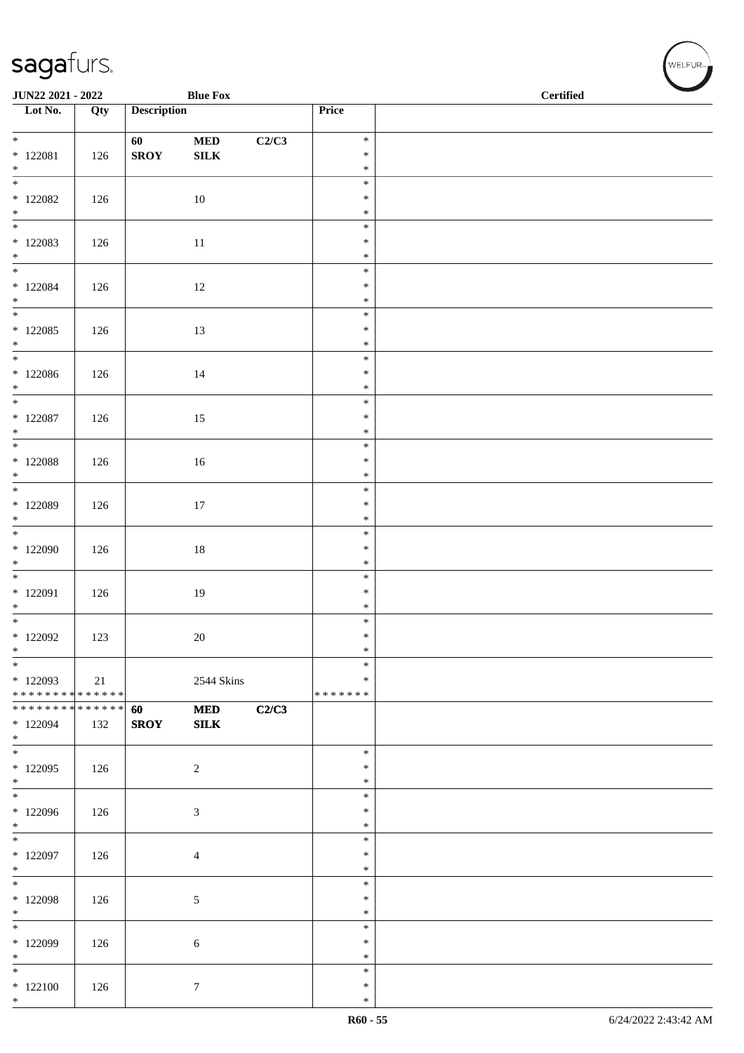| JUN22 2021 - 2022                                                         |     |                    | <b>Blue Fox</b>            |       |                                      | <b>Certified</b> | $\overline{\phantom{0}}$ |
|---------------------------------------------------------------------------|-----|--------------------|----------------------------|-------|--------------------------------------|------------------|--------------------------|
| $\overline{\phantom{1}}$ Lot No.                                          | Qty | <b>Description</b> |                            |       | Price                                |                  |                          |
| $* 122081$<br>$*$                                                         | 126 | 60<br><b>SROY</b>  | $\bf MED$<br>${\bf SILK}$  | C2/C3 | $\ast$<br>$\ast$<br>$\ast$           |                  |                          |
| $\overline{\phantom{0}}$<br>$*122082$<br>$*$                              | 126 |                    | 10                         |       | $\ast$<br>$\ast$<br>$\ast$           |                  |                          |
| $\overline{\phantom{0}}$<br>$*122083$<br>$\ast$                           | 126 |                    | 11                         |       | $\ast$<br>$\ast$<br>$\ast$           |                  |                          |
| $*122084$<br>$\ast$                                                       | 126 |                    | 12                         |       | $\ast$<br>$\ast$<br>$\ast$<br>$\ast$ |                  |                          |
| $*122085$<br>$*$                                                          | 126 |                    | 13                         |       | $\ast$<br>$\ast$                     |                  |                          |
| $*122086$<br>$*$<br>$*$                                                   | 126 |                    | 14                         |       | $\ast$<br>$\ast$<br>$\ast$<br>$\ast$ |                  |                          |
| $*$ 122087<br>$*$<br>$\overline{\phantom{0}}$                             | 126 |                    | 15                         |       | $\ast$<br>$\ast$<br>$\ast$           |                  |                          |
| $*$ 122088<br>$*$<br>$*$                                                  | 126 |                    | 16                         |       | $\ast$<br>$\ast$<br>$\ast$           |                  |                          |
| * 122089<br>$*$                                                           | 126 |                    | 17                         |       | $\ast$<br>$\ast$<br>$\ast$           |                  |                          |
| * 122090<br>$*$                                                           | 126 |                    | $18\,$                     |       | $\ast$<br>$\ast$<br>$\ast$           |                  |                          |
| * 122091<br>$*$<br>$*$                                                    | 126 |                    | 19                         |       | $\ast$<br>$\ast$<br>$\ast$           |                  |                          |
| $*122092$<br>$\ast$<br>$\ast$                                             | 123 |                    | $20\,$                     |       | $\ast$<br>$\ast$<br>$\ast$           |                  |                          |
| $*122093$<br>* * * * * * * * * * * * * *<br>* * * * * * * * * * * * * * * | 21  |                    | 2544 Skins                 |       | $\ast$<br>*******                    |                  |                          |
| * 122094<br>$*$                                                           | 132 | 60<br><b>SROY</b>  | <b>MED</b><br>${\bf SILK}$ | C2/C3 | $\ast$                               |                  |                          |
| $*$<br>$*122095$<br>$*$                                                   | 126 |                    | 2                          |       | $\ast$<br>$\ast$<br>$\ast$           |                  |                          |
| * 122096<br>$*$                                                           | 126 |                    | $\mathfrak{Z}$             |       | $\ast$<br>$\ast$<br>$\ast$           |                  |                          |
| $*122097$<br>$*$<br>$*$                                                   | 126 |                    | $\overline{4}$             |       | $\ast$<br>$\ast$                     |                  |                          |
| $*122098$<br>$*$                                                          | 126 |                    | $\sqrt{5}$                 |       | $\ast$<br>$\ast$<br>$\ast$           |                  |                          |
| * 122099<br>$*$                                                           | 126 |                    | $\sqrt{6}$                 |       | $\ast$<br>$\ast$<br>$\ast$           |                  |                          |
| $*$<br>$*122100$<br>$\ast$                                                | 126 |                    | $\boldsymbol{7}$           |       | $\ast$<br>$\ast$<br>$\ast$           |                  |                          |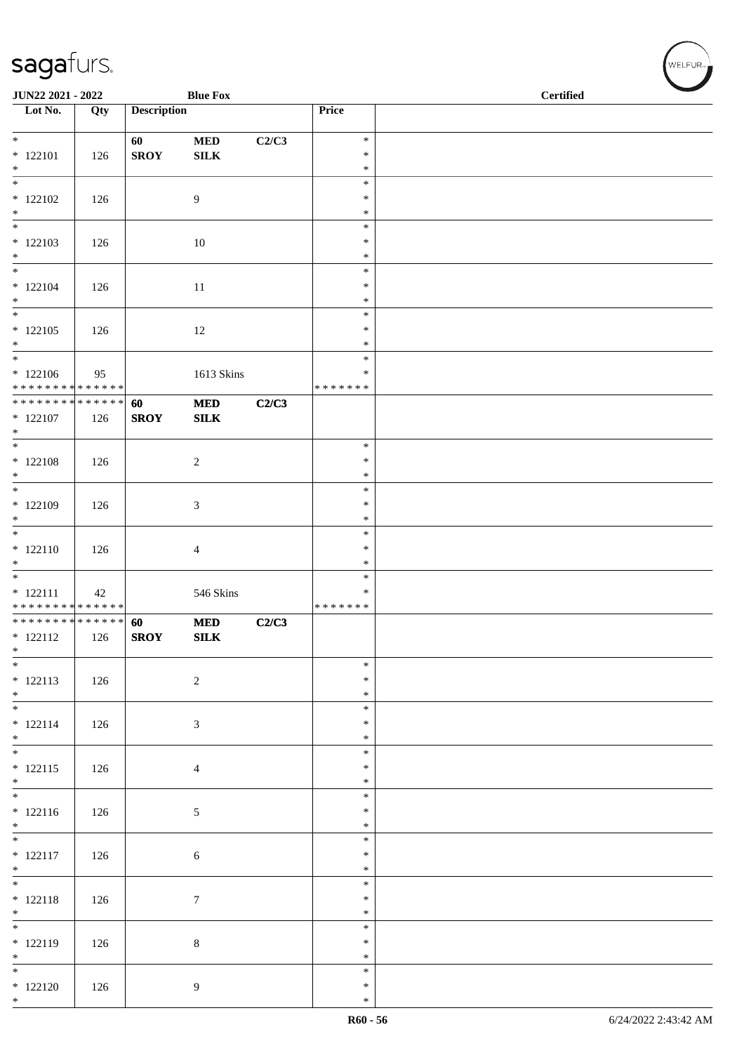| JUN22 2021 - 2022                |     |                    | <b>Blue Fox</b> |       |                  | <b>Certified</b> |
|----------------------------------|-----|--------------------|-----------------|-------|------------------|------------------|
| $\overline{\phantom{1}}$ Lot No. | Qty | <b>Description</b> |                 |       | Price            |                  |
|                                  |     |                    |                 |       |                  |                  |
| $*$                              |     | 60                 | $\bf MED$       | C2/C3 | $\ast$           |                  |
| $* 122101$                       | 126 | <b>SROY</b>        | ${\bf SILK}$    |       | $\ast$           |                  |
| $*$                              |     |                    |                 |       | $\ast$           |                  |
| $\overline{\phantom{a}^*}$       |     |                    |                 |       | $\ast$           |                  |
| $*122102$                        | 126 |                    | 9               |       | $\ast$           |                  |
| $*$                              |     |                    |                 |       | $\ast$<br>$\ast$ |                  |
| $* 122103$                       | 126 |                    | 10              |       | $\ast$           |                  |
| $\ast$                           |     |                    |                 |       | $\ast$           |                  |
| $*$                              |     |                    |                 |       | $\ast$           |                  |
| $* 122104$                       | 126 |                    | 11              |       | $\ast$           |                  |
| $*$                              |     |                    |                 |       | $\ast$           |                  |
| $\overline{\ast}$                |     |                    |                 |       | $\ast$           |                  |
| $* 122105$                       | 126 |                    | 12              |       | $\ast$           |                  |
| $*$<br>$*$                       |     |                    |                 |       | $\ast$<br>$\ast$ |                  |
| $*122106$                        |     |                    | 1613 Skins      |       | $\ast$           |                  |
| * * * * * * * * * * * * * *      | 95  |                    |                 |       | * * * * * * *    |                  |
| ******** <mark>******</mark>     |     | 60                 | $\bf MED$       | C2/C3 |                  |                  |
| $* 122107$                       | 126 | <b>SROY</b>        | SLK             |       |                  |                  |
| $*$                              |     |                    |                 |       |                  |                  |
| $\overline{\phantom{0}}$         |     |                    |                 |       | $\ast$           |                  |
| $*$ 122108                       | 126 |                    | $\overline{c}$  |       | $\ast$           |                  |
| $*$<br>$\overline{\mathbf{r}}$   |     |                    |                 |       | $\ast$           |                  |
|                                  |     |                    |                 |       | $\ast$<br>$\ast$ |                  |
| $*122109$<br>$\ast$              | 126 |                    | 3               |       | $\ast$           |                  |
|                                  |     |                    |                 |       | $\ast$           |                  |
| $* 122110$                       | 126 |                    | 4               |       | $\ast$           |                  |
| $\ast$                           |     |                    |                 |       | $\ast$           |                  |
| $\overline{\phantom{0}}$         |     |                    |                 |       | $\ast$           |                  |
| $* 122111$                       | 42  |                    | 546 Skins       |       | ∗                |                  |
| * * * * * * * * * * * * * *      |     |                    |                 |       | * * * * * * *    |                  |
| * * * * * * * * * * * * * * *    |     | 60                 | <b>MED</b>      | C2/C3 |                  |                  |
| $* 122112$<br>$\ast$             | 126 | <b>SROY</b>        | <b>SILK</b>     |       |                  |                  |
| $*$                              |     |                    |                 |       | $\ast$           |                  |
| $* 122113$                       | 126 |                    | $\sqrt{2}$      |       | $\ast$           |                  |
| $*$                              |     |                    |                 |       | $\ast$           |                  |
|                                  |     |                    |                 |       | $\ast$           |                  |
| $* 122114$                       | 126 |                    | 3               |       | $\ast$           |                  |
| $*$                              |     |                    |                 |       | $\ast$           |                  |
| $*$                              |     |                    |                 |       | $\ast$           |                  |
| $* 122115$<br>$*$                | 126 |                    | $\overline{4}$  |       | $\ast$<br>$\ast$ |                  |
|                                  |     |                    |                 |       | $\ast$           |                  |
| $* 122116$                       | 126 |                    | 5               |       | $\ast$           |                  |
| $*$                              |     |                    |                 |       | $\ast$           |                  |
|                                  |     |                    |                 |       | $\ast$           |                  |
| $* 122117$                       | 126 |                    | 6               |       | $\ast$           |                  |
| $*$                              |     |                    |                 |       | $\ast$           |                  |
|                                  |     |                    |                 |       | $\ast$           |                  |
| $* 122118$                       | 126 |                    | $\tau$          |       | $\ast$           |                  |
| $*$                              |     |                    |                 |       | $\ast$<br>$\ast$ |                  |
| $* 122119$                       | 126 |                    | $\,8\,$         |       | $\ast$           |                  |
| $*$                              |     |                    |                 |       | $\ast$           |                  |
| $\overline{\phantom{0}}$         |     |                    |                 |       | $\ast$           |                  |
| $*122120$                        | 126 |                    | 9               |       | $\ast$           |                  |
| $*$                              |     |                    |                 |       | $\ast$           |                  |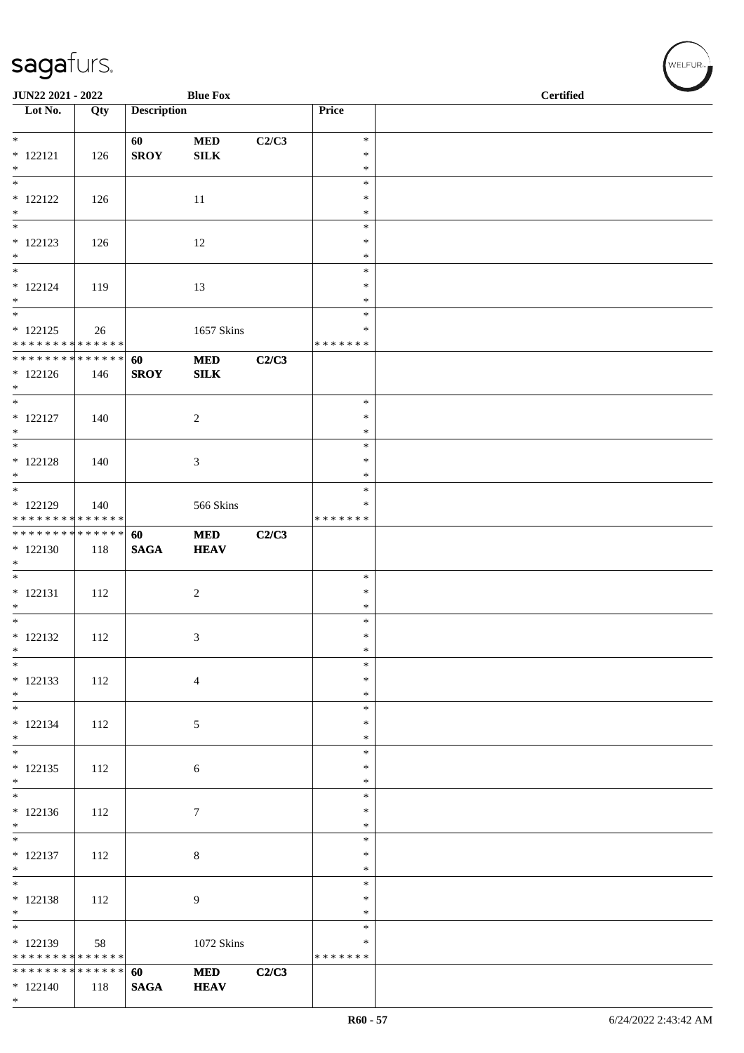| JUN22 2021 - 2022                                                         |     |                    | <b>Blue Fox</b>           |       |                                   | <b>Certified</b> |  |
|---------------------------------------------------------------------------|-----|--------------------|---------------------------|-------|-----------------------------------|------------------|--|
| $\overline{\phantom{1}}$ Lot No.                                          | Qty | <b>Description</b> |                           |       | Price                             |                  |  |
| $*$<br>$* 122121$<br>$*$                                                  | 126 | 60<br><b>SROY</b>  | $\bf MED$<br>${\bf SILK}$ | C2/C3 | $\ast$<br>$\ast$<br>$\ast$        |                  |  |
| $\overline{\phantom{0}}$<br>$* 122122$<br>$*$                             | 126 |                    | 11                        |       | $\ast$<br>$\ast$<br>$\ast$        |                  |  |
| $\ast$<br>$* 122123$<br>$*$                                               | 126 |                    | 12                        |       | $\ast$<br>$\ast$<br>$\ast$        |                  |  |
| $\overline{\phantom{0}}$<br>$* 122124$<br>$*$<br>$\overline{\phantom{0}}$ | 119 |                    | 13                        |       | $\ast$<br>∗<br>$\ast$             |                  |  |
| $* 122125$<br>* * * * * * * * * * * * * *                                 | 26  |                    | 1657 Skins                |       | $\ast$<br>∗<br>* * * * * * *      |                  |  |
| **************<br>$* 122126$<br>$*$                                       | 146 | 60<br><b>SROY</b>  | $\bf MED$<br>SLK          | C2/C3 |                                   |                  |  |
| $*$<br>$* 122127$<br>$*$                                                  | 140 |                    | $\sqrt{2}$                |       | $\ast$<br>$\ast$<br>$\ast$        |                  |  |
| $\overline{\ast}$<br>$* 122128$<br>$*$                                    | 140 |                    | 3                         |       | $\ast$<br>$\ast$<br>$\ast$        |                  |  |
| * 122129<br>* * * * * * * * * * * * * *                                   | 140 |                    | 566 Skins                 |       | $\ast$<br>*<br>* * * * * * *      |                  |  |
| ******** <mark>******</mark><br>$*122130$<br>$\ast$                       | 118 | 60<br><b>SAGA</b>  | <b>MED</b><br><b>HEAV</b> | C2/C3 |                                   |                  |  |
| $\overline{\phantom{0}}$<br>$* 122131$<br>$*$                             | 112 |                    | $\sqrt{2}$                |       | $\ast$<br>$\ast$<br>$\ast$        |                  |  |
| $\overline{\phantom{0}}$<br>$* 122132$<br>$\ast$                          | 112 |                    | $\mathfrak{Z}$            |       | $\ast$<br>$\ast$<br>$\ast$        |                  |  |
| $\ast$<br>$* 122133$<br>$*$                                               | 112 |                    | $\overline{4}$            |       | $\ast$<br>$\ast$<br>$\ast$        |                  |  |
| $\overline{\phantom{0}}$<br>$* 122134$<br>$*$                             | 112 |                    | $\sqrt{5}$                |       | $\ast$<br>$\ast$<br>$\ast$        |                  |  |
| $\overline{\phantom{0}}$<br>$* 122135$<br>$*$                             | 112 |                    | 6                         |       | $\ast$<br>$\ast$<br>$\ast$        |                  |  |
| $*122136$<br>$\ast$                                                       | 112 |                    | $\tau$                    |       | $\ast$<br>$\ast$<br>∗             |                  |  |
| $\overline{\phantom{0}}$<br>$* 122137$<br>$*$                             | 112 |                    | $\,8\,$                   |       | $\ast$<br>$\ast$<br>$\ast$        |                  |  |
| $\overline{\phantom{a}^*}$<br>$* 122138$<br>$*$                           | 112 |                    | 9                         |       | $\ast$<br>$\ast$<br>$\ast$        |                  |  |
| $\overline{\phantom{0}}$<br>$* 122139$<br>* * * * * * * * * * * * * *     | 58  |                    | 1072 Skins                |       | $\ast$<br>$\ast$<br>* * * * * * * |                  |  |
| * * * * * * * * * * * * * *<br>$* 122140$<br>$*$                          | 118 | 60<br><b>SAGA</b>  | <b>MED</b><br><b>HEAV</b> | C2/C3 |                                   |                  |  |

WELFUR<sub><sup>N</sub></sub></sub></sup>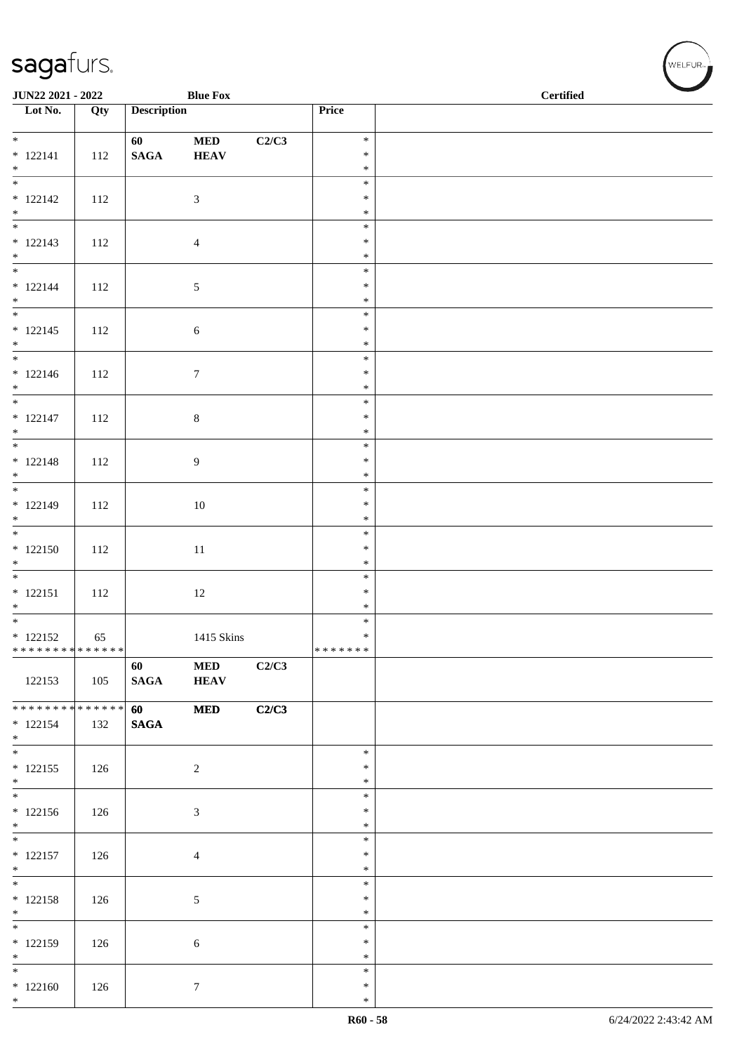| JUN22 2021 - 2022                                    |     |                       | <b>Blue Fox</b>           |       |                                      | $\operatorname{\bf \mathbf{Certified}}$ |  |
|------------------------------------------------------|-----|-----------------------|---------------------------|-------|--------------------------------------|-----------------------------------------|--|
| $\overline{\phantom{1}}$ Lot No.                     | Qty | <b>Description</b>    |                           |       | Price                                |                                         |  |
| $*$<br>$* 122141$                                    | 112 | 60<br>$\mathbf{SAGA}$ | <b>MED</b><br><b>HEAV</b> | C2/C3 | $\ast$<br>$\ast$<br>$\ast$           |                                         |  |
| $*$<br>$* 122142$<br>$*$                             | 112 |                       | 3                         |       | $\ast$<br>$\ast$<br>$\ast$           |                                         |  |
| $* 122143$<br>$*$                                    | 112 |                       | $\overline{4}$            |       | $\ast$<br>$\ast$<br>$\ast$           |                                         |  |
| $* 122144$<br>$*$                                    | 112 |                       | 5                         |       | $\ast$<br>$\ast$<br>$\ast$           |                                         |  |
| $* 122145$<br>$*$                                    | 112 |                       | $\sqrt{6}$                |       | $\ast$<br>$\ast$<br>$\ast$           |                                         |  |
| $* 122146$<br>$*$                                    | 112 |                       | $\boldsymbol{7}$          |       | $\ast$<br>$\ast$<br>$\ast$           |                                         |  |
| $* 122147$<br>$*$                                    | 112 |                       | $\,8\,$                   |       | $\ast$<br>$\ast$<br>$\ast$           |                                         |  |
| $* 122148$<br>$*$                                    | 112 |                       | 9                         |       | $\ast$<br>$\ast$<br>$\ast$           |                                         |  |
| $* 122149$<br>$*$                                    | 112 |                       | $10\,$                    |       | $\ast$<br>$\ast$<br>$\ast$<br>$\ast$ |                                         |  |
| $* 122150$<br>$*$                                    | 112 |                       | 11                        |       | $\ast$<br>$\ast$<br>$\ast$           |                                         |  |
| $* 122151$<br>$*$<br>$*$                             | 112 |                       | 12                        |       | $\ast$<br>$\ast$<br>$\ast$           |                                         |  |
| $* 122152$<br>******** <mark>******</mark>           | 65  |                       | 1415 Skins                |       | $\ast$<br>*******                    |                                         |  |
| 122153                                               | 105 | 60<br><b>SAGA</b>     | $\bf MED$<br><b>HEAV</b>  | C2/C3 |                                      |                                         |  |
| ******** <mark>******</mark><br>$* 122154$<br>$*$    | 132 | 60<br><b>SAGA</b>     | $\bf MED$                 | C2/C3 |                                      |                                         |  |
| $*$<br>$* 122155$<br>$*$                             | 126 |                       | $\sqrt{2}$                |       | $\ast$<br>$\ast$<br>$\ast$           |                                         |  |
| $* 122156$<br>$*$<br>$\overline{\phantom{0}}$        | 126 |                       | 3                         |       | $\ast$<br>$\ast$<br>$\ast$           |                                         |  |
| $* 122157$<br>$*$                                    | 126 |                       | 4                         |       | $\ast$<br>$\ast$<br>$\ast$           |                                         |  |
| $*$<br>$* 122158$<br>$*$<br>$\overline{\phantom{0}}$ | 126 |                       | 5                         |       | $\ast$<br>$\ast$<br>$\ast$           |                                         |  |
| $* 122159$<br>$*$<br>$\overline{\phantom{0}}$        | 126 |                       | 6                         |       | $\ast$<br>$\ast$<br>$\ast$           |                                         |  |
| $*122160$<br>$*$                                     | 126 |                       | $\tau$                    |       | $\ast$<br>$\ast$<br>$\ast$           |                                         |  |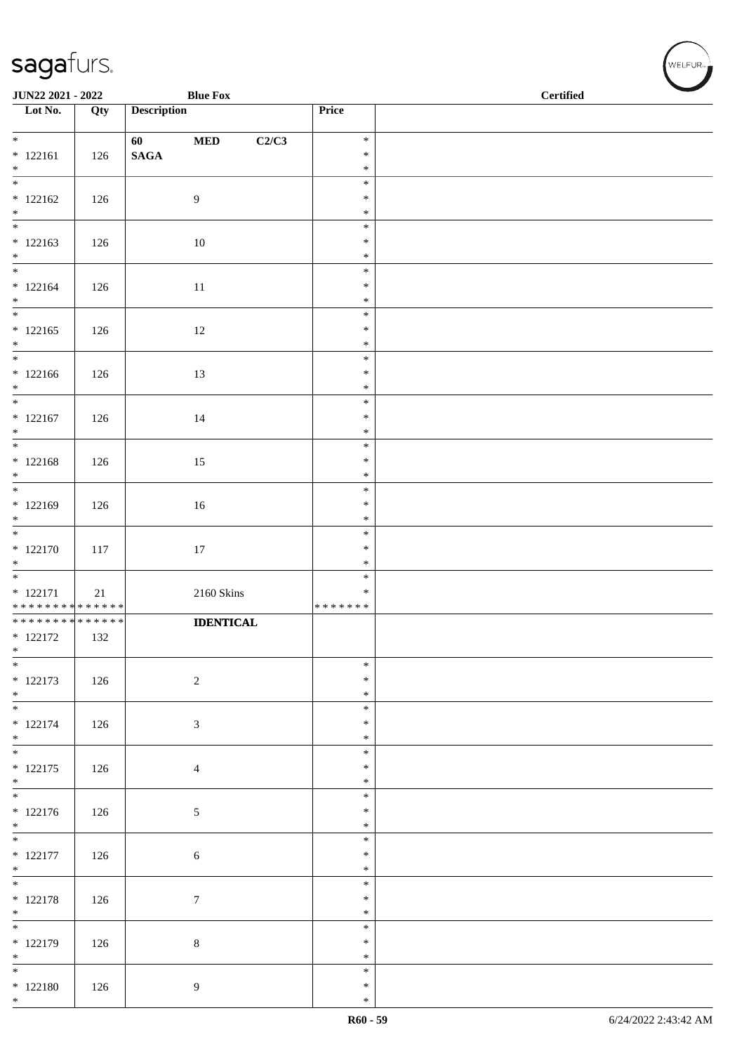| JUN22 2021 - 2022                          |     |                    | <b>Blue Fox</b>  |       |                  | <b>Certified</b> |
|--------------------------------------------|-----|--------------------|------------------|-------|------------------|------------------|
| $\overline{\phantom{1}}$ Lot No.           | Qty | <b>Description</b> |                  |       | Price            |                  |
| $*$                                        |     | 60                 | $\bf MED$        | C2/C3 | $\ast$           |                  |
| $* 122161$                                 | 126 | $\mathbf{SAGA}$    |                  |       | $\ast$           |                  |
| $*$                                        |     |                    |                  |       | $\ast$           |                  |
| $\overline{\phantom{0}}$                   |     |                    |                  |       | $\ast$<br>$\ast$ |                  |
| $* 122162$<br>$*$                          | 126 |                    | $\overline{9}$   |       | $\ast$           |                  |
|                                            |     |                    |                  |       | $\ast$           |                  |
| $* 122163$                                 | 126 |                    | 10               |       | $\ast$           |                  |
| $*$                                        |     |                    |                  |       | $\ast$<br>$\ast$ |                  |
| $* 122164$                                 | 126 |                    | 11               |       | $\ast$           |                  |
| $*$                                        |     |                    |                  |       | $\ast$           |                  |
|                                            |     |                    |                  |       | $\ast$<br>$\ast$ |                  |
| $* 122165$<br>$*$                          | 126 |                    | $12\,$           |       | $\ast$           |                  |
| $*$                                        |     |                    |                  |       | $\ast$           |                  |
| $* 122166$                                 | 126 |                    | 13               |       | $\ast$           |                  |
| $*$                                        |     |                    |                  |       | $\ast$<br>$\ast$ |                  |
| $* 122167$                                 | 126 |                    | 14               |       | $\ast$           |                  |
| $*$                                        |     |                    |                  |       | $\ast$           |                  |
|                                            |     |                    |                  |       | $\ast$<br>$\ast$ |                  |
| $* 122168$<br>$*$                          | 126 |                    | 15               |       | $\ast$           |                  |
|                                            |     |                    |                  |       | $\ast$           |                  |
| $* 122169$                                 | 126 |                    | 16               |       | $\ast$           |                  |
| $\ast$                                     |     |                    |                  |       | $\ast$<br>$\ast$ |                  |
| $* 122170$                                 | 117 |                    | 17               |       | $\ast$           |                  |
| $*$                                        |     |                    |                  |       | $\ast$           |                  |
| $* 122171$                                 | 21  |                    | 2160 Skins       |       | $\ast$<br>$\ast$ |                  |
| * * * * * * * * <mark>* * * * * * *</mark> |     |                    |                  |       | * * * * * * *    |                  |
| * * * * * * * * * * * * * * *              |     |                    | <b>IDENTICAL</b> |       |                  |                  |
| $* 122172$<br>$\ast$                       | 132 |                    |                  |       |                  |                  |
| $\overline{\phantom{0}}$                   |     |                    |                  |       | $\ast$           |                  |
| * 122173                                   | 126 |                    | $\sqrt{2}$       |       | $\ast$           |                  |
| $*$                                        |     |                    |                  |       | $\ast$           |                  |
| $*$<br>$* 122174$                          | 126 |                    | $\mathfrak{Z}$   |       | $\ast$<br>$\ast$ |                  |
| $*$                                        |     |                    |                  |       | $\ast$           |                  |
|                                            |     |                    |                  |       | $\ast$           |                  |
| $* 122175$<br>$*$                          | 126 |                    | $\overline{4}$   |       | $\ast$<br>$\ast$ |                  |
|                                            |     |                    |                  |       | $\ast$           |                  |
| $* 122176$                                 | 126 |                    | $\mathfrak{S}$   |       | $\ast$           |                  |
| $*$                                        |     |                    |                  |       | $\ast$<br>$\ast$ |                  |
| $* 122177$                                 | 126 |                    | $\boldsymbol{6}$ |       | $\ast$           |                  |
| $*$                                        |     |                    |                  |       | $\ast$           |                  |
| $*$                                        |     |                    |                  |       | $\ast$           |                  |
| $* 122178$<br>$*$                          | 126 |                    | $\boldsymbol{7}$ |       | $\ast$<br>$\ast$ |                  |
|                                            |     |                    |                  |       | $\ast$           |                  |
| $* 122179$                                 | 126 |                    | $8\,$            |       | $\ast$           |                  |
| $*$                                        |     |                    |                  |       | $\ast$<br>$\ast$ |                  |
| $* 122180$                                 | 126 |                    | 9                |       | $\ast$           |                  |
| $*$                                        |     |                    |                  |       | $\ast$           |                  |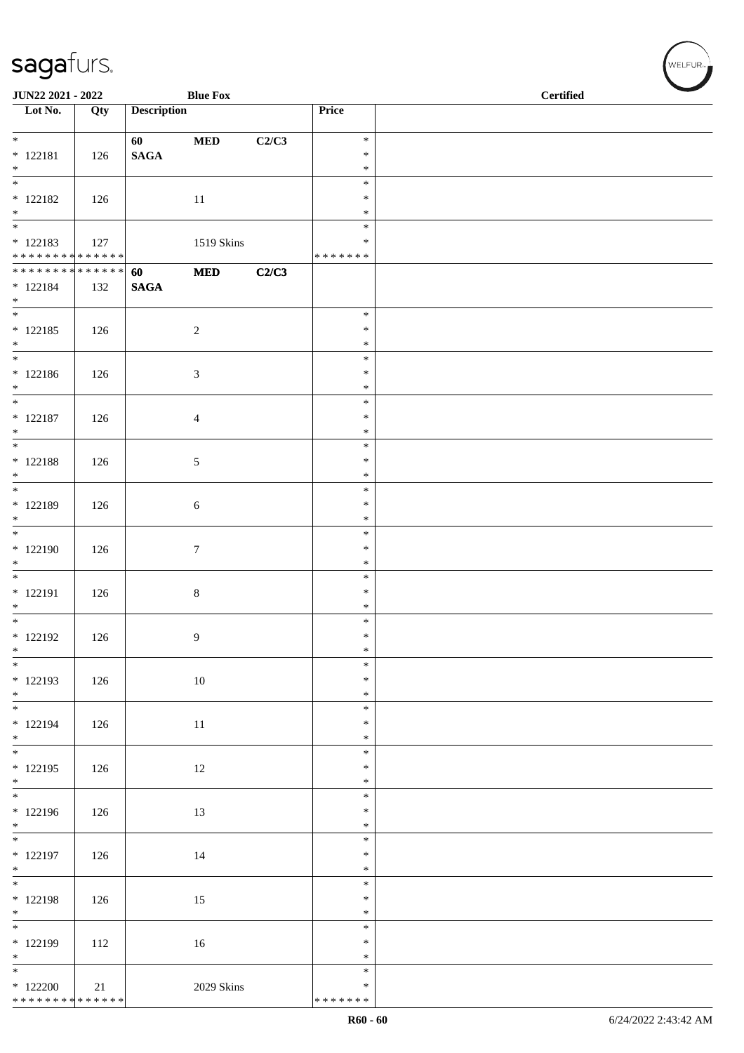| JUN22 2021 - 2022                                                      |     |                    | <b>Blue Fox</b> |       |                                   | <b>Certified</b> |  |  |
|------------------------------------------------------------------------|-----|--------------------|-----------------|-------|-----------------------------------|------------------|--|--|
| $\overline{\phantom{1}}$ Lot No.                                       | Qty | <b>Description</b> |                 |       | Price                             |                  |  |  |
| $*$<br>$* 122181$<br>$*$                                               | 126 | 60<br><b>SAGA</b>  | $\bf MED$       | C2/C3 | $\ast$<br>$\ast$<br>$\ast$        |                  |  |  |
| $\overline{\phantom{0}}$<br>$* 122182$<br>$\ast$                       | 126 |                    | 11              |       | $\ast$<br>$\ast$<br>$\ast$        |                  |  |  |
| $\overline{\phantom{0}}$<br>$* 122183$<br>******** <mark>******</mark> | 127 |                    | 1519 Skins      |       | $\ast$<br>∗<br>* * * * * * *      |                  |  |  |
| ******** <mark>******</mark><br>$* 122184$<br>$\ast$                   | 132 | 60<br><b>SAGA</b>  | $\bf MED$       | C2/C3 |                                   |                  |  |  |
| $\overline{\phantom{0}}$<br>$* 122185$<br>$*$                          | 126 |                    | $\sqrt{2}$      |       | $\ast$<br>$\ast$<br>$\ast$        |                  |  |  |
| $\frac{1}{1}$<br>$* 122186$<br>$*$                                     | 126 |                    | $\mathfrak{Z}$  |       | $\ast$<br>$\ast$<br>$\ast$        |                  |  |  |
| $\overline{\ }$<br>$* 122187$<br>$*$                                   | 126 |                    | $\overline{4}$  |       | $\ast$<br>$\ast$<br>$\ast$        |                  |  |  |
| $\ast$<br>$* 122188$<br>$*$                                            | 126 |                    | $\sqrt{5}$      |       | $\ast$<br>$\ast$<br>$\ast$        |                  |  |  |
| $\overline{\phantom{0}}$<br>* 122189<br>$\ast$                         | 126 |                    | $\sqrt{6}$      |       | $\ast$<br>$\ast$<br>$\ast$        |                  |  |  |
| $\overline{\phantom{a}^*}$<br>$*122190$<br>$\ast$                      | 126 |                    | $7\phantom{.0}$ |       | $\ast$<br>$\ast$<br>$\ast$        |                  |  |  |
| $*$<br>$* 122191$<br>$\ast$                                            | 126 |                    | $\,8\,$         |       | $\ast$<br>$\ast$<br>$\ast$        |                  |  |  |
| $\overline{\phantom{0}}$<br>$*$ 122192<br>$\ast$                       | 126 |                    | 9               |       | $\ast$<br>$\ast$<br>$\ast$        |                  |  |  |
| $\overline{\phantom{0}}$<br>$* 122193$<br>$*$                          | 126 |                    | $10\,$          |       | $\ast$<br>$\ast$<br>$\ast$        |                  |  |  |
| $\ast$<br>$* 122194$<br>$*$                                            | 126 |                    | 11              |       | $\ast$<br>$\ast$<br>$\ast$        |                  |  |  |
| $\overline{\phantom{0}}$<br>$* 122195$<br>$\ast$                       | 126 |                    | 12              |       | $\ast$<br>$\ast$<br>$\ast$        |                  |  |  |
| $\overline{\phantom{a}^*}$<br>* 122196<br>$\ast$                       | 126 |                    | 13              |       | $\ast$<br>$\ast$<br>$\ast$        |                  |  |  |
| $\overline{\phantom{0}}$<br>$* 122197$<br>$\ast$                       | 126 |                    | 14              |       | $\ast$<br>$\ast$<br>$\ast$        |                  |  |  |
| $\overline{\phantom{0}}$<br>* 122198<br>$\ast$                         | 126 |                    | 15              |       | $\ast$<br>$\ast$<br>$\ast$        |                  |  |  |
| $\overline{\phantom{0}}$<br>* 122199<br>$\ast$                         | 112 |                    | $16\,$          |       | $\ast$<br>$\ast$<br>$\ast$        |                  |  |  |
| $*$<br>$*122200$<br>******** <mark>******</mark>                       | 21  |                    | 2029 Skins      |       | $\ast$<br>$\ast$<br>* * * * * * * |                  |  |  |

WELFUR-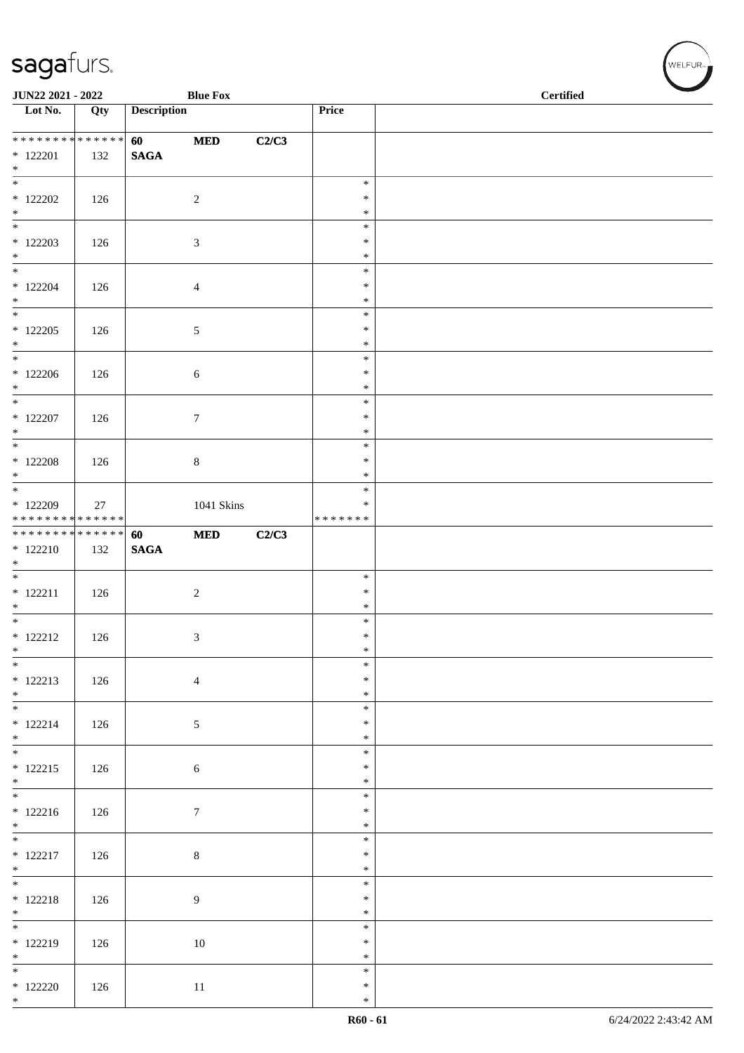| JUN22 2021 - 2022                        |     |                    | <b>Blue Fox</b>  |       |                         | $\operatorname{\bf \mathbf{Certified}}$ |
|------------------------------------------|-----|--------------------|------------------|-------|-------------------------|-----------------------------------------|
| Lot No.                                  | Qty | <b>Description</b> |                  |       | Price                   |                                         |
| * * * * * * * * * * * * * *              |     | 60                 | $\bf MED$        | C2/C3 |                         |                                         |
| $*$ 122201<br>$*$                        | 132 | <b>SAGA</b>        |                  |       |                         |                                         |
|                                          |     |                    |                  |       | $\ast$                  |                                         |
| $*$ 122202<br>$*$                        | 126 |                    | $\sqrt{2}$       |       | $\ast$<br>$\ast$        |                                         |
|                                          |     |                    |                  |       | $\ast$<br>$\ast$        |                                         |
| $*$ 122203<br>$*$                        | 126 |                    | 3                |       | $\ast$                  |                                         |
| $*$ 122204                               | 126 |                    | 4                |       | $\ast$<br>$\ast$        |                                         |
| $*$<br>$\overline{\phantom{0}}$          |     |                    |                  |       | $\ast$                  |                                         |
| $*$ 122205                               | 126 |                    | $\sqrt{5}$       |       | $\ast$<br>$\ast$        |                                         |
| $*$<br>$*$                               |     |                    |                  |       | $\ast$<br>$\ast$        |                                         |
| $*122206$                                | 126 |                    | 6                |       | $\ast$                  |                                         |
| $*$                                      |     |                    |                  |       | $\ast$<br>$\ast$        |                                         |
| $*$ 122207                               | 126 |                    | $\boldsymbol{7}$ |       | $\ast$                  |                                         |
| $*$                                      |     |                    |                  |       | $\ast$<br>$\ast$        |                                         |
| $*$ 122208<br>$*$                        | 126 |                    | $8\,$            |       | $\ast$<br>$\ast$        |                                         |
|                                          |     |                    |                  |       | $\ast$                  |                                         |
| $*122209$<br>* * * * * * * * * * * * * * | 27  |                    | 1041 Skins       |       | $\ast$<br>* * * * * * * |                                         |
| ******** <mark>******</mark>             |     | 60                 | $\bf MED$        | C2/C3 |                         |                                         |
| $* 122210$<br>$*$                        | 132 | $\mathbf{SAGA}$    |                  |       |                         |                                         |
|                                          |     |                    |                  |       | $\ast$<br>$\ast$        |                                         |
| $* 122211$<br>$*$                        | 126 |                    | $\sqrt{2}$       |       | $\ast$                  |                                         |
| $* 122212$                               | 126 |                    | 3                |       | $\ast$<br>$\ast$        |                                         |
| $\ast$<br>$\overline{\phantom{0}}$       |     |                    |                  |       | $\ast$                  |                                         |
| $* 122213$                               | 126 |                    | $\overline{4}$   |       | $\ast$<br>$\ast$        |                                         |
| $*$                                      |     |                    |                  |       | $\ast$<br>$\ast$        |                                         |
| $* 122214$                               | 126 |                    | 5                |       | $\ast$                  |                                         |
| $*$<br>$*$                               |     |                    |                  |       | $\ast$<br>$\ast$        |                                         |
| $* 122215$                               | 126 |                    | $\sqrt{6}$       |       | $\ast$                  |                                         |
| $*$                                      |     |                    |                  |       | $\ast$<br>$\ast$        |                                         |
| $* 122216$<br>$*$                        | 126 |                    | $\boldsymbol{7}$ |       | $\ast$<br>$\ast$        |                                         |
| $\overline{\phantom{0}}$                 |     |                    |                  |       | $\ast$                  |                                         |
| $* 122217$<br>$*$                        | 126 |                    | $\,8\,$          |       | $\ast$<br>$\ast$        |                                         |
|                                          |     |                    |                  |       | $\ast$                  |                                         |
| $* 122218$<br>$*$                        | 126 |                    | 9                |       | $\ast$<br>$\ast$        |                                         |
| $* 122219$                               | 126 |                    | 10               |       | $\ast$<br>$\ast$        |                                         |
| $*$                                      |     |                    |                  |       | $\ast$                  |                                         |
| $*122220$                                | 126 |                    | $11\,$           |       | $\ast$<br>$\ast$        |                                         |
| $*$                                      |     |                    |                  |       | $\ast$                  |                                         |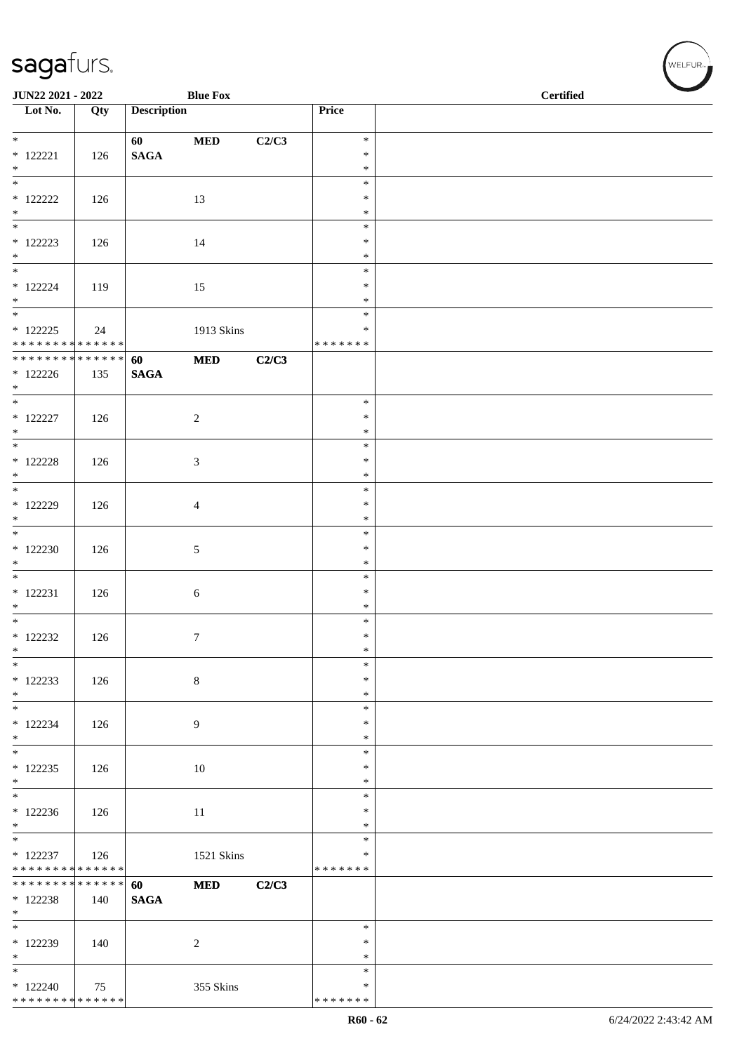| JUN22 2021 - 2022                                                       |     |                       | <b>Blue Fox</b>  |       |                                   | <b>Certified</b> |  |
|-------------------------------------------------------------------------|-----|-----------------------|------------------|-------|-----------------------------------|------------------|--|
| $\overline{\phantom{1}}$ Lot No.                                        | Qty | <b>Description</b>    |                  |       | Price                             |                  |  |
| $\overline{\phantom{0}}$<br>$*$ 122221<br>$\ast$                        | 126 | 60<br><b>SAGA</b>     | $\bf MED$        | C2/C3 | $\ast$<br>$\ast$<br>$\ast$        |                  |  |
| $_{\ast}^{-}$<br>$*$ 122222<br>$*$                                      | 126 |                       | 13               |       | $\ast$<br>$\ast$<br>$\ast$        |                  |  |
| $\overline{\phantom{0}}$<br>$*$ 122223<br>$\ast$                        | 126 |                       | 14               |       | $\ast$<br>$\ast$<br>$\ast$        |                  |  |
| $\overline{\phantom{a}^*}$<br>$*$ 122224<br>$\ast$                      | 119 |                       | 15               |       | $\ast$<br>$\ast$<br>$\ast$        |                  |  |
| $\overline{\phantom{0}}$<br>$* 122225$<br>* * * * * * * * * * * * * *   | 24  |                       | 1913 Skins       |       | $\ast$<br>$\ast$<br>* * * * * * * |                  |  |
| ******** <mark>******</mark><br>$*122226$<br>$*$                        | 135 | 60<br>$\mathbf{SAGA}$ | $\bf MED$        | C2/C3 |                                   |                  |  |
| $\overline{\phantom{a}^*}$<br>$* 122227$<br>$\ast$                      | 126 |                       | $\overline{c}$   |       | $\ast$<br>$\ast$<br>$\ast$        |                  |  |
| $\overline{\phantom{a}^*}$<br>$*$ 122228<br>$*$                         | 126 |                       | $\mathfrak 3$    |       | $\ast$<br>$\ast$<br>$\ast$        |                  |  |
| $\overline{\phantom{0}}$<br>$*$ 122229<br>$\ast$                        | 126 |                       | $\overline{4}$   |       | $\ast$<br>$\ast$<br>$\ast$        |                  |  |
| $\overline{\phantom{0}}$<br>$*122230$<br>$\ast$                         | 126 |                       | $\sqrt{5}$       |       | $\ast$<br>$\ast$<br>$\ast$        |                  |  |
| $\overline{\phantom{0}}$<br>$* 122231$<br>$\ast$                        | 126 |                       | $\sqrt{6}$       |       | $\ast$<br>$\ast$<br>$\ast$        |                  |  |
| $\overline{\phantom{0}}$<br>$*$ 122232<br>$\ast$                        | 126 |                       | $\boldsymbol{7}$ |       | $\ast$<br>$\ast$<br>$\ast$        |                  |  |
| $\ast$<br>$*122233$<br>$\ast$                                           | 126 |                       | $\,$ 8 $\,$      |       | $\ast$<br>$\ast$<br>$\ast$        |                  |  |
| $\overline{\phantom{0}}$<br>$* 122234$<br>$\ast$                        | 126 |                       | $\overline{9}$   |       | $\ast$<br>$\ast$<br>$\ast$        |                  |  |
| $\ast$<br>$*122235$<br>$\ast$                                           | 126 |                       | 10               |       | $\ast$<br>$\ast$<br>$\ast$        |                  |  |
| $\overline{\phantom{0}}$<br>$*122236$<br>$\ast$                         | 126 |                       | 11               |       | $\ast$<br>$\ast$<br>$\ast$        |                  |  |
| $\overline{\phantom{a}^*}$<br>$* 122237$<br>* * * * * * * * * * * * * * | 126 |                       | 1521 Skins       |       | $\ast$<br>$\ast$<br>* * * * * * * |                  |  |
| * * * * * * * * * * * * * *<br>$*$ 122238<br>$\ast$                     | 140 | 60<br><b>SAGA</b>     | $\bf MED$        | C2/C3 |                                   |                  |  |
| $\overline{\phantom{0}}$<br>$*$ 122239<br>$\ast$                        | 140 |                       | $\sqrt{2}$       |       | $\ast$<br>$\ast$<br>$\ast$        |                  |  |
| $*$<br>$*122240$<br>******** <mark>******</mark>                        | 75  |                       | 355 Skins        |       | $\ast$<br>$\ast$<br>* * * * * * * |                  |  |

WELFUR-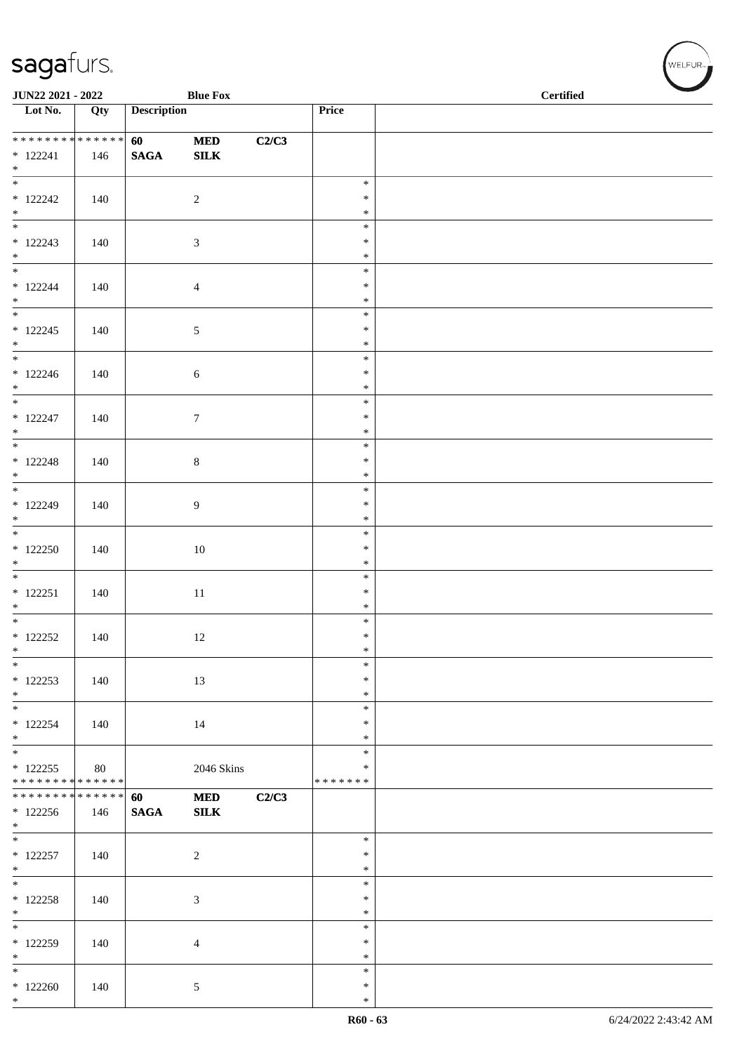|                                    | JUN22 2021 - 2022<br><b>Blue Fox</b> |                    |                  |       |                  | <b>Certified</b> |  |
|------------------------------------|--------------------------------------|--------------------|------------------|-------|------------------|------------------|--|
| $\overline{\phantom{1}}$ Lot No.   | Qty                                  | <b>Description</b> |                  |       | Price            |                  |  |
|                                    |                                      |                    |                  |       |                  |                  |  |
| * * * * * * * * * * * * * *        |                                      | 60                 | $\bf MED$        | C2/C3 |                  |                  |  |
| $* 122241$                         | 146                                  | $\mathbf{SAGA}$    | ${\bf SILK}$     |       |                  |                  |  |
| $*$<br>$\frac{1}{*}$               |                                      |                    |                  |       | $\ast$           |                  |  |
| $*$ 122242                         |                                      |                    | $\overline{2}$   |       | $\ast$           |                  |  |
| $*$                                | 140                                  |                    |                  |       | $\ast$           |                  |  |
|                                    |                                      |                    |                  |       | $\ast$           |                  |  |
| $* 122243$                         | 140                                  |                    | $\mathfrak{Z}$   |       | $\ast$           |                  |  |
| $\ast$                             |                                      |                    |                  |       | $\ast$           |                  |  |
|                                    |                                      |                    |                  |       | $\ast$           |                  |  |
| $* 122244$                         | 140                                  |                    | $\overline{4}$   |       | $\ast$           |                  |  |
| $*$<br>$\overline{\phantom{0}}$    |                                      |                    |                  |       | $\ast$<br>$\ast$ |                  |  |
| $* 122245$                         |                                      |                    |                  |       | $\ast$           |                  |  |
| $*$                                | 140                                  |                    | $\sqrt{5}$       |       | $\ast$           |                  |  |
|                                    |                                      |                    |                  |       | $\ast$           |                  |  |
| $* 122246$                         | 140                                  |                    | $\boldsymbol{6}$ |       | $\ast$           |                  |  |
| $*$                                |                                      |                    |                  |       | $\ast$           |                  |  |
| $\overline{\phantom{0}}$           |                                      |                    |                  |       | $\ast$           |                  |  |
| $* 122247$                         | 140                                  |                    | $\tau$           |       | $\ast$           |                  |  |
| $\ast$<br>$\overline{\phantom{0}}$ |                                      |                    |                  |       | $\ast$           |                  |  |
|                                    |                                      |                    |                  |       | $\ast$           |                  |  |
| $* 122248$<br>$*$                  | 140                                  |                    | $\,8\,$          |       | $\ast$<br>$\ast$ |                  |  |
| $*$                                |                                      |                    |                  |       | $\ast$           |                  |  |
| $* 122249$                         | 140                                  |                    | 9                |       | $\ast$           |                  |  |
| $*$                                |                                      |                    |                  |       | $\ast$           |                  |  |
|                                    |                                      |                    |                  |       | $\ast$           |                  |  |
| $*122250$                          | 140                                  |                    | $10\,$           |       | $\ast$           |                  |  |
| $\ast$<br>$\overline{\phantom{0}}$ |                                      |                    |                  |       | $\ast$           |                  |  |
|                                    |                                      |                    |                  |       | $\ast$           |                  |  |
| $* 122251$<br>$*$                  | 140                                  |                    | $11\,$           |       | $\ast$<br>$\ast$ |                  |  |
| $*$                                |                                      |                    |                  |       | $\ast$           |                  |  |
| $* 122252$                         | 140                                  |                    | 12               |       | $\ast$           |                  |  |
| $\ast$                             |                                      |                    |                  |       | $\ast$           |                  |  |
| $\ast$                             |                                      |                    |                  |       | $\ast$           |                  |  |
| $*122253$                          | 140                                  |                    | 13               |       | $\ast$           |                  |  |
| $\ast$                             |                                      |                    |                  |       | $\ast$           |                  |  |
| $\overline{\phantom{a}^*}$         |                                      |                    |                  |       | $\ast$           |                  |  |
| $* 122254$                         | 140                                  |                    | 14               |       | ∗                |                  |  |
| $*$<br>$\overline{\phantom{0}}$    |                                      |                    |                  |       | $\ast$<br>$\ast$ |                  |  |
| $* 122255$                         | 80                                   |                    | 2046 Skins       |       | $\ast$           |                  |  |
| * * * * * * * * * * * * * *        |                                      |                    |                  |       | * * * * * * *    |                  |  |
| * * * * * * * * * * * * * *        |                                      | 60                 | $\bf MED$        | C2/C3 |                  |                  |  |
| $*122256$                          | 146                                  | <b>SAGA</b>        | SLK              |       |                  |                  |  |
| $*$                                |                                      |                    |                  |       |                  |                  |  |
| $\overline{\phantom{0}}$           |                                      |                    |                  |       | $\ast$           |                  |  |
| $* 122257$                         | 140                                  |                    | $\sqrt{2}$       |       | $\ast$           |                  |  |
| $*$<br>$\overline{\phantom{0}}$    |                                      |                    |                  |       | $\ast$<br>$\ast$ |                  |  |
| $* 122258$                         | 140                                  |                    | $\mathfrak{Z}$   |       | $\ast$           |                  |  |
| $*$                                |                                      |                    |                  |       | $\ast$           |                  |  |
| $*$                                |                                      |                    |                  |       | $\ast$           |                  |  |
| $*122259$                          | 140                                  |                    | $\overline{4}$   |       | $\ast$           |                  |  |
| $\ast$                             |                                      |                    |                  |       | $\ast$           |                  |  |
| $\ast$                             |                                      |                    |                  |       | $\ast$           |                  |  |
| $*122260$                          | 140                                  |                    | 5                |       | $\ast$           |                  |  |
| $*$                                |                                      |                    |                  |       | $\ast$           |                  |  |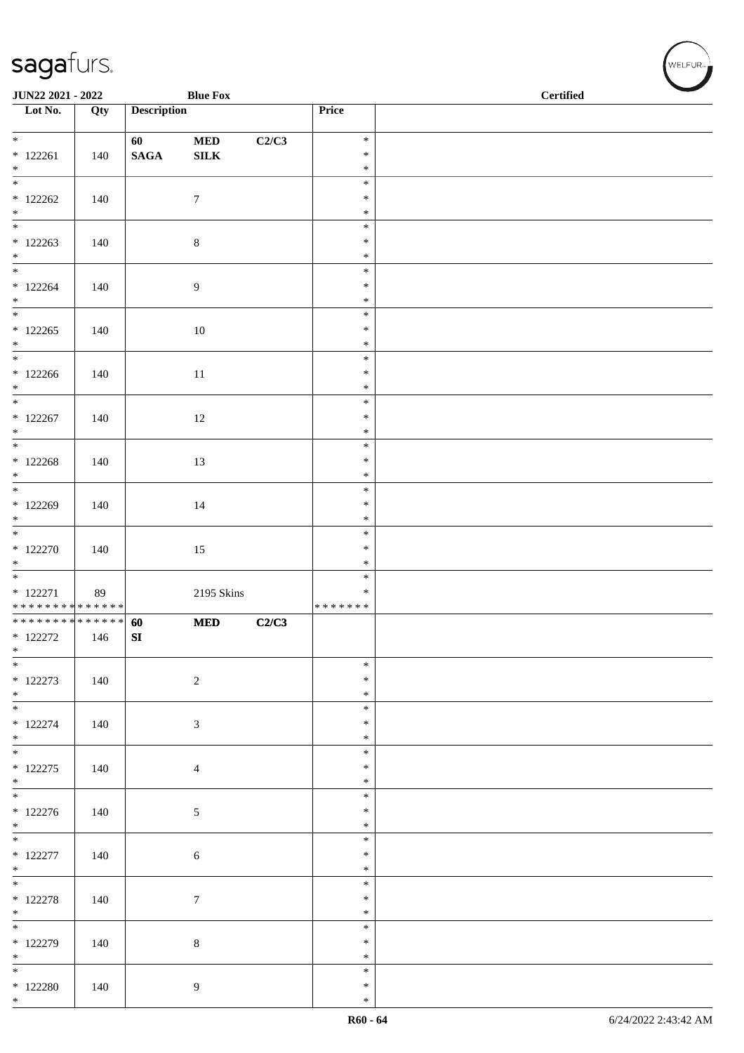| JUN22 2021 - 2022                                     |     |                        | <b>Blue Fox</b>  |       |                                   | <b>Certified</b> |  |
|-------------------------------------------------------|-----|------------------------|------------------|-------|-----------------------------------|------------------|--|
| Lot No.                                               | Qty | <b>Description</b>     |                  |       | Price                             |                  |  |
| $*$                                                   |     | 60                     | $\bf MED$        | C2/C3 | $\ast$                            |                  |  |
| $* 122261$<br>$*$                                     | 140 | $\mathbf{SAGA}$        | ${\bf SILK}$     |       | $\ast$<br>$\ast$                  |                  |  |
| $\overline{\phantom{0}}$<br>$*122262$                 | 140 |                        | $\boldsymbol{7}$ |       | $\ast$<br>$\ast$                  |                  |  |
| $*$<br>$*122263$                                      | 140 |                        | $\,8\,$          |       | $\ast$<br>$\ast$<br>$\ast$        |                  |  |
| $*$                                                   |     |                        |                  |       | $\ast$<br>$\ast$                  |                  |  |
| $*122264$<br>$*$<br>$\frac{1}{\ast}$                  | 140 |                        | $\overline{9}$   |       | $\ast$<br>$\ast$                  |                  |  |
| $*122265$<br>$*$                                      | 140 |                        | $10\,$           |       | $\ast$<br>$\ast$<br>$\ast$        |                  |  |
| $*$<br>$*122266$<br>$*$                               | 140 |                        | 11               |       | $\ast$<br>$\ast$<br>$\ast$        |                  |  |
| $* 122267$<br>$\ast$                                  | 140 |                        | 12               |       | $\ast$<br>$\ast$<br>$\ast$        |                  |  |
| $* 122268$<br>$*$                                     | 140 |                        | 13               |       | $\ast$<br>$\ast$<br>$\ast$        |                  |  |
| $\overline{\ast}$<br>$*122269$<br>$*$                 | 140 |                        | 14               |       | $\ast$<br>$\ast$<br>$\ast$        |                  |  |
| $* 122270$<br>$*$                                     | 140 |                        | 15               |       | $\ast$<br>$\ast$<br>$\ast$        |                  |  |
| $* 122271$<br>* * * * * * * * * * * * * *             | 89  |                        | 2195 Skins       |       | $\ast$<br>$\ast$<br>* * * * * * * |                  |  |
| * * * * * * * * * * * * * * *<br>$*$ 122272<br>$\ast$ | 146 | 60<br>${\bf S}{\bf I}$ | <b>MED</b>       | C2/C3 |                                   |                  |  |
| $*$<br>$*122273$<br>$*$                               | 140 |                        | $\sqrt{2}$       |       | $\ast$<br>$\ast$<br>$\ast$        |                  |  |
| $\overline{\phantom{0}}$<br>$* 122274$<br>$*$         | 140 |                        | $\sqrt{3}$       |       | $\ast$<br>$\ast$<br>$\ast$        |                  |  |
| $*$<br>$* 122275$<br>$*$                              | 140 |                        | $\overline{4}$   |       | $\ast$<br>$\ast$<br>$\ast$        |                  |  |
| $* 122276$<br>$*$                                     | 140 |                        | $\sqrt{5}$       |       | $\ast$<br>$\ast$<br>$\ast$        |                  |  |
| $\overline{\phantom{0}}$<br>$* 122277$<br>$*$         | 140 |                        | $\sqrt{6}$       |       | $\ast$<br>$\ast$<br>$\ast$        |                  |  |
| $\overline{\phantom{0}}$<br>$* 122278$<br>$*$         | 140 |                        | $\boldsymbol{7}$ |       | $\ast$<br>$\ast$<br>$\ast$        |                  |  |
| * 122279<br>$*$                                       | 140 |                        | $\,8\,$          |       | $\ast$<br>$\ast$<br>$\ast$        |                  |  |
| $\overline{\phantom{0}}$<br>$*$ 122280<br>$*$         | 140 |                        | 9                |       | $\ast$<br>$\ast$<br>$\ast$        |                  |  |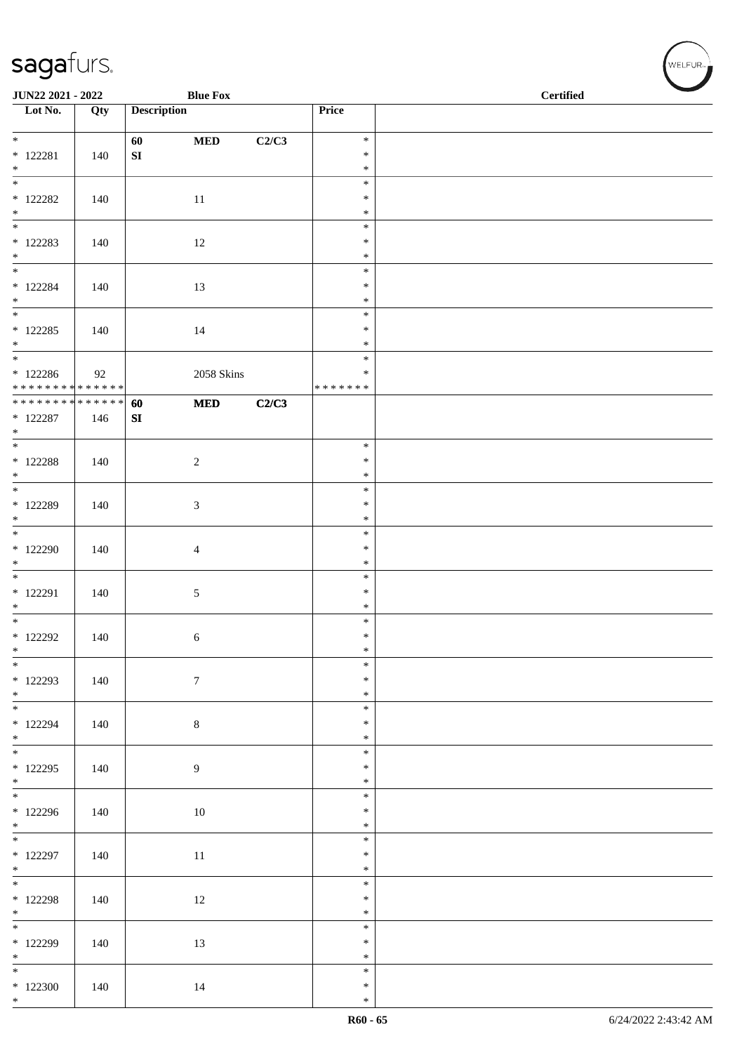| JUN22 2021 - 2022                          |     |                    | <b>Blue Fox</b>  |       |                         | <b>Certified</b> |
|--------------------------------------------|-----|--------------------|------------------|-------|-------------------------|------------------|
| $\overline{\phantom{1}}$ Lot No.           | Qty | <b>Description</b> |                  |       | Price                   |                  |
|                                            |     |                    |                  |       |                         |                  |
| $*$                                        |     | 60                 | $\bf MED$        | C2/C3 | $\ast$                  |                  |
| $*$ 122281<br>$*$                          | 140 | ${\bf SI}$         |                  |       | $\ast$<br>$\ast$        |                  |
| $\frac{1}{1}$                              |     |                    |                  |       | $\ast$                  |                  |
| $*$ 122282                                 | 140 |                    | 11               |       | $\ast$                  |                  |
| $*$<br>$\overline{\phantom{0}}$            |     |                    |                  |       | $\ast$                  |                  |
| $*$ 122283                                 | 140 |                    | 12               |       | $\ast$<br>$\ast$        |                  |
| $\ast$                                     |     |                    |                  |       | $\ast$                  |                  |
| $\overline{\ast}$                          |     |                    |                  |       | $\ast$                  |                  |
| $*$ 122284                                 | 140 |                    | 13               |       | $\ast$                  |                  |
| $*$<br>$\overline{\phantom{0}}$            |     |                    |                  |       | $\ast$<br>$\ast$        |                  |
| $* 122285$                                 | 140 |                    | 14               |       | $\ast$                  |                  |
| $*$                                        |     |                    |                  |       | $\ast$                  |                  |
| $\overline{\phantom{0}}$                   |     |                    |                  |       | $\ast$                  |                  |
| $*122286$<br>* * * * * * * * * * * * * *   | 92  |                    | 2058 Skins       |       | $\ast$<br>* * * * * * * |                  |
| * * * * * * * * <mark>* * * * * * *</mark> |     | 60                 | $\bf MED$        | C2/C3 |                         |                  |
| $*$ 122287                                 | 146 | SI                 |                  |       |                         |                  |
| $*$<br>$\overline{\phantom{0}}$            |     |                    |                  |       |                         |                  |
| $*$ 122288                                 | 140 |                    | $\overline{c}$   |       | $\ast$<br>$\ast$        |                  |
| $*$                                        |     |                    |                  |       | $\ast$                  |                  |
| $*$                                        |     |                    |                  |       | $\ast$                  |                  |
| $*$ 122289                                 | 140 |                    | 3                |       | $\ast$                  |                  |
| $\ast$                                     |     |                    |                  |       | $\ast$<br>$\ast$        |                  |
| $*$ 122290                                 | 140 |                    | $\overline{4}$   |       | $\ast$                  |                  |
| $\ast$                                     |     |                    |                  |       | $\ast$                  |                  |
| $\overline{\phantom{0}}$                   |     |                    |                  |       | $\ast$                  |                  |
| * 122291<br>$*$                            | 140 |                    | 5                |       | $\ast$<br>$\ast$        |                  |
| $*$                                        |     |                    |                  |       | $\ast$                  |                  |
| $*$ 122292                                 | 140 |                    | 6                |       | $\ast$                  |                  |
| $\ast$<br>$\overline{\phantom{0}}$         |     |                    |                  |       | $\ast$                  |                  |
| $* 122293$                                 | 140 |                    | $\boldsymbol{7}$ |       | $\ast$<br>$\ast$        |                  |
| $*$                                        |     |                    |                  |       | $\ast$                  |                  |
|                                            |     |                    |                  |       | $\ast$                  |                  |
| $* 122294$                                 | 140 |                    | $\,8\,$          |       | $\ast$                  |                  |
| $*$                                        |     |                    |                  |       | $\ast$<br>$\ast$        |                  |
| $*$ 122295                                 | 140 |                    | $\overline{9}$   |       | $\ast$                  |                  |
| $*$                                        |     |                    |                  |       | $\ast$                  |                  |
|                                            |     |                    |                  |       | $\ast$                  |                  |
| $*122296$<br>$*$                           | 140 |                    | 10               |       | $\ast$<br>$\ast$        |                  |
|                                            |     |                    |                  |       | $\ast$                  |                  |
| $*$ 122297                                 | 140 |                    | $11\,$           |       | $\ast$                  |                  |
| $*$<br>$\overline{\ast}$                   |     |                    |                  |       | $\ast$                  |                  |
| $*$ 122298                                 |     |                    |                  |       | $\ast$<br>$\ast$        |                  |
| $*$                                        | 140 |                    | 12               |       | $\ast$                  |                  |
|                                            |     |                    |                  |       | $\ast$                  |                  |
| $*122299$                                  | 140 |                    | 13               |       | $\ast$                  |                  |
| $*$<br>$\overline{\phantom{0}}$            |     |                    |                  |       | $\ast$<br>$\ast$        |                  |
| $*122300$                                  | 140 |                    | 14               |       | $\ast$                  |                  |
| $*$                                        |     |                    |                  |       | $\ast$                  |                  |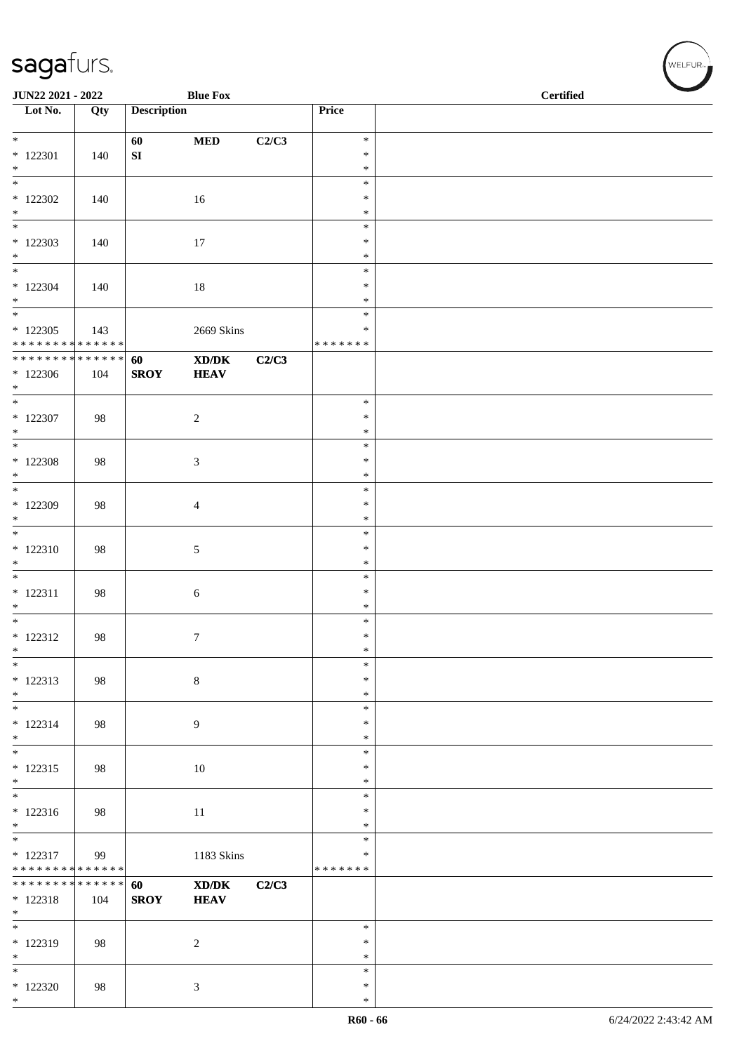| JUN22 2021 - 2022                                         |     |                    | <b>Blue Fox</b>                                                           |       |                                   | <b>Certified</b> |
|-----------------------------------------------------------|-----|--------------------|---------------------------------------------------------------------------|-------|-----------------------------------|------------------|
| $\overline{\phantom{1}}$ Lot No.                          | Qty | <b>Description</b> |                                                                           |       | Price                             |                  |
| $\overline{\mathbf{r}}$<br>$*$ 122301                     | 140 | 60<br>SI           | $\bf MED$                                                                 | C2/C3 | $\ast$<br>$\ast$                  |                  |
| $\ast$<br>$\overline{\ast}$                               |     |                    |                                                                           |       | $\ast$                            |                  |
| $*122302$<br>$\ast$                                       | 140 |                    | 16                                                                        |       | $\ast$<br>$\ast$<br>$\ast$        |                  |
| $\overline{\phantom{0}}$<br>$*122303$<br>$*$              | 140 |                    | 17                                                                        |       | $\ast$<br>$\ast$<br>$\ast$        |                  |
| $\overline{\phantom{0}}$<br>$*122304$<br>$\ast$           | 140 |                    | 18                                                                        |       | $\ast$<br>$\ast$<br>$\ast$        |                  |
| $\frac{1}{*}$<br>$*122305$<br>* * * * * * * * * * * * * * | 143 |                    | 2669 Skins                                                                |       | $\ast$<br>$\ast$<br>* * * * * * * |                  |
| ******** <mark>******</mark><br>$*122306$<br>$*$          | 104 | 60<br><b>SROY</b>  | $\boldsymbol{\text{X} \text{D} \text{/}\text{D} \text{K}}$<br><b>HEAV</b> | C2/C3 |                                   |                  |
| $\overline{\phantom{0}}$<br>$*$ 122307<br>$*$             | 98  |                    | $\sqrt{2}$                                                                |       | $\ast$<br>$\ast$<br>$\ast$        |                  |
| $*$<br>$*$ 122308<br>$*$                                  | 98  |                    | $\mathfrak{Z}$                                                            |       | $\ast$<br>$\ast$<br>$\ast$        |                  |
| $\overline{\phantom{0}}$<br>* 122309<br>$\ast$            | 98  |                    | $\overline{4}$                                                            |       | $\ast$<br>$\ast$<br>$\ast$        |                  |
| $\overline{\ast}$<br>$* 122310$<br>$\ast$                 | 98  |                    | $5\,$                                                                     |       | $\ast$<br>$\ast$<br>$\ast$        |                  |
| $\ast$<br>$* 122311$<br>$*$                               | 98  |                    | $\sqrt{6}$                                                                |       | $\ast$<br>$\ast$<br>$\ast$        |                  |
| $\overline{\phantom{0}}$<br>$* 122312$<br>$\ast$          | 98  |                    | $\tau$                                                                    |       | $\ast$<br>$\ast$<br>$\ast$        |                  |
| $\overline{\phantom{0}}$<br>$* 122313$<br>$*$             | 98  |                    | $\,8\,$                                                                   |       | $\ast$<br>$\ast$<br>$\ast$        |                  |
| $\ast$<br>$* 122314$<br>$*$                               | 98  |                    | $\overline{9}$                                                            |       | $\ast$<br>$\ast$<br>$\ast$        |                  |
| $\overline{\phantom{0}}$<br>$* 122315$<br>$*$             | 98  |                    | $10\,$                                                                    |       | $\ast$<br>∗<br>$\ast$             |                  |
| $\overline{\phantom{0}}$<br>$* 122316$<br>$\ast$          | 98  |                    | $11\,$                                                                    |       | $\ast$<br>∗<br>$\ast$             |                  |
| $\ast$<br>$* 122317$<br>* * * * * * * * * * * * * *       | 99  |                    | 1183 Skins                                                                |       | $\ast$<br>$\ast$<br>* * * * * * * |                  |
| * * * * * * * * * * * * * *<br>$* 122318$<br>$*$          | 104 | 60<br><b>SROY</b>  | XD/DK<br><b>HEAV</b>                                                      | C2/C3 |                                   |                  |
| $\overline{\phantom{0}}$<br>* 122319<br>$*$               | 98  |                    | $\sqrt{2}$                                                                |       | $\ast$<br>$\ast$<br>$\ast$        |                  |
| $\ast$<br>$*122320$<br>$*$                                | 98  |                    | $\mathfrak{Z}$                                                            |       | $\ast$<br>$\ast$<br>$\ast$        |                  |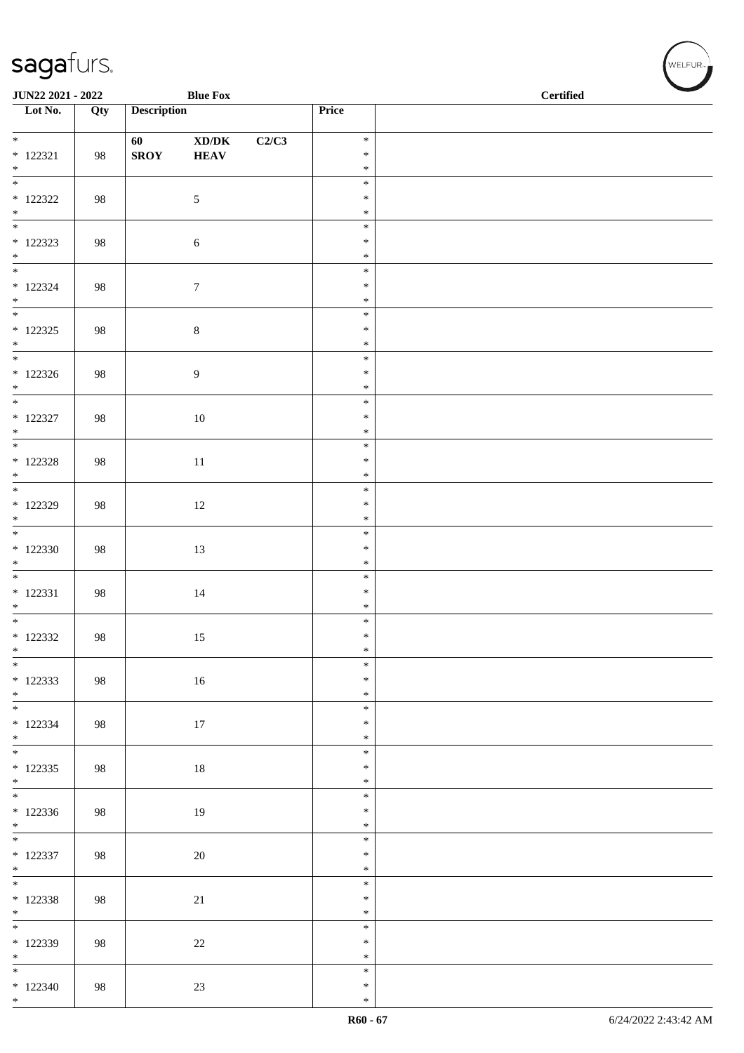| JUN22 2021 - 2022                  |     |                    | <b>Blue Fox</b>                                              |       |                  | $\operatorname{\bf \mathbf{Certified}}$ |  |  |  |
|------------------------------------|-----|--------------------|--------------------------------------------------------------|-------|------------------|-----------------------------------------|--|--|--|
| Lot No.                            | Qty | <b>Description</b> |                                                              |       | Price            |                                         |  |  |  |
|                                    |     | 60                 | $\boldsymbol{\text{XD}}\boldsymbol{/}\boldsymbol{\text{DK}}$ | C2/C3 | $\ast$           |                                         |  |  |  |
| $* 122321$                         | 98  | <b>SROY</b>        | <b>HEAV</b>                                                  |       | $\ast$           |                                         |  |  |  |
| $*$<br>$\overline{\phantom{0}}$    |     |                    |                                                              |       | $\ast$<br>$\ast$ |                                         |  |  |  |
| $*$ 122322                         | 98  |                    | $\sqrt{5}$                                                   |       | $\ast$           |                                         |  |  |  |
| $*$                                |     |                    |                                                              |       | $\ast$           |                                         |  |  |  |
| $*$ 122323                         |     |                    |                                                              |       | $\ast$<br>$\ast$ |                                         |  |  |  |
| $*$                                | 98  |                    | $\sqrt{6}$                                                   |       | $\ast$           |                                         |  |  |  |
|                                    |     |                    |                                                              |       | $\ast$           |                                         |  |  |  |
| $* 122324$<br>$*$                  | 98  |                    | $\boldsymbol{7}$                                             |       | $\ast$<br>$\ast$ |                                         |  |  |  |
| $\overline{\phantom{0}}$           |     |                    |                                                              |       | $\ast$           |                                         |  |  |  |
| $*$ 122325                         | 98  |                    | $\,8\,$                                                      |       | $\ast$           |                                         |  |  |  |
| $*$<br>$\overline{\phantom{0}}$    |     |                    |                                                              |       | $\ast$<br>$\ast$ |                                         |  |  |  |
| $*122326$                          | 98  |                    | 9                                                            |       | $\ast$           |                                         |  |  |  |
| $*$<br>$\overline{\phantom{0}}$    |     |                    |                                                              |       | $\ast$<br>$\ast$ |                                         |  |  |  |
| $*$ 122327                         | 98  |                    | $10\,$                                                       |       | $\ast$           |                                         |  |  |  |
| $\ast$                             |     |                    |                                                              |       | $\ast$           |                                         |  |  |  |
| $\overline{\phantom{0}}$           |     |                    |                                                              |       | $\ast$           |                                         |  |  |  |
| $*$ 122328<br>$*$                  | 98  |                    | $11\,$                                                       |       | $\ast$<br>$\ast$ |                                         |  |  |  |
|                                    |     |                    |                                                              |       | $\ast$           |                                         |  |  |  |
| $*122329$<br>$\ast$                | 98  |                    | 12                                                           |       | $\ast$<br>$\ast$ |                                         |  |  |  |
| $\overline{\phantom{0}}$           |     |                    |                                                              |       | $\ast$           |                                         |  |  |  |
| $*122330$                          | 98  |                    | 13                                                           |       | $\ast$           |                                         |  |  |  |
| $\ast$<br>$\overline{\phantom{0}}$ |     |                    |                                                              |       | $\ast$<br>$\ast$ |                                         |  |  |  |
| $* 122331$                         | 98  |                    | $14\,$                                                       |       | $\ast$           |                                         |  |  |  |
| $\ast$<br>$\overline{\phantom{0}}$ |     |                    |                                                              |       | $\ast$           |                                         |  |  |  |
| $*$ 122332                         | 98  |                    | 15                                                           |       | $\ast$<br>$\ast$ |                                         |  |  |  |
| $\ast$                             |     |                    |                                                              |       | $\ast$           |                                         |  |  |  |
| $\overline{\phantom{0}}$           |     |                    |                                                              |       | $\ast$<br>$\ast$ |                                         |  |  |  |
| $* 122333$<br>$*$                  | 98  |                    | 16                                                           |       | $\ast$           |                                         |  |  |  |
|                                    |     |                    |                                                              |       | $\ast$           |                                         |  |  |  |
| $*122334$<br>$*$                   | 98  |                    | 17                                                           |       | $\ast$<br>$\ast$ |                                         |  |  |  |
| $*$                                |     |                    |                                                              |       | $\ast$           |                                         |  |  |  |
| $* 122335$                         | 98  |                    | 18                                                           |       | $\ast$           |                                         |  |  |  |
| $*$                                |     |                    |                                                              |       | $\ast$<br>$\ast$ |                                         |  |  |  |
| $*122336$                          | 98  |                    | 19                                                           |       | $\ast$           |                                         |  |  |  |
| $*$<br>$\overline{\phantom{0}}$    |     |                    |                                                              |       | $\ast$<br>$\ast$ |                                         |  |  |  |
| $* 122337$                         | 98  |                    | $20\,$                                                       |       | $\ast$           |                                         |  |  |  |
| $*$                                |     |                    |                                                              |       | $\ast$           |                                         |  |  |  |
| $* 122338$                         | 98  |                    | 21                                                           |       | $\ast$<br>$\ast$ |                                         |  |  |  |
| $*$                                |     |                    |                                                              |       | $\ast$           |                                         |  |  |  |
|                                    |     |                    |                                                              |       | $\ast$           |                                         |  |  |  |
| * 122339<br>$*$                    | 98  |                    | $22\,$                                                       |       | $\ast$<br>$\ast$ |                                         |  |  |  |
|                                    |     |                    |                                                              |       | $\ast$           |                                         |  |  |  |
| $*122340$<br>$*$                   | 98  |                    | $23\,$                                                       |       | $\ast$<br>$\ast$ |                                         |  |  |  |
|                                    |     |                    |                                                              |       |                  |                                         |  |  |  |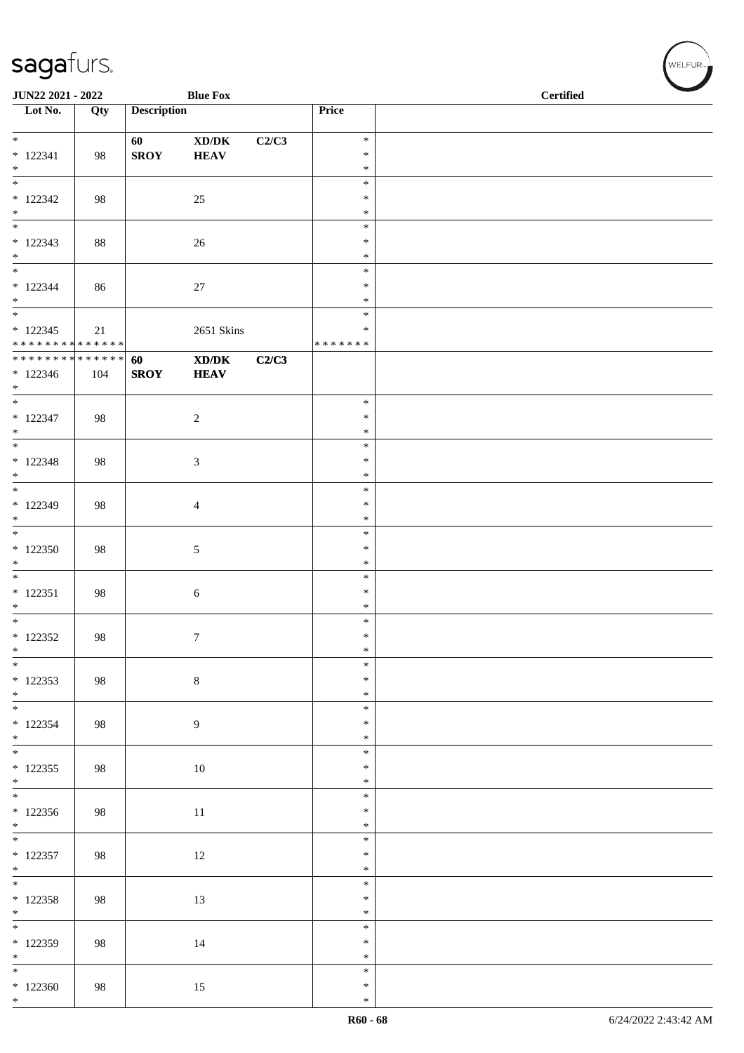| JUN22 2021 - 2022                                               |        |                    | <b>Blue Fox</b>                                                                                                     |       |                                      | <b>Certified</b> |  |
|-----------------------------------------------------------------|--------|--------------------|---------------------------------------------------------------------------------------------------------------------|-------|--------------------------------------|------------------|--|
| $\overline{\phantom{1}}$ Lot No.                                | Qty    | <b>Description</b> |                                                                                                                     |       | Price                                |                  |  |
| $\overline{\ast}$<br>$* 122341$<br>$\ast$                       | 98     | 60<br><b>SROY</b>  | XD/DK<br><b>HEAV</b>                                                                                                | C2/C3 | $\ast$<br>$\ast$<br>$\ast$           |                  |  |
| $_{\ast}^{-}$<br>$*122342$<br>$*$                               | 98     |                    | 25                                                                                                                  |       | $\ast$<br>$\ast$<br>$\ast$           |                  |  |
| $_{\ast}$<br>$* 122343$<br>$\ast$<br>$\overline{\phantom{a}^*}$ | 88     |                    | 26                                                                                                                  |       | $\ast$<br>$\ast$<br>$\ast$           |                  |  |
| $* 122344$<br>$\ast$<br>$\overline{\phantom{a}^*}$              | 86     |                    | 27                                                                                                                  |       | $\ast$<br>$\ast$<br>$\ast$<br>$\ast$ |                  |  |
| $* 122345$<br>* * * * * * * * * * * * * *                       | $21\,$ |                    | 2651 Skins                                                                                                          |       | $\ast$<br>* * * * * * *              |                  |  |
| * * * * * * * * <mark>* * * * * * *</mark><br>$*122346$<br>$*$  | 104    | 60<br><b>SROY</b>  | $\boldsymbol{\text{X}}\boldsymbol{\text{D}}\boldsymbol{/}\boldsymbol{\text{D}}\boldsymbol{\text{K}}$<br><b>HEAV</b> | C2/C3 |                                      |                  |  |
| $\ast$<br>$* 122347$<br>$\ast$<br>$\overline{\phantom{0}}$      | 98     |                    | $\sqrt{2}$                                                                                                          |       | $\ast$<br>$\ast$<br>$\ast$           |                  |  |
| $* 122348$<br>$\ast$                                            | 98     |                    | $\sqrt{3}$                                                                                                          |       | $\ast$<br>$\ast$<br>$\ast$           |                  |  |
| $\overline{\phantom{0}}$<br>* 122349<br>$\ast$                  | 98     |                    | $\overline{4}$                                                                                                      |       | $\ast$<br>$\ast$<br>$\ast$           |                  |  |
| $\overline{\phantom{a}^*}$<br>$*122350$<br>$\ast$               | 98     |                    | $\sqrt{5}$                                                                                                          |       | $\ast$<br>$\ast$<br>$\ast$           |                  |  |
| $\overline{\phantom{a}^*}$<br>$* 122351$<br>$\ast$              | 98     |                    | $\sqrt{6}$                                                                                                          |       | $\ast$<br>$\ast$<br>$\ast$           |                  |  |
| $*$<br>$*$ 122352<br>$\ast$                                     | 98     |                    | $\boldsymbol{7}$                                                                                                    |       | $\ast$<br>$\ast$<br>$\ast$           |                  |  |
| $\overline{\phantom{0}}$<br>$*122353$<br>$*$                    | 98     |                    | $\,8\,$                                                                                                             |       | $\ast$<br>$\ast$<br>$\ast$           |                  |  |
| $\overline{\phantom{0}}$<br>$*122354$<br>$*$                    | 98     |                    | $\overline{9}$                                                                                                      |       | $\ast$<br>$\ast$<br>$\ast$           |                  |  |
| $\overline{\phantom{0}}$<br>$*122355$<br>$*$                    | 98     |                    | $10\,$                                                                                                              |       | $\ast$<br>$\ast$<br>$\ast$           |                  |  |
| $*122356$<br>$*$                                                | 98     |                    | $11\,$                                                                                                              |       | $\ast$<br>$\ast$<br>$\ast$           |                  |  |
| $*$ 122357<br>$\ast$                                            | 98     |                    | 12                                                                                                                  |       | $\ast$<br>$\ast$<br>$\ast$           |                  |  |
| $\overline{\phantom{0}}$<br>$*$ 122358<br>$*$                   | 98     |                    | 13                                                                                                                  |       | $\ast$<br>$\ast$<br>$\ast$           |                  |  |
| $\overline{\phantom{0}}$<br>$*$ 122359<br>$\ast$                | 98     |                    | $14\,$                                                                                                              |       | $\ast$<br>$\ast$<br>$\ast$           |                  |  |
| $_{\ast}^{-}$<br>$*122360$<br>$\ast$                            | 98     |                    | 15                                                                                                                  |       | $\ast$<br>$\ast$<br>$\ast$           |                  |  |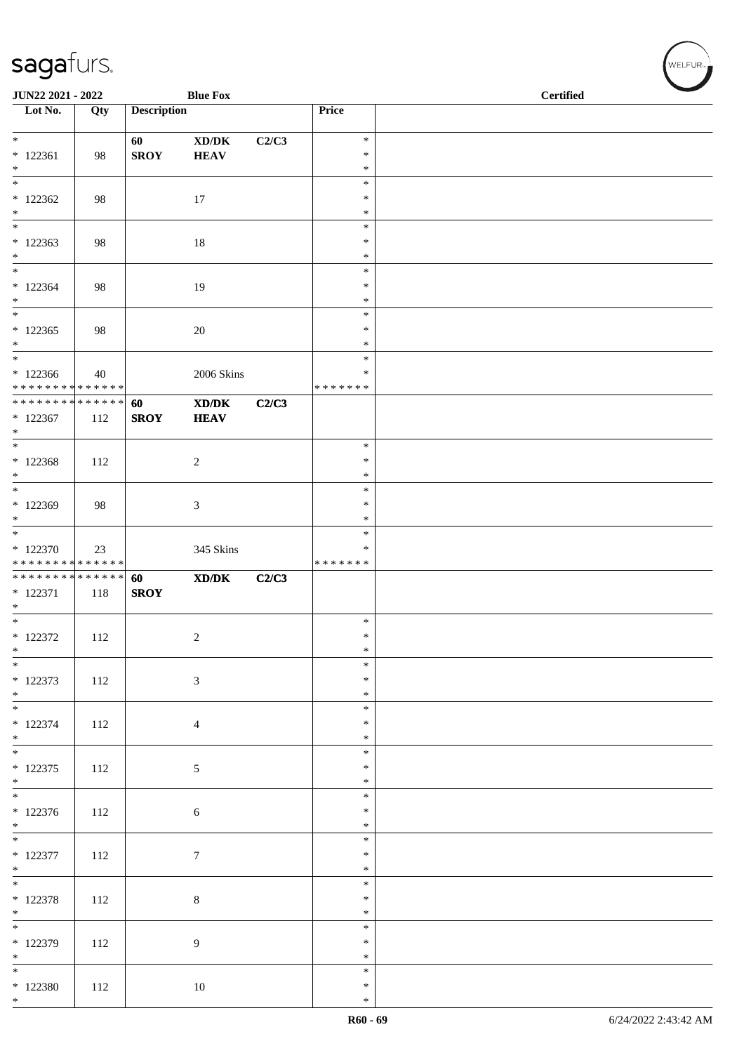| JUN22 2021 - 2022                                 |     |                    | <b>Blue Fox</b>                                                                                      |       |                                   | <b>Certified</b> |  |
|---------------------------------------------------|-----|--------------------|------------------------------------------------------------------------------------------------------|-------|-----------------------------------|------------------|--|
| $\overline{\phantom{1}}$ Lot No.                  | Qty | <b>Description</b> |                                                                                                      |       | Price                             |                  |  |
| $*$                                               |     | 60                 | $\bold{X}\bold{D}/\bold{D}\bold{K}$                                                                  | C2/C3 | $\ast$                            |                  |  |
| $* 122361$<br>$*$                                 | 98  | <b>SROY</b>        | <b>HEAV</b>                                                                                          |       | $\ast$<br>$\ast$                  |                  |  |
| $\overline{\ast}$                                 |     |                    |                                                                                                      |       | $\ast$                            |                  |  |
| $*122362$<br>$*$                                  | 98  |                    | 17                                                                                                   |       | $\ast$<br>$\ast$                  |                  |  |
| $*$<br>$*122363$<br>$\ast$                        | 98  |                    | $18\,$                                                                                               |       | $\ast$<br>$\ast$<br>$\ast$        |                  |  |
| $\overline{\ast}$<br>$*122364$<br>$*$             | 98  |                    | 19                                                                                                   |       | $\ast$<br>$\ast$<br>$\ast$        |                  |  |
| $\overline{\phantom{0}}$<br>$*122365$<br>$*$      | 98  |                    | 20                                                                                                   |       | $\ast$<br>$\ast$<br>$\ast$        |                  |  |
| $*$<br>$*122366$<br>* * * * * * * * * * * * * *   | 40  |                    | 2006 Skins                                                                                           |       | $\ast$<br>$\ast$<br>* * * * * * * |                  |  |
| * * * * * * * * * * * * * * *<br>$*122367$<br>$*$ | 112 | 60<br><b>SROY</b>  | $\boldsymbol{\text{X} \text{D} \text{/} \text{D} \text{K}}$<br><b>HEAV</b>                           | C2/C3 |                                   |                  |  |
| $\overline{\ast}$<br>$* 122368$<br>$\ast$         | 112 |                    | $\overline{c}$                                                                                       |       | $\ast$<br>$\ast$<br>$\ast$        |                  |  |
| $\overline{\phantom{0}}$<br>$*122369$<br>$\ast$   | 98  |                    | 3                                                                                                    |       | $\ast$<br>$\ast$<br>$\ast$        |                  |  |
| $*122370$<br>* * * * * * * * * * * * * *          | 23  |                    | 345 Skins                                                                                            |       | $\ast$<br>$\ast$<br>* * * * * * * |                  |  |
| ******** <mark>******</mark><br>* 122371<br>$*$   | 118 | 60<br><b>SROY</b>  | $\boldsymbol{\text{X}}\boldsymbol{\text{D}}\boldsymbol{/}\boldsymbol{\text{D}}\boldsymbol{\text{K}}$ | C2/C3 |                                   |                  |  |
| $*$<br>$*$ 122372<br>$*$                          | 112 |                    | $\overline{c}$                                                                                       |       | $\ast$<br>$\ast$<br>$\ast$        |                  |  |
| $*$<br>* 122373<br>$*$                            | 112 |                    | $\mathfrak{Z}$                                                                                       |       | $\ast$<br>$\ast$<br>$\ast$        |                  |  |
| $* 122374$<br>$*$                                 | 112 |                    | $\overline{4}$                                                                                       |       | $\ast$<br>$\ast$<br>$\ast$        |                  |  |
| $*$<br>$* 122375$<br>$*$                          | 112 |                    | $\sqrt{5}$                                                                                           |       | $\ast$<br>$\ast$<br>$\ast$        |                  |  |
| $* 122376$<br>$*$                                 | 112 |                    | $\sqrt{6}$                                                                                           |       | $\ast$<br>$\ast$<br>$\ast$        |                  |  |
| $* 122377$<br>$*$                                 | 112 |                    | $\tau$                                                                                               |       | $\ast$<br>$\ast$<br>$\ast$        |                  |  |
| $* 122378$<br>$*$                                 | 112 |                    | $\,8\,$                                                                                              |       | $\ast$<br>$\ast$<br>$\ast$        |                  |  |
| $* 122379$<br>$*$                                 | 112 |                    | 9                                                                                                    |       | $\ast$<br>$\ast$<br>$\ast$        |                  |  |
| $\overline{\phantom{0}}$<br>$*$ 122380<br>$*$     | 112 |                    | 10                                                                                                   |       | $\ast$<br>$\ast$<br>$\ast$        |                  |  |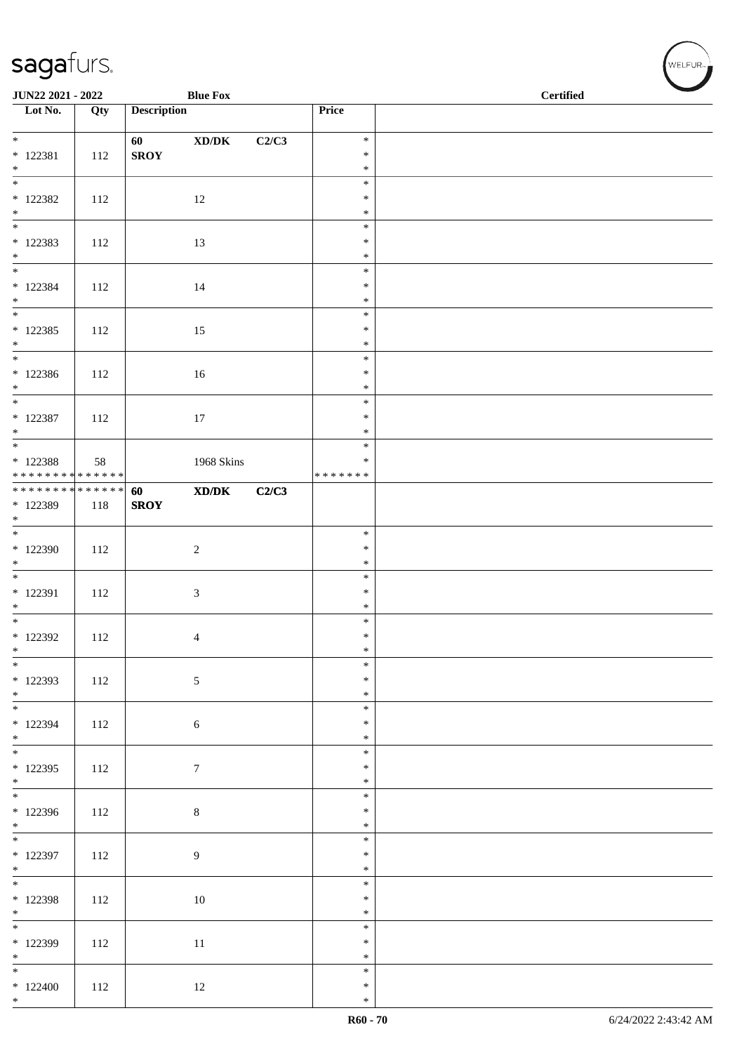| JUN22 2021 - 2022                                      |     |                    | <b>Blue Fox</b>                                              |       |                         | <b>Certified</b> |  |  |
|--------------------------------------------------------|-----|--------------------|--------------------------------------------------------------|-------|-------------------------|------------------|--|--|
| $\overline{\phantom{a}}$ Lot No.                       | Qty | <b>Description</b> |                                                              |       | Price                   |                  |  |  |
| $*$                                                    |     | 60                 | $\boldsymbol{\text{XD}}\boldsymbol{/}\boldsymbol{\text{DK}}$ | C2/C3 | $\ast$                  |                  |  |  |
| $* 122381$<br>$*$                                      | 112 | <b>SROY</b>        |                                                              |       | $\ast$<br>$\ast$        |                  |  |  |
| $\overline{\phantom{0}}$                               |     |                    |                                                              |       | $\ast$                  |                  |  |  |
| $*$ 122382                                             | 112 |                    | 12                                                           |       | $\ast$                  |                  |  |  |
| $*$                                                    |     |                    |                                                              |       | $\ast$<br>$\ast$        |                  |  |  |
| $*122383$                                              | 112 |                    | 13                                                           |       | $\ast$                  |                  |  |  |
| $*$<br>$*$                                             |     |                    |                                                              |       | $\ast$<br>$\ast$        |                  |  |  |
| * 122384                                               | 112 |                    | 14                                                           |       | $\ast$                  |                  |  |  |
| $*$<br>$\overline{\phantom{0}}$                        |     |                    |                                                              |       | $\ast$                  |                  |  |  |
| $* 122385$                                             | 112 |                    | 15                                                           |       | $\ast$<br>$\ast$        |                  |  |  |
| $*$                                                    |     |                    |                                                              |       | $\ast$                  |                  |  |  |
| $*$<br>* 122386                                        | 112 |                    | 16                                                           |       | $\ast$<br>$\ast$        |                  |  |  |
| $*$                                                    |     |                    |                                                              |       | $\ast$                  |                  |  |  |
| $* 122387$                                             | 112 |                    |                                                              |       | $\ast$<br>$\ast$        |                  |  |  |
| $*$                                                    |     |                    | $17\,$                                                       |       | $\ast$                  |                  |  |  |
|                                                        |     |                    |                                                              |       | $\ast$                  |                  |  |  |
| * 122388<br>* * * * * * * * <mark>* * * * * * *</mark> | 58  |                    | 1968 Skins                                                   |       | $\ast$<br>* * * * * * * |                  |  |  |
| ******** <mark>******</mark>                           |     | 60                 | XD/DK                                                        | C2/C3 |                         |                  |  |  |
| * 122389<br>$*$                                        | 118 | <b>SROY</b>        |                                                              |       |                         |                  |  |  |
|                                                        |     |                    |                                                              |       | $\ast$                  |                  |  |  |
| * 122390<br>$\ast$                                     | 112 |                    | $\sqrt{2}$                                                   |       | $\ast$<br>$\ast$        |                  |  |  |
| $\overline{\phantom{0}}$                               |     |                    |                                                              |       | $\ast$                  |                  |  |  |
| * 122391                                               | 112 |                    | $\mathfrak{Z}$                                               |       | $\ast$                  |                  |  |  |
| $*$<br>$*$                                             |     |                    |                                                              |       | $\ast$<br>$\ast$        |                  |  |  |
| $*$ 122392                                             | 112 |                    | 4                                                            |       | $\ast$                  |                  |  |  |
| $\ast$<br>$\overline{\phantom{0}}$                     |     |                    |                                                              |       | $\ast$<br>$\ast$        |                  |  |  |
| * 122393                                               | 112 |                    | $\sqrt{5}$                                                   |       | $\ast$                  |                  |  |  |
| $*$                                                    |     |                    |                                                              |       | $\ast$<br>$\ast$        |                  |  |  |
| $* 122394$                                             | 112 |                    | 6                                                            |       | $\ast$                  |                  |  |  |
| $*$                                                    |     |                    |                                                              |       | $\ast$                  |                  |  |  |
| $*122395$                                              | 112 |                    | $\tau$                                                       |       | $\ast$<br>$\ast$        |                  |  |  |
| $*$                                                    |     |                    |                                                              |       | $\ast$                  |                  |  |  |
| * 122396                                               | 112 |                    | $\,8\,$                                                      |       | $\ast$<br>$\ast$        |                  |  |  |
| $*$                                                    |     |                    |                                                              |       | $\ast$                  |                  |  |  |
|                                                        |     |                    |                                                              |       | $\ast$                  |                  |  |  |
| $*122397$<br>$*$                                       | 112 |                    | $\boldsymbol{9}$                                             |       | $\ast$<br>$\ast$        |                  |  |  |
| $*$                                                    |     |                    |                                                              |       | $\ast$                  |                  |  |  |
| * 122398<br>$*$                                        | 112 |                    | 10                                                           |       | $\ast$<br>$\ast$        |                  |  |  |
| $\overline{\phantom{0}}$                               |     |                    |                                                              |       | $\ast$                  |                  |  |  |
| $*122399$<br>$*$                                       | 112 |                    | 11                                                           |       | $\ast$<br>$\ast$        |                  |  |  |
| $*$                                                    |     |                    |                                                              |       | $\ast$                  |                  |  |  |
| $*122400$                                              | 112 |                    | 12                                                           |       | $\ast$                  |                  |  |  |
| $*$                                                    |     |                    |                                                              |       | $\ast$                  |                  |  |  |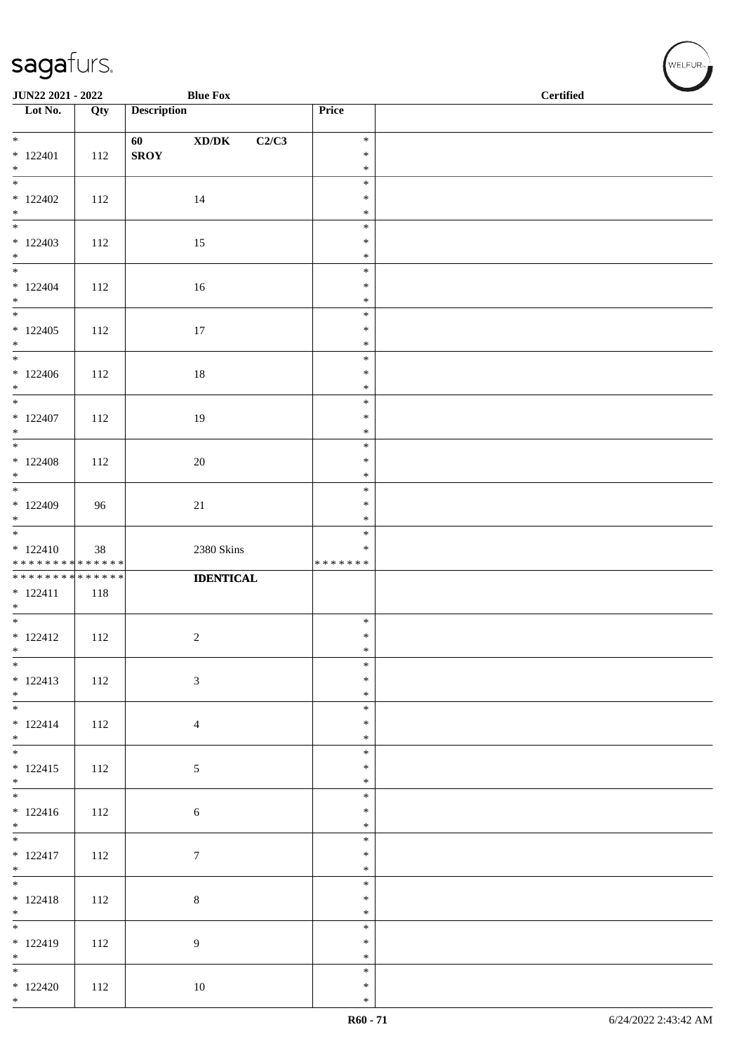| JUN22 2021 - 2022                                           |     |                    | <b>Blue Fox</b>                              |                  | <b>Certified</b> |  |
|-------------------------------------------------------------|-----|--------------------|----------------------------------------------|------------------|------------------|--|
| $\overline{\phantom{1}}$ Lot No.                            | Qty | <b>Description</b> |                                              | Price            |                  |  |
|                                                             |     |                    |                                              |                  |                  |  |
| $*$                                                         |     | 60                 | $\bold{X}\bold{D}/\bold{D}\bold{K}$<br>C2/C3 | $\ast$<br>$\ast$ |                  |  |
| $*122401$<br>$*$                                            | 112 | <b>SROY</b>        |                                              | $\ast$           |                  |  |
|                                                             |     |                    |                                              | $\ast$           |                  |  |
| $*122402$                                                   | 112 |                    | 14                                           | $\ast$           |                  |  |
| $*$<br>$\overline{\phantom{0}}$                             |     |                    |                                              | $\ast$<br>$\ast$ |                  |  |
| $*122403$                                                   | 112 |                    | 15                                           | $\ast$           |                  |  |
| $*$                                                         |     |                    |                                              | $\ast$           |                  |  |
|                                                             |     |                    |                                              | $\ast$           |                  |  |
| $* 122404$<br>$*$                                           | 112 |                    | 16                                           | $\ast$<br>$\ast$ |                  |  |
|                                                             |     |                    |                                              | $\ast$           |                  |  |
| $*122405$                                                   | 112 |                    | 17                                           | $\ast$           |                  |  |
| $*$                                                         |     |                    |                                              | $\ast$           |                  |  |
| $*$<br>$*122406$                                            | 112 |                    | $18\,$                                       | $\ast$<br>$\ast$ |                  |  |
| $*$                                                         |     |                    |                                              | $\ast$           |                  |  |
| $*$                                                         |     |                    |                                              | $\ast$           |                  |  |
| $*122407$                                                   | 112 |                    | 19                                           | $\ast$           |                  |  |
| $*$                                                         |     |                    |                                              | $\ast$<br>$\ast$ |                  |  |
| $* 122408$                                                  | 112 |                    | $20\,$                                       | $\ast$           |                  |  |
| $*$                                                         |     |                    |                                              | $\ast$           |                  |  |
| $\overline{\ast}$                                           |     |                    |                                              | $\ast$           |                  |  |
| $*122409$<br>$*$                                            | 96  |                    | $21\,$                                       | $\ast$<br>$\ast$ |                  |  |
|                                                             |     |                    |                                              | $\ast$           |                  |  |
| $* 122410$                                                  | 38  |                    | 2380 Skins                                   | $\ast$           |                  |  |
| * * * * * * * * * * * * * *<br>******** <mark>******</mark> |     |                    | <b>IDENTICAL</b>                             | * * * * * * *    |                  |  |
| $* 122411$                                                  | 118 |                    |                                              |                  |                  |  |
| $*$                                                         |     |                    |                                              |                  |                  |  |
| $*$                                                         |     |                    |                                              | $\ast$           |                  |  |
| $* 122412$<br>$\ast$                                        | 112 |                    | $\boldsymbol{2}$                             | $\ast$<br>$\ast$ |                  |  |
| $\frac{1}{1}$                                               |     |                    |                                              | $\ast$           |                  |  |
| $* 122413$                                                  | 112 |                    | $\mathfrak{Z}$                               | $\ast$           |                  |  |
| $*$                                                         |     |                    |                                              | $\ast$<br>$\ast$ |                  |  |
| $* 122414$                                                  | 112 |                    | $\overline{4}$                               | $\ast$           |                  |  |
| $*$                                                         |     |                    |                                              | $\ast$           |                  |  |
|                                                             |     |                    |                                              | $\ast$           |                  |  |
| $* 122415$<br>$*$                                           | 112 |                    | $\mathfrak{S}$                               | $\ast$<br>$\ast$ |                  |  |
|                                                             |     |                    |                                              | $\ast$           |                  |  |
| $* 122416$                                                  | 112 |                    | $\sqrt{6}$                                   | $\ast$           |                  |  |
| $*$                                                         |     |                    |                                              | $\ast$           |                  |  |
| $* 122417$                                                  | 112 |                    | $\tau$                                       | $\ast$<br>$\ast$ |                  |  |
| $*$                                                         |     |                    |                                              | $\ast$           |                  |  |
|                                                             |     |                    |                                              | $\ast$           |                  |  |
| $* 122418$                                                  | 112 |                    | $\,8\,$                                      | $\ast$           |                  |  |
| $*$                                                         |     |                    |                                              | $\ast$<br>$\ast$ |                  |  |
| $* 122419$                                                  | 112 |                    | 9                                            | $\ast$           |                  |  |
| $*$<br>$\overline{\phantom{0}}$                             |     |                    |                                              | $\ast$           |                  |  |
| $*122420$                                                   | 112 |                    | 10                                           | $\ast$<br>$\ast$ |                  |  |
| $*$                                                         |     |                    |                                              | $\ast$           |                  |  |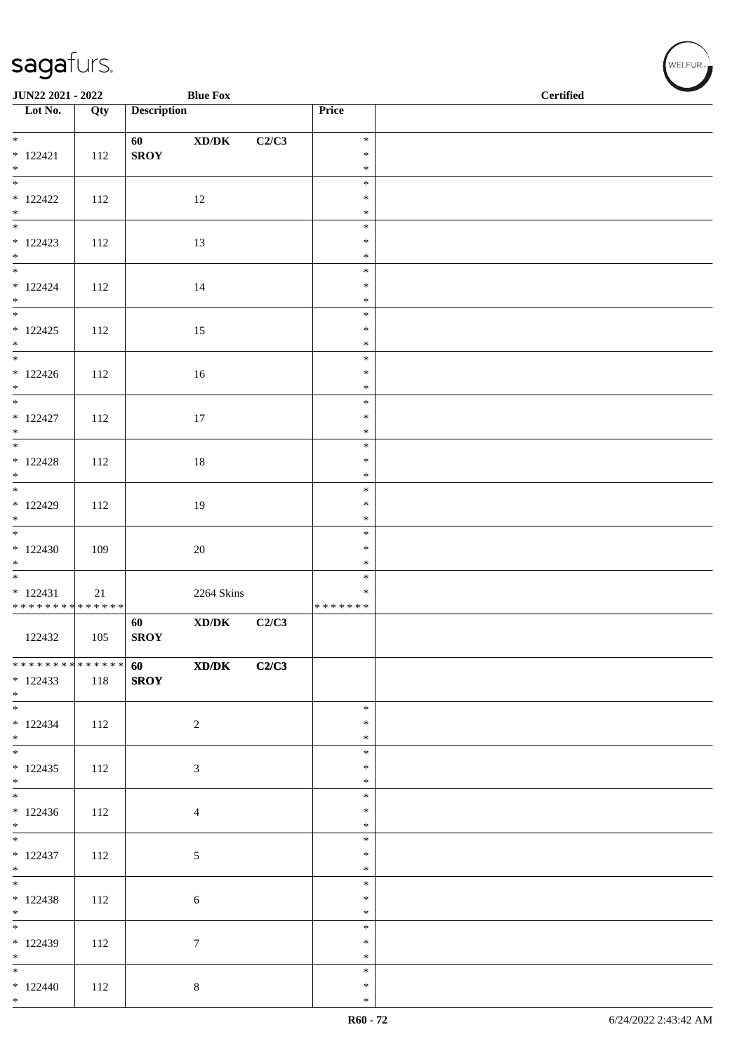| JUN22 2021 - 2022                         |     |                    | <b>Blue Fox</b>                     |       |                  | <b>Certified</b> |  |
|-------------------------------------------|-----|--------------------|-------------------------------------|-------|------------------|------------------|--|
| $\overline{\phantom{1}}$ Lot No.          | Qty | <b>Description</b> |                                     |       | Price            |                  |  |
| $*$                                       |     | 60                 | $\bold{X}\bold{D}/\bold{D}\bold{K}$ | C2/C3 | $\ast$           |                  |  |
| $* 122421$                                | 112 | <b>SROY</b>        |                                     |       | $\ast$           |                  |  |
| $*$<br>$\frac{1}{1}$                      |     |                    |                                     |       | $\ast$<br>$\ast$ |                  |  |
| $*122422$                                 | 112 |                    | 12                                  |       | $\ast$           |                  |  |
| $*$                                       |     |                    |                                     |       | $\ast$<br>$\ast$ |                  |  |
| $* 122423$                                | 112 |                    | 13                                  |       | $\ast$           |                  |  |
| $*$                                       |     |                    |                                     |       | $\ast$<br>$\ast$ |                  |  |
| $* 122424$<br>$*$                         | 112 |                    | 14                                  |       | $\ast$<br>$\ast$ |                  |  |
|                                           |     |                    |                                     |       | $\ast$           |                  |  |
| $* 122425$<br>$*$                         | 112 |                    | 15                                  |       | $\ast$<br>$\ast$ |                  |  |
| $*$                                       |     |                    |                                     |       | $\ast$           |                  |  |
| $* 122426$<br>$*$                         | 112 |                    | 16                                  |       | $\ast$<br>$\ast$ |                  |  |
| $\overline{\phantom{0}}$                  |     |                    |                                     |       | $\ast$           |                  |  |
| $* 122427$<br>$*$                         | 112 |                    | 17                                  |       | $\ast$<br>$\ast$ |                  |  |
|                                           |     |                    |                                     |       | $\ast$           |                  |  |
| $* 122428$<br>$*$                         | 112 |                    | $18\,$                              |       | $\ast$<br>$\ast$ |                  |  |
| $\overline{\ast}$                         |     |                    |                                     |       | $\ast$           |                  |  |
| $* 122429$<br>$*$                         | 112 |                    | 19                                  |       | $\ast$<br>$\ast$ |                  |  |
|                                           |     |                    |                                     |       | $\ast$           |                  |  |
| $*122430$<br>$*$                          | 109 |                    | $20\,$                              |       | $\ast$<br>$\ast$ |                  |  |
| $\overline{\phantom{0}}$                  |     |                    |                                     |       | $\ast$<br>∗      |                  |  |
| $* 122431$<br>* * * * * * * * * * * * * * | 21  |                    | 2264 Skins                          |       | * * * * * * *    |                  |  |
| 122432                                    | 105 | 60<br><b>SROY</b>  | $\boldsymbol{\text{XD}/\text{DK}}$  | C2/C3 |                  |                  |  |
|                                           |     |                    |                                     |       |                  |                  |  |
| ************** 60<br>$*122433$            | 118 | <b>SROY</b>        | XD/DK                               | C2/C3 |                  |                  |  |
| $*$ $*$                                   |     |                    |                                     |       |                  |                  |  |
| $*122434$                                 | 112 |                    | $\overline{c}$                      |       | $\ast$<br>$\ast$ |                  |  |
| $*$<br>$*$                                |     |                    |                                     |       | $\ast$           |                  |  |
| $*122435$                                 | 112 |                    | 3                                   |       | $\ast$<br>$\ast$ |                  |  |
| $*$                                       |     |                    |                                     |       | $\ast$<br>$\ast$ |                  |  |
| $*122436$                                 | 112 |                    | $\overline{4}$                      |       | $\ast$           |                  |  |
| $*$                                       |     |                    |                                     |       | $\ast$<br>$\ast$ |                  |  |
| $* 122437$                                | 112 |                    | $\mathfrak{S}$                      |       | $\ast$           |                  |  |
| $*$                                       |     |                    |                                     |       | $\ast$<br>$\ast$ |                  |  |
| $*122438$                                 | 112 |                    | $\sqrt{6}$                          |       | $\ast$           |                  |  |
| $*$                                       |     |                    |                                     |       | $\ast$<br>$\ast$ |                  |  |
| $*122439$                                 | 112 |                    | $\boldsymbol{7}$                    |       | $\ast$           |                  |  |
| $*$<br>$\overline{\phantom{0}}$           |     |                    |                                     |       | $\ast$<br>$\ast$ |                  |  |
| $*122440$<br>$*$                          | 112 |                    | $\,8\,$                             |       | $\ast$<br>$\ast$ |                  |  |
|                                           |     |                    |                                     |       |                  |                  |  |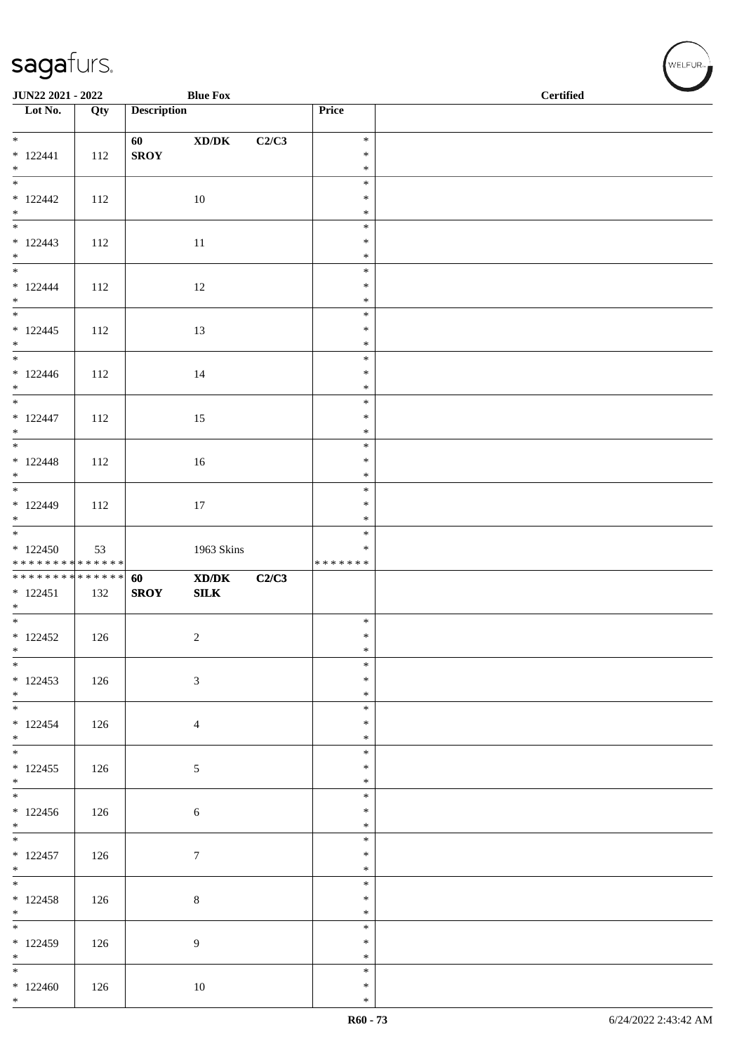| JUN22 2021 - 2022                                           |     |                    | <b>Blue Fox</b>                                             |       |                  | <b>Certified</b> |  |
|-------------------------------------------------------------|-----|--------------------|-------------------------------------------------------------|-------|------------------|------------------|--|
| $\overline{\phantom{1}}$ Lot No.                            | Qty | <b>Description</b> |                                                             |       | Price            |                  |  |
|                                                             |     |                    |                                                             |       |                  |                  |  |
| $*$                                                         |     | 60                 | $\bold{X}\bold{D}/\bold{D}\bold{K}$                         | C2/C3 | $\ast$           |                  |  |
| $* 122441$                                                  | 112 | <b>SROY</b>        |                                                             |       | $\ast$           |                  |  |
| $*$<br>$\frac{1}{1}$                                        |     |                    |                                                             |       | $\ast$           |                  |  |
|                                                             |     |                    |                                                             |       | $\ast$           |                  |  |
| $*122442$<br>$*$                                            | 112 |                    | 10                                                          |       | $\ast$<br>$\ast$ |                  |  |
|                                                             |     |                    |                                                             |       | $\ast$           |                  |  |
| $* 122443$                                                  | 112 |                    | $11\,$                                                      |       | $\ast$           |                  |  |
| $*$                                                         |     |                    |                                                             |       | $\ast$           |                  |  |
|                                                             |     |                    |                                                             |       | $\ast$           |                  |  |
| $* 122444$                                                  | 112 |                    | 12                                                          |       | $\ast$           |                  |  |
| $*$                                                         |     |                    |                                                             |       | $\ast$           |                  |  |
|                                                             |     |                    |                                                             |       | $\ast$           |                  |  |
| $* 122445$<br>$*$                                           | 112 |                    | 13                                                          |       | $\ast$<br>$\ast$ |                  |  |
| $*$                                                         |     |                    |                                                             |       | $\ast$           |                  |  |
| $* 122446$                                                  | 112 |                    | 14                                                          |       | $\ast$           |                  |  |
| $*$                                                         |     |                    |                                                             |       | $\ast$           |                  |  |
| $\overline{\phantom{0}}$                                    |     |                    |                                                             |       | $\ast$           |                  |  |
| $* 122447$                                                  | 112 |                    | 15                                                          |       | $\ast$           |                  |  |
| $*$                                                         |     |                    |                                                             |       | $\ast$           |                  |  |
|                                                             |     |                    |                                                             |       | $\ast$<br>$\ast$ |                  |  |
| $* 122448$<br>$*$                                           | 112 |                    | $16\,$                                                      |       | $\ast$           |                  |  |
| $*$                                                         |     |                    |                                                             |       | $\ast$           |                  |  |
| $* 122449$                                                  | 112 |                    | 17                                                          |       | $\ast$           |                  |  |
| $*$                                                         |     |                    |                                                             |       | $\ast$           |                  |  |
|                                                             |     |                    |                                                             |       | $\ast$           |                  |  |
| $*122450$                                                   | 53  |                    | 1963 Skins                                                  |       | $\ast$           |                  |  |
| * * * * * * * * * * * * * *<br>******** <mark>******</mark> |     | 60                 | $\boldsymbol{\text{X} \text{D} \text{/} \text{D} \text{K}}$ | C2/C3 | * * * * * * *    |                  |  |
| $* 122451$                                                  | 132 | <b>SROY</b>        | SLK                                                         |       |                  |                  |  |
| $*$                                                         |     |                    |                                                             |       |                  |                  |  |
| $*$                                                         |     |                    |                                                             |       | $\ast$           |                  |  |
| $* 122452$                                                  | 126 |                    | $\overline{c}$                                              |       | $\ast$           |                  |  |
| $\ast$                                                      |     |                    |                                                             |       | $\ast$           |                  |  |
| $*$<br>$*122453$                                            |     |                    |                                                             |       | $\ast$<br>$\ast$ |                  |  |
| $*$                                                         | 126 |                    | $\mathfrak{Z}$                                              |       | $\ast$           |                  |  |
|                                                             |     |                    |                                                             |       | $\ast$           |                  |  |
| $* 122454$                                                  | 126 |                    | $\overline{4}$                                              |       | $\ast$           |                  |  |
| $*$                                                         |     |                    |                                                             |       | $\ast$           |                  |  |
| $*$                                                         |     |                    |                                                             |       | $\ast$           |                  |  |
| $* 122455$                                                  | 126 |                    | $\sqrt{5}$                                                  |       | $\ast$           |                  |  |
| $*$                                                         |     |                    |                                                             |       | $\ast$<br>$\ast$ |                  |  |
| $*122456$                                                   | 126 |                    | $\sqrt{6}$                                                  |       | $\ast$           |                  |  |
| $*$                                                         |     |                    |                                                             |       | $\ast$           |                  |  |
|                                                             |     |                    |                                                             |       | $\ast$           |                  |  |
| $* 122457$                                                  | 126 |                    | $\tau$                                                      |       | $\ast$           |                  |  |
| $*$                                                         |     |                    |                                                             |       | $\ast$           |                  |  |
|                                                             |     |                    |                                                             |       | $\ast$           |                  |  |
| $* 122458$<br>$*$                                           | 126 |                    | $\,8\,$                                                     |       | $\ast$<br>$\ast$ |                  |  |
|                                                             |     |                    |                                                             |       | $\ast$           |                  |  |
| $*122459$                                                   | 126 |                    | 9                                                           |       | $\ast$           |                  |  |
| $*$                                                         |     |                    |                                                             |       | $\ast$           |                  |  |
| $\overline{\phantom{0}}$                                    |     |                    |                                                             |       | $\ast$           |                  |  |
| $*122460$                                                   | 126 |                    | 10                                                          |       | $\ast$           |                  |  |
| $*$                                                         |     |                    |                                                             |       | $\ast$           |                  |  |

、<br>WELFUR<sub>™</sub>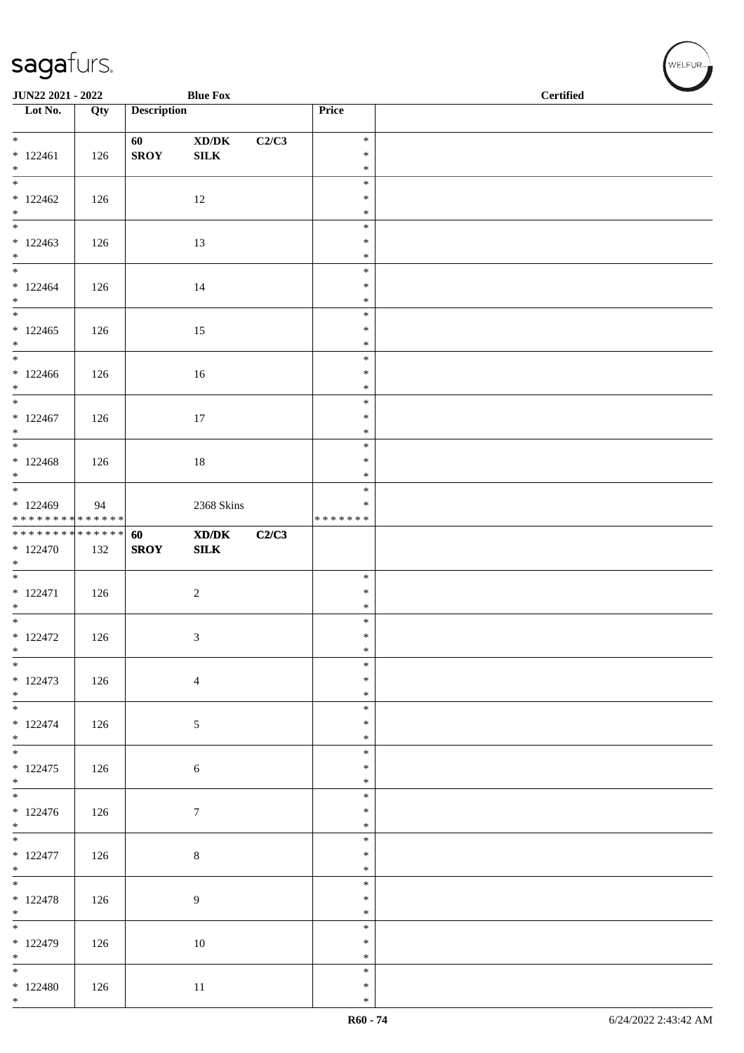| JUN22 2021 - 2022                        |     |                    | <b>Blue Fox</b>                             |       |                         | <b>Certified</b> |
|------------------------------------------|-----|--------------------|---------------------------------------------|-------|-------------------------|------------------|
| Lot No.                                  | Qty | <b>Description</b> |                                             |       | Price                   |                  |
| $*$                                      |     | 60                 | $\bold{X}\bold{D}/\bold{D}\bold{K}$         | C2/C3 | $\ast$                  |                  |
| $* 122461$                               | 126 | <b>SROY</b>        | ${\bf SILK}$                                |       | $\ast$                  |                  |
| $*$<br>$\overline{\phantom{0}}$          |     |                    |                                             |       | $\ast$<br>$\ast$        |                  |
| $*122462$                                | 126 |                    | 12                                          |       | $\ast$                  |                  |
| $*$<br>$\overline{\phantom{0}}$          |     |                    |                                             |       | $\ast$<br>$\ast$        |                  |
| $*122463$                                | 126 |                    | 13                                          |       | $\ast$                  |                  |
| $\ast$                                   |     |                    |                                             |       | $\ast$<br>$\ast$        |                  |
| $*122464$                                | 126 |                    | 14                                          |       | $\ast$                  |                  |
| $*$<br>$\overline{\phantom{0}}$          |     |                    |                                             |       | $\ast$<br>$\ast$        |                  |
| $*122465$                                | 126 |                    | 15                                          |       | $\ast$                  |                  |
| $*$<br>$\overline{\phantom{0}}$          |     |                    |                                             |       | $\ast$                  |                  |
| $*122466$                                | 126 |                    | 16                                          |       | $\ast$<br>$\ast$        |                  |
| $*$                                      |     |                    |                                             |       | $\ast$                  |                  |
| $*$<br>$* 122467$                        | 126 |                    | $17\,$                                      |       | $\ast$<br>$\ast$        |                  |
| $*$                                      |     |                    |                                             |       | $\ast$                  |                  |
|                                          |     |                    |                                             |       | $\ast$                  |                  |
| $* 122468$<br>$*$                        | 126 |                    | $18\,$                                      |       | $\ast$<br>$\ast$        |                  |
|                                          |     |                    |                                             |       | $\ast$                  |                  |
| $*122469$<br>* * * * * * * * * * * * * * | 94  |                    | 2368 Skins                                  |       | $\ast$<br>* * * * * * * |                  |
| * * * * * * * * * * * * * * *            |     | 60                 | $\mathbf{X}\mathbf{D}/\mathbf{D}\mathbf{K}$ | C2/C3 |                         |                  |
| $*122470$<br>$*$                         | 132 | <b>SROY</b>        | SLK                                         |       |                         |                  |
|                                          |     |                    |                                             |       | $\ast$                  |                  |
| $* 122471$<br>$*$                        | 126 |                    | $\overline{c}$                              |       | $\ast$<br>$\ast$        |                  |
| $\overline{\phantom{0}}$                 |     |                    |                                             |       | $\ast$                  |                  |
| $* 122472$<br>$\ast$                     | 126 |                    | 3                                           |       | $\ast$<br>$\ast$        |                  |
| $*$                                      |     |                    |                                             |       | $\ast$                  |                  |
| $* 122473$                               | 126 |                    | $\overline{4}$                              |       | $\ast$                  |                  |
| $*$                                      |     |                    |                                             |       | $\ast$<br>$\ast$        |                  |
| $* 122474$                               | 126 |                    | 5                                           |       | $\ast$                  |                  |
| $*$<br>$\overline{\phantom{0}}$          |     |                    |                                             |       | $\ast$<br>$\ast$        |                  |
| $* 122475$                               | 126 |                    | $\sqrt{6}$                                  |       | $\ast$                  |                  |
| $*$                                      |     |                    |                                             |       | $\ast$<br>$\ast$        |                  |
| $* 122476$                               | 126 |                    | $\tau$                                      |       | $\ast$                  |                  |
| $*$                                      |     |                    |                                             |       | $\ast$<br>$\ast$        |                  |
| $* 122477$                               | 126 |                    | $\,8\,$                                     |       | $\ast$                  |                  |
| $*$<br>$\overline{\phantom{0}}$          |     |                    |                                             |       | $\ast$                  |                  |
| $* 122478$                               | 126 |                    | $\overline{9}$                              |       | $\ast$<br>$\ast$        |                  |
| $*$                                      |     |                    |                                             |       | $\ast$                  |                  |
| $\overline{\phantom{0}}$<br>$* 122479$   | 126 |                    | 10                                          |       | $\ast$<br>$\ast$        |                  |
| $*$                                      |     |                    |                                             |       | $\ast$                  |                  |
| $\overline{\phantom{0}}$                 |     |                    |                                             |       | $\ast$<br>$\ast$        |                  |
| $*122480$<br>$*$                         | 126 |                    | 11                                          |       | $\ast$                  |                  |

、<br>WELFUR<sub>™</sub>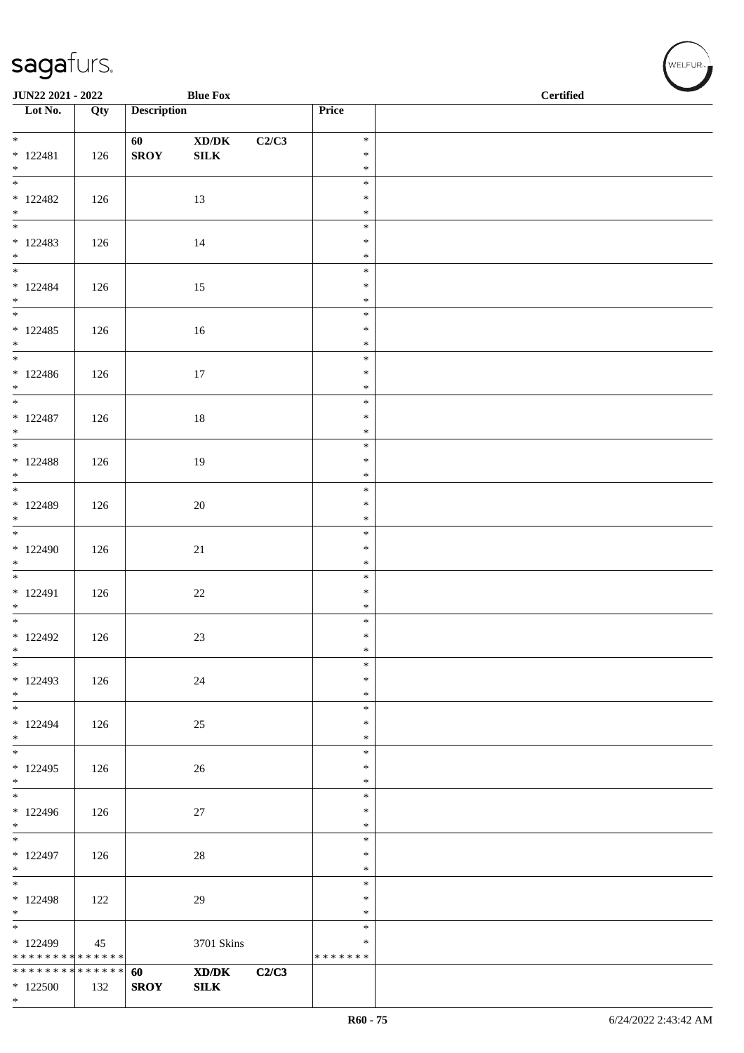| <b>Blue Fox</b><br>JUN22 2021 - 2022       |     |                    |                                                             |       |                         | <b>Certified</b> |
|--------------------------------------------|-----|--------------------|-------------------------------------------------------------|-------|-------------------------|------------------|
| $\overline{\phantom{1}}$ Lot No.           | Qty | <b>Description</b> |                                                             |       | Price                   |                  |
| $*$                                        |     | 60                 | $\mathbf{X}\mathbf{D}/\mathbf{D}\mathbf{K}$                 | C2/C3 | $\ast$                  |                  |
| $* 122481$                                 | 126 | <b>SROY</b>        | ${\bf SILK}$                                                |       | $\ast$                  |                  |
| $*$<br>$\overline{\phantom{0}}$            |     |                    |                                                             |       | $\ast$<br>$\ast$        |                  |
| $*122482$                                  | 126 |                    | 13                                                          |       | $\ast$                  |                  |
| $*$ $*$                                    |     |                    |                                                             |       | $\ast$                  |                  |
| $* 122483$                                 |     |                    |                                                             |       | $\ast$<br>$\ast$        |                  |
| $*$                                        | 126 |                    | 14                                                          |       | $\ast$                  |                  |
|                                            |     |                    |                                                             |       | $\ast$                  |                  |
| $* 122484$<br>$*$                          | 126 |                    | 15                                                          |       | $\ast$<br>$\ast$        |                  |
| $\overline{\phantom{0}}$                   |     |                    |                                                             |       | $\ast$                  |                  |
| $*122485$                                  | 126 |                    | 16                                                          |       | $\ast$                  |                  |
| $*$                                        |     |                    |                                                             |       | $\ast$<br>$\ast$        |                  |
| $*122486$                                  | 126 |                    | $17\,$                                                      |       | $\ast$                  |                  |
| $*$<br>$\overline{\ast}$                   |     |                    |                                                             |       | $\ast$<br>$\ast$        |                  |
| $* 122487$                                 | 126 |                    | $18\,$                                                      |       | $\ast$                  |                  |
| $*$                                        |     |                    |                                                             |       | $\ast$                  |                  |
| $* 122488$                                 |     |                    |                                                             |       | $\ast$<br>$\ast$        |                  |
| $*$                                        | 126 |                    | 19                                                          |       | $\ast$                  |                  |
|                                            |     |                    |                                                             |       | $\ast$                  |                  |
| * 122489<br>$*$                            | 126 |                    | 20                                                          |       | $\ast$<br>$\ast$        |                  |
|                                            |     |                    |                                                             |       | $\ast$                  |                  |
| $*122490$                                  | 126 |                    | 21                                                          |       | $\ast$                  |                  |
| $*$<br>$\overline{\phantom{0}}$            |     |                    |                                                             |       | $\ast$<br>$\ast$        |                  |
| $* 122491$                                 | 126 |                    | $22\,$                                                      |       | $\ast$                  |                  |
| $*$                                        |     |                    |                                                             |       | $\ast$                  |                  |
| $*122492$                                  | 126 |                    | 23                                                          |       | $\ast$<br>$\ast$        |                  |
| $\ast$                                     |     |                    |                                                             |       | $\ast$                  |                  |
| $*$<br>* 122493                            | 126 |                    |                                                             |       | $\ast$<br>$\ast$        |                  |
| $*$                                        |     |                    | $24\,$                                                      |       | $\ast$                  |                  |
| $\ast$                                     |     |                    |                                                             |       | $\ast$                  |                  |
| $* 122494$<br>$*$                          | 126 |                    | 25                                                          |       | $\ast$<br>$\ast$        |                  |
| $\overline{\mathbf{r}}$                    |     |                    |                                                             |       | $\ast$                  |                  |
| $* 122495$                                 | 126 |                    | 26                                                          |       | $\ast$                  |                  |
| $*$<br>$\overline{\phantom{0}}$            |     |                    |                                                             |       | $\ast$<br>$\ast$        |                  |
| $*122496$                                  | 126 |                    | $27\,$                                                      |       | $\ast$                  |                  |
| $*$<br>$\overline{\phantom{0}}$            |     |                    |                                                             |       | $\ast$<br>$\ast$        |                  |
| $* 122497$                                 | 126 |                    | $28\,$                                                      |       | $\ast$                  |                  |
| $*$                                        |     |                    |                                                             |       | $\ast$                  |                  |
| $\overline{\phantom{0}}$<br>$*122498$      | 122 |                    | 29                                                          |       | $\ast$<br>$\ast$        |                  |
| $*$                                        |     |                    |                                                             |       | $\ast$                  |                  |
| $\overline{\phantom{0}}$                   |     |                    |                                                             |       | $\ast$                  |                  |
| $*122499$<br>* * * * * * * * * * * * * * * | 45  |                    | 3701 Skins                                                  |       | $\ast$<br>* * * * * * * |                  |
| ******** <mark>******</mark>               |     | 60                 | $\boldsymbol{\text{X} \text{D} \text{/} \text{D} \text{K}}$ | C2/C3 |                         |                  |
| $*122500$<br>$*$                           | 132 | <b>SROY</b>        | ${\bf SILK}$                                                |       |                         |                  |
|                                            |     |                    |                                                             |       |                         |                  |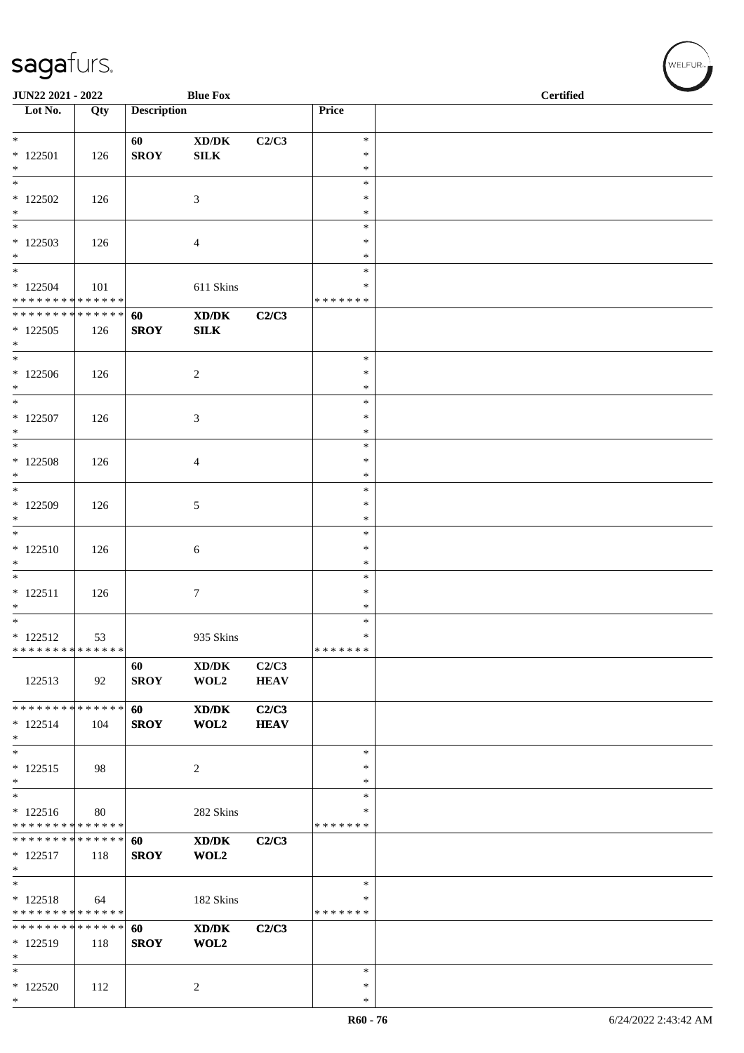| JUN22 2021 - 2022                                     |     |                    | <b>Blue Fox</b>                             |                      |                                      | <b>Certified</b> |
|-------------------------------------------------------|-----|--------------------|---------------------------------------------|----------------------|--------------------------------------|------------------|
| Lot No.                                               | Qty | <b>Description</b> |                                             |                      | Price                                |                  |
| $*$<br>$* 122501$<br>$*$                              | 126 | 60<br><b>SROY</b>  | $\bold{X}\bold{D}/\bold{D}\bold{K}$<br>SILK | C2/C3                | $\ast$<br>$\ast$<br>∗                |                  |
| $\overline{\phantom{0}}$<br>$*122502$<br>$*$          | 126 |                    | 3                                           |                      | $\ast$<br>$\ast$<br>$\ast$           |                  |
| $\overline{\ast}$<br>$*122503$<br>$*$<br>$*$          | 126 |                    | 4                                           |                      | $\ast$<br>$\ast$<br>$\ast$<br>$\ast$ |                  |
| $* 122504$<br>* * * * * * * * * * * * * * *           | 101 |                    | 611 Skins                                   |                      | *<br>* * * * * * *                   |                  |
| ******** <mark>******</mark><br>$*122505$<br>$*$      | 126 | 60<br><b>SROY</b>  | XD/DK<br>SLK                                | C2/C3                |                                      |                  |
| $*122506$<br>$*$                                      | 126 |                    | 2                                           |                      | $\ast$<br>$\ast$<br>$\ast$           |                  |
| $\overline{\phantom{0}}$<br>$* 122507$<br>$*$         | 126 |                    | 3                                           |                      | $\ast$<br>$\ast$<br>$\ast$           |                  |
| $*$<br>$*$ 122508<br>$*$                              | 126 |                    | 4                                           |                      | $\ast$<br>$\ast$<br>$\ast$           |                  |
| $*$<br>$*$ 122509<br>$*$                              | 126 |                    | 5                                           |                      | $\ast$<br>$\ast$<br>$\ast$           |                  |
| $*$<br>$* 122510$<br>$*$                              | 126 |                    | 6                                           |                      | $\ast$<br>$\ast$<br>$\ast$           |                  |
| $*$<br>$* 122511$<br>$*$<br>$*$                       | 126 |                    | 7                                           |                      | ∗<br>$\ast$<br>$\ast$                |                  |
| $* 122512$<br>* * * * * * * * * * * * * *             | 53  |                    | 935 Skins                                   |                      | $\ast$<br>$\ast$<br>*******          |                  |
| 122513                                                | 92  | 60<br><b>SROY</b>  | XD/DK<br>WOL2                               | C2/C3<br><b>HEAV</b> |                                      |                  |
| * * * * * * * * * * * * * * *<br>$* 122514$<br>$*$    | 104 | 60<br><b>SROY</b>  | XD/DK<br>WOL2                               | C2/C3<br><b>HEAV</b> |                                      |                  |
| $*$<br>$* 122515$<br>$*$                              | 98  |                    | $\overline{c}$                              |                      | $\ast$<br>∗<br>$\ast$                |                  |
| $*$<br>$* 122516$<br>* * * * * * * * * * * * * *      | 80  |                    | 282 Skins                                   |                      | $\ast$<br>$\ast$<br>* * * * * * *    |                  |
| * * * * * * * * * * * * * * *<br>$* 122517$<br>$\ast$ | 118 | 60<br><b>SROY</b>  | XD/DK<br>WOL2                               | C2/C3                |                                      |                  |
| $*$<br>$* 122518$<br>* * * * * * * * * * * * * *      | 64  |                    | 182 Skins                                   |                      | $\ast$<br>∗<br>* * * * * * *         |                  |
| * * * * * * * * * * * * * * *<br>* 122519<br>$*$      | 118 | 60<br><b>SROY</b>  | XD/DK<br>WOL2                               | C2/C3                |                                      |                  |
| $\ast$<br>$*122520$<br>$*$                            | 112 |                    | $\overline{c}$                              |                      | ∗<br>$\ast$<br>$\ast$                |                  |

 $(\forall ELFUR_{\text{max}})$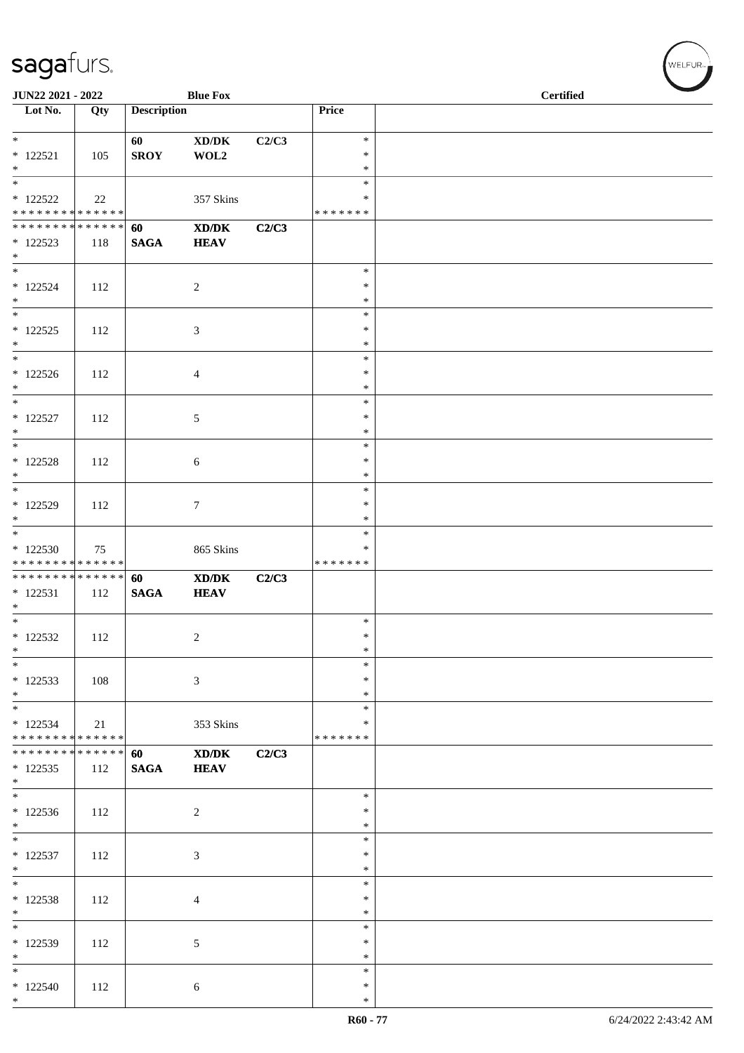|                                                                 | JUN22 2021 - 2022<br><b>Blue Fox</b> |                    |                                                            |       |                                      | <b>Certified</b> |
|-----------------------------------------------------------------|--------------------------------------|--------------------|------------------------------------------------------------|-------|--------------------------------------|------------------|
| Lot No.                                                         | Qty                                  | <b>Description</b> |                                                            |       | Price                                |                  |
| $\ast$<br>$* 122521$<br>$\ast$                                  | 105                                  | 60<br><b>SROY</b>  | $\mathbf{X}\mathbf{D}/\mathbf{D}\mathbf{K}$<br>WOL2        | C2/C3 | $\ast$<br>$\ast$<br>$\ast$           |                  |
| $*$ 122522<br>* * * * * * * * * * * * * *                       | 22                                   |                    | 357 Skins                                                  |       | $\ast$<br>∗<br>* * * * * * *         |                  |
| ******** <mark>******</mark><br>$*122523$<br>$*$                | 118                                  | 60<br><b>SAGA</b>  | $\mathbf{X}\mathbf{D}/\mathbf{D}\mathbf{K}$<br><b>HEAV</b> | C2/C3 |                                      |                  |
| $*$<br>$* 122524$<br>$*$                                        | 112                                  |                    | $\overline{2}$                                             |       | $\ast$<br>$\ast$<br>$\ast$           |                  |
| $*$<br>$* 122525$<br>$*$                                        | 112                                  |                    | $\mathfrak{Z}$                                             |       | $\ast$<br>$\ast$<br>$\ast$           |                  |
| $*$<br>$* 122526$<br>$\ast$                                     | 112                                  |                    | $\overline{4}$                                             |       | $\ast$<br>$\ast$<br>$\ast$           |                  |
| $*$<br>$* 122527$<br>$*$                                        | 112                                  |                    | 5                                                          |       | $\ast$<br>$\ast$<br>$\ast$           |                  |
| $\overline{\phantom{0}}$<br>$* 122528$<br>$\ast$                | 112                                  |                    | 6                                                          |       | $\ast$<br>$\ast$<br>$\ast$           |                  |
| $\overline{\phantom{0}}$<br>* 122529<br>$*$                     | 112                                  |                    | $\tau$                                                     |       | $\ast$<br>$\ast$<br>$\ast$           |                  |
| $*122530$<br>* * * * * * * * * * * * * *                        | 75                                   |                    | 865 Skins                                                  |       | $\ast$<br>$\ast$<br>* * * * * * *    |                  |
| * * * * * * * * <mark>* * * * * * *</mark><br>$* 122531$<br>$*$ | 112                                  | 60<br><b>SAGA</b>  | XD/DK<br><b>HEAV</b>                                       | C2/C3 |                                      |                  |
| $*$<br>$* 122532$<br>$\ast$                                     | 112                                  |                    | $\overline{c}$                                             |       | $\ast$<br>$\ast$<br>$\ast$           |                  |
| $\ast$<br>$*122533$<br>$*$                                      | 108                                  |                    | 3                                                          |       | $\ast$<br>$\ast$<br>$\ast$           |                  |
| $*$<br>$* 122534$<br>* * * * * * * * * * * * * * *              | 21                                   |                    | 353 Skins                                                  |       | $\ast$<br>∗<br>* * * * * * *         |                  |
| ******** <mark>******</mark><br>$*122535$<br>$*$                | 112                                  | 60<br><b>SAGA</b>  | XD/DK<br><b>HEAV</b>                                       | C2/C3 |                                      |                  |
| $*122536$<br>$*$                                                | 112                                  |                    | $\sqrt{2}$                                                 |       | $\ast$<br>$\ast$<br>$\ast$           |                  |
| $* 122537$<br>$*$<br>$*$                                        | 112                                  |                    | 3                                                          |       | $\ast$<br>$\ast$<br>$\ast$           |                  |
| $*122538$<br>$*$<br>$*$                                         | 112                                  |                    | $\overline{4}$                                             |       | $\ast$<br>$\ast$<br>$\ast$<br>$\ast$ |                  |
| * 122539<br>$*$                                                 | 112                                  |                    | 5                                                          |       | $\ast$<br>$\ast$                     |                  |
| $*$<br>$*122540$<br>$*$                                         | 112                                  |                    | 6                                                          |       | $\ast$<br>$\ast$<br>$\ast$           |                  |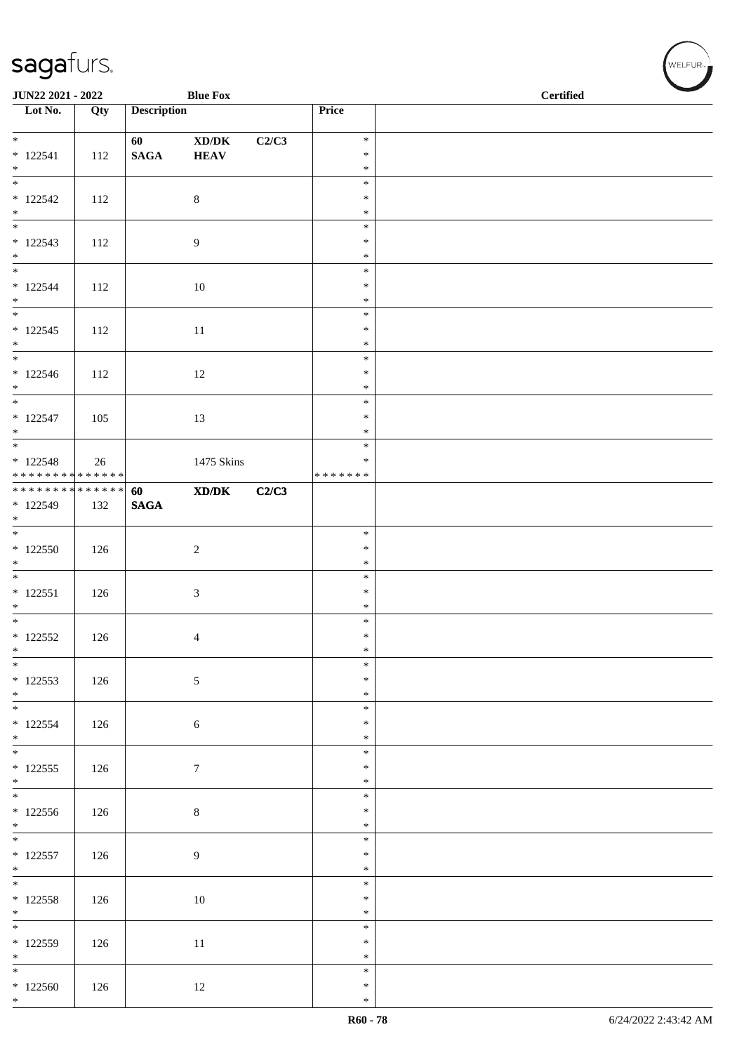| JUN22 2021 - 2022                      |     |                    | <b>Blue Fox</b>                                              |       |                  | <b>Certified</b> |
|----------------------------------------|-----|--------------------|--------------------------------------------------------------|-------|------------------|------------------|
| Lot No.                                | Qty | <b>Description</b> |                                                              |       | Price            |                  |
| $*$                                    |     | 60                 | $\boldsymbol{\text{XD}}\boldsymbol{/}\boldsymbol{\text{DK}}$ | C2/C3 | $\ast$           |                  |
| $* 122541$                             | 112 | $\mathbf{SAGA}$    | <b>HEAV</b>                                                  |       | $\ast$           |                  |
| $*$<br>$\overline{\phantom{0}}$        |     |                    |                                                              |       | $\ast$<br>$\ast$ |                  |
| $* 122542$                             | 112 |                    | $\,8\,$                                                      |       | $\ast$           |                  |
| $*$<br>$\overline{\phantom{0}}$        |     |                    |                                                              |       | $\ast$           |                  |
| $* 122543$                             | 112 |                    | 9                                                            |       | $\ast$<br>$\ast$ |                  |
| $*$                                    |     |                    |                                                              |       | $\ast$           |                  |
|                                        |     |                    |                                                              |       | $\ast$           |                  |
| $* 122544$<br>$*$                      | 112 |                    | 10                                                           |       | $\ast$<br>$\ast$ |                  |
|                                        |     |                    |                                                              |       | $\ast$           |                  |
| $* 122545$<br>$*$                      | 112 |                    | 11                                                           |       | $\ast$<br>$\ast$ |                  |
|                                        |     |                    |                                                              |       | $\ast$           |                  |
| $* 122546$                             | 112 |                    | $12\,$                                                       |       | $\ast$           |                  |
| $*$<br>$*$                             |     |                    |                                                              |       | $\ast$<br>$\ast$ |                  |
| $* 122547$                             | 105 |                    | 13                                                           |       | $\ast$           |                  |
| $*$                                    |     |                    |                                                              |       | $\ast$           |                  |
| $* 122548$                             | 26  |                    | 1475 Skins                                                   |       | $\ast$<br>$\ast$ |                  |
| ******** <mark>******</mark>           |     |                    |                                                              |       | * * * * * * *    |                  |
| ******** <mark>******</mark>           |     | 60                 | $\mathbf{X}\mathbf{D}/\mathbf{D}\mathbf{K}$                  | C2/C3 |                  |                  |
| $*122549$<br>$\ast$                    | 132 | $\mathbf{SAGA}$    |                                                              |       |                  |                  |
|                                        |     |                    |                                                              |       | $\ast$           |                  |
| $*122550$<br>$*$                       | 126 |                    | $\sqrt{2}$                                                   |       | $\ast$<br>$\ast$ |                  |
|                                        |     |                    |                                                              |       | $\ast$           |                  |
| $* 122551$                             | 126 |                    | 3                                                            |       | $\ast$           |                  |
| $\ast$<br>$\overline{\phantom{0}}$     |     |                    |                                                              |       | $\ast$<br>$\ast$ |                  |
| $* 122552$                             | 126 |                    | 4                                                            |       | $\ast$           |                  |
| $\ast$<br>$*$                          |     |                    |                                                              |       | $\ast$<br>$\ast$ |                  |
| $* 122553$                             | 126 |                    | 5                                                            |       | $\ast$           |                  |
| $*$                                    |     |                    |                                                              |       | $\ast$           |                  |
| $* 122554$                             | 126 |                    |                                                              |       | $\ast$<br>$\ast$ |                  |
| $*$                                    |     |                    | $\sqrt{6}$                                                   |       | $\ast$           |                  |
| $\overline{\phantom{0}}$               |     |                    |                                                              |       | $\ast$           |                  |
| $* 122555$<br>$*$                      | 126 |                    | $\boldsymbol{7}$                                             |       | $\ast$<br>$\ast$ |                  |
|                                        |     |                    |                                                              |       | $\ast$           |                  |
| $* 122556$                             | 126 |                    | $\,8\,$                                                      |       | $\ast$           |                  |
| $*$                                    |     |                    |                                                              |       | $\ast$<br>$\ast$ |                  |
| $* 122557$                             | 126 |                    | $\overline{9}$                                               |       | $\ast$           |                  |
| $*$<br>$\overline{\phantom{0}}$        |     |                    |                                                              |       | $\ast$<br>$\ast$ |                  |
| $* 122558$                             | 126 |                    | $10\,$                                                       |       | $\ast$           |                  |
| $*$                                    |     |                    |                                                              |       | $\ast$           |                  |
| $\overline{\phantom{0}}$<br>$* 122559$ |     |                    |                                                              |       | $\ast$<br>$\ast$ |                  |
| $*$                                    | 126 |                    | $11\,$                                                       |       | $\ast$           |                  |
| $\overline{\phantom{0}}$               |     |                    |                                                              |       | $\ast$           |                  |
| $*122560$<br>$*$                       | 126 |                    | 12                                                           |       | $\ast$<br>$\ast$ |                  |

、<br>WELFUR<sub>™</sub>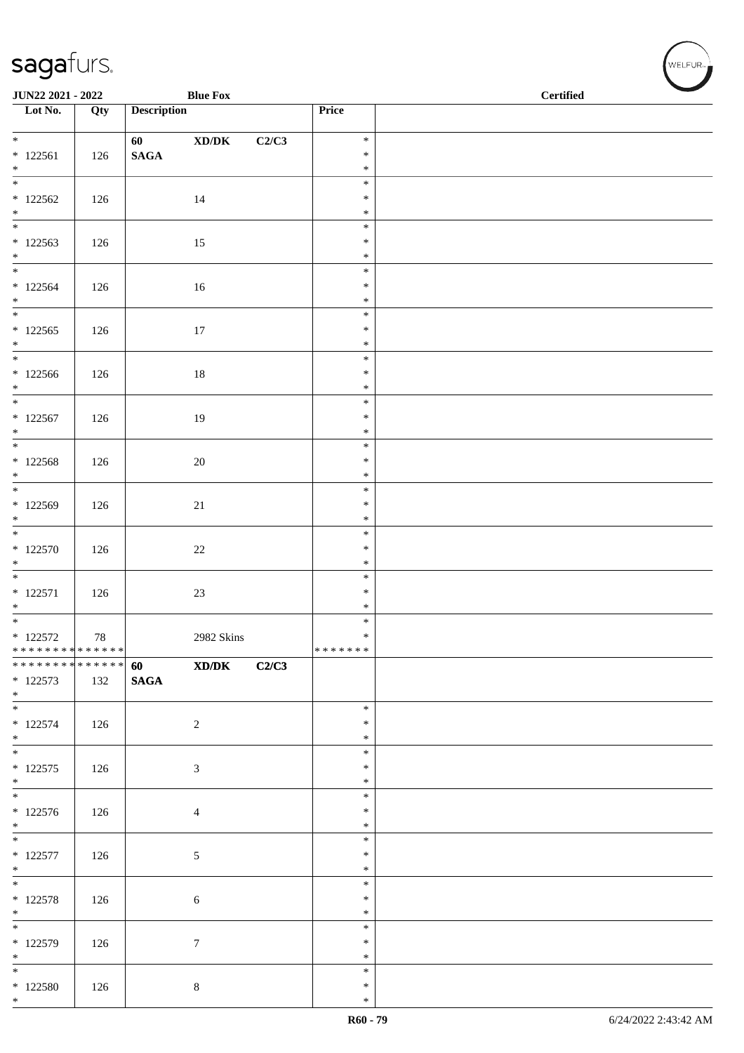|                                                                | <b>Blue Fox</b><br>JUN22 2021 - 2022 |                    |                                             |       |                  | $\overline{\phantom{0}}$<br><b>Certified</b> |
|----------------------------------------------------------------|--------------------------------------|--------------------|---------------------------------------------|-------|------------------|----------------------------------------------|
| Lot No.                                                        | Qty                                  | <b>Description</b> |                                             |       | Price            |                                              |
| $*$                                                            |                                      | 60                 | $\bold{X}\bold{D}/\bold{D}\bold{K}$         | C2/C3 | $\ast$           |                                              |
| $* 122561$                                                     | 126                                  | $\mathbf{SAGA}$    |                                             |       | $\ast$           |                                              |
| $*$<br>$\overline{\phantom{0}}$                                |                                      |                    |                                             |       | $\ast$<br>$\ast$ |                                              |
| $*122562$                                                      | 126                                  |                    | 14                                          |       | $\ast$           |                                              |
| $*$                                                            |                                      |                    |                                             |       | $\ast$           |                                              |
| $*122563$                                                      | 126                                  |                    | 15                                          |       | $\ast$<br>$\ast$ |                                              |
| $\ast$                                                         |                                      |                    |                                             |       | $\ast$           |                                              |
|                                                                |                                      |                    |                                             |       | $\ast$           |                                              |
| $*122564$<br>$*$                                               | 126                                  |                    | 16                                          |       | $\ast$<br>$\ast$ |                                              |
|                                                                |                                      |                    |                                             |       | $\ast$           |                                              |
| $* 122565$<br>$*$                                              | 126                                  |                    | $17\,$                                      |       | $\ast$<br>$\ast$ |                                              |
| $\overline{\phantom{0}}$                                       |                                      |                    |                                             |       | $\ast$           |                                              |
| $*122566$                                                      | 126                                  |                    | $18\,$                                      |       | $\ast$           |                                              |
| $*$<br>$*$                                                     |                                      |                    |                                             |       | $\ast$<br>$\ast$ |                                              |
| $* 122567$                                                     | 126                                  |                    | 19                                          |       | $\ast$           |                                              |
| $*$                                                            |                                      |                    |                                             |       | $\ast$<br>$\ast$ |                                              |
| $* 122568$                                                     | 126                                  |                    | $20\,$                                      |       | $\ast$           |                                              |
| $*$                                                            |                                      |                    |                                             |       | $\ast$           |                                              |
| $*122569$                                                      | 126                                  |                    | $21\,$                                      |       | $\ast$<br>$\ast$ |                                              |
| $*$                                                            |                                      |                    |                                             |       | $\ast$           |                                              |
|                                                                |                                      |                    |                                             |       | $\ast$           |                                              |
| $* 122570$<br>$*$                                              | 126                                  |                    | $22\,$                                      |       | $\ast$<br>$\ast$ |                                              |
|                                                                |                                      |                    |                                             |       | $\ast$           |                                              |
| $* 122571$<br>$*$                                              | 126                                  |                    | $23\,$                                      |       | $\ast$<br>$\ast$ |                                              |
|                                                                |                                      |                    |                                             |       | $\ast$           |                                              |
| $*$ 122572                                                     | $78\,$                               |                    | 2982 Skins                                  |       | $\ast$           |                                              |
| * * * * * * * * * * * * * * *<br>* * * * * * * * * * * * * * * |                                      | 60                 | $\mathbf{X}\mathbf{D}/\mathbf{D}\mathbf{K}$ | C2/C3 | *******          |                                              |
| $* 122573$                                                     | 132                                  | $\mathbf{SAGA}$    |                                             |       |                  |                                              |
| $*$                                                            |                                      |                    |                                             |       | $\ast$           |                                              |
| $* 122574$                                                     | 126                                  |                    | $\sqrt{2}$                                  |       | $\ast$           |                                              |
| $*$                                                            |                                      |                    |                                             |       | $\ast$           |                                              |
| $\overline{\phantom{0}}$<br>$* 122575$                         | 126                                  |                    | 3                                           |       | $\ast$<br>$\ast$ |                                              |
| $*$                                                            |                                      |                    |                                             |       | $\ast$           |                                              |
|                                                                |                                      |                    |                                             |       | $\ast$           |                                              |
| $* 122576$<br>$*$                                              | 126                                  |                    | $\overline{4}$                              |       | $\ast$<br>$\ast$ |                                              |
|                                                                |                                      |                    |                                             |       | $\ast$           |                                              |
| $* 122577$<br>$*$                                              | 126                                  |                    | $\sqrt{5}$                                  |       | $\ast$<br>$\ast$ |                                              |
| $\overline{\phantom{0}}$                                       |                                      |                    |                                             |       | $\ast$           |                                              |
| $* 122578$                                                     | 126                                  |                    | $\sqrt{6}$                                  |       | $\ast$           |                                              |
| $*$<br>$\overline{\phantom{0}}$                                |                                      |                    |                                             |       | $\ast$<br>$\ast$ |                                              |
| $* 122579$                                                     | 126                                  |                    | $\boldsymbol{7}$                            |       | $\ast$           |                                              |
| $*$<br>$*$                                                     |                                      |                    |                                             |       | $\ast$<br>$\ast$ |                                              |
| $*$ 122580                                                     | 126                                  |                    | $\,8\,$                                     |       | $\ast$           |                                              |
| $*$                                                            |                                      |                    |                                             |       | $\ast$           |                                              |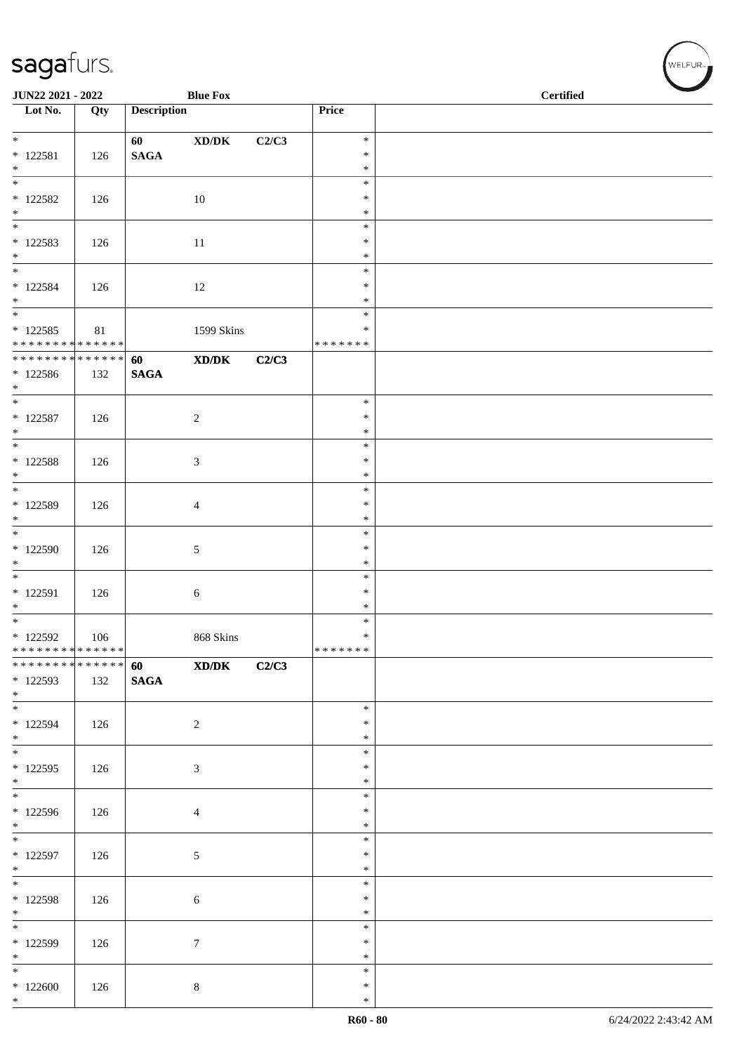| JUN22 2021 - 2022                                                      |     |                       | <b>Blue Fox</b>                             |       |                              | <b>Certified</b> |  |
|------------------------------------------------------------------------|-----|-----------------------|---------------------------------------------|-------|------------------------------|------------------|--|
| $\overline{\phantom{1}}$ Lot No.                                       | Qty | <b>Description</b>    |                                             |       | Price                        |                  |  |
| $*$                                                                    |     | 60                    | $\bold{X}\bold{D}/\bold{D}\bold{K}$         | C2/C3 | $\ast$                       |                  |  |
| $* 122581$<br>$*$                                                      | 126 | <b>SAGA</b>           |                                             |       | $\ast$<br>$\ast$             |                  |  |
| $\overline{\phantom{0}}$<br>$*$ 122582                                 | 126 |                       | 10                                          |       | $\ast$<br>$\ast$             |                  |  |
| $*$<br>$\overline{\ast}$                                               |     |                       |                                             |       | $\ast$<br>$\ast$             |                  |  |
| $*122583$<br>$*$                                                       | 126 |                       | 11                                          |       | $\ast$                       |                  |  |
| $\overline{\phantom{0}}$                                               |     |                       |                                             |       | $\ast$<br>$\ast$             |                  |  |
| $* 122584$<br>$*$                                                      | 126 |                       | 12                                          |       | ∗<br>$\ast$                  |                  |  |
| $\overline{\phantom{a}^*}$<br>$*122585$<br>* * * * * * * * * * * * * * | 81  |                       | 1599 Skins                                  |       | $\ast$<br>∗<br>* * * * * * * |                  |  |
| ******** <mark>******</mark>                                           |     | 60                    | $\mathbf{X}\mathbf{D}/\mathbf{D}\mathbf{K}$ | C2/C3 |                              |                  |  |
| * 122586<br>$*$                                                        | 132 | $\mathbf{SAGA}$       |                                             |       |                              |                  |  |
| $*$<br>$* 122587$                                                      | 126 |                       | $\sqrt{2}$                                  |       | $\ast$<br>$\ast$             |                  |  |
| $*$<br>$\overline{\ast}$                                               |     |                       |                                             |       | $\ast$<br>$\ast$             |                  |  |
| $*$ 122588<br>$*$                                                      | 126 |                       | $\mathfrak{Z}$                              |       | $\ast$<br>$\ast$             |                  |  |
| $\overline{\phantom{0}}$                                               |     |                       |                                             |       | $\ast$<br>$\ast$             |                  |  |
| * 122589<br>$\ast$                                                     | 126 |                       | $\overline{4}$                              |       | $\ast$                       |                  |  |
| * 122590                                                               | 126 |                       | $5\,$                                       |       | $\ast$<br>$\ast$             |                  |  |
| $\ast$<br>$\overline{\phantom{0}}$                                     |     |                       |                                             |       | $\ast$<br>$\ast$             |                  |  |
| $* 122591$<br>$*$                                                      | 126 |                       | $\sqrt{6}$                                  |       | $\ast$<br>$\ast$             |                  |  |
| $\overline{\phantom{0}}$                                               |     |                       |                                             |       | $\ast$<br>$\ast$             |                  |  |
| $*$ 122592<br>******** <mark>******</mark>                             | 106 |                       | 868 Skins                                   |       | *******                      |                  |  |
| * * * * * * * * * * * * * *<br>$* 122593$<br>$*$                       | 132 | 60<br>$\mathbf{SAGA}$ | $\mathbf{X}\mathbf{D}/\mathbf{D}\mathbf{K}$ | C2/C3 |                              |                  |  |
| $\overline{\phantom{0}}$<br>* 122594<br>$*$                            | 126 |                       | $\sqrt{2}$                                  |       | $\ast$<br>$\ast$<br>$\ast$   |                  |  |
| $\overline{\phantom{0}}$<br>$*$ 122595<br>$*$                          | 126 |                       | 3                                           |       | $\ast$<br>$\ast$<br>$\ast$   |                  |  |
| * 122596<br>$*$                                                        | 126 |                       | $\overline{4}$                              |       | $\ast$<br>$\ast$<br>$\ast$   |                  |  |
| * 122597<br>$*$                                                        | 126 |                       | $\mathfrak{S}$                              |       | $\ast$<br>$\ast$<br>$\ast$   |                  |  |
| $*$ 122598<br>$*$                                                      | 126 |                       | 6                                           |       | $\ast$<br>$\ast$<br>$\ast$   |                  |  |
| $\overline{\phantom{0}}$<br>$* 122599$<br>$*$                          | 126 |                       | $\tau$                                      |       | $\ast$<br>$\ast$<br>$\ast$   |                  |  |
| $*$<br>$*122600$<br>$*$                                                | 126 |                       | $8\,$                                       |       | $\ast$<br>$\ast$<br>$\ast$   |                  |  |

WELFUR<sub><sup>N</sup></sub>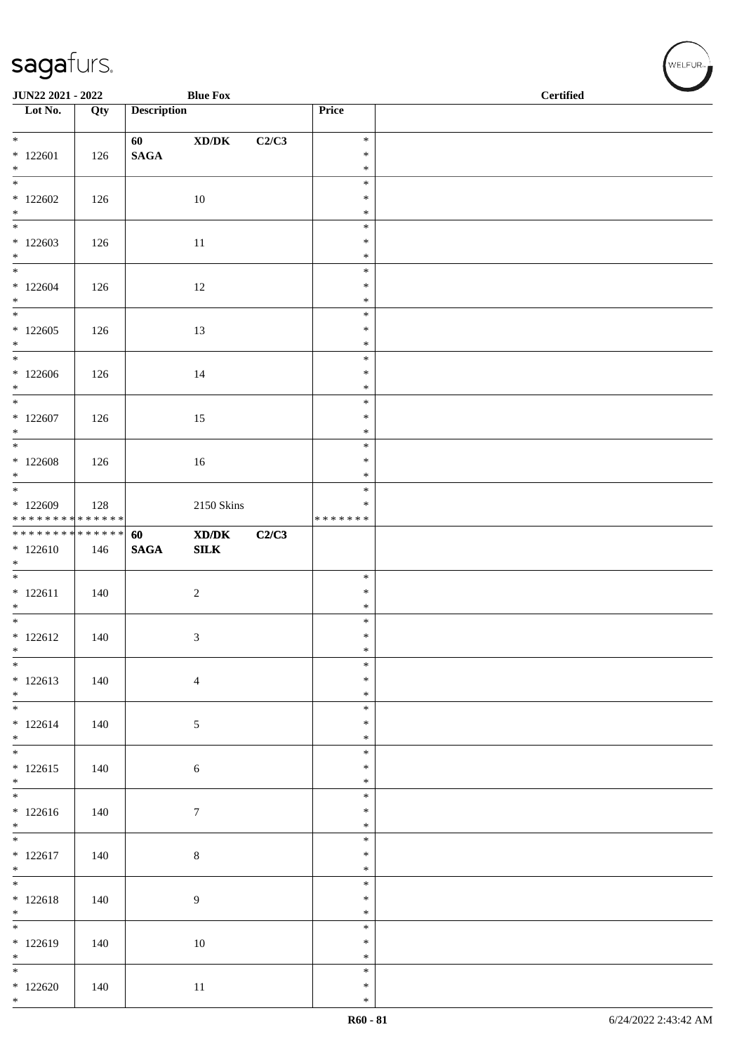| JUN22 2021 - 2022                                              |     |                       | <b>Blue Fox</b>                             |       |                  | <b>Certified</b> | $\overline{\phantom{0}}$ |
|----------------------------------------------------------------|-----|-----------------------|---------------------------------------------|-------|------------------|------------------|--------------------------|
| $\overline{\phantom{1}}$ Lot No.                               | Qty | <b>Description</b>    |                                             |       | Price            |                  |                          |
|                                                                |     |                       |                                             |       |                  |                  |                          |
| $*122601$                                                      | 126 | 60<br>$\mathbf{SAGA}$ | $\bold{X}\bold{D}/\bold{D}\bold{K}$         | C2/C3 | $\ast$<br>$\ast$ |                  |                          |
| $*$                                                            |     |                       |                                             |       | $\ast$           |                  |                          |
|                                                                |     |                       |                                             |       | $\ast$           |                  |                          |
| $*122602$<br>$*$                                               | 126 |                       | 10                                          |       | $\ast$<br>$\ast$ |                  |                          |
| $\overline{\phantom{0}}$                                       |     |                       |                                             |       | $\ast$           |                  |                          |
| $*122603$<br>$*$                                               | 126 |                       | $11\,$                                      |       | $\ast$<br>$\ast$ |                  |                          |
| $\overline{\ast}$                                              |     |                       |                                             |       | $\ast$           |                  |                          |
| $*122604$                                                      | 126 |                       | 12                                          |       | $\ast$           |                  |                          |
| $*$<br>$\overline{\phantom{0}}$                                |     |                       |                                             |       | $\ast$<br>$\ast$ |                  |                          |
| $*122605$                                                      | 126 |                       | 13                                          |       | $\ast$           |                  |                          |
| $*$                                                            |     |                       |                                             |       | $\ast$           |                  |                          |
| $*$<br>$*122606$                                               | 126 |                       | 14                                          |       | $\ast$<br>$\ast$ |                  |                          |
| $*$                                                            |     |                       |                                             |       | $\ast$           |                  |                          |
| $*$                                                            |     |                       |                                             |       | $\ast$           |                  |                          |
| $*122607$<br>$*$                                               | 126 |                       | 15                                          |       | $\ast$<br>$\ast$ |                  |                          |
|                                                                |     |                       |                                             |       | $\ast$           |                  |                          |
| $*122608$<br>$*$                                               | 126 |                       | 16                                          |       | $\ast$<br>$\ast$ |                  |                          |
|                                                                |     |                       |                                             |       | $\ast$           |                  |                          |
| $*122609$                                                      | 128 |                       | 2150 Skins                                  |       | $\ast$           |                  |                          |
| * * * * * * * * * * * * * * *<br>* * * * * * * * * * * * * * * |     | 60                    | $\mathbf{X}\mathbf{D}/\mathbf{D}\mathbf{K}$ | C2/C3 | * * * * * * *    |                  |                          |
| $*122610$                                                      | 146 | $\mathbf{SAGA}$       | SLK                                         |       |                  |                  |                          |
| $*$                                                            |     |                       |                                             |       | $\ast$           |                  |                          |
| $* 122611$                                                     | 140 |                       | $\boldsymbol{2}$                            |       | $\ast$           |                  |                          |
| $*$                                                            |     |                       |                                             |       | $\ast$           |                  |                          |
| $*$<br>$* 122612$                                              | 140 |                       | 3                                           |       | $\ast$<br>$\ast$ |                  |                          |
| $\ast$                                                         |     |                       |                                             |       | $\ast$           |                  |                          |
| $*$                                                            |     |                       |                                             |       | $\ast$           |                  |                          |
| $*122613$<br>$*$                                               | 140 |                       | $\overline{4}$                              |       | $\ast$<br>$\ast$ |                  |                          |
|                                                                |     |                       |                                             |       | $\ast$           |                  |                          |
| $* 122614$<br>$*$                                              | 140 |                       | $\sqrt{5}$                                  |       | $\ast$<br>$\ast$ |                  |                          |
|                                                                |     |                       |                                             |       | $\ast$           |                  |                          |
| $* 122615$                                                     | 140 |                       | $\sqrt{6}$                                  |       | $\ast$           |                  |                          |
| $*$                                                            |     |                       |                                             |       | $\ast$<br>$\ast$ |                  |                          |
| $* 122616$                                                     | 140 |                       | $\boldsymbol{7}$                            |       | $\ast$           |                  |                          |
| $*$                                                            |     |                       |                                             |       | $\ast$<br>$\ast$ |                  |                          |
| $* 122617$                                                     | 140 |                       | $\,8\,$                                     |       | $\ast$           |                  |                          |
| $*$                                                            |     |                       |                                             |       | $\ast$           |                  |                          |
| $*122618$                                                      | 140 |                       | $\overline{9}$                              |       | $\ast$<br>$\ast$ |                  |                          |
| $*$                                                            |     |                       |                                             |       | $\ast$           |                  |                          |
| $* 122619$                                                     |     |                       |                                             |       | $\ast$<br>$\ast$ |                  |                          |
| $*$                                                            | 140 |                       | 10                                          |       | $\ast$           |                  |                          |
| $\overline{\phantom{0}}$                                       |     |                       |                                             |       | $\ast$           |                  |                          |
| $*122620$<br>$*$                                               | 140 |                       | 11                                          |       | $\ast$<br>$\ast$ |                  |                          |

、<br>WELFUR<sub>™</sub>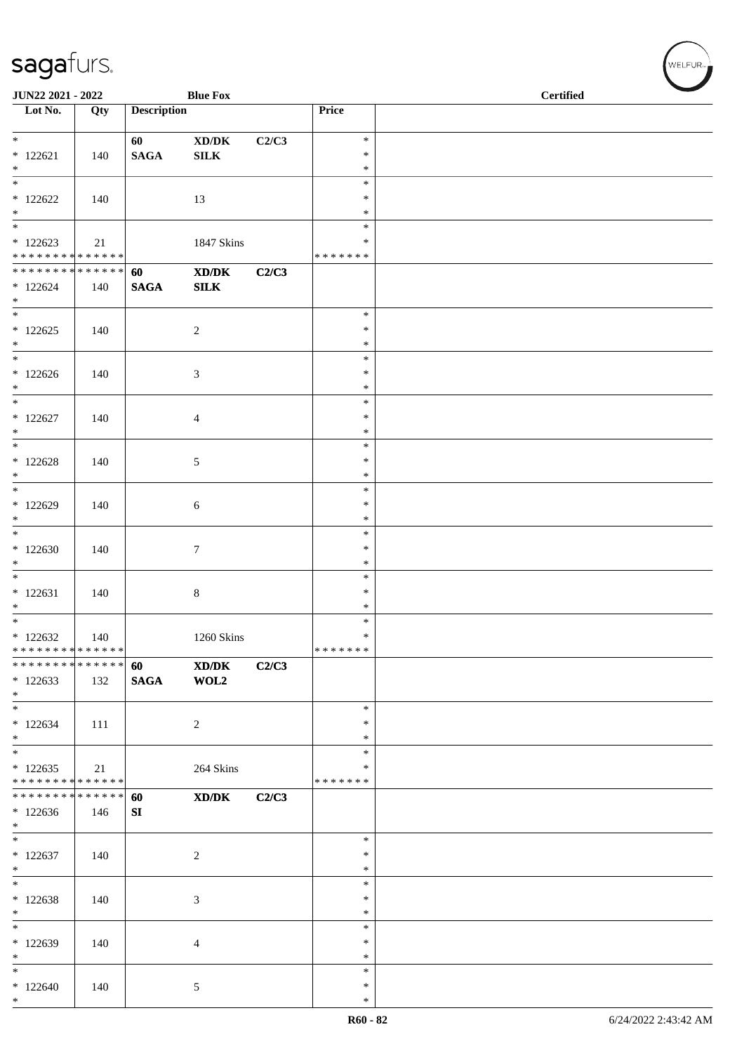| JUN22 2021 - 2022                                                     |                      |                       | <b>Blue Fox</b>                                        |       |                                   | <b>Certified</b> |
|-----------------------------------------------------------------------|----------------------|-----------------------|--------------------------------------------------------|-------|-----------------------------------|------------------|
| $\overline{\phantom{1}}$ Lot No.                                      | $\overline{Q}$ ty    | <b>Description</b>    |                                                        |       | Price                             |                  |
| $\overline{\ast}$<br>$* 122621$<br>$*$                                | 140                  | 60<br>$\mathbf{SAGA}$ | $\boldsymbol{\mathrm{XD}/\mathrm{DK}}$<br>${\bf SILK}$ | C2/C3 | $\ast$<br>$\ast$<br>$\ast$        |                  |
| $\overline{\phantom{0}}$<br>$*122622$<br>$*$                          | 140                  |                       | 13                                                     |       | $\ast$<br>$\ast$<br>$\ast$        |                  |
| $\overline{\phantom{0}}$<br>$*122623$<br>******** <mark>******</mark> | 21                   |                       | 1847 Skins                                             |       | $\ast$<br>$\ast$<br>* * * * * * * |                  |
| ******** <mark>******</mark><br>$*122624$<br>$*$                      | 140                  | 60<br><b>SAGA</b>     | $\mathbf{X}\mathbf{D}/\mathbf{D}\mathbf{K}$<br>SLK     | C2/C3 |                                   |                  |
| $*122625$<br>$*$                                                      | 140                  |                       | $\overline{c}$                                         |       | $\ast$<br>$\ast$<br>$\ast$        |                  |
| $*122626$<br>$*$<br>$*$                                               | 140                  |                       | 3                                                      |       | $\ast$<br>$\ast$<br>$\ast$        |                  |
| $*122627$<br>$*$                                                      | 140                  |                       | $\overline{4}$                                         |       | $\ast$<br>$\ast$<br>$\ast$        |                  |
| $*122628$<br>$*$                                                      | 140                  |                       | 5                                                      |       | $\ast$<br>$\ast$<br>$\ast$        |                  |
| $*$<br>$*122629$<br>$*$                                               | 140                  |                       | 6                                                      |       | $\ast$<br>$\ast$<br>$\ast$        |                  |
| $*122630$<br>$*$                                                      | 140                  |                       | $\tau$                                                 |       | $\ast$<br>$\ast$<br>$\ast$        |                  |
| $* 122631$<br>$*$                                                     | 140                  |                       | $\,8\,$                                                |       | $\ast$<br>$\ast$<br>$\ast$        |                  |
| $*$<br>$*122632$<br>******** <mark>******</mark>                      | 140                  |                       | 1260 Skins                                             |       | $\ast$<br>$\ast$<br>*******       |                  |
| * * * * * * * *<br>$*122633$<br>$*$                                   | * * * * * * *<br>132 | 60<br><b>SAGA</b>     | XD/DK<br>WOL2                                          | C2/C3 |                                   |                  |
| $*$<br>$*122634$<br>$*$                                               | 111                  |                       | $\overline{c}$                                         |       | $\ast$<br>$\ast$<br>$\ast$        |                  |
| $*$<br>$*122635$<br>* * * * * * * * * * * * * * *                     | 21                   |                       | 264 Skins                                              |       | $\ast$<br>$\ast$<br>* * * * * * * |                  |
| * * * * * * * * * * * * * * *<br>$*122636$<br>$*$                     | 146                  | 60<br>SI              | XD/DK                                                  | C2/C3 |                                   |                  |
| $\overline{\phantom{0}}$<br>$*122637$<br>$*$                          | 140                  |                       | $\overline{c}$                                         |       | $\ast$<br>∗<br>$\ast$             |                  |
| $\overline{\phantom{0}}$<br>$*122638$<br>$*$                          | 140                  |                       | 3                                                      |       | $\ast$<br>$\ast$<br>$\ast$        |                  |
| $\overline{\phantom{0}}$<br>$*122639$<br>$*$                          | 140                  |                       | 4                                                      |       | $\ast$<br>$\ast$<br>$\ast$        |                  |
| $*$<br>$*122640$<br>$*$                                               | 140                  |                       | 5                                                      |       | $\ast$<br>∗<br>$\ast$             |                  |

WELFUR<sub><sup>N</sub></sub></sub></sup>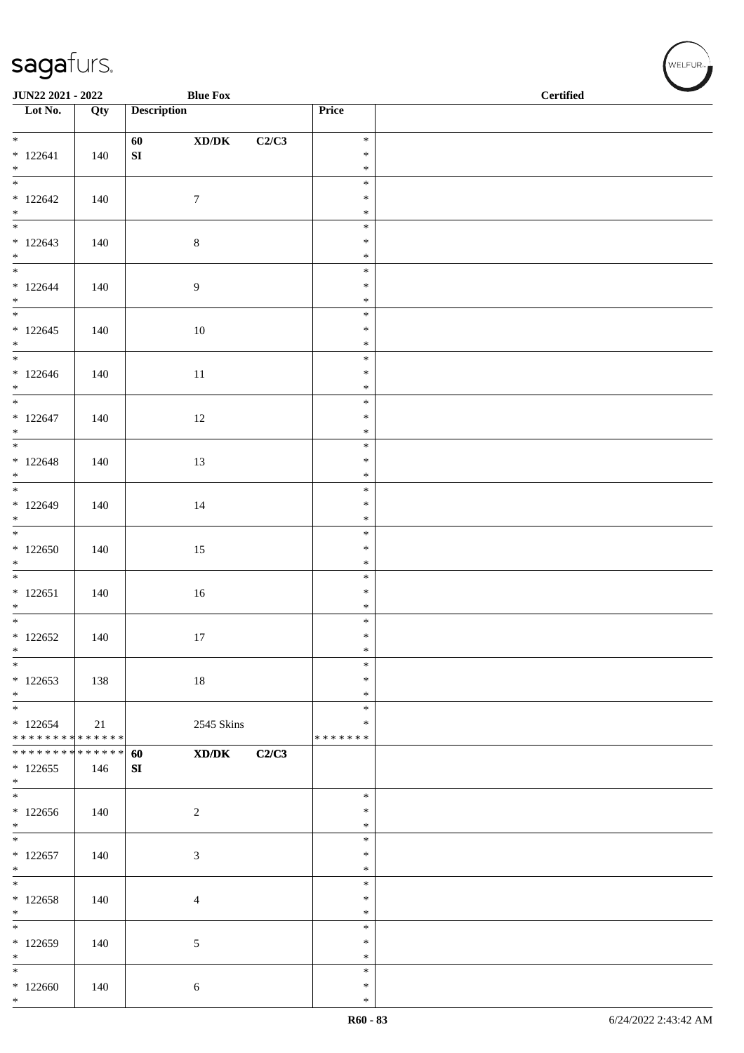| JUN22 2021 - 2022                          |     | <b>Blue Fox</b>                                   |       |                  | $\operatorname{\bf \mathbf{Certified}}$ |  |
|--------------------------------------------|-----|---------------------------------------------------|-------|------------------|-----------------------------------------|--|
| $\overline{\phantom{1}}$ Lot No.           | Qty | <b>Description</b>                                |       | Price            |                                         |  |
|                                            |     |                                                   |       |                  |                                         |  |
| $*$                                        |     | 60<br>$\bold{X}\bold{D}/\bold{D}\bold{K}$         | C2/C3 | $\ast$           |                                         |  |
| $* 122641$                                 | 140 | ${\bf SI}$                                        |       | $\ast$           |                                         |  |
| $*$                                        |     |                                                   |       | $\ast$           |                                         |  |
| $\frac{1}{1}$                              |     |                                                   |       | $\ast$           |                                         |  |
| $*122642$                                  | 140 | $\boldsymbol{7}$                                  |       | $\ast$           |                                         |  |
| $*$                                        |     |                                                   |       | $\ast$           |                                         |  |
|                                            |     |                                                   |       | $\ast$           |                                         |  |
| $*122643$                                  | 140 | $8\,$                                             |       | $\ast$           |                                         |  |
| $*$                                        |     |                                                   |       | $\ast$           |                                         |  |
|                                            |     |                                                   |       | $\ast$           |                                         |  |
| $* 122644$                                 | 140 | $\boldsymbol{9}$                                  |       | $\ast$           |                                         |  |
| $*$                                        |     |                                                   |       | $\ast$           |                                         |  |
|                                            |     |                                                   |       | $\ast$           |                                         |  |
| $*122645$                                  | 140 | $10\,$                                            |       | $\ast$           |                                         |  |
| $*$                                        |     |                                                   |       | $\ast$           |                                         |  |
| $*$                                        |     |                                                   |       | $\ast$           |                                         |  |
| $*122646$                                  | 140 | $11\,$                                            |       | $\ast$           |                                         |  |
| $*$                                        |     |                                                   |       | $\ast$           |                                         |  |
| $\overline{\phantom{0}}$                   |     |                                                   |       | $\ast$           |                                         |  |
| $* 122647$                                 | 140 | $12\,$                                            |       | $\ast$           |                                         |  |
| $*$                                        |     |                                                   |       | $\ast$           |                                         |  |
|                                            |     |                                                   |       | $\ast$           |                                         |  |
| $* 122648$                                 | 140 | 13                                                |       | $\ast$           |                                         |  |
| $*$                                        |     |                                                   |       | $\ast$           |                                         |  |
|                                            |     |                                                   |       | $\ast$           |                                         |  |
| $*122649$                                  | 140 | 14                                                |       | $\ast$           |                                         |  |
| $*$                                        |     |                                                   |       | $\ast$           |                                         |  |
|                                            |     |                                                   |       | $\ast$           |                                         |  |
| $*122650$<br>$\ast$                        | 140 | 15                                                |       | $\ast$           |                                         |  |
|                                            |     |                                                   |       | $\ast$<br>$\ast$ |                                         |  |
| $* 122651$                                 |     |                                                   |       | $\ast$           |                                         |  |
| $*$                                        | 140 | 16                                                |       | $\ast$           |                                         |  |
| $*$                                        |     |                                                   |       | $\ast$           |                                         |  |
| $*122652$                                  | 140 | 17                                                |       | $\ast$           |                                         |  |
| $\ast$                                     |     |                                                   |       | $\ast$           |                                         |  |
| $\ast$                                     |     |                                                   |       | $\ast$           |                                         |  |
| $*122653$                                  | 138 | $18\,$                                            |       | $\ast$           |                                         |  |
| $*$                                        |     |                                                   |       | $\ast$           |                                         |  |
| $\overline{\phantom{0}}$                   |     |                                                   |       | $\ast$           |                                         |  |
| $*122654$                                  | 21  | 2545 Skins                                        |       | ∗                |                                         |  |
| * * * * * * * * * * * * * * *              |     |                                                   |       | * * * * * * *    |                                         |  |
| * * * * * * * * <mark>* * * * * * *</mark> |     | $\mathbf{X}\mathbf{D}/\mathbf{D}\mathbf{K}$<br>60 | C2/C3 |                  |                                         |  |
| $*122655$                                  | 146 | SI                                                |       |                  |                                         |  |
| $*$                                        |     |                                                   |       |                  |                                         |  |
|                                            |     |                                                   |       | $\ast$           |                                         |  |
| $*122656$                                  | 140 | $\overline{c}$                                    |       | $\ast$           |                                         |  |
| $*$                                        |     |                                                   |       | $\ast$           |                                         |  |
|                                            |     |                                                   |       | $\ast$           |                                         |  |
| $* 122657$                                 | 140 | 3                                                 |       | $\ast$           |                                         |  |
| $*$                                        |     |                                                   |       | $\ast$           |                                         |  |
| $\overline{\phantom{0}}$                   |     |                                                   |       | $\ast$           |                                         |  |
| $*122658$                                  | 140 | 4                                                 |       | $\ast$           |                                         |  |
| $*$<br>$\overline{\phantom{0}}$            |     |                                                   |       | $\ast$           |                                         |  |
|                                            |     |                                                   |       | $\ast$           |                                         |  |
| $*122659$                                  | 140 | 5                                                 |       | $\ast$           |                                         |  |
| $\ast$<br>$\ast$                           |     |                                                   |       | $\ast$           |                                         |  |
|                                            |     |                                                   |       | $\ast$           |                                         |  |
| $*122660$<br>$*$                           | 140 | 6                                                 |       | $\ast$<br>$\ast$ |                                         |  |
|                                            |     |                                                   |       |                  |                                         |  |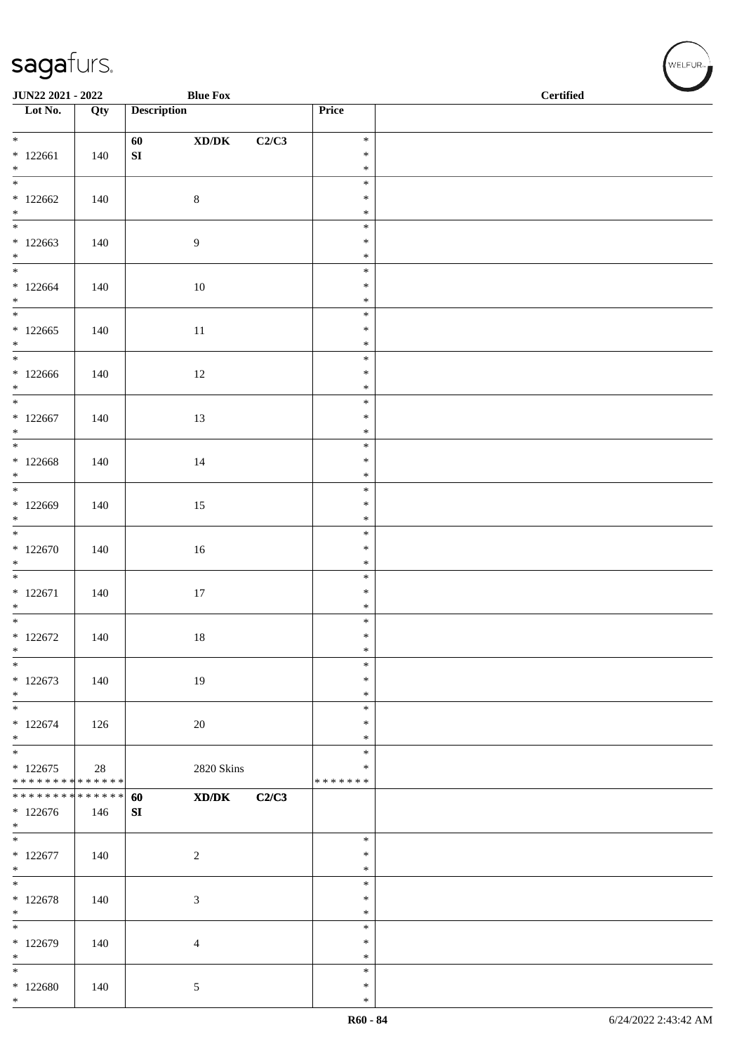| JUN22 2021 - 2022                          |     |                    | <b>Blue Fox</b>                     |       |                         | <b>Certified</b> |
|--------------------------------------------|-----|--------------------|-------------------------------------|-------|-------------------------|------------------|
| $\overline{\phantom{1}}$ Lot No.           | Qty | <b>Description</b> |                                     |       | Price                   |                  |
|                                            |     |                    |                                     |       |                         |                  |
| $*$                                        |     | 60                 | $\bold{X}\bold{D}/\bold{D}\bold{K}$ | C2/C3 | $\ast$                  |                  |
| $*122661$                                  | 140 | ${\bf SI}$         |                                     |       | $\ast$                  |                  |
| $*$<br>$\frac{1}{1}$                       |     |                    |                                     |       | $\ast$                  |                  |
|                                            |     |                    |                                     |       | $\ast$                  |                  |
| $*122662$<br>$*$                           | 140 | $\,8\,$            |                                     |       | $\ast$<br>$\ast$        |                  |
|                                            |     |                    |                                     |       | $\ast$                  |                  |
| $*122663$                                  | 140 | 9                  |                                     |       | $\ast$                  |                  |
| $*$                                        |     |                    |                                     |       | $\ast$                  |                  |
|                                            |     |                    |                                     |       | $\ast$                  |                  |
| $*122664$                                  | 140 | $10\,$             |                                     |       | $\ast$                  |                  |
| $*$                                        |     |                    |                                     |       | $\ast$                  |                  |
|                                            |     |                    |                                     |       | $\ast$                  |                  |
| $*122665$                                  | 140 | 11                 |                                     |       | $\ast$                  |                  |
| $*$<br>$*$                                 |     |                    |                                     |       | $\ast$<br>$\ast$        |                  |
| $*122666$                                  | 140 | $12\,$             |                                     |       | $\ast$                  |                  |
| $*$                                        |     |                    |                                     |       | $\ast$                  |                  |
| $*$                                        |     |                    |                                     |       | $\ast$                  |                  |
| $*122667$                                  | 140 | 13                 |                                     |       | $\ast$                  |                  |
| $*$                                        |     |                    |                                     |       | $\ast$                  |                  |
|                                            |     |                    |                                     |       | $\ast$                  |                  |
| $*122668$                                  | 140 | 14                 |                                     |       | $\ast$                  |                  |
| $*$<br>$*$                                 |     |                    |                                     |       | $\ast$                  |                  |
| $*122669$                                  |     |                    |                                     |       | $\ast$<br>$\ast$        |                  |
| $*$                                        | 140 | 15                 |                                     |       | $\ast$                  |                  |
|                                            |     |                    |                                     |       | $\ast$                  |                  |
| $*122670$                                  | 140 | 16                 |                                     |       | $\ast$                  |                  |
| $\ast$                                     |     |                    |                                     |       | $\ast$                  |                  |
|                                            |     |                    |                                     |       | $\ast$                  |                  |
| $* 122671$                                 | 140 | 17                 |                                     |       | $\ast$                  |                  |
| $*$                                        |     |                    |                                     |       | $\ast$                  |                  |
| $*$                                        |     |                    |                                     |       | $\ast$                  |                  |
| $*122672$<br>$\ast$                        | 140 | $18\,$             |                                     |       | $\ast$<br>$\ast$        |                  |
| $\ast$                                     |     |                    |                                     |       | $\ast$                  |                  |
| $*122673$                                  | 140 | 19                 |                                     |       | $\ast$                  |                  |
| $\ast$                                     |     |                    |                                     |       | $\ast$                  |                  |
| $\ast$                                     |     |                    |                                     |       | $\ast$                  |                  |
| $*122674$                                  | 126 | 20                 |                                     |       | $\ast$                  |                  |
| $*$                                        |     |                    |                                     |       | $\ast$                  |                  |
| $*$                                        |     |                    |                                     |       | $\ast$                  |                  |
| $*122675$<br>* * * * * * * * * * * * * * * | 28  |                    | <b>2820 Skins</b>                   |       | $\ast$<br>* * * * * * * |                  |
| * * * * * * * * * * * * * * *              |     | 60                 | XD/DK                               | C2/C3 |                         |                  |
| $*122676$                                  | 146 | SI                 |                                     |       |                         |                  |
| $*$                                        |     |                    |                                     |       |                         |                  |
| $\overline{\phantom{0}}$                   |     |                    |                                     |       | $\ast$                  |                  |
| $* 122677$                                 | 140 | $\sqrt{2}$         |                                     |       | ∗                       |                  |
| $*$                                        |     |                    |                                     |       | $\ast$                  |                  |
| $\overline{\phantom{0}}$                   |     |                    |                                     |       | $\ast$                  |                  |
| $* 122678$<br>$*$                          | 140 | 3                  |                                     |       | $\ast$<br>$\ast$        |                  |
| $*$                                        |     |                    |                                     |       | $\ast$                  |                  |
| $*122679$                                  | 140 | 4                  |                                     |       | $\ast$                  |                  |
| $\ast$                                     |     |                    |                                     |       | $\ast$                  |                  |
| $\ast$                                     |     |                    |                                     |       | $\ast$                  |                  |
| $*122680$                                  | 140 | 5                  |                                     |       | $\ast$                  |                  |
| $*$                                        |     |                    |                                     |       | $\ast$                  |                  |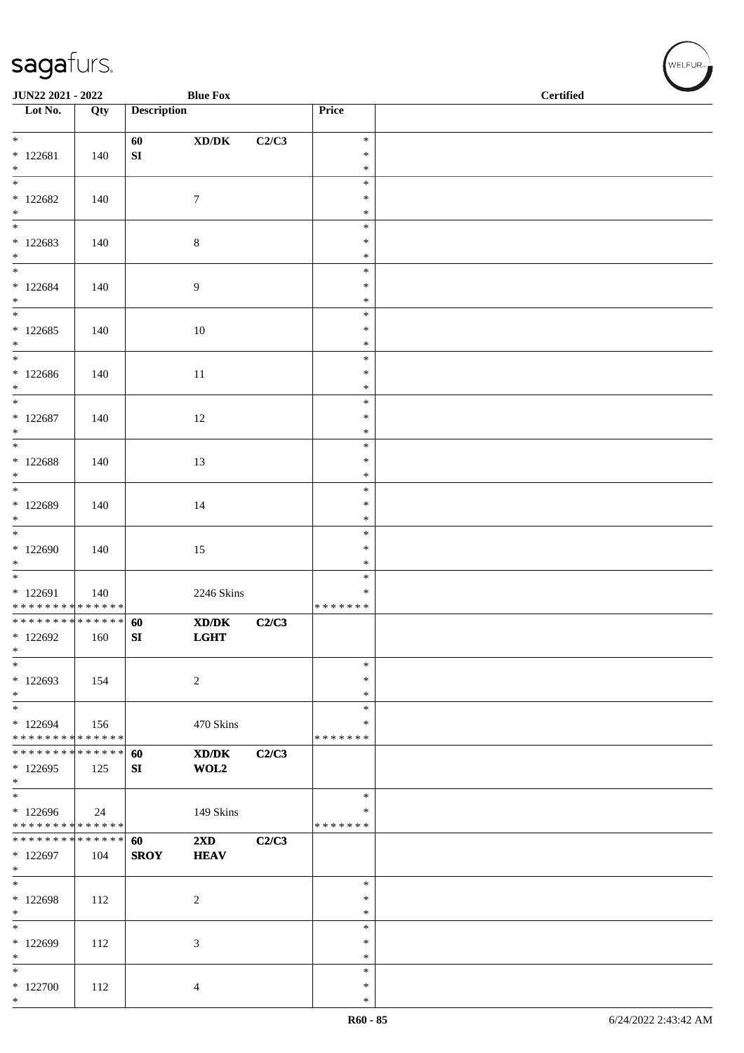| JUN22 2021 - 2022                        |                   |                    | <b>Blue Fox</b>                                                                                      |       |                  | <b>Certified</b> |
|------------------------------------------|-------------------|--------------------|------------------------------------------------------------------------------------------------------|-------|------------------|------------------|
| $\overline{\phantom{1}}$ Lot No.         | $\overline{Q}$ ty | <b>Description</b> |                                                                                                      |       | Price            |                  |
|                                          |                   |                    |                                                                                                      |       |                  |                  |
|                                          |                   | 60                 | $\bold{X}\bold{D}/\bold{D}\bold{K}$                                                                  | C2/C3 | $\ast$<br>$\ast$ |                  |
| $* 122681$<br>$*$                        | 140               | ${\bf SI}$         |                                                                                                      |       | $\ast$           |                  |
| $\frac{1}{1}$                            |                   |                    |                                                                                                      |       | $\ast$           |                  |
| $*122682$                                | 140               |                    | $\tau$                                                                                               |       | $\ast$           |                  |
| $*$<br>$\overline{\phantom{0}}$          |                   |                    |                                                                                                      |       | $\ast$<br>$\ast$ |                  |
| $*122683$                                | 140               |                    | 8                                                                                                    |       | $\ast$           |                  |
| $\ast$                                   |                   |                    |                                                                                                      |       | $\ast$           |                  |
| $\overline{\ast}$                        |                   |                    |                                                                                                      |       | $\ast$           |                  |
| $* 122684$<br>$*$                        | 140               |                    | 9                                                                                                    |       | $\ast$<br>$\ast$ |                  |
| $\overline{\phantom{0}}$                 |                   |                    |                                                                                                      |       | $\ast$           |                  |
| $*122685$                                | 140               |                    | 10                                                                                                   |       | $\ast$           |                  |
| $*$                                      |                   |                    |                                                                                                      |       | $\ast$           |                  |
| $*$<br>$*122686$                         |                   |                    |                                                                                                      |       | $\ast$<br>$\ast$ |                  |
| $*$                                      | 140               |                    | 11                                                                                                   |       | $\ast$           |                  |
| $*$                                      |                   |                    |                                                                                                      |       | $\ast$           |                  |
| $* 122687$                               | 140               |                    | 12                                                                                                   |       | $\ast$           |                  |
| $*$<br>$\overline{\ast}$                 |                   |                    |                                                                                                      |       | $\ast$<br>$\ast$ |                  |
| $* 122688$                               | 140               |                    | 13                                                                                                   |       | $\ast$           |                  |
| $*$                                      |                   |                    |                                                                                                      |       | $\ast$           |                  |
| $\overline{\ast}$                        |                   |                    |                                                                                                      |       | $\ast$           |                  |
| * 122689<br>$\ast$                       | 140               |                    | 14                                                                                                   |       | $\ast$<br>$\ast$ |                  |
| $\overline{\phantom{0}}$                 |                   |                    |                                                                                                      |       | $\ast$           |                  |
| * 122690                                 | 140               |                    | 15                                                                                                   |       | $\ast$           |                  |
| $*$<br>$\overline{\phantom{0}}$          |                   |                    |                                                                                                      |       | $\ast$<br>$\ast$ |                  |
| * 122691                                 | 140               |                    | 2246 Skins                                                                                           |       | ∗                |                  |
| * * * * * * * * * * * * * *              |                   |                    |                                                                                                      |       | * * * * * * *    |                  |
| ******** <mark>******</mark>             |                   | 60                 | $\boldsymbol{\text{X}}\boldsymbol{\text{D}}\boldsymbol{/}\boldsymbol{\text{D}}\boldsymbol{\text{K}}$ | C2/C3 |                  |                  |
| $*122692$<br>$\ast$                      | 160               | ${\bf SI}$         | <b>LGHT</b>                                                                                          |       |                  |                  |
| $\ast$                                   |                   |                    |                                                                                                      |       | $\ast$           |                  |
| $*122693$                                | 154               |                    | $\overline{c}$                                                                                       |       | $\ast$           |                  |
| $\ast$                                   |                   |                    |                                                                                                      |       | $\ast$           |                  |
| $*$<br>* 122694                          | 156               |                    | 470 Skins                                                                                            |       | $\ast$<br>∗      |                  |
| * * * * * * * * * * * * * *              |                   |                    |                                                                                                      |       | * * * * * * *    |                  |
| * * * * * * * * * * * * * * *            |                   | 60                 | XD/DK                                                                                                | C2/C3 |                  |                  |
| * 122695<br>$*$                          | 125               | SI                 | WOL2                                                                                                 |       |                  |                  |
| $\ast$                                   |                   |                    |                                                                                                      |       | $\ast$           |                  |
| * 122696                                 | 24                |                    | 149 Skins                                                                                            |       | ∗                |                  |
| * * * * * * * * * * * * * *              |                   |                    |                                                                                                      |       | * * * * * * *    |                  |
| ******** <mark>******</mark><br>* 122697 |                   | 60<br><b>SROY</b>  | $2\mathbf{X}\mathbf{D}$                                                                              | C2/C3 |                  |                  |
| $*$                                      | 104               |                    | <b>HEAV</b>                                                                                          |       |                  |                  |
| $*$                                      |                   |                    |                                                                                                      |       | $\ast$           |                  |
| * 122698                                 | 112               |                    | $\overline{c}$                                                                                       |       | $\ast$           |                  |
| $*$<br>$*$                               |                   |                    |                                                                                                      |       | $\ast$<br>$\ast$ |                  |
| * 122699                                 | 112               |                    | 3                                                                                                    |       | $\ast$           |                  |
| $\ast$                                   |                   |                    |                                                                                                      |       | $\ast$           |                  |
| $\ast$                                   |                   |                    |                                                                                                      |       | $\ast$           |                  |
| $*122700$<br>$*$                         | 112               |                    | 4                                                                                                    |       | $\ast$<br>$\ast$ |                  |
|                                          |                   |                    |                                                                                                      |       |                  |                  |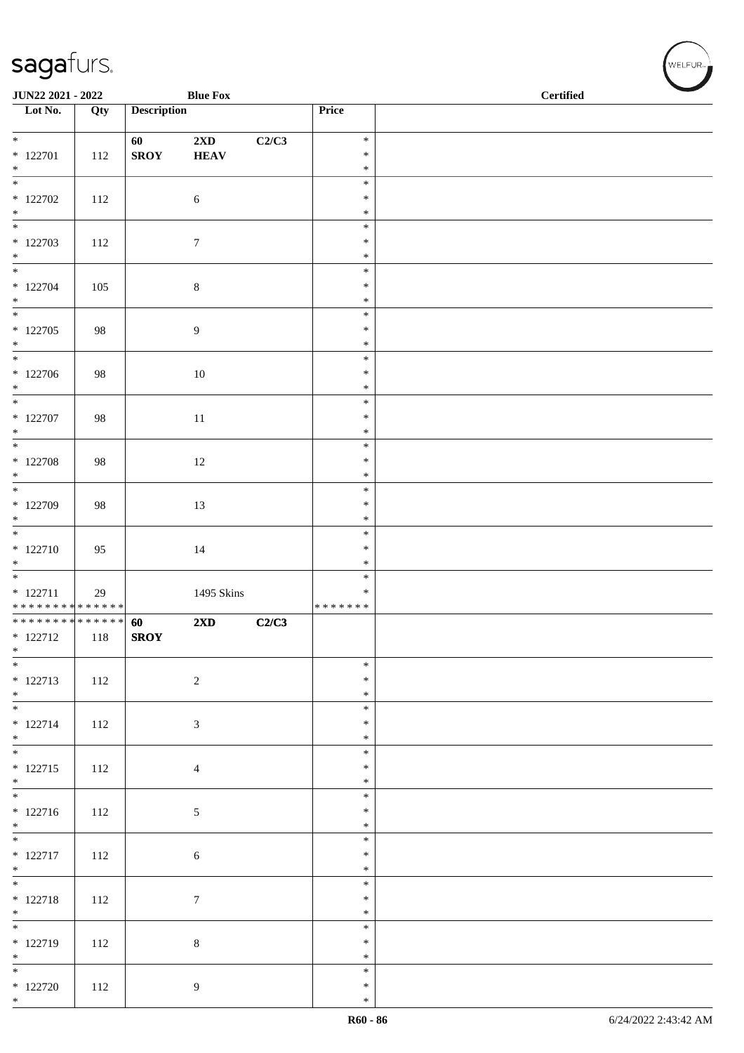| JUN22 2021 - 2022                                     |     |                    | <b>Blue Fox</b>                        |       |                                   | <b>Certified</b> |  |
|-------------------------------------------------------|-----|--------------------|----------------------------------------|-------|-----------------------------------|------------------|--|
| $\overline{\phantom{1}}$ Lot No.                      | Qty | <b>Description</b> |                                        |       | Price                             |                  |  |
| $*$<br>$* 122701$<br>$\ast$                           | 112 | 60<br><b>SROY</b>  | $2\mathbf{X}\mathbf{D}$<br><b>HEAV</b> | C2/C3 | $\ast$<br>$\ast$<br>$\ast$        |                  |  |
| $*122702$<br>$*$                                      | 112 |                    | $\sqrt{6}$                             |       | $\ast$<br>$\ast$<br>$\ast$        |                  |  |
| $*122703$<br>$*$                                      | 112 |                    | $\tau$                                 |       | $\ast$<br>$\ast$<br>$\ast$        |                  |  |
| $* 122704$<br>$*$                                     | 105 |                    | $8\,$                                  |       | $\ast$<br>$\ast$<br>$\ast$        |                  |  |
| $* 122705$<br>$*$                                     | 98  |                    | 9                                      |       | $\ast$<br>$\ast$<br>$\ast$        |                  |  |
| $*$<br>$*122706$<br>$*$                               | 98  |                    | $10\,$                                 |       | $\ast$<br>$\ast$<br>$\ast$        |                  |  |
| $*$<br>$*$ 122707<br>$*$                              | 98  |                    | $11\,$                                 |       | $\ast$<br>$\ast$<br>$\ast$        |                  |  |
| $* 122708$<br>$*$                                     | 98  |                    | 12                                     |       | $\ast$<br>$\ast$<br>$\ast$        |                  |  |
| $\overline{\mathbf{r}}$<br>* 122709<br>$*$            | 98  |                    | 13                                     |       | $\ast$<br>$\ast$<br>$\ast$        |                  |  |
| $* 122710$<br>$\ast$                                  | 95  |                    | 14                                     |       | $\ast$<br>$\ast$<br>$\ast$        |                  |  |
| $* 122711$<br>* * * * * * * * * * * * * *             | 29  |                    | 1495 Skins                             |       | $\ast$<br>$\ast$<br>* * * * * * * |                  |  |
| * * * * * * * * * * * * * * *<br>$* 122712$<br>$\ast$ | 118 | 60<br><b>SROY</b>  | 2XD                                    | C2/C3 |                                   |                  |  |
| $*$<br>$* 122713$<br>$*$                              | 112 |                    | $\sqrt{2}$                             |       | $\ast$<br>$\ast$<br>$\ast$        |                  |  |
| $* 122714$<br>$*$                                     | 112 |                    | $\sqrt{3}$                             |       | $\ast$<br>$\ast$<br>$\ast$        |                  |  |
| $* 122715$<br>$*$                                     | 112 |                    | $\overline{4}$                         |       | $\ast$<br>$\ast$<br>$\ast$        |                  |  |
| $* 122716$<br>$*$                                     | 112 |                    | $\mathfrak{S}$                         |       | $\ast$<br>$\ast$<br>$\ast$        |                  |  |
| $* 122717$<br>$*$                                     | 112 |                    | $\sqrt{6}$                             |       | $\ast$<br>$\ast$<br>$\ast$        |                  |  |
| $*$<br>$* 122718$<br>$*$                              | 112 |                    | $\boldsymbol{7}$                       |       | $\ast$<br>$\ast$<br>$\ast$        |                  |  |
| * 122719<br>$*$                                       | 112 |                    | $\,8\,$                                |       | $\ast$<br>$\ast$<br>$\ast$        |                  |  |
| $*$ 122720<br>$*$                                     | 112 |                    | $\overline{9}$                         |       | $\ast$<br>$\ast$<br>$\ast$        |                  |  |

、<br>WELFUR<sub>™</sub>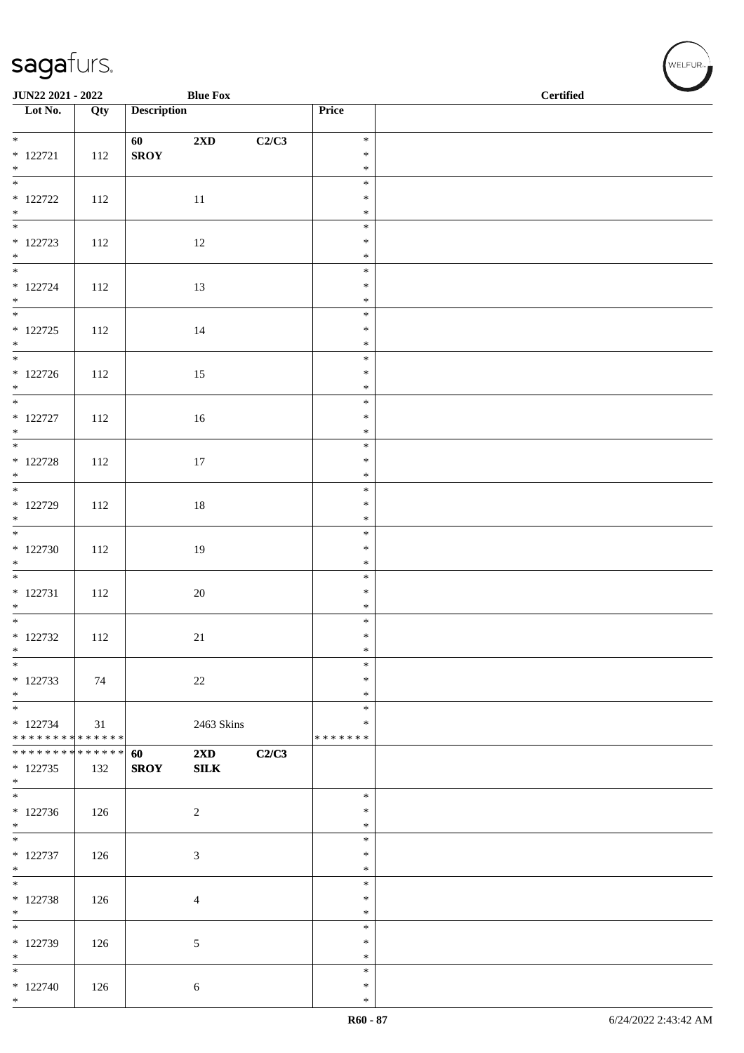| JUN22 2021 - 2022                           |     |                    | <b>Blue Fox</b>                         |       | <b>Certified</b> |  |  |  |  |
|---------------------------------------------|-----|--------------------|-----------------------------------------|-------|------------------|--|--|--|--|
| $\overline{\phantom{1}}$ Lot No.            | Qty | <b>Description</b> |                                         |       | Price            |  |  |  |  |
| $\overline{\ast}$                           |     | 60                 | 2XD                                     | C2/C3 | $\ast$           |  |  |  |  |
| $* 122721$                                  | 112 | <b>SROY</b>        |                                         |       | $\ast$           |  |  |  |  |
| $*$                                         |     |                    |                                         |       | $\ast$           |  |  |  |  |
|                                             |     |                    |                                         |       | $\ast$           |  |  |  |  |
| $*$ 122722                                  | 112 |                    | $11\,$                                  |       | $\ast$<br>$\ast$ |  |  |  |  |
| $*$ $*$                                     |     |                    |                                         |       | $\ast$           |  |  |  |  |
| $* 122723$                                  | 112 |                    | 12                                      |       | $\ast$           |  |  |  |  |
| $*$                                         |     |                    |                                         |       | $\ast$           |  |  |  |  |
| $*$                                         |     |                    |                                         |       | $\ast$           |  |  |  |  |
| $* 122724$<br>$*$                           | 112 |                    | 13                                      |       | $\ast$<br>$\ast$ |  |  |  |  |
|                                             |     |                    |                                         |       | $\ast$           |  |  |  |  |
| $* 122725$                                  | 112 |                    | 14                                      |       | $\ast$           |  |  |  |  |
| $*$                                         |     |                    |                                         |       | $\ast$           |  |  |  |  |
| $* 122726$                                  |     |                    |                                         |       | $\ast$<br>$\ast$ |  |  |  |  |
|                                             | 112 |                    | 15                                      |       | $\ast$           |  |  |  |  |
| $*$ $*$                                     |     |                    |                                         |       | $\ast$           |  |  |  |  |
| $*$ 122727                                  | 112 |                    | $16\,$                                  |       | $\ast$           |  |  |  |  |
| $*$                                         |     |                    |                                         |       | $\ast$           |  |  |  |  |
| $* 122728$                                  | 112 |                    | 17                                      |       | $\ast$<br>$\ast$ |  |  |  |  |
|                                             |     |                    |                                         |       | $\ast$           |  |  |  |  |
| $*$                                         |     |                    |                                         |       | $\ast$           |  |  |  |  |
| $*$ 122729                                  | 112 |                    | $18\,$                                  |       | $\ast$           |  |  |  |  |
| $*$                                         |     |                    |                                         |       | $\ast$<br>$\ast$ |  |  |  |  |
| $*122730$                                   | 112 |                    | 19                                      |       | $\ast$           |  |  |  |  |
| $*$                                         |     |                    |                                         |       | $\ast$           |  |  |  |  |
|                                             |     |                    |                                         |       | $\ast$           |  |  |  |  |
| $* 122731$                                  | 112 |                    | $20\,$                                  |       | $\ast$           |  |  |  |  |
| $*$                                         |     |                    |                                         |       | $\ast$<br>$\ast$ |  |  |  |  |
| $* 122732$                                  | 112 |                    | 21                                      |       | $\ast$           |  |  |  |  |
| $\ast$                                      |     |                    |                                         |       | $\ast$           |  |  |  |  |
| $*$                                         |     |                    |                                         |       | $\ast$           |  |  |  |  |
| $* 122733$<br>$*$                           | 74  |                    | $22\,$                                  |       | $\ast$<br>$\ast$ |  |  |  |  |
| $*$                                         |     |                    |                                         |       | $\ast$           |  |  |  |  |
| $* 122734$                                  | 31  |                    | 2463 Skins                              |       | $\ast$           |  |  |  |  |
| ******** <mark>******</mark>                |     |                    |                                         |       | * * * * * * *    |  |  |  |  |
| * * * * * * * * * * * * * * *<br>$* 122735$ | 132 | 60<br><b>SROY</b>  | $2\mathbf{X}\mathbf{D}$<br>${\bf SILK}$ | C2/C3 |                  |  |  |  |  |
| $\ast$                                      |     |                    |                                         |       |                  |  |  |  |  |
|                                             |     |                    |                                         |       | $\ast$           |  |  |  |  |
| $*122736$                                   | 126 |                    | $\overline{2}$                          |       | $\ast$           |  |  |  |  |
| $*$                                         |     |                    |                                         |       | $\ast$<br>$\ast$ |  |  |  |  |
| $* 122737$                                  | 126 |                    | $\mathfrak{Z}$                          |       | $\ast$           |  |  |  |  |
| $*$                                         |     |                    |                                         |       | $\ast$           |  |  |  |  |
|                                             |     |                    |                                         |       | $\ast$           |  |  |  |  |
| $* 122738$                                  | 126 |                    | $\overline{4}$                          |       | $\ast$           |  |  |  |  |
| $*$                                         |     |                    |                                         |       | $\ast$<br>$\ast$ |  |  |  |  |
| * 122739                                    | 126 |                    | 5                                       |       | $\ast$           |  |  |  |  |
| $*$                                         |     |                    |                                         |       | $\ast$           |  |  |  |  |
| $*$                                         |     |                    |                                         |       | $\ast$           |  |  |  |  |
| $* 122740$<br>$*$                           | 126 |                    | 6                                       |       | $\ast$<br>$\ast$ |  |  |  |  |
|                                             |     |                    |                                         |       |                  |  |  |  |  |

WELFUR<sub><sup>N</sup></sub>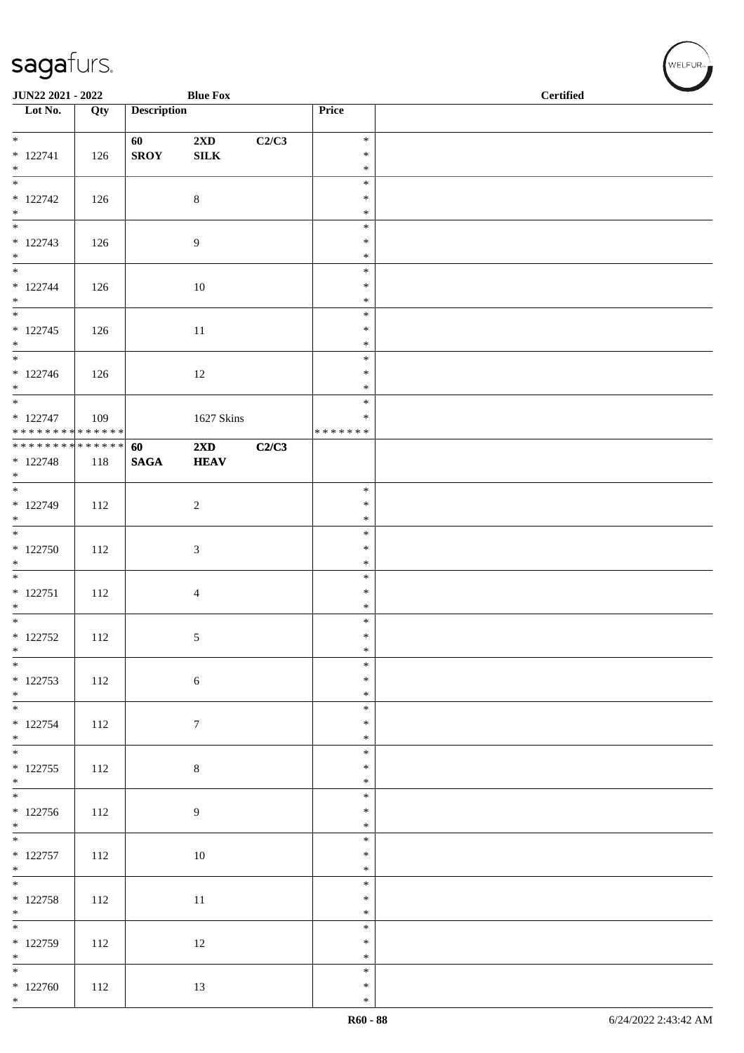| <b>Description</b><br>Price<br>Qty<br>$\ast$<br>$2\mathbf{X}\mathbf{D}$<br>C2/C3<br>60<br><b>SROY</b><br>${\bf SILK}$<br>$\ast$<br>126<br>$\ast$<br>$\frac{1}{1}$<br>$\ast$<br>$* 122742$<br>$\,8\,$<br>$\ast$<br>126<br>$\ast$<br>$\overline{\phantom{0}}$<br>$\ast$<br>$* 122743$<br>$\overline{9}$<br>$\ast$<br>126<br>$\ast$<br>$\ast$<br>$* 122744$<br>$\ast$<br>126<br>10<br>$\ast$<br>$\ast$<br>$* 122745$<br>126<br>$\ast$<br>11<br>$*$<br>$\ast$<br>$\ast$<br>$\ast$<br>12<br>126<br>$*$<br>$\ast$<br>$*$<br>$\ast$<br>1627 Skins<br>$\ast$<br>109<br>* * * * * * * * <mark>* * * * * * *</mark><br>*******<br>**************<br>60<br>$2\mathbf{X}\mathbf{D}$<br>C2/C3<br>$* 122748$<br><b>HEAV</b><br>118<br><b>SAGA</b><br>$\ast$<br>$* 122749$<br>112<br>2<br>$\ast$<br>$\ast$<br>$\ast$<br>$*122750$<br>$\ast$<br>3<br>112<br>$*$<br>$\ast$<br>$\ast$<br>$\ast$<br>112<br>$\overline{4}$<br>$*$<br>$\ast$<br>$\overline{\phantom{0}}$<br>$\ast$<br>$\ast$<br>112<br>$\sqrt{5}$<br>$\ast$<br>$\frac{1}{1}$<br>$\ast$<br>$* 122753$<br>$\ast$<br>112<br>$\sqrt{6}$<br>$*$ $*$<br>$\ast$<br>$\ast$<br>$* 122754$<br>112<br>$\tau$<br>$\ast$<br>$*$<br>$\ast$<br>$\ast$<br>$* 122755$<br>$\,8\,$<br>112<br>$\ast$<br>$*$<br>$\ast$<br>$\ast$<br>112<br>9<br>$\ast$<br>$*$<br>$\ast$<br>$\ast$<br>112<br>10<br>$\ast$<br>$\ast$<br>$\ast$<br>$* 122758$<br>$\ast$<br>112<br>11<br>$\ast$<br>$\ast$<br>$*122759$<br>$\ast$<br>112<br>12<br>$\ast$<br>$\ast$<br>$*122760$<br>112<br>13<br>$\ast$<br>$\ast$ | <b>Blue Fox</b><br><b>JUN22 2021 - 2022</b> |  |  |  | <b>Certified</b> |  |  |
|-------------------------------------------------------------------------------------------------------------------------------------------------------------------------------------------------------------------------------------------------------------------------------------------------------------------------------------------------------------------------------------------------------------------------------------------------------------------------------------------------------------------------------------------------------------------------------------------------------------------------------------------------------------------------------------------------------------------------------------------------------------------------------------------------------------------------------------------------------------------------------------------------------------------------------------------------------------------------------------------------------------------------------------------------------------------------------------------------------------------------------------------------------------------------------------------------------------------------------------------------------------------------------------------------------------------------------------------------------------------------------------------------------------------------------------------------------------------------------------------------------------------|---------------------------------------------|--|--|--|------------------|--|--|
|                                                                                                                                                                                                                                                                                                                                                                                                                                                                                                                                                                                                                                                                                                                                                                                                                                                                                                                                                                                                                                                                                                                                                                                                                                                                                                                                                                                                                                                                                                                   | Lot No.                                     |  |  |  |                  |  |  |
|                                                                                                                                                                                                                                                                                                                                                                                                                                                                                                                                                                                                                                                                                                                                                                                                                                                                                                                                                                                                                                                                                                                                                                                                                                                                                                                                                                                                                                                                                                                   | $*$                                         |  |  |  |                  |  |  |
|                                                                                                                                                                                                                                                                                                                                                                                                                                                                                                                                                                                                                                                                                                                                                                                                                                                                                                                                                                                                                                                                                                                                                                                                                                                                                                                                                                                                                                                                                                                   | $* 122741$                                  |  |  |  |                  |  |  |
|                                                                                                                                                                                                                                                                                                                                                                                                                                                                                                                                                                                                                                                                                                                                                                                                                                                                                                                                                                                                                                                                                                                                                                                                                                                                                                                                                                                                                                                                                                                   | $*$                                         |  |  |  |                  |  |  |
|                                                                                                                                                                                                                                                                                                                                                                                                                                                                                                                                                                                                                                                                                                                                                                                                                                                                                                                                                                                                                                                                                                                                                                                                                                                                                                                                                                                                                                                                                                                   |                                             |  |  |  |                  |  |  |
|                                                                                                                                                                                                                                                                                                                                                                                                                                                                                                                                                                                                                                                                                                                                                                                                                                                                                                                                                                                                                                                                                                                                                                                                                                                                                                                                                                                                                                                                                                                   | $*$                                         |  |  |  |                  |  |  |
|                                                                                                                                                                                                                                                                                                                                                                                                                                                                                                                                                                                                                                                                                                                                                                                                                                                                                                                                                                                                                                                                                                                                                                                                                                                                                                                                                                                                                                                                                                                   |                                             |  |  |  |                  |  |  |
|                                                                                                                                                                                                                                                                                                                                                                                                                                                                                                                                                                                                                                                                                                                                                                                                                                                                                                                                                                                                                                                                                                                                                                                                                                                                                                                                                                                                                                                                                                                   | $*$                                         |  |  |  |                  |  |  |
|                                                                                                                                                                                                                                                                                                                                                                                                                                                                                                                                                                                                                                                                                                                                                                                                                                                                                                                                                                                                                                                                                                                                                                                                                                                                                                                                                                                                                                                                                                                   |                                             |  |  |  |                  |  |  |
|                                                                                                                                                                                                                                                                                                                                                                                                                                                                                                                                                                                                                                                                                                                                                                                                                                                                                                                                                                                                                                                                                                                                                                                                                                                                                                                                                                                                                                                                                                                   | $*$                                         |  |  |  |                  |  |  |
|                                                                                                                                                                                                                                                                                                                                                                                                                                                                                                                                                                                                                                                                                                                                                                                                                                                                                                                                                                                                                                                                                                                                                                                                                                                                                                                                                                                                                                                                                                                   |                                             |  |  |  |                  |  |  |
|                                                                                                                                                                                                                                                                                                                                                                                                                                                                                                                                                                                                                                                                                                                                                                                                                                                                                                                                                                                                                                                                                                                                                                                                                                                                                                                                                                                                                                                                                                                   |                                             |  |  |  |                  |  |  |
|                                                                                                                                                                                                                                                                                                                                                                                                                                                                                                                                                                                                                                                                                                                                                                                                                                                                                                                                                                                                                                                                                                                                                                                                                                                                                                                                                                                                                                                                                                                   | $\overline{\phantom{0}}$                    |  |  |  |                  |  |  |
|                                                                                                                                                                                                                                                                                                                                                                                                                                                                                                                                                                                                                                                                                                                                                                                                                                                                                                                                                                                                                                                                                                                                                                                                                                                                                                                                                                                                                                                                                                                   | $* 122746$                                  |  |  |  |                  |  |  |
|                                                                                                                                                                                                                                                                                                                                                                                                                                                                                                                                                                                                                                                                                                                                                                                                                                                                                                                                                                                                                                                                                                                                                                                                                                                                                                                                                                                                                                                                                                                   |                                             |  |  |  |                  |  |  |
|                                                                                                                                                                                                                                                                                                                                                                                                                                                                                                                                                                                                                                                                                                                                                                                                                                                                                                                                                                                                                                                                                                                                                                                                                                                                                                                                                                                                                                                                                                                   | $* 122747$                                  |  |  |  |                  |  |  |
|                                                                                                                                                                                                                                                                                                                                                                                                                                                                                                                                                                                                                                                                                                                                                                                                                                                                                                                                                                                                                                                                                                                                                                                                                                                                                                                                                                                                                                                                                                                   |                                             |  |  |  |                  |  |  |
|                                                                                                                                                                                                                                                                                                                                                                                                                                                                                                                                                                                                                                                                                                                                                                                                                                                                                                                                                                                                                                                                                                                                                                                                                                                                                                                                                                                                                                                                                                                   |                                             |  |  |  |                  |  |  |
|                                                                                                                                                                                                                                                                                                                                                                                                                                                                                                                                                                                                                                                                                                                                                                                                                                                                                                                                                                                                                                                                                                                                                                                                                                                                                                                                                                                                                                                                                                                   | $*$                                         |  |  |  |                  |  |  |
|                                                                                                                                                                                                                                                                                                                                                                                                                                                                                                                                                                                                                                                                                                                                                                                                                                                                                                                                                                                                                                                                                                                                                                                                                                                                                                                                                                                                                                                                                                                   |                                             |  |  |  |                  |  |  |
|                                                                                                                                                                                                                                                                                                                                                                                                                                                                                                                                                                                                                                                                                                                                                                                                                                                                                                                                                                                                                                                                                                                                                                                                                                                                                                                                                                                                                                                                                                                   | $*$                                         |  |  |  |                  |  |  |
|                                                                                                                                                                                                                                                                                                                                                                                                                                                                                                                                                                                                                                                                                                                                                                                                                                                                                                                                                                                                                                                                                                                                                                                                                                                                                                                                                                                                                                                                                                                   |                                             |  |  |  |                  |  |  |
|                                                                                                                                                                                                                                                                                                                                                                                                                                                                                                                                                                                                                                                                                                                                                                                                                                                                                                                                                                                                                                                                                                                                                                                                                                                                                                                                                                                                                                                                                                                   |                                             |  |  |  |                  |  |  |
|                                                                                                                                                                                                                                                                                                                                                                                                                                                                                                                                                                                                                                                                                                                                                                                                                                                                                                                                                                                                                                                                                                                                                                                                                                                                                                                                                                                                                                                                                                                   |                                             |  |  |  |                  |  |  |
|                                                                                                                                                                                                                                                                                                                                                                                                                                                                                                                                                                                                                                                                                                                                                                                                                                                                                                                                                                                                                                                                                                                                                                                                                                                                                                                                                                                                                                                                                                                   | $* 122751$                                  |  |  |  |                  |  |  |
|                                                                                                                                                                                                                                                                                                                                                                                                                                                                                                                                                                                                                                                                                                                                                                                                                                                                                                                                                                                                                                                                                                                                                                                                                                                                                                                                                                                                                                                                                                                   |                                             |  |  |  |                  |  |  |
|                                                                                                                                                                                                                                                                                                                                                                                                                                                                                                                                                                                                                                                                                                                                                                                                                                                                                                                                                                                                                                                                                                                                                                                                                                                                                                                                                                                                                                                                                                                   | $* 122752$                                  |  |  |  |                  |  |  |
|                                                                                                                                                                                                                                                                                                                                                                                                                                                                                                                                                                                                                                                                                                                                                                                                                                                                                                                                                                                                                                                                                                                                                                                                                                                                                                                                                                                                                                                                                                                   | $*$                                         |  |  |  |                  |  |  |
|                                                                                                                                                                                                                                                                                                                                                                                                                                                                                                                                                                                                                                                                                                                                                                                                                                                                                                                                                                                                                                                                                                                                                                                                                                                                                                                                                                                                                                                                                                                   |                                             |  |  |  |                  |  |  |
|                                                                                                                                                                                                                                                                                                                                                                                                                                                                                                                                                                                                                                                                                                                                                                                                                                                                                                                                                                                                                                                                                                                                                                                                                                                                                                                                                                                                                                                                                                                   |                                             |  |  |  |                  |  |  |
|                                                                                                                                                                                                                                                                                                                                                                                                                                                                                                                                                                                                                                                                                                                                                                                                                                                                                                                                                                                                                                                                                                                                                                                                                                                                                                                                                                                                                                                                                                                   |                                             |  |  |  |                  |  |  |
|                                                                                                                                                                                                                                                                                                                                                                                                                                                                                                                                                                                                                                                                                                                                                                                                                                                                                                                                                                                                                                                                                                                                                                                                                                                                                                                                                                                                                                                                                                                   |                                             |  |  |  |                  |  |  |
|                                                                                                                                                                                                                                                                                                                                                                                                                                                                                                                                                                                                                                                                                                                                                                                                                                                                                                                                                                                                                                                                                                                                                                                                                                                                                                                                                                                                                                                                                                                   |                                             |  |  |  |                  |  |  |
|                                                                                                                                                                                                                                                                                                                                                                                                                                                                                                                                                                                                                                                                                                                                                                                                                                                                                                                                                                                                                                                                                                                                                                                                                                                                                                                                                                                                                                                                                                                   |                                             |  |  |  |                  |  |  |
|                                                                                                                                                                                                                                                                                                                                                                                                                                                                                                                                                                                                                                                                                                                                                                                                                                                                                                                                                                                                                                                                                                                                                                                                                                                                                                                                                                                                                                                                                                                   |                                             |  |  |  |                  |  |  |
|                                                                                                                                                                                                                                                                                                                                                                                                                                                                                                                                                                                                                                                                                                                                                                                                                                                                                                                                                                                                                                                                                                                                                                                                                                                                                                                                                                                                                                                                                                                   | $* 122756$                                  |  |  |  |                  |  |  |
|                                                                                                                                                                                                                                                                                                                                                                                                                                                                                                                                                                                                                                                                                                                                                                                                                                                                                                                                                                                                                                                                                                                                                                                                                                                                                                                                                                                                                                                                                                                   |                                             |  |  |  |                  |  |  |
|                                                                                                                                                                                                                                                                                                                                                                                                                                                                                                                                                                                                                                                                                                                                                                                                                                                                                                                                                                                                                                                                                                                                                                                                                                                                                                                                                                                                                                                                                                                   | $* 122757$                                  |  |  |  |                  |  |  |
|                                                                                                                                                                                                                                                                                                                                                                                                                                                                                                                                                                                                                                                                                                                                                                                                                                                                                                                                                                                                                                                                                                                                                                                                                                                                                                                                                                                                                                                                                                                   | $*$                                         |  |  |  |                  |  |  |
|                                                                                                                                                                                                                                                                                                                                                                                                                                                                                                                                                                                                                                                                                                                                                                                                                                                                                                                                                                                                                                                                                                                                                                                                                                                                                                                                                                                                                                                                                                                   |                                             |  |  |  |                  |  |  |
|                                                                                                                                                                                                                                                                                                                                                                                                                                                                                                                                                                                                                                                                                                                                                                                                                                                                                                                                                                                                                                                                                                                                                                                                                                                                                                                                                                                                                                                                                                                   | $*$                                         |  |  |  |                  |  |  |
|                                                                                                                                                                                                                                                                                                                                                                                                                                                                                                                                                                                                                                                                                                                                                                                                                                                                                                                                                                                                                                                                                                                                                                                                                                                                                                                                                                                                                                                                                                                   |                                             |  |  |  |                  |  |  |
|                                                                                                                                                                                                                                                                                                                                                                                                                                                                                                                                                                                                                                                                                                                                                                                                                                                                                                                                                                                                                                                                                                                                                                                                                                                                                                                                                                                                                                                                                                                   | $*$                                         |  |  |  |                  |  |  |
|                                                                                                                                                                                                                                                                                                                                                                                                                                                                                                                                                                                                                                                                                                                                                                                                                                                                                                                                                                                                                                                                                                                                                                                                                                                                                                                                                                                                                                                                                                                   |                                             |  |  |  |                  |  |  |
|                                                                                                                                                                                                                                                                                                                                                                                                                                                                                                                                                                                                                                                                                                                                                                                                                                                                                                                                                                                                                                                                                                                                                                                                                                                                                                                                                                                                                                                                                                                   | $*$                                         |  |  |  |                  |  |  |

√<br>WELFUR<sub>™</sub>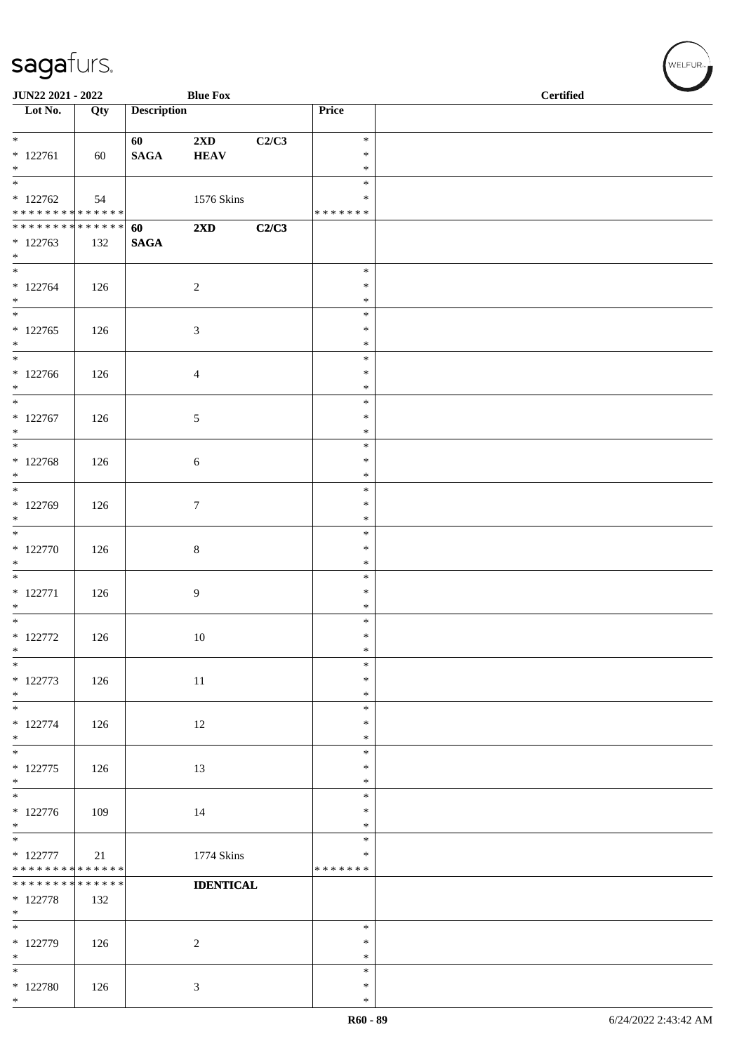| <b>JUN22 2021 - 2022</b>                                       |     |                       | <b>Blue Fox</b>                        |       |                                   | <b>Certified</b> |
|----------------------------------------------------------------|-----|-----------------------|----------------------------------------|-------|-----------------------------------|------------------|
| Lot No.                                                        | Qty | <b>Description</b>    |                                        |       | Price                             |                  |
| $*$<br>$* 122761$<br>$*$                                       | 60  | 60<br>$\mathbf{SAGA}$ | $2\mathbf{X}\mathbf{D}$<br><b>HEAV</b> | C2/C3 | $\ast$<br>$\ast$<br>$\ast$        |                  |
| $*122762$<br>* * * * * * * * * * * * * * *                     | 54  |                       | 1576 Skins                             |       | $\ast$<br>∗<br>* * * * * * *      |                  |
| ******** <mark>******</mark>                                   |     | 60                    | $2\mathbf{X}\mathbf{D}$                | C2/C3 |                                   |                  |
| $*122763$<br>$*$                                               | 132 | <b>SAGA</b>           |                                        |       |                                   |                  |
| $* 122764$<br>$*$                                              | 126 |                       | $\overline{c}$                         |       | $\ast$<br>$\ast$<br>$\ast$        |                  |
| $* 122765$<br>$\ast$                                           | 126 |                       | $\mathfrak{Z}$                         |       | $\ast$<br>$\ast$<br>$\ast$        |                  |
| $*$<br>$* 122766$<br>$*$                                       | 126 |                       | $\overline{4}$                         |       | $\ast$<br>$\ast$<br>$\ast$        |                  |
| $*$<br>$* 122767$<br>$\ast$                                    | 126 |                       | $\sqrt{5}$                             |       | $\ast$<br>$\ast$<br>$\ast$        |                  |
| $* 122768$<br>$*$                                              | 126 |                       | $\sqrt{6}$                             |       | $\ast$<br>$\ast$<br>$\ast$        |                  |
| * 122769<br>$*$                                                | 126 |                       | $\boldsymbol{7}$                       |       | $\ast$<br>$\ast$<br>$\ast$        |                  |
| $* 122770$<br>$*$                                              | 126 |                       | $\,8\,$                                |       | $\ast$<br>$\ast$<br>$\ast$        |                  |
| $* 122771$<br>$*$                                              | 126 |                       | $\overline{9}$                         |       | $\ast$<br>$\ast$<br>$\ast$        |                  |
| $\overline{\phantom{0}}$<br>$* 122772$<br>$\ast$               | 126 |                       | $10\,$                                 |       | $\ast$<br>$\ast$<br>$\ast$        |                  |
| $\ast$<br>$* 122773$<br>$*$                                    | 126 |                       | 11                                     |       | $\ast$<br>$\ast$<br>$\ast$        |                  |
| $*$<br>$* 122774$<br>$*$                                       | 126 |                       | 12                                     |       | $\ast$<br>$\ast$<br>$\ast$        |                  |
| $\overline{\phantom{0}}$<br>$* 122775$<br>$*$                  | 126 |                       | 13                                     |       | $\ast$<br>$\ast$<br>$\ast$        |                  |
| $* 122776$<br>$*$                                              | 109 |                       | 14                                     |       | $\ast$<br>$\ast$<br>$\ast$        |                  |
| $\overline{\ast}$<br>$* 122777$<br>* * * * * * * * * * * * * * | 21  |                       | 1774 Skins                             |       | $\ast$<br>$\ast$<br>* * * * * * * |                  |
| ******** <mark>******</mark><br>$* 122778$<br>$\ast$           | 132 |                       | <b>IDENTICAL</b>                       |       |                                   |                  |
| $*$<br>* 122779<br>$*$                                         | 126 |                       | $\overline{2}$                         |       | $\ast$<br>$\ast$<br>$\ast$        |                  |
| $*$<br>$* 122780$<br>$*$                                       | 126 |                       | $\mathfrak{Z}$                         |       | $\ast$<br>$\ast$<br>$\ast$        |                  |

WELFUR<sub><sup>N</sub></sub></sub></sup>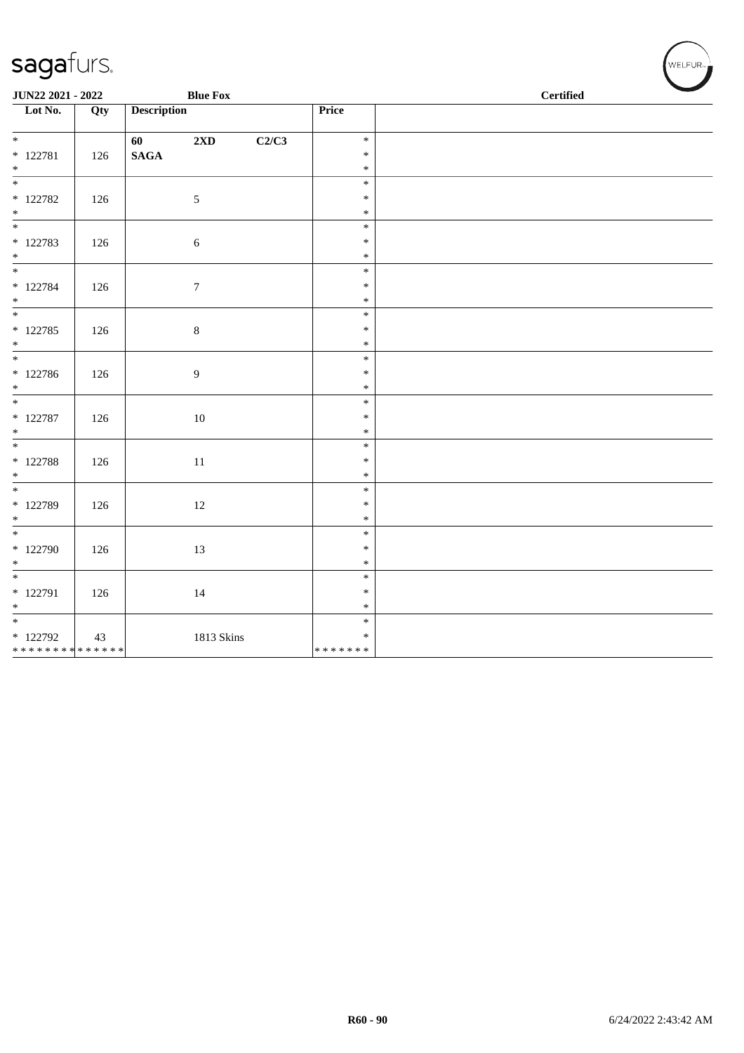| JUN22 2021 - 2022                       |     |                            | <b>Blue Fox</b>  |       | <b>Certified</b>                  |  |  |  |  |
|-----------------------------------------|-----|----------------------------|------------------|-------|-----------------------------------|--|--|--|--|
| $\overline{\phantom{1}}$ Lot No.        | Qty | <b>Description</b>         |                  |       | Price                             |  |  |  |  |
| $* 122781$<br>$*$                       | 126 | 60 — 10<br>$\mathbf{SAGA}$ | 2XD              | C2/C3 | $\ast$<br>$\ast$<br>$\ast$        |  |  |  |  |
| $*$ 122782<br>$*$                       | 126 |                            | $5\phantom{.0}$  |       | $\ast$<br>$\ast$<br>$\ast$        |  |  |  |  |
| $* 122783$<br>$*$                       | 126 |                            | $\sqrt{6}$       |       | $\ast$<br>$\ast$<br>$\ast$        |  |  |  |  |
| * 122784<br>$*$                         | 126 |                            | $\boldsymbol{7}$ |       | $\ast$<br>$\ast$<br>$\ast$        |  |  |  |  |
| $* 122785$<br>$*$                       | 126 |                            | $\,8\,$          |       | $\ast$<br>$\ast$<br>$\ast$        |  |  |  |  |
| $* 122786$<br>$*$                       | 126 |                            | $\boldsymbol{9}$ |       | $\ast$<br>$\ast$<br>$\ast$        |  |  |  |  |
| $\overline{\ast}$<br>$* 122787$<br>$*$  | 126 |                            | $10\,$           |       | $\ast$<br>$\ast$<br>$\ast$        |  |  |  |  |
| * 122788<br>$\ast$                      | 126 |                            | 11               |       | $\ast$<br>$\ast$<br>$\ast$        |  |  |  |  |
| * 122789<br>$*$                         | 126 |                            | $12\,$           |       | $\ast$<br>$\ast$<br>$\ast$        |  |  |  |  |
| $*$<br>$*122790$<br>$*$                 | 126 |                            | 13               |       | $\ast$<br>$\ast$<br>$\ast$        |  |  |  |  |
| $* 122791$<br>$*$                       | 126 |                            | 14               |       | $\ast$<br>$\ast$<br>$\ast$        |  |  |  |  |
| * 122792<br>* * * * * * * * * * * * * * | 43  |                            | 1813 Skins       |       | $\ast$<br>$\ast$<br>* * * * * * * |  |  |  |  |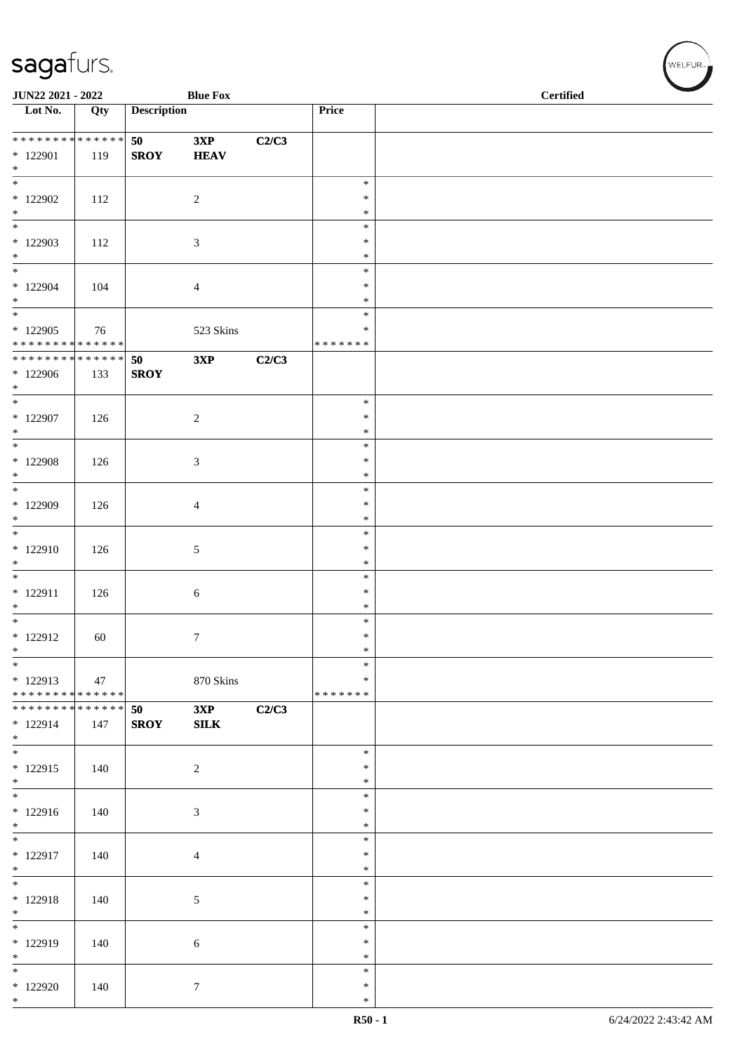| JUN22 2021 - 2022                                                       |     |                    | <b>Blue Fox</b>             |       |                                   | <b>Certified</b> |
|-------------------------------------------------------------------------|-----|--------------------|-----------------------------|-------|-----------------------------------|------------------|
| $\overline{\phantom{1}}$ Lot No.                                        | Qty | <b>Description</b> |                             |       | Price                             |                  |
| ******** <mark>******</mark><br>* 122901<br>$*$                         | 119 | 50<br><b>SROY</b>  | 3XP<br><b>HEAV</b>          | C2/C3 |                                   |                  |
| $*$<br>* 122902<br>$*$                                                  | 112 |                    | $\overline{2}$              |       | $\ast$<br>$\ast$<br>$\ast$        |                  |
| $\overline{\phantom{0}}$<br>$*122903$<br>$*$                            | 112 |                    | $\mathfrak{Z}$              |       | $\ast$<br>∗<br>$\ast$             |                  |
| $\overline{\ast}$<br>* 122904<br>$\ast$<br>$*$                          | 104 |                    | $\overline{4}$              |       | $\ast$<br>$\ast$<br>$\ast$        |                  |
| * 122905<br>* * * * * * * * * * * * * *                                 | 76  |                    | 523 Skins                   |       | $\ast$<br>∗<br>* * * * * * *      |                  |
| ******** <mark>******</mark><br>* 122906<br>$*$                         | 133 | 50<br><b>SROY</b>  | 3XP                         | C2/C3 |                                   |                  |
| $*$<br>$*$ 122907<br>$*$                                                | 126 |                    | $\overline{2}$              |       | $\ast$<br>$\ast$<br>$\ast$        |                  |
| $*$<br>$*$ 122908<br>$*$                                                | 126 |                    | $\mathfrak{Z}$              |       | $\ast$<br>$\ast$<br>$\ast$        |                  |
| $\overline{\phantom{0}}$<br>* 122909<br>$*$                             | 126 |                    | $\overline{4}$              |       | $\ast$<br>∗<br>$\ast$             |                  |
| $\overline{\ast}$<br>$* 122910$<br>$\ast$                               | 126 |                    | $5\,$                       |       | $\ast$<br>$\ast$<br>$\ast$        |                  |
| $\ast$<br>$* 122911$<br>$\ast$                                          | 126 |                    | 6                           |       | $\ast$<br>$\ast$<br>$\ast$        |                  |
| $\overline{\phantom{0}}$<br>$* 122912$<br>$\ast$                        | 60  |                    | $\tau$                      |       | $\ast$<br>$\ast$<br>$\ast$        |                  |
| $\overline{\phantom{a}^*}$<br>$* 122913$<br>* * * * * * * * * * * * * * | 47  |                    | 870 Skins                   |       | $\ast$<br>$\ast$<br>* * * * * * * |                  |
| * * * * * * * * * * * * * *<br>$* 122914$<br>$*$                        | 147 | 50<br><b>SROY</b>  | 3XP<br>SLK                  | C2/C3 |                                   |                  |
| $\ast$<br>$*122915$<br>$*$                                              | 140 |                    | $\overline{c}$              |       | $\ast$<br>∗<br>$\ast$             |                  |
| $\overline{\phantom{0}}$<br>$*122916$<br>$*$                            | 140 |                    | $\boldsymbol{\mathfrak{Z}}$ |       | $\ast$<br>$\ast$<br>$\ast$        |                  |
| $\ast$<br>* 122917<br>$\ast$                                            | 140 |                    | 4                           |       | $\ast$<br>$\ast$<br>$\ast$        |                  |
| $\overline{\phantom{0}}$<br>$* 122918$<br>$\ast$                        | 140 |                    | 5                           |       | $\ast$<br>*<br>$\ast$             |                  |
| $\overline{\phantom{0}}$<br>* 122919<br>$\ast$                          | 140 |                    | $\sqrt{6}$                  |       | $\ast$<br>$\ast$<br>$\ast$        |                  |
| $\ast$<br>$*122920$<br>$*$                                              | 140 |                    | $\tau$                      |       | $\ast$<br>$\ast$<br>$\ast$        |                  |

WELFUR<sub><sup>N</sub></sub></sub></sup>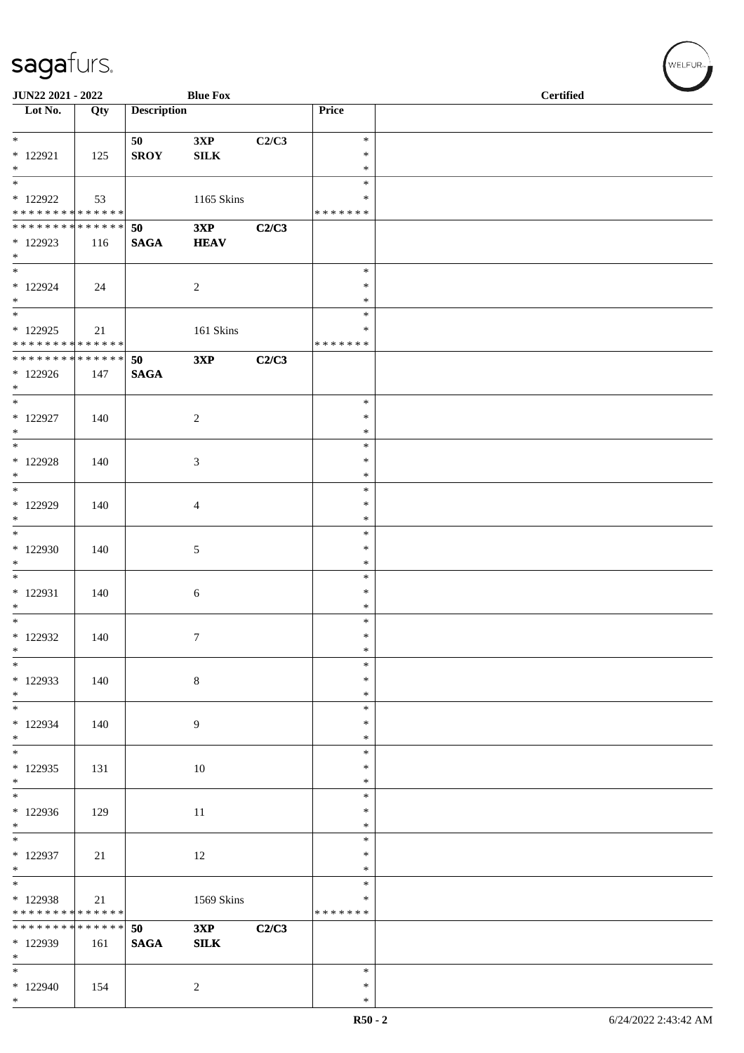| JUN22 2021 - 2022                                             |     |                    | <b>Blue Fox</b>    |       |                         | <b>Certified</b> |
|---------------------------------------------------------------|-----|--------------------|--------------------|-------|-------------------------|------------------|
| Lot No.                                                       | Qty | <b>Description</b> |                    |       | Price                   |                  |
| $*$                                                           |     | 50                 | 3XP                | C2/C3 | $\ast$                  |                  |
| $* 122921$                                                    | 125 | <b>SROY</b>        | ${\bf SILK}$       |       | $\ast$                  |                  |
| $\ast$<br>$\overline{\phantom{0}}$                            |     |                    |                    |       | $\ast$<br>$\ast$        |                  |
| $*$ 122922                                                    | 53  |                    | 1165 Skins         |       | ∗                       |                  |
| * * * * * * * * * * * * * * *<br>******** <mark>******</mark> |     |                    |                    |       | * * * * * * *           |                  |
| $*122923$                                                     | 116 | 50<br><b>SAGA</b>  | 3XP<br><b>HEAV</b> | C2/C3 |                         |                  |
| $*$                                                           |     |                    |                    |       |                         |                  |
| $*$<br>$*122924$                                              | 24  |                    | 2                  |       | $\ast$<br>$\ast$        |                  |
| $*$                                                           |     |                    |                    |       | $\ast$                  |                  |
| * 122925                                                      |     |                    | 161 Skins          |       | $\ast$<br>*             |                  |
| * * * * * * * * * * * * * *                                   | 21  |                    |                    |       | * * * * * * *           |                  |
| * * * * * * * * <mark>* * * * * * *</mark>                    |     | 50                 | 3XP                | C2/C3 |                         |                  |
| $*122926$<br>$*$                                              | 147 | <b>SAGA</b>        |                    |       |                         |                  |
| $*$                                                           |     |                    |                    |       | $\ast$                  |                  |
| * 122927<br>$*$                                               | 140 |                    | 2                  |       | $\ast$<br>$\ast$        |                  |
| $\overline{\ast}$                                             |     |                    |                    |       | $\ast$                  |                  |
| $*$ 122928<br>$*$                                             | 140 |                    | 3                  |       | $\ast$<br>$\ast$        |                  |
| $\overline{\ast}$                                             |     |                    |                    |       | $\ast$                  |                  |
| * 122929                                                      | 140 |                    | $\overline{4}$     |       | $\ast$                  |                  |
| $*$<br>$*$                                                    |     |                    |                    |       | $\ast$<br>$\ast$        |                  |
| * 122930                                                      | 140 |                    | 5                  |       | $\ast$                  |                  |
| $\ast$<br>$*$                                                 |     |                    |                    |       | $\ast$<br>$\ast$        |                  |
| * 122931                                                      | 140 |                    | $\sqrt{6}$         |       | $\ast$                  |                  |
| $\ast$<br>$*$                                                 |     |                    |                    |       | $\ast$<br>$\ast$        |                  |
| $*122932$                                                     | 140 |                    | $\tau$             |       | $\ast$                  |                  |
| $\ast$                                                        |     |                    |                    |       | $\ast$                  |                  |
| $\ast$<br>* 122933                                            | 140 |                    | $\,8\,$            |       | $\ast$<br>$\ast$        |                  |
| $*$                                                           |     |                    |                    |       | $\ast$                  |                  |
| $*$<br>$*122934$                                              | 140 |                    | 9                  |       | $\ast$<br>$\ast$        |                  |
| $*$                                                           |     |                    |                    |       | $\ast$                  |                  |
| $*$<br>$*122935$                                              | 131 |                    |                    |       | $\ast$<br>$\ast$        |                  |
| $*$                                                           |     |                    | $10\,$             |       | $\ast$                  |                  |
| $\overline{\phantom{0}}$                                      |     |                    |                    |       | $\ast$                  |                  |
| * 122936<br>$*$                                               | 129 |                    | 11                 |       | $\ast$<br>$\ast$        |                  |
|                                                               |     |                    |                    |       | $\ast$                  |                  |
| * 122937<br>$\ast$                                            | 21  |                    | $12\,$             |       | $\ast$<br>$\ast$        |                  |
|                                                               |     |                    |                    |       | $\ast$                  |                  |
| $*122938$<br>* * * * * * * * * * * * * *                      | 21  |                    | 1569 Skins         |       | $\ast$<br>* * * * * * * |                  |
| * * * * * * * * * * * * * *                                   |     | 50                 | 3XP                | C2/C3 |                         |                  |
| * 122939                                                      | 161 | $\mathbf{SAGA}$    | ${\bf SILK}$       |       |                         |                  |
| $*$<br>$*$                                                    |     |                    |                    |       | $\ast$                  |                  |
| $*122940$                                                     | 154 |                    | $\sqrt{2}$         |       | $\ast$                  |                  |
| $*$                                                           |     |                    |                    |       | $\ast$                  |                  |

 $(\forall$ ELFUR-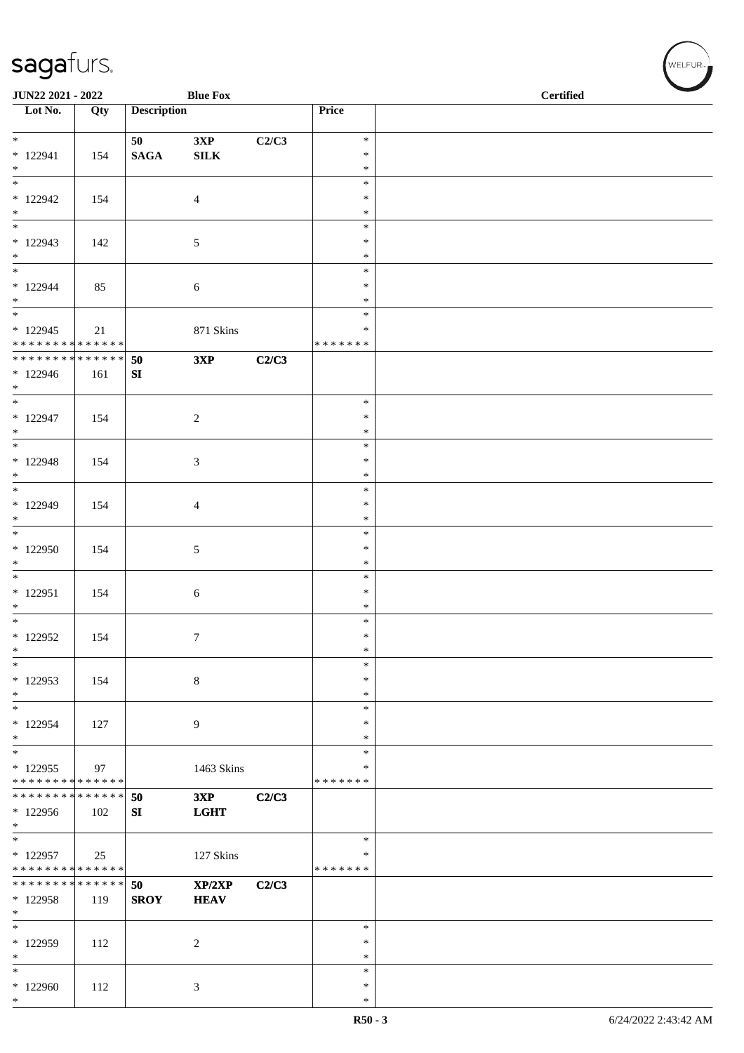| JUN22 2021 - 2022                       |                   |                    | <b>Blue Fox</b> |       |                    | <b>Certified</b> |
|-----------------------------------------|-------------------|--------------------|-----------------|-------|--------------------|------------------|
| $\overline{\phantom{1}}$ Lot No.        | $\overline{Q}$ ty | <b>Description</b> |                 |       | Price              |                  |
| $\overline{\ast}$                       |                   | 50                 | 3XP             | C2/C3 | $\ast$             |                  |
| $* 122941$                              | 154               | <b>SAGA</b>        | ${\bf SILK}$    |       | $\ast$             |                  |
| $*$<br>$\overline{\ast}$                |                   |                    |                 |       | $\ast$<br>$\ast$   |                  |
| $*122942$                               | 154               |                    | $\overline{4}$  |       | $\ast$             |                  |
| $*$<br>$\overline{\phantom{0}}$         |                   |                    |                 |       | $\ast$<br>$\ast$   |                  |
| $*122943$                               | 142               |                    | 5               |       | $\ast$             |                  |
| $*$<br>$\overline{\phantom{0}}$         |                   |                    |                 |       | $\ast$             |                  |
| $*122944$                               | 85                |                    | 6               |       | $\ast$<br>$\ast$   |                  |
| $*$                                     |                   |                    |                 |       | $\ast$             |                  |
| $* 122945$                              |                   |                    |                 |       | $\ast$<br>∗        |                  |
| * * * * * * * * * * * * * *             | 21                |                    | 871 Skins       |       | * * * * * * *      |                  |
| * * * * * * * * * * * * * * *           |                   | 50                 | 3XP             | C2/C3 |                    |                  |
| $*122946$<br>$*$                        | 161               | SI                 |                 |       |                    |                  |
| $*$                                     |                   |                    |                 |       | $\ast$             |                  |
| $* 122947$<br>$*$                       | 154               |                    | $\sqrt{2}$      |       | $\ast$<br>$\ast$   |                  |
| $\overline{\phantom{0}}$                |                   |                    |                 |       | $\ast$             |                  |
| $* 122948$<br>$*$                       | 154               |                    | 3               |       | $\ast$<br>$\ast$   |                  |
| $*$                                     |                   |                    |                 |       | $\ast$             |                  |
| $* 122949$                              | 154               |                    | 4               |       | $\ast$             |                  |
| $*$<br>$\overline{\phantom{0}}$         |                   |                    |                 |       | $\ast$<br>$\ast$   |                  |
| $*122950$                               | 154               |                    | 5               |       | $\ast$             |                  |
| $*$                                     |                   |                    |                 |       | $\ast$<br>$\ast$   |                  |
| $* 122951$                              | 154               |                    | $\sqrt{6}$      |       | $\ast$             |                  |
| $\ast$<br>$*$                           |                   |                    |                 |       | $\ast$<br>$\ast$   |                  |
| $*122952$                               | 154               |                    | 7               |       | $\ast$             |                  |
| $\ast$                                  |                   |                    |                 |       | $\ast$             |                  |
| $\ast$<br>$*122953$                     | 154               |                    | $\,8\,$         |       | $\ast$<br>$\ast$   |                  |
| $*$                                     |                   |                    |                 |       | $\ast$             |                  |
| $*$<br>$*122954$                        | 127               |                    | 9               |       | $\ast$<br>∗        |                  |
| $*$                                     |                   |                    |                 |       | $\ast$             |                  |
| $*$<br>$*122955$                        |                   |                    |                 |       | $\ast$<br>$\ast$   |                  |
| * * * * * * * * * * * * * *             | 97                |                    | 1463 Skins      |       | * * * * * * *      |                  |
| * * * * * * * * * * * * * * *           |                   | 50                 | 3XP             | C2/C3 |                    |                  |
| * 122956<br>$\ast$                      | 102               | SI                 | <b>LGHT</b>     |       |                    |                  |
| $\ast$                                  |                   |                    |                 |       | $\ast$             |                  |
| * 122957<br>* * * * * * * * * * * * * * | 25                |                    | 127 Skins       |       | ∗<br>* * * * * * * |                  |
| * * * * * * * * * * * * * *             |                   | 50                 | XP/2XP          | C2/C3 |                    |                  |
| * 122958<br>$*$                         | 119               | <b>SROY</b>        | <b>HEAV</b>     |       |                    |                  |
| $*$                                     |                   |                    |                 |       | $\ast$             |                  |
| $*122959$                               | 112               |                    | $\overline{c}$  |       | $\ast$             |                  |
| $\ast$<br>$*$                           |                   |                    |                 |       | $\ast$<br>$\ast$   |                  |
| $*122960$                               | 112               |                    | 3               |       | ∗                  |                  |
| $*$                                     |                   |                    |                 |       | $\ast$             |                  |

 $(w$ elfur $_{\approx}$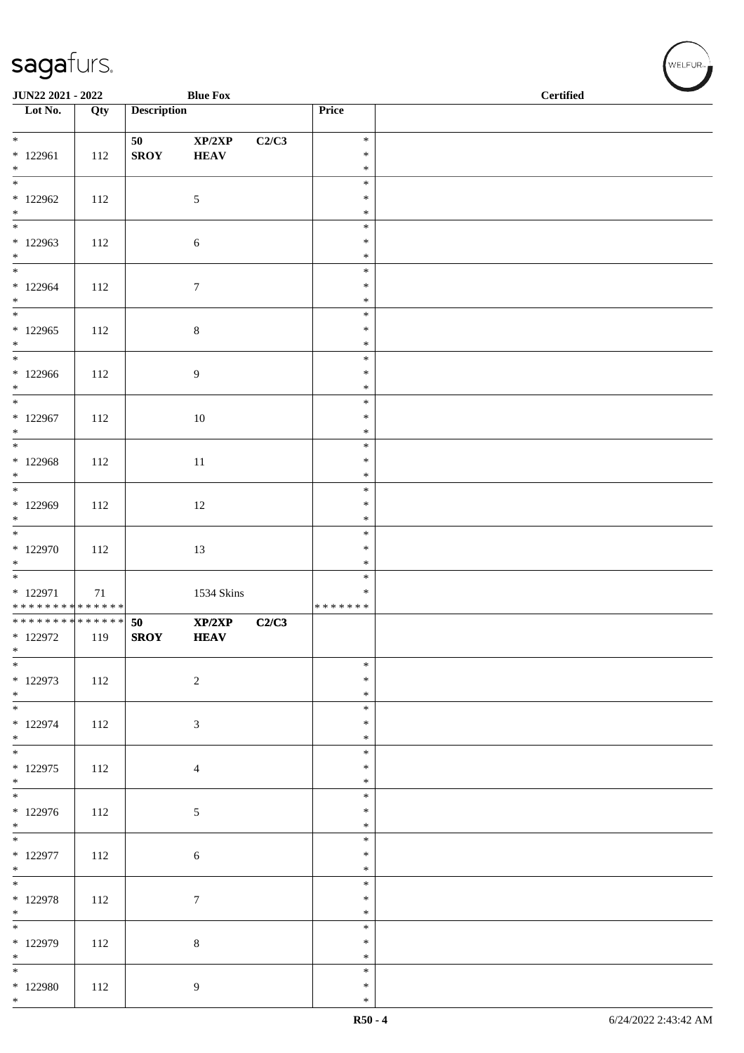| JUN22 2021 - 2022                                    |     |                    | <b>Blue Fox</b>            |       |                                   | <b>Certified</b> |  |
|------------------------------------------------------|-----|--------------------|----------------------------|-------|-----------------------------------|------------------|--|
| Lot No.                                              | Qty | <b>Description</b> |                            |       | Price                             |                  |  |
| $*$                                                  |     | 50                 | $\mathbf{XP}/2\mathbf{XP}$ | C2/C3 | $\ast$                            |                  |  |
| $*122961$<br>$*$                                     | 112 | <b>SROY</b>        | <b>HEAV</b>                |       | $\ast$<br>$\ast$                  |                  |  |
| $\overline{\phantom{0}}$<br>$*122962$<br>$*$         | 112 |                    | 5                          |       | $\ast$<br>$\ast$<br>$\ast$        |                  |  |
| $*122963$<br>$*$                                     | 112 |                    | $\sqrt{6}$                 |       | $\ast$<br>$\ast$<br>$\ast$        |                  |  |
| $*122964$<br>$*$                                     | 112 |                    | $\boldsymbol{7}$           |       | $\ast$<br>$\ast$<br>$\ast$        |                  |  |
| $\overline{\phantom{0}}$<br>$*122965$<br>$*$         | 112 |                    | $\,8\,$                    |       | $\ast$<br>$\ast$<br>$\ast$        |                  |  |
| $*$<br>$*122966$<br>$*$                              | 112 |                    | 9                          |       | $\ast$<br>$\ast$<br>$\ast$        |                  |  |
| * 122967<br>$*$                                      | 112 |                    | $10\,$                     |       | $\ast$<br>$\ast$<br>$\ast$        |                  |  |
| $\overline{\ast}$<br>* 122968<br>$*$                 | 112 |                    | 11                         |       | $\ast$<br>$\ast$<br>$\ast$        |                  |  |
| * 122969<br>$*$                                      | 112 |                    | 12                         |       | $\ast$<br>$\ast$<br>$\ast$        |                  |  |
| $* 122970$<br>$\ast$                                 | 112 |                    | 13                         |       | $\ast$<br>$\ast$<br>$\ast$        |                  |  |
| * 122971<br>* * * * * * * * * * * * * *              | 71  |                    | 1534 Skins                 |       | $\ast$<br>$\ast$<br>* * * * * * * |                  |  |
| * * * * * * * * * * * * * * *<br>$*122972$<br>$\ast$ | 119 | 50<br><b>SROY</b>  | XP/2XP<br><b>HEAV</b>      | C2/C3 |                                   |                  |  |
| $*$<br>* 122973<br>$*$                               | 112 |                    | $\sqrt{2}$                 |       | $\ast$<br>$\ast$<br>$\ast$        |                  |  |
| $\overline{\phantom{0}}$<br>$*122974$<br>$*$         | 112 |                    | $\sqrt{3}$                 |       | $\ast$<br>$\ast$<br>$\ast$        |                  |  |
| $*$<br>$* 122975$<br>$*$                             | 112 |                    | $\overline{4}$             |       | $\ast$<br>$\ast$<br>$\ast$        |                  |  |
| $* 122976$<br>$*$                                    | 112 |                    | $\sqrt{5}$                 |       | $\ast$<br>$\ast$<br>$\ast$        |                  |  |
| $\overline{\phantom{0}}$<br>* 122977<br>$*$          | 112 |                    | $\sqrt{6}$                 |       | $\ast$<br>$\ast$<br>$\ast$        |                  |  |
| $*$<br>* 122978<br>$*$                               | 112 |                    | $\boldsymbol{7}$           |       | $\ast$<br>$\ast$<br>$\ast$        |                  |  |
| * 122979<br>$*$                                      | 112 |                    | $\,8\,$                    |       | $\ast$<br>$\ast$<br>$\ast$        |                  |  |
| $\overline{\phantom{0}}$<br>* 122980<br>$*$          | 112 |                    | $\overline{9}$             |       | $\ast$<br>$\ast$<br>$\ast$        |                  |  |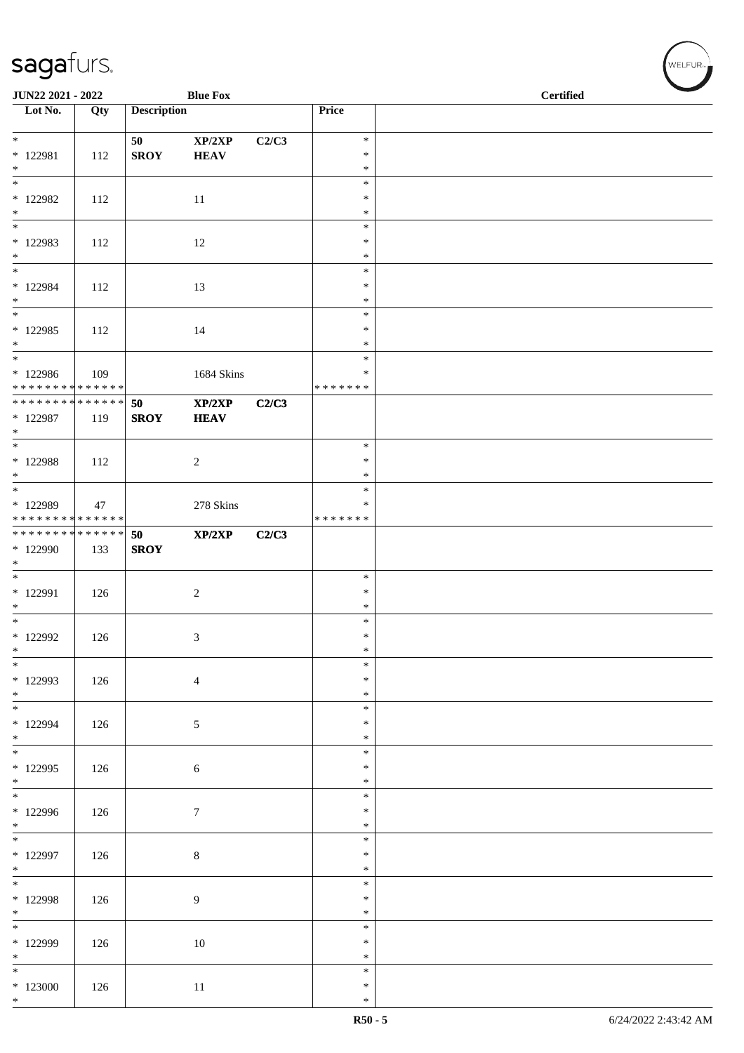| JUN22 2021 - 2022                         |     |                    | <b>Blue Fox</b>       |       |                    | <b>Certified</b> |
|-------------------------------------------|-----|--------------------|-----------------------|-------|--------------------|------------------|
| Lot No.                                   | Qty | <b>Description</b> |                       |       | Price              |                  |
| $*$                                       |     | 50                 | XP/2XP                | C2/C3 | $\ast$             |                  |
| $* 122981$                                | 112 | <b>SROY</b>        | <b>HEAV</b>           |       | $\ast$             |                  |
| $\ast$<br>$\overline{\ast}$               |     |                    |                       |       | $\ast$<br>$\ast$   |                  |
| $*$ 122982                                | 112 |                    | 11                    |       | $\ast$             |                  |
| $*$<br>$\ast$                             |     |                    |                       |       | $\ast$<br>$\ast$   |                  |
| * 122983                                  | 112 |                    | 12                    |       | $\ast$             |                  |
| $*$<br>$*$                                |     |                    |                       |       | $\ast$<br>$\ast$   |                  |
| $* 122984$                                | 112 |                    | 13                    |       | $\ast$             |                  |
| $*$<br>$\overline{\phantom{0}}$           |     |                    |                       |       | $\ast$             |                  |
| $*122985$                                 | 112 |                    | 14                    |       | $\ast$<br>$\ast$   |                  |
| $*$<br>$\overline{\phantom{0}}$           |     |                    |                       |       | $\ast$             |                  |
| $*122986$                                 | 109 |                    | 1684 Skins            |       | $\ast$<br>$\ast$   |                  |
| * * * * * * * * * * * * * *               |     |                    |                       |       | * * * * * * *      |                  |
| * * * * * * * * * * * * * * *<br>* 122987 | 119 | 50<br><b>SROY</b>  | XP/2XP<br><b>HEAV</b> | C2/C3 |                    |                  |
| $*$                                       |     |                    |                       |       |                    |                  |
| $\overline{\phantom{0}}$                  |     |                    |                       |       | $\ast$<br>$\ast$   |                  |
| $*$ 122988<br>$*$                         | 112 |                    | $\overline{c}$        |       | $\ast$             |                  |
| $\overline{\phantom{0}}$                  |     |                    |                       |       | $\ast$             |                  |
| * 122989<br>* * * * * * * * * * * * * *   | 47  |                    | $278~\mathrm{Skins}$  |       | ∗<br>* * * * * * * |                  |
| * * * * * * * * * * * * * * *             |     | 50                 | XP/2XP                | C2/C3 |                    |                  |
| * 122990<br>$\ast$                        | 133 | <b>SROY</b>        |                       |       |                    |                  |
|                                           |     |                    |                       |       | $\ast$             |                  |
| * 122991<br>$\ast$                        | 126 |                    | $\boldsymbol{2}$      |       | $\ast$<br>$\ast$   |                  |
| $\overline{\phantom{0}}$                  |     |                    |                       |       | $\ast$             |                  |
| $*$ 122992<br>$\ast$                      | 126 |                    | 3                     |       | $\ast$<br>$\ast$   |                  |
| $*$                                       |     |                    |                       |       | $\ast$             |                  |
| * 122993<br>$*$                           | 126 |                    | $\overline{4}$        |       | $\ast$<br>$\ast$   |                  |
| $\overline{\ast}$                         |     |                    |                       |       | $\ast$             |                  |
| * 122994                                  | 126 |                    | 5                     |       | $\ast$             |                  |
| $*$<br>$*$                                |     |                    |                       |       | $\ast$<br>$\ast$   |                  |
| * 122995                                  | 126 |                    | 6                     |       | $\ast$             |                  |
| $*$<br>$\overline{\phantom{0}}$           |     |                    |                       |       | $\ast$<br>$\ast$   |                  |
| $*122996$                                 | 126 |                    | $\tau$                |       | $\ast$             |                  |
| $*$<br>$\overline{\phantom{0}}$           |     |                    |                       |       | $\ast$<br>$\ast$   |                  |
| * 122997                                  | 126 |                    | $\,8\,$               |       | $\ast$             |                  |
| $*$<br>$\overline{\phantom{0}}$           |     |                    |                       |       | $\ast$<br>$\ast$   |                  |
| * 122998                                  | 126 |                    | $\overline{9}$        |       | $\ast$             |                  |
| $*$<br>$\overline{\phantom{0}}$           |     |                    |                       |       | $\ast$             |                  |
| * 122999                                  | 126 |                    | 10                    |       | $\ast$<br>$\ast$   |                  |
| $*$                                       |     |                    |                       |       | $\ast$             |                  |
| $*$<br>$*123000$                          | 126 |                    | $11\,$                |       | $\ast$<br>$\ast$   |                  |
| $*$                                       |     |                    |                       |       | $\ast$             |                  |

√<br>WELFUR<sub>™</sub>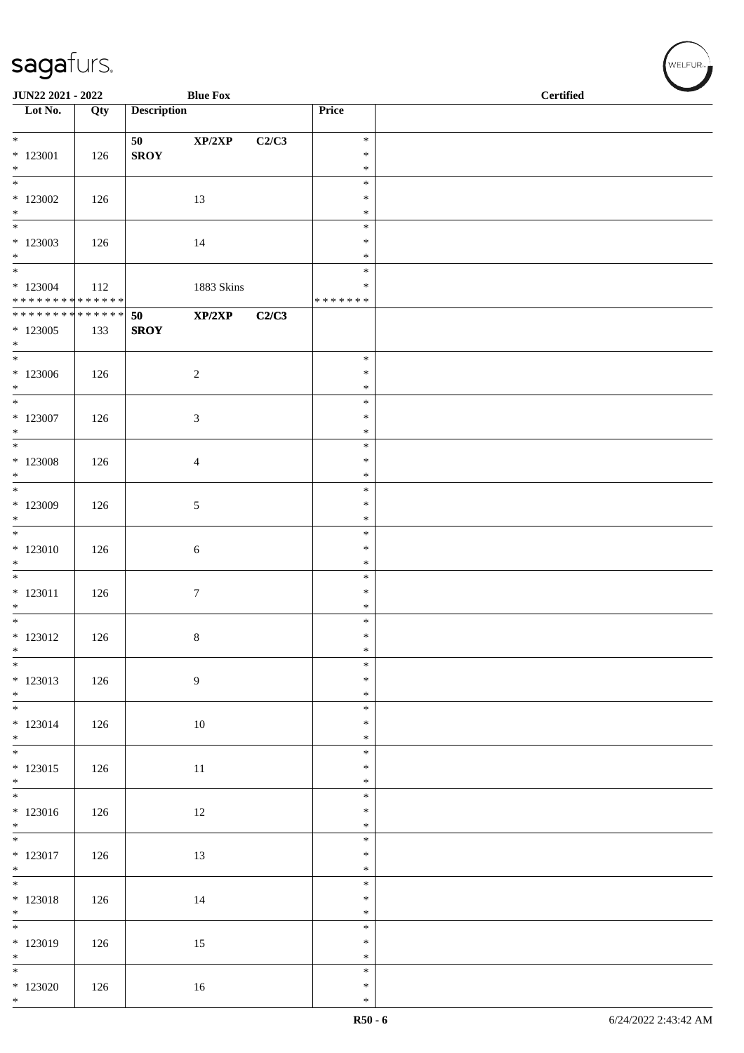| JUN22 2021 - 2022                                       |     |                    | <b>Blue Fox</b>  |       |                  | $\overline{\phantom{0}}$<br><b>Certified</b> |
|---------------------------------------------------------|-----|--------------------|------------------|-------|------------------|----------------------------------------------|
| $\overline{\phantom{1}}$ Lot No.                        | Qty | <b>Description</b> |                  |       | Price            |                                              |
| $*$                                                     |     | 50                 | XP/2XP           | C2/C3 | $\ast$           |                                              |
| * 123001                                                | 126 | <b>SROY</b>        |                  |       | $\ast$           |                                              |
| $*$                                                     |     |                    |                  |       | $\ast$<br>$\ast$ |                                              |
| $*123002$                                               | 126 |                    | 13               |       | $\ast$           |                                              |
| $*$<br>$\overline{\phantom{0}}$                         |     |                    |                  |       | $\ast$<br>$\ast$ |                                              |
| $*123003$                                               | 126 |                    | 14               |       | $\ast$           |                                              |
| $*$                                                     |     |                    |                  |       | $\ast$           |                                              |
| $*123004$                                               | 112 |                    | 1883 Skins       |       | $\ast$<br>$\ast$ |                                              |
| ******** <mark>******</mark>                            |     |                    |                  |       | * * * * * * *    |                                              |
| * * * * * * * * <mark>* * * * * * *</mark><br>$*123005$ | 133 | 50<br><b>SROY</b>  | XP/2XP           | C2/C3 |                  |                                              |
| $*$                                                     |     |                    |                  |       |                  |                                              |
|                                                         |     |                    |                  |       | $\ast$           |                                              |
| $*123006$<br>$*$                                        | 126 |                    | $\overline{c}$   |       | $\ast$<br>$\ast$ |                                              |
| $*$                                                     |     |                    |                  |       | $\ast$           |                                              |
| $*$ 123007<br>$*$                                       | 126 |                    | $\mathfrak{Z}$   |       | $\ast$<br>$\ast$ |                                              |
| $*$                                                     |     |                    |                  |       | $\ast$           |                                              |
| $*123008$                                               | 126 |                    | $\overline{4}$   |       | $\ast$           |                                              |
| $*$                                                     |     |                    |                  |       | $\ast$<br>$\ast$ |                                              |
| $*123009$                                               | 126 |                    | 5                |       | $\ast$           |                                              |
| $*$<br>$*$                                              |     |                    |                  |       | $\ast$<br>$\ast$ |                                              |
| $*123010$                                               | 126 |                    | $\sqrt{6}$       |       | $\ast$           |                                              |
| $*$<br>$*$                                              |     |                    |                  |       | $\ast$           |                                              |
| $* 123011$                                              | 126 |                    | $\boldsymbol{7}$ |       | $\ast$<br>$\ast$ |                                              |
| $*$                                                     |     |                    |                  |       | $\ast$           |                                              |
| $*$<br>$* 123012$                                       | 126 |                    | $8\,$            |       | $\ast$<br>$\ast$ |                                              |
| $\ast$                                                  |     |                    |                  |       | $\ast$           |                                              |
| $\overline{\phantom{0}}$<br>$* 123013$                  |     |                    |                  |       | $\ast$<br>$\ast$ |                                              |
| $*$                                                     | 126 |                    | $\boldsymbol{9}$ |       | $\ast$           |                                              |
| $*$                                                     |     |                    |                  |       | $\ast$           |                                              |
| $* 123014$<br>$*$                                       | 126 |                    | $10\,$           |       | $\ast$<br>$\ast$ |                                              |
|                                                         |     |                    |                  |       | $\ast$           |                                              |
| $* 123015$<br>$*$                                       | 126 |                    | 11               |       | $\ast$<br>$\ast$ |                                              |
|                                                         |     |                    |                  |       | $\ast$           |                                              |
| $* 123016$                                              | 126 |                    | $12\,$           |       | $\ast$           |                                              |
| $*$                                                     |     |                    |                  |       | $\ast$<br>$\ast$ |                                              |
| $* 123017$                                              | 126 |                    | 13               |       | $\ast$           |                                              |
| $*$                                                     |     |                    |                  |       | $\ast$<br>$\ast$ |                                              |
| $* 123018$                                              | 126 |                    | 14               |       | $\ast$           |                                              |
| $*$                                                     |     |                    |                  |       | $\ast$<br>$\ast$ |                                              |
| * 123019                                                | 126 |                    | $15\,$           |       | $\ast$           |                                              |
| $*$                                                     |     |                    |                  |       | $\ast$           |                                              |
| $*$<br>$*123020$                                        | 126 |                    | 16               |       | $\ast$<br>$\ast$ |                                              |
| $\ast$                                                  |     |                    |                  |       | $\ast$           |                                              |

WELFUR<sub><sup>N</sub></sub></sub></sup>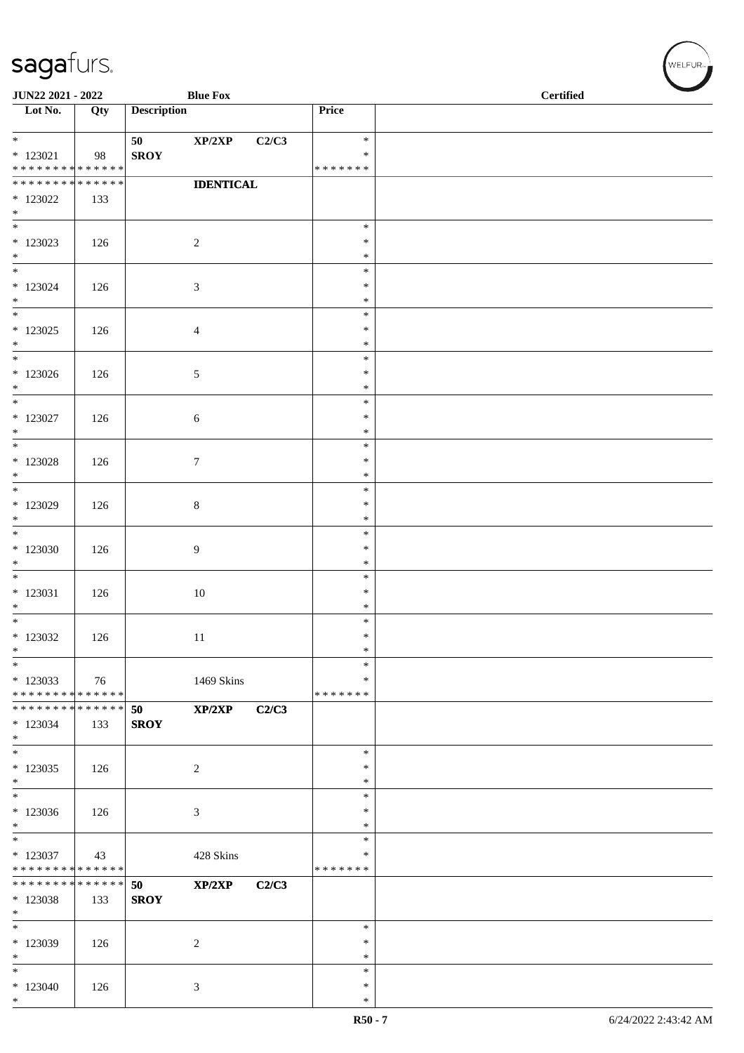| JUN22 2021 - 2022                          |     |                    | <b>Blue Fox</b>  |       |                    | $\operatorname{\bf \mathbf{Certified}}$ |  |  |
|--------------------------------------------|-----|--------------------|------------------|-------|--------------------|-----------------------------------------|--|--|
| $\overline{\phantom{1}}$ Lot No.           | Qty | <b>Description</b> |                  |       | Price              |                                         |  |  |
|                                            |     |                    |                  |       |                    |                                         |  |  |
| $*$                                        |     | 50                 | XP/2XP           | C2/C3 | $\ast$             |                                         |  |  |
| $*$ 123021<br>******** <mark>******</mark> | 98  | <b>SROY</b>        |                  |       | ∗<br>* * * * * * * |                                         |  |  |
| * * * * * * * * * * * * * *                |     |                    | <b>IDENTICAL</b> |       |                    |                                         |  |  |
| $*123022$                                  | 133 |                    |                  |       |                    |                                         |  |  |
| $*$                                        |     |                    |                  |       |                    |                                         |  |  |
|                                            |     |                    |                  |       | $\ast$             |                                         |  |  |
| $*123023$                                  | 126 |                    | $\sqrt{2}$       |       | $\ast$             |                                         |  |  |
| $*$                                        |     |                    |                  |       | $\ast$             |                                         |  |  |
| $*$                                        |     |                    |                  |       | $\ast$             |                                         |  |  |
| $*123024$                                  | 126 |                    | $\mathfrak{Z}$   |       | $\ast$             |                                         |  |  |
| $*$<br>$*$                                 |     |                    |                  |       | $\ast$<br>$\ast$   |                                         |  |  |
| $*123025$                                  | 126 |                    |                  |       | $\ast$             |                                         |  |  |
| $*$                                        |     |                    | $\overline{4}$   |       | $\ast$             |                                         |  |  |
|                                            |     |                    |                  |       | $\ast$             |                                         |  |  |
| $*123026$                                  | 126 |                    | 5                |       | $\ast$             |                                         |  |  |
| $*$                                        |     |                    |                  |       | $\ast$             |                                         |  |  |
| $*$                                        |     |                    |                  |       | $\ast$             |                                         |  |  |
| $*$ 123027                                 | 126 |                    | 6                |       | $\ast$             |                                         |  |  |
| $*$                                        |     |                    |                  |       | $\ast$             |                                         |  |  |
|                                            |     |                    |                  |       | $\ast$             |                                         |  |  |
| $*$ 123028<br>$*$                          | 126 |                    | $\boldsymbol{7}$ |       | $\ast$<br>$\ast$   |                                         |  |  |
|                                            |     |                    |                  |       | $\ast$             |                                         |  |  |
| * 123029                                   | 126 |                    | $8\,$            |       | $\ast$             |                                         |  |  |
| $*$                                        |     |                    |                  |       | $\ast$             |                                         |  |  |
|                                            |     |                    |                  |       | $\ast$             |                                         |  |  |
| $*123030$                                  | 126 |                    | 9                |       | $\ast$             |                                         |  |  |
| $\ast$                                     |     |                    |                  |       | $\ast$             |                                         |  |  |
| $*$                                        |     |                    |                  |       | $\ast$             |                                         |  |  |
| $*$ 123031                                 | 126 |                    | 10               |       | $\ast$             |                                         |  |  |
| $*$                                        |     |                    |                  |       | $\ast$             |                                         |  |  |
| $*$                                        |     |                    |                  |       | $\ast$<br>$\ast$   |                                         |  |  |
| $*123032$<br>$\ast$                        | 126 |                    | 11               |       | $*$                |                                         |  |  |
| $\ast$                                     |     |                    |                  |       | $\ast$             |                                         |  |  |
| $*123033$                                  | 76  |                    | 1469 Skins       |       | ∗                  |                                         |  |  |
| * * * * * * * * * * * * * * *              |     |                    |                  |       | * * * * * * *      |                                         |  |  |
| * * * * * * * * <mark>* * * * * * *</mark> |     | 50                 | XP/2XP           | C2/C3 |                    |                                         |  |  |
| $*123034$                                  | 133 | <b>SROY</b>        |                  |       |                    |                                         |  |  |
| $*$                                        |     |                    |                  |       |                    |                                         |  |  |
| $*$                                        |     |                    |                  |       | $\ast$             |                                         |  |  |
| $*123035$                                  | 126 |                    | 2                |       | $\ast$             |                                         |  |  |
| $*$                                        |     |                    |                  |       | $\ast$<br>$\ast$   |                                         |  |  |
| $*123036$                                  | 126 |                    | $\mathfrak{Z}$   |       | ∗                  |                                         |  |  |
| $*$                                        |     |                    |                  |       | $\ast$             |                                         |  |  |
|                                            |     |                    |                  |       | $\ast$             |                                         |  |  |
| $*123037$                                  | 43  |                    | 428 Skins        |       | *                  |                                         |  |  |
| * * * * * * * * * * * * * * *              |     |                    |                  |       | * * * * * * *      |                                         |  |  |
| * * * * * * * * * * * * * * *              |     | 50                 | XP/2XP           | C2/C3 |                    |                                         |  |  |
| * 123038                                   | 133 | <b>SROY</b>        |                  |       |                    |                                         |  |  |
| $*$                                        |     |                    |                  |       |                    |                                         |  |  |
| $*$                                        |     |                    |                  |       | $\ast$<br>∗        |                                         |  |  |
| * 123039<br>$*$                            | 126 |                    | 2                |       | $\ast$             |                                         |  |  |
| $*$                                        |     |                    |                  |       | $\ast$             |                                         |  |  |
| $*123040$                                  | 126 |                    | 3                |       | $\ast$             |                                         |  |  |
| $*$                                        |     |                    |                  |       | $\ast$             |                                         |  |  |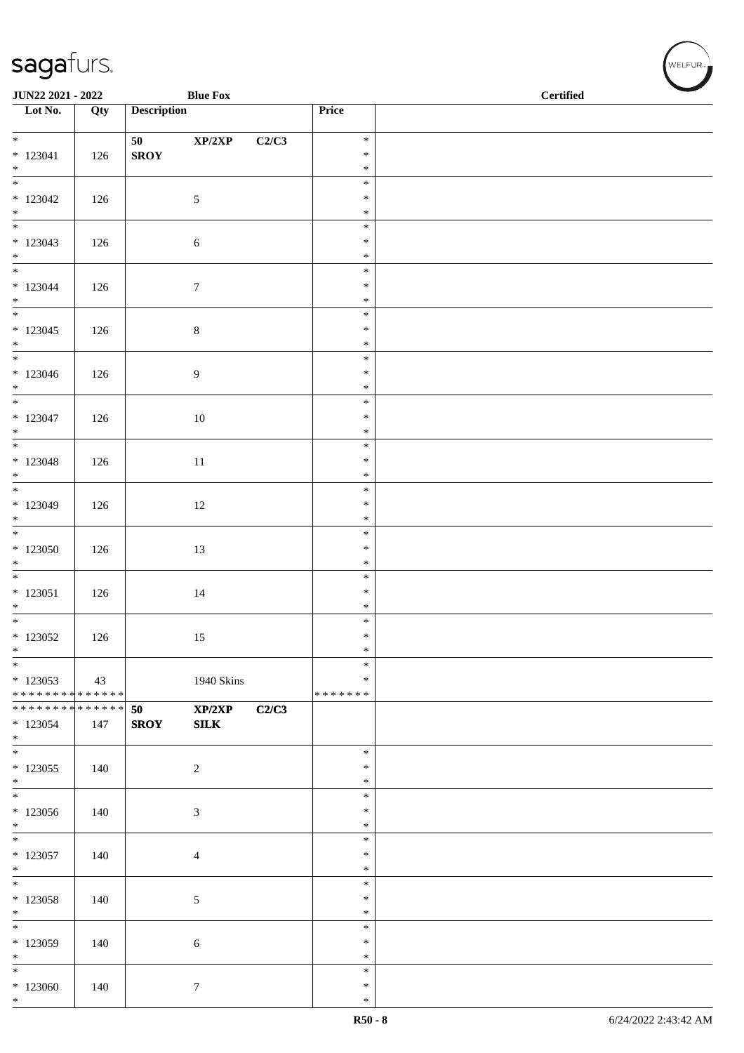| <b>JUN22 2021 - 2022</b>                                |     |                    | <b>Blue Fox</b>  |       |                  | <b>Certified</b> |  |  |
|---------------------------------------------------------|-----|--------------------|------------------|-------|------------------|------------------|--|--|
| $\overline{\phantom{1}}$ Lot No.                        | Qty | <b>Description</b> |                  |       | Price            |                  |  |  |
|                                                         |     |                    |                  |       |                  |                  |  |  |
|                                                         |     | 50 - 10            | XP/2XP           | C2/C3 | $\ast$           |                  |  |  |
| $* 123041$                                              | 126 | <b>SROY</b>        |                  |       | $\ast$           |                  |  |  |
| $*$<br>$\overline{\phantom{0}}$                         |     |                    |                  |       | $\ast$<br>$\ast$ |                  |  |  |
| $*123042$                                               | 126 |                    | 5                |       | $\ast$           |                  |  |  |
| $*$                                                     |     |                    |                  |       | $\ast$           |                  |  |  |
|                                                         |     |                    |                  |       | $\ast$           |                  |  |  |
| $*123043$                                               | 126 |                    | $\sqrt{6}$       |       | $\ast$           |                  |  |  |
| $*$                                                     |     |                    |                  |       | $\ast$           |                  |  |  |
|                                                         |     |                    |                  |       | $\ast$<br>$\ast$ |                  |  |  |
| $*123044$<br>$*$                                        | 126 |                    | $\boldsymbol{7}$ |       | $\ast$           |                  |  |  |
|                                                         |     |                    |                  |       | $\ast$           |                  |  |  |
| $*123045$                                               | 126 |                    | $\,8\,$          |       | $\ast$           |                  |  |  |
| $*$                                                     |     |                    |                  |       | $\ast$           |                  |  |  |
| $*$                                                     |     |                    |                  |       | $\ast$           |                  |  |  |
| $*123046$<br>$*$                                        | 126 |                    | 9                |       | $\ast$<br>$\ast$ |                  |  |  |
|                                                         |     |                    |                  |       | $\ast$           |                  |  |  |
| $*123047$                                               | 126 |                    | $10\,$           |       | $\ast$           |                  |  |  |
| $*$                                                     |     |                    |                  |       | $\ast$           |                  |  |  |
|                                                         |     |                    |                  |       | $\ast$           |                  |  |  |
| $* 123048$                                              | 126 |                    | 11               |       | $\ast$           |                  |  |  |
| $*$                                                     |     |                    |                  |       | $\ast$<br>$\ast$ |                  |  |  |
| $*123049$                                               | 126 |                    | 12               |       | $\ast$           |                  |  |  |
| $*$                                                     |     |                    |                  |       | $\ast$           |                  |  |  |
|                                                         |     |                    |                  |       | $\ast$           |                  |  |  |
| $*123050$                                               | 126 |                    | 13               |       | $\ast$           |                  |  |  |
| $*$                                                     |     |                    |                  |       | $\ast$           |                  |  |  |
| $* 123051$                                              | 126 |                    |                  |       | $\ast$<br>$\ast$ |                  |  |  |
| $*$                                                     |     |                    | 14               |       | $\ast$           |                  |  |  |
| $*$                                                     |     |                    |                  |       | $\ast$           |                  |  |  |
| $*123052$                                               | 126 |                    | 15               |       | $\ast$           |                  |  |  |
| $\ast$                                                  |     |                    |                  |       | $\ast$           |                  |  |  |
| $*$                                                     |     |                    |                  |       | $\ast$<br>$\ast$ |                  |  |  |
| $*123053$<br>* * * * * * * * <mark>* * * * * * *</mark> | 43  |                    | 1940 Skins       |       | * * * * * * *    |                  |  |  |
| ******** <mark>******</mark>                            |     | 50                 | XP/2XP           | C2/C3 |                  |                  |  |  |
| $*123054$                                               | 147 | <b>SROY</b>        | ${\bf SILK}$     |       |                  |                  |  |  |
| $*$                                                     |     |                    |                  |       |                  |                  |  |  |
| $*$                                                     |     |                    |                  |       | $\ast$           |                  |  |  |
| $*123055$<br>$*$                                        | 140 |                    | $\sqrt{2}$       |       | $\ast$<br>$\ast$ |                  |  |  |
| $*$                                                     |     |                    |                  |       | $\ast$           |                  |  |  |
| $*123056$                                               | 140 |                    | $\mathfrak{Z}$   |       | $\ast$           |                  |  |  |
| $\ast$                                                  |     |                    |                  |       | $\ast$           |                  |  |  |
| $\overline{\phantom{0}}$                                |     |                    |                  |       | $\ast$           |                  |  |  |
| $*123057$                                               | 140 |                    | $\overline{4}$   |       | ∗                |                  |  |  |
| $*$<br>$*$                                              |     |                    |                  |       | $\ast$<br>$\ast$ |                  |  |  |
| $*123058$                                               | 140 |                    | $\sqrt{5}$       |       | $\ast$           |                  |  |  |
| $*$                                                     |     |                    |                  |       | $\ast$           |                  |  |  |
| $\ast$                                                  |     |                    |                  |       | $\ast$           |                  |  |  |
| $*123059$                                               | 140 |                    | 6                |       | $\ast$           |                  |  |  |
| $*$<br>$*$                                              |     |                    |                  |       | $\ast$<br>$\ast$ |                  |  |  |
| $*123060$                                               | 140 |                    | $\tau$           |       | $\ast$           |                  |  |  |
| $*$                                                     |     |                    |                  |       | $\ast$           |                  |  |  |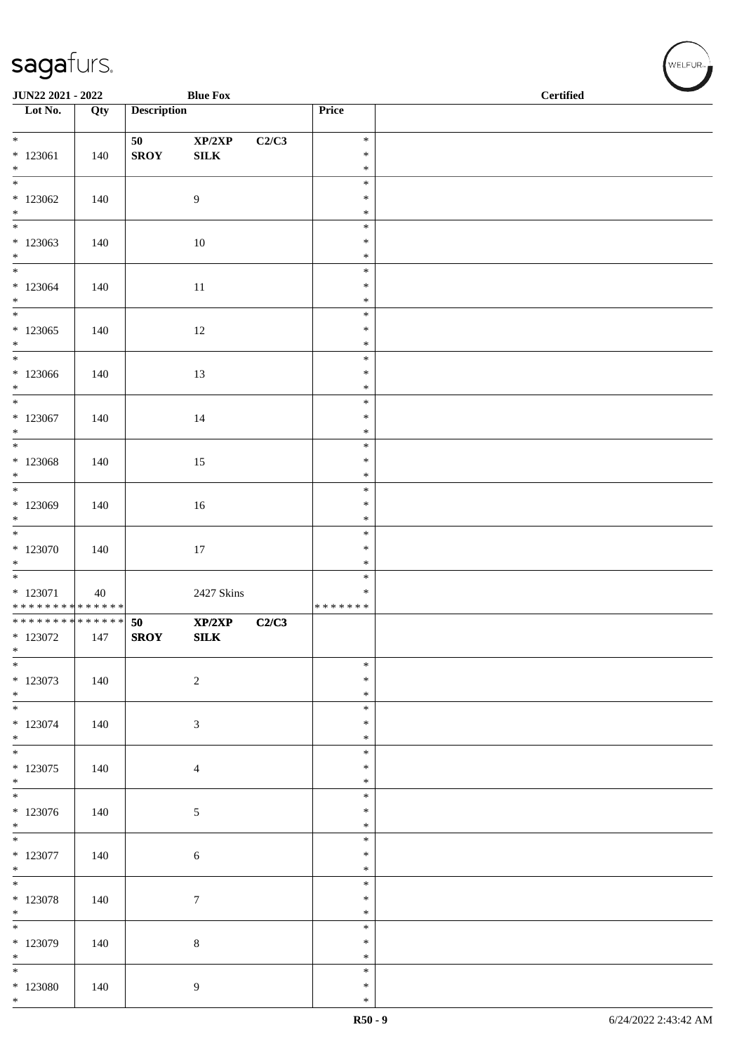| <b>JUN22 2021 - 2022</b>                                          |     |                    | <b>Blue Fox</b>        |       |                                      | <b>Certified</b> |  |  |  |
|-------------------------------------------------------------------|-----|--------------------|------------------------|-------|--------------------------------------|------------------|--|--|--|
| Lot No.                                                           | Qty | <b>Description</b> |                        |       | Price                                |                  |  |  |  |
| $*$<br>$*123061$<br>$*$                                           | 140 | 50<br><b>SROY</b>  | XP/2XP<br>${\bf SILK}$ | C2/C3 | $\ast$<br>$\ast$<br>$\ast$           |                  |  |  |  |
| $\overline{\phantom{0}}$<br>$*123062$                             | 140 |                    | 9                      |       | $\ast$<br>$\ast$                     |                  |  |  |  |
| $*$<br>$\overline{\phantom{0}}$<br>$*123063$<br>$*$               | 140 |                    | $10\,$                 |       | $\ast$<br>$\ast$<br>$\ast$<br>$\ast$ |                  |  |  |  |
| $\overline{\ast}$<br>$*123064$<br>$*$                             | 140 |                    | 11                     |       | $\ast$<br>$\ast$<br>$\ast$           |                  |  |  |  |
| $*123065$<br>$\ast$                                               | 140 |                    | 12                     |       | $\ast$<br>$\ast$<br>$\ast$           |                  |  |  |  |
| $*123066$<br>$*$                                                  | 140 |                    | 13                     |       | $\ast$<br>$\ast$<br>$\ast$           |                  |  |  |  |
| $*$<br>$*123067$<br>$\ast$                                        | 140 |                    | 14                     |       | $\ast$<br>$\ast$<br>$\ast$           |                  |  |  |  |
| * 123068<br>$*$                                                   | 140 |                    | 15                     |       | $\ast$<br>$\ast$<br>$\ast$           |                  |  |  |  |
| * 123069<br>$*$                                                   | 140 |                    | $16\,$                 |       | $\ast$<br>$\ast$<br>$\ast$           |                  |  |  |  |
| $*123070$<br>$*$                                                  | 140 |                    | 17                     |       | $\ast$<br>$\ast$<br>$\ast$           |                  |  |  |  |
| * 123071<br>******** <mark>******</mark>                          | 40  |                    | 2427 Skins             |       | $\ast$<br>$\ast$<br>* * * * * * *    |                  |  |  |  |
| * * * * * * * * * * * * * * <mark>*</mark><br>$*123072$<br>$\ast$ | 147 | 50<br><b>SROY</b>  | XP/2XP<br>${\bf SILK}$ | C2/C3 |                                      |                  |  |  |  |
| $*$<br>$*123073$<br>$*$                                           | 140 |                    | $\overline{2}$         |       | $\ast$<br>$\ast$<br>$\ast$           |                  |  |  |  |
| $*$<br>$*123074$<br>$*$                                           | 140 |                    | $\mathfrak{Z}$         |       | $\ast$<br>$\ast$<br>$\ast$           |                  |  |  |  |
| $*$<br>$*123075$<br>$*$                                           | 140 |                    | $\overline{4}$         |       | $\ast$<br>$\ast$<br>$\ast$           |                  |  |  |  |
| $*$<br>$*123076$<br>$*$                                           | 140 |                    | $\mathfrak{S}$         |       | $\ast$<br>$\ast$<br>$\ast$           |                  |  |  |  |
| $*$ 123077<br>$*$                                                 | 140 |                    | $\sqrt{6}$             |       | $\ast$<br>$\ast$<br>$\ast$           |                  |  |  |  |
| $*$<br>$* 123078$<br>$*$                                          | 140 |                    | $\boldsymbol{7}$       |       | $\ast$<br>$\ast$<br>$\ast$           |                  |  |  |  |
| $\overline{\phantom{0}}$<br>$*123079$<br>$\ast$                   | 140 |                    | $\,8\,$                |       | $\ast$<br>$\ast$<br>$\ast$           |                  |  |  |  |
| $*$<br>$*123080$<br>$\ast$                                        | 140 |                    | 9                      |       | $\ast$<br>$\ast$<br>$\ast$           |                  |  |  |  |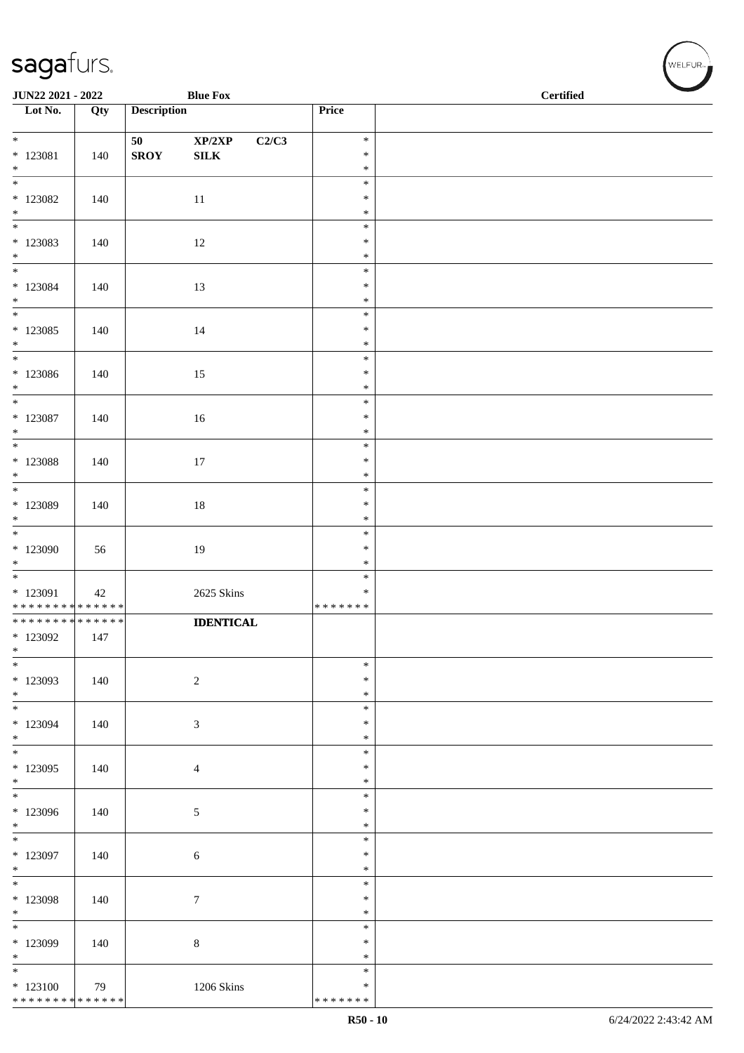| JUN22 2021 - 2022                       |     |                    | <b>Blue Fox</b>  |                         | <b>Certified</b> |  |  |  |
|-----------------------------------------|-----|--------------------|------------------|-------------------------|------------------|--|--|--|
| Lot No.                                 | Qty | <b>Description</b> |                  | Price                   |                  |  |  |  |
| $\overline{\ast}$                       |     | 50                 | XP/2XP<br>C2/C3  | $\ast$                  |                  |  |  |  |
| $* 123081$                              | 140 | <b>SROY</b>        | ${\bf SILK}$     | $\ast$                  |                  |  |  |  |
| $*$<br>$\overline{\phantom{0}}$         |     |                    |                  | $\ast$                  |                  |  |  |  |
| $*$ 123082                              | 140 |                    | 11               | $\ast$<br>$\ast$        |                  |  |  |  |
| $*$                                     |     |                    |                  | $\ast$                  |                  |  |  |  |
| $\overline{\phantom{0}}$                |     |                    |                  | $\ast$                  |                  |  |  |  |
| $*123083$<br>$\ast$                     | 140 |                    | 12               | $\ast$<br>$\ast$        |                  |  |  |  |
|                                         |     |                    |                  | $\ast$                  |                  |  |  |  |
| $*$ 123084<br>$*$                       | 140 |                    | 13               | $\ast$<br>$\ast$        |                  |  |  |  |
| $\overline{\phantom{0}}$                |     |                    |                  | $\ast$                  |                  |  |  |  |
| $*123085$                               | 140 |                    | 14               | $\ast$                  |                  |  |  |  |
| $*$<br>$\overline{\phantom{0}}$         |     |                    |                  | $\ast$<br>$\ast$        |                  |  |  |  |
| $*123086$                               | 140 |                    | 15               | $\ast$                  |                  |  |  |  |
| $*$<br>$*$                              |     |                    |                  | $\ast$<br>$\ast$        |                  |  |  |  |
| $*$ 123087                              | 140 |                    | 16               | $\ast$                  |                  |  |  |  |
| $*$                                     |     |                    |                  | $\ast$                  |                  |  |  |  |
| $*$ 123088                              | 140 |                    | 17               | $\ast$<br>$\ast$        |                  |  |  |  |
| $*$                                     |     |                    |                  | $\ast$                  |                  |  |  |  |
| * 123089                                |     |                    |                  | $\ast$<br>$\ast$        |                  |  |  |  |
| $\ast$                                  | 140 |                    | $18\,$           | $\ast$                  |                  |  |  |  |
|                                         |     |                    |                  | $\ast$                  |                  |  |  |  |
| * 123090<br>$\ast$                      | 56  |                    | 19               | $\ast$<br>$\ast$        |                  |  |  |  |
|                                         |     |                    |                  | $\ast$                  |                  |  |  |  |
| * 123091<br>* * * * * * * * * * * * * * | 42  |                    | 2625 Skins       | $\ast$<br>* * * * * * * |                  |  |  |  |
| ******** <mark>******</mark>            |     |                    | <b>IDENTICAL</b> |                         |                  |  |  |  |
| * 123092                                | 147 |                    |                  |                         |                  |  |  |  |
| $\ast$<br>$\ast$                        |     |                    |                  | $\ast$                  |                  |  |  |  |
| * 123093                                | 140 |                    | $\boldsymbol{2}$ | $\ast$                  |                  |  |  |  |
| $*$                                     |     |                    |                  | $\ast$                  |                  |  |  |  |
| $*$<br>$*123094$                        | 140 |                    | 3                | $\ast$<br>$\ast$        |                  |  |  |  |
| $*$                                     |     |                    |                  | $\ast$                  |                  |  |  |  |
| $\ast$<br>* 123095                      | 140 |                    | $\overline{4}$   | $\ast$<br>$\ast$        |                  |  |  |  |
| $*$                                     |     |                    |                  | $\ast$                  |                  |  |  |  |
| $\overline{\phantom{0}}$                |     |                    |                  | $\ast$                  |                  |  |  |  |
| $*123096$<br>$*$                        | 140 |                    | $\sqrt{5}$       | $\ast$<br>$\ast$        |                  |  |  |  |
| $\overline{\phantom{0}}$                |     |                    |                  | $\ast$                  |                  |  |  |  |
| * 123097<br>$*$                         | 140 |                    | 6                | $\ast$<br>$\ast$        |                  |  |  |  |
| $*$                                     |     |                    |                  | $\ast$                  |                  |  |  |  |
| * 123098                                | 140 |                    | $\boldsymbol{7}$ | $\ast$                  |                  |  |  |  |
| $*$<br>$\overline{\ast}$                |     |                    |                  | $\ast$<br>$\ast$        |                  |  |  |  |
| * 123099                                | 140 |                    | $\,8\,$          | $\ast$                  |                  |  |  |  |
| $*$                                     |     |                    |                  | $\ast$                  |                  |  |  |  |
| $*$<br>$*123100$                        | 79  |                    | 1206 Skins       | $\ast$<br>$\ast$        |                  |  |  |  |
| * * * * * * * * * * * * * * *           |     |                    |                  | * * * * * * *           |                  |  |  |  |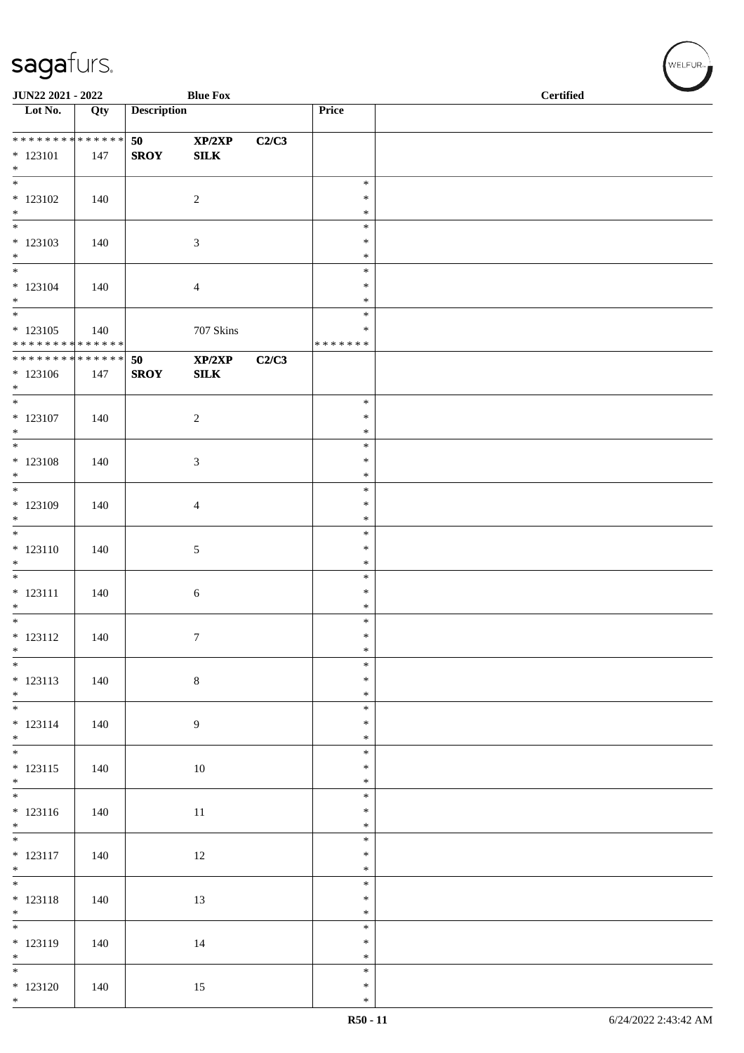| JUN22 2021 - 2022                                                |     |                    | <b>Blue Fox</b>        |       |                                      | <b>Certified</b> |  |  |  |
|------------------------------------------------------------------|-----|--------------------|------------------------|-------|--------------------------------------|------------------|--|--|--|
| $\overline{\phantom{1}}$ Lot No.                                 | Qty | <b>Description</b> |                        |       | Price                                |                  |  |  |  |
| **************<br>$* 123101$<br>$*$                              | 147 | 50<br><b>SROY</b>  | XP/2XP<br>${\bf SILK}$ | C2/C3 |                                      |                  |  |  |  |
| $\overline{\phantom{a}^*}$<br>$*123102$<br>$\ast$                | 140 |                    | $\sqrt{2}$             |       | $\ast$<br>$\ast$<br>$\ast$           |                  |  |  |  |
| $\frac{1}{*}$<br>$*123103$<br>$\ast$<br>$\overline{\phantom{0}}$ | 140 |                    | $\sqrt{3}$             |       | $\ast$<br>$\ast$<br>$\ast$           |                  |  |  |  |
| $* 123104$<br>$\ast$<br>$\overline{\phantom{0}}$                 | 140 |                    | $\overline{4}$         |       | $\ast$<br>$\ast$<br>$\ast$<br>$\ast$ |                  |  |  |  |
| $* 123105$<br>* * * * * * * * * * * * * *                        | 140 |                    | $707~\mathrm{Skins}$   |       | $\ast$<br>* * * * * * *              |                  |  |  |  |
| **************<br>$*123106$<br>$*$                               | 147 | 50<br><b>SROY</b>  | XP/2XP<br>${\bf SILK}$ | C2/C3 |                                      |                  |  |  |  |
| $\overline{\ }$<br>$* 123107$<br>$\ast$                          | 140 |                    | $\overline{c}$         |       | $\ast$<br>$\ast$<br>$\ast$           |                  |  |  |  |
| $\ast$<br>$*$ 123108<br>$*$<br>$\overline{\phantom{0}}$          | 140 |                    | $\mathfrak{Z}$         |       | $\ast$<br>$\ast$<br>$\ast$<br>$\ast$ |                  |  |  |  |
| $*123109$<br>$\ast$<br>$\overline{\phantom{0}}$                  | 140 |                    | $\overline{4}$         |       | $\ast$<br>$\ast$<br>$\ast$           |                  |  |  |  |
| $* 123110$<br>$\ast$<br>$\ast$                                   | 140 |                    | $\mathfrak{S}$         |       | $\ast$<br>$\ast$<br>$\ast$           |                  |  |  |  |
| $* 123111$<br>$\ast$<br>$\overline{\phantom{0}}$                 | 140 |                    | $6\,$                  |       | $\ast$<br>$\ast$<br>$\ast$           |                  |  |  |  |
| $* 123112$<br>$\ast$<br>$\overline{\phantom{a}^*}$               | 140 |                    | $\tau$                 |       | $\ast$<br>$\ast$<br>$\ast$           |                  |  |  |  |
| $* 123113$<br>$*$<br>$\overline{\phantom{0}}$                    | 140 |                    | $\,8\,$                |       | $\ast$<br>$\ast$<br>$\ast$           |                  |  |  |  |
| $* 123114$<br>$*$<br>$\overline{\phantom{0}}$                    | 140 |                    | $\overline{9}$         |       | $\ast$<br>$\ast$<br>$\ast$           |                  |  |  |  |
| $* 123115$<br>$*$<br>$\overline{\phantom{0}}$                    | 140 |                    | $10\,$                 |       | $\ast$<br>$\ast$<br>$\ast$           |                  |  |  |  |
| $* 123116$                                                       | 140 |                    | $11\,$                 |       | $\ast$<br>$\ast$<br>$\ast$           |                  |  |  |  |
| $* 123117$<br>$*$<br>$\overline{\phantom{0}}$                    | 140 |                    | 12                     |       | $\ast$<br>$\ast$<br>$\ast$           |                  |  |  |  |
| $* 123118$<br>$*$<br>$\overline{\phantom{a}^*}$                  | 140 |                    | 13                     |       | $\ast$<br>$\ast$<br>$\ast$           |                  |  |  |  |
| $* 123119$<br>$\ast$<br>$\overline{\phantom{0}}$                 | 140 |                    | 14                     |       | $\ast$<br>$\ast$                     |                  |  |  |  |
| $*123120$<br>$*$                                                 | 140 |                    | 15                     |       | $\ast$<br>$\ast$<br>$\ast$           |                  |  |  |  |

WELFUR<sub><sup>N</sub></sub></sub></sup>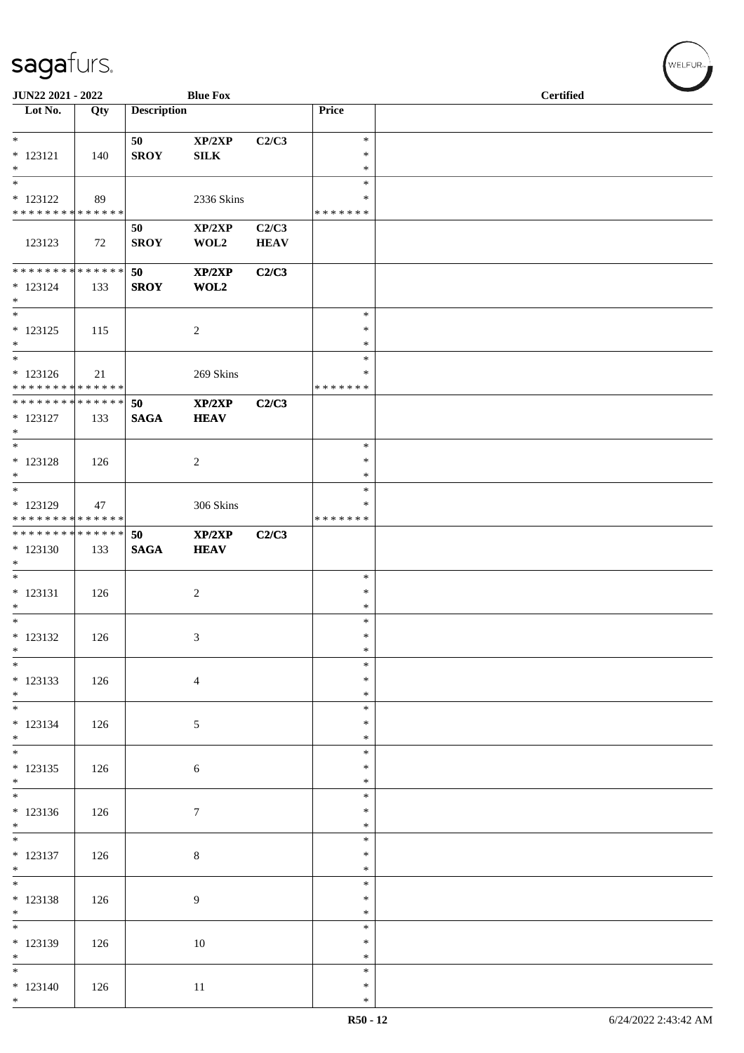| <b>JUN22 2021 - 2022</b>                                        |     |                    | <b>Blue Fox</b>        |                      |                                      | <b>Certified</b> |
|-----------------------------------------------------------------|-----|--------------------|------------------------|----------------------|--------------------------------------|------------------|
| Lot No.                                                         | Qty | <b>Description</b> |                        |                      | Price                                |                  |
| $*$<br>$* 123121$<br>$\ast$                                     | 140 | 50<br><b>SROY</b>  | XP/2XP<br>${\bf SILK}$ | C2/C3                | $\ast$<br>$\ast$<br>$\ast$           |                  |
| $*$<br>* 123122<br>* * * * * * * * * * * * * * *                | 89  |                    | 2336 Skins             |                      | $\ast$<br>∗<br>*******               |                  |
| 123123                                                          | 72  | 50<br><b>SROY</b>  | XP/2XP<br>WOL2         | C2/C3<br><b>HEAV</b> |                                      |                  |
| * * * * * * * * <mark>* * * * * * *</mark><br>$* 123124$<br>$*$ | 133 | 50<br><b>SROY</b>  | XP/2XP<br>WOL2         | C2/C3                |                                      |                  |
| $\ast$<br>* 123125<br>$*$<br>$*$                                | 115 |                    | $\overline{2}$         |                      | $\ast$<br>$\ast$<br>$\ast$<br>$\ast$ |                  |
| $* 123126$<br>* * * * * * * * <mark>* * * * * * *</mark>        | 21  |                    | 269 Skins              |                      | ∗<br>*******                         |                  |
| * * * * * * * * <mark>* * * * * * *</mark><br>$* 123127$<br>$*$ | 133 | 50<br><b>SAGA</b>  | XP/2XP<br><b>HEAV</b>  | C2/C3                |                                      |                  |
| $*$<br>* 123128<br>$*$                                          | 126 |                    | 2                      |                      | $\ast$<br>$\ast$<br>$\ast$           |                  |
| * 123129<br>* * * * * * * * <mark>* * * * * * *</mark>          | 47  |                    | 306 Skins              |                      | $\ast$<br>∗<br>* * * * * * *         |                  |
| * * * * * * * * <mark>* * * * * * *</mark><br>$*123130$<br>$*$  | 133 | 50<br><b>SAGA</b>  | XP/2XP<br><b>HEAV</b>  | C2/C3                |                                      |                  |
| $\ast$<br>$* 123131$<br>$*$                                     | 126 |                    | 2                      |                      | $\ast$<br>$\ast$<br>$\ast$           |                  |
| $*$ $-$<br>$* 123132$<br>$*$<br>$\frac{1}{1}$                   | 126 |                    | 3                      |                      | $\ast$<br>$\ast$<br>$\ast$           |                  |
| $* 123133$<br>$*$                                               | 126 |                    | $\overline{4}$         |                      | $\ast$<br>$\ast$<br>$\ast$           |                  |
| $*$<br>$* 123134$<br>$*$                                        | 126 |                    | $\sqrt{5}$             |                      | $\ast$<br>$\ast$<br>$\ast$           |                  |
| $* 123135$<br>$*$                                               | 126 |                    | 6                      |                      | $\ast$<br>$\ast$<br>$\ast$           |                  |
| $* 123136$<br>$*$                                               | 126 |                    | $\tau$                 |                      | $\ast$<br>$\ast$<br>$\ast$           |                  |
| $*$<br>* 123137<br>$*$                                          | 126 |                    | $\,8\,$                |                      | $\ast$<br>$\ast$<br>$\ast$           |                  |
| $*$<br>* 123138<br>$*$                                          | 126 |                    | 9                      |                      | $\ast$<br>$\ast$<br>$\ast$           |                  |
| $* 123139$<br>$*$                                               | 126 |                    | $10\,$                 |                      | $\ast$<br>$\ast$<br>$\ast$           |                  |
| $*$<br>$* 123140$<br>$*$                                        | 126 |                    | 11                     |                      | $\ast$<br>$\ast$<br>$\ast$           |                  |

V<br>WELFUR<sub>™</sub>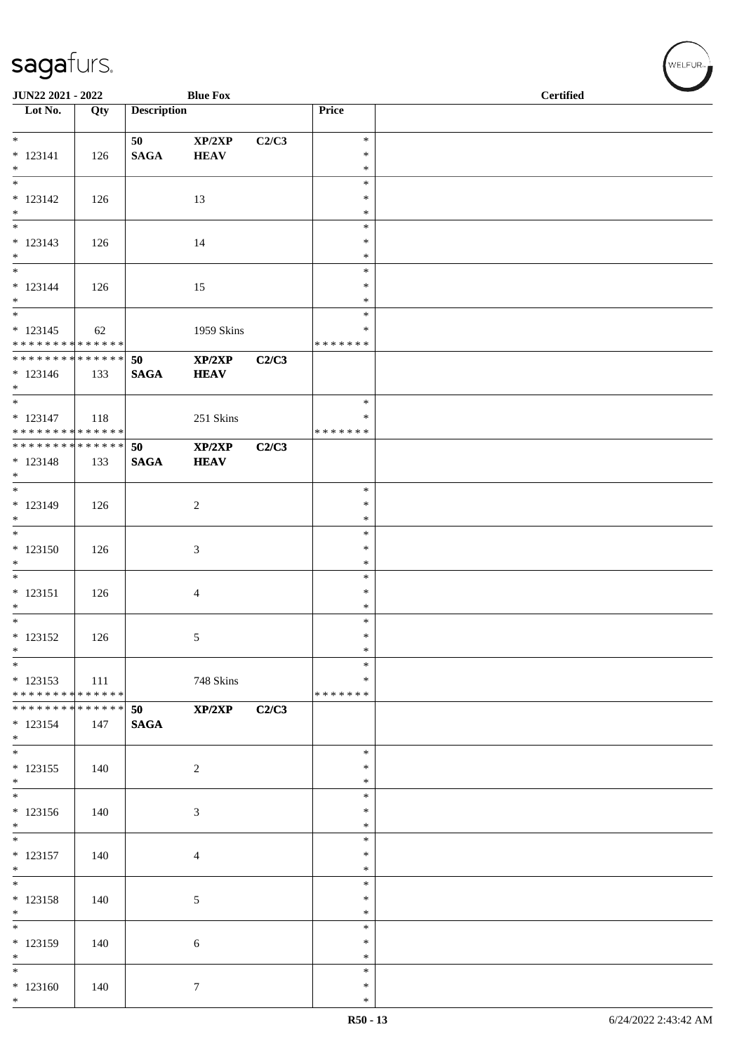| JUN22 2021 - 2022                                                |     |                    | <b>Blue Fox</b>       |       |                                      | $\overline{\phantom{0}}$<br><b>Certified</b> |
|------------------------------------------------------------------|-----|--------------------|-----------------------|-------|--------------------------------------|----------------------------------------------|
| $\overline{\phantom{1}}$ Lot No.                                 | Qty | <b>Description</b> |                       |       | Price                                |                                              |
| $*$<br>$* 123141$<br>$*$                                         | 126 | 50<br><b>SAGA</b>  | XP/2XP<br><b>HEAV</b> | C2/C3 | $\ast$<br>$\ast$<br>$\ast$           |                                              |
| $\overline{\phantom{0}}$<br>$* 123142$<br>$*$                    | 126 |                    | 13                    |       | $\ast$<br>$\ast$<br>$\ast$           |                                              |
| $\overline{\phantom{0}}$<br>$* 123143$<br>$*$                    | 126 |                    | 14                    |       | $\ast$<br>∗<br>$\ast$                |                                              |
| $*$<br>$* 123144$<br>$*$                                         | 126 |                    | 15                    |       | $\ast$<br>$\ast$<br>$\ast$<br>$\ast$ |                                              |
| $* 123145$<br>* * * * * * * * * * * * * *                        | 62  |                    | 1959 Skins            |       | ∗<br>* * * * * * *                   |                                              |
| ******** <mark>******</mark><br>$* 123146$<br>$*$                | 133 | 50<br><b>SAGA</b>  | XP/2XP<br><b>HEAV</b> | C2/C3 |                                      |                                              |
| $\overline{\ast}$<br>$* 123147$<br>* * * * * * * * * * * * * * * | 118 |                    | 251 Skins             |       | $\ast$<br>$\ast$<br>*******          |                                              |
| * * * * * * * * * * * * * * *<br>$* 123148$<br>$*$<br>$*$        | 133 | 50<br><b>SAGA</b>  | XP/2XP<br><b>HEAV</b> | C2/C3 | $\ast$                               |                                              |
| $* 123149$<br>$*$<br>$*$                                         | 126 |                    | $\overline{c}$        |       | $\ast$<br>$\ast$<br>$\ast$           |                                              |
| $*123150$<br>$\ast$<br>$*$                                       | 126 |                    | 3                     |       | $\ast$<br>$\ast$<br>$\ast$           |                                              |
| $* 123151$<br>$*$                                                | 126 |                    | 4                     |       | $\ast$<br>$\ast$<br>$\ast$           |                                              |
| $* 123152$<br>$\ast$<br>$\ast$                                   | 126 |                    | 5                     |       | $\ast$<br>$\ast$<br>$\ast$           |                                              |
| $* 123153$<br>* * * * * * * * * * * * * *                        | 111 |                    | 748 Skins             |       | $\ast$<br>*******                    |                                              |
| * * * * * * * * * * * * * * *<br>$* 123154$<br>$*$               | 147 | 50<br><b>SAGA</b>  | XP/2XP                | C2/C3 |                                      |                                              |
| $*$<br>$* 123155$<br>$*$                                         | 140 |                    | 2                     |       | $\ast$<br>∗<br>$\ast$<br>$\ast$      |                                              |
| $* 123156$<br>$*$<br>$*$                                         | 140 |                    | 3                     |       | $\ast$<br>$\ast$<br>$\ast$           |                                              |
| $* 123157$<br>$*$<br>$\overline{\phantom{0}}$                    | 140 |                    | 4                     |       | $\ast$<br>$\ast$<br>$\ast$           |                                              |
| $* 123158$<br>$*$<br>$\overline{\phantom{0}}$                    | 140 |                    | $\sqrt{5}$            |       | ∗<br>$\ast$<br>$\ast$                |                                              |
| $* 123159$<br>$*$<br>$*$                                         | 140 |                    | 6                     |       | $\ast$<br>$\ast$<br>$\ast$           |                                              |
| $*123160$<br>$*$                                                 | 140 |                    | $\tau$                |       | $\ast$<br>$\ast$                     |                                              |

√<br>WELFUR<sub>™</sub>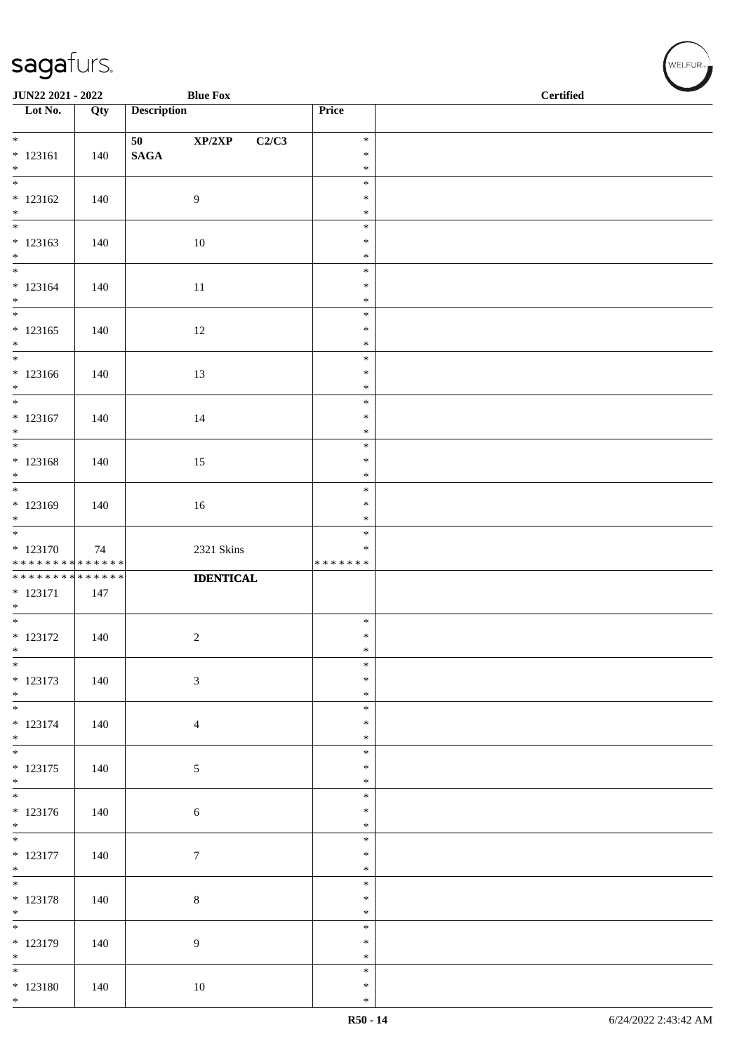| <b>JUN22 2021 - 2022</b>                                                  |     |                    | <b>Blue Fox</b>  |                  | <b>Certified</b> |  |  |
|---------------------------------------------------------------------------|-----|--------------------|------------------|------------------|------------------|--|--|
| $\overline{\phantom{1}}$ Lot No.                                          | Qty | <b>Description</b> |                  | Price            |                  |  |  |
| $*$                                                                       |     | 50                 | XP/2XP<br>C2/C3  | $\ast$           |                  |  |  |
| $* 123161$<br>$*$                                                         | 140 | $\mathbf{SAGA}$    |                  | $\ast$<br>$\ast$ |                  |  |  |
| $\overline{\phantom{0}}$                                                  |     |                    |                  | $\ast$           |                  |  |  |
| $* 123162$<br>$*$                                                         | 140 |                    | 9                | $\ast$<br>$\ast$ |                  |  |  |
|                                                                           |     |                    |                  | $\ast$           |                  |  |  |
| $* 123163$<br>$*$                                                         | 140 |                    | 10               | $\ast$<br>$\ast$ |                  |  |  |
|                                                                           |     |                    |                  | $\ast$           |                  |  |  |
| $* 123164$<br>$*$                                                         | 140 |                    | 11               | $\ast$<br>$\ast$ |                  |  |  |
|                                                                           |     |                    |                  | $\ast$           |                  |  |  |
| $* 123165$<br>$*$                                                         | 140 |                    | 12               | $\ast$<br>$\ast$ |                  |  |  |
| $*$<br>$* 123166$                                                         | 140 |                    | 13               | $\ast$<br>$\ast$ |                  |  |  |
| $*$                                                                       |     |                    |                  | $\ast$           |                  |  |  |
| $*$                                                                       |     |                    |                  | $\ast$           |                  |  |  |
| $* 123167$<br>$\ast$                                                      | 140 |                    | 14               | $\ast$<br>$\ast$ |                  |  |  |
|                                                                           |     |                    |                  | $\ast$           |                  |  |  |
| * 123168<br>$*$                                                           | 140 |                    | 15               | $\ast$<br>$\ast$ |                  |  |  |
|                                                                           |     |                    |                  | $\ast$           |                  |  |  |
| * 123169<br>$*$                                                           | 140 |                    | 16               | $\ast$<br>$\ast$ |                  |  |  |
|                                                                           |     |                    |                  | $\ast$           |                  |  |  |
| $* 123170$                                                                | 74  |                    | 2321 Skins       | $\ast$           |                  |  |  |
| * * * * * * * * <mark>* * * * * * *</mark><br>* * * * * * * * * * * * * * |     |                    |                  | * * * * * * *    |                  |  |  |
| $* 123171$                                                                | 147 |                    | <b>IDENTICAL</b> |                  |                  |  |  |
| $*$                                                                       |     |                    |                  |                  |                  |  |  |
| $*$                                                                       |     |                    |                  | $\ast$<br>$\ast$ |                  |  |  |
| $* 123172$<br>$*$                                                         | 140 |                    | $\boldsymbol{2}$ | $\ast$           |                  |  |  |
| $*$                                                                       |     |                    |                  | $\ast$           |                  |  |  |
| * 123173<br>$*$                                                           | 140 |                    | $\sqrt{3}$       | $\ast$<br>$\ast$ |                  |  |  |
| $\overline{\phantom{0}}$                                                  |     |                    |                  | $\ast$           |                  |  |  |
| $* 123174$<br>$*$                                                         | 140 |                    | $\overline{4}$   | $\ast$<br>$\ast$ |                  |  |  |
| $*$                                                                       |     |                    |                  | $\ast$           |                  |  |  |
| $* 123175$<br>$*$                                                         | 140 |                    | $\sqrt{5}$       | $\ast$<br>$\ast$ |                  |  |  |
|                                                                           |     |                    |                  | $\ast$           |                  |  |  |
| $* 123176$<br>$*$                                                         | 140 |                    | $6\,$            | $\ast$<br>$\ast$ |                  |  |  |
| $\overline{\phantom{0}}$                                                  |     |                    |                  | $\ast$           |                  |  |  |
| $* 123177$<br>$*$                                                         | 140 |                    | $\boldsymbol{7}$ | $\ast$<br>$\ast$ |                  |  |  |
| $*$                                                                       |     |                    |                  | $\ast$           |                  |  |  |
| $* 123178$<br>$*$                                                         | 140 |                    | $\,8\,$          | $\ast$<br>$\ast$ |                  |  |  |
|                                                                           |     |                    |                  | $\ast$           |                  |  |  |
| * 123179<br>$*$                                                           | 140 |                    | $\boldsymbol{9}$ | $\ast$<br>$\ast$ |                  |  |  |
|                                                                           |     |                    |                  | $\ast$           |                  |  |  |
| $* 123180$<br>$*$                                                         | 140 |                    | 10               | $\ast$<br>$\ast$ |                  |  |  |
|                                                                           |     |                    |                  |                  |                  |  |  |

√<br>WELFUR<sub>™</sub>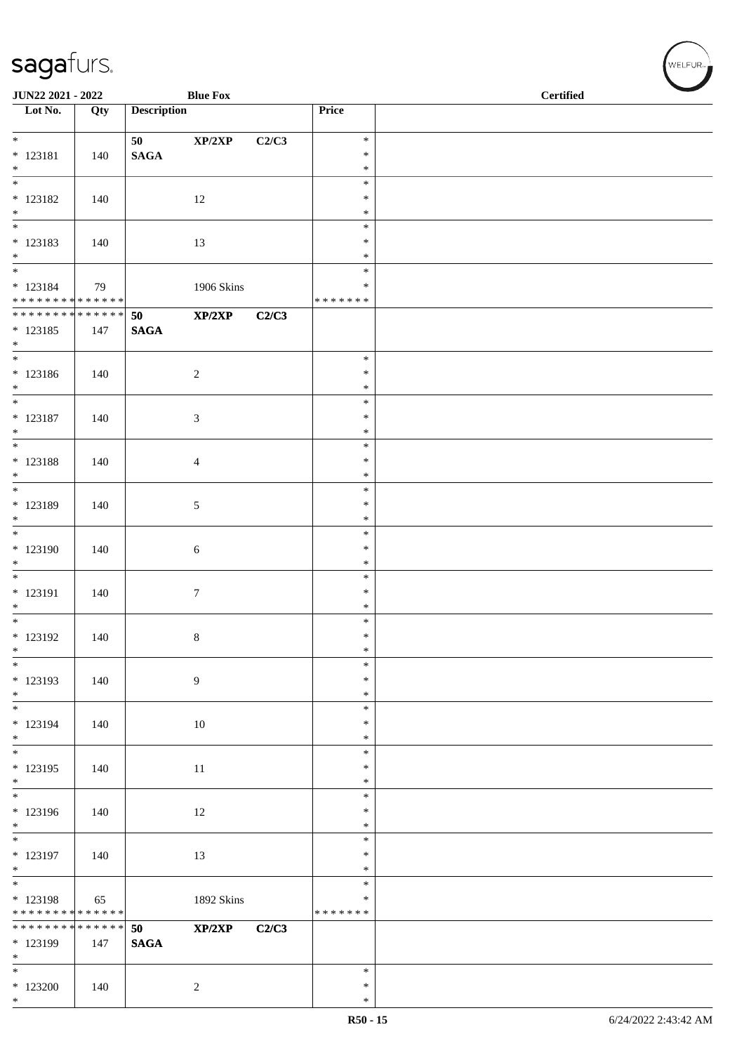|                                                            | JUN22 2021 - 2022<br><b>Blue Fox</b> |                    |                            |       |                  | <b>Certified</b> |
|------------------------------------------------------------|--------------------------------------|--------------------|----------------------------|-------|------------------|------------------|
| $\overline{\phantom{1}}$ Lot No.                           | Qty                                  | <b>Description</b> |                            |       | Price            |                  |
|                                                            |                                      | 50                 | $\mathbf{XP}/2\mathbf{XP}$ | C2/C3 | $\ast$           |                  |
| $* 123181$                                                 | 140                                  | <b>SAGA</b>        |                            |       | $\ast$           |                  |
| $*$<br>$\overline{\phantom{0}}$                            |                                      |                    |                            |       | $\ast$<br>$\ast$ |                  |
| $* 123182$                                                 | 140                                  |                    | 12                         |       | $\ast$           |                  |
| $*$<br>$\overline{\phantom{0}}$                            |                                      |                    |                            |       | $\ast$<br>$\ast$ |                  |
| $* 123183$                                                 | 140                                  |                    | 13                         |       | $\ast$           |                  |
| $*$<br>$\overline{\phantom{0}}$                            |                                      |                    |                            |       | $\ast$<br>$\ast$ |                  |
| $* 123184$<br>******** <mark>******</mark>                 | 79                                   |                    | 1906 Skins                 |       | ∗                |                  |
| ******** <mark>******</mark>                               |                                      | 50                 | XP/2XP                     | C2/C3 | * * * * * * *    |                  |
| $* 123185$                                                 | 147                                  | <b>SAGA</b>        |                            |       |                  |                  |
| $*$                                                        |                                      |                    |                            |       | $\ast$           |                  |
| $* 123186$                                                 | 140                                  |                    | $\overline{c}$             |       | $\ast$           |                  |
| $*$<br>$*$                                                 |                                      |                    |                            |       | $\ast$<br>$\ast$ |                  |
| $* 123187$                                                 | 140                                  |                    | $\mathfrak{Z}$             |       | $\ast$           |                  |
| $*$<br>$\overline{\phantom{0}}$                            |                                      |                    |                            |       | $\ast$<br>$\ast$ |                  |
| $* 123188$                                                 | 140                                  |                    | $\overline{4}$             |       | $\ast$           |                  |
| $*$<br>$*$                                                 |                                      |                    |                            |       | $\ast$<br>$\ast$ |                  |
| $* 123189$                                                 | 140                                  |                    | $5\phantom{.0}$            |       | $\ast$           |                  |
| $*$<br>$\overline{\phantom{0}}$                            |                                      |                    |                            |       | $\ast$<br>$\ast$ |                  |
| * 123190                                                   | 140                                  |                    | $\sqrt{6}$                 |       | $\ast$           |                  |
| $\begin{array}{c} * \\ * \\ * \end{array}$                 |                                      |                    |                            |       | $\ast$<br>$\ast$ |                  |
| * 123191                                                   | 140                                  |                    | $\tau$                     |       | $\ast$           |                  |
| $*$                                                        |                                      |                    |                            |       | $\ast$<br>$\ast$ |                  |
| $* 123192$                                                 | 140                                  |                    | $8\,$                      |       | $\ast$           |                  |
| $\ast$<br>$\overline{\phantom{0}}$                         |                                      |                    |                            |       | $\ast$<br>$\ast$ |                  |
| $* 123193$                                                 | 140                                  |                    | $\boldsymbol{9}$           |       | $\ast$           |                  |
| $*$<br>$\overline{\phantom{0}}$                            |                                      |                    |                            |       | $\ast$<br>$\ast$ |                  |
| * 123194                                                   | 140                                  |                    | $10\,$                     |       | $\ast$           |                  |
| $*$<br>$\overline{\phantom{0}}$                            |                                      |                    |                            |       | $\ast$<br>$\ast$ |                  |
| $* 123195$                                                 | 140                                  |                    | 11                         |       | $\ast$           |                  |
| $*$<br>$\overline{\phantom{0}}$                            |                                      |                    |                            |       | $\ast$<br>$\ast$ |                  |
| * 123196                                                   | 140                                  |                    | 12                         |       | $\ast$           |                  |
| $*$                                                        |                                      |                    |                            |       | $\ast$<br>$\ast$ |                  |
| * 123197                                                   | 140                                  |                    | 13                         |       | ∗                |                  |
| $*$<br>$\overline{\phantom{0}}$                            |                                      |                    |                            |       | $\ast$<br>$\ast$ |                  |
| * 123198                                                   | 65                                   |                    | 1892 Skins                 |       | $\ast$           |                  |
| * * * * * * * * * * * * * *<br>* * * * * * * * * * * * * * |                                      | 50                 | XP/2XP                     | C2/C3 | * * * * * * *    |                  |
| * 123199                                                   | 147                                  | <b>SAGA</b>        |                            |       |                  |                  |
| $\ast$<br>$\overline{\ast}$                                |                                      |                    |                            |       | $\ast$           |                  |
| $*123200$                                                  | 140                                  |                    | $\overline{c}$             |       | $\ast$           |                  |
| $*$                                                        |                                      |                    |                            |       | $\ast$           |                  |

 $(\mathsf{WELFUR}_{\approx})$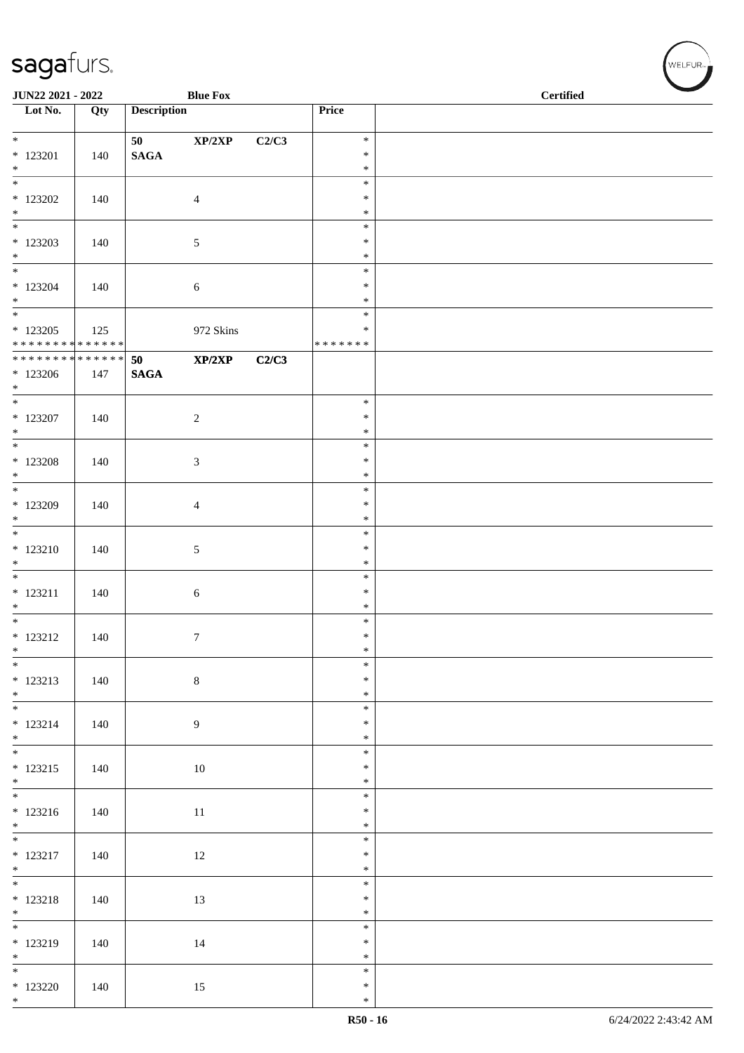| JUN22 2021 - 2022                         |     |                       | <b>Blue Fox</b> |       |                  | <b>Certified</b> |  |  |
|-------------------------------------------|-----|-----------------------|-----------------|-------|------------------|------------------|--|--|
| $\overline{\phantom{1}}$ Lot No.          | Qty | <b>Description</b>    |                 |       | Price            |                  |  |  |
| $*$                                       |     | 50                    | XP/2XP          | C2/C3 | $\ast$           |                  |  |  |
| $*$ 123201                                | 140 | $\mathbf{SAGA}$       |                 |       | $\ast$           |                  |  |  |
| $*$<br>$\overline{\phantom{0}}$           |     |                       |                 |       | $\ast$<br>$\ast$ |                  |  |  |
| $*$ 123202                                | 140 |                       | $\overline{4}$  |       | $\ast$           |                  |  |  |
| $*$<br>$\overline{\phantom{0}}$           |     |                       |                 |       | $\ast$<br>$\ast$ |                  |  |  |
| $*$ 123203                                | 140 |                       | 5               |       | $\ast$           |                  |  |  |
| $*$                                       |     |                       |                 |       | $\ast$<br>$\ast$ |                  |  |  |
| $*123204$                                 | 140 |                       | $\sqrt{6}$      |       | $\ast$           |                  |  |  |
| $*$                                       |     |                       |                 |       | $\ast$<br>$\ast$ |                  |  |  |
| $*123205$                                 | 125 |                       | 972 Skins       |       | $\ast$           |                  |  |  |
| * * * * * * * * * * * * * *               |     |                       |                 |       | * * * * * * *    |                  |  |  |
| ******** <mark>******</mark><br>$*123206$ | 147 | 50<br>$\mathbf{SAGA}$ | XP/2XP          | C2/C3 |                  |                  |  |  |
| $*$                                       |     |                       |                 |       |                  |                  |  |  |
| $*$<br>$*$ 123207                         | 140 |                       | $\sqrt{2}$      |       | $\ast$<br>$\ast$ |                  |  |  |
| $*$                                       |     |                       |                 |       | $\ast$           |                  |  |  |
| $\overline{\ast}$<br>$*$ 123208           |     |                       |                 |       | $\ast$<br>$\ast$ |                  |  |  |
| $*$                                       | 140 |                       | 3               |       | $\ast$           |                  |  |  |
| $*$                                       |     |                       |                 |       | $\ast$<br>$\ast$ |                  |  |  |
| $*123209$<br>$*$                          | 140 |                       | 4               |       | $\ast$           |                  |  |  |
|                                           |     |                       |                 |       | $\ast$           |                  |  |  |
| $* 123210$<br>$\ast$                      | 140 |                       | 5               |       | $\ast$<br>$\ast$ |                  |  |  |
|                                           |     |                       |                 |       | $\ast$           |                  |  |  |
| $* 123211$<br>$*$                         | 140 |                       | $\sqrt{6}$      |       | $\ast$<br>$\ast$ |                  |  |  |
|                                           |     |                       |                 |       | $\ast$           |                  |  |  |
| $* 123212$<br>$\ast$                      | 140 |                       | 7               |       | $\ast$<br>$\ast$ |                  |  |  |
| $\overline{\phantom{0}}$                  |     |                       |                 |       | $\ast$           |                  |  |  |
| $* 123213$<br>$*$                         | 140 |                       | $\,8\,$         |       | $\ast$<br>$\ast$ |                  |  |  |
|                                           |     |                       |                 |       | $\ast$           |                  |  |  |
| $* 123214$<br>$*$                         | 140 |                       | 9               |       | $\ast$<br>$\ast$ |                  |  |  |
|                                           |     |                       |                 |       | $\ast$           |                  |  |  |
| $* 123215$<br>$*$                         | 140 |                       | 10              |       | $\ast$<br>$\ast$ |                  |  |  |
| $*$                                       |     |                       |                 |       | $\ast$           |                  |  |  |
| $* 123216$<br>$*$                         | 140 |                       | 11              |       | $\ast$           |                  |  |  |
|                                           |     |                       |                 |       | $\ast$<br>$\ast$ |                  |  |  |
| $* 123217$                                | 140 |                       | 12              |       | $\ast$           |                  |  |  |
| $*$                                       |     |                       |                 |       | $\ast$<br>$\ast$ |                  |  |  |
| $* 123218$                                | 140 |                       | 13              |       | $\ast$           |                  |  |  |
| $*$                                       |     |                       |                 |       | $\ast$<br>$\ast$ |                  |  |  |
| $* 123219$                                | 140 |                       | 14              |       | $\ast$           |                  |  |  |
| $*$<br>$\overline{\phantom{0}}$           |     |                       |                 |       | $\ast$<br>$\ast$ |                  |  |  |
| $*123220$                                 | 140 |                       | 15              |       | $\ast$           |                  |  |  |
| $*$                                       |     |                       |                 |       | $\ast$           |                  |  |  |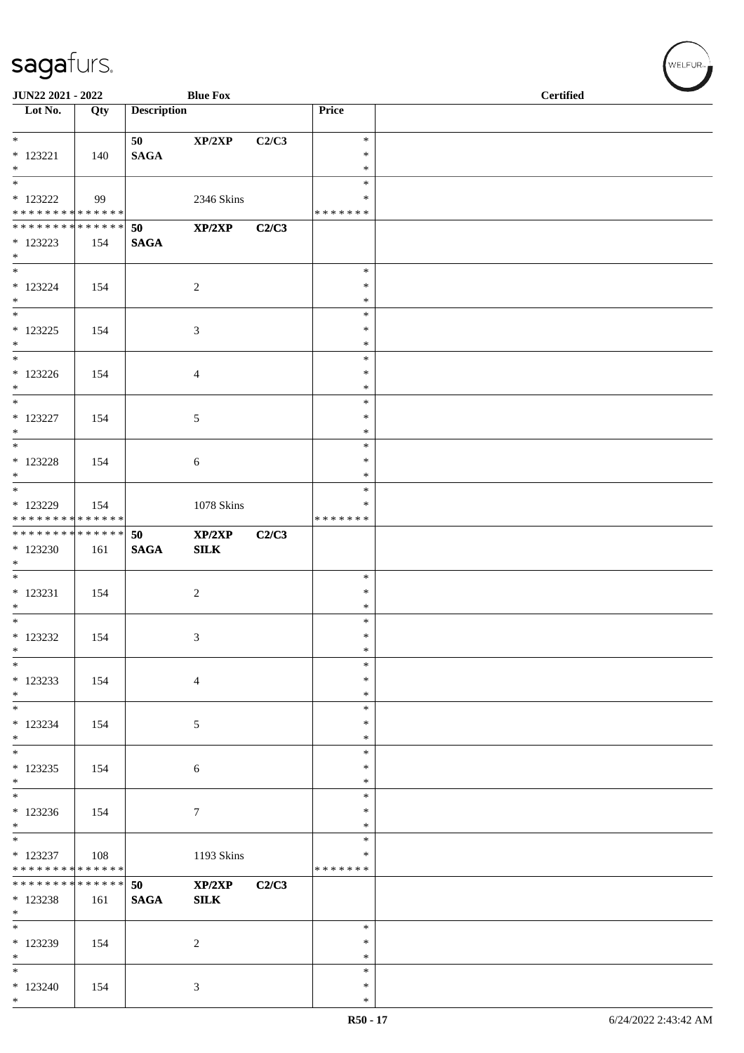| JUN22 2021 - 2022                          |     |                    | <b>Blue Fox</b>  |       |                         | <b>Certified</b> |
|--------------------------------------------|-----|--------------------|------------------|-------|-------------------------|------------------|
| $\overline{\phantom{1}}$ Lot No.           | Qty | <b>Description</b> |                  |       | Price                   |                  |
| $\ast$                                     |     | 50                 | XP/2XP           | C2/C3 | $\ast$                  |                  |
| $* 123221$                                 | 140 | <b>SAGA</b>        |                  |       | ∗                       |                  |
| $*$                                        |     |                    |                  |       | $\ast$                  |                  |
|                                            |     |                    |                  |       | $\ast$                  |                  |
| $*$ 123222<br>* * * * * * * * * * * * * *  | 99  |                    | 2346 Skins       |       | *<br>* * * * * * *      |                  |
| * * * * * * * * * * * * * * *              |     | 50                 | XP/2XP           | C2/C3 |                         |                  |
| $*123223$                                  | 154 | <b>SAGA</b>        |                  |       |                         |                  |
| $*$                                        |     |                    |                  |       |                         |                  |
| $*123224$                                  | 154 |                    | $\sqrt{2}$       |       | $\ast$<br>$\ast$        |                  |
| $*$                                        |     |                    |                  |       | $\ast$                  |                  |
|                                            |     |                    |                  |       | $\ast$                  |                  |
| $* 123225$                                 | 154 |                    | $\mathfrak{Z}$   |       | $\ast$                  |                  |
| $*$<br>$*$                                 |     |                    |                  |       | $\ast$<br>$\ast$        |                  |
| $*123226$                                  | 154 |                    | $\overline{4}$   |       | $\ast$                  |                  |
| $\ast$                                     |     |                    |                  |       | $\ast$                  |                  |
| $*$                                        |     |                    |                  |       | $\ast$                  |                  |
| * 123227<br>$*$                            | 154 |                    | 5                |       | ∗<br>$\ast$             |                  |
|                                            |     |                    |                  |       | $\ast$                  |                  |
| $* 123228$                                 | 154 |                    | 6                |       | $\ast$                  |                  |
| $*$                                        |     |                    |                  |       | $\ast$                  |                  |
|                                            |     |                    |                  |       | $\ast$<br>$\ast$        |                  |
| * 123229<br>* * * * * * * * * * * * * *    | 154 |                    | $1078$ Skins     |       | * * * * * * *           |                  |
| * * * * * * * * <mark>* * * * * * *</mark> |     | 50                 | XP/2XP           | C2/C3 |                         |                  |
| * 123230                                   | 161 | <b>SAGA</b>        | ${\bf SILK}$     |       |                         |                  |
| $*$                                        |     |                    |                  |       | $\ast$                  |                  |
| $*$ 123231                                 | 154 |                    | $\sqrt{2}$       |       | $\ast$                  |                  |
| $*$                                        |     |                    |                  |       | $\ast$                  |                  |
| $*$                                        |     |                    |                  |       | $\ast$                  |                  |
| $*$ 123232<br>$\ast$                       | 154 |                    | 3                |       | $\ast$<br>$\ast$        |                  |
| $*$                                        |     |                    |                  |       | $\ast$                  |                  |
| * 123233                                   | 154 |                    | $\overline{4}$   |       | ∗                       |                  |
| $*$                                        |     |                    |                  |       | $\ast$                  |                  |
| $\ast$<br>$*123234$                        | 154 |                    | $\sqrt{5}$       |       | $\ast$<br>$\ast$        |                  |
| $*$                                        |     |                    |                  |       | $\ast$                  |                  |
|                                            |     |                    |                  |       | $\ast$                  |                  |
| $*123235$                                  | 154 |                    | 6                |       | $\ast$                  |                  |
| $\ast$                                     |     |                    |                  |       | $\ast$<br>$\ast$        |                  |
| $*123236$                                  | 154 |                    | $\boldsymbol{7}$ |       | $\ast$                  |                  |
| $*$                                        |     |                    |                  |       | $\ast$                  |                  |
| $\overline{\phantom{0}}$                   |     |                    |                  |       | $\ast$                  |                  |
| $* 123237$<br>* * * * * * * * * * * * * *  | 108 |                    | 1193 Skins       |       | $\ast$<br>* * * * * * * |                  |
| * * * * * * * * * * * * * * *              |     | 50                 | XP/2XP           | C2/C3 |                         |                  |
| * 123238                                   | 161 | <b>SAGA</b>        | ${\bf SILK}$     |       |                         |                  |
| $*$                                        |     |                    |                  |       | $\ast$                  |                  |
| * 123239                                   | 154 |                    | $\sqrt{2}$       |       | $\ast$                  |                  |
| $*$                                        |     |                    |                  |       | ∗                       |                  |
| $*$                                        |     |                    |                  |       | $\ast$                  |                  |
| $*123240$<br>$*$                           | 154 |                    | 3                |       | $\ast$<br>$\ast$        |                  |
|                                            |     |                    |                  |       |                         |                  |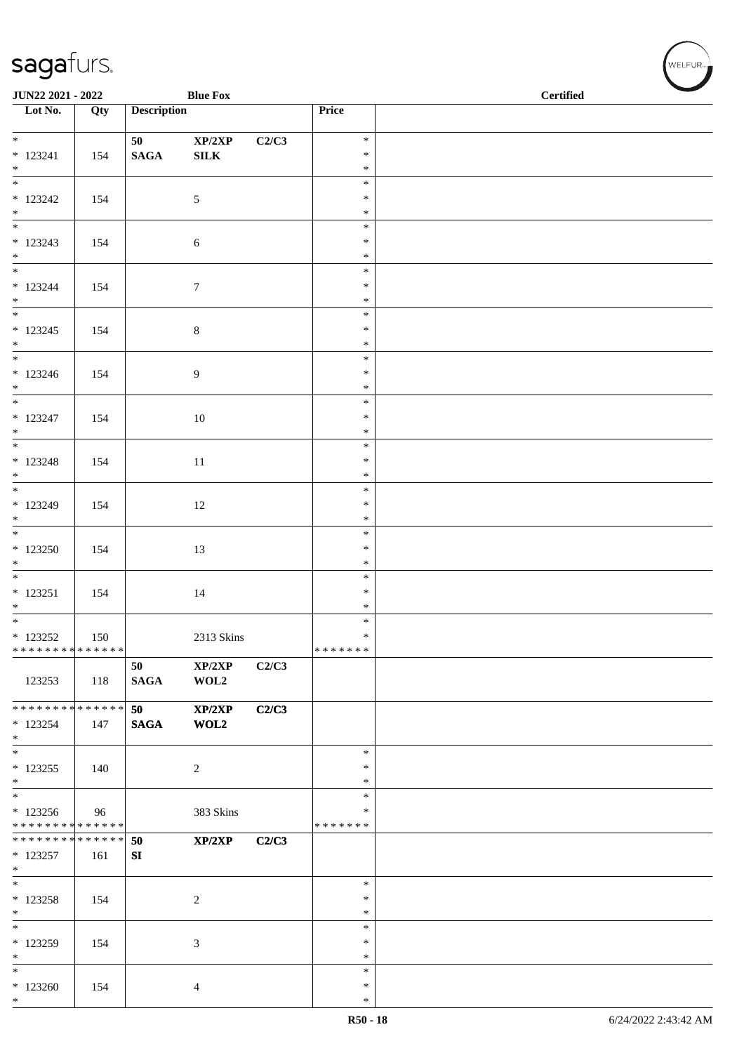| JUN22 2021 - 2022                |     |                    | <b>Blue Fox</b>            |       |                  | <b>Certified</b> |  |  |
|----------------------------------|-----|--------------------|----------------------------|-------|------------------|------------------|--|--|
| $\overline{\phantom{1}}$ Lot No. | Qty | <b>Description</b> |                            |       | Price            |                  |  |  |
|                                  |     |                    |                            |       |                  |                  |  |  |
| $*$                              |     | 50                 | $\mathbf{XP}/2\mathbf{XP}$ | C2/C3 | $\ast$           |                  |  |  |
| $* 123241$<br>$*$                | 154 | $\mathbf{SAGA}$    | ${\bf SILK}$               |       | $\ast$<br>$\ast$ |                  |  |  |
| $\overline{\phantom{0}}$         |     |                    |                            |       | $\ast$           |                  |  |  |
| $*123242$                        | 154 |                    | 5                          |       | $\ast$           |                  |  |  |
| $*$                              |     |                    |                            |       | $\ast$           |                  |  |  |
| $\overline{\phantom{0}}$         |     |                    |                            |       | $\ast$           |                  |  |  |
| $* 123243$<br>$*$                | 154 |                    | 6                          |       | $\ast$<br>$\ast$ |                  |  |  |
|                                  |     |                    |                            |       | $\ast$           |                  |  |  |
| $* 123244$                       | 154 |                    | $\tau$                     |       | $\ast$           |                  |  |  |
| $*$                              |     |                    |                            |       | $\ast$           |                  |  |  |
|                                  |     |                    |                            |       | $\ast$           |                  |  |  |
| $* 123245$<br>$*$                | 154 |                    | $\,8\,$                    |       | $\ast$<br>$\ast$ |                  |  |  |
| $*$                              |     |                    |                            |       | $\ast$           |                  |  |  |
| $* 123246$                       | 154 |                    | $\overline{9}$             |       | $\ast$           |                  |  |  |
| $*$                              |     |                    |                            |       | $\ast$           |                  |  |  |
| $\overline{\phantom{0}}$         |     |                    |                            |       | $\ast$           |                  |  |  |
| $* 123247$<br>$*$                | 154 |                    | 10                         |       | $\ast$<br>$\ast$ |                  |  |  |
|                                  |     |                    |                            |       | $\ast$           |                  |  |  |
| $* 123248$                       | 154 |                    | 11                         |       | $\ast$           |                  |  |  |
| $*$                              |     |                    |                            |       | $\ast$           |                  |  |  |
| $*$                              |     |                    |                            |       | $\ast$           |                  |  |  |
| $* 123249$<br>$*$                | 154 |                    | 12                         |       | $\ast$           |                  |  |  |
|                                  |     |                    |                            |       | $\ast$<br>$\ast$ |                  |  |  |
| $*123250$                        | 154 |                    | 13                         |       | $\ast$           |                  |  |  |
| $*$                              |     |                    |                            |       | $\ast$           |                  |  |  |
|                                  |     |                    |                            |       | $\ast$           |                  |  |  |
| $* 123251$                       | 154 |                    | 14                         |       | $\ast$           |                  |  |  |
| $*$<br>$*$                       |     |                    |                            |       | $\ast$<br>$\ast$ |                  |  |  |
| $*$ 123252                       | 150 |                    | 2313 Skins                 |       | $\ast$           |                  |  |  |
| * * * * * * * * * * * * * *      |     |                    |                            |       | *******          |                  |  |  |
|                                  |     | 50                 | XP/2XP                     | C2/C3 |                  |                  |  |  |
| 123253                           | 118 | <b>SAGA</b>        | WOL2                       |       |                  |                  |  |  |
| ******** <mark>******</mark>     |     | 50                 | XP/2XP                     | C2/C3 |                  |                  |  |  |
| $*123254$                        | 147 | <b>SAGA</b>        | WOL2                       |       |                  |                  |  |  |
| $*$                              |     |                    |                            |       |                  |                  |  |  |
| $*$                              |     |                    |                            |       | $\ast$           |                  |  |  |
| $*123255$<br>$\ast$              | 140 |                    | $\overline{c}$             |       | $\ast$<br>$\ast$ |                  |  |  |
| $\frac{1}{1}$                    |     |                    |                            |       | $\ast$           |                  |  |  |
| $*123256$                        | 96  |                    | 383 Skins                  |       | $\ast$           |                  |  |  |
| * * * * * * * * * * * * * *      |     |                    |                            |       | * * * * * * *    |                  |  |  |
| * * * * * * * * * * * * * * *    |     | 50                 | XP/2XP                     | C2/C3 |                  |                  |  |  |
| $* 123257$<br>$*$                | 161 | ${\bf SI}$         |                            |       |                  |                  |  |  |
| $*$                              |     |                    |                            |       | $\ast$           |                  |  |  |
| $*123258$                        | 154 |                    | $\sqrt{2}$                 |       | $\ast$           |                  |  |  |
| $*$                              |     |                    |                            |       | $\ast$           |                  |  |  |
| $*$                              |     |                    |                            |       | $\ast$           |                  |  |  |
| $* 123259$                       | 154 |                    | 3                          |       | $\ast$<br>$\ast$ |                  |  |  |
| $\ast$<br>$*$                    |     |                    |                            |       | $\ast$           |                  |  |  |
| $*123260$                        | 154 |                    | 4                          |       | $\ast$           |                  |  |  |
| $*$                              |     |                    |                            |       | $\ast$           |                  |  |  |

√<br>WELFUR<sub>™</sub>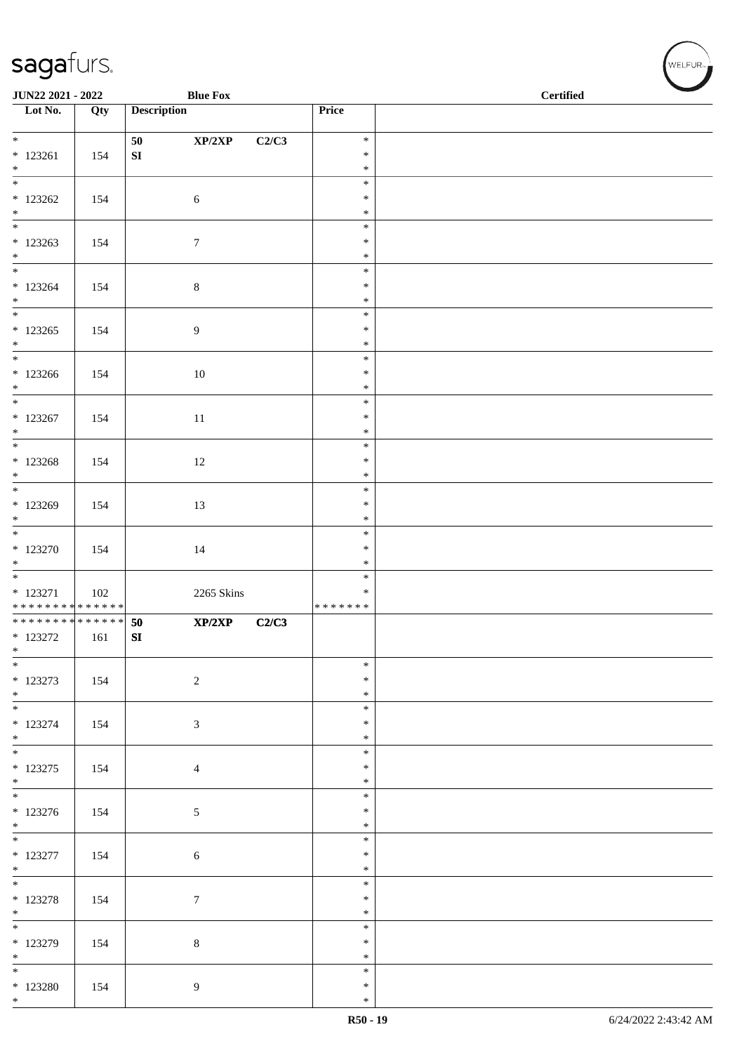| JUN22 2021 - 2022                |     | <b>Blue Fox</b>    |            |                  | <b>Certified</b> |  |
|----------------------------------|-----|--------------------|------------|------------------|------------------|--|
| $\overline{\phantom{1}}$ Lot No. | Qty | <b>Description</b> |            | Price            |                  |  |
|                                  |     |                    |            |                  |                  |  |
| $\overline{\ast}$                |     | XP/2XP<br>50       | C2/C3      | $\ast$<br>$\ast$ |                  |  |
| $* 123261$<br>$*$                | 154 | ${\bf SI}$         |            | $\ast$           |                  |  |
| $\overline{\phantom{0}}$         |     |                    |            | $\ast$           |                  |  |
| $*123262$                        | 154 | $\sqrt{6}$         |            | $\ast$           |                  |  |
| $*$<br>$\overline{\phantom{0}}$  |     |                    |            | $\ast$<br>$\ast$ |                  |  |
| $*123263$                        | 154 | $\tau$             |            | $\ast$           |                  |  |
| $*$                              |     |                    |            | $\ast$           |                  |  |
|                                  |     |                    |            | $\ast$           |                  |  |
| $*123264$<br>$*$                 | 154 | $\,8\,$            |            | $\ast$<br>$\ast$ |                  |  |
|                                  |     |                    |            | $\ast$           |                  |  |
| $*123265$                        | 154 | 9                  |            | $\ast$           |                  |  |
| $*$                              |     |                    |            | $\ast$           |                  |  |
| $*$<br>$*123266$                 | 154 | $10\,$             |            | $\ast$<br>$\ast$ |                  |  |
| $*$                              |     |                    |            | $\ast$           |                  |  |
| $*$                              |     |                    |            | $\ast$           |                  |  |
| $* 123267$                       | 154 | 11                 |            | $\ast$           |                  |  |
| $*$                              |     |                    |            | $\ast$<br>$\ast$ |                  |  |
| $* 123268$                       | 154 | 12                 |            | $\ast$           |                  |  |
| $*$                              |     |                    |            | $\ast$           |                  |  |
|                                  |     |                    |            | $\ast$           |                  |  |
| $*123269$<br>$\ast$              | 154 | 13                 |            | $\ast$<br>$\ast$ |                  |  |
|                                  |     |                    |            | $\ast$           |                  |  |
| $* 123270$                       | 154 | 14                 |            | $\ast$           |                  |  |
| $*$<br>$\overline{\phantom{0}}$  |     |                    |            | $\ast$<br>$\ast$ |                  |  |
| $* 123271$                       | 102 |                    | 2265 Skins | ∗                |                  |  |
| * * * * * * * * * * * * * *      |     |                    |            | * * * * * * *    |                  |  |
| * * * * * * * * * * * * * * *    |     | 50<br>XP/2XP       | C2/C3      |                  |                  |  |
| $*$ 123272<br>$\ast$             | 161 | ${\bf SI}$         |            |                  |                  |  |
| $*$                              |     |                    |            | $\ast$           |                  |  |
| $* 123273$                       | 154 | $\sqrt{2}$         |            | $\ast$           |                  |  |
| $*$                              |     |                    |            | $\ast$<br>$\ast$ |                  |  |
| $* 123274$                       | 154 | $\mathfrak{Z}$     |            | $\ast$           |                  |  |
| $*$                              |     |                    |            | $\ast$           |                  |  |
| $*$                              |     |                    |            | $\ast$           |                  |  |
| $* 123275$<br>$*$                | 154 | $\overline{4}$     |            | $\ast$<br>$\ast$ |                  |  |
|                                  |     |                    |            | $\ast$           |                  |  |
| $* 123276$                       | 154 | $\mathfrak{S}$     |            | $\ast$           |                  |  |
| $*$                              |     |                    |            | $\ast$           |                  |  |
| $* 123277$                       | 154 | $\sqrt{6}$         |            | $\ast$<br>$\ast$ |                  |  |
| $*$                              |     |                    |            | $\ast$           |                  |  |
|                                  |     |                    |            | $\ast$           |                  |  |
| $* 123278$                       | 154 | $\boldsymbol{7}$   |            | $\ast$           |                  |  |
| $*$                              |     |                    |            | $\ast$<br>$\ast$ |                  |  |
| $* 123279$                       | 154 | $\,8\,$            |            | $\ast$           |                  |  |
| $*$<br>$\overline{\phantom{0}}$  |     |                    |            | $\ast$           |                  |  |
|                                  |     |                    |            | $\ast$<br>$\ast$ |                  |  |
| $*$ 123280<br>$*$                | 154 | $\overline{9}$     |            | $\ast$           |                  |  |

√<br>WELFUR<sub>™</sub>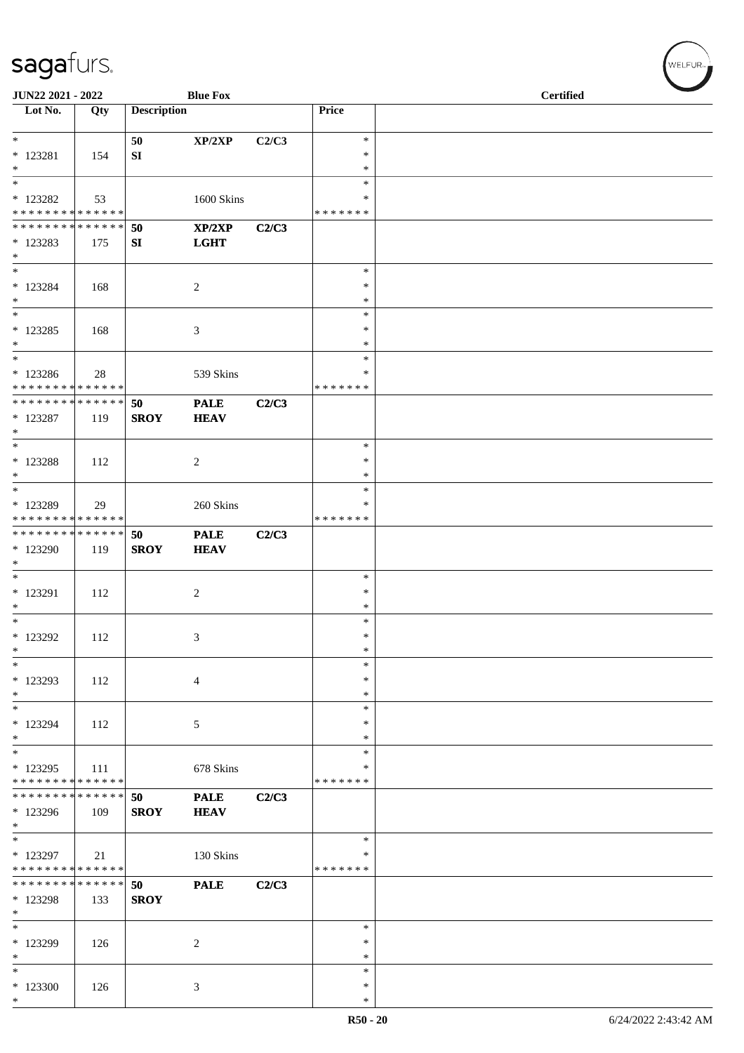| JUN22 2021 - 2022                                                   |     |                    | <b>Blue Fox</b>            |       |                                   | <b>Certified</b> |
|---------------------------------------------------------------------|-----|--------------------|----------------------------|-------|-----------------------------------|------------------|
| Lot No.                                                             | Qty | <b>Description</b> |                            |       | Price                             |                  |
| $*$                                                                 |     | 50                 | XP/2XP                     | C2/C3 | $\ast$                            |                  |
| $*$ 123281<br>$*$                                                   | 154 | SI                 |                            |       | $\ast$<br>$\ast$                  |                  |
| $*$                                                                 |     |                    |                            |       | $\ast$                            |                  |
| * 123282<br>* * * * * * * * <mark>* * * * * * *</mark>              | 53  |                    | 1600 Skins                 |       | ∗<br>* * * * * * *                |                  |
| * * * * * * * * * * * * * * *                                       |     | 50                 | XP/2XP                     | C2/C3 |                                   |                  |
| * 123283<br>$*$<br>$*$                                              | 175 | SI                 | <b>LGHT</b>                |       | $\ast$                            |                  |
| $* 123284$<br>$*$                                                   | 168 |                    | $\sqrt{2}$                 |       | $\ast$<br>$\ast$                  |                  |
| $*$<br>* 123285<br>$*$                                              | 168 |                    | 3                          |       | $\ast$<br>$\ast$<br>$\ast$        |                  |
| $*$<br>* 123286<br>* * * * * * * * * * * * * *                      | 28  |                    | 539 Skins                  |       | $\ast$<br>$\ast$<br>* * * * * * * |                  |
| * * * * * * * * * * * * * * *<br>$*$ 123287<br>$\ast$               | 119 | 50<br><b>SROY</b>  | <b>PALE</b><br><b>HEAV</b> | C2/C3 |                                   |                  |
| $*$<br>* 123288<br>$*$                                              | 112 |                    | $\overline{c}$             |       | $\ast$<br>$\ast$<br>∗             |                  |
| $*$<br>* 123289<br>* * * * * * * * * * * * * *                      | 29  |                    | 260 Skins                  |       | $\ast$<br>$\ast$<br>* * * * * * * |                  |
| * * * * * * * * * * * * * * *<br>* 123290<br>$\ast$                 | 119 | 50<br><b>SROY</b>  | <b>PALE</b><br><b>HEAV</b> | C2/C3 |                                   |                  |
| $*$<br>* 123291<br>$\ast$                                           | 112 |                    | $\sqrt{2}$                 |       | $\ast$<br>$\ast$<br>$\ast$        |                  |
| $\ast$<br>* 123292<br>$\ast$                                        | 112 |                    | 3                          |       | $\ast$<br>$\ast$<br>$\ast$        |                  |
| $\ast$<br>* 123293<br>$*$                                           | 112 |                    | $\overline{4}$             |       | $\ast$<br>$\ast$<br>$\ast$        |                  |
| $*$<br>* 123294<br>$*$                                              | 112 |                    | 5                          |       | $\ast$<br>$\ast$<br>∗             |                  |
| $*$<br>* 123295<br>* * * * * * * * * * * * * *                      | 111 |                    | 678 Skins                  |       | $\ast$<br>∗<br>* * * * * * *      |                  |
| * * * * * * * * * * * * * * *<br>* 123296<br>$*$                    | 109 | 50<br><b>SROY</b>  | <b>PALE</b><br><b>HEAV</b> | C2/C3 |                                   |                  |
| $\overline{\phantom{0}}$<br>* 123297<br>* * * * * * * * * * * * * * | 21  |                    | 130 Skins                  |       | $\ast$<br>$\ast$<br>* * * * * * * |                  |
| * * * * * * * * * * * * * * *<br>* 123298<br>$*$                    | 133 | 50<br><b>SROY</b>  | <b>PALE</b>                | C2/C3 |                                   |                  |
| $*$<br>* 123299<br>$*$                                              | 126 |                    | $\overline{2}$             |       | $\ast$<br>$\ast$<br>$\ast$        |                  |
| $\ast$<br>$*123300$<br>$*$                                          | 126 |                    | 3                          |       | $\ast$<br>$\ast$<br>∗             |                  |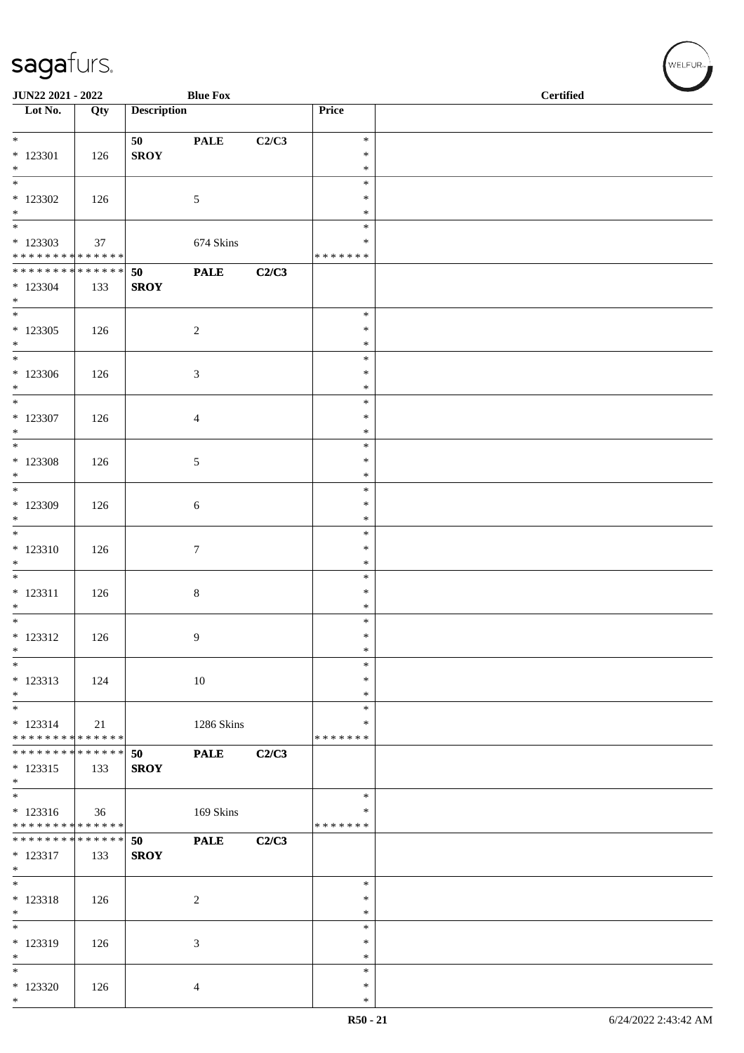| JUN22 2021 - 2022                         |     |                    | <b>Blue Fox</b> |       |                         | <b>Certified</b> |  |  |  |
|-------------------------------------------|-----|--------------------|-----------------|-------|-------------------------|------------------|--|--|--|
| $\overline{\phantom{1}}$ Lot No.          | Qty | <b>Description</b> |                 |       | Price                   |                  |  |  |  |
| $*$                                       |     | 50                 | <b>PALE</b>     | C2/C3 | $\ast$                  |                  |  |  |  |
| $* 123301$                                | 126 | <b>SROY</b>        |                 |       | $\ast$                  |                  |  |  |  |
| $*$<br>$\overline{\phantom{0}}$           |     |                    |                 |       | $\ast$                  |                  |  |  |  |
| $*$ 123302                                | 126 |                    | $\mathfrak{S}$  |       | $\ast$<br>$\ast$        |                  |  |  |  |
| $*$                                       |     |                    |                 |       | $\ast$                  |                  |  |  |  |
| $\overline{\phantom{0}}$                  |     |                    |                 |       | $\ast$                  |                  |  |  |  |
| $*123303$<br>******** <mark>******</mark> | 37  |                    | 674 Skins       |       | ∗<br>* * * * * * *      |                  |  |  |  |
| * * * * * * * * * * * * * * *             |     | 50                 | <b>PALE</b>     | C2/C3 |                         |                  |  |  |  |
| $*123304$<br>$*$                          | 133 | <b>SROY</b>        |                 |       |                         |                  |  |  |  |
| $\overline{\phantom{0}}$                  |     |                    |                 |       | $\ast$                  |                  |  |  |  |
| $*123305$                                 | 126 |                    | $\overline{2}$  |       | $\ast$                  |                  |  |  |  |
| $*$                                       |     |                    |                 |       | $\ast$<br>$\ast$        |                  |  |  |  |
| $*123306$                                 | 126 |                    | $\mathfrak{Z}$  |       | $\ast$                  |                  |  |  |  |
| $*$<br>$*$                                |     |                    |                 |       | $\ast$<br>$\ast$        |                  |  |  |  |
| $*$ 123307                                | 126 |                    | 4               |       | $\ast$                  |                  |  |  |  |
| $*$                                       |     |                    |                 |       | $\ast$                  |                  |  |  |  |
| $*$                                       |     |                    |                 |       | $\ast$<br>$\ast$        |                  |  |  |  |
| $*123308$<br>$*$                          | 126 |                    | 5               |       | $\ast$                  |                  |  |  |  |
|                                           |     |                    |                 |       | $\ast$                  |                  |  |  |  |
| * 123309<br>$*$                           | 126 |                    | 6               |       | $\ast$<br>$\ast$        |                  |  |  |  |
|                                           |     |                    |                 |       | $\ast$                  |                  |  |  |  |
| $* 123310$                                | 126 |                    | $\tau$          |       | $\ast$                  |                  |  |  |  |
| $\ast$<br>$*$                             |     |                    |                 |       | $\ast$<br>$\ast$        |                  |  |  |  |
| $* 123311$                                | 126 |                    | $8\,$           |       | $\ast$                  |                  |  |  |  |
| $*$<br>$*$                                |     |                    |                 |       | $\ast$                  |                  |  |  |  |
| $* 123312$                                | 126 |                    | 9               |       | $\ast$<br>$\ast$        |                  |  |  |  |
| $\ast$                                    |     |                    |                 |       | $\ast$                  |                  |  |  |  |
| $\ast$                                    |     |                    |                 |       | $\ast$                  |                  |  |  |  |
| * 123313<br>$*$                           | 124 |                    | $10\,$          |       | $\ast$<br>$\ast$        |                  |  |  |  |
| $*$                                       |     |                    |                 |       | $\ast$                  |                  |  |  |  |
| $* 123314$<br>* * * * * * * * * * * * * * | 21  |                    | 1286 Skins      |       | $\ast$<br>* * * * * * * |                  |  |  |  |
| * * * * * * * * * * * * * * *             |     | 50                 | <b>PALE</b>     | C2/C3 |                         |                  |  |  |  |
| $* 123315$                                | 133 | <b>SROY</b>        |                 |       |                         |                  |  |  |  |
| $*$                                       |     |                    |                 |       | $\ast$                  |                  |  |  |  |
| $* 123316$                                | 36  |                    | 169 Skins       |       | $\ast$                  |                  |  |  |  |
| * * * * * * * * * * * * * *               |     |                    |                 |       | * * * * * * *           |                  |  |  |  |
| * * * * * * * * * * * * * * *<br>* 123317 | 133 | 50<br><b>SROY</b>  | <b>PALE</b>     | C2/C3 |                         |                  |  |  |  |
| $*$                                       |     |                    |                 |       |                         |                  |  |  |  |
| $\overline{\phantom{0}}$                  |     |                    |                 |       | $\ast$                  |                  |  |  |  |
| $* 123318$<br>$*$                         | 126 |                    | $\overline{c}$  |       | ∗<br>$\ast$             |                  |  |  |  |
| $\overline{\phantom{0}}$                  |     |                    |                 |       | $\ast$                  |                  |  |  |  |
| * 123319                                  | 126 |                    | $\mathfrak{Z}$  |       | $\ast$<br>$\ast$        |                  |  |  |  |
| $*$<br>$*$                                |     |                    |                 |       | $\ast$                  |                  |  |  |  |
| $*123320$                                 | 126 |                    | 4               |       | $\ast$                  |                  |  |  |  |
| $*$                                       |     |                    |                 |       | $\ast$                  |                  |  |  |  |

WELFUR<sub><sup>N</sup></sub>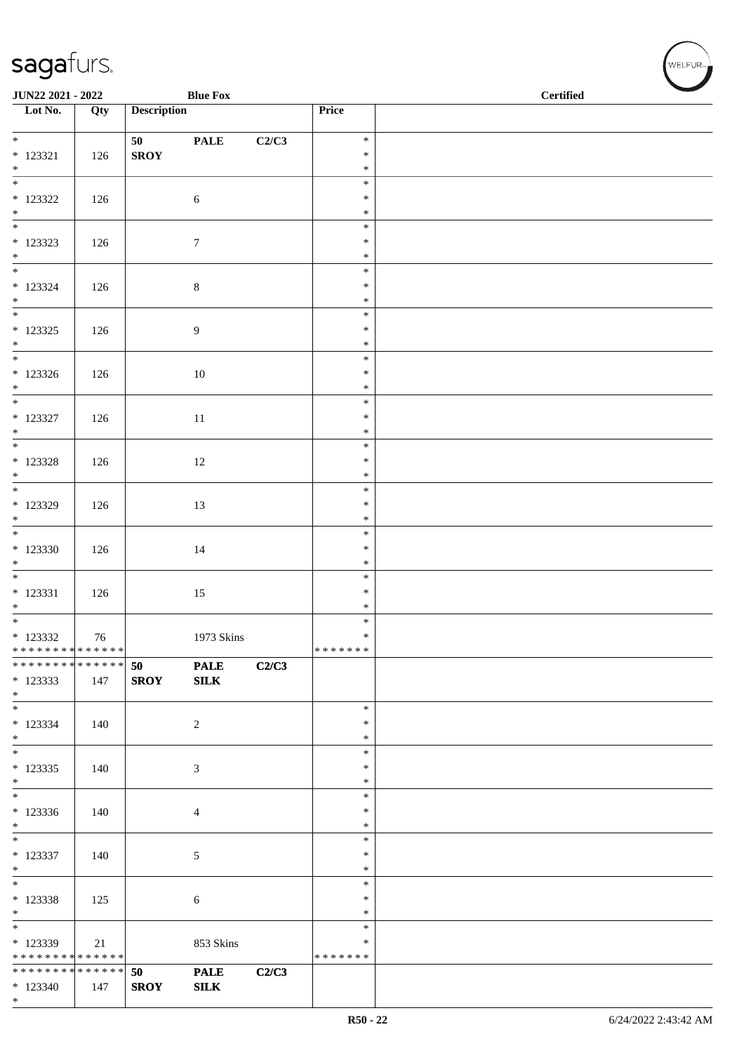| <b>Blue Fox</b><br>JUN22 2021 - 2022       |     |                    |                  |       | <b>Certified</b>   |  |
|--------------------------------------------|-----|--------------------|------------------|-------|--------------------|--|
| Lot No.                                    | Qty | <b>Description</b> |                  |       | Price              |  |
| $*$                                        |     | 50                 | <b>PALE</b>      | C2/C3 | $\ast$             |  |
| $* 123321$                                 | 126 | ${\bf SROY}$       |                  |       | $\ast$             |  |
| $*$                                        |     |                    |                  |       | $\ast$<br>$\ast$   |  |
| $*$ 123322                                 | 126 |                    | $\sqrt{6}$       |       | $\ast$             |  |
| $*$                                        |     |                    |                  |       | $\ast$             |  |
|                                            |     |                    |                  |       | $\ast$             |  |
| $* 123323$<br>$*$                          | 126 |                    | $\boldsymbol{7}$ |       | $\ast$<br>$\ast$   |  |
| $*$                                        |     |                    |                  |       | $\ast$             |  |
| $* 123324$<br>$*$                          | 126 |                    | $\,8\,$          |       | $\ast$<br>$\ast$   |  |
|                                            |     |                    |                  |       | $\ast$             |  |
| $* 123325$                                 | 126 |                    | $\overline{9}$   |       | $\ast$             |  |
| $*$                                        |     |                    |                  |       | $\ast$<br>$\ast$   |  |
| $*123326$                                  | 126 |                    | $10\,$           |       | $\ast$             |  |
| $*$<br>$*$                                 |     |                    |                  |       | $\ast$             |  |
| * 123327                                   | 126 |                    | $11\,$           |       | $\ast$<br>$\ast$   |  |
| $*$                                        |     |                    |                  |       | $\ast$             |  |
|                                            |     |                    |                  |       | $\ast$             |  |
| $* 123328$<br>$*$                          | 126 |                    | 12               |       | $\ast$<br>$\ast$   |  |
|                                            |     |                    |                  |       | $\ast$             |  |
| * 123329<br>$*$                            | 126 |                    | 13               |       | $\ast$<br>$\ast$   |  |
| $\overline{\phantom{0}}$                   |     |                    |                  |       | $\ast$             |  |
| $*123330$                                  | 126 |                    | $14\,$           |       | $\ast$             |  |
| $*$                                        |     |                    |                  |       | $\ast$<br>$\ast$   |  |
| $* 123331$                                 | 126 |                    | 15               |       | $\ast$             |  |
| $*$                                        |     |                    |                  |       | $\ast$             |  |
| * 123332                                   | 76  |                    | 1973 Skins       |       | $\ast$<br>$\ast$   |  |
| * * * * * * * * * * * * * * *              |     |                    |                  |       | *******            |  |
| * * * * * * * * * * * * * * *              |     | 50                 | <b>PALE</b>      | C2/C3 |                    |  |
| $*123333$<br>$*$                           | 147 | <b>SROY</b>        | SLK              |       |                    |  |
| $*$                                        |     |                    |                  |       | $\ast$             |  |
| $* 123334$<br>$*$                          | 140 |                    | 2                |       | $\ast$<br>$\ast$   |  |
|                                            |     |                    |                  |       | $\ast$             |  |
| $*123335$                                  | 140 |                    | $\mathfrak{Z}$   |       | $\ast$             |  |
| $*$                                        |     |                    |                  |       | $\ast$<br>$\ast$   |  |
| $*123336$                                  | 140 |                    | $\overline{4}$   |       | $\ast$             |  |
| $*$                                        |     |                    |                  |       | $\ast$             |  |
| $*$<br>* 123337                            | 140 |                    | 5                |       | $\ast$<br>$\ast$   |  |
| $*$                                        |     |                    |                  |       | $\ast$             |  |
| $\ast$                                     |     |                    |                  |       | $\ast$<br>$\ast$   |  |
| $* 123338$<br>$*$                          | 125 |                    | 6                |       | $\ast$             |  |
| $\overline{\phantom{0}}$                   |     |                    |                  |       | $\ast$             |  |
| * 123339<br>* * * * * * * * * * * * * * *  | 21  |                    | 853 Skins        |       | ∗<br>* * * * * * * |  |
| * * * * * * * * <mark>* * * * * * *</mark> |     | 50                 | <b>PALE</b>      | C2/C3 |                    |  |
| $*123340$                                  | 147 | <b>SROY</b>        | SLK              |       |                    |  |
| $*$                                        |     |                    |                  |       |                    |  |

WELFUR<sub><sup>12</sup></sub>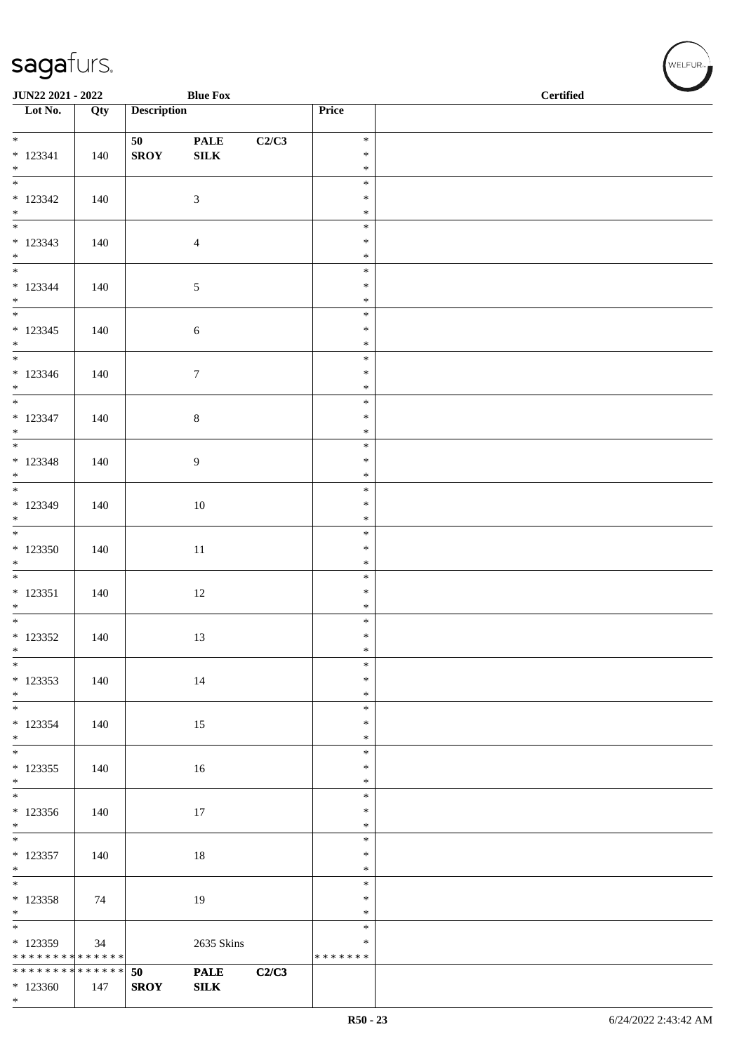| JUN22 2021 - 2022                          |     |                    | <b>Blue Fox</b>                                    |       |                  | <b>Certified</b> |
|--------------------------------------------|-----|--------------------|----------------------------------------------------|-------|------------------|------------------|
| $\overline{\phantom{1}}$ Lot No.           | Qty | <b>Description</b> |                                                    |       | Price            |                  |
| $*$                                        |     |                    |                                                    |       | $\ast$           |                  |
| $* 123341$                                 | 140 | 50<br><b>SROY</b>  | $\ensuremath{\mathbf{PAL}}\xspace$<br>${\bf SILK}$ | C2/C3 | $\ast$           |                  |
| $*$                                        |     |                    |                                                    |       | $\ast$           |                  |
|                                            |     |                    |                                                    |       | $\ast$           |                  |
| $* 123342$                                 | 140 |                    | 3                                                  |       | $\ast$           |                  |
| $*$                                        |     |                    |                                                    |       | $\ast$<br>$\ast$ |                  |
| $* 123343$                                 | 140 |                    | $\overline{4}$                                     |       | $\ast$           |                  |
| $*$                                        |     |                    |                                                    |       | $\ast$           |                  |
|                                            |     |                    |                                                    |       | $\ast$           |                  |
| $* 123344$<br>$*$                          | 140 |                    | $\sqrt{5}$                                         |       | $\ast$<br>$\ast$ |                  |
| $*$                                        |     |                    |                                                    |       | $\ast$           |                  |
| $* 123345$                                 | 140 |                    | $\sqrt{6}$                                         |       | $\ast$           |                  |
| $*$                                        |     |                    |                                                    |       | $\ast$           |                  |
|                                            |     |                    |                                                    |       | $\ast$<br>$\ast$ |                  |
| $*123346$<br>$*$                           | 140 |                    | $\boldsymbol{7}$                                   |       | $\ast$           |                  |
| $*$                                        |     |                    |                                                    |       | $\ast$           |                  |
| $* 123347$                                 | 140 |                    | $8\,$                                              |       | $\ast$           |                  |
| $*$                                        |     |                    |                                                    |       | $\ast$           |                  |
| $* 123348$                                 | 140 |                    |                                                    |       | $\ast$<br>$\ast$ |                  |
| $*$                                        |     |                    | 9                                                  |       | $\ast$           |                  |
|                                            |     |                    |                                                    |       | $\ast$           |                  |
| * 123349                                   | 140 |                    | $10\,$                                             |       | $\ast$           |                  |
| $*$                                        |     |                    |                                                    |       | $\ast$<br>$\ast$ |                  |
| $*123350$                                  | 140 |                    | $11\,$                                             |       | $\ast$           |                  |
| $*$                                        |     |                    |                                                    |       | $\ast$           |                  |
|                                            |     |                    |                                                    |       | $\ast$           |                  |
| $* 123351$                                 | 140 |                    | 12                                                 |       | $\ast$           |                  |
| $*$                                        |     |                    |                                                    |       | $\ast$<br>$\ast$ |                  |
| $*123352$                                  | 140 |                    | 13                                                 |       | $\ast$           |                  |
| $*$                                        |     |                    |                                                    |       | $\ast$           |                  |
| $\ast$                                     |     |                    |                                                    |       | $\ast$           |                  |
| * 123353<br>$*$                            | 140 |                    | 14                                                 |       | $\ast$<br>$\ast$ |                  |
| $*$                                        |     |                    |                                                    |       | $\ast$           |                  |
| $*123354$                                  | 140 |                    | 15                                                 |       | $\ast$           |                  |
| $*$                                        |     |                    |                                                    |       | $\ast$           |                  |
| * 123355                                   |     |                    |                                                    |       | $\ast$<br>$\ast$ |                  |
| $*$                                        | 140 |                    | 16                                                 |       | $\ast$           |                  |
|                                            |     |                    |                                                    |       | $\ast$           |                  |
| $*123356$                                  | 140 |                    | 17                                                 |       | $\ast$           |                  |
| $*$                                        |     |                    |                                                    |       | $\ast$<br>$\ast$ |                  |
| $*123357$                                  | 140 |                    | 18                                                 |       | $\ast$           |                  |
| $*$                                        |     |                    |                                                    |       | $\ast$           |                  |
|                                            |     |                    |                                                    |       | $\ast$           |                  |
| $*123358$                                  | 74  |                    | 19                                                 |       | $\ast$           |                  |
| $*$                                        |     |                    |                                                    |       | $\ast$<br>$\ast$ |                  |
| $*123359$                                  | 34  |                    | 2635 Skins                                         |       | $\ast$           |                  |
| * * * * * * * * * * * * * * *              |     |                    |                                                    |       | * * * * * * *    |                  |
| * * * * * * * * <mark>* * * * * * *</mark> |     | 50                 | <b>PALE</b>                                        | C2/C3 |                  |                  |
| $*123360$<br>$*$                           | 147 | <b>SROY</b>        | ${\bf SILK}$                                       |       |                  |                  |
|                                            |     |                    |                                                    |       |                  |                  |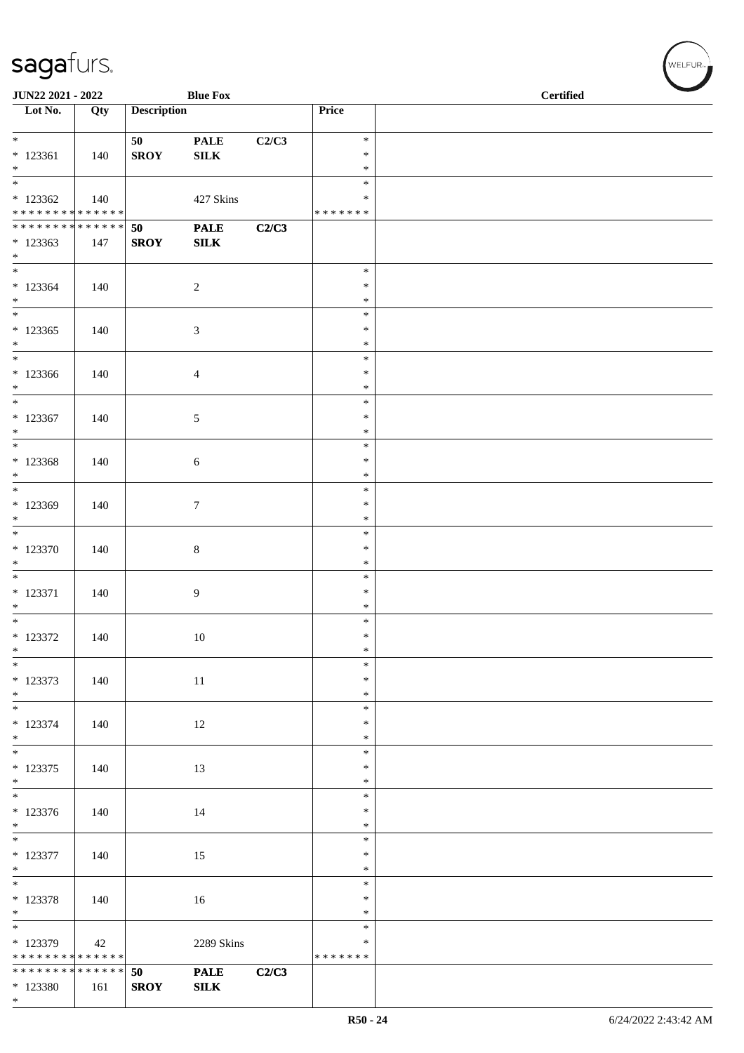| JUN22 2021 - 2022                          |     |                    | <b>Blue Fox</b>             |       |                  | <b>Certified</b> |
|--------------------------------------------|-----|--------------------|-----------------------------|-------|------------------|------------------|
| Lot No.                                    | Qty | <b>Description</b> |                             |       | Price            |                  |
| $*$                                        |     | 50                 | <b>PALE</b>                 | C2/C3 | $\ast$           |                  |
| $* 123361$                                 | 140 | <b>SROY</b>        | ${\bf SILK}$                |       | $\ast$           |                  |
| $*$                                        |     |                    |                             |       | $\ast$<br>$\ast$ |                  |
| * 123362                                   | 140 |                    | 427 Skins                   |       | ∗                |                  |
| * * * * * * * * <mark>* * * * * * *</mark> |     |                    |                             |       | * * * * * * *    |                  |
| ******** <mark>******</mark><br>* 123363   | 147 | 50<br><b>SROY</b>  | <b>PALE</b><br>${\bf SILK}$ | C2/C3 |                  |                  |
| $*$                                        |     |                    |                             |       |                  |                  |
|                                            |     |                    |                             |       | $\ast$           |                  |
| $*123364$<br>$*$                           | 140 |                    | $\sqrt{2}$                  |       | $\ast$<br>$\ast$ |                  |
| $*$                                        |     |                    |                             |       | $\ast$           |                  |
| $*123365$                                  | 140 |                    | $\mathfrak{Z}$              |       | $\ast$           |                  |
| $*$<br>$*$                                 |     |                    |                             |       | $\ast$<br>$\ast$ |                  |
| $*123366$                                  | 140 |                    | $\overline{4}$              |       | $\ast$           |                  |
| $*$                                        |     |                    |                             |       | $\ast$           |                  |
| $*123367$                                  | 140 |                    | 5                           |       | $\ast$<br>$\ast$ |                  |
| $*$                                        |     |                    |                             |       | $\ast$           |                  |
|                                            |     |                    |                             |       | $\ast$           |                  |
| $*123368$<br>$*$                           | 140 |                    | $\sqrt{6}$                  |       | $\ast$<br>$\ast$ |                  |
|                                            |     |                    |                             |       | $\ast$           |                  |
| * 123369                                   | 140 |                    | $\tau$                      |       | $\ast$           |                  |
| $*$                                        |     |                    |                             |       | $\ast$<br>$\ast$ |                  |
| $*123370$                                  | 140 |                    | $\,8\,$                     |       | $\ast$           |                  |
| $*$                                        |     |                    |                             |       | $\ast$           |                  |
| $*$<br>$* 123371$                          | 140 |                    | 9                           |       | $\ast$<br>$\ast$ |                  |
| $*$                                        |     |                    |                             |       | $\ast$           |                  |
|                                            |     |                    |                             |       | $\ast$           |                  |
| * 123372<br>$*$                            | 140 |                    | 10                          |       | $\ast$<br>$\ast$ |                  |
| $\ast$                                     |     |                    |                             |       | $\ast$           |                  |
| * 123373                                   | 140 |                    | 11                          |       | $\ast$           |                  |
| $*$<br>$*$                                 |     |                    |                             |       | $\ast$<br>$\ast$ |                  |
| * 123374                                   | 140 |                    | 12                          |       | $\ast$           |                  |
| $*$                                        |     |                    |                             |       | $\ast$           |                  |
| $* 123375$                                 | 140 |                    | 13                          |       | $\ast$<br>$\ast$ |                  |
| $*$                                        |     |                    |                             |       | $\ast$           |                  |
|                                            |     |                    |                             |       | $\ast$           |                  |
| $* 123376$<br>$*$                          | 140 |                    | 14                          |       | $\ast$<br>$\ast$ |                  |
|                                            |     |                    |                             |       | $\ast$           |                  |
| * 123377                                   | 140 |                    | 15                          |       | $\ast$<br>$\ast$ |                  |
| $*$                                        |     |                    |                             |       | $\ast$           |                  |
| $* 123378$                                 | 140 |                    | 16                          |       | $\ast$           |                  |
| $*$                                        |     |                    |                             |       | $\ast$<br>$\ast$ |                  |
| $*123379$                                  | 42  |                    | 2289 Skins                  |       | ∗                |                  |
| * * * * * * * * * * * * * * *              |     |                    |                             |       | * * * * * * *    |                  |
| * * * * * * * * <mark>* * * * * * *</mark> |     | 50                 | <b>PALE</b>                 | C2/C3 |                  |                  |
| * 123380<br>$*$                            | 161 | <b>SROY</b>        | ${\bf SILK}$                |       |                  |                  |

WELFUR<sub><sup>N</sup></sub>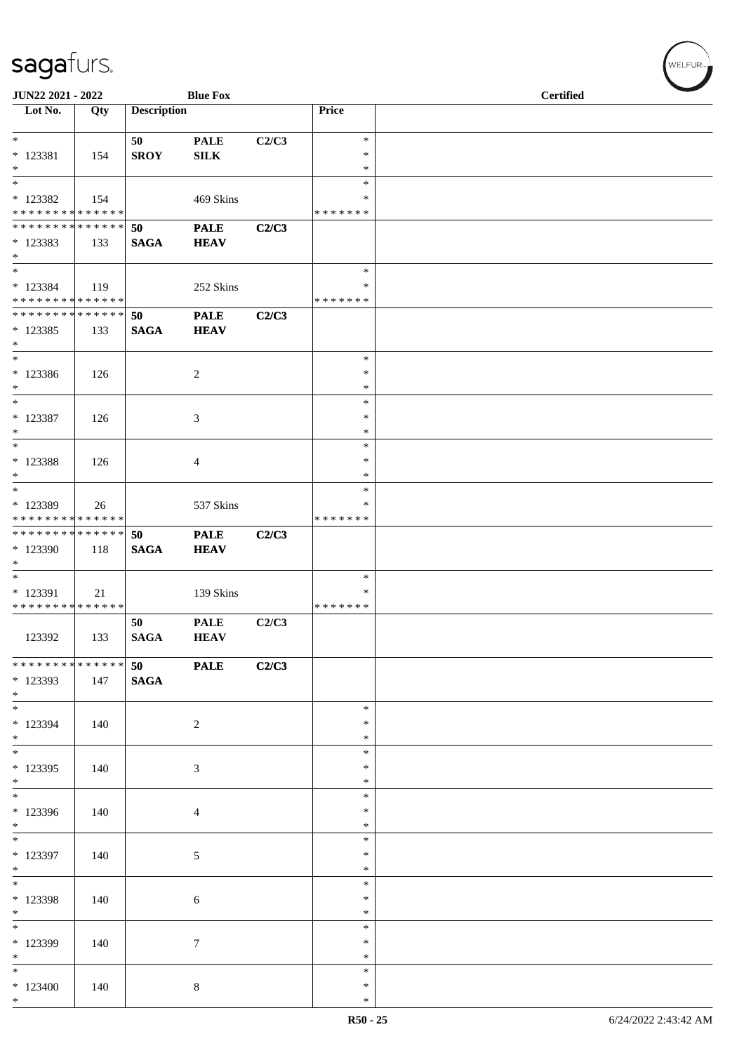| JUN22 2021 - 2022<br><b>Blue Fox</b>                                 |     |                    |                             |       | <b>Certified</b>             |  |  |
|----------------------------------------------------------------------|-----|--------------------|-----------------------------|-------|------------------------------|--|--|
| Lot No.                                                              | Qty | <b>Description</b> |                             |       | Price                        |  |  |
| $*$<br>* 123381<br>$*$                                               | 154 | 50<br><b>SROY</b>  | <b>PALE</b><br>${\bf SILK}$ | C2/C3 | $\ast$<br>∗<br>$\ast$        |  |  |
| $*$<br>* 123382<br>* * * * * * * * * * * * * *                       | 154 |                    | 469 Skins                   |       | $\ast$<br>∗<br>* * * * * * * |  |  |
| * * * * * * * * * * * * * * *<br>* 123383<br>$*$                     | 133 | 50<br><b>SAGA</b>  | <b>PALE</b><br><b>HEAV</b>  | C2/C3 |                              |  |  |
| $\overline{\mathbf{r}}$<br>* 123384<br>* * * * * * * * * * * * * *   | 119 |                    | 252 Skins                   |       | $\ast$<br>∗<br>*******       |  |  |
| * * * * * * * * <mark>* * * * * * *</mark><br>* 123385<br>$*$        | 133 | 50<br><b>SAGA</b>  | <b>PALE</b><br><b>HEAV</b>  | C2/C3 |                              |  |  |
| $*$<br>* 123386<br>$*$                                               | 126 |                    | 2                           |       | $\ast$<br>$\ast$<br>$\ast$   |  |  |
| $*$<br>* 123387<br>$*$                                               | 126 |                    | 3                           |       | $\ast$<br>$\ast$<br>$\ast$   |  |  |
| $*$<br>* 123388<br>$*$                                               | 126 |                    | $\overline{4}$              |       | $\ast$<br>$\ast$<br>$\ast$   |  |  |
| $\overline{\mathbf{r}^*}$<br>* 123389<br>* * * * * * * * * * * * * * | 26  |                    | 537 Skins                   |       | $\ast$<br>$\ast$<br>*******  |  |  |
| **************<br>$*123390$<br>$*$                                   | 118 | 50<br><b>SAGA</b>  | <b>PALE</b><br><b>HEAV</b>  | C2/C3 |                              |  |  |
| $\overline{\phantom{0}}$<br>* 123391<br>* * * * * * * * * * * * * *  | 21  |                    | 139 Skins                   |       | $\ast$<br>$\ast$<br>*******  |  |  |
| 123392                                                               | 133 | 50<br><b>SAGA</b>  | <b>PALE</b><br><b>HEAV</b>  | C2/C3 |                              |  |  |
| * * * * * * * * * * * * * * *<br>* 123393<br>$*$                     | 147 | 50<br><b>SAGA</b>  | <b>PALE</b>                 | C2/C3 |                              |  |  |
| $*$<br>* 123394<br>$*$                                               | 140 |                    | 2                           |       | $\ast$<br>$\ast$<br>$\ast$   |  |  |
| $\overline{\ast}$<br>* 123395<br>$*$                                 | 140 |                    | $\mathfrak{Z}$              |       | $\ast$<br>$\ast$<br>$\ast$   |  |  |
| * 123396<br>$*$                                                      | 140 |                    | $\overline{4}$              |       | $\ast$<br>$\ast$<br>$\ast$   |  |  |
| * 123397<br>$*$                                                      | 140 |                    | $\sqrt{5}$                  |       | $\ast$<br>$\ast$<br>$\ast$   |  |  |
| $*$<br>* 123398<br>$*$                                               | 140 |                    | 6                           |       | $\ast$<br>$\ast$<br>$\ast$   |  |  |
| * 123399<br>$*$                                                      | 140 |                    | $\tau$                      |       | $\ast$<br>$\ast$<br>$\ast$   |  |  |
| $*$<br>$*123400$<br>$*$                                              | 140 |                    | $\,8\,$                     |       | $\ast$<br>$\ast$<br>$\ast$   |  |  |

V<br>WELFUR<sub>™</sub>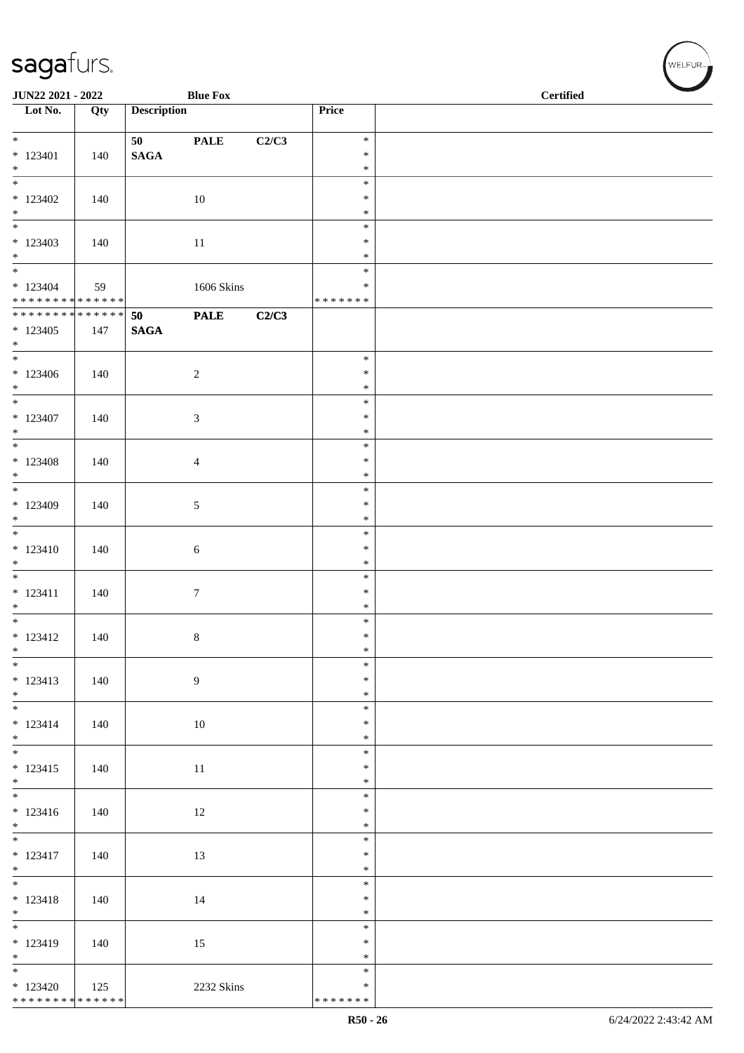| JUN22 2021 - 2022                         |     |                    | <b>Blue Fox</b>   |       |                  | <b>Certified</b> |  |  |
|-------------------------------------------|-----|--------------------|-------------------|-------|------------------|------------------|--|--|
| $\overline{\phantom{1}}$ Lot No.          | Qty | <b>Description</b> |                   |       | Price            |                  |  |  |
| $\overline{\ast}$                         |     | 50                 | <b>PALE</b>       | C2/C3 | $\ast$           |                  |  |  |
| $*123401$                                 | 140 | <b>SAGA</b>        |                   |       | $\ast$           |                  |  |  |
| $\ast$<br>$\overline{\phantom{a}^*}$      |     |                    |                   |       | $\ast$<br>$\ast$ |                  |  |  |
| $*123402$                                 | 140 |                    | $10\,$            |       | $\ast$           |                  |  |  |
| $\ast$<br>$\frac{1}{1}$                   |     |                    |                   |       | $\ast$<br>$\ast$ |                  |  |  |
| $*123403$                                 | 140 |                    | 11                |       | $\ast$           |                  |  |  |
| $\ast$<br>$\overline{\phantom{0}}$        |     |                    |                   |       | $\ast$           |                  |  |  |
| $*123404$                                 | 59  |                    | <b>1606 Skins</b> |       | $\ast$<br>$\ast$ |                  |  |  |
| ******** <mark>******</mark>              |     |                    |                   |       | * * * * * * *    |                  |  |  |
| ******** <mark>******</mark><br>$*123405$ | 147 | 50<br><b>SAGA</b>  | <b>PALE</b>       | C2/C3 |                  |                  |  |  |
| $*$                                       |     |                    |                   |       |                  |                  |  |  |
| $\overline{\phantom{0}}$                  |     |                    |                   |       | $\ast$           |                  |  |  |
| $*123406$<br>$*$                          | 140 |                    | $\sqrt{2}$        |       | $\ast$<br>$\ast$ |                  |  |  |
| $\overline{\ }$                           |     |                    |                   |       | $\ast$           |                  |  |  |
| $* 123407$<br>$*$                         | 140 |                    | $\mathfrak{Z}$    |       | $\ast$<br>$\ast$ |                  |  |  |
| $\ast$                                    |     |                    |                   |       | $\ast$           |                  |  |  |
| $*123408$                                 | 140 |                    | $\overline{4}$    |       | $\ast$           |                  |  |  |
| $*$<br>$\overline{\phantom{0}}$           |     |                    |                   |       | $\ast$<br>$\ast$ |                  |  |  |
| $*123409$                                 | 140 |                    | $\sqrt{5}$        |       | $\ast$           |                  |  |  |
| $\ast$<br>$\overline{\phantom{0}}$        |     |                    |                   |       | $\ast$<br>$\ast$ |                  |  |  |
| $* 123410$                                | 140 |                    | $6\,$             |       | $\ast$           |                  |  |  |
| $\ast$<br>$*$                             |     |                    |                   |       | $\ast$<br>$\ast$ |                  |  |  |
| $* 123411$                                | 140 |                    | $\boldsymbol{7}$  |       | $\ast$           |                  |  |  |
| $\ast$<br>$\overline{\phantom{0}}$        |     |                    |                   |       | $\ast$           |                  |  |  |
| $* 123412$                                | 140 |                    | $\,8\,$           |       | $\ast$<br>$\ast$ |                  |  |  |
| $\ast$                                    |     |                    |                   |       | $\ast$           |                  |  |  |
| $\overline{\phantom{0}}$<br>$* 123413$    | 140 |                    | $\overline{9}$    |       | $\ast$<br>$\ast$ |                  |  |  |
| $*$                                       |     |                    |                   |       | $\ast$           |                  |  |  |
| $\ast$                                    |     |                    |                   |       | $\ast$<br>$\ast$ |                  |  |  |
| $* 123414$<br>$*$                         | 140 |                    | $10\,$            |       | $\ast$           |                  |  |  |
| $\overline{\phantom{a}^*}$                |     |                    |                   |       | $\ast$           |                  |  |  |
| $* 123415$<br>$\ast$                      | 140 |                    | $11\,$            |       | $\ast$<br>$\ast$ |                  |  |  |
| $\overline{\phantom{a}^*}$                |     |                    |                   |       | $\ast$           |                  |  |  |
| $* 123416$<br>$\ast$                      | 140 |                    | 12                |       | $\ast$<br>$\ast$ |                  |  |  |
| $\overline{\phantom{0}}$                  |     |                    |                   |       | $\ast$           |                  |  |  |
| $* 123417$                                | 140 |                    | 13                |       | $\ast$           |                  |  |  |
| $\ast$<br>$\frac{1}{*}$                   |     |                    |                   |       | $\ast$<br>$\ast$ |                  |  |  |
| $* 123418$                                | 140 |                    | 14                |       | $\ast$           |                  |  |  |
| $\ast$<br>$\overline{\phantom{0}}$        |     |                    |                   |       | $\ast$<br>$\ast$ |                  |  |  |
| $* 123419$                                | 140 |                    | 15                |       | $\ast$           |                  |  |  |
| $\ast$<br>$\overline{\ast}$               |     |                    |                   |       | $\ast$           |                  |  |  |
| $*123420$                                 | 125 |                    | 2232 Skins        |       | $\ast$<br>$\ast$ |                  |  |  |
| * * * * * * * * * * * * * *               |     |                    |                   |       | *******          |                  |  |  |

 $w$ ELFUR-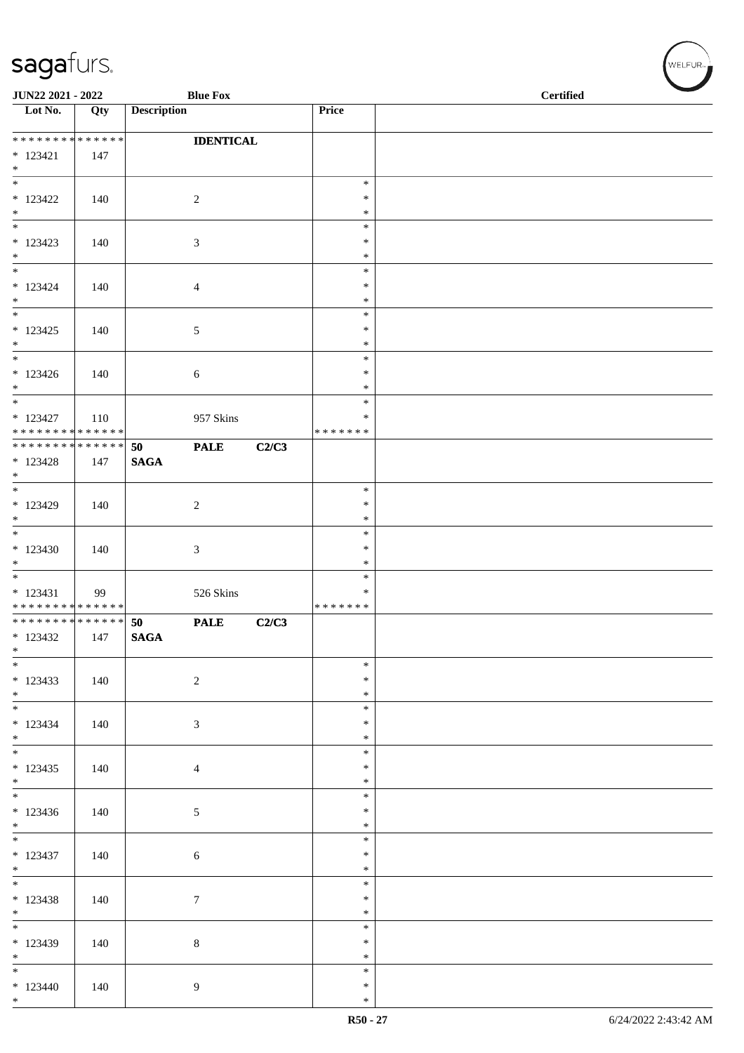| JUN22 2021 - 2022                           |     | <b>Blue Fox</b>    |                  |       | <b>Certified</b> |  |
|---------------------------------------------|-----|--------------------|------------------|-------|------------------|--|
| $\overline{\phantom{1}}$ Lot No.            | Qty | <b>Description</b> |                  |       | Price            |  |
| ******** <mark>******</mark>                |     |                    | <b>IDENTICAL</b> |       |                  |  |
| $* 123421$<br>$*$                           | 147 |                    |                  |       |                  |  |
| $*$                                         |     |                    |                  |       | $\ast$           |  |
| $* 123422$<br>$*$                           | 140 |                    | $\overline{c}$   |       | $\ast$<br>$\ast$ |  |
| $\overline{\phantom{0}}$                    |     |                    |                  |       | $\ast$           |  |
| $*123423$<br>$*$                            | 140 |                    | 3                |       | $\ast$<br>$\ast$ |  |
| $\overline{\phantom{0}}$                    |     |                    |                  |       | $\ast$           |  |
| $* 123424$<br>$*$                           | 140 |                    | 4                |       | $\ast$<br>$\ast$ |  |
|                                             |     |                    |                  |       | $\ast$           |  |
| $* 123425$<br>$*$                           | 140 |                    | 5                |       | $\ast$<br>$\ast$ |  |
|                                             |     |                    |                  |       | $\ast$<br>$\ast$ |  |
| $*123426$<br>$*$                            | 140 |                    | 6                |       | $\ast$           |  |
| $* 123427$                                  | 110 |                    | 957 Skins        |       | $\ast$<br>∗      |  |
| * * * * * * * * * * * * * *                 |     |                    |                  |       | * * * * * * *    |  |
| ******** <mark>******</mark><br>$* 123428$  | 147 | 50<br><b>SAGA</b>  | <b>PALE</b>      | C2/C3 |                  |  |
| $*$                                         |     |                    |                  |       |                  |  |
| $*$<br>$*123429$                            | 140 |                    | $\overline{c}$   |       | $\ast$<br>$\ast$ |  |
| $*$                                         |     |                    |                  |       | $\ast$           |  |
| $*$<br>$*123430$                            | 140 |                    | 3                |       | $\ast$<br>$\ast$ |  |
| $*$                                         |     |                    |                  |       | $\ast$           |  |
| $* 123431$                                  | 99  |                    | 526 Skins        |       | $\ast$<br>∗      |  |
| * * * * * * * * * * * * * *                 |     |                    |                  |       | * * * * * * *    |  |
| * * * * * * * * * * * * * * *<br>$* 123432$ | 147 | 50<br><b>SAGA</b>  | <b>PALE</b>      | C2/C3 |                  |  |
| $\ast$<br>$*$                               |     |                    |                  |       | $\ast$           |  |
| $*123433$                                   | 140 |                    | $\sqrt{2}$       |       | $\ast$           |  |
| $*$<br>$*$                                  |     |                    |                  |       | $\ast$<br>$\ast$ |  |
| $* 123434$                                  | 140 |                    | $\mathfrak{Z}$   |       | $\ast$           |  |
| $*$<br>$*$ $*$                              |     |                    |                  |       | $\ast$<br>$\ast$ |  |
| $*123435$                                   | 140 |                    | 4                |       | $\ast$           |  |
| $*$<br>$*$                                  |     |                    |                  |       | $\ast$<br>$\ast$ |  |
| $*123436$                                   | 140 |                    | 5                |       | $\ast$           |  |
| $*$                                         |     |                    |                  |       | $\ast$<br>$\ast$ |  |
| $* 123437$<br>$*$                           | 140 |                    | $\sqrt{6}$       |       | $\ast$<br>$\ast$ |  |
|                                             |     |                    |                  |       | $\ast$           |  |
| * 123438<br>$*$                             | 140 |                    | $\boldsymbol{7}$ |       | $\ast$<br>$\ast$ |  |
| $\overline{\phantom{0}}$                    |     |                    |                  |       | $\ast$           |  |
| $* 123439$<br>$*$                           | 140 |                    | $\,8\,$          |       | $\ast$<br>$\ast$ |  |
| $\overline{\phantom{0}}$                    |     |                    |                  |       | $\ast$           |  |
| $*123440$<br>$*$                            | 140 |                    | 9                |       | $\ast$<br>$\ast$ |  |

WELFUR<sub><sup>N</sub></sub></sub></sup>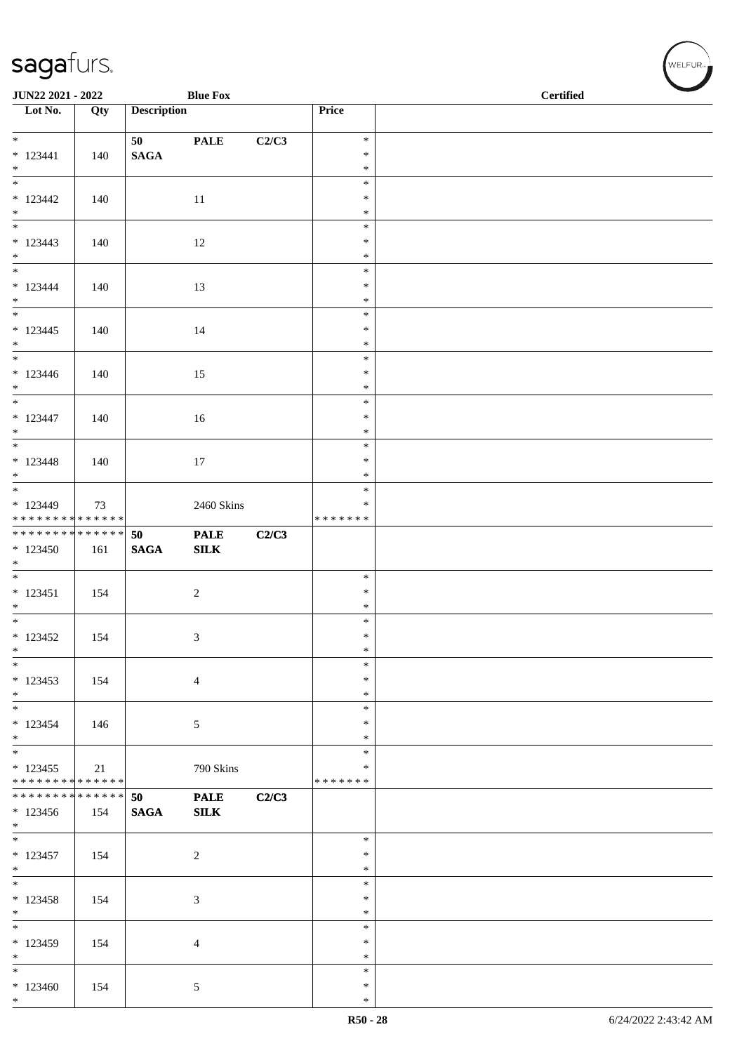| <b>JUN22 2021 - 2022</b>     |     |                    | <b>Blue Fox</b> |       |                  | <b>Certified</b> |
|------------------------------|-----|--------------------|-----------------|-------|------------------|------------------|
| Lot No.                      | Qty | <b>Description</b> |                 |       | Price            |                  |
|                              |     |                    |                 |       |                  |                  |
| $*$                          |     | 50                 | <b>PALE</b>     | C2/C3 | $\ast$           |                  |
| $* 123441$                   | 140 | $\mathbf{SAGA}$    |                 |       | $\ast$           |                  |
| $*$                          |     |                    |                 |       | $\ast$           |                  |
|                              |     |                    |                 |       | $\ast$           |                  |
| $*123442$                    | 140 |                    | 11              |       | $\ast$           |                  |
| $*$                          |     |                    |                 |       | $\ast$           |                  |
|                              |     |                    |                 |       | $\ast$           |                  |
| $* 123443$                   | 140 |                    | 12              |       | $\ast$           |                  |
| $*$                          |     |                    |                 |       | $\ast$           |                  |
|                              |     |                    |                 |       | $\ast$           |                  |
| $* 123444$<br>$*$            | 140 |                    | 13              |       | $\ast$<br>$\ast$ |                  |
|                              |     |                    |                 |       | $\ast$           |                  |
|                              |     |                    |                 |       | $\ast$           |                  |
| $* 123445$<br>$*$            | 140 |                    | 14              |       | $\ast$           |                  |
| $*$                          |     |                    |                 |       | $\ast$           |                  |
| $* 123446$                   | 140 |                    | 15              |       | $\ast$           |                  |
| $*$                          |     |                    |                 |       | $\ast$           |                  |
| $*$                          |     |                    |                 |       | $\ast$           |                  |
| $* 123447$                   | 140 |                    | 16              |       | $\ast$           |                  |
| $*$                          |     |                    |                 |       | $\ast$           |                  |
|                              |     |                    |                 |       | $\ast$           |                  |
| $* 123448$                   | 140 |                    | 17              |       | $\ast$           |                  |
| $*$                          |     |                    |                 |       | $\ast$           |                  |
|                              |     |                    |                 |       | $\ast$           |                  |
| $*123449$                    | 73  |                    | 2460 Skins      |       | $\ast$           |                  |
| * * * * * * * * * * * * * *  |     |                    |                 |       | * * * * * * *    |                  |
| ******** <mark>******</mark> |     | 50                 | <b>PALE</b>     | C2/C3 |                  |                  |
| $*123450$                    | 161 | <b>SAGA</b>        | ${\bf SILK}$    |       |                  |                  |
| $*$                          |     |                    |                 |       |                  |                  |
|                              |     |                    |                 |       | $\ast$           |                  |
| $* 123451$                   | 154 |                    | $\overline{2}$  |       | $\ast$           |                  |
| $*$<br>$*$                   |     |                    |                 |       | $\ast$<br>$\ast$ |                  |
| $*123452$                    | 154 |                    |                 |       | $\ast$           |                  |
| $\ast$                       |     |                    | 3               |       | $\ast$           |                  |
| $*$                          |     |                    |                 |       | $\ast$           |                  |
| $* 123453$                   | 154 |                    | $\overline{4}$  |       | $\ast$           |                  |
| $*$                          |     |                    |                 |       | $\ast$           |                  |
| $*$                          |     |                    |                 |       | $\ast$           |                  |
| $* 123454$                   | 146 |                    | 5               |       | ∗                |                  |
| $*$                          |     |                    |                 |       | $\ast$           |                  |
| $*$                          |     |                    |                 |       | $\ast$           |                  |
| $*123455$                    | 21  |                    | 790 Skins       |       | $\ast$           |                  |
| * * * * * * * * * * * * * *  |     |                    |                 |       | * * * * * * *    |                  |
| ******** <mark>******</mark> |     | 50                 | <b>PALE</b>     | C2/C3 |                  |                  |
| $*123456$                    | 154 | <b>SAGA</b>        | <b>SILK</b>     |       |                  |                  |
| $*$                          |     |                    |                 |       |                  |                  |
|                              |     |                    |                 |       | $\ast$           |                  |
| $* 123457$                   | 154 |                    | $\overline{2}$  |       | $\ast$           |                  |
| $*$                          |     |                    |                 |       | $\ast$<br>$\ast$ |                  |
| $*123458$                    | 154 |                    |                 |       | $\ast$           |                  |
| $*$                          |     |                    | $\mathfrak{Z}$  |       | $\ast$           |                  |
| $\ast$                       |     |                    |                 |       | $\ast$           |                  |
| $* 123459$                   | 154 |                    | $\overline{4}$  |       | $\ast$           |                  |
| $*$                          |     |                    |                 |       | $\ast$           |                  |
| $*$                          |     |                    |                 |       | $\ast$           |                  |
| $*123460$                    | 154 |                    | $\mathfrak{S}$  |       | $\ast$           |                  |
| $*$                          |     |                    |                 |       | $\ast$           |                  |

√<br>WELFUR<sub>™</sub>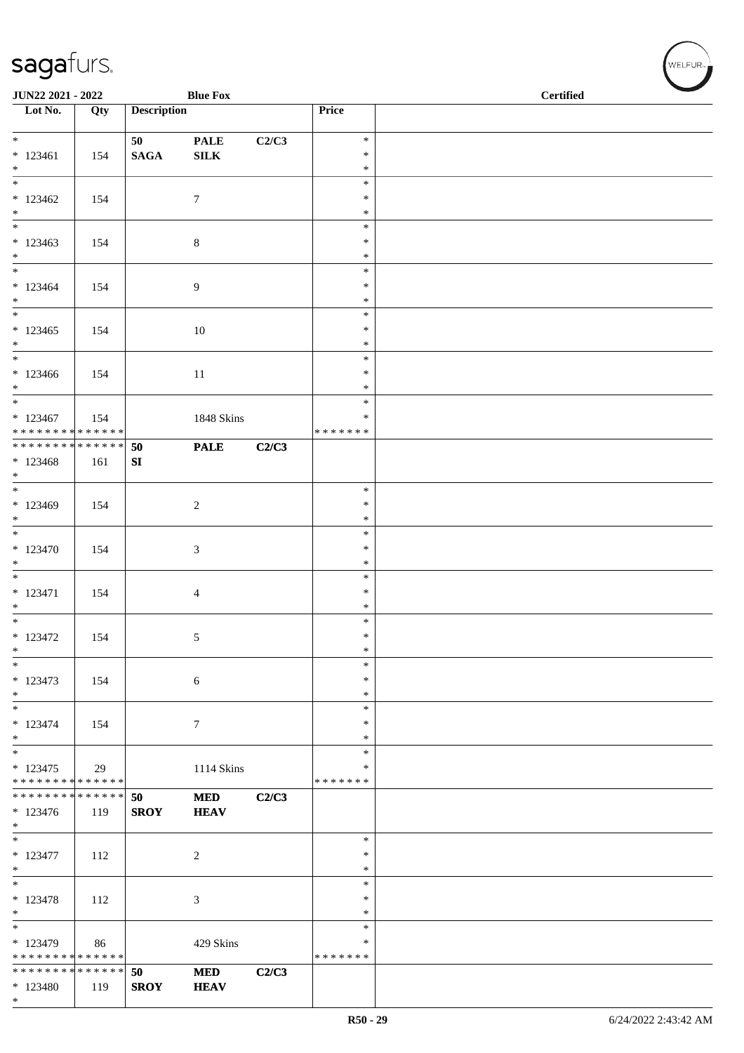| <b>Blue Fox</b><br><b>JUN22 2021 - 2022</b> |     |                    |                           |       |                   | <b>Certified</b> |  |  |  |
|---------------------------------------------|-----|--------------------|---------------------------|-------|-------------------|------------------|--|--|--|
| Lot No.                                     | Qty | <b>Description</b> |                           |       | <b>Price</b>      |                  |  |  |  |
|                                             |     |                    |                           |       |                   |                  |  |  |  |
| $*$                                         |     | 50                 | <b>PALE</b>               | C2/C3 | $\ast$            |                  |  |  |  |
| $* 123461$                                  | 154 | $\mathbf{SAGA}$    | ${\bf SILK}$              |       | $\ast$            |                  |  |  |  |
| $*$                                         |     |                    |                           |       | $\ast$            |                  |  |  |  |
| $\frac{1}{1}$                               |     |                    |                           |       | $\ast$            |                  |  |  |  |
| $*123462$                                   | 154 |                    | $\tau$                    |       | $\ast$            |                  |  |  |  |
| $*$                                         |     |                    |                           |       | $\ast$            |                  |  |  |  |
|                                             |     |                    |                           |       | $\ast$            |                  |  |  |  |
| $*123463$                                   | 154 |                    | $\,8\,$                   |       | $\ast$            |                  |  |  |  |
| $*$                                         |     |                    |                           |       | $\ast$            |                  |  |  |  |
|                                             |     |                    |                           |       | $\ast$            |                  |  |  |  |
| $*123464$                                   | 154 |                    | $\overline{9}$            |       | $\ast$            |                  |  |  |  |
| $*$<br>$*$                                  |     |                    |                           |       | $\ast$<br>$\ast$  |                  |  |  |  |
|                                             |     |                    |                           |       | $\ast$            |                  |  |  |  |
| $*123465$<br>$*$                            | 154 |                    | 10                        |       | $\ast$            |                  |  |  |  |
| $*$                                         |     |                    |                           |       | $\ast$            |                  |  |  |  |
| $*123466$                                   | 154 |                    | 11                        |       | $\ast$            |                  |  |  |  |
| $*$                                         |     |                    |                           |       | $\ast$            |                  |  |  |  |
| $*$                                         |     |                    |                           |       | $\ast$            |                  |  |  |  |
| $* 123467$                                  | 154 |                    | 1848 Skins                |       | $\ast$            |                  |  |  |  |
| * * * * * * * * * * * * * * *               |     |                    |                           |       | *******           |                  |  |  |  |
| ******** <mark>******</mark>                |     | 50                 | <b>PALE</b>               | C2/C3 |                   |                  |  |  |  |
| $*123468$                                   | 161 | SI                 |                           |       |                   |                  |  |  |  |
| $*$                                         |     |                    |                           |       |                   |                  |  |  |  |
|                                             |     |                    |                           |       | $\ast$            |                  |  |  |  |
| $*123469$                                   | 154 |                    | 2                         |       | $\ast$            |                  |  |  |  |
| $*$                                         |     |                    |                           |       | $\ast$            |                  |  |  |  |
| $*$                                         |     |                    |                           |       | $\ast$            |                  |  |  |  |
| * 123470                                    | 154 |                    | 3                         |       | $\ast$            |                  |  |  |  |
| $*$                                         |     |                    |                           |       | $\ast$            |                  |  |  |  |
|                                             |     |                    |                           |       | $\ast$            |                  |  |  |  |
| $* 123471$                                  | 154 |                    | $\overline{4}$            |       | $\ast$            |                  |  |  |  |
| $*$                                         |     |                    |                           |       | $\ast$            |                  |  |  |  |
| $\ddot{x}$                                  |     |                    |                           |       | $\ast$            |                  |  |  |  |
| $* 123472$                                  | 154 |                    | 5                         |       | $\ast$            |                  |  |  |  |
| $*$<br>$*$                                  |     |                    |                           |       | $\ast$<br>$\ast$  |                  |  |  |  |
| $* 123473$                                  |     |                    |                           |       | $\ast$            |                  |  |  |  |
| $*$                                         | 154 |                    | 6                         |       | $\ast$            |                  |  |  |  |
| $*$                                         |     |                    |                           |       | $\ast$            |                  |  |  |  |
| $* 123474$                                  | 154 |                    | $\tau$                    |       | $\ast$            |                  |  |  |  |
| $*$                                         |     |                    |                           |       | $\ast$            |                  |  |  |  |
| $*$                                         |     |                    |                           |       | $\ast$            |                  |  |  |  |
| $* 123475$                                  | 29  |                    | 1114 Skins                |       | $\ast$            |                  |  |  |  |
| * * * * * * * * * * * * * *                 |     |                    |                           |       | *******           |                  |  |  |  |
| * * * * * * * * <mark>* * * * * * *</mark>  |     | 50                 | <b>MED</b>                | C2/C3 |                   |                  |  |  |  |
| $*123476$                                   | 119 | <b>SROY</b>        | <b>HEAV</b>               |       |                   |                  |  |  |  |
| $*$                                         |     |                    |                           |       |                   |                  |  |  |  |
|                                             |     |                    |                           |       | $\ast$            |                  |  |  |  |
| $* 123477$                                  | 112 |                    | 2                         |       | $\ast$            |                  |  |  |  |
| $*$                                         |     |                    |                           |       | $\ast$            |                  |  |  |  |
| $*$                                         |     |                    |                           |       | $\ast$            |                  |  |  |  |
| $* 123478$                                  | 112 |                    | $\mathfrak{Z}$            |       | $\ast$            |                  |  |  |  |
| $*$                                         |     |                    |                           |       | $\ast$            |                  |  |  |  |
| $*$                                         |     |                    |                           |       | $\ast$            |                  |  |  |  |
| $*123479$<br>* * * * * * * * * * * * * *    | 86  |                    | 429 Skins                 |       | $\ast$<br>******* |                  |  |  |  |
| * * * * * * * * * * * * * *                 |     | 50                 |                           |       |                   |                  |  |  |  |
| * 123480                                    | 119 | <b>SROY</b>        | <b>MED</b><br><b>HEAV</b> | C2/C3 |                   |                  |  |  |  |
| $*$                                         |     |                    |                           |       |                   |                  |  |  |  |
|                                             |     |                    |                           |       |                   |                  |  |  |  |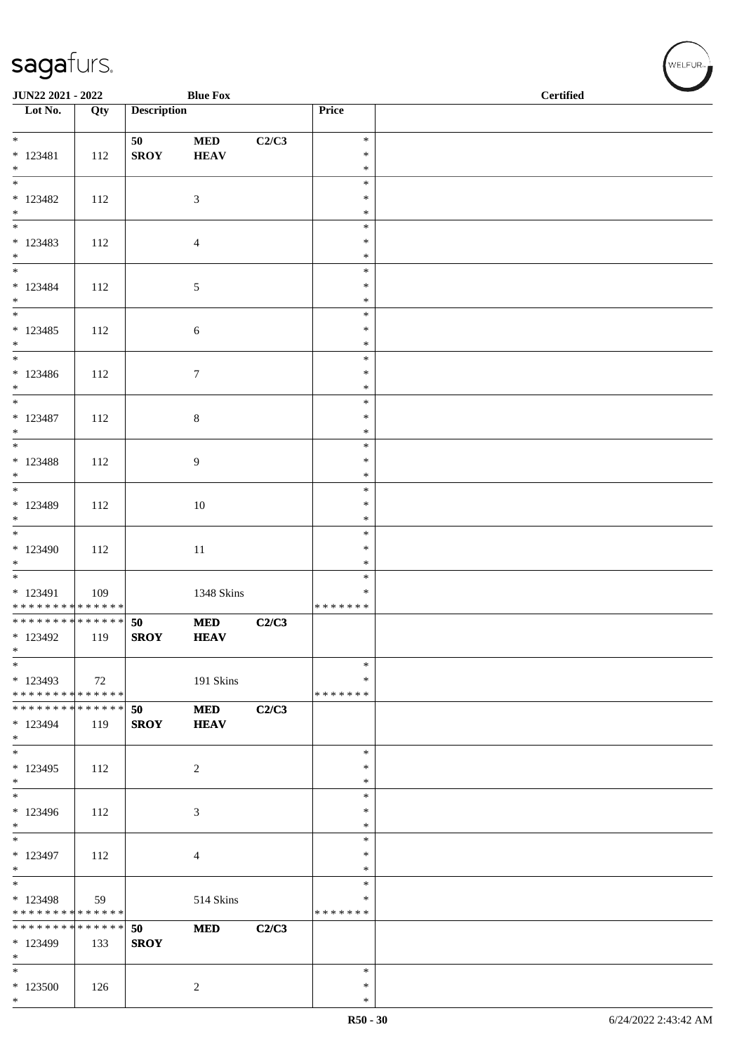| JUN22 2021 - 2022                                    |     |                    | <b>Blue Fox</b>           |       |                                   | <b>Certified</b> |  |  |  |
|------------------------------------------------------|-----|--------------------|---------------------------|-------|-----------------------------------|------------------|--|--|--|
| Lot No.                                              | Qty | <b>Description</b> |                           |       | Price                             |                  |  |  |  |
| $*$                                                  |     | 50                 | $\bf MED$                 | C2/C3 | $\ast$                            |                  |  |  |  |
| $* 123481$<br>$*$                                    | 112 | <b>SROY</b>        | <b>HEAV</b>               |       | $\ast$<br>$\ast$                  |                  |  |  |  |
| $\overline{\phantom{0}}$<br>$* 123482$<br>$*$        | 112 |                    | $\mathfrak{Z}$            |       | $\ast$<br>$\ast$<br>$\ast$        |                  |  |  |  |
| $* 123483$<br>$*$                                    | 112 |                    | $\overline{4}$            |       | $\ast$<br>$\ast$<br>$\ast$        |                  |  |  |  |
| $* 123484$<br>$*$                                    | 112 |                    | $\sqrt{5}$                |       | $\ast$<br>$\ast$<br>$\ast$        |                  |  |  |  |
| $* 123485$<br>$*$                                    | 112 |                    | 6                         |       | $\ast$<br>$\ast$<br>$\ast$        |                  |  |  |  |
| $*$<br>* 123486<br>$*$                               | 112 |                    | $\boldsymbol{7}$          |       | $\ast$<br>$\ast$<br>$\ast$        |                  |  |  |  |
| $* 123487$<br>$\ast$                                 | 112 |                    | $\,8\,$                   |       | $\ast$<br>$\ast$<br>$\ast$        |                  |  |  |  |
| $* 123488$<br>$*$                                    | 112 |                    | 9                         |       | $\ast$<br>$\ast$<br>$\ast$        |                  |  |  |  |
| * 123489<br>$*$                                      | 112 |                    | $10\,$                    |       | $\ast$<br>$\ast$<br>$\ast$        |                  |  |  |  |
| $*123490$<br>$*$                                     | 112 |                    | $11\,$                    |       | $\ast$<br>$\ast$<br>$\ast$        |                  |  |  |  |
| * 123491<br>* * * * * * * * * * * * * *              | 109 |                    | 1348 Skins                |       | $\ast$<br>$\ast$<br>* * * * * * * |                  |  |  |  |
| * * * * * * * * * * * * * * *<br>* 123492<br>$\ast$  | 119 | 50<br><b>SROY</b>  | <b>MED</b><br><b>HEAV</b> | C2/C3 |                                   |                  |  |  |  |
| $\ast$<br>$*123493$<br>* * * * * * * * * * * * * * * | 72  |                    | 191 Skins                 |       | $\ast$<br>$\ast$<br>* * * * * * * |                  |  |  |  |
| ******** <mark>******</mark><br>* 123494<br>$*$      | 119 | 50<br><b>SROY</b>  | <b>MED</b><br><b>HEAV</b> | C2/C3 |                                   |                  |  |  |  |
| $*$<br>$*123495$<br>$*$                              | 112 |                    | $\overline{c}$            |       | $\ast$<br>$\ast$<br>$\ast$        |                  |  |  |  |
| $*$<br>* 123496<br>$*$                               | 112 |                    | 3                         |       | $\ast$<br>$\ast$<br>$\ast$        |                  |  |  |  |
| $\overline{\phantom{0}}$<br>$* 123497$<br>$*$        | 112 |                    | $\overline{4}$            |       | $\ast$<br>$\ast$<br>$\ast$        |                  |  |  |  |
| $*$<br>* 123498<br>* * * * * * * * * * * * * *       | 59  |                    | 514 Skins                 |       | $\ast$<br>$\ast$<br>*******       |                  |  |  |  |
| * * * * * * * * * * * * * *<br>* 123499<br>$\ast$    | 133 | 50<br><b>SROY</b>  | <b>MED</b>                | C2/C3 |                                   |                  |  |  |  |
| $*$<br>$*123500$<br>$*$                              | 126 |                    | 2                         |       | $\ast$<br>$\ast$<br>$\ast$        |                  |  |  |  |

WELFUR<sub><sup>N</sup></sub>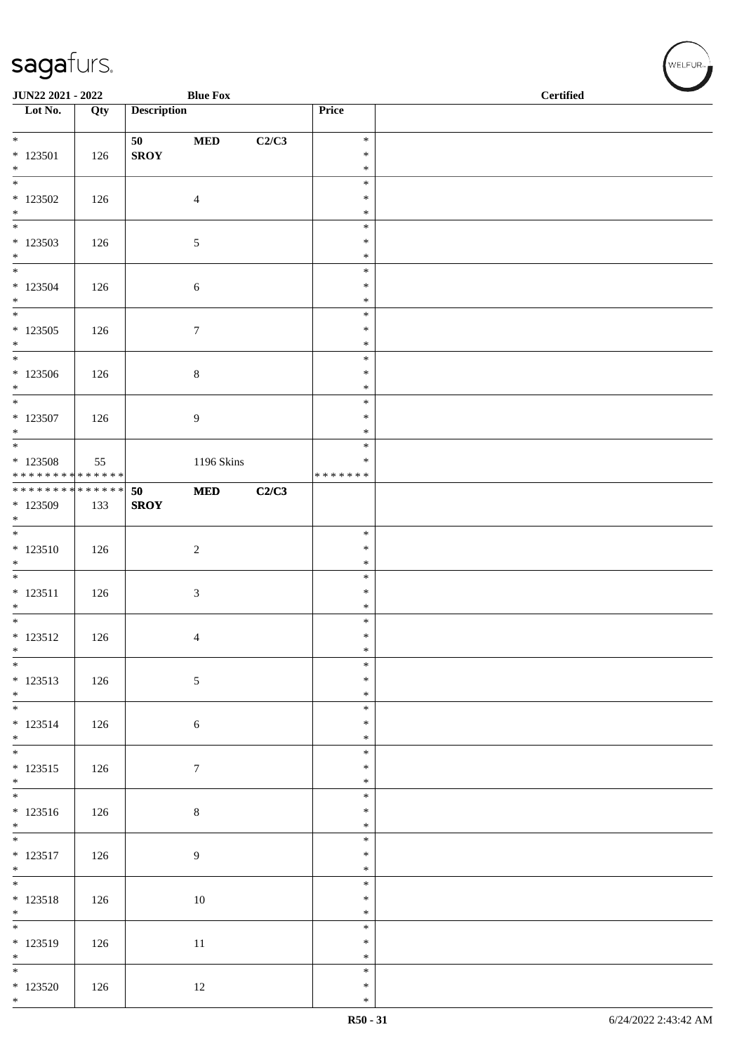| JUN22 2021 - 2022                  |     |                    | <b>Blue Fox</b>  |       |                  | <b>Certified</b> |
|------------------------------------|-----|--------------------|------------------|-------|------------------|------------------|
| $\overline{\phantom{1}}$ Lot No.   | Qty | <b>Description</b> |                  |       | Price            |                  |
| $*$                                |     | 50                 | $\bf MED$        | C2/C3 | $\ast$           |                  |
| $* 123501$                         | 126 | ${\bf SROY}$       |                  |       | $\ast$           |                  |
| $*$                                |     |                    |                  |       | $\ast$           |                  |
|                                    |     |                    |                  |       | $\ast$           |                  |
| $*123502$<br>$\ast$                | 126 |                    | $\overline{4}$   |       | $\ast$           |                  |
| $\overline{\phantom{0}}$           |     |                    |                  |       | $\ast$<br>$\ast$ |                  |
| $*123503$                          | 126 |                    | 5                |       | $\ast$           |                  |
| $*$                                |     |                    |                  |       | $\ast$           |                  |
|                                    |     |                    |                  |       | $\ast$<br>$\ast$ |                  |
| $*123504$<br>$*$                   | 126 |                    | 6                |       | $\ast$           |                  |
|                                    |     |                    |                  |       | $\ast$           |                  |
| $*123505$                          | 126 |                    | $\boldsymbol{7}$ |       | $\ast$           |                  |
| $*$<br>$*$                         |     |                    |                  |       | $\ast$<br>$\ast$ |                  |
| $*123506$                          | 126 |                    | $8\,$            |       | $\ast$           |                  |
| $*$                                |     |                    |                  |       | $\ast$           |                  |
|                                    |     |                    |                  |       | $\ast$           |                  |
| $* 123507$                         | 126 |                    | 9                |       | $\ast$           |                  |
| $*$                                |     |                    |                  |       | $\ast$<br>$\ast$ |                  |
| $*123508$                          | 55  |                    | 1196 Skins       |       | $\ast$           |                  |
| * * * * * * * * * * * * * *        |     |                    |                  |       | * * * * * * *    |                  |
| ******** <mark>******</mark>       |     | 50                 | <b>MED</b>       | C2/C3 |                  |                  |
| * 123509<br>$*$                    | 133 | <b>SROY</b>        |                  |       |                  |                  |
|                                    |     |                    |                  |       | $\ast$           |                  |
| $* 123510$                         | 126 |                    | $\sqrt{2}$       |       | $\ast$           |                  |
| $*$                                |     |                    |                  |       | $\ast$           |                  |
| $* 123511$                         | 126 |                    |                  |       | $\ast$<br>$\ast$ |                  |
| $*$                                |     |                    | $\mathfrak{Z}$   |       | $\ast$           |                  |
| $*$                                |     |                    |                  |       | $\ast$           |                  |
| $* 123512$                         | 126 |                    | $\overline{4}$   |       | $\ast$           |                  |
| $\ast$<br>$\overline{\phantom{0}}$ |     |                    |                  |       | $\ast$<br>$\ast$ |                  |
| $* 123513$                         | 126 |                    | $\sqrt{5}$       |       | $\ast$           |                  |
| $*$                                |     |                    |                  |       | $\ast$           |                  |
|                                    |     |                    |                  |       | $\ast$           |                  |
| $* 123514$<br>$*$                  | 126 |                    | $\sqrt{6}$       |       | $\ast$<br>$\ast$ |                  |
|                                    |     |                    |                  |       | $\ast$           |                  |
| * 123515                           | 126 |                    | $7\phantom{.0}$  |       | $\ast$           |                  |
| $*$                                |     |                    |                  |       | $\ast$           |                  |
|                                    |     |                    |                  |       | $\ast$           |                  |
| $* 123516$<br>$*$                  | 126 |                    | $\,8\,$          |       | $\ast$<br>$\ast$ |                  |
|                                    |     |                    |                  |       | $\ast$           |                  |
| $* 123517$                         | 126 |                    | $\overline{9}$   |       | $\ast$           |                  |
| $*$                                |     |                    |                  |       | $\ast$           |                  |
| $* 123518$                         | 126 |                    | 10               |       | $\ast$<br>$\ast$ |                  |
| $*$                                |     |                    |                  |       | $\ast$           |                  |
|                                    |     |                    |                  |       | $\ast$           |                  |
| * 123519                           | 126 |                    | $11\,$           |       | $\ast$           |                  |
| $*$                                |     |                    |                  |       | $\ast$<br>$\ast$ |                  |
| $*123520$                          | 126 |                    | 12               |       | $\ast$           |                  |
| $*$                                |     |                    |                  |       | $\ast$           |                  |

V<br>WELFUR<sub>™</sub>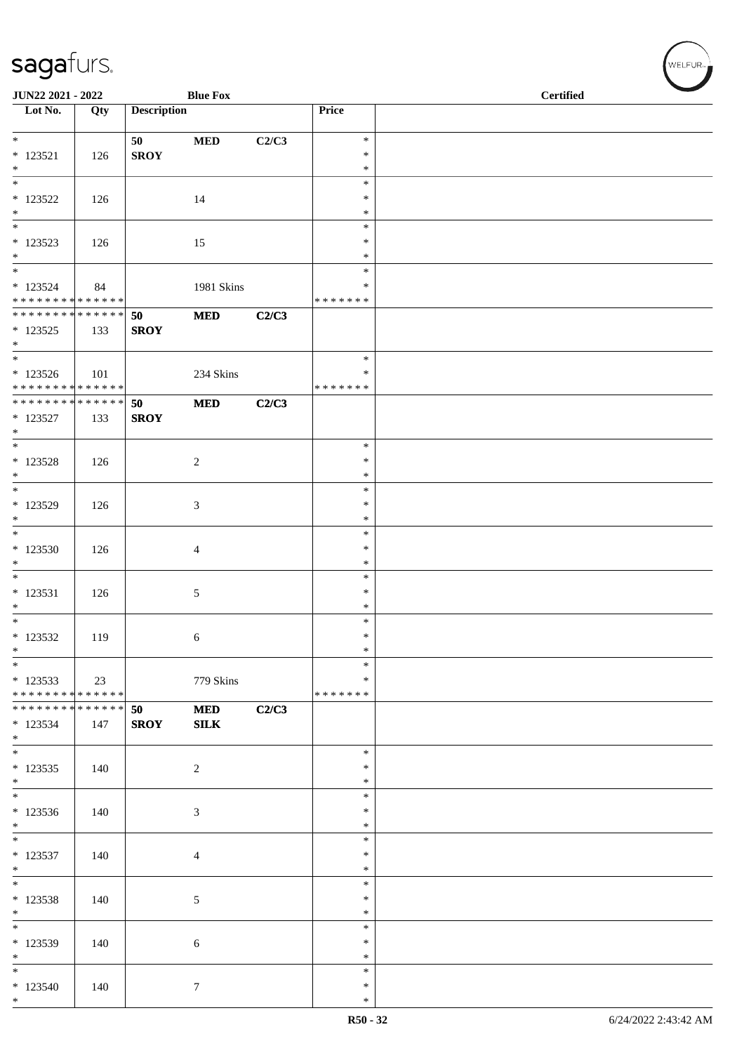| JUN22 2021 - 2022                           |     |                    | <b>Blue Fox</b> |       |                    | $\overline{\phantom{0}}$<br><b>Certified</b> |
|---------------------------------------------|-----|--------------------|-----------------|-------|--------------------|----------------------------------------------|
| $\overline{\phantom{1}}$ Lot No.            | Qty | <b>Description</b> |                 |       | Price              |                                              |
| $*$                                         |     | 50                 | $\bf MED$       | C2/C3 | $\ast$             |                                              |
| $*$ 123521                                  | 126 | <b>SROY</b>        |                 |       | $\ast$             |                                              |
| $*$<br>$\overline{\ast}$                    |     |                    |                 |       | $\ast$<br>$\ast$   |                                              |
| * 123522                                    | 126 |                    | 14              |       | $\ast$             |                                              |
| $*$<br>$\overline{\phantom{0}}$             |     |                    |                 |       | $\ast$<br>$\ast$   |                                              |
| $* 123523$                                  | 126 |                    | 15              |       | ∗                  |                                              |
| $*$<br>$\overline{\ast}$                    |     |                    |                 |       | $\ast$             |                                              |
| $*123524$                                   | 84  |                    | 1981 Skins      |       | $\ast$<br>∗        |                                              |
| * * * * * * * * * * * * * * *               |     |                    |                 |       | * * * * * * *      |                                              |
| * * * * * * * * * * * * * * *<br>$* 123525$ | 133 | 50<br><b>SROY</b>  | <b>MED</b>      | C2/C3 |                    |                                              |
| $*$                                         |     |                    |                 |       |                    |                                              |
|                                             |     |                    |                 |       | $\ast$             |                                              |
| $* 123526$<br>* * * * * * * * * * * * * *   | 101 |                    | 234 Skins       |       | ∗<br>* * * * * * * |                                              |
| * * * * * * * * * * * * * * *               |     | 50                 | <b>MED</b>      | C2/C3 |                    |                                              |
| * 123527<br>$*$                             | 133 | <b>SROY</b>        |                 |       |                    |                                              |
| $*$                                         |     |                    |                 |       | $\ast$             |                                              |
| $* 123528$                                  | 126 |                    | $\overline{c}$  |       | $\ast$             |                                              |
| $*$                                         |     |                    |                 |       | $\ast$<br>$\ast$   |                                              |
| $*123529$                                   | 126 |                    | 3               |       | $\ast$             |                                              |
| $*$<br>$*$                                  |     |                    |                 |       | $\ast$<br>$\ast$   |                                              |
| $*123530$                                   | 126 |                    | 4               |       | $\ast$             |                                              |
| $\ast$                                      |     |                    |                 |       | $\ast$             |                                              |
| $*$<br>* 123531                             | 126 |                    | 5               |       | $\ast$<br>$\ast$   |                                              |
| $*$                                         |     |                    |                 |       | $\ast$             |                                              |
| $* 123532$                                  | 119 |                    |                 |       | $\ast$<br>$\ast$   |                                              |
| $\ast$                                      |     |                    | 6               |       | $\ast$             |                                              |
| $\ast$                                      |     |                    |                 |       | $\ast$             |                                              |
| $*123533$<br>* * * * * * * * * * * * * *    | 23  |                    | 779 Skins       |       | $\ast$<br>*******  |                                              |
| * * * * * * * * * * * * * * *               |     | 50                 | <b>MED</b>      | C2/C3 |                    |                                              |
| * 123534<br>$*$                             | 147 | <b>SROY</b>        | SLK             |       |                    |                                              |
| $*$                                         |     |                    |                 |       | $\ast$             |                                              |
| $*123535$<br>$*$                            | 140 |                    | 2               |       | ∗<br>$\ast$        |                                              |
| $\overline{\phantom{0}}$                    |     |                    |                 |       | $\ast$             |                                              |
| $*123536$                                   | 140 |                    | 3               |       | $\ast$             |                                              |
| $*$<br>$*$                                  |     |                    |                 |       | $\ast$<br>$\ast$   |                                              |
| * 123537                                    | 140 |                    | 4               |       | $\ast$             |                                              |
| $*$<br>$\overline{\phantom{0}}$             |     |                    |                 |       | $\ast$<br>$\ast$   |                                              |
| $* 123538$                                  | 140 |                    | $\mathfrak{S}$  |       | ∗                  |                                              |
| $*$<br>$\overline{\ast}$                    |     |                    |                 |       | $\ast$             |                                              |
| $*123539$                                   | 140 |                    | 6               |       | $\ast$<br>$\ast$   |                                              |
| $*$                                         |     |                    |                 |       | $\ast$             |                                              |
| $*$<br>$*123540$                            |     |                    |                 |       | $\ast$<br>$\ast$   |                                              |
| $*$                                         | 140 |                    | $\tau$          |       | $\ast$             |                                              |

WELFUR<sub><sup>N</sub></sub></sub></sup>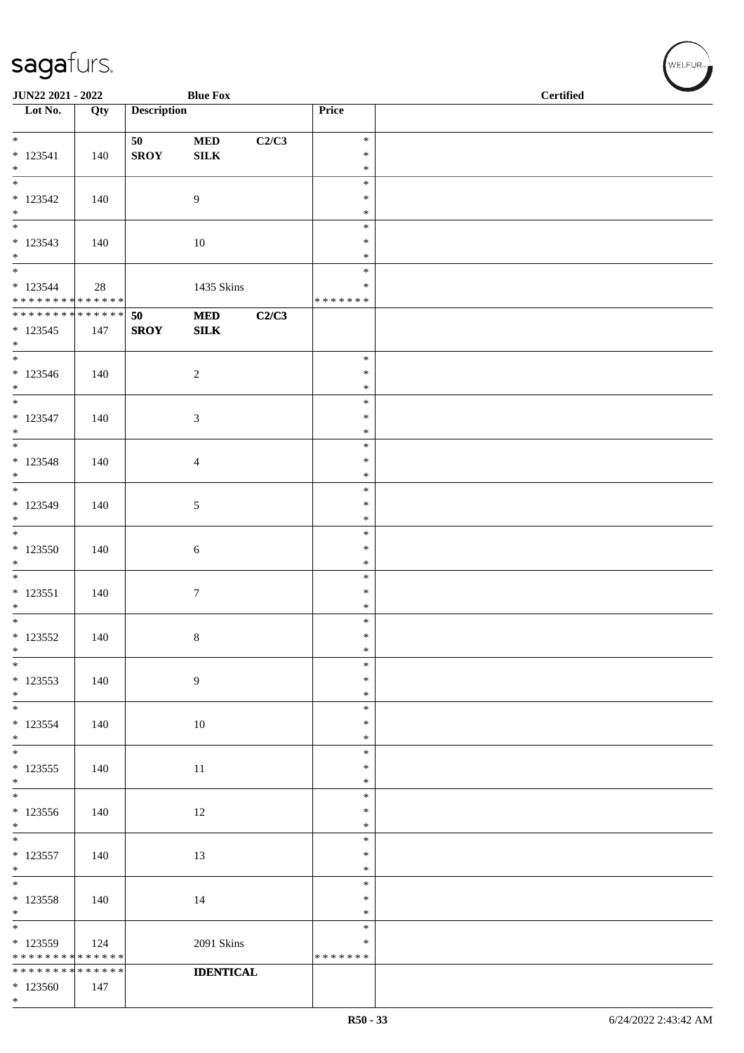| JUN22 2021 - 2022                                                      |                    |                    | <b>Blue Fox</b>           |       |                              | <b>Certified</b> |
|------------------------------------------------------------------------|--------------------|--------------------|---------------------------|-------|------------------------------|------------------|
| $\overline{\phantom{1}}$ Lot No.                                       | Qty                | <b>Description</b> |                           |       | Price                        |                  |
| $\overline{\ast}$<br>$* 123541$<br>$*$                                 | 140                | 50<br><b>SROY</b>  | $\bf MED$<br>${\bf SILK}$ | C2/C3 | $\ast$<br>$\ast$<br>$\ast$   |                  |
| $\frac{1}{1}$<br>$* 123542$<br>$*$                                     | 140                |                    | 9                         |       | $\ast$<br>$\ast$<br>$\ast$   |                  |
| $\overline{\phantom{0}}$<br>$* 123543$<br>$*$                          | 140                |                    | 10                        |       | $\ast$<br>$\ast$<br>$\ast$   |                  |
| $\overline{\phantom{0}}$<br>$* 123544$<br>******** <mark>******</mark> | 28                 |                    | 1435 Skins                |       | $\ast$<br>∗<br>* * * * * * * |                  |
| ******** <mark>******</mark><br>$*123545$<br>$*$                       | 147                | 50<br><b>SROY</b>  | $\bf MED$<br>SLK          | C2/C3 |                              |                  |
| $*123546$<br>$*$                                                       | 140                |                    | $\sqrt{2}$                |       | $\ast$<br>$\ast$<br>$\ast$   |                  |
| $*$<br>$* 123547$<br>$*$                                               | 140                |                    | $\mathfrak{Z}$            |       | $\ast$<br>$\ast$<br>$\ast$   |                  |
| $* 123548$<br>$*$                                                      | 140                |                    | $\overline{4}$            |       | $\ast$<br>$\ast$<br>$\ast$   |                  |
| $*$<br>$* 123549$<br>$*$                                               | 140                |                    | 5                         |       | $\ast$<br>$\ast$<br>$\ast$   |                  |
| $\overline{\phantom{0}}$<br>$*123550$<br>$*$                           | 140                |                    | 6                         |       | $\ast$<br>$\ast$<br>$\ast$   |                  |
| $* 123551$<br>$\ast$                                                   | 140                |                    | $\tau$                    |       | $\ast$<br>$\ast$<br>$\ast$   |                  |
| $*$<br>$* 123552$<br>$\ast$                                            | 140                |                    | 8                         |       | $\ast$<br>$\ast$<br>$\ast$   |                  |
| $\ast$<br>$*123553$<br>$*$                                             | 140                |                    | $\overline{9}$            |       | $\ast$<br>$\ast$<br>$\ast$   |                  |
| $*$<br>$* 123554$<br>$*$                                               | 140                |                    | 10                        |       | $\ast$<br>$\ast$<br>$\ast$   |                  |
| $*$<br>$*$ 123555<br>$*$                                               | 140                |                    | 11                        |       | $\ast$<br>$\ast$<br>$\ast$   |                  |
| $\ast$<br>$*123556$<br>$*$                                             | 140                |                    | 12                        |       | $\ast$<br>$\ast$<br>$\ast$   |                  |
| $* 123557$<br>$*$                                                      | 140                |                    | 13                        |       | $\ast$<br>$\ast$<br>$\ast$   |                  |
| * 123558<br>$*$                                                        | 140                |                    | 14                        |       | $\ast$<br>$\ast$<br>$\ast$   |                  |
| $\overline{\ast}$<br>$*123559$<br>* * * * * * * *                      | 124<br>* * * * * * |                    | 2091 Skins                |       | $\ast$<br>∗<br>* * * * * * * |                  |
| * * * * * * * *<br>$*123560$<br>$*$                                    | * * * * * *<br>147 |                    | <b>IDENTICAL</b>          |       |                              |                  |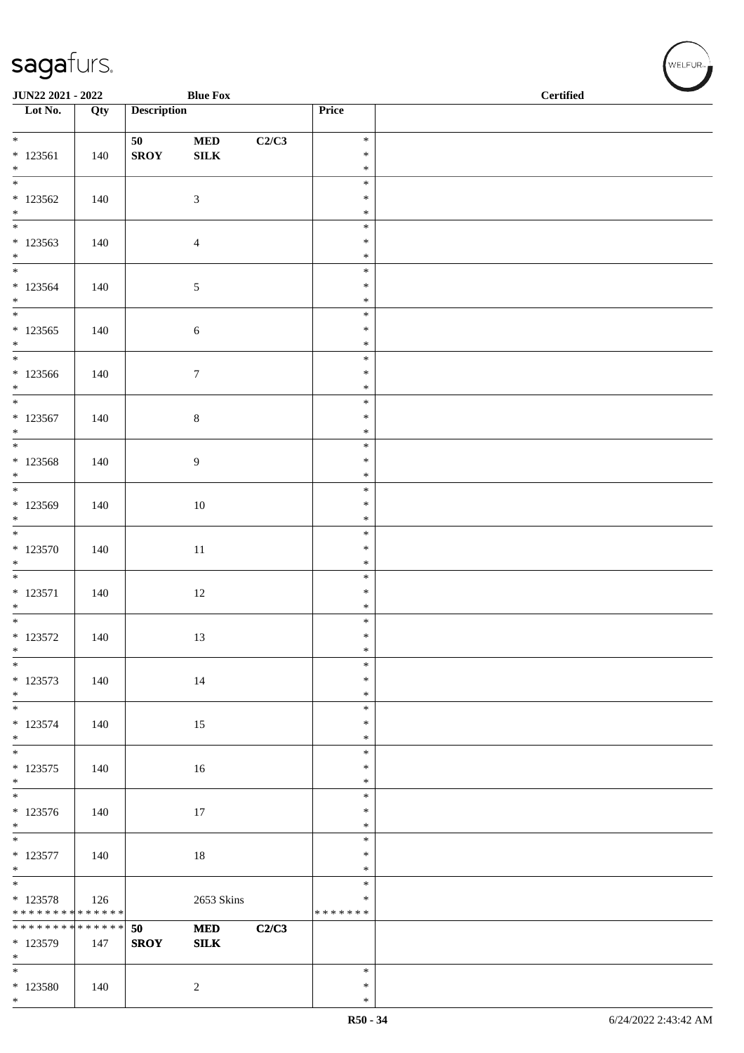| <b>JUN22 2021 - 2022</b>                                                  |     |                    | <b>Blue Fox</b>            |       |                  | <b>Certified</b> |
|---------------------------------------------------------------------------|-----|--------------------|----------------------------|-------|------------------|------------------|
| Lot No.                                                                   | Qty | <b>Description</b> |                            |       | Price            |                  |
|                                                                           |     |                    |                            |       |                  |                  |
|                                                                           |     | 50 - 10            | <b>MED</b>                 | C2/C3 | $\ast$           |                  |
| $* 123561$<br>$*$                                                         | 140 | <b>SROY</b>        | ${\bf SILK}$               |       | $\ast$<br>$\ast$ |                  |
| $\frac{1}{1}$                                                             |     |                    |                            |       | $\ast$           |                  |
| $*123562$                                                                 | 140 |                    | $\mathfrak{Z}$             |       | $\ast$           |                  |
| $*$                                                                       |     |                    |                            |       | $\ast$           |                  |
|                                                                           |     |                    |                            |       | $\ast$<br>$\ast$ |                  |
| $*123563$<br>$*$                                                          | 140 |                    | $\overline{4}$             |       | $\ast$           |                  |
| $\overline{\ast}$                                                         |     |                    |                            |       | $\ast$           |                  |
| $*123564$                                                                 | 140 |                    | $\mathfrak{S}$             |       | $\ast$           |                  |
| $*$                                                                       |     |                    |                            |       | $\ast$<br>$\ast$ |                  |
| $*123565$                                                                 | 140 |                    | $\sqrt{6}$                 |       | $\ast$           |                  |
| $*$                                                                       |     |                    |                            |       | $\ast$           |                  |
|                                                                           |     |                    |                            |       | $\ast$           |                  |
| $*123566$                                                                 | 140 |                    | $\boldsymbol{7}$           |       | $\ast$           |                  |
| $*$                                                                       |     |                    |                            |       | $\ast$<br>$\ast$ |                  |
| $*123567$                                                                 | 140 |                    | $\,8\,$                    |       | $\ast$           |                  |
| $*$                                                                       |     |                    |                            |       | $\ast$           |                  |
| $\overline{\ast}$                                                         |     |                    |                            |       | $\ast$           |                  |
| * 123568<br>$*$                                                           | 140 |                    | $\overline{9}$             |       | $\ast$<br>$\ast$ |                  |
| $\overline{\mathbf{r}}$                                                   |     |                    |                            |       | $\ast$           |                  |
| * 123569                                                                  | 140 |                    | $10\,$                     |       | $\ast$           |                  |
| $*$                                                                       |     |                    |                            |       | $\ast$           |                  |
|                                                                           |     |                    |                            |       | $\ast$           |                  |
| $*123570$<br>$*$                                                          | 140 |                    | 11                         |       | $\ast$<br>$\ast$ |                  |
|                                                                           |     |                    |                            |       | $\ast$           |                  |
| $* 123571$                                                                | 140 |                    | 12                         |       | $\ast$           |                  |
| $*$<br>$*$                                                                |     |                    |                            |       | $\ast$           |                  |
| $* 123572$                                                                | 140 |                    | 13                         |       | $\ast$<br>$\ast$ |                  |
| $*$                                                                       |     |                    |                            |       | $\ast$           |                  |
| $\frac{1}{\ast}$                                                          |     |                    |                            |       | $\ast$           |                  |
| $*123573$                                                                 | 140 |                    | 14                         |       | $\ast$           |                  |
| $*$                                                                       |     |                    |                            |       | $\ast$<br>$\ast$ |                  |
| $* 123574$                                                                | 140 |                    | 15                         |       | $\ast$           |                  |
| $*$                                                                       |     |                    |                            |       | $\ast$           |                  |
| $\overline{\mathbf{r}}$                                                   |     |                    |                            |       | $\ast$           |                  |
| $* 123575$<br>$*$                                                         | 140 |                    | 16                         |       | $\ast$<br>$\ast$ |                  |
|                                                                           |     |                    |                            |       | $\ast$           |                  |
| $* 123576$                                                                | 140 |                    | 17                         |       | $\ast$           |                  |
| $*$                                                                       |     |                    |                            |       | $\ast$           |                  |
|                                                                           |     |                    |                            |       | $\ast$           |                  |
| $* 123577$<br>$*$                                                         | 140 |                    | 18                         |       | $\ast$<br>$\ast$ |                  |
|                                                                           |     |                    |                            |       | $\ast$           |                  |
| * 123578                                                                  | 126 |                    | 2653 Skins                 |       | $\ast$           |                  |
| * * * * * * * * * * * * * *<br>* * * * * * * * <mark>* * * * * * *</mark> |     |                    |                            |       | *******          |                  |
| * 123579                                                                  | 147 | 50<br><b>SROY</b>  | <b>MED</b><br>${\bf SILK}$ | C2/C3 |                  |                  |
| $*$                                                                       |     |                    |                            |       |                  |                  |
| $\frac{1}{1}$                                                             |     |                    |                            |       | $\ast$           |                  |
| * 123580<br>$*$                                                           | 140 |                    | 2                          |       | $\ast$<br>$\ast$ |                  |
|                                                                           |     |                    |                            |       |                  |                  |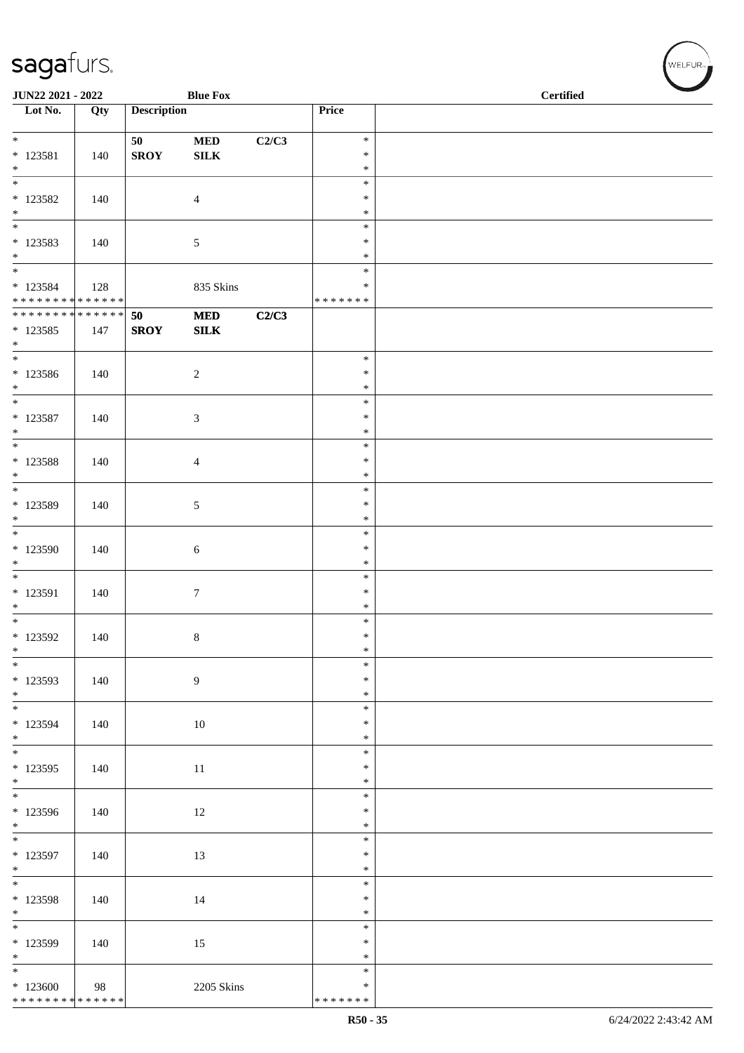| JUN22 2021 - 2022                                                       |     |                    | <b>Blue Fox</b>           |       |                                   | <b>Certified</b> |  |  |
|-------------------------------------------------------------------------|-----|--------------------|---------------------------|-------|-----------------------------------|------------------|--|--|
| $\overline{\phantom{1}}$ Lot No.                                        | Qty | <b>Description</b> |                           |       | Price                             |                  |  |  |
| $\overline{\ast}$<br>$*$ 123581                                         | 140 | 50<br><b>SROY</b>  | $\bf MED$<br>${\bf SILK}$ | C2/C3 | $\ast$<br>$\ast$                  |                  |  |  |
| $\ast$<br>$\overline{\phantom{0}}$<br>$*$ 123582                        | 140 |                    | $\overline{4}$            |       | $\ast$<br>$\ast$<br>$\ast$        |                  |  |  |
| $*$ $*$                                                                 |     |                    |                           |       | $\ast$                            |                  |  |  |
| * 123583<br>$*$                                                         | 140 |                    | $\mathfrak{S}$            |       | $\ast$<br>$\ast$<br>$\ast$        |                  |  |  |
| $\overline{\phantom{a}^*}$<br>* 123584<br>******** <mark>******</mark>  | 128 |                    | 835 Skins                 |       | $\ast$<br>$\ast$<br>* * * * * * * |                  |  |  |
| ******** <mark>******</mark><br>$* 123585$<br>$*$                       | 147 | 50<br><b>SROY</b>  | $\bf MED$<br>${\bf SILK}$ | C2/C3 |                                   |                  |  |  |
| $\overline{\phantom{0}}$<br>$*123586$<br>$*$                            | 140 |                    | $\overline{c}$            |       | $\ast$<br>$\ast$<br>$\ast$        |                  |  |  |
| $\overline{\phantom{a}^*}$<br>$* 123587$<br>$*$                         | 140 |                    | $\mathfrak{Z}$            |       | $\ast$<br>$\ast$<br>$\ast$        |                  |  |  |
| $*$<br>* 123588<br>$\overline{\ }$                                      | 140 |                    | $\overline{4}$            |       | $\ast$<br>$\ast$<br>$\ast$        |                  |  |  |
| $\overline{\phantom{0}}$<br>* 123589<br>$*$                             | 140 |                    | $\sqrt{5}$                |       | $\ast$<br>$\ast$<br>$\ast$        |                  |  |  |
| $\overline{\phantom{a}^*}$<br>$*123590$<br>$\ast$                       | 140 |                    | $\sqrt{6}$                |       | $\ast$<br>$\ast$<br>$\ast$        |                  |  |  |
| $\overline{\phantom{0}}$<br>$* 123591$<br>$\ast$                        | 140 |                    | $\boldsymbol{7}$          |       | $\ast$<br>$\ast$<br>$\ast$        |                  |  |  |
| $\overline{\phantom{0}}$<br>$*$ 123592<br>$\ast$                        | 140 |                    | $8\,$                     |       | $\ast$<br>$\ast$<br>$\ast$        |                  |  |  |
| $_{\ast}^{-}$<br>* 123593<br>$*$                                        | 140 |                    | $\overline{9}$            |       | $\ast$<br>$\ast$<br>$\ast$        |                  |  |  |
| $\overline{\phantom{0}}$<br>* 123594<br>$\frac{*}{*}$                   | 140 |                    | 10                        |       | $\ast$<br>$\ast$<br>$\ast$        |                  |  |  |
| $*123595$<br>$*$                                                        | 140 |                    | 11                        |       | $\ast$<br>$\ast$<br>$\ast$        |                  |  |  |
| $\overline{\phantom{0}}$<br>* 123596<br>$\ast$                          | 140 |                    | 12                        |       | $\ast$<br>$\ast$<br>$\ast$        |                  |  |  |
| $\overline{\phantom{0}}$<br>* 123597<br>$\ast$                          | 140 |                    | 13                        |       | $\ast$<br>$\ast$<br>$\ast$        |                  |  |  |
| $\overline{\ast}$<br>* 123598<br>$*$                                    | 140 |                    | 14                        |       | $\ast$<br>$\ast$<br>$\ast$        |                  |  |  |
| $\overline{\phantom{0}}$<br>* 123599<br>$\ast$                          | 140 |                    | 15                        |       | $\ast$<br>$\ast$<br>$\ast$        |                  |  |  |
| $\overline{\phantom{a}^*}$<br>$*123600$<br>******** <mark>******</mark> | 98  |                    | 2205 Skins                |       | $\ast$<br>$\ast$<br>* * * * * * * |                  |  |  |

WELFUR<sub><sup>N</sub></sub></sub></sup>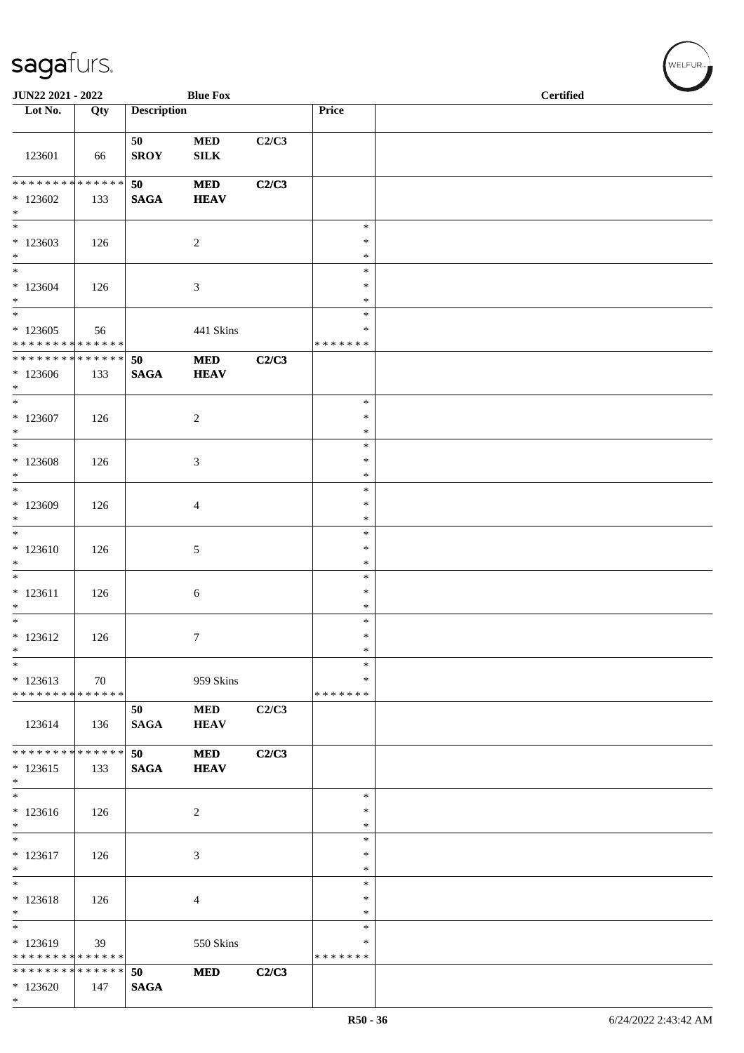| JUN22 2021 - 2022                                    |     |                       | <b>Blue Fox</b>             |       |                                   | <b>Certified</b> |  |  |
|------------------------------------------------------|-----|-----------------------|-----------------------------|-------|-----------------------------------|------------------|--|--|
| Lot No.                                              | Qty | <b>Description</b>    |                             |       | Price                             |                  |  |  |
| 123601                                               | 66  | 50<br><b>SROY</b>     | $\bf MED$<br><b>SILK</b>    | C2/C3 |                                   |                  |  |  |
| ******** <mark>******</mark><br>$*123602$<br>$\ast$  | 133 | 50<br><b>SAGA</b>     | $\bf MED$<br><b>HEAV</b>    | C2/C3 |                                   |                  |  |  |
| $\overline{\phantom{a}^*}$<br>$*123603$<br>$\ast$    | 126 |                       | $\overline{c}$              |       | $\ast$<br>$\ast$<br>$\ast$        |                  |  |  |
| $\ast$<br>$*123604$<br>$\ast$<br>$_{\ast}$           | 126 |                       | 3                           |       | $\ast$<br>$\ast$<br>$\ast$        |                  |  |  |
| $*123605$<br>* * * * * * * * * * * * * *             | 56  |                       | 441 Skins                   |       | $\ast$<br>$\ast$<br>* * * * * * * |                  |  |  |
| ******** <mark>******</mark><br>$*123606$<br>$*$     | 133 | 50<br>$\mathbf{SAGA}$ | $\bf MED$<br><b>HEAV</b>    | C2/C3 |                                   |                  |  |  |
| $*$<br>$*123607$<br>$\ast$                           | 126 |                       | $\sqrt{2}$                  |       | $\ast$<br>$\ast$<br>$\ast$        |                  |  |  |
| $\ast$<br>$*123608$<br>$\ast$                        | 126 |                       | $\ensuremath{\mathfrak{Z}}$ |       | $\ast$<br>$\ast$<br>$\ast$        |                  |  |  |
| $\overline{\phantom{0}}$<br>$*123609$<br>$\ast$      | 126 |                       | $\overline{4}$              |       | $\ast$<br>$\ast$<br>$\ast$        |                  |  |  |
| $\overline{\ast}$<br>$*123610$<br>$\ast$             | 126 |                       | $\sqrt{5}$                  |       | $\ast$<br>$\ast$<br>$\ast$        |                  |  |  |
| $*$<br>$* 123611$<br>$\ast$                          | 126 |                       | $\sqrt{6}$                  |       | $\ast$<br>$\ast$<br>$\ast$        |                  |  |  |
| $\overline{\phantom{0}}$<br>$* 123612$<br>$\ast$     | 126 |                       | $\tau$                      |       | $\ast$<br>$\ast$<br>$\ast$        |                  |  |  |
| $\ast$<br>$*123613$<br>* * * * * * * * * * * * * *   | 70  |                       | 959 Skins                   |       | $\ast$<br>$\ast$<br>* * * * * * * |                  |  |  |
| 123614                                               | 136 | 50<br>$\mathbf{SAGA}$ | <b>MED</b><br><b>HEAV</b>   | C2/C3 |                                   |                  |  |  |
| * * * * * * * * * * * * * *<br>$*123615$<br>$\ast$   | 133 | 50<br><b>SAGA</b>     | <b>MED</b><br><b>HEAV</b>   | C2/C3 |                                   |                  |  |  |
| $\ast$<br>$*123616$<br>$\ast$                        | 126 |                       | $\overline{c}$              |       | $\ast$<br>$\ast$<br>$\ast$        |                  |  |  |
| $\ast$<br>$* 123617$<br>$\ast$                       | 126 |                       | $\mathfrak{Z}$              |       | $\ast$<br>$\ast$<br>$\ast$        |                  |  |  |
| $\overline{\phantom{a}^*}$<br>$* 123618$<br>$\ast$   | 126 |                       | $\overline{4}$              |       | $\ast$<br>∗<br>$\ast$             |                  |  |  |
| $_{\ast}$<br>* 123619<br>* * * * * * * * * * * * * * | 39  |                       | 550 Skins                   |       | $\ast$<br>$\ast$<br>* * * * * * * |                  |  |  |
| * * * * * * * * * * * * * *<br>$*123620$<br>$\ast$   | 147 | 50<br><b>SAGA</b>     | <b>MED</b>                  | C2/C3 |                                   |                  |  |  |

WELFUR<sub><sup>N</sub></sub></sub></sup>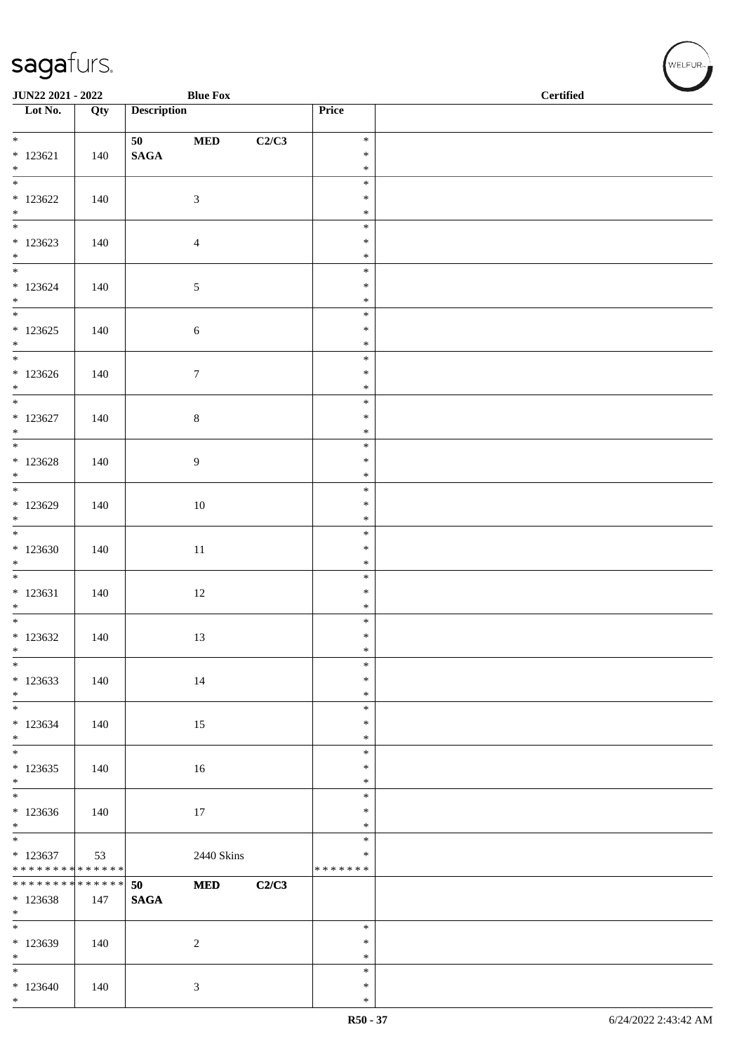\*

| <b>JUN22 2021 - 2022</b>                   |     | <b>Blue Fox</b>    |       |                  | <b>Certified</b> |  |
|--------------------------------------------|-----|--------------------|-------|------------------|------------------|--|
| $\overline{\phantom{a}}$ Lot No.           | Qty | <b>Description</b> |       | Price            |                  |  |
|                                            |     |                    |       |                  |                  |  |
| $*$                                        |     | $\bf MED$<br>50 70 | C2/C3 | $\ast$           |                  |  |
| $*123621$                                  | 140 | $\mathbf{SAGA}$    |       | $\ast$           |                  |  |
| $*$                                        |     |                    |       | $\ast$<br>$\ast$ |                  |  |
| $*123622$                                  | 140 |                    |       | $\ast$           |                  |  |
| $*$                                        |     | $\mathfrak{Z}$     |       | $\ast$           |                  |  |
|                                            |     |                    |       | $\ast$           |                  |  |
| $*123623$                                  | 140 | $\overline{4}$     |       | $\ast$           |                  |  |
| $*$                                        |     |                    |       | $\ast$           |                  |  |
| $*$                                        |     |                    |       | $\ast$           |                  |  |
| $*123624$                                  | 140 | $\sqrt{5}$         |       | $\ast$           |                  |  |
| $*$                                        |     |                    |       | $\ast$<br>$\ast$ |                  |  |
| $*123625$                                  | 140 | $\sqrt{6}$         |       | $\ast$           |                  |  |
| $*$                                        |     |                    |       | $\ast$           |                  |  |
|                                            |     |                    |       | $\ast$           |                  |  |
| $*123626$                                  | 140 | $\tau$             |       | $\ast$           |                  |  |
| $*$                                        |     |                    |       | $\ast$           |                  |  |
| $*$                                        |     |                    |       | $\ast$           |                  |  |
| $*123627$                                  | 140 | $\,8\,$            |       | $\ast$           |                  |  |
| $*$                                        |     |                    |       | $\ast$<br>$\ast$ |                  |  |
| $*123628$                                  | 140 | $\overline{9}$     |       | $\ast$           |                  |  |
| $*$                                        |     |                    |       | $\ast$           |                  |  |
|                                            |     |                    |       | $\ast$           |                  |  |
| * 123629                                   | 140 | 10                 |       | $\ast$           |                  |  |
| $*$                                        |     |                    |       | $\ast$           |                  |  |
| $\overline{\ast}$                          |     |                    |       | $\ast$           |                  |  |
| $*123630$<br>$*$                           | 140 | $11\,$             |       | $\ast$<br>$\ast$ |                  |  |
|                                            |     |                    |       | $\ast$           |                  |  |
| $* 123631$                                 | 140 | 12                 |       | $\ast$           |                  |  |
| $*$                                        |     |                    |       | $\ast$           |                  |  |
|                                            |     |                    |       | $\ast$           |                  |  |
| $*123632$                                  | 140 | 13                 |       | $\ast$           |                  |  |
| $*$                                        |     |                    |       | $\ast$           |                  |  |
| $*$                                        |     |                    |       | $\ast$<br>$\ast$ |                  |  |
| $*123633$<br>$*$                           | 140 | 14                 |       | $\ast$           |                  |  |
|                                            |     |                    |       | $\ast$           |                  |  |
| $*123634$                                  | 140 | 15                 |       | $\ast$           |                  |  |
| $*$                                        |     |                    |       | $\ast$           |                  |  |
|                                            |     |                    |       | $\ast$           |                  |  |
| $*123635$                                  | 140 | 16                 |       | $\ast$           |                  |  |
| $*$<br>$\overline{\phantom{0}}$            |     |                    |       | $\ast$<br>$\ast$ |                  |  |
| $*123636$                                  | 140 | 17                 |       | $\ast$           |                  |  |
| $*$                                        |     |                    |       | $\ast$           |                  |  |
| $\overline{\ast}$                          |     |                    |       | $\ast$           |                  |  |
| $*123637$                                  | 53  | 2440 Skins         |       | $\ast$           |                  |  |
| * * * * * * * * <mark>* * * * * * *</mark> |     |                    |       | *******          |                  |  |
| * * * * * * * * <mark>* * * * * * *</mark> |     | <b>MED</b><br>50   | C2/C3 |                  |                  |  |
| * 123638<br>$*$                            | 147 | <b>SAGA</b>        |       |                  |                  |  |
| $\frac{1}{1}$                              |     |                    |       | $\ast$           |                  |  |
| $*123639$                                  | 140 | $\overline{c}$     |       | $\ast$           |                  |  |
| $*$                                        |     |                    |       | $\ast$           |                  |  |
| $*$ $-$                                    |     |                    |       | $\ast$           |                  |  |
| $*123640$                                  | 140 | 3                  |       | $\ast$           |                  |  |
| $*$                                        |     |                    |       | $\ast$           |                  |  |

 $(w$ ELFUR<sub><sup>n</sub></sub></sub></sup>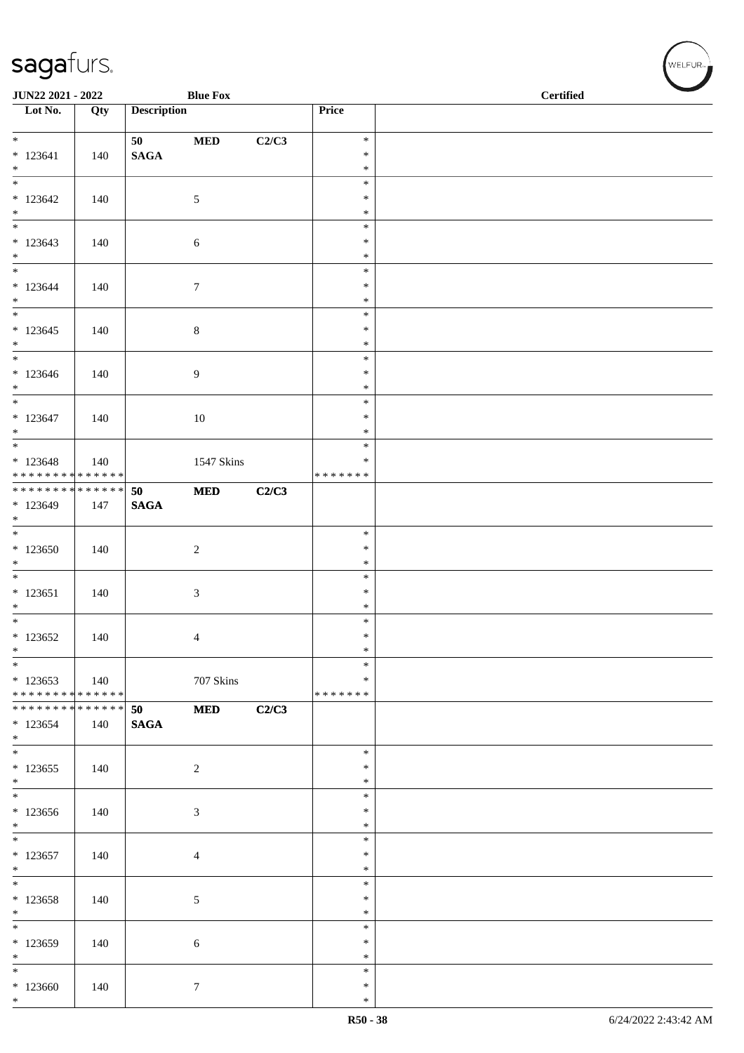| JUN22 2021 - 2022                         |     |                       | <b>Blue Fox</b> |       |                    | <b>Certified</b> |  |  |  |
|-------------------------------------------|-----|-----------------------|-----------------|-------|--------------------|------------------|--|--|--|
| $\overline{\phantom{1}}$ Lot No.          | Qty | <b>Description</b>    |                 |       | Price              |                  |  |  |  |
| $*$                                       |     |                       |                 |       | $\ast$             |                  |  |  |  |
| $* 123641$                                | 140 | 50<br>$\mathbf{SAGA}$ | $\bf MED$       | C2/C3 | $\ast$             |                  |  |  |  |
| $*$                                       |     |                       |                 |       | $\ast$             |                  |  |  |  |
|                                           |     |                       |                 |       | $\ast$             |                  |  |  |  |
| $*123642$                                 | 140 |                       | $\mathfrak{S}$  |       | $\ast$             |                  |  |  |  |
| $*$                                       |     |                       |                 |       | $\ast$<br>$\ast$   |                  |  |  |  |
| $*123643$                                 | 140 |                       | $\sqrt{6}$      |       | $\ast$             |                  |  |  |  |
| $*$                                       |     |                       |                 |       | $\ast$             |                  |  |  |  |
| $*$                                       |     |                       |                 |       | $\ast$             |                  |  |  |  |
| $* 123644$<br>$*$                         | 140 |                       | $\tau$          |       | $\ast$<br>$\ast$   |                  |  |  |  |
| $\overline{\phantom{0}}$                  |     |                       |                 |       | $\ast$             |                  |  |  |  |
| $*123645$                                 | 140 |                       | $\,8\,$         |       | $\ast$             |                  |  |  |  |
| $*$                                       |     |                       |                 |       | $\ast$             |                  |  |  |  |
| $*$                                       |     |                       |                 |       | $\ast$<br>$\ast$   |                  |  |  |  |
| $*123646$<br>$*$                          | 140 |                       | $\overline{9}$  |       | $\ast$             |                  |  |  |  |
|                                           |     |                       |                 |       | $\ast$             |                  |  |  |  |
| $* 123647$                                | 140 |                       | $10\,$          |       | $\ast$             |                  |  |  |  |
| $*$                                       |     |                       |                 |       | $\ast$             |                  |  |  |  |
| $* 123648$                                | 140 |                       | 1547 Skins      |       | $\ast$<br>$\ast$   |                  |  |  |  |
| ******** <mark>******</mark>              |     |                       |                 |       | * * * * * * *      |                  |  |  |  |
| ******** <mark>******</mark>              |     | 50                    | <b>MED</b>      | C2/C3 |                    |                  |  |  |  |
| $*123649$                                 | 147 | <b>SAGA</b>           |                 |       |                    |                  |  |  |  |
| $*$                                       |     |                       |                 |       | $\ast$             |                  |  |  |  |
| $*123650$                                 | 140 |                       | $\overline{2}$  |       | $\ast$             |                  |  |  |  |
| $*$                                       |     |                       |                 |       | $\ast$             |                  |  |  |  |
|                                           |     |                       |                 |       | $\ast$             |                  |  |  |  |
| $* 123651$                                | 140 |                       | $\mathfrak{Z}$  |       | $\ast$             |                  |  |  |  |
| $*$<br>$*$                                |     |                       |                 |       | $\ast$<br>$\ast$   |                  |  |  |  |
| $*123652$                                 | 140 |                       | 4               |       | $\ast$             |                  |  |  |  |
| $\ast$                                    |     |                       |                 |       | $\ast$             |                  |  |  |  |
| $*$                                       |     |                       |                 |       | $\ast$             |                  |  |  |  |
| $*123653$<br>******** <mark>******</mark> | 140 |                       | 707 Skins       |       | ∗<br>* * * * * * * |                  |  |  |  |
| ******** <mark>******</mark>              |     | 50                    | <b>MED</b>      | C2/C3 |                    |                  |  |  |  |
| * 123654                                  | 140 | <b>SAGA</b>           |                 |       |                    |                  |  |  |  |
| $*$                                       |     |                       |                 |       |                    |                  |  |  |  |
| $*$                                       |     |                       |                 |       | $\ast$<br>$\ast$   |                  |  |  |  |
| $*123655$<br>$*$                          | 140 |                       | $\overline{2}$  |       | $\ast$             |                  |  |  |  |
|                                           |     |                       |                 |       | $\ast$             |                  |  |  |  |
| $*123656$                                 | 140 |                       | $\mathfrak{Z}$  |       | $\ast$             |                  |  |  |  |
| $*$<br>$\overline{\phantom{0}}$           |     |                       |                 |       | $\ast$             |                  |  |  |  |
| $*123657$                                 | 140 |                       | $\overline{4}$  |       | $\ast$<br>$\ast$   |                  |  |  |  |
| $*$                                       |     |                       |                 |       | $\ast$             |                  |  |  |  |
| $*$                                       |     |                       |                 |       | $\ast$             |                  |  |  |  |
| $*123658$                                 | 140 |                       | 5               |       | $\ast$             |                  |  |  |  |
| $*$                                       |     |                       |                 |       | $\ast$<br>$\ast$   |                  |  |  |  |
| * 123659                                  | 140 |                       | 6               |       | $\ast$             |                  |  |  |  |
| $*$                                       |     |                       |                 |       | $\ast$             |                  |  |  |  |
| $*$                                       |     |                       |                 |       | $\ast$             |                  |  |  |  |
| $*123660$<br>$*$                          | 140 |                       | $7\phantom{.0}$ |       | $\ast$             |                  |  |  |  |
|                                           |     |                       |                 |       | $\ast$             |                  |  |  |  |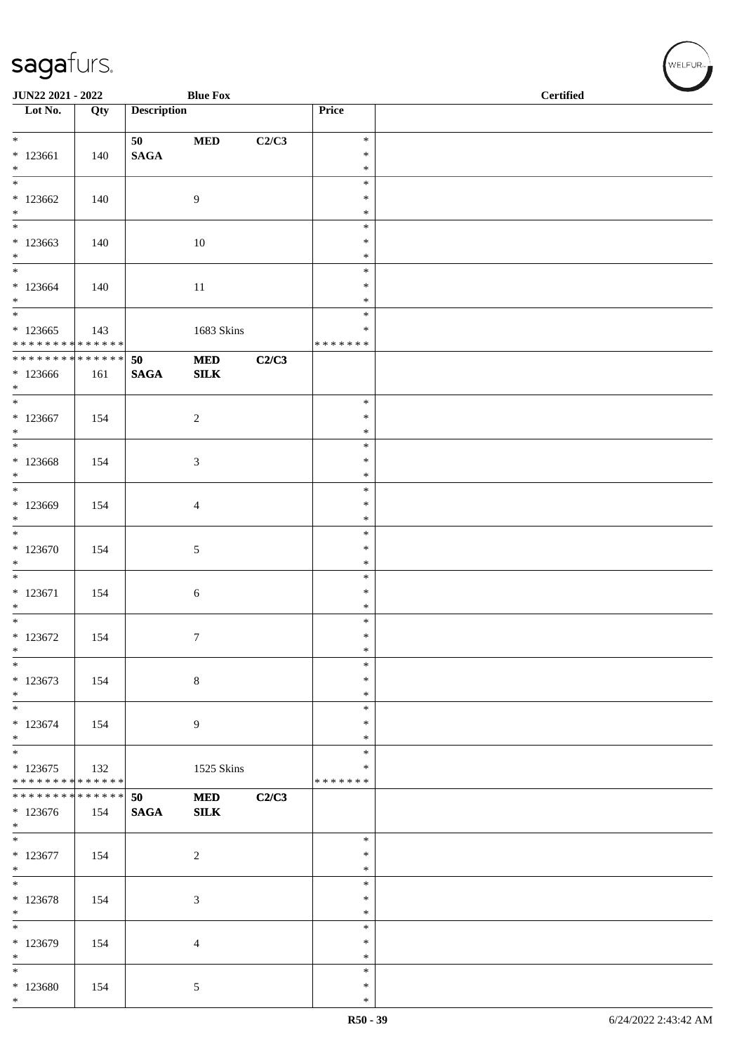| JUN22 2021 - 2022                          |     |                    | <b>Blue Fox</b>           |       |                    | <b>Certified</b> |
|--------------------------------------------|-----|--------------------|---------------------------|-------|--------------------|------------------|
| $\overline{\phantom{1}}$ Lot No.           | Qty | <b>Description</b> |                           |       | Price              |                  |
|                                            |     | 50                 | $\bf MED$                 | C2/C3 | $\ast$             |                  |
| $*123661$                                  | 140 | $\mathbf{SAGA}$    |                           |       | $\ast$             |                  |
| $*$<br>$\overline{\phantom{0}}$            |     |                    |                           |       | $\ast$<br>$\ast$   |                  |
| $*123662$                                  | 140 |                    | 9                         |       | $\ast$             |                  |
| $*$<br>$\overline{\phantom{0}}$            |     |                    |                           |       | $\ast$             |                  |
| $*123663$                                  | 140 |                    | 10                        |       | $\ast$<br>$\ast$   |                  |
| $*$                                        |     |                    |                           |       | $\ast$             |                  |
|                                            |     |                    |                           |       | $\ast$             |                  |
| $*123664$<br>$*$                           | 140 |                    | $11\,$                    |       | $\ast$<br>$\ast$   |                  |
|                                            |     |                    |                           |       | $\ast$             |                  |
| $*123665$<br>* * * * * * * * * * * * * *   | 143 |                    | 1683 Skins                |       | ∗<br>* * * * * * * |                  |
| ******** <mark>******</mark>               |     | 50                 | $\bf MED$                 | C2/C3 |                    |                  |
| $*123666$                                  | 161 | <b>SAGA</b>        | SLK                       |       |                    |                  |
| $*$<br>$*$                                 |     |                    |                           |       | $\ast$             |                  |
| $*123667$                                  | 154 |                    | $\sqrt{2}$                |       | $\ast$             |                  |
| $*$<br>$\overline{\ }$                     |     |                    |                           |       | $\ast$<br>$\ast$   |                  |
| $*123668$                                  | 154 |                    | 3                         |       | $\ast$             |                  |
| $*$                                        |     |                    |                           |       | $\ast$             |                  |
| $*$<br>$*123669$                           | 154 |                    | 4                         |       | $\ast$<br>$\ast$   |                  |
| $\ast$                                     |     |                    |                           |       | $\ast$             |                  |
|                                            |     |                    |                           |       | $\ast$<br>$\ast$   |                  |
| $*123670$<br>$\ast$                        | 154 |                    | 5                         |       | $\ast$             |                  |
|                                            |     |                    |                           |       | $\ast$             |                  |
| $* 123671$<br>$*$                          | 154 |                    | 6                         |       | $\ast$<br>$\ast$   |                  |
| $\overline{\phantom{0}}$                   |     |                    |                           |       | $\ast$             |                  |
| $*123672$<br>$\ast$                        | 154 |                    | $\tau$                    |       | $\ast$<br>$\ast$   |                  |
| $*$                                        |     |                    |                           |       | $\ast$             |                  |
| $* 123673$                                 | 154 |                    | $\,8\,$                   |       | $\ast$             |                  |
| $*$<br>$\ast$                              |     |                    |                           |       | $\ast$<br>$\ast$   |                  |
| $* 123674$                                 | 154 |                    | 9                         |       | $\ast$             |                  |
| $*$<br>$*$                                 |     |                    |                           |       | $\ast$             |                  |
| $*123675$                                  | 132 |                    | 1525 Skins                |       | ∗<br>∗             |                  |
| * * * * * * * * * * * * * *                |     |                    |                           |       | * * * * * * *      |                  |
| * * * * * * * * * * * * * * *<br>$*123676$ | 154 | 50<br><b>SAGA</b>  | <b>MED</b><br><b>SILK</b> | C2/C3 |                    |                  |
| $*$                                        |     |                    |                           |       |                    |                  |
|                                            |     |                    |                           |       | $\ast$             |                  |
| $*123677$<br>$*$                           | 154 |                    | $\overline{2}$            |       | $\ast$<br>$\ast$   |                  |
| $\overline{\ast}$                          |     |                    |                           |       | $\ast$             |                  |
| $* 123678$<br>$*$                          | 154 |                    | 3                         |       | $\ast$<br>$\ast$   |                  |
| $\overline{\phantom{0}}$                   |     |                    |                           |       | $\ast$             |                  |
| * 123679                                   | 154 |                    | 4                         |       | $\ast$             |                  |
| $*$<br>$\ast$                              |     |                    |                           |       | $\ast$<br>$\ast$   |                  |
| $*123680$                                  | 154 |                    | 5                         |       | $\ast$             |                  |
| $*$                                        |     |                    |                           |       | $\ast$             |                  |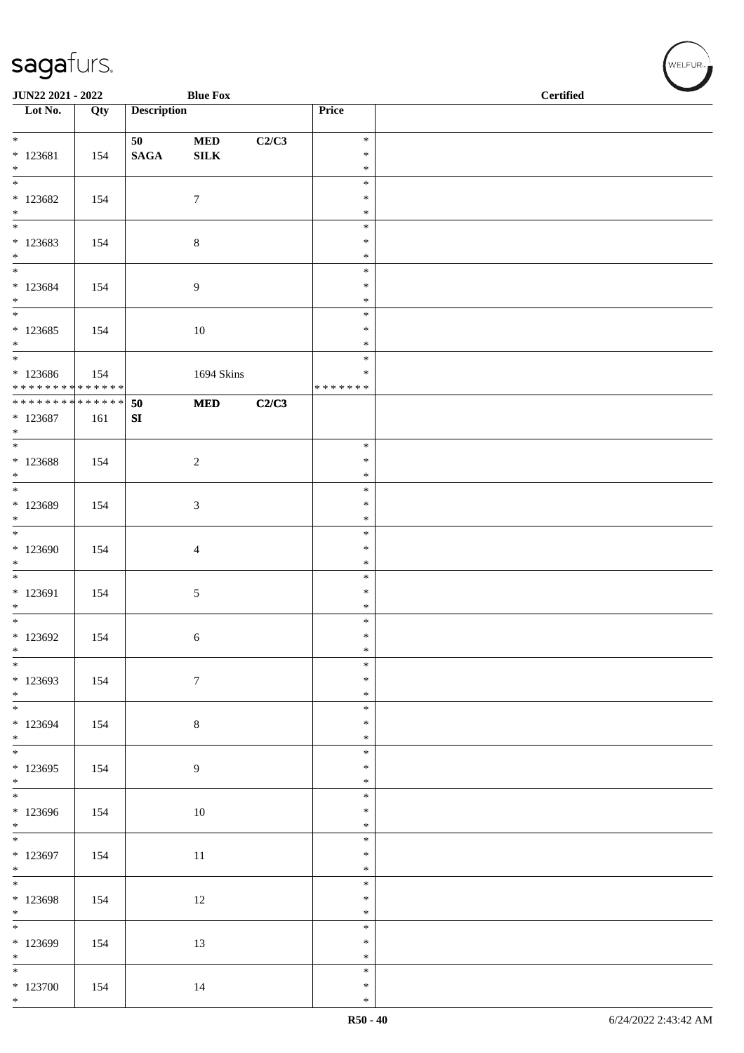| JUN22 2021 - 2022                             |     |                    | <b>Blue Fox</b>  |       |                  | <b>Certified</b> |  |  |  |
|-----------------------------------------------|-----|--------------------|------------------|-------|------------------|------------------|--|--|--|
| Lot No.                                       | Qty | <b>Description</b> |                  |       | Price            |                  |  |  |  |
| $*$                                           |     | 50                 | $\bf MED$        | C2/C3 | $\ast$           |                  |  |  |  |
| $* 123681$                                    | 154 | $\mathbf{SAGA}$    | ${\bf SILK}$     |       | $\ast$           |                  |  |  |  |
| $\ast$<br>$\overline{\phantom{0}}$            |     |                    |                  |       | $\ast$<br>$\ast$ |                  |  |  |  |
| $*123682$                                     | 154 |                    | $\tau$           |       | $\ast$           |                  |  |  |  |
| $*$                                           |     |                    |                  |       | $\ast$           |                  |  |  |  |
| $\overline{\phantom{0}}$<br>$*123683$         |     |                    |                  |       | $\ast$<br>$\ast$ |                  |  |  |  |
| $*$                                           | 154 |                    | $8\,$            |       | $\ast$           |                  |  |  |  |
| $\overline{\ast}$                             |     |                    |                  |       | $\ast$           |                  |  |  |  |
| $*123684$<br>$*$                              | 154 |                    | 9                |       | $\ast$<br>$\ast$ |                  |  |  |  |
| $\overline{\phantom{0}}$                      |     |                    |                  |       | $\ast$           |                  |  |  |  |
| $*123685$<br>$\ast$                           | 154 |                    | $10\,$           |       | $\ast$<br>$\ast$ |                  |  |  |  |
| $\overline{\phantom{0}}$                      |     |                    |                  |       | $\ast$           |                  |  |  |  |
| $*123686$                                     | 154 |                    | 1694 Skins       |       | $\ast$           |                  |  |  |  |
| * * * * * * * * * * * * * *<br>************** |     | 50                 | $\bf MED$        | C2/C3 | * * * * * * *    |                  |  |  |  |
| $* 123687$                                    | 161 | ${\bf S}{\bf I}$   |                  |       |                  |                  |  |  |  |
| $\ast$<br>$\overline{\ast}$                   |     |                    |                  |       |                  |                  |  |  |  |
| $* 123688$                                    | 154 |                    | $\sqrt{2}$       |       | $\ast$<br>$\ast$ |                  |  |  |  |
| $*$                                           |     |                    |                  |       | $\ast$           |                  |  |  |  |
|                                               |     |                    |                  |       | $\ast$<br>$\ast$ |                  |  |  |  |
| * 123689<br>$*$                               | 154 |                    | $\mathfrak{Z}$   |       | $\ast$           |                  |  |  |  |
|                                               |     |                    |                  |       | $\ast$           |                  |  |  |  |
| $*123690$<br>$*$                              | 154 |                    | $\overline{4}$   |       | $\ast$<br>$\ast$ |                  |  |  |  |
|                                               |     |                    |                  |       | $\ast$           |                  |  |  |  |
| $* 123691$                                    | 154 |                    | $\sqrt{5}$       |       | $\ast$           |                  |  |  |  |
| $*$<br>$*$                                    |     |                    |                  |       | $\ast$<br>$\ast$ |                  |  |  |  |
| $*123692$                                     | 154 |                    | 6                |       | $\ast$           |                  |  |  |  |
| $\ast$<br>$*$                                 |     |                    |                  |       | $\ast$<br>$\ast$ |                  |  |  |  |
| * 123693                                      | 154 |                    | $\boldsymbol{7}$ |       | $\ast$           |                  |  |  |  |
| $*$                                           |     |                    |                  |       | $\ast$           |                  |  |  |  |
| $*123694$                                     | 154 |                    | $8\,$            |       | $\ast$<br>$\ast$ |                  |  |  |  |
| $*$                                           |     |                    |                  |       | $\ast$           |                  |  |  |  |
| * 123695                                      |     |                    |                  |       | $\ast$<br>$\ast$ |                  |  |  |  |
| $*$                                           | 154 |                    | $\overline{9}$   |       | $\ast$           |                  |  |  |  |
|                                               |     |                    |                  |       | $\ast$           |                  |  |  |  |
| * 123696<br>$*$                               | 154 |                    | 10               |       | $\ast$<br>$\ast$ |                  |  |  |  |
|                                               |     |                    |                  |       | $\ast$           |                  |  |  |  |
| $*123697$                                     | 154 |                    | 11               |       | $\ast$           |                  |  |  |  |
| $*$<br>$\overline{\phantom{0}}$               |     |                    |                  |       | $\ast$<br>$\ast$ |                  |  |  |  |
| * 123698                                      | 154 |                    | 12               |       | $\ast$           |                  |  |  |  |
| $*$                                           |     |                    |                  |       | $\ast$<br>$\ast$ |                  |  |  |  |
| * 123699                                      | 154 |                    | 13               |       | $\ast$           |                  |  |  |  |
| $*$<br>$\overline{\phantom{0}}$               |     |                    |                  |       | $\ast$           |                  |  |  |  |
| $*123700$                                     | 154 |                    | 14               |       | $\ast$<br>$\ast$ |                  |  |  |  |
| $*$                                           |     |                    |                  |       | $\ast$           |                  |  |  |  |

√<br>WELFUR<sub>™</sub>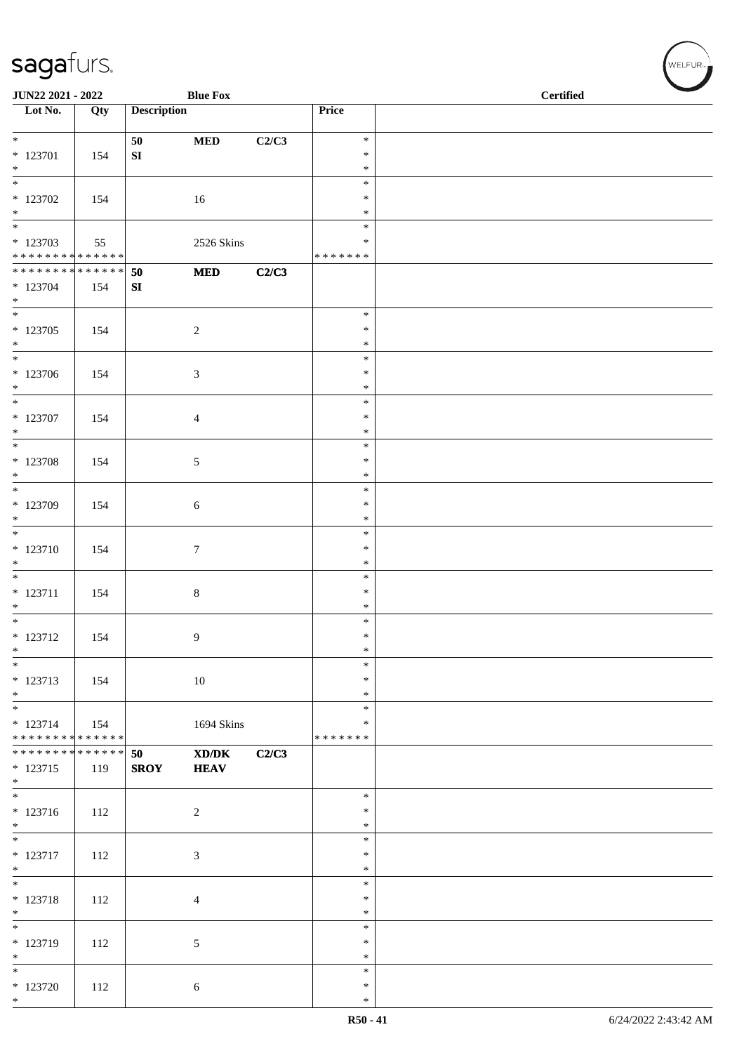| JUN22 2021 - 2022                                                          |     |                    | <b>Blue Fox</b>                                                                                                     |       |                  | <b>Certified</b> |  |  |  |
|----------------------------------------------------------------------------|-----|--------------------|---------------------------------------------------------------------------------------------------------------------|-------|------------------|------------------|--|--|--|
| $\overline{\phantom{1}}$ Lot No.                                           | Qty | <b>Description</b> |                                                                                                                     |       | Price            |                  |  |  |  |
| $*$                                                                        |     | 50                 | $\bf MED$                                                                                                           | C2/C3 | $\ast$           |                  |  |  |  |
| $* 123701$                                                                 | 154 | ${\bf S}{\bf I}$   |                                                                                                                     |       | $\ast$           |                  |  |  |  |
| $*$<br>$\overline{\phantom{0}}$                                            |     |                    |                                                                                                                     |       | $\ast$<br>$\ast$ |                  |  |  |  |
| $*123702$                                                                  | 154 |                    | 16                                                                                                                  |       | $\ast$           |                  |  |  |  |
| $*$                                                                        |     |                    |                                                                                                                     |       | $\ast$           |                  |  |  |  |
| $\overline{\phantom{0}}$<br>* 123703                                       |     |                    |                                                                                                                     |       | $\ast$<br>∗      |                  |  |  |  |
| * * * * * * * * <mark>* * * * * * *</mark>                                 | 55  |                    | 2526 Skins                                                                                                          |       | * * * * * * *    |                  |  |  |  |
| ******** <mark>******</mark>                                               |     | 50                 | $\bf MED$                                                                                                           | C2/C3 |                  |                  |  |  |  |
| $* 123704$<br>$*$                                                          | 154 | SI                 |                                                                                                                     |       |                  |                  |  |  |  |
| $\overline{\phantom{0}}$                                                   |     |                    |                                                                                                                     |       | $\ast$           |                  |  |  |  |
| $* 123705$                                                                 | 154 |                    | $\sqrt{2}$                                                                                                          |       | $\ast$           |                  |  |  |  |
| $*$                                                                        |     |                    |                                                                                                                     |       | $\ast$<br>$\ast$ |                  |  |  |  |
| $*123706$                                                                  | 154 |                    | 3                                                                                                                   |       | $\ast$           |                  |  |  |  |
| $*$<br>$\overline{\ast}$                                                   |     |                    |                                                                                                                     |       | $\ast$<br>$\ast$ |                  |  |  |  |
| $*$ 123707                                                                 | 154 |                    | 4                                                                                                                   |       | $\ast$           |                  |  |  |  |
| $*$                                                                        |     |                    |                                                                                                                     |       | $\ast$           |                  |  |  |  |
| $\overline{\ }$                                                            |     |                    |                                                                                                                     |       | $\ast$           |                  |  |  |  |
| $* 123708$<br>$*$                                                          | 154 |                    | 5                                                                                                                   |       | $\ast$<br>$\ast$ |                  |  |  |  |
|                                                                            |     |                    |                                                                                                                     |       | $\ast$           |                  |  |  |  |
| $*123709$<br>$*$                                                           | 154 |                    | 6                                                                                                                   |       | $\ast$           |                  |  |  |  |
| $\overline{\phantom{0}}$                                                   |     |                    |                                                                                                                     |       | $\ast$<br>$\ast$ |                  |  |  |  |
| $* 123710$                                                                 | 154 |                    | $\tau$                                                                                                              |       | $\ast$           |                  |  |  |  |
| $\ast$                                                                     |     |                    |                                                                                                                     |       | $\ast$           |                  |  |  |  |
| $*$<br>$* 123711$                                                          | 154 |                    | $\,8\,$                                                                                                             |       | $\ast$<br>$\ast$ |                  |  |  |  |
| $*$                                                                        |     |                    |                                                                                                                     |       | $\ast$           |                  |  |  |  |
|                                                                            |     |                    |                                                                                                                     |       | $\ast$           |                  |  |  |  |
| $* 123712$<br>$\ast$                                                       | 154 |                    | 9                                                                                                                   |       | $\ast$<br>$\ast$ |                  |  |  |  |
| $\overline{\phantom{a}^*}$                                                 |     |                    |                                                                                                                     |       | $\ast$           |                  |  |  |  |
| * 123713                                                                   | 154 |                    | $10\,$                                                                                                              |       | $\ast$           |                  |  |  |  |
| $*$<br>$*$                                                                 |     |                    |                                                                                                                     |       | $\ast$<br>$\ast$ |                  |  |  |  |
| $* 123714$                                                                 | 154 |                    | 1694 Skins                                                                                                          |       | $\ast$           |                  |  |  |  |
| * * * * * * * * <mark>* * * * * * *</mark><br>******** <mark>******</mark> |     |                    |                                                                                                                     |       | * * * * * * *    |                  |  |  |  |
| $* 123715$<br>$*$                                                          | 119 | 50<br><b>SROY</b>  | $\boldsymbol{\text{X}}\boldsymbol{\text{D}}\boldsymbol{/}\boldsymbol{\text{D}}\boldsymbol{\text{K}}$<br><b>HEAV</b> | C2/C3 |                  |                  |  |  |  |
|                                                                            |     |                    |                                                                                                                     |       | $\ast$           |                  |  |  |  |
| $* 123716$<br>$*$                                                          | 112 |                    | $\overline{2}$                                                                                                      |       | $\ast$<br>$\ast$ |                  |  |  |  |
| $\overline{\phantom{0}}$                                                   |     |                    |                                                                                                                     |       | $\ast$           |                  |  |  |  |
| $* 123717$                                                                 | 112 |                    | $\mathfrak{Z}$                                                                                                      |       | $\ast$           |                  |  |  |  |
| $*$<br>$\overline{\phantom{0}}$                                            |     |                    |                                                                                                                     |       | $\ast$<br>$\ast$ |                  |  |  |  |
| $* 123718$                                                                 | 112 |                    | $\overline{4}$                                                                                                      |       | $\ast$           |                  |  |  |  |
| $*$<br>$\overline{\ast}$                                                   |     |                    |                                                                                                                     |       | $\ast$           |                  |  |  |  |
| * 123719                                                                   | 112 |                    | $\mathfrak{S}$                                                                                                      |       | $\ast$<br>$\ast$ |                  |  |  |  |
| $*$                                                                        |     |                    |                                                                                                                     |       | $\ast$           |                  |  |  |  |
| $*$                                                                        |     |                    |                                                                                                                     |       | $\ast$           |                  |  |  |  |
| $*123720$<br>$*$                                                           | 112 |                    | 6                                                                                                                   |       | $\ast$<br>$\ast$ |                  |  |  |  |

 $w$ ELFUR-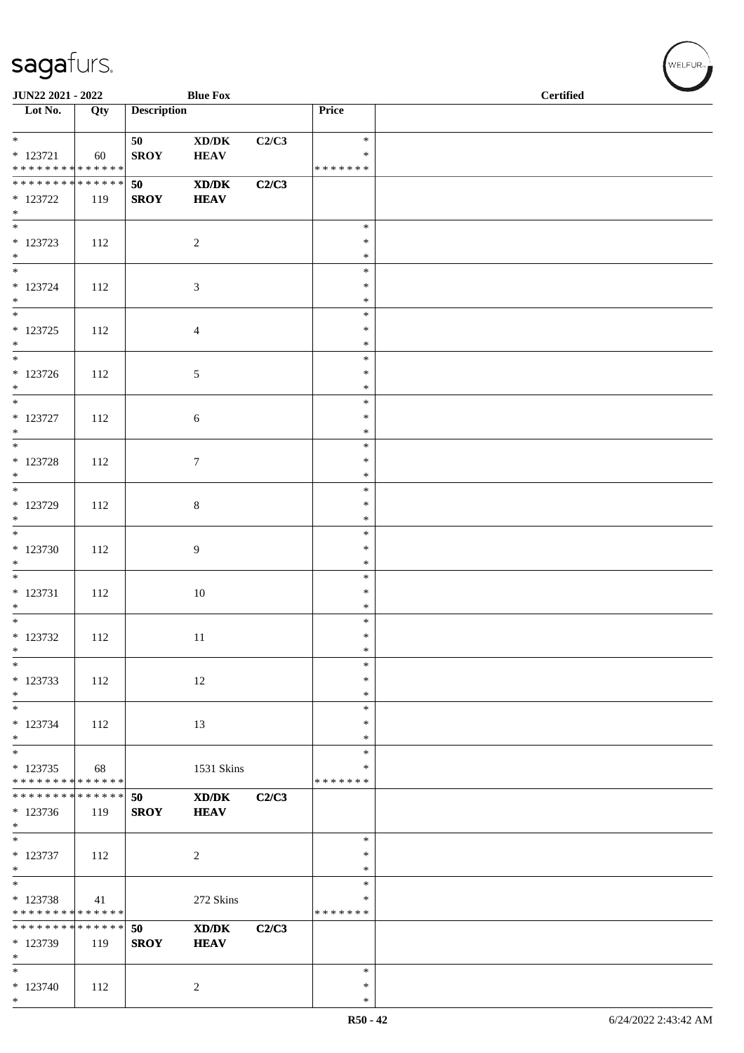| JUN22 2021 - 2022                  |     |                    | <b>Blue Fox</b>                                                                                      |       |                  | <b>Certified</b> |
|------------------------------------|-----|--------------------|------------------------------------------------------------------------------------------------------|-------|------------------|------------------|
| $\overline{\phantom{1}}$ Lot No.   | Qty | <b>Description</b> |                                                                                                      |       | Price            |                  |
| $*$                                |     | 50                 |                                                                                                      |       | $\ast$           |                  |
| $* 123721$                         | 60  | <b>SROY</b>        | $\bold{X}\bold{D}/\bold{D}\bold{K}$<br><b>HEAV</b>                                                   | C2/C3 | ∗                |                  |
| * * * * * * * * * * * * * *        |     |                    |                                                                                                      |       | * * * * * * *    |                  |
| ******** <mark>******</mark>       |     | 50                 | $\boldsymbol{\text{X}}\boldsymbol{\text{D}}\boldsymbol{/}\boldsymbol{\text{D}}\boldsymbol{\text{K}}$ | C2/C3 |                  |                  |
| $*$ 123722                         | 119 | <b>SROY</b>        | <b>HEAV</b>                                                                                          |       |                  |                  |
| $*$<br>$\overline{\phantom{0}}$    |     |                    |                                                                                                      |       | $\ast$           |                  |
| $* 123723$                         | 112 |                    | $\overline{2}$                                                                                       |       | $\ast$           |                  |
| $*$                                |     |                    |                                                                                                      |       | $\ast$           |                  |
| $\overline{\phantom{0}}$           |     |                    |                                                                                                      |       | $\ast$           |                  |
| $* 123724$<br>$*$                  | 112 |                    | $\mathfrak{Z}$                                                                                       |       | $\ast$<br>$\ast$ |                  |
| $\overline{\phantom{0}}$           |     |                    |                                                                                                      |       | $\ast$           |                  |
| $* 123725$                         | 112 |                    | $\overline{4}$                                                                                       |       | $\ast$           |                  |
| $*$                                |     |                    |                                                                                                      |       | $\ast$           |                  |
|                                    |     |                    |                                                                                                      |       | $\ast$           |                  |
| $* 123726$<br>$*$                  | 112 |                    | 5                                                                                                    |       | $\ast$<br>$\ast$ |                  |
|                                    |     |                    |                                                                                                      |       | $\ast$           |                  |
| $*$ 123727                         | 112 |                    | 6                                                                                                    |       | ∗                |                  |
| $\ast$<br>$\overline{\phantom{0}}$ |     |                    |                                                                                                      |       | $\ast$           |                  |
| $*$ 123728                         | 112 |                    | $\tau$                                                                                               |       | $\ast$<br>$\ast$ |                  |
| $\ast$                             |     |                    |                                                                                                      |       | $\ast$           |                  |
|                                    |     |                    |                                                                                                      |       | $\ast$           |                  |
| $*$ 123729                         | 112 |                    | $8\,$                                                                                                |       | $\ast$           |                  |
| $*$                                |     |                    |                                                                                                      |       | $\ast$<br>$\ast$ |                  |
| $*123730$                          | 112 |                    | 9                                                                                                    |       | $\ast$           |                  |
| $\ast$                             |     |                    |                                                                                                      |       | $\ast$           |                  |
| $\overline{\phantom{0}}$           |     |                    |                                                                                                      |       | $\ast$           |                  |
| $* 123731$<br>$*$                  | 112 |                    | $10\,$                                                                                               |       | $\ast$<br>$\ast$ |                  |
| $\overline{\phantom{0}}$           |     |                    |                                                                                                      |       | $\ast$           |                  |
| $* 123732$                         | 112 |                    | 11                                                                                                   |       | $\ast$           |                  |
| $\ast$                             |     |                    |                                                                                                      |       | $\ast$           |                  |
| $\ast$<br>* 123733                 | 112 |                    | 12                                                                                                   |       | $\ast$<br>∗      |                  |
| $*$                                |     |                    |                                                                                                      |       | ∗                |                  |
| $\ast$                             |     |                    |                                                                                                      |       | $\ast$           |                  |
| $* 123734$                         | 112 |                    | 13                                                                                                   |       | $\ast$           |                  |
| $*$<br>$*$                         |     |                    |                                                                                                      |       | $\ast$<br>$\ast$ |                  |
| * 123735                           | 68  |                    | 1531 Skins                                                                                           |       | $\ast$           |                  |
| * * * * * * * * * * * * * *        |     |                    |                                                                                                      |       | * * * * * * *    |                  |
| * * * * * * * * * * * * * *        |     | 50                 | XD/DK                                                                                                | C2/C3 |                  |                  |
| $*123736$<br>$*$                   | 119 | <b>SROY</b>        | <b>HEAV</b>                                                                                          |       |                  |                  |
| $\overline{\ast}$                  |     |                    |                                                                                                      |       | $\ast$           |                  |
| $* 123737$                         | 112 |                    | $\overline{c}$                                                                                       |       | $\ast$           |                  |
| $*$                                |     |                    |                                                                                                      |       | $\ast$           |                  |
| $\ast$<br>$* 123738$               | 41  |                    | 272 Skins                                                                                            |       | $\ast$<br>$\ast$ |                  |
| * * * * * * * * * * * * * *        |     |                    |                                                                                                      |       | * * * * * * *    |                  |
| * * * * * * * * * * * * * *        |     | 50                 | XD/DK                                                                                                | C2/C3 |                  |                  |
| * 123739                           | 119 | <b>SROY</b>        | <b>HEAV</b>                                                                                          |       |                  |                  |
| $\ast$<br>$*$                      |     |                    |                                                                                                      |       | $\ast$           |                  |
| $*123740$                          | 112 |                    | $\overline{c}$                                                                                       |       | $\ast$           |                  |
| $*$                                |     |                    |                                                                                                      |       | $\ast$           |                  |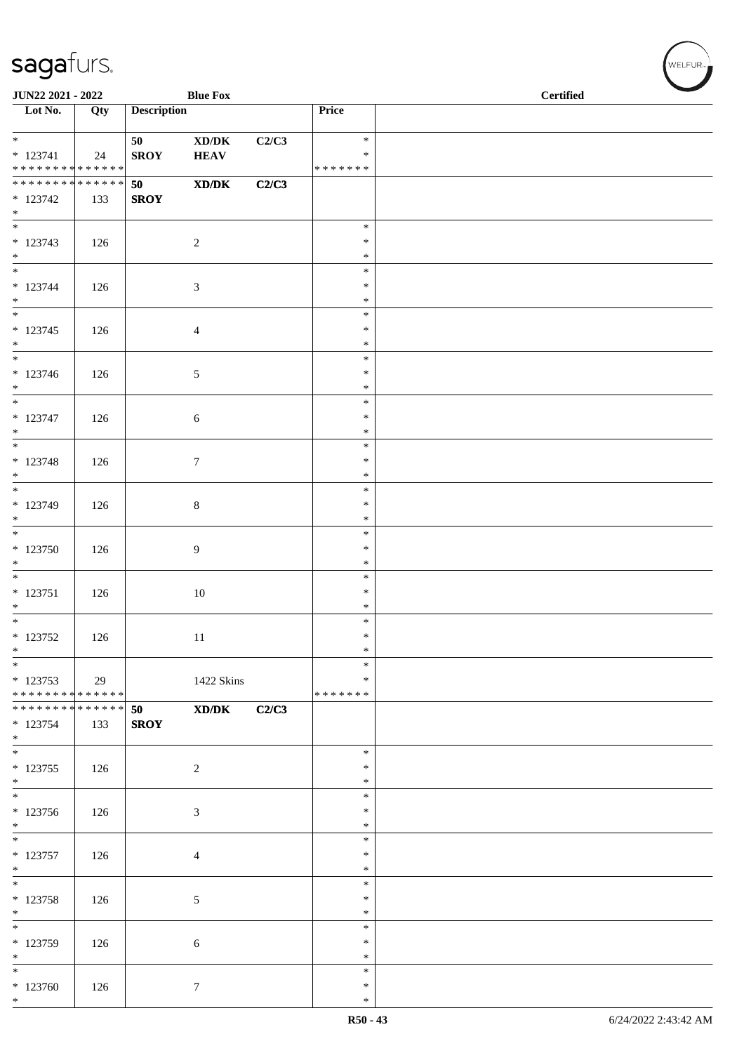| JUN22 2021 - 2022<br><b>Blue Fox</b>               |     |                    |                                                    |       |                                   | <b>Certified</b> |
|----------------------------------------------------|-----|--------------------|----------------------------------------------------|-------|-----------------------------------|------------------|
| $\overline{\phantom{1}}$ Lot No.                   | Qty | <b>Description</b> |                                                    |       | Price                             |                  |
| $*$<br>$* 123741$<br>* * * * * * * * * * * * * *   | 24  | 50<br><b>SROY</b>  | $\bold{X}\bold{D}/\bold{D}\bold{K}$<br><b>HEAV</b> | C2/C3 | $\ast$<br>$\ast$<br>* * * * * * * |                  |
| * * * * * * * * * * * * * *<br>$* 123742$<br>$*$   | 133 | 50<br><b>SROY</b>  | $\mathbf{X}\mathbf{D}/\mathbf{D}\mathbf{K}$        | C2/C3 |                                   |                  |
| $\overline{\phantom{0}}$<br>$* 123743$<br>$*$      | 126 |                    | $\sqrt{2}$                                         |       | $\ast$<br>$\ast$<br>$\ast$        |                  |
| $\overline{\ast}$<br>$* 123744$<br>$*$             | 126 |                    | $\mathfrak{Z}$                                     |       | $\ast$<br>$\ast$<br>$\ast$        |                  |
| $\overline{\phantom{0}}$<br>$* 123745$<br>$*$      | 126 |                    | $\overline{4}$                                     |       | $\ast$<br>$\ast$<br>$\ast$        |                  |
| $\overline{\phantom{0}}$<br>$* 123746$<br>$*$      | 126 |                    | 5                                                  |       | $\ast$<br>$\ast$<br>$\ast$        |                  |
| $\overline{\phantom{0}}$<br>$* 123747$<br>$\ast$   | 126 |                    | 6                                                  |       | $\ast$<br>$\ast$<br>$\ast$        |                  |
| $\overline{\phantom{0}}$<br>$* 123748$<br>$\ast$   | 126 |                    | $\tau$                                             |       | $\ast$<br>$\ast$<br>$\ast$        |                  |
| $* 123749$<br>$*$                                  | 126 |                    | $\,8\,$                                            |       | $\ast$<br>$\ast$<br>$\ast$        |                  |
| $*123750$<br>$*$                                   | 126 |                    | 9                                                  |       | $\ast$<br>$\ast$<br>$\ast$        |                  |
| $\overline{\phantom{0}}$<br>$* 123751$<br>$*$      | 126 |                    | $10\,$                                             |       | $\ast$<br>$\ast$<br>$\ast$        |                  |
| $\overline{\phantom{0}}$<br>* 123752<br>$*$        | 126 |                    | 11                                                 |       | $\ast$<br>$\ast$<br>$\ast$        |                  |
| $*$<br>$* 123753$<br>* * * * * * * * * * * * * * * | 29  |                    | 1422 Skins                                         |       | $\ast$<br>∗<br>*******            |                  |
| * * * * * * * * * * * * * * *<br>* 123754<br>$*$   | 133 | 50<br><b>SROY</b>  | $\mathbf{X}\mathbf{D}/\mathbf{D}\mathbf{K}$        | C2/C3 |                                   |                  |
| $* 123755$<br>$*$                                  | 126 |                    | $\overline{c}$                                     |       | $\ast$<br>$\ast$<br>$\ast$        |                  |
| $*123756$<br>$*$                                   | 126 |                    | 3                                                  |       | $\ast$<br>$\ast$<br>∗             |                  |
| $\overline{\phantom{0}}$<br>$* 123757$<br>$*$      | 126 |                    | 4                                                  |       | $\ast$<br>$\ast$<br>$\ast$        |                  |
| $\overline{\phantom{0}}$<br>$* 123758$<br>$*$      | 126 |                    | 5                                                  |       | $\ast$<br>$\ast$<br>$\ast$        |                  |
| $* 123759$<br>$*$                                  | 126 |                    | 6                                                  |       | $\ast$<br>$\ast$<br>∗             |                  |
| $*$<br>$*123760$<br>$*$                            | 126 |                    | $\boldsymbol{7}$                                   |       | $\ast$<br>$\ast$<br>$\ast$        |                  |

、<br>WELFUR<sub>™</sub>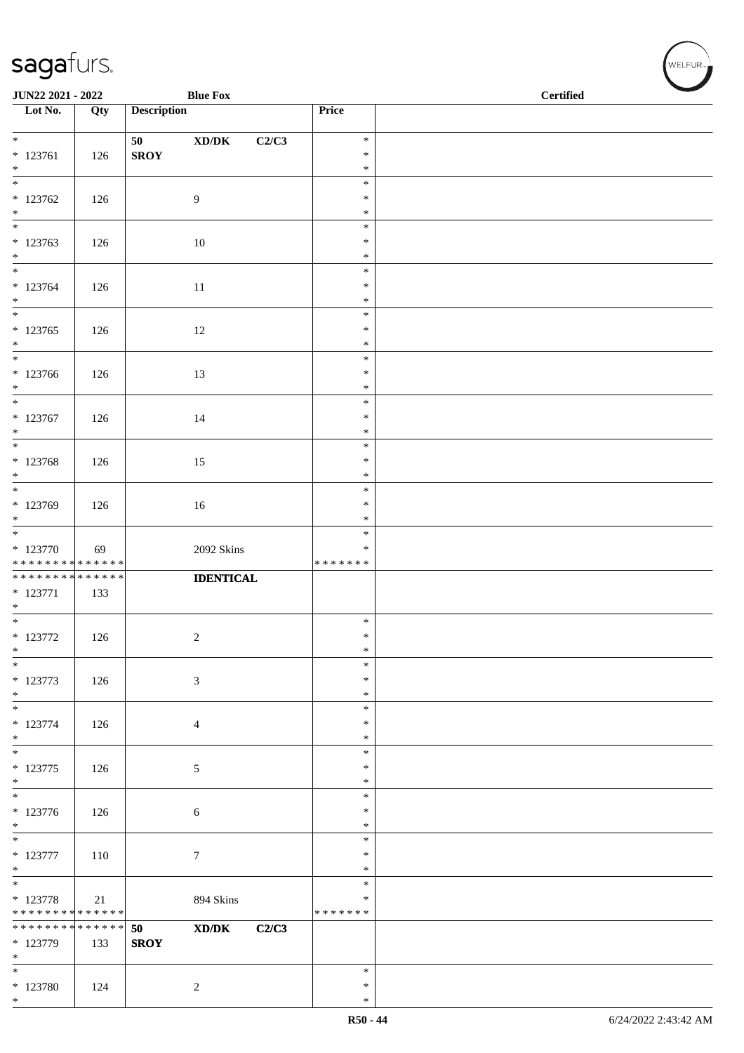| JUN22 2021 - 2022                                           |             |                    | <b>Blue Fox</b>                              |                  | <b>Certified</b> |  |  |
|-------------------------------------------------------------|-------------|--------------------|----------------------------------------------|------------------|------------------|--|--|
| $\overline{\phantom{1}}$ Lot No.                            | Qty         | <b>Description</b> |                                              | Price            |                  |  |  |
|                                                             |             | 50                 | $\bold{X}\bold{D}/\bold{D}\bold{K}$<br>C2/C3 | $\ast$           |                  |  |  |
| $* 123761$                                                  | 126         | <b>SROY</b>        |                                              | $\ast$           |                  |  |  |
| $*$<br>$\overline{\ast}$                                    |             |                    |                                              | $\ast$<br>$\ast$ |                  |  |  |
| $*123762$                                                   | 126         |                    | 9                                            | $\ast$           |                  |  |  |
| $*$<br>$\overline{\phantom{0}}$                             |             |                    |                                              | $\ast$<br>$\ast$ |                  |  |  |
| $* 123763$<br>$\ast$                                        | 126         |                    | 10                                           | $\ast$<br>$\ast$ |                  |  |  |
| $\overline{\phantom{0}}$<br>$* 123764$                      | 126         |                    | 11                                           | $\ast$<br>$\ast$ |                  |  |  |
| $*$<br>$\overline{\phantom{0}}$                             |             |                    |                                              | $\ast$<br>$\ast$ |                  |  |  |
| $* 123765$                                                  | 126         |                    | 12                                           | $\ast$           |                  |  |  |
| $*$<br>$*$                                                  |             |                    |                                              | $\ast$<br>$\ast$ |                  |  |  |
| $*123766$                                                   | 126         |                    | 13                                           | $\ast$           |                  |  |  |
| $*$<br>$*$                                                  |             |                    |                                              | $\ast$<br>$\ast$ |                  |  |  |
| $* 123767$<br>$*$                                           | 126         |                    | 14                                           | $\ast$<br>$\ast$ |                  |  |  |
| $\overline{\phantom{0}}$                                    |             |                    |                                              | $\ast$           |                  |  |  |
| * 123768<br>$*$                                             | 126         |                    | 15                                           | $\ast$<br>$\ast$ |                  |  |  |
| $\overline{\ast}$                                           |             |                    |                                              | $\ast$           |                  |  |  |
| * 123769<br>$\ast$                                          | 126         |                    | 16                                           | $\ast$<br>$\ast$ |                  |  |  |
|                                                             |             |                    |                                              | $\ast$           |                  |  |  |
| $* 123770$                                                  | 69          |                    | 2092 Skins                                   | $\ast$           |                  |  |  |
| * * * * * * * * * * * * * *<br>******** <mark>******</mark> |             |                    | <b>IDENTICAL</b>                             | * * * * * * *    |                  |  |  |
| $* 123771$<br>$*$                                           | 133         |                    |                                              |                  |                  |  |  |
| $*$                                                         |             |                    |                                              | $\ast$           |                  |  |  |
| $*$ 123772<br>$\ast$                                        | 126         |                    | $\boldsymbol{2}$                             | $\ast$<br>$\ast$ |                  |  |  |
| $\ast$                                                      |             |                    |                                              | $\ast$           |                  |  |  |
| * 123773<br>$\ast$                                          | 126         |                    | $\mathfrak{Z}$                               | $\ast$<br>$\ast$ |                  |  |  |
| $\overline{\ast}$                                           |             |                    |                                              | $\ast$           |                  |  |  |
| $* 123774$<br>$*$                                           | 126         |                    | $\overline{4}$                               | $\ast$<br>$\ast$ |                  |  |  |
| $*$                                                         |             |                    |                                              | $\ast$           |                  |  |  |
| $* 123775$<br>$\ast$                                        | 126         |                    | $\sqrt{5}$                                   | $\ast$<br>$\ast$ |                  |  |  |
| $\overline{\phantom{0}}$                                    |             |                    |                                              | $\ast$<br>$\ast$ |                  |  |  |
| $* 123776$<br>$\ast$                                        | 126         |                    | 6                                            | $\ast$           |                  |  |  |
| $\overline{\ast}$<br>$* 123777$                             | 110         |                    | $\tau$                                       | $\ast$<br>∗      |                  |  |  |
| $*$                                                         |             |                    |                                              | $\ast$           |                  |  |  |
| $*$<br>* 123778                                             | 21          |                    | 894 Skins                                    | $\ast$<br>$\ast$ |                  |  |  |
| * * * * * * * * * * * * * *                                 |             |                    |                                              | * * * * * * *    |                  |  |  |
| * * * * * * * *                                             | * * * * * * | 50                 | <b>XD/DK</b><br>C2/C3                        |                  |                  |  |  |
| * 123779<br>$\ast$                                          | 133         | <b>SROY</b>        |                                              |                  |                  |  |  |
| $*$                                                         |             |                    |                                              | $\ast$           |                  |  |  |
| * 123780<br>$*$                                             | 124         |                    | $\overline{c}$                               | $\ast$<br>$\ast$ |                  |  |  |

 $(w$ ELFUR<sub><sup>n</sub></sub></sub></sup>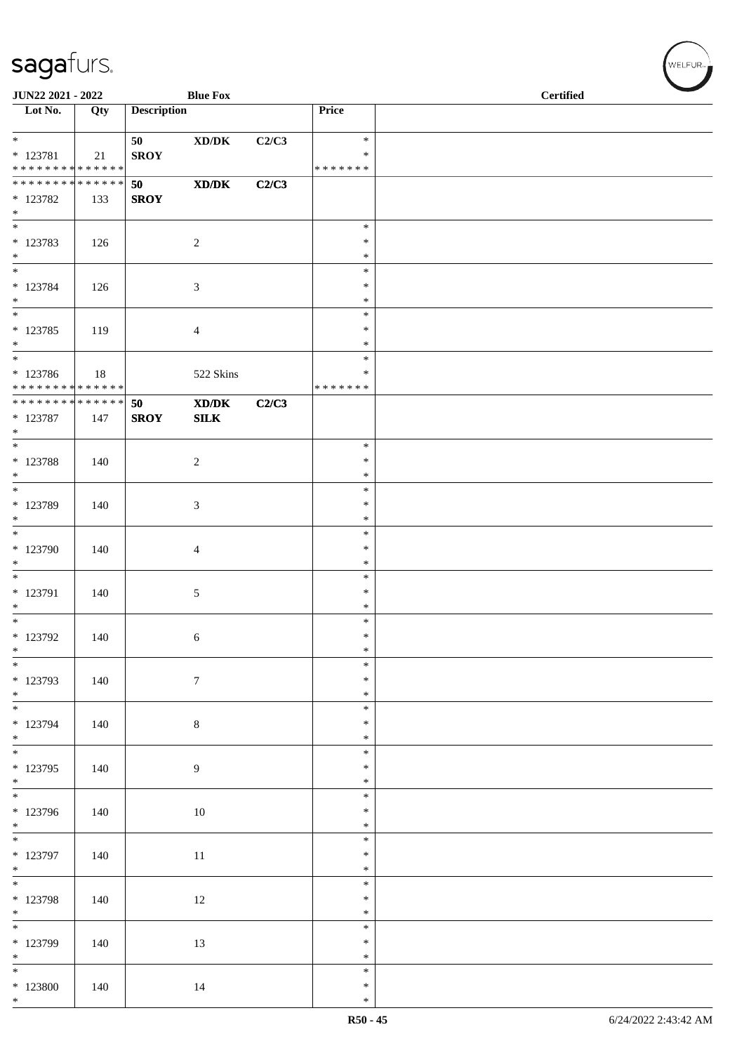| JUN22 2021 - 2022                        |     |                    | <b>Blue Fox</b>                                              |       |                  | <b>Certified</b> |
|------------------------------------------|-----|--------------------|--------------------------------------------------------------|-------|------------------|------------------|
| $\overline{\phantom{1}}$ Lot No.         | Qty | <b>Description</b> |                                                              |       | Price            |                  |
| $*$                                      |     | 50                 | $\boldsymbol{\text{XD}}\boldsymbol{/}\boldsymbol{\text{DK}}$ | C2/C3 | $\ast$           |                  |
| * 123781<br>******** <mark>******</mark> | 21  | <b>SROY</b>        |                                                              |       | $\ast$           |                  |
| ******** <mark>******</mark>             |     | 50                 | $\mathbf{X}\mathbf{D}/\mathbf{D}\mathbf{K}$                  | C2/C3 | *******          |                  |
| $* 123782$                               | 133 | <b>SROY</b>        |                                                              |       |                  |                  |
| $\ast$                                   |     |                    |                                                              |       |                  |                  |
| $\overline{\phantom{0}}$                 |     |                    |                                                              |       | $\ast$           |                  |
| $* 123783$<br>$\ast$                     | 126 |                    | $\sqrt{2}$                                                   |       | $\ast$<br>$\ast$ |                  |
| $\overline{\ast}$                        |     |                    |                                                              |       | $\ast$           |                  |
| $* 123784$                               | 126 |                    | 3                                                            |       | $\ast$           |                  |
| $*$                                      |     |                    |                                                              |       | $\ast$           |                  |
| $\overline{\ast}$                        |     |                    |                                                              |       | $\ast$           |                  |
| $* 123785$<br>$*$                        | 119 |                    | 4                                                            |       | $\ast$<br>$\ast$ |                  |
|                                          |     |                    |                                                              |       | $\ast$           |                  |
| * 123786                                 | 18  |                    | 522 Skins                                                    |       | $\ast$           |                  |
| * * * * * * * * * * * * * *              |     |                    |                                                              |       | * * * * * * *    |                  |
| ******** <mark>******</mark>             |     | 50                 | XD/DK                                                        | C2/C3 |                  |                  |
| $* 123787$<br>$*$                        | 147 | <b>SROY</b>        | SLK                                                          |       |                  |                  |
| $*$                                      |     |                    |                                                              |       | $\ast$           |                  |
| $* 123788$                               | 140 |                    | $\overline{c}$                                               |       | $\ast$           |                  |
| $\ast$                                   |     |                    |                                                              |       | $\ast$           |                  |
| * 123789                                 | 140 |                    | 3                                                            |       | $\ast$<br>$\ast$ |                  |
| $\ast$                                   |     |                    |                                                              |       | $\ast$           |                  |
| $\overline{\phantom{0}}$                 |     |                    |                                                              |       | $\ast$           |                  |
| * 123790                                 | 140 |                    | 4                                                            |       | $\ast$           |                  |
| $\ast$<br>$*$                            |     |                    |                                                              |       | $\ast$<br>$\ast$ |                  |
| $* 123791$                               | 140 |                    | 5                                                            |       | $\ast$           |                  |
| $\ast$                                   |     |                    |                                                              |       | $\ast$           |                  |
| $*$                                      |     |                    |                                                              |       | $\ast$           |                  |
| $*$ 123792<br>$*$                        | 140 |                    | 6                                                            |       | $\ast$<br>$\ast$ |                  |
| $\overline{\phantom{0}}$                 |     |                    |                                                              |       | $\ast$           |                  |
| * 123793                                 | 140 |                    | $\boldsymbol{7}$                                             |       | $\ast$           |                  |
| $*$                                      |     |                    |                                                              |       | $\ast$           |                  |
|                                          |     |                    |                                                              |       | $\ast$           |                  |
| * 123794<br>$*$                          | 140 |                    | $\,8\,$                                                      |       | $\ast$<br>$\ast$ |                  |
|                                          |     |                    |                                                              |       | $\ast$           |                  |
| $* 123795$                               | 140 |                    | 9                                                            |       | $\ast$           |                  |
| $*$                                      |     |                    |                                                              |       | $\ast$           |                  |
| * 123796                                 | 140 |                    | 10                                                           |       | $\ast$<br>$\ast$ |                  |
| $*$                                      |     |                    |                                                              |       | $\ast$           |                  |
| $\overline{\phantom{0}}$                 |     |                    |                                                              |       | $\ast$           |                  |
| $*$ 123797                               | 140 |                    | $11\,$                                                       |       | $\ast$           |                  |
| $*$<br>$\overline{\phantom{0}}$          |     |                    |                                                              |       | $\ast$<br>$\ast$ |                  |
| $*$ 123798                               | 140 |                    | 12                                                           |       | $\ast$           |                  |
| $*$                                      |     |                    |                                                              |       | $\ast$           |                  |
| $\overline{\phantom{0}}$                 |     |                    |                                                              |       | $\ast$           |                  |
| * 123799<br>$*$                          | 140 |                    | 13                                                           |       | $\ast$<br>$\ast$ |                  |
| $*$                                      |     |                    |                                                              |       | $\ast$           |                  |
| $*123800$                                | 140 |                    | 14                                                           |       | $\ast$           |                  |
| $*$                                      |     |                    |                                                              |       | $\ast$           |                  |

V<br>WELFUR<sub>™</sub>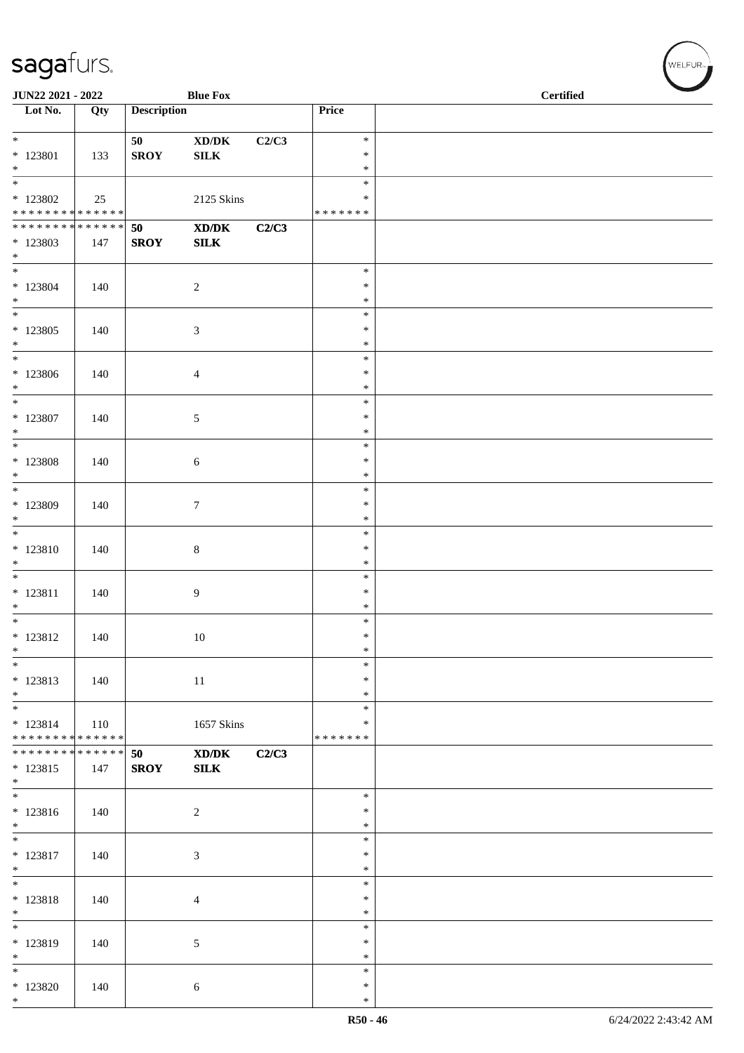| JUN22 2021 - 2022                          |     |                    | <b>Blue Fox</b>                                                                                      |       | <b>Certified</b> |  |
|--------------------------------------------|-----|--------------------|------------------------------------------------------------------------------------------------------|-------|------------------|--|
| $\overline{\phantom{1}}$ Lot No.           | Qty | <b>Description</b> |                                                                                                      |       | Price            |  |
|                                            |     |                    |                                                                                                      |       |                  |  |
| $*$                                        |     | 50                 | $\boldsymbol{\text{XD}}\boldsymbol{/}\boldsymbol{\text{DK}}$                                         | C2/C3 | $\ast$           |  |
| * 123801                                   | 133 | <b>SROY</b>        | ${\bf SILK}$                                                                                         |       | $\ast$           |  |
| $*$                                        |     |                    |                                                                                                      |       | $\ast$           |  |
|                                            |     |                    |                                                                                                      |       | $\ast$           |  |
|                                            |     |                    |                                                                                                      |       |                  |  |
| $*$ 123802                                 | 25  |                    | 2125 Skins                                                                                           |       | $\ast$           |  |
| * * * * * * * * * * * * * * *              |     |                    |                                                                                                      |       | * * * * * * *    |  |
| ******** <mark>******</mark>               |     | 50                 | XD/DK                                                                                                | C2/C3 |                  |  |
| * 123803                                   | 147 | <b>SROY</b>        | ${\bf SILK}$                                                                                         |       |                  |  |
| $*$                                        |     |                    |                                                                                                      |       |                  |  |
| $\overline{\phantom{0}}$                   |     |                    |                                                                                                      |       | $\ast$           |  |
| $*$ 123804                                 | 140 |                    | $\sqrt{2}$                                                                                           |       | $\ast$           |  |
| $\ast$                                     |     |                    |                                                                                                      |       | $\ast$           |  |
|                                            |     |                    |                                                                                                      |       | $\ast$           |  |
| $*123805$                                  | 140 |                    | $\mathfrak{Z}$                                                                                       |       | $\ast$           |  |
| $*$                                        |     |                    |                                                                                                      |       | $\ast$           |  |
| $*$                                        |     |                    |                                                                                                      |       | $\ast$           |  |
| $*123806$                                  | 140 |                    | $\overline{4}$                                                                                       |       | $\ast$           |  |
| $*$                                        |     |                    |                                                                                                      |       | $\ast$           |  |
| $*$                                        |     |                    |                                                                                                      |       | $\ast$           |  |
| * 123807                                   | 140 |                    | $\sqrt{5}$                                                                                           |       | $\ast$           |  |
| $*$                                        |     |                    |                                                                                                      |       | $\ast$           |  |
|                                            |     |                    |                                                                                                      |       | $\ast$           |  |
| * 123808                                   | 140 |                    | 6                                                                                                    |       | $\ast$           |  |
| $*$                                        |     |                    |                                                                                                      |       | $\ast$           |  |
| $\overline{\phantom{0}}$                   |     |                    |                                                                                                      |       | $\ast$           |  |
| * 123809                                   | 140 |                    | $\tau$                                                                                               |       | $\ast$           |  |
| $*$                                        |     |                    |                                                                                                      |       | $\ast$           |  |
|                                            |     |                    |                                                                                                      |       | $\ast$           |  |
| * 123810                                   |     |                    |                                                                                                      |       | $\ast$           |  |
| $*$                                        | 140 |                    | $\,8\,$                                                                                              |       | $\ast$           |  |
|                                            |     |                    |                                                                                                      |       | $\ast$           |  |
|                                            |     |                    |                                                                                                      |       |                  |  |
| * 123811                                   | 140 |                    | 9                                                                                                    |       | $\ast$           |  |
| $*$                                        |     |                    |                                                                                                      |       | $\ast$           |  |
| $*$                                        |     |                    |                                                                                                      |       | $\ast$           |  |
| * 123812                                   | 140 |                    | $10\,$                                                                                               |       | $\ast$           |  |
| $\ast$                                     |     |                    |                                                                                                      |       | $\ast$           |  |
| $*$                                        |     |                    |                                                                                                      |       | $\ast$           |  |
| * 123813                                   | 140 |                    | 11                                                                                                   |       | $\ast$           |  |
| $\ast$                                     |     |                    |                                                                                                      |       | $\ast$           |  |
| $*$                                        |     |                    |                                                                                                      |       | $\ast$           |  |
| $* 123814$                                 | 110 |                    | 1657 Skins                                                                                           |       | ∗                |  |
| * * * * * * * * * * * * * *                |     |                    |                                                                                                      |       | * * * * * * *    |  |
| * * * * * * * * <mark>* * * * * * *</mark> |     | 50                 | $\boldsymbol{\text{X}}\boldsymbol{\text{D}}\boldsymbol{/}\boldsymbol{\text{D}}\boldsymbol{\text{K}}$ | C2/C3 |                  |  |
| $* 123815$                                 | 147 | <b>SROY</b>        | ${\bf SILK}$                                                                                         |       |                  |  |
| $\ast$                                     |     |                    |                                                                                                      |       |                  |  |
|                                            |     |                    |                                                                                                      |       | $\ast$           |  |
| * 123816                                   | 140 |                    | $\overline{2}$                                                                                       |       | $\ast$           |  |
| $*$                                        |     |                    |                                                                                                      |       | $\ast$           |  |
|                                            |     |                    |                                                                                                      |       | $\ast$           |  |
| $* 123817$                                 | 140 |                    | $\mathfrak{Z}$                                                                                       |       | $\ast$           |  |
| $*$                                        |     |                    |                                                                                                      |       | $\ast$           |  |
| $*$                                        |     |                    |                                                                                                      |       | $\ast$           |  |
| * 123818                                   | 140 |                    | $\overline{4}$                                                                                       |       | $\ast$           |  |
| $*$                                        |     |                    |                                                                                                      |       | $\ast$           |  |
| $*$                                        |     |                    |                                                                                                      |       | $\ast$           |  |
| * 123819                                   | 140 |                    | 5                                                                                                    |       | $\ast$           |  |
| $*$                                        |     |                    |                                                                                                      |       | $\ast$           |  |
| $*$                                        |     |                    |                                                                                                      |       | $\ast$           |  |
| $*123820$                                  | 140 |                    | 6                                                                                                    |       | $\ast$           |  |
| $*$                                        |     |                    |                                                                                                      |       | $\ast$           |  |
|                                            |     |                    |                                                                                                      |       |                  |  |

WELFUR<sub><sup>N</sup></sub>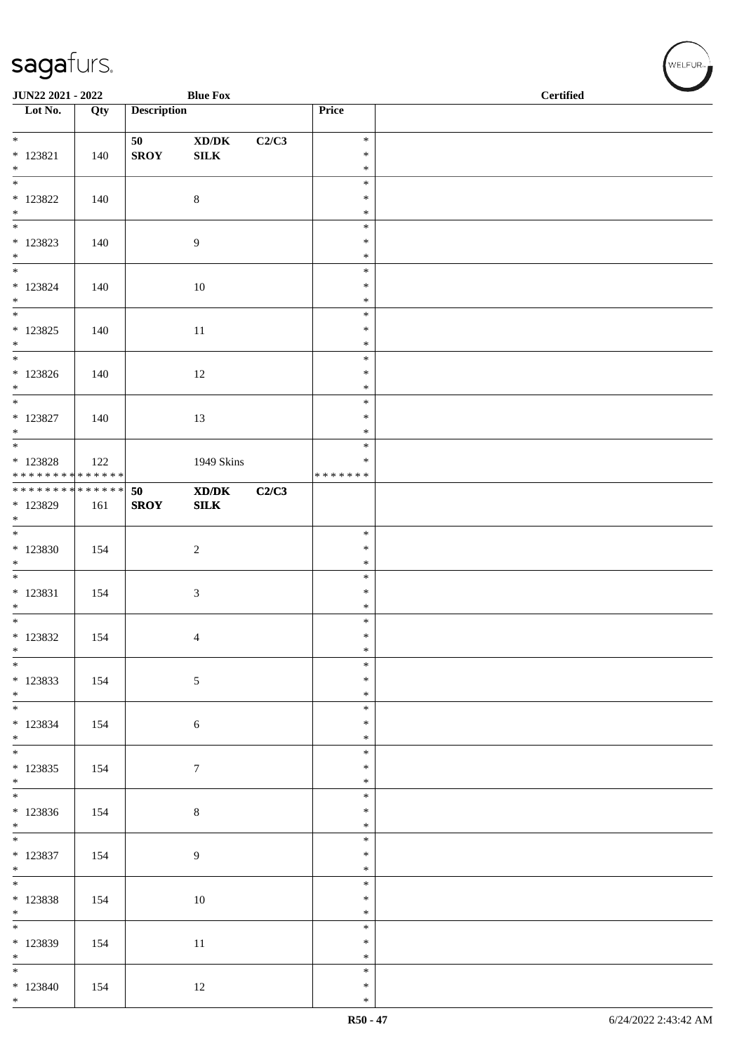| JUN22 2021 - 2022<br><b>Blue Fox</b>       |     |                    |                                                              |       |                  | <b>Certified</b> |
|--------------------------------------------|-----|--------------------|--------------------------------------------------------------|-------|------------------|------------------|
| $\overline{\phantom{1}}$ Lot No.           | Qty | <b>Description</b> |                                                              |       | Price            |                  |
| $*$                                        |     | 50                 | $\boldsymbol{\text{XD}}\boldsymbol{/}\boldsymbol{\text{DK}}$ | C2/C3 | $\ast$           |                  |
| $* 123821$<br>$\ast$                       | 140 | <b>SROY</b>        | ${\bf SILK}$                                                 |       | $\ast$<br>$\ast$ |                  |
| $\overline{\phantom{0}}$                   |     |                    |                                                              |       | $\ast$           |                  |
| $*$ 123822<br>$*$                          | 140 |                    | $8\,$                                                        |       | $\ast$<br>$\ast$ |                  |
|                                            |     |                    |                                                              |       | $\ast$           |                  |
| $*123823$                                  | 140 |                    | 9                                                            |       | $\ast$           |                  |
| $*$<br>$*$                                 |     |                    |                                                              |       | $\ast$<br>$\ast$ |                  |
| $* 123824$                                 | 140 |                    | $10\,$                                                       |       | $\ast$           |                  |
| $*$<br>$\overline{\phantom{0}}$            |     |                    |                                                              |       | $\ast$<br>$\ast$ |                  |
| $* 123825$                                 | 140 |                    | 11                                                           |       | $\ast$           |                  |
| $*$<br>$*$                                 |     |                    |                                                              |       | $\ast$<br>$\ast$ |                  |
| $*123826$                                  | 140 |                    | 12                                                           |       | $\ast$           |                  |
| $*$<br>$*$                                 |     |                    |                                                              |       | $\ast$<br>$\ast$ |                  |
| $* 123827$                                 | 140 |                    | 13                                                           |       | $\ast$           |                  |
| $*$                                        |     |                    |                                                              |       | $\ast$           |                  |
| $* 123828$                                 | 122 |                    | 1949 Skins                                                   |       | $\ast$<br>$\ast$ |                  |
| * * * * * * * * <mark>* * * * * * *</mark> |     |                    |                                                              |       | * * * * * * *    |                  |
| * * * * * * * * <mark>* * * * * * *</mark> |     | 50                 | $\mathbf{X}\mathbf{D}/\mathbf{D}\mathbf{K}$                  | C2/C3 |                  |                  |
| * 123829<br>$*$                            | 161 | <b>SROY</b>        | ${\bf SILK}$                                                 |       |                  |                  |
|                                            |     |                    |                                                              |       | $\ast$           |                  |
| * 123830<br>$\ast$                         | 154 |                    | $\sqrt{2}$                                                   |       | $\ast$<br>$\ast$ |                  |
| $\overline{\phantom{0}}$                   |     |                    |                                                              |       | $\ast$           |                  |
| * 123831<br>$*$                            | 154 |                    | $\mathfrak{Z}$                                               |       | $\ast$<br>$\ast$ |                  |
| $*$                                        |     |                    |                                                              |       | $\ast$           |                  |
| $*123832$<br>$\ast$                        | 154 |                    | 4                                                            |       | $\ast$<br>$\ast$ |                  |
| $*$                                        |     |                    |                                                              |       | $\ast$           |                  |
| * 123833                                   | 154 |                    | $\sqrt{5}$                                                   |       | $\ast$           |                  |
| $*$ $*$<br>$*$                             |     |                    |                                                              |       | $\ast$<br>$\ast$ |                  |
| * 123834                                   | 154 |                    | 6                                                            |       | $\ast$           |                  |
| $*$                                        |     |                    |                                                              |       | $\ast$<br>$\ast$ |                  |
| $* 123835$                                 | 154 |                    | $7\phantom{.0}$                                              |       | $\ast$           |                  |
| $*$                                        |     |                    |                                                              |       | $\ast$<br>$\ast$ |                  |
| * 123836                                   | 154 |                    | $\,8\,$                                                      |       | $\ast$           |                  |
| $*$                                        |     |                    |                                                              |       | $\ast$           |                  |
| $* 123837$                                 | 154 |                    | $\overline{9}$                                               |       | $\ast$<br>$\ast$ |                  |
| $*$                                        |     |                    |                                                              |       | $\ast$           |                  |
| $*$<br>$*123838$                           | 154 |                    | 10                                                           |       | $\ast$<br>$\ast$ |                  |
| $*$                                        |     |                    |                                                              |       | $\ast$           |                  |
|                                            |     |                    |                                                              |       | $\ast$           |                  |
| * 123839<br>$*$                            | 154 |                    | $11\,$                                                       |       | $\ast$<br>$\ast$ |                  |
| $*$                                        |     |                    |                                                              |       | $\ast$           |                  |
| $*123840$<br>$*$                           | 154 |                    | 12                                                           |       | $\ast$<br>$\ast$ |                  |

V<br>WELFUR<sub>™</sub>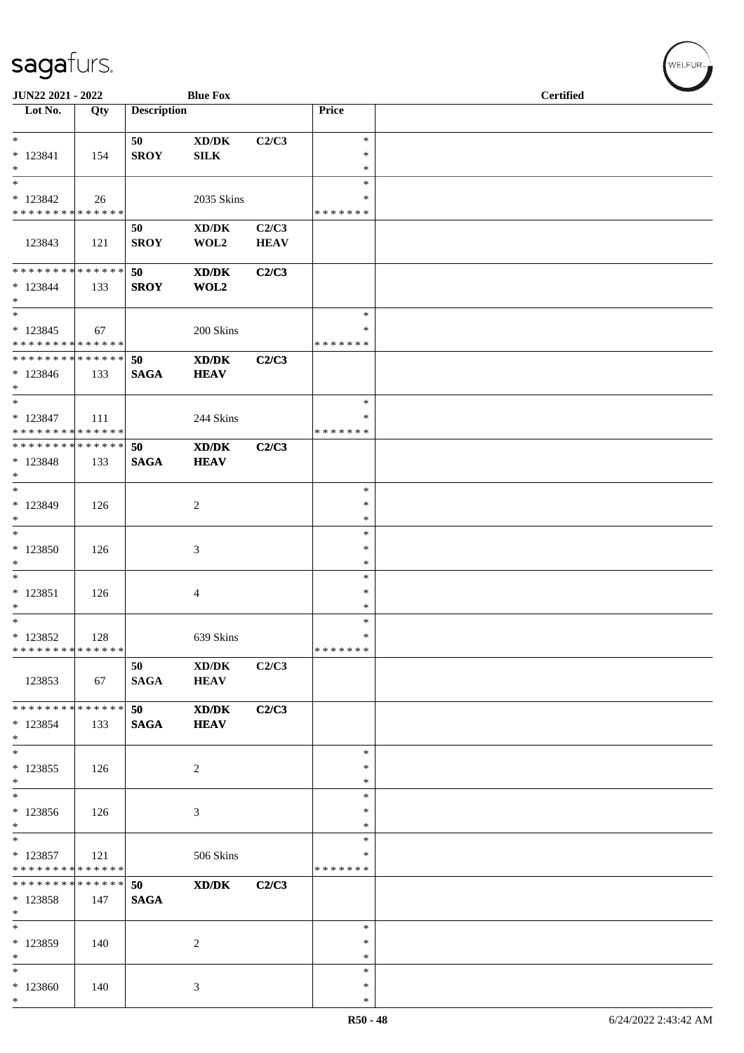| JUN22 2021 - 2022                                          |     |                    | <b>Blue Fox</b>                             |             |                   | <b>Certified</b> |
|------------------------------------------------------------|-----|--------------------|---------------------------------------------|-------------|-------------------|------------------|
| Lot No.                                                    | Qty | <b>Description</b> |                                             |             | Price             |                  |
| $\ast$                                                     |     | 50                 | XD/DK                                       | C2/C3       | $\ast$            |                  |
| * 123841                                                   | 154 | <b>SROY</b>        | <b>SILK</b>                                 |             | ∗                 |                  |
| $*$<br>$*$                                                 |     |                    |                                             |             | $\ast$<br>$\ast$  |                  |
| $*123842$                                                  | 26  |                    | 2035 Skins                                  |             | *                 |                  |
| * * * * * * * * * * * * * *                                |     |                    |                                             |             | * * * * * * *     |                  |
|                                                            |     | 50                 | XD/DK                                       | C2/C3       |                   |                  |
| 123843                                                     | 121 | <b>SROY</b>        | WOL2                                        | <b>HEAV</b> |                   |                  |
| * * * * * * * * * * * * * * *                              |     | 50                 | $\mathbf{X}\mathbf{D}/\mathbf{D}\mathbf{K}$ | C2/C3       |                   |                  |
| $*123844$                                                  | 133 | <b>SROY</b>        | WOL2                                        |             |                   |                  |
| $*$                                                        |     |                    |                                             |             | $\ast$            |                  |
| $*123845$                                                  | 67  |                    | 200 Skins                                   |             | $\ast$            |                  |
| * * * * * * * * <mark>* * * * * * *</mark>                 |     |                    |                                             |             | * * * * * * *     |                  |
| * * * * * * * * * * * * * * *                              |     | 50                 | XD/DK                                       | C2/C3       |                   |                  |
| $*123846$                                                  | 133 | <b>SAGA</b>        | <b>HEAV</b>                                 |             |                   |                  |
| $*$<br>$*$                                                 |     |                    |                                             |             | $\ast$            |                  |
| $*123847$                                                  | 111 |                    | 244 Skins                                   |             | ∗                 |                  |
| * * * * * * * * * * * * * *                                |     |                    |                                             |             | * * * * * * *     |                  |
| * * * * * * * * * * * * * * *                              |     | 50                 | $\mathbf{X}\mathbf{D}/\mathbf{D}\mathbf{K}$ | C2/C3       |                   |                  |
| * 123848                                                   | 133 | <b>SAGA</b>        | <b>HEAV</b>                                 |             |                   |                  |
| $*$<br>$*$                                                 |     |                    |                                             |             | $\ast$            |                  |
| * 123849                                                   | 126 |                    | 2                                           |             | $\ast$            |                  |
| $*$                                                        |     |                    |                                             |             | $\ast$            |                  |
|                                                            |     |                    |                                             |             | $\ast$            |                  |
| $*123850$<br>$*$                                           | 126 |                    | 3                                           |             | ∗<br>$\ast$       |                  |
| $\ast$                                                     |     |                    |                                             |             | $\ast$            |                  |
| $* 123851$                                                 | 126 |                    | 4                                           |             | $\ast$            |                  |
| $*$                                                        |     |                    |                                             |             | $\ast$            |                  |
| $*$                                                        |     |                    |                                             |             | $\ast$            |                  |
| $* 123852$<br>* * * * * * * * * * * * * * *                | 128 |                    | 639 Skins                                   |             | $\ast$<br>******* |                  |
|                                                            |     | 50                 | $\bold{X}\bold{D}/\bold{D}\bold{K}$         | C2/C3       |                   |                  |
| 123853                                                     | 67  | <b>SAGA</b>        | <b>HEAV</b>                                 |             |                   |                  |
|                                                            |     |                    |                                             |             |                   |                  |
| * * * * * * * * * * * * * * *                              |     | 50                 | XD/DK                                       | C2/C3       |                   |                  |
| $*123854$<br>$*$                                           | 133 | <b>SAGA</b>        | <b>HEAV</b>                                 |             |                   |                  |
| $\ast$                                                     |     |                    |                                             |             | $\ast$            |                  |
| * 123855                                                   | 126 |                    | 2                                           |             | $\ast$            |                  |
| $\ast$                                                     |     |                    |                                             |             | $\ast$            |                  |
| * 123856                                                   | 126 |                    | 3                                           |             | $\ast$<br>$\ast$  |                  |
| $*$                                                        |     |                    |                                             |             | *                 |                  |
| $*$                                                        |     |                    |                                             |             | $\ast$            |                  |
| $* 123857$                                                 | 121 |                    | 506 Skins                                   |             | $\ast$            |                  |
| * * * * * * * * * * * * * *<br>* * * * * * * * * * * * * * |     |                    |                                             |             | * * * * * * *     |                  |
| * 123858                                                   | 147 | 50<br><b>SAGA</b>  | XD/DK                                       | C2/C3       |                   |                  |
| $*$                                                        |     |                    |                                             |             |                   |                  |
| $*$                                                        |     |                    |                                             |             | $\ast$            |                  |
| * 123859                                                   | 140 |                    | 2                                           |             | $\ast$            |                  |
| $*$<br>$*$                                                 |     |                    |                                             |             | ∗<br>$\ast$       |                  |
| * 123860                                                   | 140 |                    | 3                                           |             | $\ast$            |                  |
| $*$                                                        |     |                    |                                             |             | $\ast$            |                  |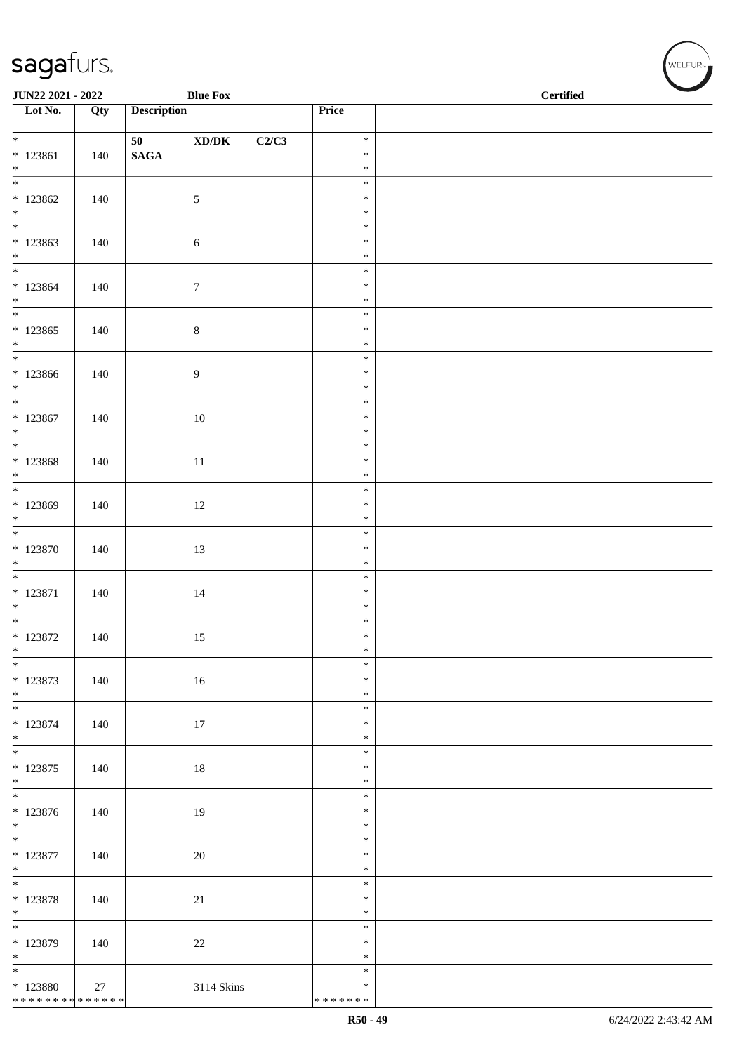| JUN22 2021 - 2022                               |     | <b>Blue Fox</b>                                                                          |       | <b>Certified</b>           |  |  |  |
|-------------------------------------------------|-----|------------------------------------------------------------------------------------------|-------|----------------------------|--|--|--|
| $\overline{\phantom{1}}$ Lot No.                | Qty | <b>Description</b>                                                                       |       | Price                      |  |  |  |
| $\overline{\ast}$                               |     | 50 70 70 70 71 71 72<br>$\boldsymbol{\mathrm{XD}}\boldsymbol{/}\boldsymbol{\mathrm{DK}}$ | C2/C3 | $\ast$                     |  |  |  |
| $*123861$                                       | 140 | $\mathbf{SAGA}$                                                                          |       | $\ast$                     |  |  |  |
| $\ast$<br>$\overline{\phantom{a}^*}$            |     |                                                                                          |       | $\ast$<br>$\ast$           |  |  |  |
| $*123862$                                       | 140 | $\mathfrak{S}$                                                                           |       | $\ast$                     |  |  |  |
| $\ast$                                          |     |                                                                                          |       | $\ast$                     |  |  |  |
| $\overline{\phantom{0}}$<br>$*123863$<br>$\ast$ | 140 | $\sqrt{6}$                                                                               |       | $\ast$<br>$\ast$<br>$\ast$ |  |  |  |
| $\frac{1}{1}$                                   |     |                                                                                          |       | $\ast$                     |  |  |  |
| $*123864$<br>$*$                                | 140 | $\boldsymbol{7}$                                                                         |       | $\ast$<br>$\ast$           |  |  |  |
| $\overline{\phantom{0}}$                        |     |                                                                                          |       | $\ast$                     |  |  |  |
| $*123865$<br>$\ast$                             | 140 | $\,8\,$                                                                                  |       | $\ast$<br>$\ast$           |  |  |  |
| $\ast$                                          |     |                                                                                          |       | $\ast$                     |  |  |  |
| $*123866$<br>$*$                                | 140 | $\boldsymbol{9}$                                                                         |       | $\ast$<br>$\ast$           |  |  |  |
| $\overline{\phantom{0}}$                        |     |                                                                                          |       | $\ast$                     |  |  |  |
| $*123867$<br>$\ast$                             | 140 | $10\,$                                                                                   |       | $\ast$<br>$\ast$           |  |  |  |
| $\overline{\phantom{0}}$                        |     |                                                                                          |       | $\ast$                     |  |  |  |
| $*123868$                                       | 140 | $11\,$                                                                                   |       | $\ast$<br>$\ast$           |  |  |  |
| $*$ $*$                                         |     |                                                                                          |       | $\ast$                     |  |  |  |
| * 123869<br>$\ast$                              | 140 | $12\,$                                                                                   |       | $\ast$<br>$\ast$           |  |  |  |
| $\overline{\phantom{0}}$                        |     |                                                                                          |       | $\ast$                     |  |  |  |
| $*123870$<br>$\ast$                             | 140 | 13                                                                                       |       | $\ast$<br>$\ast$           |  |  |  |
| $\overline{\phantom{0}}$                        |     |                                                                                          |       | $\ast$                     |  |  |  |
| $*$ 123871                                      | 140 | $14\,$                                                                                   |       | $\ast$                     |  |  |  |
| $\ast$<br>$\overline{\ast}$                     |     |                                                                                          |       | $\ast$<br>$\ast$           |  |  |  |
| $*$ 123872                                      | 140 | 15                                                                                       |       | $\ast$                     |  |  |  |
| $\ast$<br>$\overline{\phantom{0}}$              |     |                                                                                          |       | $\ast$<br>$\ast$           |  |  |  |
| * 123873                                        | 140 | 16                                                                                       |       | $\ast$                     |  |  |  |
| $*$                                             |     |                                                                                          |       | $\ast$                     |  |  |  |
| $\overline{\phantom{0}}$<br>$* 123874$          | 140 | 17                                                                                       |       | $\ast$<br>$\ast$           |  |  |  |
| $\ast$                                          |     |                                                                                          |       | $\ast$                     |  |  |  |
|                                                 |     |                                                                                          |       | $\ast$<br>$\ast$           |  |  |  |
| $* 123875$<br>$\ast$                            | 140 | 18                                                                                       |       | $\ast$                     |  |  |  |
| $\frac{1}{*}$                                   |     |                                                                                          |       | $\ast$                     |  |  |  |
| * 123876<br>$*$                                 | 140 | 19                                                                                       |       | $\ast$<br>$\ast$           |  |  |  |
| $\overline{\phantom{0}}$                        |     |                                                                                          |       | $\ast$                     |  |  |  |
| * 123877<br>$\ast$                              | 140 | $20\,$                                                                                   |       | $\ast$<br>$\ast$           |  |  |  |
| $_{\ast}$                                       |     |                                                                                          |       | $\ast$                     |  |  |  |
| $*$ 123878                                      | 140 | 21                                                                                       |       | $\ast$                     |  |  |  |
| $*$<br>$\overline{\phantom{0}}$                 |     |                                                                                          |       | $\ast$<br>$\ast$           |  |  |  |
| * 123879                                        | 140 | 22                                                                                       |       | $\ast$                     |  |  |  |
| $\ast$<br>$\overline{\phantom{a}^*}$            |     |                                                                                          |       | $\ast$<br>$\ast$           |  |  |  |
| $*123880$                                       | 27  | 3114 Skins                                                                               |       | $\ast$                     |  |  |  |
| ******** <mark>******</mark>                    |     |                                                                                          |       | * * * * * * *              |  |  |  |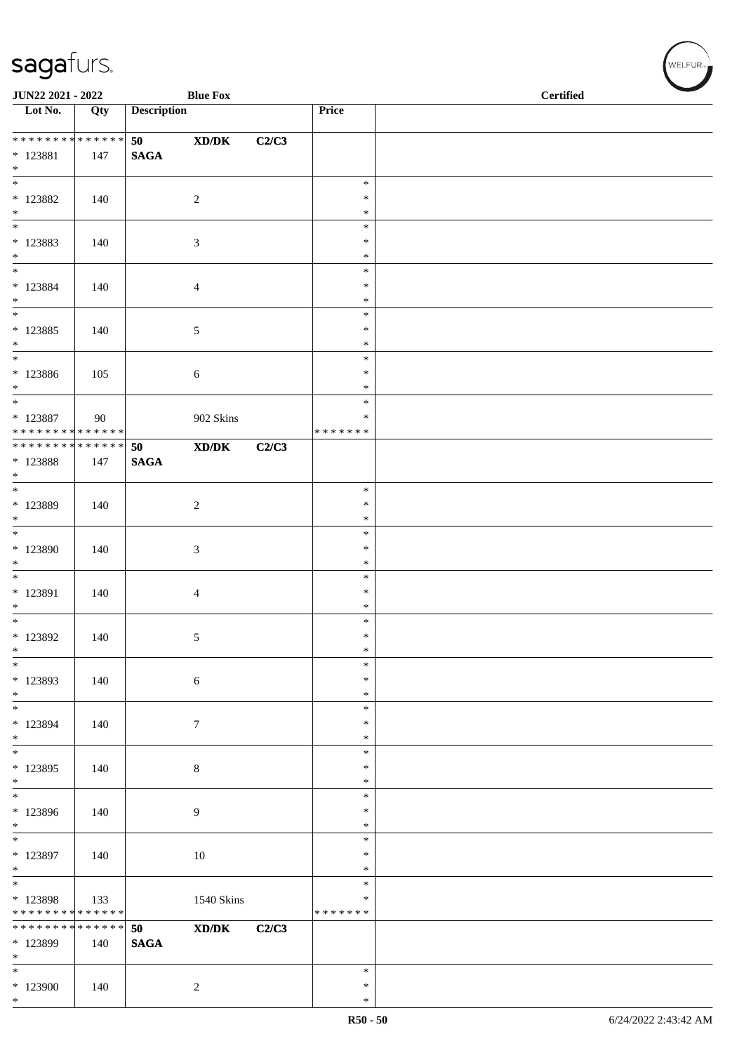| JUN22 2021 - 2022                                                     |                    |                       | <b>Blue Fox</b>                                                                                      |       |                                   | <b>Certified</b> |  |
|-----------------------------------------------------------------------|--------------------|-----------------------|------------------------------------------------------------------------------------------------------|-------|-----------------------------------|------------------|--|
| $\overline{\phantom{1}}$ Lot No.                                      | Qty                | <b>Description</b>    |                                                                                                      |       | Price                             |                  |  |
| ******** <mark>******</mark><br>$* 123881$<br>$*$                     | 147                | 50<br>$\mathbf{SAGA}$ | $\mathbf{X}\mathbf{D}/\mathbf{D}\mathbf{K}$                                                          | C2/C3 |                                   |                  |  |
| $\overline{\phantom{0}}$<br>$*$ 123882<br>$*$                         | 140                |                       | $\sqrt{2}$                                                                                           |       | $\ast$<br>$\ast$<br>$\ast$        |                  |  |
| $\overline{\phantom{0}}$<br>$* 123883$<br>$\ast$                      | 140                |                       | 3                                                                                                    |       | $\ast$<br>$\ast$<br>$\ast$        |                  |  |
| $*$<br>$*$ 123884<br>$*$<br>$\overline{\phantom{0}}$                  | 140                |                       | 4                                                                                                    |       | $\ast$<br>$\ast$<br>$\ast$        |                  |  |
| $* 123885$<br>$*$                                                     | 140                |                       | 5                                                                                                    |       | $\ast$<br>$\ast$<br>$\ast$        |                  |  |
| $*$<br>$* 123886$<br>$*$                                              | 105                |                       | 6                                                                                                    |       | $\ast$<br>$\ast$<br>$\ast$        |                  |  |
| $\overline{\phantom{0}}$<br>$*$ 123887<br>* * * * * * * * * * * * * * | 90                 |                       | 902 Skins                                                                                            |       | $\ast$<br>$\ast$<br>* * * * * * * |                  |  |
| ******** <mark>******</mark><br>* 123888<br>$*$                       | 147                | 50<br><b>SAGA</b>     | $\mathbf{X}\mathbf{D}/\mathbf{D}\mathbf{K}$                                                          | C2/C3 |                                   |                  |  |
| $\overline{\mathbf{r}}$<br>$*$ 123889<br>$\ast$                       | 140                |                       | $\sqrt{2}$                                                                                           |       | $\ast$<br>$\ast$<br>$\ast$        |                  |  |
| $\overline{\phantom{0}}$<br>* 123890<br>$\ast$                        | 140                |                       | 3                                                                                                    |       | $\ast$<br>$\ast$<br>$\ast$        |                  |  |
| $\overline{\phantom{0}}$<br>* 123891<br>$*$                           | 140                |                       | 4                                                                                                    |       | $\ast$<br>$\ast$<br>$\ast$        |                  |  |
| $*$<br>$*$ 123892<br>$\ast$                                           | 140                |                       | 5                                                                                                    |       | $\ast$<br>$\ast$<br>$\ast$        |                  |  |
| $\ast$<br>* 123893<br>$\ast$                                          | 140                |                       | 6                                                                                                    |       | $\ast$<br>$\ast$<br>$\ast$        |                  |  |
| $\ast$<br>* 123894<br>$*$                                             | 140                |                       | 7                                                                                                    |       | $\ast$<br>$\ast$<br>$\ast$        |                  |  |
| $*$<br>* 123895<br>$\ast$<br>$\overline{\phantom{0}}$                 | 140                |                       | $\,8\,$                                                                                              |       | $\ast$<br>$\ast$<br>$\ast$        |                  |  |
| * 123896<br>$\ast$                                                    | 140                |                       | 9                                                                                                    |       | $\ast$<br>$\ast$<br>$\ast$        |                  |  |
| $\overline{\phantom{0}}$<br>$*$ 123897<br>$*$                         | 140                |                       | 10                                                                                                   |       | $\ast$<br>$\ast$<br>$\ast$        |                  |  |
| $\overline{\phantom{0}}$<br>$* 123898$<br>* * * * * * * * * * * * * * | 133                |                       | 1540 Skins                                                                                           |       | $\ast$<br>$\ast$<br>* * * * * * * |                  |  |
| * * * * * * * *<br>* 123899<br>$\ast$                                 | * * * * * *<br>140 | 50<br><b>SAGA</b>     | $\boldsymbol{\text{X}}\boldsymbol{\text{D}}\boldsymbol{/}\boldsymbol{\text{D}}\boldsymbol{\text{K}}$ | C2/C3 |                                   |                  |  |
| $\ast$<br>$*123900$<br>$*$                                            | 140                |                       | 2                                                                                                    |       | $\ast$<br>$\ast$<br>$\ast$        |                  |  |

 $(\forall ELFUR_{\text{max}})$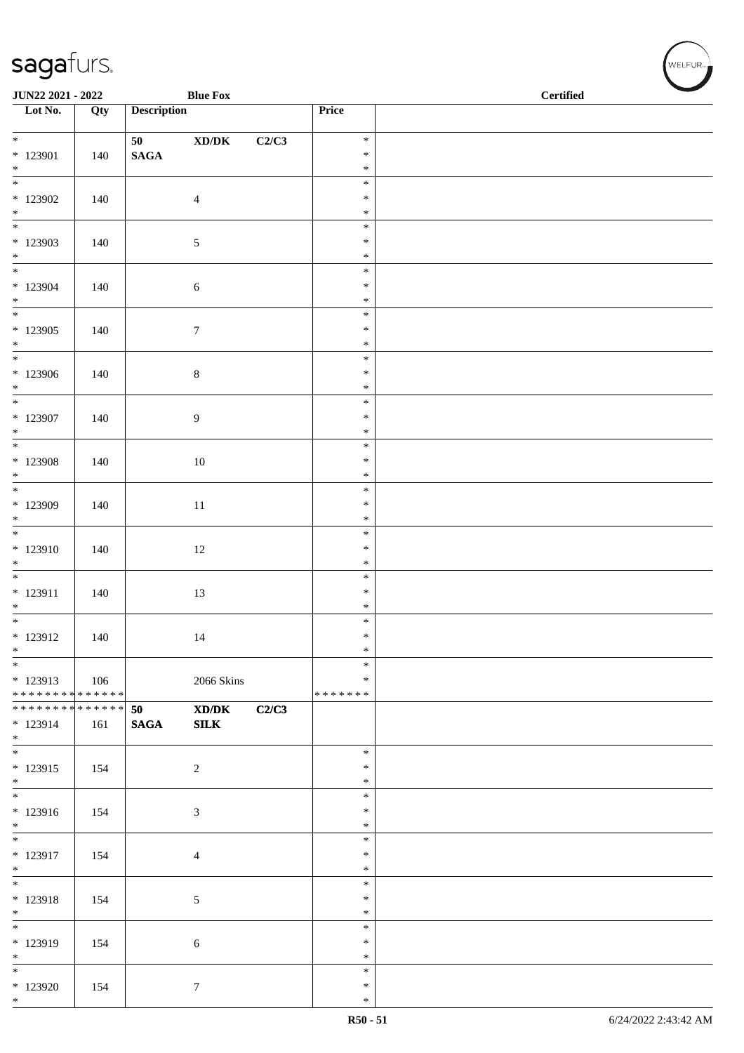| JUN22 2021 - 2022                |     |                    | <b>Blue Fox</b>                      |       |                  | $\operatorname{\bf \mathbf{Certified}}$ |  |  |  |
|----------------------------------|-----|--------------------|--------------------------------------|-------|------------------|-----------------------------------------|--|--|--|
| $\overline{\phantom{1}}$ Lot No. | Qty | <b>Description</b> |                                      |       | Price            |                                         |  |  |  |
| $*$                              |     |                    |                                      |       | $\ast$           |                                         |  |  |  |
| * 123901                         | 140 | $\mathbf{SAGA}$    | $\boldsymbol{\text{XD} / \text{DK}}$ | C2/C3 | $\ast$           |                                         |  |  |  |
| $*$                              |     |                    |                                      |       | $\ast$           |                                         |  |  |  |
|                                  |     |                    |                                      |       | $\ast$           |                                         |  |  |  |
| $*123902$<br>$*$                 | 140 |                    | $\overline{4}$                       |       | $\ast$           |                                         |  |  |  |
|                                  |     |                    |                                      |       | $\ast$<br>$\ast$ |                                         |  |  |  |
| * 123903                         | 140 |                    | 5                                    |       | $\ast$           |                                         |  |  |  |
| $*$                              |     |                    |                                      |       | $\ast$           |                                         |  |  |  |
|                                  |     |                    |                                      |       | $\ast$           |                                         |  |  |  |
| $*123904$<br>$*$                 | 140 |                    | $\sqrt{6}$                           |       | $\ast$<br>$\ast$ |                                         |  |  |  |
|                                  |     |                    |                                      |       | $\ast$           |                                         |  |  |  |
| $*123905$                        | 140 |                    | $\boldsymbol{7}$                     |       | $\ast$           |                                         |  |  |  |
| $*$                              |     |                    |                                      |       | $\ast$           |                                         |  |  |  |
| $*$<br>$*123906$                 | 140 |                    | $8\,$                                |       | $\ast$<br>$\ast$ |                                         |  |  |  |
| $*$                              |     |                    |                                      |       | $\ast$           |                                         |  |  |  |
| $\overline{\phantom{0}}$         |     |                    |                                      |       | $\ast$           |                                         |  |  |  |
| $*123907$                        | 140 |                    | 9                                    |       | $\ast$           |                                         |  |  |  |
| $*$                              |     |                    |                                      |       | $\ast$<br>$\ast$ |                                         |  |  |  |
| $*123908$                        | 140 |                    | $10\,$                               |       | $\ast$           |                                         |  |  |  |
| $*$                              |     |                    |                                      |       | $\ast$           |                                         |  |  |  |
|                                  |     |                    |                                      |       | $\ast$           |                                         |  |  |  |
| * 123909<br>$\ast$               | 140 |                    | 11                                   |       | $\ast$<br>$\ast$ |                                         |  |  |  |
|                                  |     |                    |                                      |       | $\ast$           |                                         |  |  |  |
| $* 123910$                       | 140 |                    | 12                                   |       | $\ast$           |                                         |  |  |  |
| $*$                              |     |                    |                                      |       | $\ast$           |                                         |  |  |  |
|                                  |     |                    |                                      |       | $\ast$           |                                         |  |  |  |
| $* 123911$<br>$*$                | 140 |                    | 13                                   |       | $\ast$<br>$\ast$ |                                         |  |  |  |
| $*$                              |     |                    |                                      |       | $\ast$           |                                         |  |  |  |
| $* 123912$                       | 140 |                    | 14                                   |       | $\ast$           |                                         |  |  |  |
| $\ast$                           |     |                    |                                      |       | $\ast$           |                                         |  |  |  |
| $*$<br>$*123913$                 | 106 |                    | 2066 Skins                           |       | $\ast$<br>∗      |                                         |  |  |  |
| * * * * * * * * * * * * * * *    |     |                    |                                      |       | * * * * * * *    |                                         |  |  |  |
| ******** <mark>******</mark>     |     | 50                 | $\boldsymbol{\text{XD}/\text{DK}}$   | C2/C3 |                  |                                         |  |  |  |
| * 123914                         | 161 | <b>SAGA</b>        | ${\bf SILK}$                         |       |                  |                                         |  |  |  |
| $*$                              |     |                    |                                      |       | $\ast$           |                                         |  |  |  |
| * 123915                         | 154 |                    | $\overline{2}$                       |       | $\ast$           |                                         |  |  |  |
| $*$                              |     |                    |                                      |       | $\ast$           |                                         |  |  |  |
|                                  |     |                    |                                      |       | $\ast$           |                                         |  |  |  |
| * 123916<br>$*$                  | 154 |                    | $\sqrt{3}$                           |       | $\ast$<br>$\ast$ |                                         |  |  |  |
|                                  |     |                    |                                      |       | $\ast$           |                                         |  |  |  |
| * 123917                         | 154 |                    | $\overline{4}$                       |       | $\ast$           |                                         |  |  |  |
| $*$                              |     |                    |                                      |       | $\ast$           |                                         |  |  |  |
| $*$<br>* 123918                  |     |                    |                                      |       | $\ast$<br>$\ast$ |                                         |  |  |  |
| $*$                              | 154 |                    | 5                                    |       | $\ast$           |                                         |  |  |  |
|                                  |     |                    |                                      |       | $\ast$           |                                         |  |  |  |
| * 123919                         | 154 |                    | 6                                    |       | $\ast$           |                                         |  |  |  |
| $*$<br>$*$                       |     |                    |                                      |       | $\ast$<br>$\ast$ |                                         |  |  |  |
| $*123920$                        | 154 |                    | $7\phantom{.0}$                      |       | $\ast$           |                                         |  |  |  |
| $*$                              |     |                    |                                      |       | $\ast$           |                                         |  |  |  |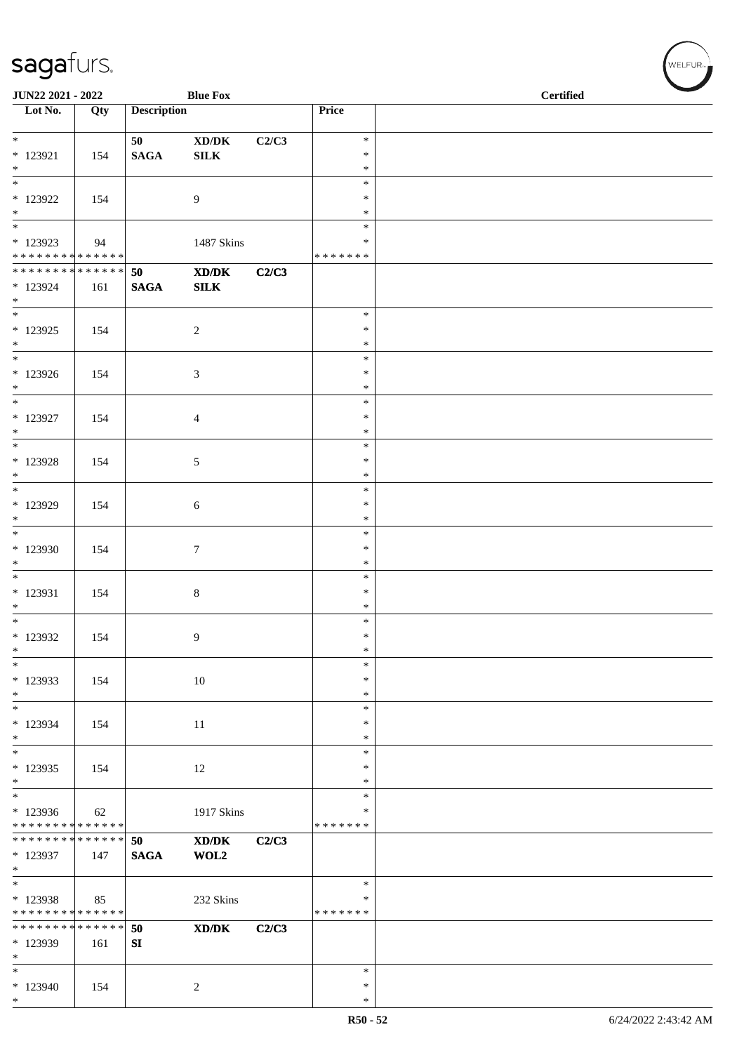| JUN22 2021 - 2022                                                           |                   |                       | <b>Blue Fox</b>                                                                                      |       |                                   | <b>Certified</b> |
|-----------------------------------------------------------------------------|-------------------|-----------------------|------------------------------------------------------------------------------------------------------|-------|-----------------------------------|------------------|
| $\overline{\phantom{1}}$ Lot No.                                            | $\overline{Q}$ ty | <b>Description</b>    |                                                                                                      |       | Price                             |                  |
| $*$<br>$* 123921$<br>$*$                                                    | 154               | 50<br>$\mathbf{SAGA}$ | $\bold{X}\bold{D}/\bold{D}\bold{K}$<br>${\bf SILK}$                                                  | C2/C3 | $\ast$<br>$\ast$<br>$\ast$        |                  |
| $\overline{\phantom{0}}$<br>* 123922<br>$*$                                 | 154               |                       | 9                                                                                                    |       | $\ast$<br>$\ast$<br>$\ast$        |                  |
| $\overline{\phantom{0}}$<br>* 123923<br>******** <mark>******</mark>        | 94                |                       | 1487 Skins                                                                                           |       | $\ast$<br>$\ast$<br>* * * * * * * |                  |
| ******** <mark>******</mark><br>* 123924<br>$*$<br>$\overline{\phantom{0}}$ | 161               | 50<br><b>SAGA</b>     | XD/DK<br>SLK                                                                                         | C2/C3 |                                   |                  |
| $*$ 123925<br>$*$                                                           | 154               |                       | $\overline{c}$                                                                                       |       | $\ast$<br>$\ast$<br>$\ast$        |                  |
| $*123926$<br>$*$<br>$*$                                                     | 154               |                       | 3                                                                                                    |       | $\ast$<br>$\ast$<br>$\ast$        |                  |
| * 123927<br>$*$<br>$\overline{\phantom{0}}$                                 | 154               |                       | $\overline{4}$                                                                                       |       | $\ast$<br>$\ast$<br>$\ast$        |                  |
| $*$ 123928<br>$*$                                                           | 154               |                       | 5                                                                                                    |       | $\ast$<br>$\ast$<br>$\ast$        |                  |
| $*$<br>$*$ 123929<br>$*$                                                    | 154               |                       | 6                                                                                                    |       | $\ast$<br>$\ast$<br>$\ast$        |                  |
| $\overline{\phantom{0}}$<br>$*123930$<br>$*$                                | 154               |                       | $\tau$                                                                                               |       | $\ast$<br>$\ast$<br>$\ast$        |                  |
| * 123931<br>$\ast$                                                          | 154               |                       | $\,8\,$                                                                                              |       | $\ast$<br>$\ast$<br>$\ast$        |                  |
| $*$<br>$*$ 123932<br>$\ast$                                                 | 154               |                       | 9                                                                                                    |       | $\ast$<br>$\ast$<br>$\ast$        |                  |
| $\ast$<br>$*123933$<br>$*$                                                  | 154               |                       | $10\,$                                                                                               |       | $\ast$<br>$\ast$<br>$\ast$        |                  |
| $*$<br>* 123934<br>$*$                                                      | 154               |                       | 11                                                                                                   |       | $\ast$<br>$\ast$<br>$\ast$        |                  |
| $*$<br>$*123935$<br>$*$                                                     | 154               |                       | 12                                                                                                   |       | $\ast$<br>$\ast$<br>∗             |                  |
| $*$<br>$*123936$<br>* * * * * * * * * * * * * *                             | 62                |                       | 1917 Skins                                                                                           |       | $\ast$<br>∗<br>* * * * * * *      |                  |
| * * * * * * * * * * * * * * *<br>* 123937<br>$*$                            | 147               | 50<br><b>SAGA</b>     | XD/DK<br>WOL2                                                                                        | C2/C3 |                                   |                  |
| $\overline{\phantom{0}}$<br>$* 123938$<br>* * * * * * * * * * * * * *       | 85                |                       | 232 Skins                                                                                            |       | $\ast$<br>∗<br>* * * * * * *      |                  |
| * * * * * * * * * * * * * *<br>* 123939<br>$*$                              | 161               | 50<br>${\bf SI}$      | $\boldsymbol{\text{X}}\boldsymbol{\text{D}}\boldsymbol{/}\boldsymbol{\text{D}}\boldsymbol{\text{K}}$ | C2/C3 |                                   |                  |
| $*$<br>$*123940$<br>$*$                                                     | 154               |                       | $\overline{c}$                                                                                       |       | $\ast$<br>∗<br>$\ast$             |                  |

 $(\forall ELFUR_{\approx})$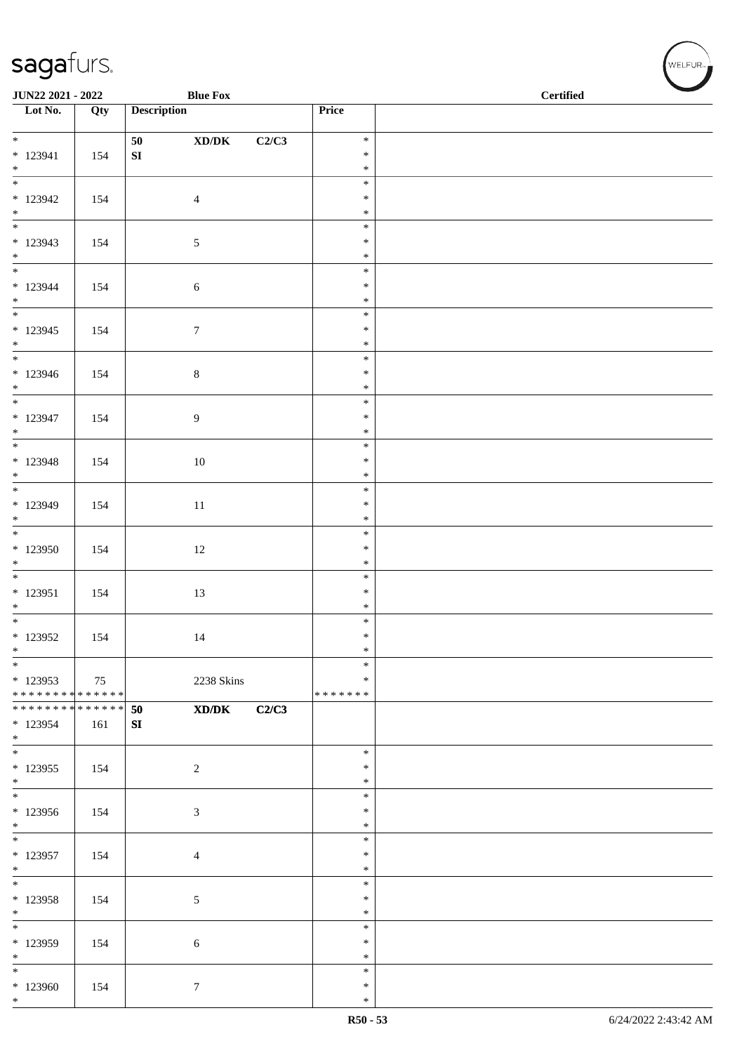| <b>JUN22 2021 - 2022</b>                                                   |     |                    | <b>Blue Fox</b>                      |       |                  | <b>Certified</b> |
|----------------------------------------------------------------------------|-----|--------------------|--------------------------------------|-------|------------------|------------------|
| $\overline{\phantom{1}}$ Lot No.                                           | Qty | <b>Description</b> |                                      |       | Price            |                  |
| $\overline{\ast}$                                                          |     | 50                 | $\boldsymbol{\text{XD} / \text{DK}}$ | C2/C3 | $\ast$           |                  |
| $* 123941$                                                                 | 154 | ${\bf S}{\bf I}$   |                                      |       | $\ast$           |                  |
| $*$                                                                        |     |                    |                                      |       | $\ast$           |                  |
| $\frac{1}{1}$<br>$*123942$                                                 |     |                    |                                      |       | $\ast$<br>$\ast$ |                  |
| $*$                                                                        | 154 |                    | $\overline{4}$                       |       | $\ast$           |                  |
|                                                                            |     |                    |                                      |       | $\ast$           |                  |
| $*123943$                                                                  | 154 |                    | $\sqrt{5}$                           |       | $\ast$           |                  |
| $*$                                                                        |     |                    |                                      |       | $\ast$<br>$\ast$ |                  |
| $* 123944$                                                                 | 154 |                    | $\sqrt{6}$                           |       | $\ast$           |                  |
| $*$                                                                        |     |                    |                                      |       | $\ast$           |                  |
| $*123945$                                                                  | 154 |                    | $\boldsymbol{7}$                     |       | $\ast$<br>$\ast$ |                  |
| $*$                                                                        |     |                    |                                      |       | $\ast$           |                  |
| $*$                                                                        |     |                    |                                      |       | $\ast$           |                  |
| $* 123946$<br>$*$                                                          | 154 |                    | $\,8\,$                              |       | $\ast$<br>$\ast$ |                  |
| $\overline{\phantom{0}}$                                                   |     |                    |                                      |       | $\ast$           |                  |
| $* 123947$                                                                 | 154 |                    | $\overline{9}$                       |       | $\ast$           |                  |
| $*$                                                                        |     |                    |                                      |       | $\ast$           |                  |
| * 123948                                                                   | 154 |                    | $10\,$                               |       | $\ast$<br>$\ast$ |                  |
| $*$                                                                        |     |                    |                                      |       | $\ast$           |                  |
|                                                                            |     |                    |                                      |       | $\ast$           |                  |
| * 123949<br>$*$                                                            | 154 |                    | 11                                   |       | $\ast$<br>$\ast$ |                  |
|                                                                            |     |                    |                                      |       | $\ast$           |                  |
| $*123950$                                                                  | 154 |                    | 12                                   |       | $\ast$           |                  |
| $*$                                                                        |     |                    |                                      |       | $\ast$<br>$\ast$ |                  |
| * 123951                                                                   | 154 |                    | 13                                   |       | $\ast$           |                  |
| $*$                                                                        |     |                    |                                      |       | $\ast$           |                  |
| $*$                                                                        |     |                    |                                      |       | $\ast$           |                  |
| $*123952$<br>$\ast$                                                        | 154 |                    | 14                                   |       | $\ast$<br>$\ast$ |                  |
| $*$                                                                        |     |                    |                                      |       | $\ast$           |                  |
| $*123953$                                                                  | 75  |                    | 2238 Skins                           |       | $\ast$           |                  |
| * * * * * * * * <mark>* * * * * * *</mark><br>******** <mark>******</mark> |     | 50                 | XD/DK                                | C2/C3 | *******          |                  |
| * 123954                                                                   | 161 | SI                 |                                      |       |                  |                  |
| $*$                                                                        |     |                    |                                      |       |                  |                  |
| $*$                                                                        |     |                    |                                      |       | $\ast$<br>$\ast$ |                  |
| $*123955$<br>$*$                                                           | 154 |                    | 2                                    |       | $\ast$           |                  |
| $*$                                                                        |     |                    |                                      |       | $\ast$           |                  |
| $*123956$                                                                  | 154 |                    | $\mathfrak{Z}$                       |       | $\ast$           |                  |
| $*$                                                                        |     |                    |                                      |       | $\ast$<br>$\ast$ |                  |
| $*123957$                                                                  | 154 |                    | $\overline{4}$                       |       | $\ast$           |                  |
| $*$                                                                        |     |                    |                                      |       | $\ast$           |                  |
| $*$                                                                        |     |                    |                                      |       | $\ast$<br>$\ast$ |                  |
| $*123958$<br>$*$                                                           | 154 |                    | $\sqrt{5}$                           |       | $\ast$           |                  |
| $*$                                                                        |     |                    |                                      |       | $\ast$           |                  |
| * 123959                                                                   | 154 |                    | 6                                    |       | $\ast$           |                  |
| $*$<br>$*$                                                                 |     |                    |                                      |       | $\ast$<br>$\ast$ |                  |
| * 123960                                                                   | 154 |                    | $\tau$                               |       | $\ast$           |                  |
| $*$                                                                        |     |                    |                                      |       | $\ast$           |                  |

WELFUR<sub><sup>N</sup></sub>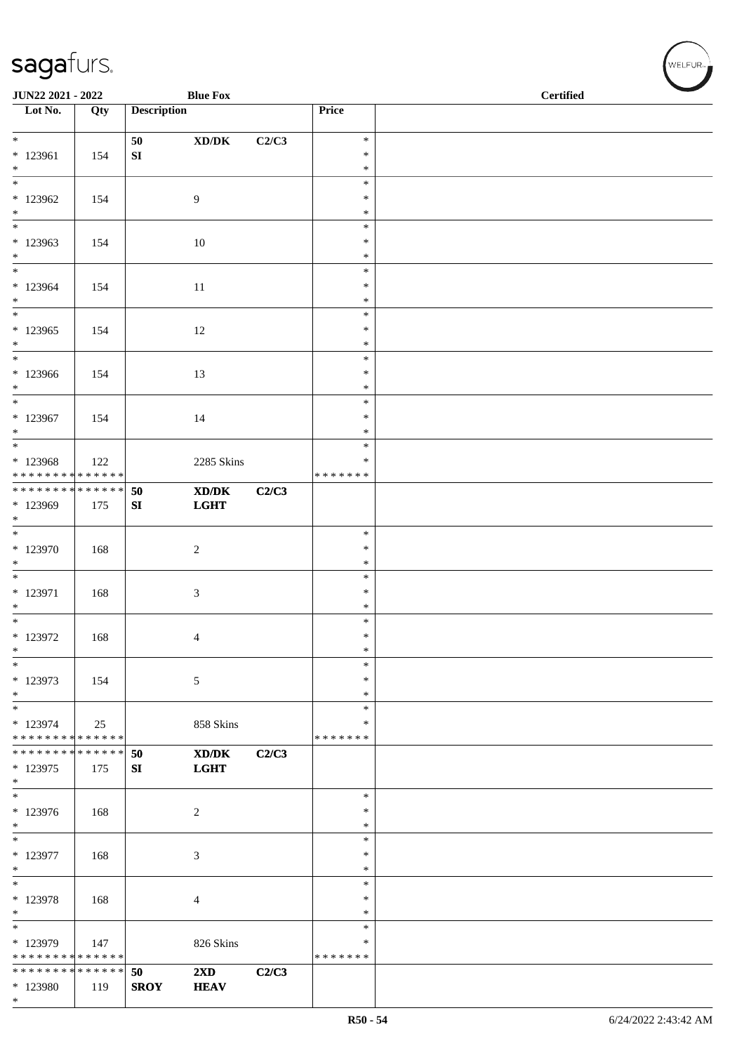| JUN22 2021 - 2022                                            |     |                    | <b>Blue Fox</b>                             |       |                         | <b>Certified</b> |
|--------------------------------------------------------------|-----|--------------------|---------------------------------------------|-------|-------------------------|------------------|
| Lot No.                                                      | Qty | <b>Description</b> |                                             |       | Price                   |                  |
| $*$                                                          |     |                    |                                             |       |                         |                  |
| $* 123961$                                                   | 154 | 50<br>${\bf SI}$   | $\mathbf{X}\mathbf{D}/\mathbf{D}\mathbf{K}$ | C2/C3 | $\ast$<br>$\ast$        |                  |
| $*$                                                          |     |                    |                                             |       | $\ast$                  |                  |
| $\overline{\phantom{0}}$                                     |     |                    |                                             |       | $\ast$                  |                  |
| $*123962$                                                    | 154 |                    | 9                                           |       | $\ast$                  |                  |
| $*$<br>$\overline{\ast}$                                     |     |                    |                                             |       | $\ast$<br>$\ast$        |                  |
| $*123963$                                                    | 154 |                    | 10                                          |       | $\ast$                  |                  |
| $*$                                                          |     |                    |                                             |       | $\ast$                  |                  |
| $\overline{\ast}$                                            |     |                    |                                             |       | $\ast$                  |                  |
| $*123964$                                                    | 154 |                    | 11                                          |       | $\ast$                  |                  |
| $*$<br>$\ast$                                                |     |                    |                                             |       | $\ast$<br>$\ast$        |                  |
| $*123965$                                                    | 154 |                    | 12                                          |       | $\ast$                  |                  |
| $*$                                                          |     |                    |                                             |       | $\ast$                  |                  |
| $*$                                                          |     |                    |                                             |       | $\ast$                  |                  |
| $*123966$                                                    | 154 |                    | 13                                          |       | $\ast$                  |                  |
| $*$<br>$\overline{\ast}$                                     |     |                    |                                             |       | $\ast$<br>$\ast$        |                  |
| * 123967                                                     | 154 |                    | 14                                          |       | $\ast$                  |                  |
| $*$                                                          |     |                    |                                             |       | $\ast$                  |                  |
|                                                              |     |                    |                                             |       | $\ast$                  |                  |
| * 123968                                                     | 122 |                    | 2285 Skins                                  |       | $\ast$                  |                  |
| * * * * * * * * * * * * * *<br>* * * * * * * * * * * * * * * |     | 50                 | $\mathbf{X}\mathbf{D}/\mathbf{D}\mathbf{K}$ | C2/C3 | * * * * * * *           |                  |
| * 123969                                                     | 175 | SI                 | <b>LGHT</b>                                 |       |                         |                  |
| $\ast$                                                       |     |                    |                                             |       |                         |                  |
|                                                              |     |                    |                                             |       | $\ast$                  |                  |
| * 123970                                                     | 168 |                    | $\boldsymbol{2}$                            |       | $\ast$                  |                  |
| $\ast$<br>$\overline{\phantom{0}}$                           |     |                    |                                             |       | $\ast$<br>$\ast$        |                  |
| $* 123971$                                                   | 168 |                    | 3                                           |       | $\ast$                  |                  |
| $*$                                                          |     |                    |                                             |       | $\ast$                  |                  |
| $*$                                                          |     |                    |                                             |       | $\ast$                  |                  |
| $*$ 123972<br>$\ast$                                         | 168 |                    | 4                                           |       | $\ast$<br>$\ast$        |                  |
| $\ast$                                                       |     |                    |                                             |       | $\ast$                  |                  |
| * 123973                                                     | 154 |                    | 5                                           |       | ∗                       |                  |
| $*$                                                          |     |                    |                                             |       | ∗                       |                  |
| $\ast$                                                       |     |                    |                                             |       | $\ast$                  |                  |
| * 123974<br>* * * * * * * * * * * * * *                      | 25  |                    | 858 Skins                                   |       | $\ast$<br>* * * * * * * |                  |
| * * * * * * * * * * * * * * *                                |     | 50                 | XD/DK                                       | C2/C3 |                         |                  |
| * 123975                                                     | 175 | SI                 | <b>LGHT</b>                                 |       |                         |                  |
| $\ast$                                                       |     |                    |                                             |       |                         |                  |
| $\overline{\phantom{0}}$                                     |     |                    |                                             |       | $\ast$<br>$\ast$        |                  |
| * 123976<br>$*$                                              | 168 |                    | $\overline{c}$                              |       | *                       |                  |
| $\ast$                                                       |     |                    |                                             |       | $\ast$                  |                  |
| $* 123977$                                                   | 168 |                    | $\mathfrak{Z}$                              |       | $\ast$                  |                  |
| $*$                                                          |     |                    |                                             |       | $\ast$                  |                  |
| $\ast$                                                       |     |                    |                                             |       | $\ast$<br>$\ast$        |                  |
| $* 123978$<br>$\ast$                                         | 168 |                    | 4                                           |       | $\ast$                  |                  |
| $*$                                                          |     |                    |                                             |       | $\ast$                  |                  |
| * 123979                                                     | 147 |                    | 826 Skins                                   |       | $\ast$                  |                  |
| * * * * * * * * * * * * * * *                                |     |                    |                                             |       | * * * * * * *           |                  |
| * * * * * * * * * * * * * * *<br>* 123980                    | 119 | 50<br><b>SROY</b>  | 2XD<br><b>HEAV</b>                          | C2/C3 |                         |                  |
| $*$                                                          |     |                    |                                             |       |                         |                  |

WELFUR<sub><sup>N</sup></sub>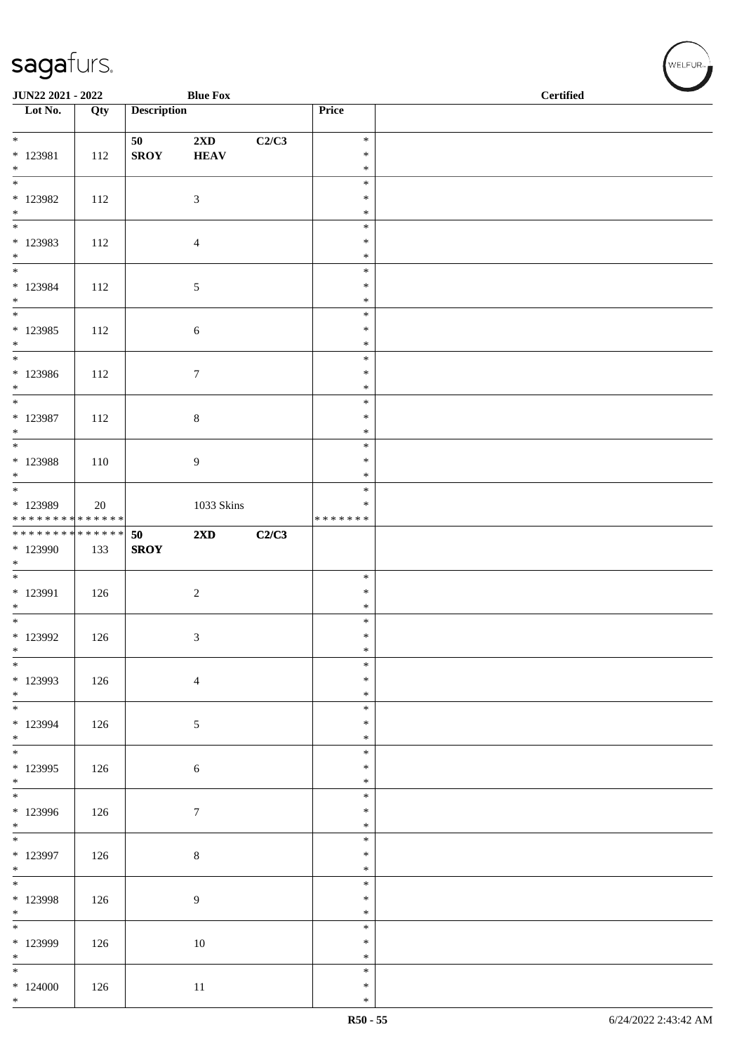| <b>JUN22 2021 - 2022</b>                        |     |                    | <b>Blue Fox</b>                        |       |                                   | <b>Certified</b> |  |  |
|-------------------------------------------------|-----|--------------------|----------------------------------------|-------|-----------------------------------|------------------|--|--|
| Lot No.                                         | Qty | <b>Description</b> |                                        |       | Price                             |                  |  |  |
| $*$<br>* 123981                                 | 112 | 50<br><b>SROY</b>  | $2\mathbf{X}\mathbf{D}$<br><b>HEAV</b> | C2/C3 | $\ast$<br>$\ast$                  |                  |  |  |
| $\ast$<br>$\overline{\phantom{0}}$<br>$*123982$ | 112 |                    | $\mathfrak{Z}$                         |       | $\ast$<br>$\ast$<br>$\ast$        |                  |  |  |
| $*$<br>$\overline{\phantom{0}}$                 |     |                    |                                        |       | $\ast$<br>$\ast$                  |                  |  |  |
| * 123983<br>$*$                                 | 112 |                    | $\overline{4}$                         |       | $\ast$<br>$\ast$                  |                  |  |  |
| * 123984<br>$*$                                 | 112 |                    | 5                                      |       | $\ast$<br>$\ast$<br>$\ast$        |                  |  |  |
| $*123985$<br>$\ast$                             | 112 |                    | $\sqrt{6}$                             |       | $\ast$<br>$\ast$<br>$\ast$        |                  |  |  |
| $\overline{\phantom{0}}$<br>* 123986<br>$*$     | 112 |                    | $\boldsymbol{7}$                       |       | $\ast$<br>$\ast$<br>$\ast$        |                  |  |  |
| $*$<br>* 123987<br>$\ast$                       | 112 |                    | $8\,$                                  |       | $\ast$<br>$\ast$<br>$\ast$        |                  |  |  |
| * 123988<br>$*$                                 | 110 |                    | $\overline{9}$                         |       | $\ast$<br>$\ast$<br>$\ast$        |                  |  |  |
| * 123989<br>* * * * * * * * * * * * * *         | 20  |                    | 1033 Skins                             |       | $\ast$<br>$\ast$<br>* * * * * * * |                  |  |  |
| ******** <mark>******</mark><br>* 123990<br>$*$ | 133 | 50<br><b>SROY</b>  | $2\mathbf{X}\mathbf{D}$                | C2/C3 |                                   |                  |  |  |
| * 123991<br>$*$                                 | 126 |                    | $\sqrt{2}$                             |       | $\ast$<br>$\ast$<br>$\ast$        |                  |  |  |
| * 123992<br>$\ast$                              | 126 |                    | $\mathfrak{Z}$                         |       | $\ast$<br>$\ast$<br>$\ast$        |                  |  |  |
| $\ast$<br>* 123993<br>$*$                       | 126 |                    | $\overline{4}$                         |       | $\ast$<br>$\ast$<br>$\ast$        |                  |  |  |
| $\overline{\phantom{0}}$<br>* 123994<br>$*$     | 126 |                    | 5                                      |       | $\ast$<br>$\ast$<br>$\ast$        |                  |  |  |
| $*$<br>* 123995<br>$*$                          | 126 |                    | $\sqrt{6}$                             |       | $\ast$<br>$\ast$<br>$\ast$        |                  |  |  |
| $\overline{\phantom{0}}$<br>* 123996<br>$*$     | 126 |                    | $7\phantom{.0}$                        |       | $\ast$<br>$\ast$<br>$\ast$        |                  |  |  |
| * 123997<br>$*$                                 | 126 |                    | $\,8\,$                                |       | $\ast$<br>$\ast$<br>$\ast$        |                  |  |  |
| $*$<br>* 123998<br>$*$                          | 126 |                    | $\overline{9}$                         |       | $\ast$<br>$\ast$<br>$\ast$        |                  |  |  |
| $\overline{\phantom{0}}$<br>* 123999<br>$*$     | 126 |                    | 10                                     |       | $\ast$<br>$\ast$<br>$\ast$        |                  |  |  |
| $*$<br>$*124000$<br>$*$                         | 126 |                    | $11\,$                                 |       | $\ast$<br>$\ast$<br>$\ast$        |                  |  |  |

、<br>WELFUR<sub>™</sub>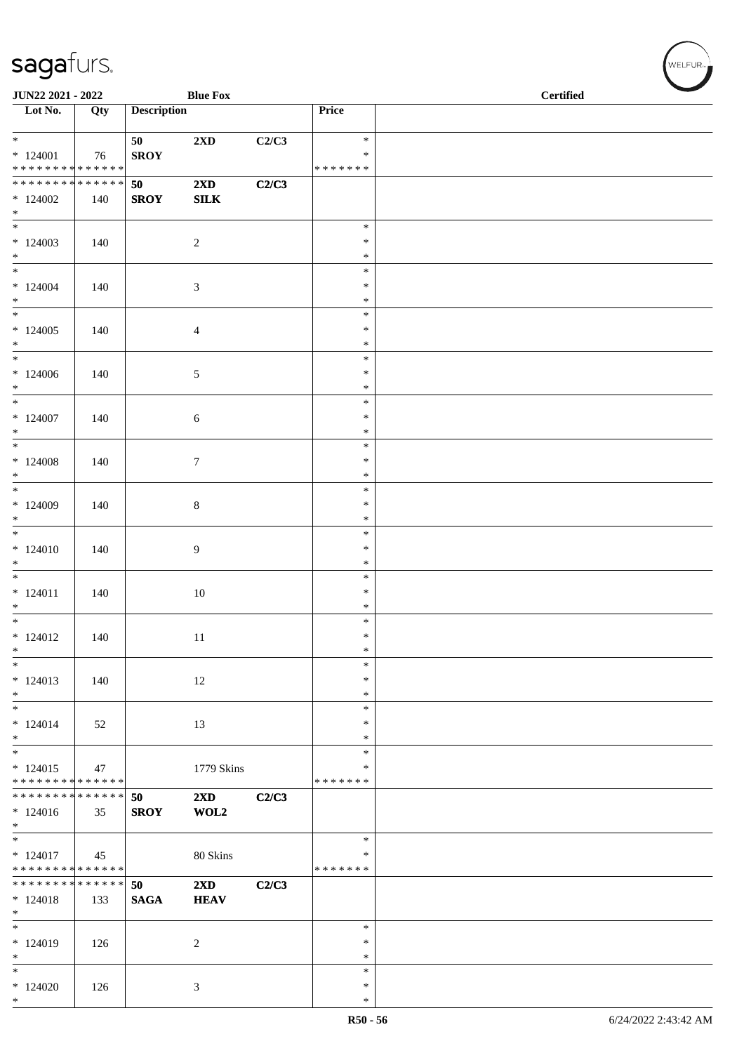| JUN22 2021 - 2022                                       |     |                    | <b>Blue Fox</b>                        |       |                         | <b>Certified</b> |
|---------------------------------------------------------|-----|--------------------|----------------------------------------|-------|-------------------------|------------------|
| $\overline{\phantom{a}}$ Lot No.                        | Qty | <b>Description</b> |                                        |       | Price                   |                  |
| $*$                                                     |     | 50                 | 2XD                                    | C2/C3 | $\ast$                  |                  |
| $*124001$<br>* * * * * * * * <mark>* * * * * * *</mark> | 76  | <b>SROY</b>        |                                        |       | $\ast$<br>* * * * * * * |                  |
| ___<br>******** <mark>******</mark>                     |     | 50                 | 2XD                                    | C2/C3 |                         |                  |
| $*124002$                                               | 140 | <b>SROY</b>        | ${\bf SILK}$                           |       |                         |                  |
| $*$                                                     |     |                    |                                        |       |                         |                  |
|                                                         |     |                    |                                        |       | $\ast$                  |                  |
| $*124003$<br>$*$                                        | 140 |                    | $\sqrt{2}$                             |       | $\ast$<br>$\ast$        |                  |
| $\overline{\ast}$                                       |     |                    |                                        |       | $\ast$                  |                  |
| $*124004$                                               | 140 |                    | $\mathfrak{Z}$                         |       | $\ast$                  |                  |
| $*$                                                     |     |                    |                                        |       | $\ast$                  |                  |
|                                                         |     |                    |                                        |       | $\ast$<br>$\ast$        |                  |
| $*124005$<br>$*$                                        | 140 |                    | $\overline{4}$                         |       | $\ast$                  |                  |
| $*$                                                     |     |                    |                                        |       | $\ast$                  |                  |
| $*124006$                                               | 140 |                    | 5                                      |       | $\ast$                  |                  |
| $*$<br>$*$                                              |     |                    |                                        |       | $\ast$<br>$\ast$        |                  |
| $*124007$                                               | 140 |                    | $\sqrt{6}$                             |       | $\ast$                  |                  |
| $*$                                                     |     |                    |                                        |       | $\ast$                  |                  |
| $\overline{\ }$                                         |     |                    |                                        |       | $\ast$                  |                  |
| $*124008$                                               | 140 |                    | $\boldsymbol{7}$                       |       | $\ast$<br>$\ast$        |                  |
| $*$                                                     |     |                    |                                        |       | $\ast$                  |                  |
| $*124009$                                               | 140 |                    | $\,8\,$                                |       | $\ast$                  |                  |
| $\ast$                                                  |     |                    |                                        |       | $\ast$                  |                  |
| $* 124010$                                              | 140 |                    |                                        |       | $\ast$<br>$\ast$        |                  |
| $*$                                                     |     |                    | 9                                      |       | $\ast$                  |                  |
| $\overline{\phantom{0}}$                                |     |                    |                                        |       | $\ast$                  |                  |
| $* 124011$                                              | 140 |                    | $10\,$                                 |       | $\ast$                  |                  |
| $*$<br>$*$                                              |     |                    |                                        |       | $\ast$<br>$\ast$        |                  |
| $* 124012$                                              | 140 |                    | 11                                     |       | $\ast$                  |                  |
| $\ast$                                                  |     |                    |                                        |       | $\ast$                  |                  |
| $\ast$                                                  |     |                    |                                        |       | $\ast$                  |                  |
| $*124013$<br>$*$                                        | 140 |                    | $12\,$                                 |       | $\ast$<br>$\ast$        |                  |
| $\ast$                                                  |     |                    |                                        |       | $\ast$                  |                  |
| $* 124014$                                              | 52  |                    | 13                                     |       | $\ast$                  |                  |
| $\ast$<br>$\overline{\ast}$                             |     |                    |                                        |       | $\ast$<br>$\ast$        |                  |
| $*124015$                                               | 47  |                    | 1779 Skins                             |       | ∗                       |                  |
| * * * * * * * * * * * * * *                             |     |                    |                                        |       | * * * * * * *           |                  |
| * * * * * * * * * * * * * * *                           |     | 50                 | 2XD                                    | C2/C3 |                         |                  |
| $*124016$<br>$\ast$                                     | 35  | <b>SROY</b>        | WOL2                                   |       |                         |                  |
|                                                         |     |                    |                                        |       | $\ast$                  |                  |
| $* 124017$                                              | 45  |                    | 80 Skins                               |       | ∗                       |                  |
| * * * * * * * * * * * * * * *                           |     |                    |                                        |       | * * * * * * *           |                  |
| ******** <mark>******</mark><br>$*124018$               | 133 | 50<br><b>SAGA</b>  | $2\mathbf{X}\mathbf{D}$<br><b>HEAV</b> | C2/C3 |                         |                  |
| $*$                                                     |     |                    |                                        |       |                         |                  |
| $*$                                                     |     |                    |                                        |       | $\ast$                  |                  |
| $* 124019$                                              | 126 |                    | $\overline{c}$                         |       | $\ast$                  |                  |
| $*$<br>$\ast$                                           |     |                    |                                        |       | $\ast$<br>$\ast$        |                  |
| $*124020$                                               | 126 |                    | 3                                      |       | $\ast$                  |                  |
| $*$                                                     |     |                    |                                        |       | $\ast$                  |                  |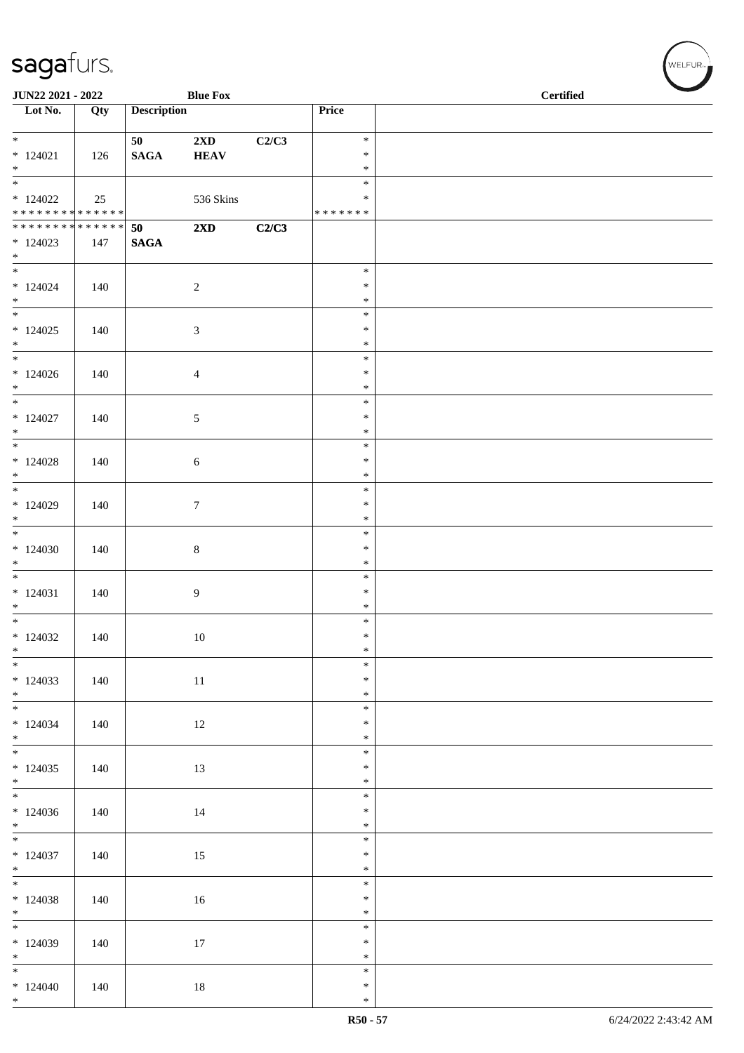| <b>JUN22 2021 - 2022</b>                   |     |                       | <b>Blue Fox</b>                        |       |                  | <b>Certified</b> |  |
|--------------------------------------------|-----|-----------------------|----------------------------------------|-------|------------------|------------------|--|
| Lot No.                                    | Qty | <b>Description</b>    |                                        |       | Price            |                  |  |
| $\ddot{x}$                                 |     |                       |                                        |       |                  |                  |  |
| $*124021$                                  | 126 | 50<br>$\mathbf{SAGA}$ | $2\mathbf{X}\mathbf{D}$<br><b>HEAV</b> | C2/C3 | $\ast$<br>$\ast$ |                  |  |
| $*$                                        |     |                       |                                        |       | $\ast$           |                  |  |
| $\overline{\ }$                            |     |                       |                                        |       | $\ast$           |                  |  |
| $*124022$                                  | 25  |                       | 536 Skins                              |       | $\ast$           |                  |  |
| * * * * * * * * <mark>* * * * * * *</mark> |     |                       |                                        |       | *******          |                  |  |
| ******** <mark>******</mark><br>$*124023$  | 147 | 50<br><b>SAGA</b>     | $2\mathbf{X}\mathbf{D}$                | C2/C3 |                  |                  |  |
| $*$                                        |     |                       |                                        |       |                  |                  |  |
| $*$                                        |     |                       |                                        |       | $\ast$           |                  |  |
| $*124024$                                  | 140 |                       | 2                                      |       | $\ast$           |                  |  |
| $*$                                        |     |                       |                                        |       | $\ast$<br>$\ast$ |                  |  |
| $*124025$                                  | 140 |                       | $\mathfrak{Z}$                         |       | $\ast$           |                  |  |
| $*$                                        |     |                       |                                        |       | $\ast$           |                  |  |
| $*$                                        |     |                       |                                        |       | $\ast$           |                  |  |
| $*124026$                                  | 140 |                       | $\overline{4}$                         |       | $\ast$           |                  |  |
| $*$<br>$*$                                 |     |                       |                                        |       | $\ast$<br>$\ast$ |                  |  |
| $*124027$                                  | 140 |                       | $\mathfrak{S}$                         |       | $\ast$           |                  |  |
| $*$                                        |     |                       |                                        |       | $\ast$           |                  |  |
|                                            |     |                       |                                        |       | $\ast$           |                  |  |
| $*124028$                                  | 140 |                       | $\sqrt{6}$                             |       | $\ast$           |                  |  |
| $*$                                        |     |                       |                                        |       | $\ast$<br>$\ast$ |                  |  |
| $*124029$                                  | 140 |                       | $\tau$                                 |       | $\ast$           |                  |  |
| $*$                                        |     |                       |                                        |       | $\ast$           |                  |  |
| $\overline{\phantom{0}}$                   |     |                       |                                        |       | $\ast$           |                  |  |
| $*124030$                                  | 140 |                       | 8                                      |       | $\ast$           |                  |  |
| $*$                                        |     |                       |                                        |       | $\ast$<br>$\ast$ |                  |  |
| $* 124031$                                 | 140 |                       | $\overline{9}$                         |       | $\ast$           |                  |  |
| $*$                                        |     |                       |                                        |       | $\ast$           |                  |  |
| $\ast$                                     |     |                       |                                        |       | $\ast$           |                  |  |
| $*124032$                                  | 140 |                       | 10                                     |       | $\ast$           |                  |  |
| $*$<br>$\frac{1}{1}$                       |     |                       |                                        |       | $\ast$<br>$\ast$ |                  |  |
| $*124033$                                  | 140 |                       | 11                                     |       | $\ast$           |                  |  |
| $*$                                        |     |                       |                                        |       | $\ast$           |                  |  |
|                                            |     |                       |                                        |       | $\ast$           |                  |  |
| $*124034$                                  | 140 |                       | 12                                     |       | $\ast$           |                  |  |
| $*$                                        |     |                       |                                        |       | $\ast$<br>$\ast$ |                  |  |
| $*124035$                                  | 140 |                       | 13                                     |       | $\ast$           |                  |  |
| $*$                                        |     |                       |                                        |       | $\ast$           |                  |  |
|                                            |     |                       |                                        |       | $\ast$           |                  |  |
| $*124036$<br>$*$                           | 140 |                       | 14                                     |       | $\ast$<br>$\ast$ |                  |  |
|                                            |     |                       |                                        |       | $\ast$           |                  |  |
| $*124037$                                  | 140 |                       | 15                                     |       | $\ast$           |                  |  |
| $*$                                        |     |                       |                                        |       | $\ast$           |                  |  |
|                                            |     |                       |                                        |       | $\ast$           |                  |  |
| $*124038$<br>$*$                           | 140 |                       | 16                                     |       | $\ast$<br>$\ast$ |                  |  |
| $\overline{\ast}$                          |     |                       |                                        |       | $\ast$           |                  |  |
| $*124039$                                  | 140 |                       | 17                                     |       | $\ast$           |                  |  |
| $*$                                        |     |                       |                                        |       | $\ast$           |                  |  |
|                                            |     |                       |                                        |       | $\ast$           |                  |  |
| $*124040$<br>$*$                           | 140 |                       | 18                                     |       | $\ast$<br>$\ast$ |                  |  |
|                                            |     |                       |                                        |       |                  |                  |  |

、<br>WELFUR<sub>™</sub>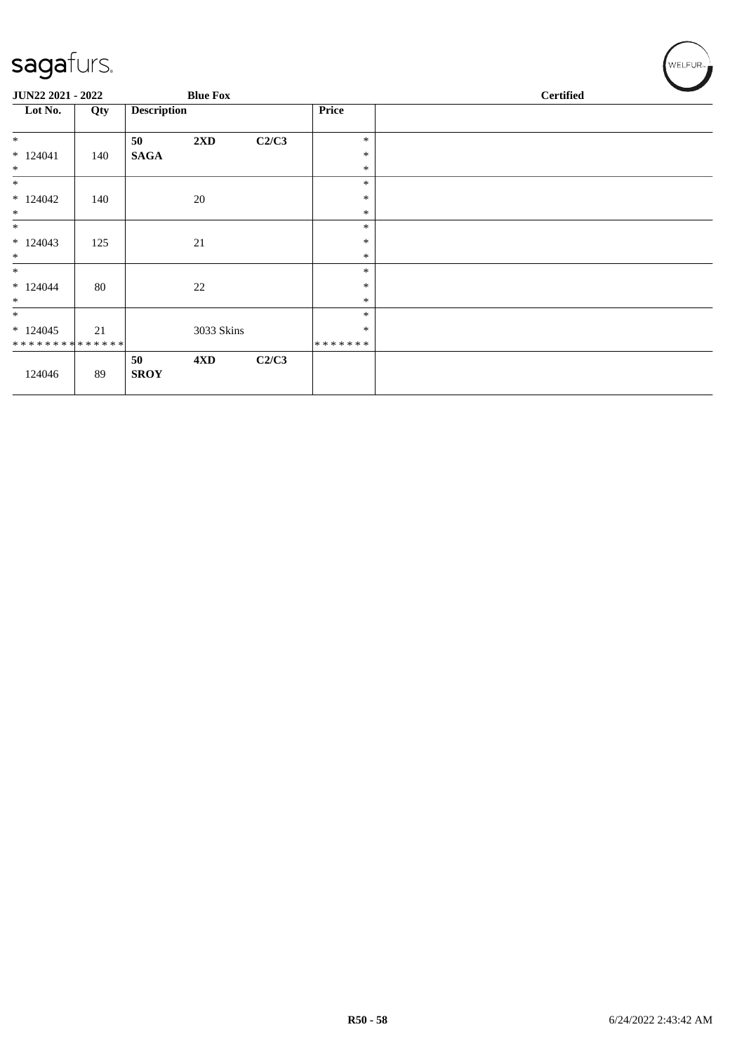| sagafurs.                                          |     |                    |                 |       |                             | WELFUR <sub>™</sub> |
|----------------------------------------------------|-----|--------------------|-----------------|-------|-----------------------------|---------------------|
| JUN22 2021 - 2022                                  |     |                    | <b>Blue Fox</b> |       |                             | <b>Certified</b>    |
| Lot No.                                            | Qty | <b>Description</b> |                 |       | Price                       |                     |
| $\ast$<br>$*124041$<br>$\ast$                      | 140 | 50<br><b>SAGA</b>  | 2XD             | C2/C3 | $\ast$<br>$\ast$<br>$\ast$  |                     |
| $\ast$<br>$*124042$<br>$\ast$                      | 140 |                    | $20\,$          |       | $\ast$<br>∗<br>$\ast$       |                     |
| $\ast$<br>$*124043$<br>$\ast$                      | 125 |                    | 21              |       | $\ast$<br>$\ast$<br>$\ast$  |                     |
| $\ast$<br>$*124044$<br>$\ast$                      | 80  |                    | 22              |       | $\ast$<br>$\ast$<br>$\ast$  |                     |
| $\ast$<br>$*124045$<br>* * * * * * * * * * * * * * | 21  |                    | 3033 Skins      |       | $\ast$<br>$\ast$<br>******* |                     |
| 124046                                             | 89  | 50<br><b>SROY</b>  | 4 <sub>xD</sub> | C2/C3 |                             |                     |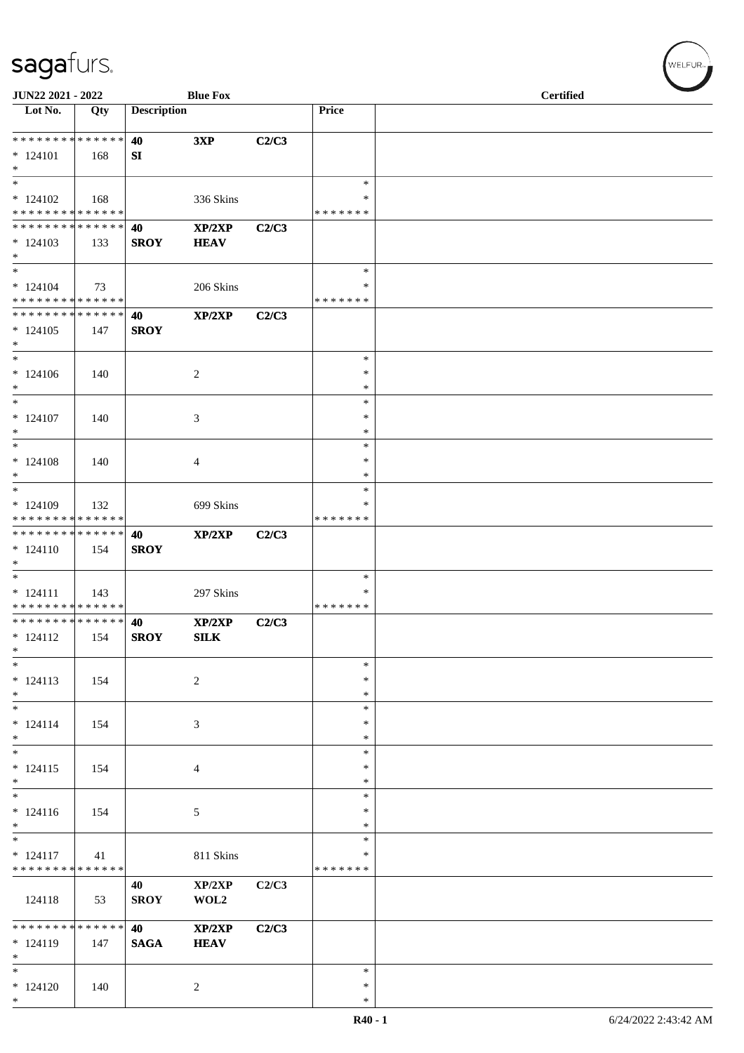| JUN22 2021 - 2022                                                     |     |                    | <b>Blue Fox</b>                           |       |                                   | <b>Certified</b> |  |
|-----------------------------------------------------------------------|-----|--------------------|-------------------------------------------|-------|-----------------------------------|------------------|--|
| Lot No.                                                               | Qty | <b>Description</b> |                                           |       | Price                             |                  |  |
| * * * * * * * * * * * * * *<br>$* 124101$<br>$*$                      | 168 | 40<br>SI           | 3XP                                       | C2/C3 |                                   |                  |  |
| $\ast$<br>$*124102$<br>* * * * * * * * * * * * * *                    | 168 |                    | 336 Skins                                 |       | $\ast$<br>*<br>* * * * * * *      |                  |  |
| * * * * * * * * * * * * * *<br>$*124103$<br>$\ast$                    | 133 | 40<br><b>SROY</b>  | $\mathbf{XP}/2\mathbf{XP}$<br><b>HEAV</b> | C2/C3 |                                   |                  |  |
| $*$<br>$*124104$<br>* * * * * * * * * * * * * *                       | 73  |                    | 206 Skins                                 |       | $\ast$<br>∗<br>* * * * * * *      |                  |  |
| * * * * * * * * * * * * * * *<br>$*124105$<br>$*$                     | 147 | 40<br><b>SROY</b>  | XP/2XP                                    | C2/C3 |                                   |                  |  |
| $\ast$<br>$* 124106$<br>$*$                                           | 140 |                    | $\overline{c}$                            |       | $\ast$<br>$\ast$<br>$\ast$        |                  |  |
| $*$<br>$* 124107$<br>$*$                                              | 140 |                    | 3                                         |       | $\ast$<br>$\ast$<br>$\ast$        |                  |  |
| $\ast$<br>$*124108$<br>$\ast$                                         | 140 |                    | $\overline{4}$                            |       | $\ast$<br>$\ast$<br>$\ast$        |                  |  |
| $*$<br>$*124109$<br>* * * * * * * * * * * * * *                       | 132 |                    | 699 Skins                                 |       | *<br>*<br>* * * * * * *           |                  |  |
| * * * * * * * * * * * * * *<br>$* 124110$<br>$\ast$                   | 154 | 40<br><b>SROY</b>  | XP/2XP                                    | C2/C3 |                                   |                  |  |
| $\overline{\phantom{0}}$<br>$* 124111$<br>* * * * * * * * * * * * * * | 143 |                    | 297 Skins                                 |       | $\ast$<br>$\ast$<br>* * * * * * * |                  |  |
| * * * * * * * * * * * * * *<br>$* 124112$<br>$\ast$                   | 154 | 40<br><b>SROY</b>  | XP/2XP<br>SLK                             | C2/C3 |                                   |                  |  |
| $\ast$<br>$* 124113$<br>$*$                                           | 154 |                    | $\sqrt{2}$                                |       | $\ast$<br>$\ast$<br>$\ast$        |                  |  |
| $\overline{\phantom{0}}$<br>$* 124114$<br>$\ast$                      | 154 |                    | 3                                         |       | $\ast$<br>$\ast$<br>$\ast$        |                  |  |
| $\ast$<br>$* 124115$<br>$*$                                           | 154 |                    | $\overline{4}$                            |       | *<br>$\ast$<br>$\ast$             |                  |  |
| $\overline{\ast}$<br>$* 124116$<br>$\ast$<br>$\overline{\phantom{0}}$ | 154 |                    | $\mathfrak{S}$                            |       | $\ast$<br>$\ast$<br>∗             |                  |  |
| $* 124117$<br>* * * * * * * * * * * * * *                             | 41  |                    | 811 Skins                                 |       | $\ast$<br>$\ast$<br>* * * * * * * |                  |  |
| 124118                                                                | 53  | 40<br><b>SROY</b>  | XP/2XP<br>WOL2                            | C2/C3 |                                   |                  |  |
| * * * * * * * * * * * * * *<br>$* 124119$<br>$\ast$                   | 147 | 40<br><b>SAGA</b>  | XP/2XP<br><b>HEAV</b>                     | C2/C3 |                                   |                  |  |
| $\ast$<br>$* 124120$<br>$*$                                           | 140 |                    | 2                                         |       | $\ast$<br>$\ast$<br>$\ast$        |                  |  |

 $(w$ ELFUR<sub><sup>n</sub></sub></sub></sup>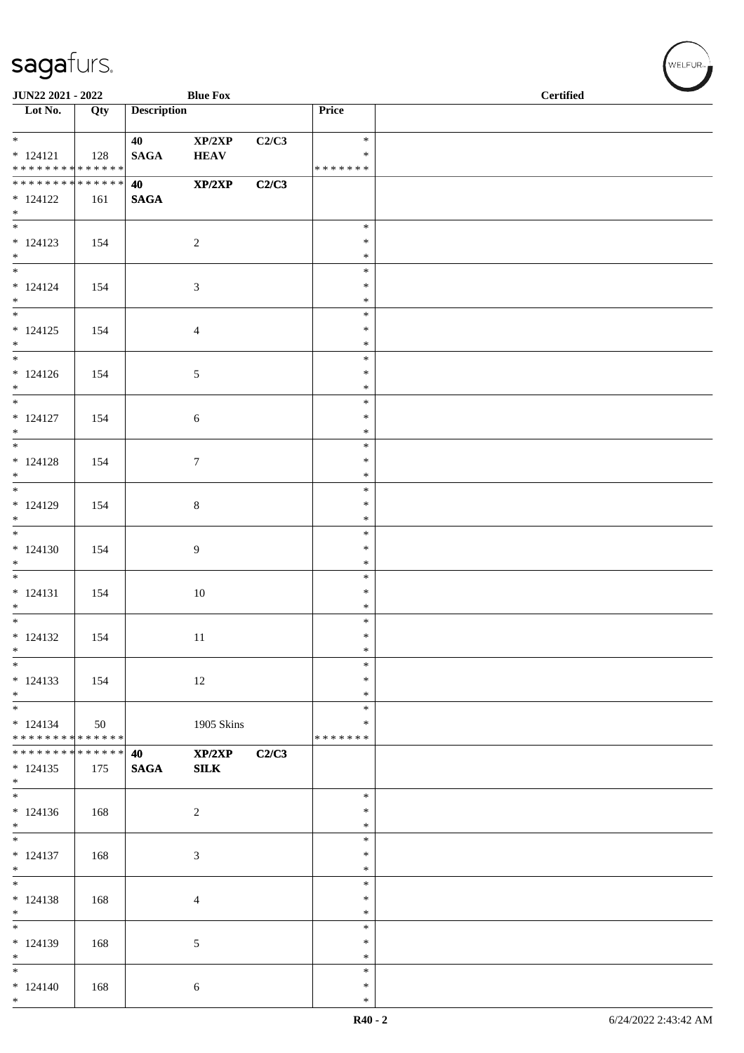| JUN22 2021 - 2022                                                     |     |                    | <b>Blue Fox</b>       |       |                                   | <b>Certified</b> |
|-----------------------------------------------------------------------|-----|--------------------|-----------------------|-------|-----------------------------------|------------------|
| $\overline{\phantom{1}}$ Lot No.                                      | Qty | <b>Description</b> |                       |       | Price                             |                  |
| $* 124121$<br>******** <mark>******</mark>                            | 128 | 40<br><b>SAGA</b>  | XP/2XP<br><b>HEAV</b> | C2/C3 | $\ast$<br>$\ast$<br>* * * * * * * |                  |
| * * * * * * * * * * * * * *<br>$* 124122$                             | 161 | 40<br><b>SAGA</b>  | XP/2XP                | C2/C3 |                                   |                  |
| $*$                                                                   |     |                    |                       |       |                                   |                  |
| $* 124123$<br>$*$                                                     | 154 |                    | $\overline{c}$        |       | $\ast$<br>$\ast$<br>$\ast$        |                  |
| $* 124124$<br>$*$                                                     | 154 |                    | $\mathfrak{Z}$        |       | $\ast$<br>$\ast$<br>$\ast$        |                  |
| $\overline{\ast}$<br>$* 124125$<br>$*$                                | 154 |                    | $\overline{4}$        |       | $\ast$<br>$\ast$<br>$\ast$        |                  |
| $* 124126$<br>$*$                                                     | 154 |                    | $\mathfrak{S}$        |       | $\ast$<br>$\ast$<br>$\ast$        |                  |
| $\overline{\phantom{0}}$<br>$* 124127$<br>$\ast$                      | 154 |                    | $\sqrt{6}$            |       | $\ast$<br>$\ast$                  |                  |
| $* 124128$                                                            | 154 |                    | $7\phantom{.0}$       |       | $\ast$<br>$\ast$<br>$\ast$        |                  |
| $*$<br>$* 124129$                                                     | 154 |                    | $8\,$                 |       | $\ast$<br>$\ast$<br>$\ast$        |                  |
| $*$<br>$\overline{\phantom{0}}$<br>$*124130$                          | 154 |                    | $\overline{9}$        |       | $\ast$<br>$\ast$<br>$\ast$        |                  |
| $*$<br>$* 124131$                                                     | 154 |                    | 10                    |       | $\ast$<br>$\ast$<br>$\ast$        |                  |
| $*$                                                                   |     |                    |                       |       | $\ast$                            |                  |
| $* 124132$<br>$*$                                                     | 154 |                    | 11                    |       | $\ast$<br>$\ast$<br>∗             |                  |
| $\ast$<br>$* 124133$<br>$*$                                           | 154 |                    | 12                    |       | $\ast$<br>$\ast$<br>$\ast$        |                  |
| $\overline{\phantom{0}}$<br>$* 124134$<br>* * * * * * * * * * * * * * | 50  |                    | 1905 Skins            |       | $\ast$<br>∗<br>* * * * * * *      |                  |
| * * * * * * * * * * * * * *<br>$* 124135$<br>$*$                      | 175 | 40<br><b>SAGA</b>  | XP/2XP<br><b>SILK</b> | C2/C3 |                                   |                  |
| $\overline{\phantom{0}}$<br>$* 124136$<br>$*$                         | 168 |                    | $\overline{c}$        |       | $\ast$<br>$\ast$<br>$\ast$        |                  |
| $\overline{\phantom{1}}$<br>$* 124137$<br>$*$                         | 168 |                    | $\mathfrak{Z}$        |       | $\ast$<br>$\ast$<br>$\ast$        |                  |
| $\ast$<br>$* 124138$<br>$*$                                           | 168 |                    | $\overline{4}$        |       | $\ast$<br>$\ast$<br>∗             |                  |
| $\overline{\phantom{0}}$<br>$* 124139$<br>$\ast$                      | 168 |                    | 5                     |       | $\ast$<br>$\ast$<br>$\ast$        |                  |
| $*$<br>$* 124140$<br>$*$                                              | 168 |                    | 6                     |       | $\ast$<br>$\ast$<br>$\ast$        |                  |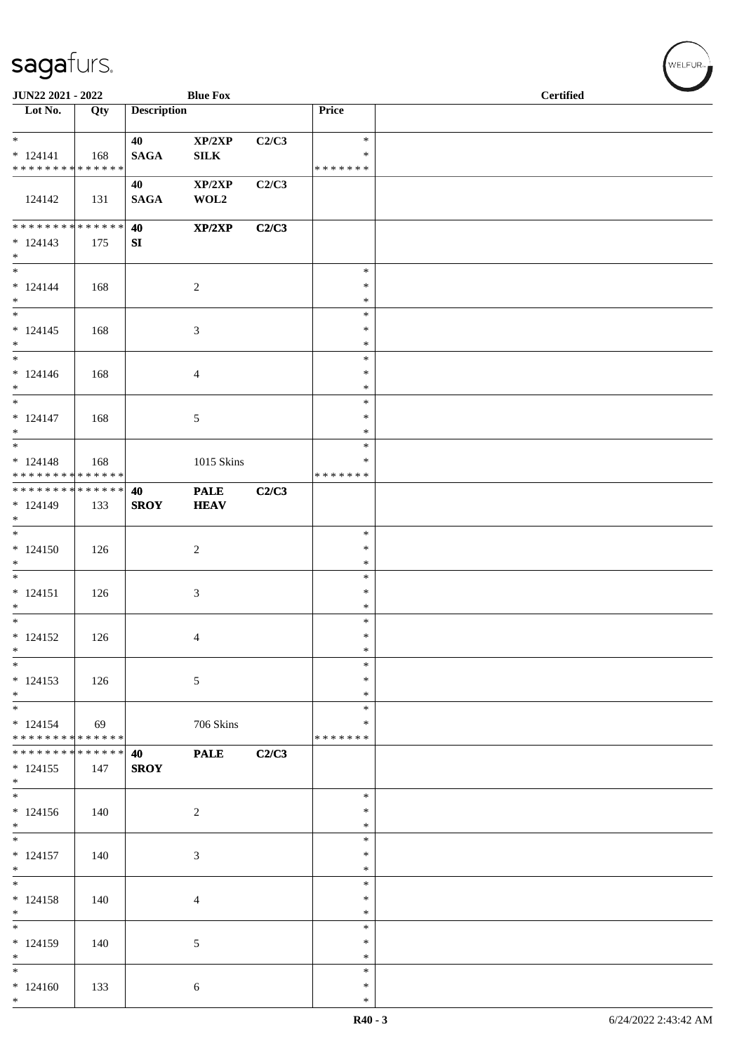| JUN22 2021 - 2022                         |     |                    | <b>Blue Fox</b>  |       |                    | <b>Certified</b> |  |
|-------------------------------------------|-----|--------------------|------------------|-------|--------------------|------------------|--|
| $\overline{\phantom{1}}$ Lot No.          | Qty | <b>Description</b> |                  |       | Price              |                  |  |
| $*$                                       |     | 40                 | XP/2XP           | C2/C3 | $\ast$             |                  |  |
| $* 124141$                                | 168 | <b>SAGA</b>        | ${\bf SILK}$     |       | ∗                  |                  |  |
| * * * * * * * * * * * * * *               |     |                    |                  |       | * * * * * * *      |                  |  |
| 124142                                    | 131 | 40<br><b>SAGA</b>  | XP/2XP<br>WOL2   | C2/C3 |                    |                  |  |
| * * * * * * * * * * * * * * *             |     | 40                 | XP/2XP           | C2/C3 |                    |                  |  |
| $* 124143$<br>$*$                         | 175 | SI                 |                  |       |                    |                  |  |
| $\overline{\phantom{0}}$                  |     |                    |                  |       | $\ast$             |                  |  |
| $* 124144$<br>$*$                         | 168 |                    | $\boldsymbol{2}$ |       | $\ast$<br>$\ast$   |                  |  |
| $\overline{\ }$                           |     |                    |                  |       | $\ast$             |                  |  |
| $* 124145$<br>$*$                         | 168 |                    | 3                |       | $\ast$<br>$\ast$   |                  |  |
| $*$                                       |     |                    |                  |       | $\ast$             |                  |  |
| $* 124146$<br>$*$                         | 168 |                    | 4                |       | $\ast$<br>$\ast$   |                  |  |
|                                           |     |                    |                  |       | $\ast$             |                  |  |
| $* 124147$<br>$*$                         | 168 |                    | 5                |       | $\ast$<br>$\ast$   |                  |  |
| $\overline{\phantom{0}}$                  |     |                    |                  |       | $\ast$             |                  |  |
| $* 124148$<br>* * * * * * * * * * * * * * | 168 |                    | 1015 Skins       |       | ∗<br>* * * * * * * |                  |  |
| * * * * * * * * * * * * * * *             |     | 40                 | <b>PALE</b>      | C2/C3 |                    |                  |  |
| $* 124149$<br>$*$                         | 133 | <b>SROY</b>        | <b>HEAV</b>      |       |                    |                  |  |
|                                           |     |                    |                  |       | $\ast$             |                  |  |
| $* 124150$                                | 126 |                    | $\overline{c}$   |       | $\ast$<br>$\ast$   |                  |  |
| $*$<br>$\overline{\phantom{0}}$           |     |                    |                  |       | $\ast$             |                  |  |
| $* 124151$                                | 126 |                    | 3                |       | $\ast$             |                  |  |
| $*$                                       |     |                    |                  |       | $\ast$             |                  |  |
| $*$<br>$* 124152$                         |     |                    |                  |       | $\ast$<br>$\ast$   |                  |  |
| $\ast$                                    | 126 |                    | 4                |       | $\ast$             |                  |  |
| $*$                                       |     |                    |                  |       | $\ast$             |                  |  |
| $* 124153$<br>$*$                         | 126 |                    | 5                |       | ∗<br>$\ast$        |                  |  |
| $\ast$<br>$* 124154$                      |     |                    |                  |       | $\ast$<br>∗        |                  |  |
| * * * * * * * * * * * * * *               | 69  |                    | 706 Skins        |       | * * * * * * *      |                  |  |
| * * * * * * * * * * * * * * *             |     | 40                 | <b>PALE</b>      | C2/C3 |                    |                  |  |
| $* 124155$<br>$*$                         | 147 | <b>SROY</b>        |                  |       |                    |                  |  |
|                                           |     |                    |                  |       | $\ast$             |                  |  |
| $* 124156$<br>$*$                         | 140 |                    | $\sqrt{2}$       |       | $\ast$<br>∗        |                  |  |
| $\overline{\phantom{0}}$                  |     |                    |                  |       | $\ast$             |                  |  |
| $* 124157$<br>$*$                         | 140 |                    | 3                |       | $\ast$<br>$\ast$   |                  |  |
| $\overline{\phantom{0}}$                  |     |                    |                  |       | $\ast$             |                  |  |
| $* 124158$<br>$*$                         | 140 |                    | 4                |       | $\ast$<br>$\ast$   |                  |  |
| $\overline{\phantom{0}}$                  |     |                    |                  |       | $\ast$             |                  |  |
| $* 124159$<br>$*$                         | 140 |                    | 5                |       | $\ast$<br>∗        |                  |  |
| $*$                                       |     |                    |                  |       | $\ast$             |                  |  |
| $*124160$                                 | 133 |                    | 6                |       | $\ast$             |                  |  |
| $*$                                       |     |                    |                  |       | $\ast$             |                  |  |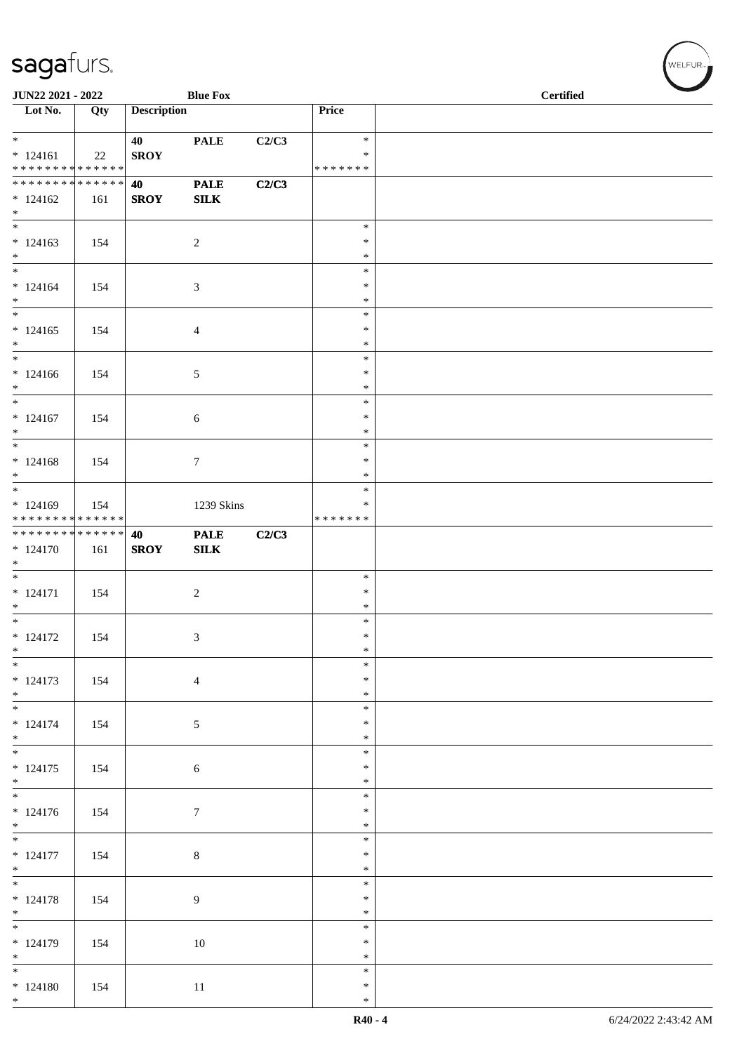| JUN22 2021 - 2022                |     |                    | <b>Blue Fox</b>  |       |                  | <b>Certified</b> |
|----------------------------------|-----|--------------------|------------------|-------|------------------|------------------|
| $\overline{\phantom{1}}$ Lot No. | Qty | <b>Description</b> |                  |       | Price            |                  |
| $*$                              |     | 40                 | <b>PALE</b>      | C2/C3 | $\ast$           |                  |
| $* 124161$                       | 22  | <b>SROY</b>        |                  |       | $\ast$           |                  |
| * * * * * * * * * * * * * *      |     |                    |                  |       | *******          |                  |
| * * * * * * * * * * * * * * *    |     | 40                 | <b>PALE</b>      | C2/C3 |                  |                  |
| $*124162$                        | 161 | <b>SROY</b>        | ${\bf SILK}$     |       |                  |                  |
| $*$<br>$\overline{\phantom{0}}$  |     |                    |                  |       |                  |                  |
|                                  |     |                    |                  |       | $\ast$<br>$\ast$ |                  |
| $* 124163$<br>$*$                | 154 |                    | $\overline{2}$   |       | $\ast$           |                  |
|                                  |     |                    |                  |       | $\ast$           |                  |
| $* 124164$                       | 154 |                    | 3                |       | $\ast$           |                  |
| $*$                              |     |                    |                  |       | $\ast$           |                  |
| $*$                              |     |                    |                  |       | $\ast$           |                  |
| $* 124165$                       | 154 |                    | 4                |       | $\ast$           |                  |
| $*$<br>$*$                       |     |                    |                  |       | $\ast$<br>$\ast$ |                  |
| $* 124166$                       | 154 |                    | 5                |       | $\ast$           |                  |
| $*$                              |     |                    |                  |       | $\ast$           |                  |
|                                  |     |                    |                  |       | $\ast$           |                  |
| $* 124167$                       | 154 |                    | 6                |       | $\ast$           |                  |
| $\ast$                           |     |                    |                  |       | $\ast$           |                  |
|                                  |     |                    |                  |       | $\ast$           |                  |
| $* 124168$<br>$\ast$             | 154 |                    | $\tau$           |       | $\ast$<br>$\ast$ |                  |
|                                  |     |                    |                  |       | $\ast$           |                  |
| $*124169$                        | 154 |                    | 1239 Skins       |       | $\ast$           |                  |
| ******** <mark>******</mark>     |     |                    |                  |       | * * * * * * *    |                  |
| * * * * * * * * * * * * * *      |     | 40                 | <b>PALE</b>      | C2/C3 |                  |                  |
| $* 124170$                       | 161 | <b>SROY</b>        | ${\bf SILK}$     |       |                  |                  |
| $*$                              |     |                    |                  |       |                  |                  |
| $* 124171$                       |     |                    |                  |       | $\ast$<br>$\ast$ |                  |
| $*$                              | 154 |                    | $\boldsymbol{2}$ |       | $\ast$           |                  |
| $\overline{\phantom{0}}$         |     |                    |                  |       | $\ast$           |                  |
| $* 124172$                       | 154 |                    | 3                |       | $\ast$           |                  |
| $*$                              |     |                    |                  |       | $\ast$           |                  |
| $\ast$                           |     |                    |                  |       | $\ast$           |                  |
| $* 124173$<br>$*$                | 154 |                    | $\overline{4}$   |       | $\ast$<br>$\ast$ |                  |
| $\overline{\ast}$                |     |                    |                  |       | $\ast$           |                  |
| $* 124174$                       | 154 |                    | $\sqrt{5}$       |       | $\ast$           |                  |
| $*$                              |     |                    |                  |       | $\ast$           |                  |
|                                  |     |                    |                  |       | $\ast$           |                  |
| $* 124175$                       | 154 |                    | $\sqrt{6}$       |       | $\ast$           |                  |
| $*$                              |     |                    |                  |       | $\ast$           |                  |
| $* 124176$                       |     |                    |                  |       | $\ast$<br>$\ast$ |                  |
| $*$                              | 154 |                    | $\tau$           |       | $\ast$           |                  |
| $*$                              |     |                    |                  |       | $\ast$           |                  |
| $* 124177$                       | 154 |                    | $\,8\,$          |       | $\ast$           |                  |
| $*$                              |     |                    |                  |       | $\ast$           |                  |
|                                  |     |                    |                  |       | $\ast$           |                  |
| $* 124178$                       | 154 |                    | 9                |       | $\ast$           |                  |
| $*$                              |     |                    |                  |       | $\ast$<br>$\ast$ |                  |
| $* 124179$                       | 154 |                    | 10               |       | $\ast$           |                  |
| $*$                              |     |                    |                  |       | $\ast$           |                  |
| $*$                              |     |                    |                  |       | $\ast$           |                  |
| $* 124180$                       | 154 |                    | 11               |       | $\ast$           |                  |
| $*$                              |     |                    |                  |       | $\ast$           |                  |

、<br>WELFUR<sub>™</sub>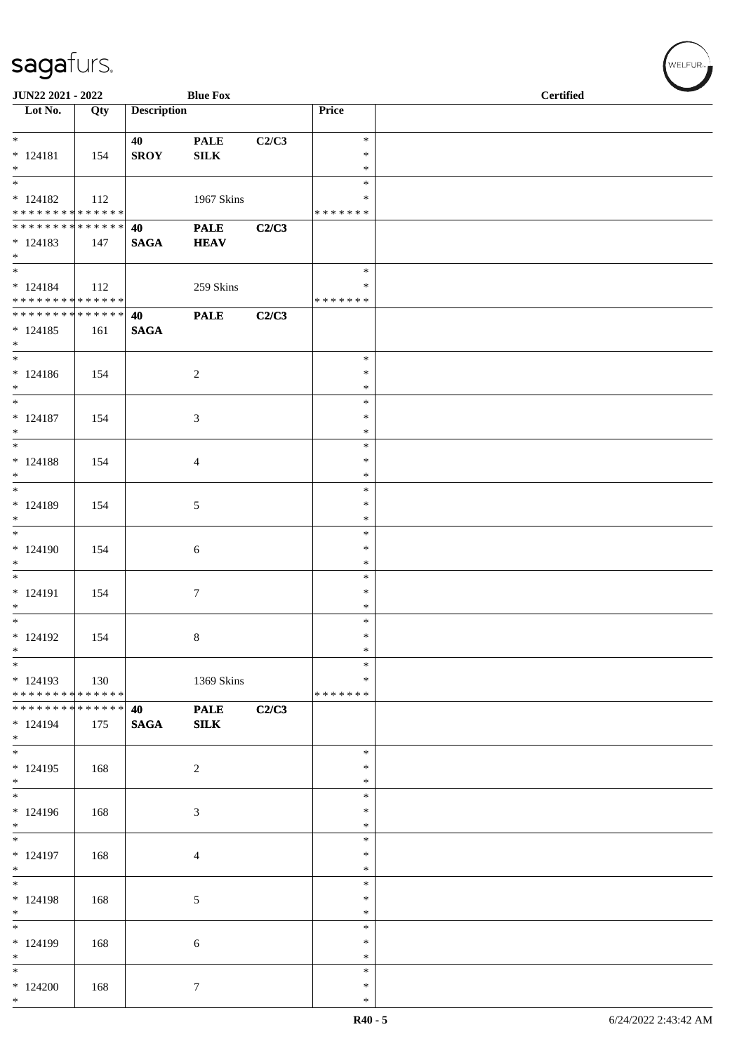| JUN22 2021 - 2022                                        |     |                       | <b>Blue Fox</b>             |       |                              | <b>Certified</b> |  |
|----------------------------------------------------------|-----|-----------------------|-----------------------------|-------|------------------------------|------------------|--|
| $\overline{\phantom{a}}$ Lot No.                         | Qty | <b>Description</b>    |                             |       | Price                        |                  |  |
| $*$<br>$* 124181$<br>$*$                                 | 154 | 40<br><b>SROY</b>     | <b>PALE</b><br>${\bf SILK}$ | C2/C3 | $\ast$<br>$\ast$<br>$\ast$   |                  |  |
| $* 124182$<br>* * * * * * * * <mark>* * * * * * *</mark> | 112 |                       | 1967 Skins                  |       | $\ast$<br>*<br>* * * * * * * |                  |  |
| ******** <mark>******</mark><br>$* 124183$<br>$*$        | 147 | 40<br><b>SAGA</b>     | <b>PALE</b><br><b>HEAV</b>  | C2/C3 |                              |                  |  |
| $*$<br>$* 124184$<br>* * * * * * * * * * * * * * *       | 112 |                       | 259 Skins                   |       | $\ast$<br>*<br>* * * * * * * |                  |  |
| ******** <mark>******</mark><br>$* 124185$<br>$*$        | 161 | 40<br>$\mathbf{SAGA}$ | <b>PALE</b>                 | C2/C3 |                              |                  |  |
| $*$<br>$* 124186$<br>$\ast$                              | 154 |                       | 2                           |       | $\ast$<br>$\ast$<br>$\ast$   |                  |  |
| $*$<br>$* 124187$<br>$*$                                 | 154 |                       | 3                           |       | $\ast$<br>∗<br>$\ast$        |                  |  |
| $*$<br>$* 124188$<br>$*$                                 | 154 |                       | $\overline{4}$              |       | $\ast$<br>$\ast$<br>$\ast$   |                  |  |
| $*$<br>$* 124189$<br>$*$                                 | 154 |                       | 5                           |       | $\ast$<br>$\ast$<br>$\ast$   |                  |  |
| * 124190<br>$*$                                          | 154 |                       | 6                           |       | $\ast$<br>$\ast$<br>$\ast$   |                  |  |
| * 124191<br>$*$                                          | 154 |                       | $\boldsymbol{7}$            |       | $\ast$<br>$\ast$<br>$\ast$   |                  |  |
| $*$<br>$* 124192$<br>$\ast$                              | 154 |                       | $8\,$                       |       | $\ast$<br>$\ast$<br>$\ast$   |                  |  |
| $*$<br>$*124193$<br>* * * * * * * * * * * * * * *        | 130 |                       | 1369 Skins                  |       | $\ast$<br>∗<br>* * * * * * * |                  |  |
| * * * * * * * * * * * * * * *<br>$* 124194$<br>$*$       | 175 | 40<br><b>SAGA</b>     | <b>PALE</b><br>SLK          | C2/C3 |                              |                  |  |
| $*$<br>$* 124195$<br>$*$                                 | 168 |                       | 2                           |       | $\ast$<br>$\ast$<br>$\ast$   |                  |  |
| $* 124196$<br>$*$<br>$\frac{1}{1}$                       | 168 |                       | 3                           |       | $\ast$<br>$\ast$<br>$\ast$   |                  |  |
| $* 124197$<br>$*$                                        | 168 |                       | $\overline{4}$              |       | $\ast$<br>$\ast$<br>$\ast$   |                  |  |
| $*$<br>$* 124198$<br>$*$                                 | 168 |                       | 5                           |       | $\ast$<br>$\ast$<br>$\ast$   |                  |  |
| $\frac{1}{1}$<br>$* 124199$<br>$*$                       | 168 |                       | 6                           |       | $\ast$<br>$\ast$<br>$\ast$   |                  |  |
| $\ast$<br>$*124200$<br>$*$                               | 168 |                       | $7\phantom{.0}$             |       | $\ast$<br>$\ast$<br>$\ast$   |                  |  |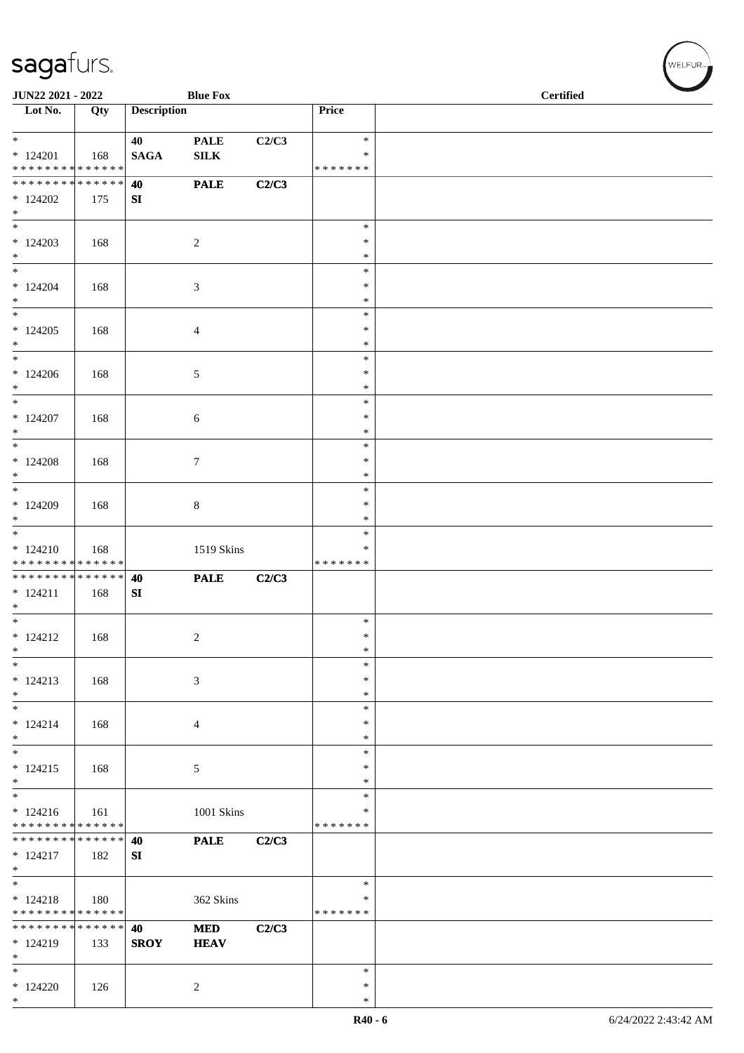| JUN22 2021 - 2022                                    |                    |                    | <b>Blue Fox</b>             |       |                                   | <b>Certified</b> |  |
|------------------------------------------------------|--------------------|--------------------|-----------------------------|-------|-----------------------------------|------------------|--|
| Lot No.                                              | Qty                | <b>Description</b> |                             |       | Price                             |                  |  |
| $\ast$<br>$*124201$<br>* * * * * * * * * * * * * *   | 168                | 40<br><b>SAGA</b>  | <b>PALE</b><br>${\bf SILK}$ | C2/C3 | $\ast$<br>∗<br>* * * * * * *      |                  |  |
| * * * * * * * *<br>$*124202$<br>$*$                  | ******<br>175      | 40<br>SI           | <b>PALE</b>                 | C2/C3 |                                   |                  |  |
| $\overline{\phantom{0}}$<br>$*124203$<br>$*$         | 168                |                    | $\overline{c}$              |       | $\ast$<br>$\ast$<br>$\ast$        |                  |  |
| $*$<br>$* 124204$<br>$*$                             | 168                |                    | 3                           |       | $\ast$<br>$\ast$<br>$\ast$        |                  |  |
| $*$<br>$*124205$<br>$*$                              | 168                |                    | 4                           |       | $\ast$<br>$\ast$<br>$\ast$        |                  |  |
| $*$<br>$*124206$<br>$*$                              | 168                |                    | 5                           |       | $\ast$<br>$\ast$<br>$\ast$        |                  |  |
| $*124207$<br>$*$                                     | 168                |                    | 6                           |       | $\ast$<br>$\ast$<br>$\ast$        |                  |  |
| $*$<br>$*124208$<br>$\ast$                           | 168                |                    | 7                           |       | $\ast$<br>$\ast$<br>$\ast$        |                  |  |
| $\overline{\phantom{0}}$<br>$*124209$<br>$*$         | 168                |                    | $\,8\,$                     |       | $\ast$<br>$\ast$<br>$\ast$        |                  |  |
| $\overline{\ast}$<br>$* 124210$<br>* * * * * * * *   | 168<br>* * * * * * |                    | 1519 Skins                  |       | $\ast$<br>∗<br>* * * * * * *      |                  |  |
| * * * * * * * * * * * * * *<br>$* 124211$<br>$*$     | 168                | 40<br>${\bf SI}$   | <b>PALE</b>                 | C2/C3 |                                   |                  |  |
| $*$<br>$* 124212$<br>$\ast$                          | 168                |                    | $\overline{c}$              |       | $\ast$<br>$\ast$<br>$\ast$        |                  |  |
| $*$<br>$* 124213$<br>$*$                             | 168                |                    | 3                           |       | $\ast$<br>$\ast$<br>$\ast$        |                  |  |
| $*$<br>$* 124214$<br>$\ast$                          | 168                |                    | $\overline{4}$              |       | $\ast$<br>$\ast$<br>∗             |                  |  |
| $*$<br>$* 124215$<br>$*$<br>$\overline{\phantom{0}}$ | 168                |                    | 5                           |       | $\ast$<br>$\ast$<br>$\ast$        |                  |  |
| $* 124216$<br>* * * * * * * * * * * * * *            | 161                |                    | 1001 Skins                  |       | $\ast$<br>∗<br>* * * * * * *      |                  |  |
| * * * * * * * * * * * * * *<br>$* 124217$<br>$*$     | 182                | 40<br>${\bf SI}$   | <b>PALE</b>                 | C2/C3 |                                   |                  |  |
| $*$<br>$* 124218$<br>* * * * * * * * * * * * * * *   | 180                |                    | 362 Skins                   |       | $\ast$<br>$\ast$<br>* * * * * * * |                  |  |
| * * * * * * * * * * * * * *<br>$* 124219$<br>$*$     | 133                | 40<br><b>SROY</b>  | <b>MED</b><br><b>HEAV</b>   | C2/C3 |                                   |                  |  |
| $*$<br>$*124220$<br>$*$                              | 126                |                    | $\overline{c}$              |       | $\ast$<br>$\ast$<br>$\ast$        |                  |  |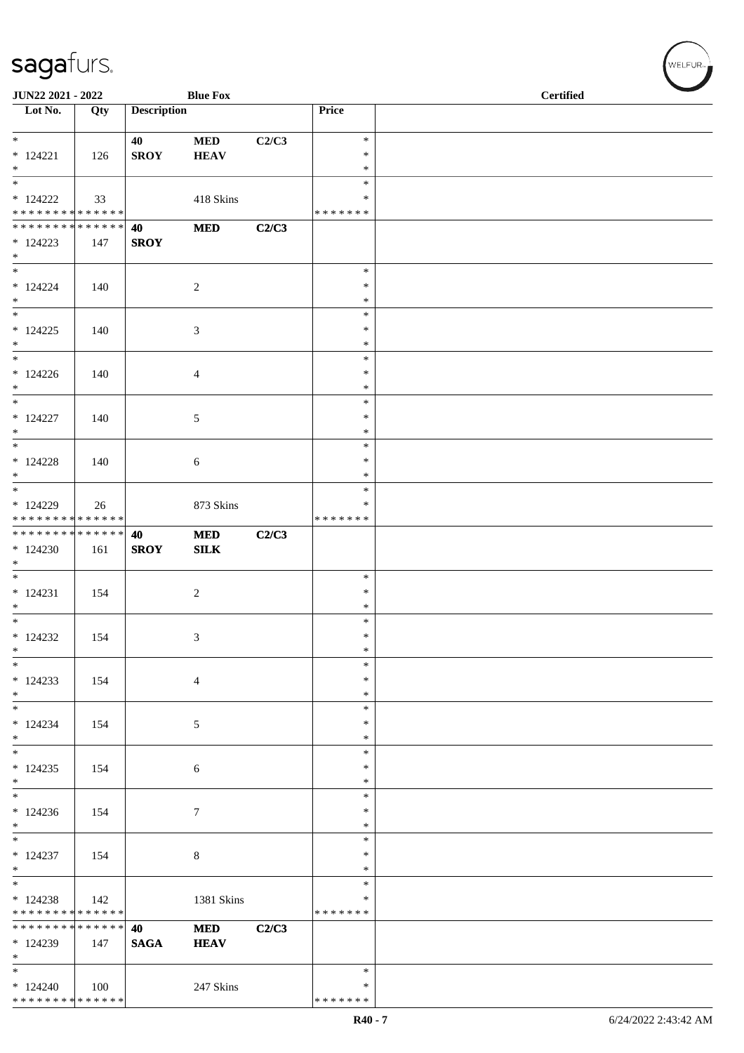| JUN22 2021 - 2022                         |     |                    | <b>Blue Fox</b>            |       |                    | <b>Certified</b> |  |
|-------------------------------------------|-----|--------------------|----------------------------|-------|--------------------|------------------|--|
| Lot No.                                   | Qty | <b>Description</b> |                            |       | Price              |                  |  |
| $*$                                       |     | 40                 | $\bf MED$                  | C2/C3 | $\ast$             |                  |  |
| $* 124221$                                | 126 | <b>SROY</b>        | <b>HEAV</b>                |       | $\ast$             |                  |  |
| $*$<br>$\overline{\phantom{a}^*}$         |     |                    |                            |       | $\ast$<br>$\ast$   |                  |  |
| $*124222$                                 | 33  |                    | 418 Skins                  |       | ∗                  |                  |  |
| * * * * * * * * * * * * * * *             |     |                    |                            |       | * * * * * * *      |                  |  |
| * * * * * * * * * * * * * *<br>$*124223$  | 147 | 40<br><b>SROY</b>  | $\bf MED$                  | C2/C3 |                    |                  |  |
| $\ast$                                    |     |                    |                            |       |                    |                  |  |
| $\ast$                                    |     |                    |                            |       | $\ast$             |                  |  |
| $* 124224$<br>$\ast$                      | 140 |                    | $\sqrt{2}$                 |       | $\ast$<br>$\ast$   |                  |  |
| $_{\ast}^{-}$                             |     |                    |                            |       | $\ast$             |                  |  |
| $*124225$<br>$*$                          | 140 |                    | $\mathfrak{Z}$             |       | $\ast$<br>$\ast$   |                  |  |
| $_{\ast}^{-}$                             |     |                    |                            |       | $\ast$             |                  |  |
| $*124226$                                 | 140 |                    | $\overline{4}$             |       | $\ast$             |                  |  |
| $*$<br>$\ast$                             |     |                    |                            |       | $\ast$<br>$\ast$   |                  |  |
| $* 124227$                                | 140 |                    | $\sqrt{5}$                 |       | $\ast$             |                  |  |
| $\ast$<br>$\ast$                          |     |                    |                            |       | $\ast$<br>$\ast$   |                  |  |
| $*124228$                                 | 140 |                    | $\sqrt{6}$                 |       | $\ast$             |                  |  |
| $*$<br>$\overline{\ast}$                  |     |                    |                            |       | $\ast$             |                  |  |
| * 124229                                  | 26  |                    | 873 Skins                  |       | $\ast$<br>∗        |                  |  |
| * * * * * * * * * * * * * *               |     |                    |                            |       | * * * * * * *      |                  |  |
| **************<br>$*124230$               | 161 | 40<br><b>SROY</b>  | <b>MED</b><br>${\bf SILK}$ | C2/C3 |                    |                  |  |
| $\ast$                                    |     |                    |                            |       |                    |                  |  |
| $\overline{\phantom{0}}$                  |     |                    |                            |       | $\ast$             |                  |  |
| $* 124231$<br>$\ast$                      | 154 |                    | $\boldsymbol{2}$           |       | $\ast$<br>$\ast$   |                  |  |
| $\overline{\phantom{a}^*}$                |     |                    |                            |       | $\ast$             |                  |  |
| $*124232$<br>$\ast$                       | 154 |                    | 3                          |       | $\ast$<br>$\ast$   |                  |  |
| $\ast$                                    |     |                    |                            |       | $\ast$             |                  |  |
| $*124233$<br>$\ast$                       | 154 |                    | $\overline{4}$             |       | $\ast$<br>$\ast$   |                  |  |
| $\ast$                                    |     |                    |                            |       | $\ast$             |                  |  |
| $* 124234$                                | 154 |                    | 5                          |       | $\ast$             |                  |  |
| $\ast$<br>$\overline{\phantom{a}^*}$      |     |                    |                            |       | *<br>$\ast$        |                  |  |
| $*124235$                                 | 154 |                    | 6                          |       | $\ast$             |                  |  |
| $\ast$<br>$\overline{\phantom{a}^*}$      |     |                    |                            |       | $\ast$<br>$\ast$   |                  |  |
| $*124236$                                 | 154 |                    | $\tau$                     |       | *                  |                  |  |
| $\ast$<br>$\overline{\phantom{a}^*}$      |     |                    |                            |       | $\ast$             |                  |  |
| $* 124237$                                | 154 |                    | $\,8\,$                    |       | $\ast$<br>$\ast$   |                  |  |
| $\ast$                                    |     |                    |                            |       | *                  |                  |  |
| $_{\ast}^{-}$<br>$*124238$                |     |                    |                            |       | $\ast$<br>*        |                  |  |
| * * * * * * * * * * * * * *               | 142 |                    | 1381 Skins                 |       | * * * * * * *      |                  |  |
| ******** <mark>******</mark>              |     | 40                 | <b>MED</b>                 | C2/C3 |                    |                  |  |
| * 124239<br>$*$                           | 147 | <b>SAGA</b>        | <b>HEAV</b>                |       |                    |                  |  |
| $\ast$                                    |     |                    |                            |       | $\ast$             |                  |  |
| $*124240$<br>******** <mark>******</mark> | 100 |                    | 247 Skins                  |       | ∗<br>* * * * * * * |                  |  |
|                                           |     |                    |                            |       |                    |                  |  |

WELFUR<sub><sup>N</sup></sub>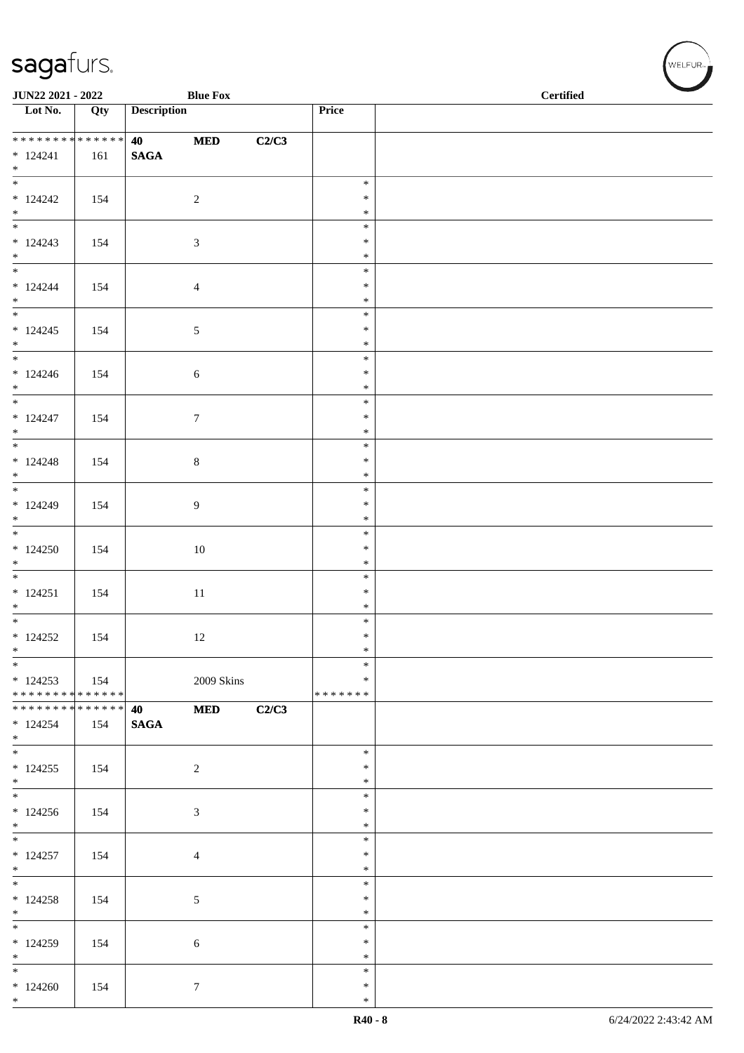| JUN22 2021 - 2022                |             |                    | <b>Blue Fox</b>  |       |                  | $\operatorname{\bf \mathbf{Certified}}$ |  |  |
|----------------------------------|-------------|--------------------|------------------|-------|------------------|-----------------------------------------|--|--|
| $\overline{\phantom{1}}$ Lot No. | Qty         | <b>Description</b> |                  |       | Price            |                                         |  |  |
| ******** <mark>******</mark>     |             | 40 - 10            | $\bf MED$        | C2/C3 |                  |                                         |  |  |
| $* 124241$<br>$*$                | 161         | <b>SAGA</b>        |                  |       |                  |                                         |  |  |
|                                  |             |                    |                  |       | $\ast$           |                                         |  |  |
| $*124242$<br>$*$                 | 154         |                    | $\overline{c}$   |       | $\ast$<br>$\ast$ |                                         |  |  |
|                                  |             |                    |                  |       | $\ast$           |                                         |  |  |
| $* 124243$                       | 154         |                    | 3                |       | $\ast$           |                                         |  |  |
| $*$                              |             |                    |                  |       | $\ast$<br>$\ast$ |                                         |  |  |
| $* 124244$                       | 154         |                    | $\overline{4}$   |       | $\ast$           |                                         |  |  |
| $*$<br>$\overline{\phantom{0}}$  |             |                    |                  |       | $\ast$           |                                         |  |  |
| $* 124245$                       | 154         |                    | $\sqrt{5}$       |       | $\ast$<br>$\ast$ |                                         |  |  |
| $*$                              |             |                    |                  |       | $\ast$           |                                         |  |  |
| $*$                              |             |                    |                  |       | $\ast$           |                                         |  |  |
| $* 124246$<br>$*$                | 154         |                    | $\sqrt{6}$       |       | $\ast$<br>$\ast$ |                                         |  |  |
|                                  |             |                    |                  |       | $\ast$           |                                         |  |  |
| $* 124247$                       | 154         |                    | $\boldsymbol{7}$ |       | $\ast$           |                                         |  |  |
| $*$                              |             |                    |                  |       | $\ast$<br>$\ast$ |                                         |  |  |
| $* 124248$                       | 154         |                    | $\,8\,$          |       | $\ast$           |                                         |  |  |
| $*$                              |             |                    |                  |       | $\ast$           |                                         |  |  |
| $* 124249$                       |             |                    | 9                |       | $\ast$<br>$\ast$ |                                         |  |  |
| $*$                              | 154         |                    |                  |       | $\ast$           |                                         |  |  |
|                                  |             |                    |                  |       | $\ast$           |                                         |  |  |
| $*124250$<br>$*$                 | 154         |                    | 10               |       | $\ast$<br>$\ast$ |                                         |  |  |
| $\overline{\phantom{0}}$         |             |                    |                  |       | $\ast$           |                                         |  |  |
| $* 124251$                       | 154         |                    | $11\,$           |       | $\ast$           |                                         |  |  |
| $*$                              |             |                    |                  |       | $\ast$<br>$\ast$ |                                         |  |  |
| $* 124252$                       | 154         |                    | 12               |       | $\ast$           |                                         |  |  |
| $*$                              |             |                    |                  |       | $\ast$           |                                         |  |  |
| $*$<br>$*124253$                 |             |                    |                  |       | $\ast$<br>$\ast$ |                                         |  |  |
| ******** <mark>******</mark>     | $\vert$ 154 |                    | 2009 Skins       |       | *******          |                                         |  |  |
| * * * * * * * * * * * * * * *    |             | <b>40</b>          | <b>MED</b>       | C2/C3 |                  |                                         |  |  |
| $*124254$<br>$*$                 | 154         | <b>SAGA</b>        |                  |       |                  |                                         |  |  |
| $*$                              |             |                    |                  |       | $\ast$           |                                         |  |  |
| $*124255$                        | 154         |                    | $\overline{2}$   |       | $\ast$           |                                         |  |  |
| $*$                              |             |                    |                  |       | $\ast$<br>$\ast$ |                                         |  |  |
| $*124256$                        | 154         |                    | $\mathfrak{Z}$   |       | $\ast$           |                                         |  |  |
| $*$                              |             |                    |                  |       | $\ast$           |                                         |  |  |
|                                  |             |                    |                  |       | $\ast$<br>$\ast$ |                                         |  |  |
| $*124257$<br>$*$                 | 154         |                    | $\overline{4}$   |       | $\ast$           |                                         |  |  |
|                                  |             |                    |                  |       | $\ast$           |                                         |  |  |
| $*124258$<br>$*$                 | 154         |                    | 5                |       | $\ast$<br>$\ast$ |                                         |  |  |
|                                  |             |                    |                  |       | $\ast$           |                                         |  |  |
| $*124259$                        | 154         |                    | 6                |       | $\ast$           |                                         |  |  |
| $*$<br>$*$                       |             |                    |                  |       | $\ast$<br>$\ast$ |                                         |  |  |
| $*124260$                        | 154         |                    | $7\phantom{.0}$  |       | $\ast$           |                                         |  |  |
| $*$                              |             |                    |                  |       | $\ast$           |                                         |  |  |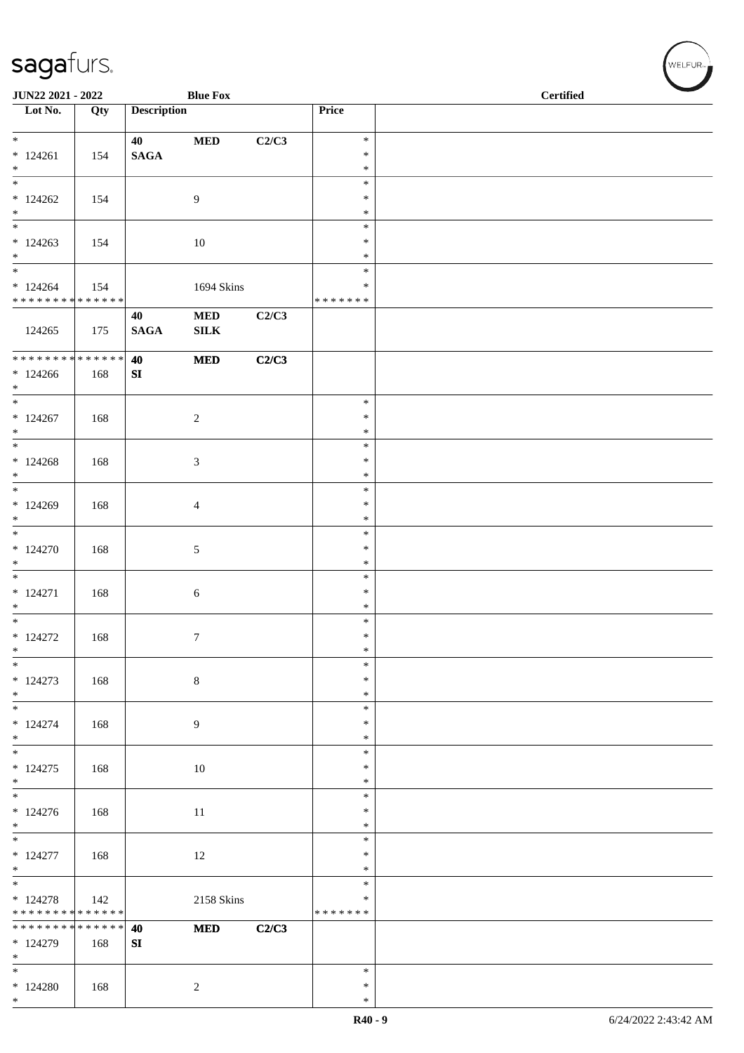\*

|                                                                         | <b>Blue Fox</b><br>JUN22 2021 - 2022 |                    |                            |       |                              | <b>Certified</b> |
|-------------------------------------------------------------------------|--------------------------------------|--------------------|----------------------------|-------|------------------------------|------------------|
| $\overline{\phantom{1}}$ Lot No.                                        | Qty                                  | <b>Description</b> |                            |       | Price                        |                  |
| $*124261$<br>$*$                                                        | 154                                  | 40<br><b>SAGA</b>  | $\bf MED$                  | C2/C3 | $\ast$<br>$\ast$<br>$\ast$   |                  |
| $\overline{\ast}$<br>$*124262$<br>$*$                                   | 154                                  |                    | $\overline{9}$             |       | $\ast$<br>$\ast$<br>$\ast$   |                  |
| $\overline{\phantom{0}}$<br>$*124263$<br>$*$                            | 154                                  |                    | 10                         |       | $\ast$<br>$\ast$<br>$\ast$   |                  |
| $\overline{\phantom{0}}$<br>$*124264$<br>* * * * * * * * * * * * * *    | 154                                  |                    | 1694 Skins                 |       | $\ast$<br>∗<br>* * * * * * * |                  |
| 124265                                                                  | 175                                  | 40<br><b>SAGA</b>  | <b>MED</b><br>${\bf SILK}$ | C2/C3 |                              |                  |
| ******** <mark>******</mark><br>$*124266$<br>$*$                        | 168                                  | 40<br>SI           | <b>MED</b>                 | C2/C3 |                              |                  |
| $\overline{\phantom{a}^*}$<br>$*124267$<br>$*$                          | 168                                  |                    | $\sqrt{2}$                 |       | $\ast$<br>$\ast$<br>$\ast$   |                  |
| $\overline{\phantom{0}}$<br>$*124268$<br>$*$                            | 168                                  |                    | $\mathfrak{Z}$             |       | $\ast$<br>$\ast$<br>$\ast$   |                  |
| $*$<br>$*124269$<br>$*$                                                 | 168                                  |                    | $\overline{4}$             |       | $\ast$<br>$\ast$<br>$\ast$   |                  |
| $*124270$<br>$\ast$                                                     | 168                                  |                    | 5                          |       | $\ast$<br>$\ast$<br>$\ast$   |                  |
| $\overline{\phantom{0}}$<br>$* 124271$<br>$\ast$                        | 168                                  |                    | 6                          |       | $\ast$<br>$\ast$<br>$\ast$   |                  |
| $* 124272$<br>$\ast$                                                    | 168                                  |                    | $\tau$                     |       | $\ast$<br>$\ast$<br>$\ast$   |                  |
| $\ast$<br>$*124273$<br>$*$                                              | 168                                  |                    | $\,8\,$                    |       | $\ast$<br>$\ast$<br>$\ast$   |                  |
| $\overline{\phantom{0}}$<br>$* 124274$<br>$*$                           | 168                                  |                    | 9                          |       | $\ast$<br>$\ast$<br>$\ast$   |                  |
| $\overline{\phantom{0}}$<br>$*124275$<br>$\ast$                         | 168                                  |                    | $10\,$                     |       | $\ast$<br>$\ast$<br>*        |                  |
| $\overline{\phantom{0}}$<br>$*124276$<br>$\ast$                         | 168                                  |                    | $11\,$                     |       | $\ast$<br>$\ast$<br>$\ast$   |                  |
| $\overline{\phantom{0}}$<br>$* 124277$<br>$*$                           | 168                                  |                    | 12                         |       | $\ast$<br>*<br>$\ast$        |                  |
| $\overline{\phantom{a}^*}$<br>$* 124278$<br>* * * * * * * * * * * * * * | 142                                  |                    | 2158 Skins                 |       | $\ast$<br>*<br>* * * * * * * |                  |
| * * * * * * * * * * * * * *<br>$* 124279$<br>$\ast$                     | 168                                  | 40<br>${\bf SI}$   | $\bf MED$                  | C2/C3 |                              |                  |
| $\overline{\phantom{0}}$<br>$*124280$<br>$*$                            | 168                                  |                    | $\sqrt{2}$                 |       | $\ast$<br>∗<br>$\ast$        |                  |

 $(\sqrt{\text{WELFUR}_{\text{max}}})$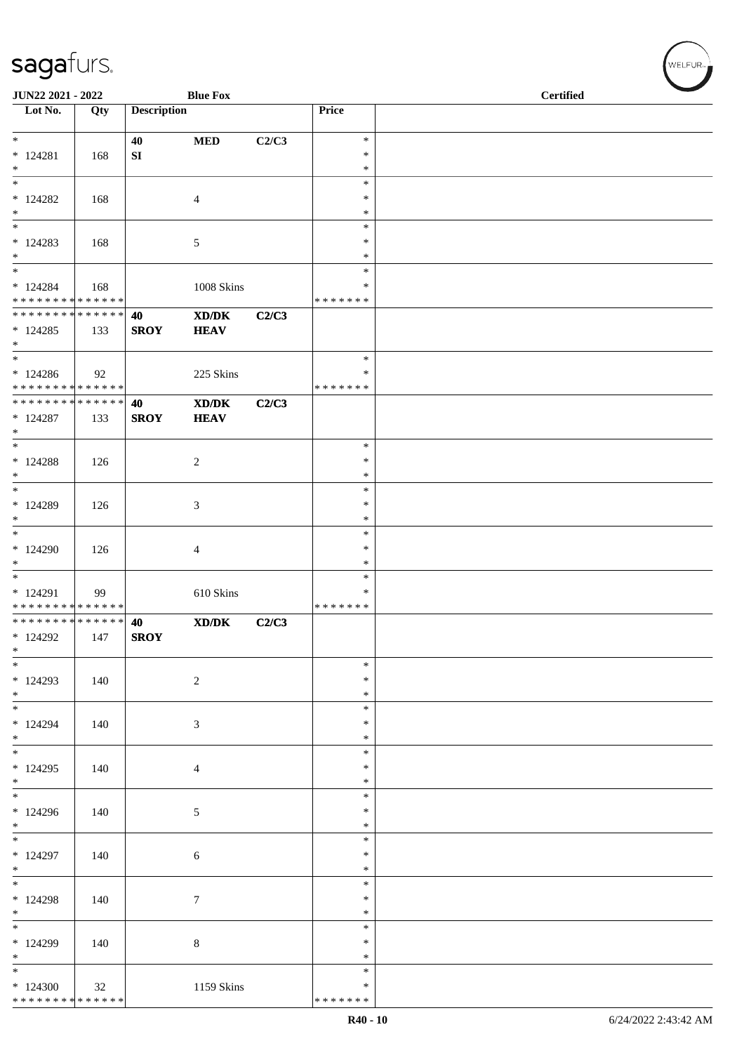| JUN22 2021 - 2022                                                   |     |                    | <b>Blue Fox</b>                                    |       |                                   | <b>Certified</b> |  |  |  |  |
|---------------------------------------------------------------------|-----|--------------------|----------------------------------------------------|-------|-----------------------------------|------------------|--|--|--|--|
| $\overline{\phantom{1}}$ Lot No.                                    | Qty | <b>Description</b> |                                                    |       | Price                             |                  |  |  |  |  |
| $*$<br>$* 124281$<br>$\ast$                                         | 168 | 40<br>SI           | $\bf MED$                                          | C2/C3 | $\ast$<br>$\ast$<br>$\ast$        |                  |  |  |  |  |
| $\ast$<br>$*124282$<br>$\ast$                                       | 168 |                    | $\overline{4}$                                     |       | $\ast$<br>$\ast$<br>$\ast$        |                  |  |  |  |  |
| $\ast$<br>$* 124283$<br>$\ast$                                      | 168 |                    | 5                                                  |       | $\ast$<br>$\ast$<br>$\ast$        |                  |  |  |  |  |
| $*$<br>$*124284$<br>* * * * * * * * * * * * * *                     | 168 |                    | 1008 Skins                                         |       | $\ast$<br>∗<br>* * * * * * *      |                  |  |  |  |  |
| * * * * * * * * * * * * * * *<br>$*124285$<br>$*$                   | 133 | 40<br><b>SROY</b>  | $\bold{X}\bold{D}/\bold{D}\bold{K}$<br><b>HEAV</b> | C2/C3 |                                   |                  |  |  |  |  |
| $\ast$<br>$*124286$<br>* * * * * * * * * * * * * *                  | 92  |                    | 225 Skins                                          |       | $\ast$<br>*<br>* * * * * * *      |                  |  |  |  |  |
| * * * * * * * * * * * * * * *<br>$* 124287$<br>$*$                  | 133 | 40<br><b>SROY</b>  | XD/DK<br><b>HEAV</b>                               | C2/C3 |                                   |                  |  |  |  |  |
| $\ast$<br>$*124288$<br>$*$                                          | 126 |                    | $\sqrt{2}$                                         |       | $\ast$<br>$\ast$<br>$\ast$        |                  |  |  |  |  |
| $\ast$<br>* 124289<br>$\ast$                                        | 126 |                    | 3                                                  |       | $\ast$<br>$\ast$<br>$\ast$        |                  |  |  |  |  |
| $*$<br>* 124290<br>$\ast$                                           | 126 |                    | $\overline{4}$                                     |       | $\ast$<br>*<br>$\ast$             |                  |  |  |  |  |
| $\overline{\phantom{0}}$<br>* 124291<br>* * * * * * * * * * * * * * | 99  |                    | 610 Skins                                          |       | $\ast$<br>$\ast$<br>* * * * * * * |                  |  |  |  |  |
| * * * * * * * * * * * * * *<br>$*124292$<br>$\ast$                  | 147 | 40<br><b>SROY</b>  | $\mathbf{X}\mathbf{D}/\mathbf{D}\mathbf{K}$        | C2/C3 |                                   |                  |  |  |  |  |
| $\ast$<br>$*124293$<br>$*$                                          | 140 |                    | $\sqrt{2}$                                         |       | $\ast$<br>$\ast$<br>$\ast$        |                  |  |  |  |  |
| $\overline{\ast}$<br>* 124294<br>$*$                                | 140 |                    | $\mathfrak{Z}$                                     |       | $\ast$<br>$\ast$<br>$\ast$        |                  |  |  |  |  |
| $\ast$<br>$*124295$<br>$*$                                          | 140 |                    | $\overline{4}$                                     |       | $\ast$<br>$\ast$<br>$\ast$        |                  |  |  |  |  |
| $\overline{\phantom{0}}$<br>$*124296$<br>$*$                        | 140 |                    | $\mathfrak{S}$                                     |       | $\ast$<br>$\ast$<br>$\ast$        |                  |  |  |  |  |
| $\overline{\phantom{0}}$<br>* 124297<br>$*$                         | 140 |                    | 6                                                  |       | $\ast$<br>$\ast$<br>$\ast$        |                  |  |  |  |  |
| $\overline{\phantom{0}}$<br>* 124298<br>$*$                         | 140 |                    | $\tau$                                             |       | $\ast$<br>$\ast$<br>$\ast$        |                  |  |  |  |  |
| $\ast$<br>* 124299<br>$\ast$                                        | 140 |                    | $\,8\,$                                            |       | $\ast$<br>$\ast$<br>*             |                  |  |  |  |  |
| $\ast$<br>$*124300$<br>* * * * * * * * * * * * * *                  | 32  |                    | 1159 Skins                                         |       | $\ast$<br>$\ast$<br>* * * * * * * |                  |  |  |  |  |

WELFUR-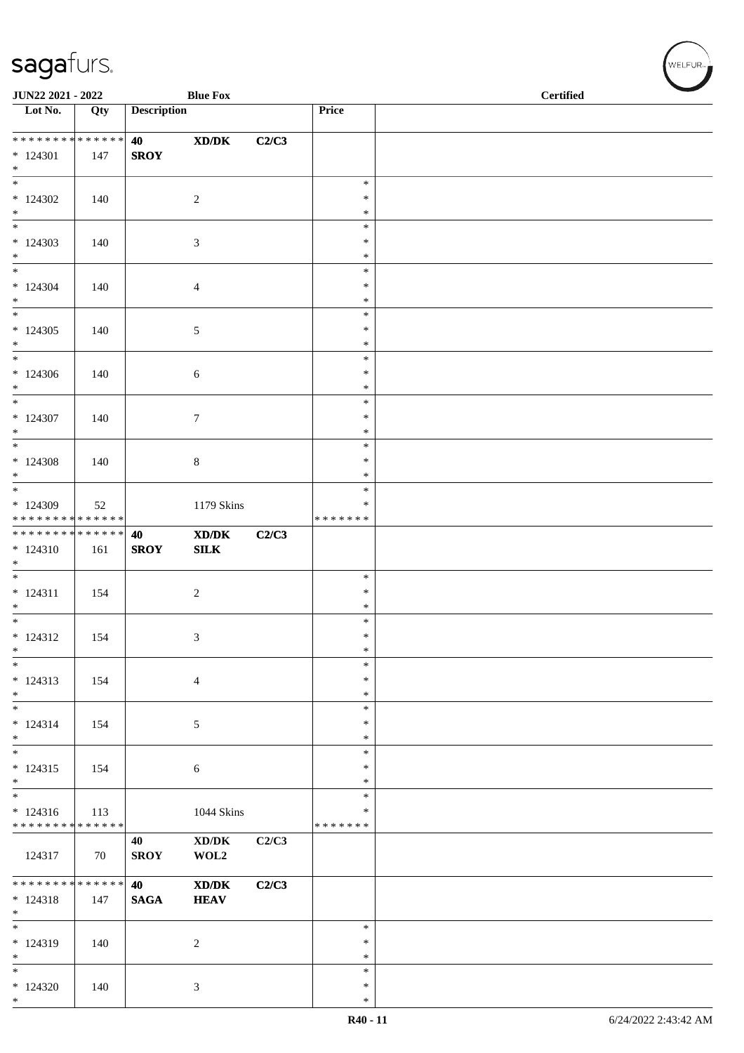| JUN22 2021 - 2022                |     |                    | <b>Blue Fox</b>                                  |       |                  | <b>Certified</b> |  |
|----------------------------------|-----|--------------------|--------------------------------------------------|-------|------------------|------------------|--|
| $\overline{\phantom{1}}$ Lot No. | Qty | <b>Description</b> |                                                  |       | Price            |                  |  |
|                                  |     |                    |                                                  |       |                  |                  |  |
| ******** <mark>******</mark>     |     | <b>40</b>          | $\boldsymbol{\text{X}\text{D}/\text{D}\text{K}}$ | C2/C3 |                  |                  |  |
| $* 124301$<br>$*$                | 147 | <b>SROY</b>        |                                                  |       |                  |                  |  |
| $\overline{\phantom{0}}$         |     |                    |                                                  |       | $\ast$           |                  |  |
| $*124302$                        | 140 |                    | $\sqrt{2}$                                       |       | $\ast$           |                  |  |
| $*$<br>$\overline{\phantom{0}}$  |     |                    |                                                  |       | $\ast$<br>$\ast$ |                  |  |
| $*124303$                        | 140 |                    | 3                                                |       | $\ast$           |                  |  |
| $*$                              |     |                    |                                                  |       | $\ast$           |                  |  |
| $\overline{\ast}$                |     |                    |                                                  |       | $\ast$           |                  |  |
| $* 124304$<br>$*$                | 140 |                    | 4                                                |       | $\ast$<br>$\ast$ |                  |  |
| $\overline{\phantom{0}}$         |     |                    |                                                  |       | $\ast$           |                  |  |
| $*124305$                        | 140 |                    | $\sqrt{5}$                                       |       | $\ast$           |                  |  |
| $*$<br>$*$                       |     |                    |                                                  |       | $\ast$<br>$\ast$ |                  |  |
| $*124306$                        | 140 |                    | 6                                                |       | $\ast$           |                  |  |
| $*$                              |     |                    |                                                  |       | $\ast$           |                  |  |
| $*$                              |     |                    |                                                  |       | $\ast$           |                  |  |
| $* 124307$<br>$*$                | 140 |                    | $\tau$                                           |       | $\ast$<br>$\ast$ |                  |  |
|                                  |     |                    |                                                  |       | $\ast$           |                  |  |
| $*124308$                        | 140 |                    | 8                                                |       | $\ast$           |                  |  |
| $*$<br>$\overline{\mathbf{r}}$   |     |                    |                                                  |       | $\ast$<br>$\ast$ |                  |  |
| * 124309                         | 52  |                    | 1179 Skins                                       |       | $\ast$           |                  |  |
| * * * * * * * * * * * * * *      |     |                    |                                                  |       | * * * * * * *    |                  |  |
| ******** <mark>******</mark>     |     | 40                 | $\mathbf{X}\mathbf{D}/\mathbf{D}\mathbf{K}$      | C2/C3 |                  |                  |  |
| $* 124310$<br>$*$                | 161 | <b>SROY</b>        | SLK                                              |       |                  |                  |  |
|                                  |     |                    |                                                  |       | $\ast$           |                  |  |
| $* 124311$                       | 154 |                    | $\sqrt{2}$                                       |       | $\ast$           |                  |  |
| $*$<br>$*$                       |     |                    |                                                  |       | $\ast$<br>$\ast$ |                  |  |
| $* 124312$                       | 154 |                    | 3                                                |       | $\ast$           |                  |  |
| $\ast$                           |     |                    |                                                  |       | $\ast$           |                  |  |
| $\ast$<br>$* 124313$             |     |                    |                                                  |       | $\ast$<br>$\ast$ |                  |  |
| $\ast$                           | 154 |                    | $\overline{4}$                                   |       | $\ast$           |                  |  |
| $*$                              |     |                    |                                                  |       | $\ast$           |                  |  |
| $* 124314$                       | 154 |                    | 5                                                |       | $\ast$           |                  |  |
| $*$<br>$*$                       |     |                    |                                                  |       | $\ast$<br>$\ast$ |                  |  |
| $* 124315$                       | 154 |                    | 6                                                |       | $\ast$           |                  |  |
| $*$<br>$\frac{1}{1}$             |     |                    |                                                  |       | $\ast$           |                  |  |
| $* 124316$                       | 113 |                    | 1044 Skins                                       |       | $\ast$<br>$\ast$ |                  |  |
| * * * * * * * * * * * * * *      |     |                    |                                                  |       | * * * * * * *    |                  |  |
|                                  |     | 40                 | $\bold{X}\bold{D}/\bold{D}\bold{K}$              | C2/C3 |                  |                  |  |
| 124317                           | 70  | <b>SROY</b>        | WOL2                                             |       |                  |                  |  |
| * * * * * * * * * * * * * * *    |     | 40                 | $\mathbf{X}\mathbf{D}/\mathbf{D}\mathbf{K}$      | C2/C3 |                  |                  |  |
| $* 124318$                       | 147 | <b>SAGA</b>        | <b>HEAV</b>                                      |       |                  |                  |  |
| $*$<br>$*$                       |     |                    |                                                  |       | $\ast$           |                  |  |
| $* 124319$                       | 140 |                    | $\overline{c}$                                   |       | $\ast$           |                  |  |
| $*$                              |     |                    |                                                  |       | $\ast$           |                  |  |
| $*$                              |     |                    |                                                  |       | $\ast$           |                  |  |
| $*124320$<br>$*$                 | 140 |                    | 3                                                |       | $\ast$<br>$\ast$ |                  |  |
|                                  |     |                    |                                                  |       |                  |                  |  |

 $w$ ELFUR-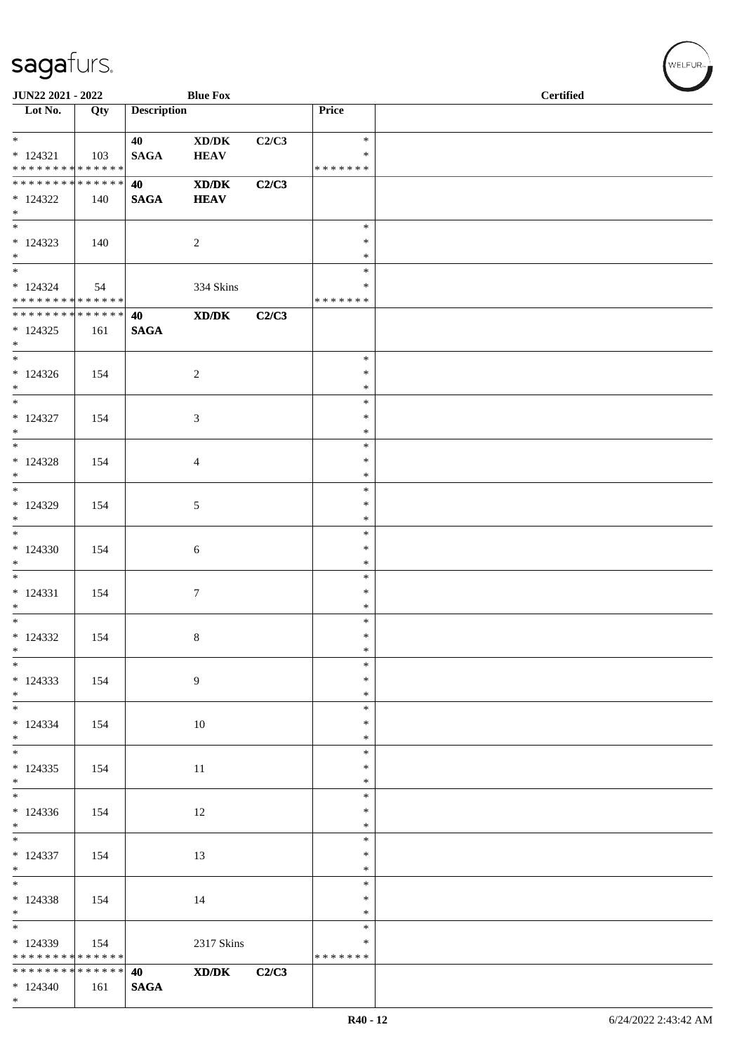| JUN22 2021 - 2022                                           |     |                       | <b>Blue Fox</b>                                             |       |                  | <b>Certified</b> |
|-------------------------------------------------------------|-----|-----------------------|-------------------------------------------------------------|-------|------------------|------------------|
| $\overline{\phantom{1}}$ Lot No.                            | Qty | <b>Description</b>    |                                                             |       | Price            |                  |
| $*$                                                         |     | 40                    | $\bold{X}\bold{D}/\bold{D}\bold{K}$                         | C2/C3 | $\ast$           |                  |
| $* 124321$                                                  | 103 | <b>SAGA</b>           | <b>HEAV</b>                                                 |       | ∗                |                  |
| * * * * * * * * * * * * * *                                 |     |                       |                                                             |       | * * * * * * *    |                  |
| * * * * * * * * * * * * * *                                 |     | 40                    | <b>XD/DK</b>                                                | C2/C3 |                  |                  |
| $*124322$                                                   | 140 | <b>SAGA</b>           | <b>HEAV</b>                                                 |       |                  |                  |
| $*$<br>$*$                                                  |     |                       |                                                             |       | $\ast$           |                  |
| $*124323$                                                   | 140 |                       | $\overline{2}$                                              |       | $\ast$           |                  |
| $*$                                                         |     |                       |                                                             |       | $\ast$           |                  |
| $\overline{\phantom{0}}$                                    |     |                       |                                                             |       | $\ast$           |                  |
| $* 124324$                                                  | 54  |                       | 334 Skins                                                   |       | ∗                |                  |
| * * * * * * * * * * * * * *<br>******** <mark>******</mark> |     |                       |                                                             |       | * * * * * * *    |                  |
| $*124325$                                                   | 161 | 40<br>$\mathbf{SAGA}$ | $\boldsymbol{\text{X} \text{D} \text{/} \text{D} \text{K}}$ | C2/C3 |                  |                  |
| $*$                                                         |     |                       |                                                             |       |                  |                  |
| $*$                                                         |     |                       |                                                             |       | $\ast$           |                  |
| $*124326$                                                   | 154 |                       | $\sqrt{2}$                                                  |       | $\ast$           |                  |
| $*$<br>$*$                                                  |     |                       |                                                             |       | $\ast$           |                  |
| $* 124327$                                                  | 154 |                       | 3                                                           |       | $\ast$<br>∗      |                  |
| $*$                                                         |     |                       |                                                             |       | $\ast$           |                  |
| $\overline{\phantom{0}}$                                    |     |                       |                                                             |       | $\ast$           |                  |
| $*124328$                                                   | 154 |                       | $\overline{4}$                                              |       | $\ast$           |                  |
| $\ast$<br>$*$                                               |     |                       |                                                             |       | $\ast$           |                  |
| $*124329$                                                   | 154 |                       | $\mathfrak{S}$                                              |       | $\ast$<br>$\ast$ |                  |
| $\ast$                                                      |     |                       |                                                             |       | $\ast$           |                  |
| $\overline{\phantom{0}}$                                    |     |                       |                                                             |       | $\ast$           |                  |
| $*124330$                                                   | 154 |                       | 6                                                           |       | $\ast$           |                  |
| $\ast$<br>$\overline{\phantom{0}}$                          |     |                       |                                                             |       | $\ast$<br>$\ast$ |                  |
| $* 124331$                                                  | 154 |                       | $\tau$                                                      |       | $\ast$           |                  |
| $\ast$                                                      |     |                       |                                                             |       | $\ast$           |                  |
| $*$                                                         |     |                       |                                                             |       | $\ast$           |                  |
| $* 124332$                                                  | 154 |                       | $8\,$                                                       |       | $\ast$           |                  |
| $\ast$<br>$\ast$                                            |     |                       |                                                             |       | $\ast$<br>$\ast$ |                  |
| $*124333$                                                   | 154 |                       | 9                                                           |       | *                |                  |
| $*$                                                         |     |                       |                                                             |       | $\ast$           |                  |
| $\overline{\phantom{0}}$                                    |     |                       |                                                             |       | $\ast$           |                  |
| $* 124334$                                                  | 154 |                       | $10\,$                                                      |       | $\ast$           |                  |
| $*$                                                         |     |                       |                                                             |       | $\ast$<br>$\ast$ |                  |
| $*124335$                                                   | 154 |                       | 11                                                          |       | $\ast$           |                  |
| $*$                                                         |     |                       |                                                             |       | $\ast$           |                  |
| $\overline{\phantom{0}}$                                    |     |                       |                                                             |       | $\ast$           |                  |
| $*124336$                                                   | 154 |                       | 12                                                          |       | $\ast$           |                  |
| $*$<br>$\overline{\phantom{0}}$                             |     |                       |                                                             |       | $\ast$<br>$\ast$ |                  |
| $*124337$                                                   | 154 |                       | 13                                                          |       | $\ast$           |                  |
| $*$                                                         |     |                       |                                                             |       | $\ast$           |                  |
| $\overline{\ast}$                                           |     |                       |                                                             |       | $\ast$           |                  |
| $*124338$                                                   | 154 |                       | 14                                                          |       | $\ast$           |                  |
| $*$<br>$\overline{\phantom{0}}$                             |     |                       |                                                             |       | $\ast$<br>$\ast$ |                  |
| $*124339$                                                   | 154 |                       | 2317 Skins                                                  |       | $\ast$           |                  |
| * * * * * * * * * * * * * *                                 |     |                       |                                                             |       | * * * * * * *    |                  |
| * * * * * * * * * * * * * *                                 |     | 40                    | $\mathbf{X}\mathbf{D}/\mathbf{D}\mathbf{K}$                 | C2/C3 |                  |                  |
| $*124340$<br>$*$                                            | 161 | <b>SAGA</b>           |                                                             |       |                  |                  |
|                                                             |     |                       |                                                             |       |                  |                  |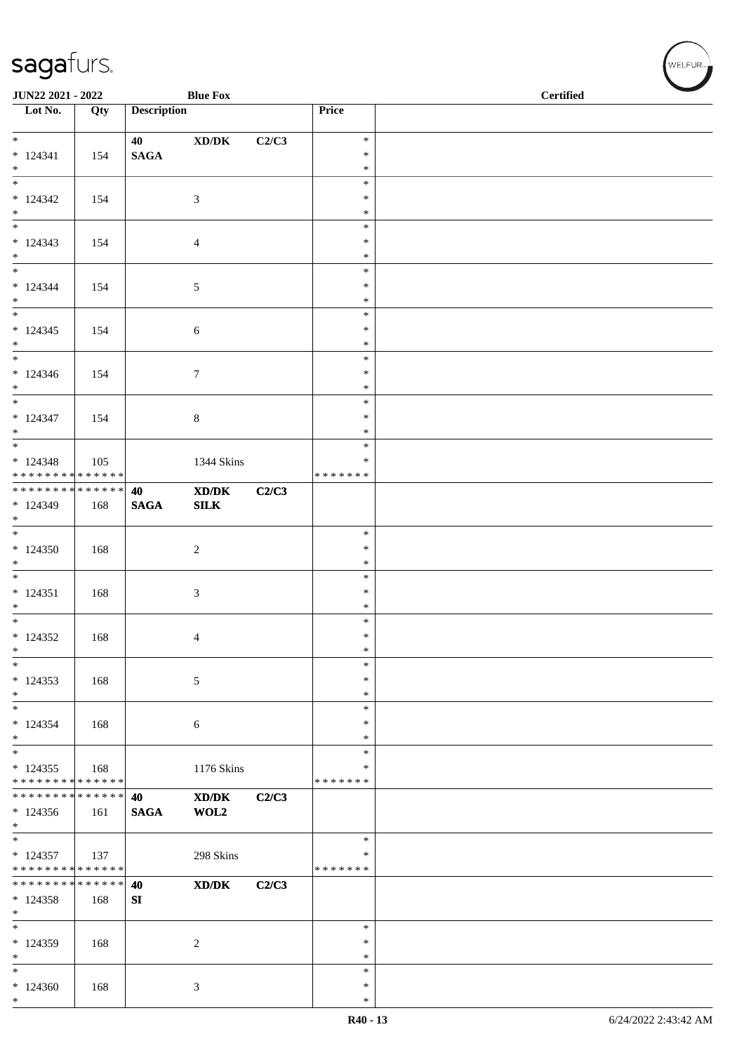| JUN22 2021 - 2022                                            |     |                    | <b>Blue Fox</b>                                                                                      |       |                         | <b>Certified</b> |
|--------------------------------------------------------------|-----|--------------------|------------------------------------------------------------------------------------------------------|-------|-------------------------|------------------|
| $\overline{\phantom{1}}$ Lot No.                             | Qty | <b>Description</b> |                                                                                                      |       | Price                   |                  |
| $*$                                                          |     | 40                 | $\boldsymbol{\mathrm{XD}}\boldsymbol{/}\boldsymbol{\mathrm{DK}}$                                     | C2/C3 | $\ast$                  |                  |
| $* 124341$                                                   | 154 | <b>SAGA</b>        |                                                                                                      |       | $\ast$                  |                  |
| $*$                                                          |     |                    |                                                                                                      |       | $\ast$                  |                  |
|                                                              |     |                    |                                                                                                      |       | $\ast$<br>$\ast$        |                  |
| $*124342$<br>$*$                                             | 154 |                    | 3                                                                                                    |       | $\ast$                  |                  |
|                                                              |     |                    |                                                                                                      |       | $\ast$                  |                  |
| $* 124343$                                                   | 154 |                    | $\overline{4}$                                                                                       |       | $\ast$                  |                  |
| $*$<br>$*$                                                   |     |                    |                                                                                                      |       | $\ast$<br>$\ast$        |                  |
| $* 124344$                                                   | 154 |                    | 5                                                                                                    |       | $\ast$                  |                  |
| $*$                                                          |     |                    |                                                                                                      |       | $\ast$                  |                  |
| $*$<br>$* 124345$                                            |     |                    |                                                                                                      |       | $\ast$<br>$\ast$        |                  |
| $*$                                                          | 154 |                    | $\sqrt{6}$                                                                                           |       | $\ast$                  |                  |
|                                                              |     |                    |                                                                                                      |       | $\ast$                  |                  |
| $* 124346$                                                   | 154 |                    | $\boldsymbol{7}$                                                                                     |       | $\ast$<br>$\ast$        |                  |
| $*$<br>$*$                                                   |     |                    |                                                                                                      |       | $\ast$                  |                  |
| $* 124347$                                                   | 154 |                    | $8\,$                                                                                                |       | $\ast$                  |                  |
| $\ast$                                                       |     |                    |                                                                                                      |       | $\ast$                  |                  |
|                                                              |     |                    |                                                                                                      |       | $\ast$<br>$\ast$        |                  |
| $* 124348$<br>* * * * * * * * * * * * * *                    | 105 |                    | 1344 Skins                                                                                           |       | * * * * * * *           |                  |
| ******** <mark>******</mark>                                 |     | 40                 | $\mathbf{X}\mathbf{D}/\mathbf{D}\mathbf{K}$                                                          | C2/C3 |                         |                  |
| $*124349$                                                    | 168 | <b>SAGA</b>        | ${\bf SILK}$                                                                                         |       |                         |                  |
| $*$                                                          |     |                    |                                                                                                      |       | $\ast$                  |                  |
| $*124350$                                                    | 168 |                    | $\overline{2}$                                                                                       |       | $\ast$                  |                  |
| $*$                                                          |     |                    |                                                                                                      |       | $\ast$                  |                  |
|                                                              |     |                    |                                                                                                      |       | $\ast$<br>$\ast$        |                  |
| $* 124351$<br>$*$                                            | 168 |                    | $\mathfrak{Z}$                                                                                       |       | $\ast$                  |                  |
|                                                              |     |                    |                                                                                                      |       | $\ast$                  |                  |
| $*124352$                                                    | 168 |                    | 4                                                                                                    |       | $\ast$                  |                  |
| $\ast$<br>$\ast$                                             |     |                    |                                                                                                      |       | $\ast$<br>$\ast$        |                  |
| $*124353$                                                    | 168 |                    | 5                                                                                                    |       | $\ast$                  |                  |
| $\ast$                                                       |     |                    |                                                                                                      |       | $\ast$                  |                  |
| $*$                                                          |     |                    |                                                                                                      |       | $\ast$                  |                  |
| $* 124354$<br>$\ast$                                         | 168 |                    | 6                                                                                                    |       | $\ast$<br>$\ast$        |                  |
| $\overline{\phantom{0}}$                                     |     |                    |                                                                                                      |       | $\ast$                  |                  |
| $* 124355$                                                   | 168 |                    | 1176 Skins                                                                                           |       | $\ast$                  |                  |
| * * * * * * * * * * * * * *<br>* * * * * * * * * * * * * * * |     | 40                 | $\boldsymbol{\text{X}}\boldsymbol{\text{D}}\boldsymbol{/}\boldsymbol{\text{D}}\boldsymbol{\text{K}}$ | C2/C3 | * * * * * * *           |                  |
| $*124356$                                                    | 161 | <b>SAGA</b>        | WOL2                                                                                                 |       |                         |                  |
| $*$                                                          |     |                    |                                                                                                      |       |                         |                  |
| $*$                                                          |     |                    |                                                                                                      |       | $\ast$                  |                  |
| $* 124357$<br>* * * * * * * * * * * * * *                    | 137 |                    | 298 Skins                                                                                            |       | $\ast$<br>* * * * * * * |                  |
| * * * * * * * * * * * * * * *                                |     | 40                 | $\mathbf{X}\mathbf{D}/\mathbf{D}\mathbf{K}$                                                          | C2/C3 |                         |                  |
| $*124358$                                                    | 168 | ${\bf S}{\bf I}$   |                                                                                                      |       |                         |                  |
| $*$<br>$\ast$                                                |     |                    |                                                                                                      |       | $\ast$                  |                  |
| * 124359                                                     | 168 |                    | 2                                                                                                    |       | ∗                       |                  |
| $*$                                                          |     |                    |                                                                                                      |       | $\ast$                  |                  |
| $\ast$                                                       |     |                    |                                                                                                      |       | $\ast$                  |                  |
| $*124360$<br>$\ast$                                          | 168 |                    | 3                                                                                                    |       | $\ast$<br>$\ast$        |                  |
|                                                              |     |                    |                                                                                                      |       |                         |                  |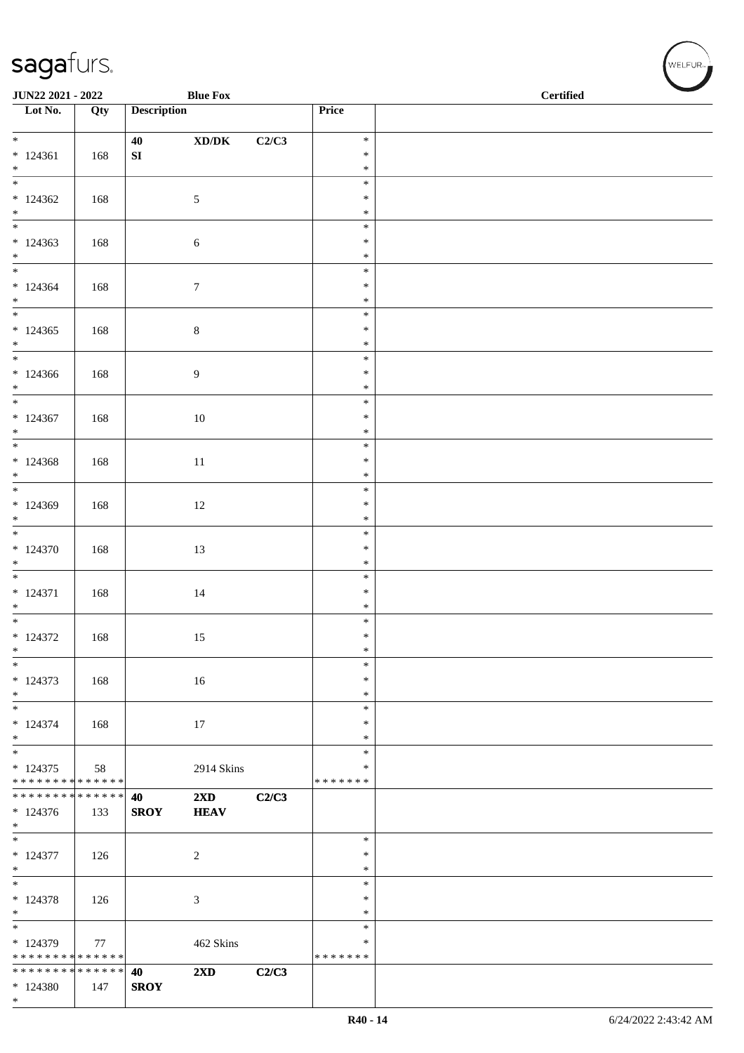| JUN22 2021 - 2022                                            |     |                    | <b>Blue Fox</b>                                              |       |                         | <b>Certified</b> |
|--------------------------------------------------------------|-----|--------------------|--------------------------------------------------------------|-------|-------------------------|------------------|
| $\overline{\phantom{1}}$ Lot No.                             | Qty | <b>Description</b> |                                                              |       | Price                   |                  |
| $*$                                                          |     | 40                 | $\boldsymbol{\text{XD}}\boldsymbol{/}\boldsymbol{\text{DK}}$ | C2/C3 | $\ast$                  |                  |
| $* 124361$                                                   | 168 | ${\bf SI}$         |                                                              |       | $\ast$                  |                  |
| $*$<br>$\overline{\phantom{0}}$                              |     |                    |                                                              |       | $\ast$<br>$\ast$        |                  |
| $*124362$                                                    | 168 |                    | 5                                                            |       | $\ast$                  |                  |
| $*$<br>$*$                                                   |     |                    |                                                              |       | $\ast$                  |                  |
| $*124363$                                                    | 168 |                    | 6                                                            |       | $\ast$<br>$\ast$        |                  |
| $*$                                                          |     |                    |                                                              |       | $\ast$                  |                  |
| $* 124364$                                                   |     |                    |                                                              |       | $\ast$<br>$\ast$        |                  |
| $*$                                                          | 168 |                    | $\tau$                                                       |       | $\ast$                  |                  |
| $\overline{\phantom{0}}$                                     |     |                    |                                                              |       | $\ast$                  |                  |
| $*124365$<br>$*$                                             | 168 |                    | $\,8\,$                                                      |       | $\ast$<br>$\ast$        |                  |
| $\overline{\phantom{0}}$                                     |     |                    |                                                              |       | $\ast$                  |                  |
| $*124366$<br>$*$                                             | 168 |                    | 9                                                            |       | $\ast$<br>$\ast$        |                  |
| $\overline{\ast}$                                            |     |                    |                                                              |       | $\ast$                  |                  |
| $*124367$                                                    | 168 |                    | $10\,$                                                       |       | $\ast$                  |                  |
| $*$<br>$\overline{\phantom{0}}$                              |     |                    |                                                              |       | $\ast$<br>$\ast$        |                  |
| $*124368$                                                    | 168 |                    | 11                                                           |       | $\ast$                  |                  |
| $\ast$                                                       |     |                    |                                                              |       | $\ast$<br>$\ast$        |                  |
| $*124369$                                                    | 168 |                    | 12                                                           |       | $\ast$                  |                  |
| $\ast$                                                       |     |                    |                                                              |       | $\ast$                  |                  |
| $* 124370$                                                   | 168 |                    | 13                                                           |       | $\ast$<br>$\ast$        |                  |
| $*$                                                          |     |                    |                                                              |       | $\ast$                  |                  |
| $\overline{\phantom{0}}$                                     |     |                    |                                                              |       | $\ast$                  |                  |
| $* 124371$<br>$*$                                            | 168 |                    | $14\,$                                                       |       | $\ast$<br>$\ast$        |                  |
|                                                              |     |                    |                                                              |       | $\ast$                  |                  |
| $* 124372$<br>$\ast$                                         | 168 |                    | 15                                                           |       | $\ast$<br>$\ast$        |                  |
| $\ast$                                                       |     |                    |                                                              |       | $\ast$                  |                  |
| $* 124373$<br>$*$                                            | 168 |                    | 16                                                           |       | $\ast$<br>$\ast$        |                  |
| $\ast$                                                       |     |                    |                                                              |       | ∗                       |                  |
| $* 124374$                                                   | 168 |                    | 17                                                           |       | $\ast$                  |                  |
| $*$<br>$*$                                                   |     |                    |                                                              |       | $\ast$<br>$\ast$        |                  |
| $* 124375$                                                   | 58  |                    | 2914 Skins                                                   |       | ∗                       |                  |
| * * * * * * * * * * * * * *<br>* * * * * * * * * * * * * * * |     |                    |                                                              |       | * * * * * * *           |                  |
| $*124376$                                                    | 133 | 40<br><b>SROY</b>  | $2\mathbf{X}\mathbf{D}$<br><b>HEAV</b>                       | C2/C3 |                         |                  |
| $*$                                                          |     |                    |                                                              |       |                         |                  |
| $\overline{\phantom{0}}$<br>$* 124377$                       | 126 |                    | $\overline{c}$                                               |       | $\ast$<br>$\ast$        |                  |
| $*$                                                          |     |                    |                                                              |       | $\ast$                  |                  |
|                                                              |     |                    |                                                              |       | $\ast$                  |                  |
| $* 124378$<br>$*$                                            | 126 |                    | 3                                                            |       | $\ast$<br>$\ast$        |                  |
| $\overline{\phantom{0}}$                                     |     |                    |                                                              |       | $\ast$                  |                  |
| $*124379$<br>* * * * * * * * * * * * * *                     | 77  |                    | 462 Skins                                                    |       | $\ast$<br>* * * * * * * |                  |
| * * * * * * * * * * * * * *                                  |     | 40                 | 2XD                                                          | C2/C3 |                         |                  |
| * 124380                                                     | 147 | <b>SROY</b>        |                                                              |       |                         |                  |
| $*$                                                          |     |                    |                                                              |       |                         |                  |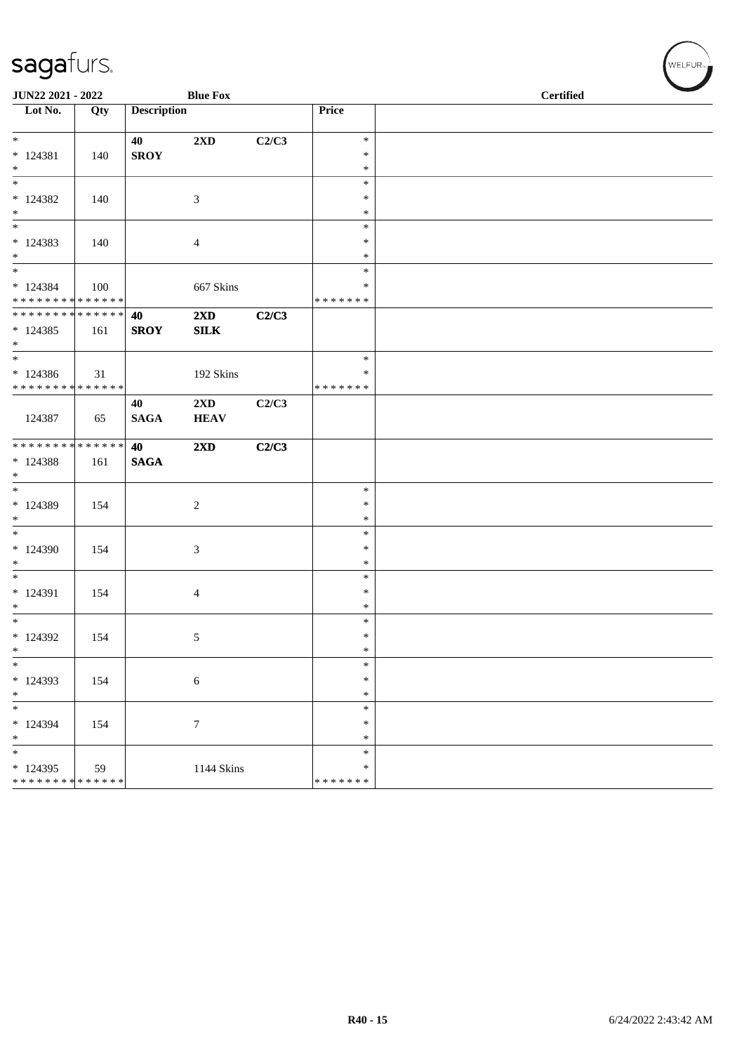| JUN22 2021 - 2022                        |     |                    | <b>Blue Fox</b>         |       |                         | <b>Certified</b> |
|------------------------------------------|-----|--------------------|-------------------------|-------|-------------------------|------------------|
| Lot No.                                  | Qty | <b>Description</b> |                         |       | Price                   |                  |
| $*$                                      |     | 40                 | $2\mathbf{X}\mathbf{D}$ | C2/C3 | $\ast$                  |                  |
| $* 124381$                               | 140 | <b>SROY</b>        |                         |       | $\ast$                  |                  |
| $*$                                      |     |                    |                         |       | $\ast$                  |                  |
| $\overline{\phantom{0}}$                 |     |                    |                         |       | $\ast$                  |                  |
| $*124382$                                | 140 |                    | 3                       |       | $\ast$                  |                  |
| $*$                                      |     |                    |                         |       | $\ast$                  |                  |
| $\ast$                                   |     |                    |                         |       | $\ast$                  |                  |
| $*124383$<br>$*$                         | 140 |                    | $\overline{4}$          |       | $\ast$<br>$\ast$        |                  |
| $*$                                      |     |                    |                         |       | $\ast$                  |                  |
| $*124384$                                | 100 |                    | 667 Skins               |       | ∗                       |                  |
| * * * * * * * * * * * * * *              |     |                    |                         |       | *******                 |                  |
| * * * * * * * * * * * * * * *            |     | 40                 | $2\mathbf{X}\mathbf{D}$ | C2/C3 |                         |                  |
| $*124385$                                | 161 | <b>SROY</b>        | <b>SILK</b>             |       |                         |                  |
| $*$                                      |     |                    |                         |       |                         |                  |
| $\ast$                                   |     |                    |                         |       | $\ast$                  |                  |
| $*124386$<br>* * * * * * * * * * * * * * | 31  |                    | 192 Skins               |       | $\ast$<br>*******       |                  |
|                                          |     | 40                 | $2\mathbf{X}\mathbf{D}$ | C2/C3 |                         |                  |
| 124387                                   | 65  | <b>SAGA</b>        | <b>HEAV</b>             |       |                         |                  |
|                                          |     |                    |                         |       |                         |                  |
| ******** <mark>******</mark>             |     | 40                 | $2\mathbf{X}\mathbf{D}$ | C2/C3 |                         |                  |
| $* 124388$                               | 161 | <b>SAGA</b>        |                         |       |                         |                  |
| $*$                                      |     |                    |                         |       |                         |                  |
| $*$                                      |     |                    |                         |       | $\ast$                  |                  |
| $*124389$<br>$\ast$                      | 154 |                    | $\overline{c}$          |       | $\ast$<br>$\ast$        |                  |
| $*$                                      |     |                    |                         |       | $\ast$                  |                  |
| $*124390$                                | 154 |                    | 3                       |       | $\ast$                  |                  |
| $\ast$                                   |     |                    |                         |       | $\ast$                  |                  |
| $\overline{\ast}$                        |     |                    |                         |       | $\ast$                  |                  |
| * 124391                                 | 154 |                    | $\overline{4}$          |       | $\ast$                  |                  |
| $\ast$                                   |     |                    |                         |       | $\ast$                  |                  |
| $*$                                      |     |                    |                         |       | $\ast$                  |                  |
| * 124392<br>$\ast$                       | 154 |                    | 5                       |       | $\ast$<br>$\ast$        |                  |
| $\ast$                                   |     |                    |                         |       | $\ast$                  |                  |
| * 124393                                 | 154 |                    | $\sqrt{6}$              |       | $\ast$                  |                  |
| $\ast$                                   |     |                    |                         |       | $\ast$                  |                  |
| $\ast$                                   |     |                    |                         |       | $\ast$                  |                  |
| * 124394                                 | 154 |                    | $\tau$                  |       | $\ast$                  |                  |
| $\ast$                                   |     |                    |                         |       | $\ast$                  |                  |
| $\ast$                                   |     |                    |                         |       | $\ast$                  |                  |
| * 124395<br>* * * * * * * * * * * * * *  | 59  |                    | 1144 Skins              |       | $\ast$<br>* * * * * * * |                  |
|                                          |     |                    |                         |       |                         |                  |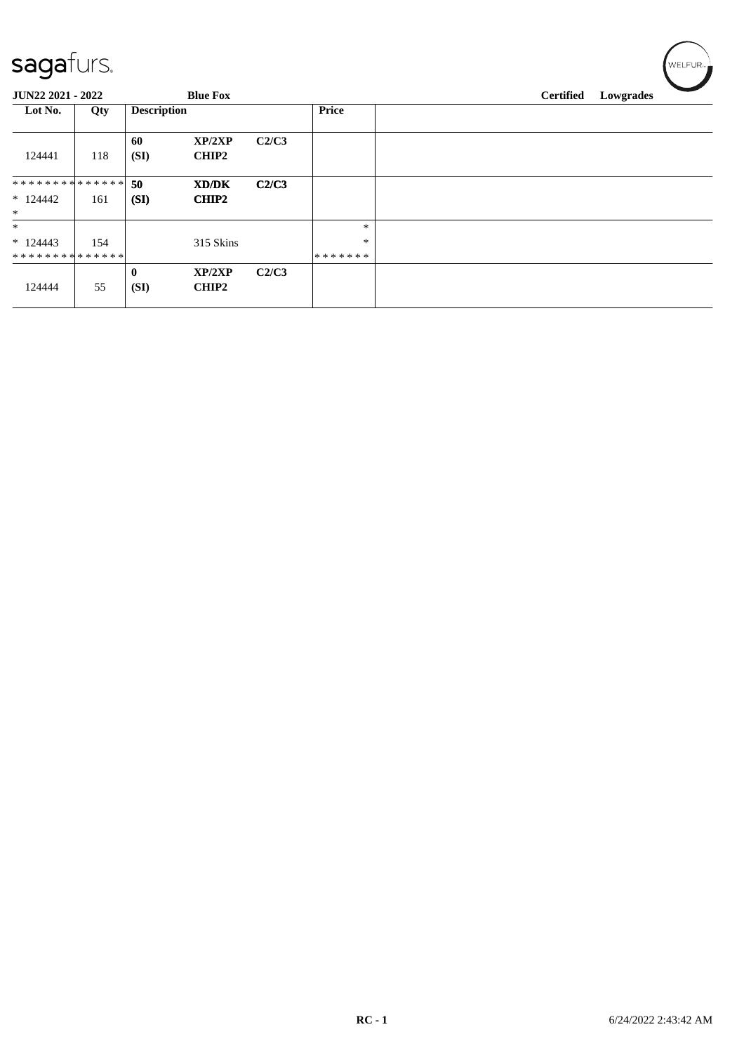| sagafurs.           |     |                      |                        |       |         |                  | WELFUR <sub>™</sub> |
|---------------------|-----|----------------------|------------------------|-------|---------|------------------|---------------------|
| JUN22 2021 - 2022   |     |                      | <b>Blue Fox</b>        |       |         | <b>Certified</b> | Lowgrades           |
| Lot No.             | Qty | <b>Description</b>   |                        |       | Price   |                  |                     |
| 124441              | 118 | 60<br>(SI)           | XP/2XP<br><b>CHIP2</b> | C2/C3 |         |                  |                     |
| **************      |     | 50                   | XD/DK                  | C2/C3 |         |                  |                     |
| $*124442$<br>$\ast$ | 161 | (SI)                 | <b>CHIP2</b>           |       |         |                  |                     |
| $\ast$              |     |                      |                        |       | $\ast$  |                  |                     |
| $*124443$           | 154 |                      | 315 Skins              |       | $\ast$  |                  |                     |
| **************      |     |                      |                        |       | ******* |                  |                     |
| 124444              | 55  | $\mathbf{0}$<br>(SI) | XP/2XP<br><b>CHIP2</b> | C2/C3 |         |                  |                     |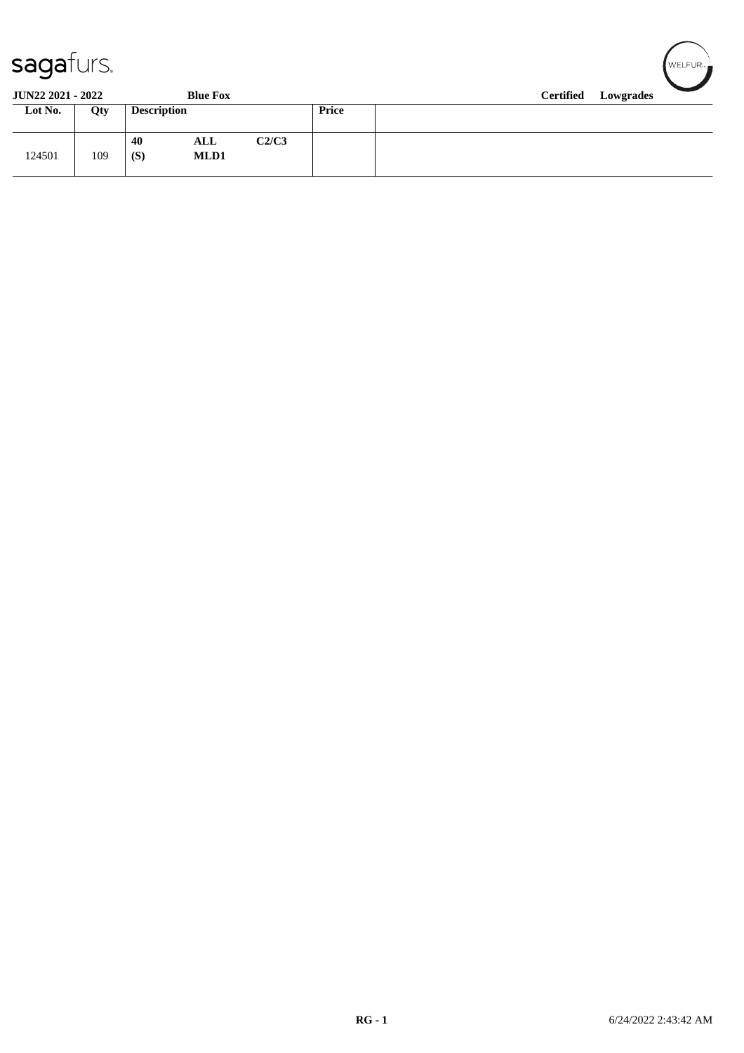| sagafurs. |
|-----------|
|-----------|

| sayarurs.                |                  | ∎ WELFUR≂ <del>.</del> |                    |       |       |           |  |  |  |  |  |  |  |  |
|--------------------------|------------------|------------------------|--------------------|-------|-------|-----------|--|--|--|--|--|--|--|--|
| <b>JUN22 2021 - 2022</b> | <b>Certified</b> |                        |                    |       |       | Lowgrades |  |  |  |  |  |  |  |  |
| Lot No.                  | Qty              | <b>Description</b>     |                    |       | Price |           |  |  |  |  |  |  |  |  |
| 124501                   | 109              | 40<br>(S)              | ALL<br><b>MLD1</b> | C2/C3 |       |           |  |  |  |  |  |  |  |  |

 $\sqrt{2}$